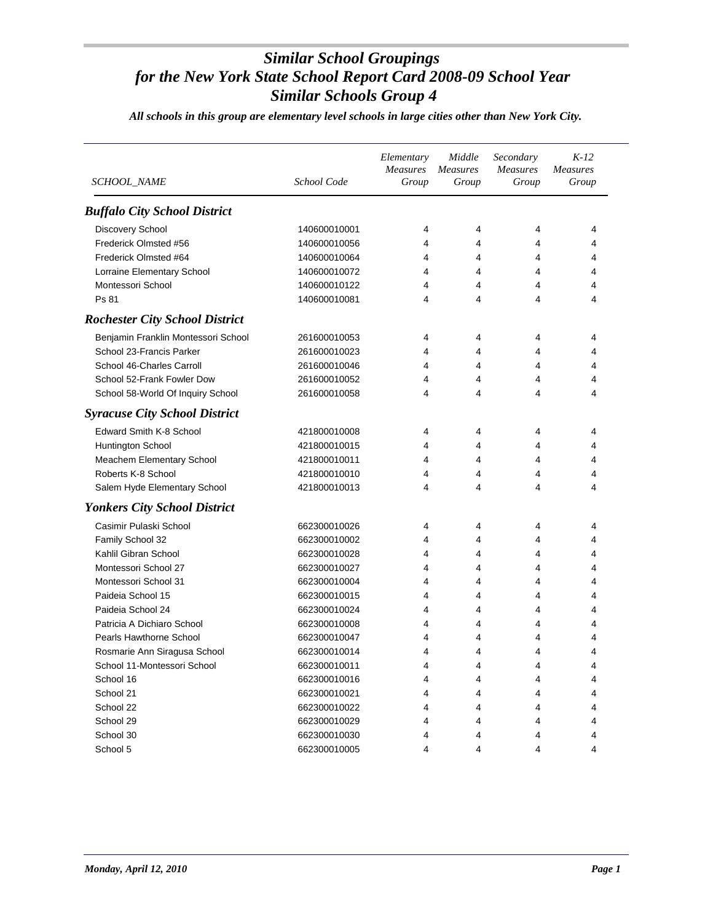| SCHOOL_NAME                           | School Code  | Elementary<br><b>Measures</b><br>Group | Middle<br><b>Measures</b><br>Group | Secondary<br>Measures<br>Group | $K-12$<br><b>Measures</b><br>Group |
|---------------------------------------|--------------|----------------------------------------|------------------------------------|--------------------------------|------------------------------------|
| <b>Buffalo City School District</b>   |              |                                        |                                    |                                |                                    |
| Discovery School                      | 140600010001 | 4                                      | 4                                  | 4                              | 4                                  |
| Frederick Olmsted #56                 | 140600010056 | 4                                      | 4                                  | 4                              | 4                                  |
| Frederick Olmsted #64                 | 140600010064 | 4                                      | 4                                  | 4                              | 4                                  |
| Lorraine Elementary School            | 140600010072 | 4                                      | 4                                  | 4                              | 4                                  |
| Montessori School                     | 140600010122 | 4                                      | 4                                  | 4                              | 4                                  |
| Ps 81                                 | 140600010081 | 4                                      | 4                                  | 4                              | 4                                  |
| <b>Rochester City School District</b> |              |                                        |                                    |                                |                                    |
| Benjamin Franklin Montessori School   | 261600010053 | 4                                      | 4                                  | 4                              | 4                                  |
| School 23-Francis Parker              | 261600010023 | 4                                      | 4                                  | 4                              | 4                                  |
| School 46-Charles Carroll             | 261600010046 | 4                                      | 4                                  | 4                              | 4                                  |
| School 52-Frank Fowler Dow            | 261600010052 | 4                                      | 4                                  | 4                              | 4                                  |
| School 58-World Of Inquiry School     | 261600010058 | 4                                      | 4                                  | 4                              | 4                                  |
| <b>Syracuse City School District</b>  |              |                                        |                                    |                                |                                    |
| Edward Smith K-8 School               | 421800010008 | 4                                      | 4                                  | 4                              | 4                                  |
| Huntington School                     | 421800010015 | 4                                      | 4                                  | 4                              | 4                                  |
| Meachem Elementary School             | 421800010011 | 4                                      | 4                                  | 4                              | 4                                  |
| Roberts K-8 School                    | 421800010010 | 4                                      | 4                                  | 4                              | 4                                  |
| Salem Hyde Elementary School          | 421800010013 | 4                                      | 4                                  | 4                              | 4                                  |
| <b>Yonkers City School District</b>   |              |                                        |                                    |                                |                                    |
| Casimir Pulaski School                | 662300010026 | 4                                      | 4                                  | 4                              | 4                                  |
| Family School 32                      | 662300010002 | 4                                      | 4                                  | 4                              | 4                                  |
| Kahlil Gibran School                  | 662300010028 | 4                                      | 4                                  | 4                              | 4                                  |
| Montessori School 27                  | 662300010027 | 4                                      | 4                                  | 4                              | 4                                  |
| Montessori School 31                  | 662300010004 | 4                                      | 4                                  | 4                              | 4                                  |
| Paideia School 15                     | 662300010015 | 4                                      | 4                                  | 4                              | 4                                  |
| Paideia School 24                     | 662300010024 | 4                                      | 4                                  | 4                              | 4                                  |
| Patricia A Dichiaro School            | 662300010008 | 4                                      | 4                                  | 4                              | 4                                  |
| Pearls Hawthorne School               | 662300010047 | 4                                      | 4                                  | 4                              | 4                                  |
| Rosmarie Ann Siragusa School          | 662300010014 | 4                                      | 4                                  | 4                              | 4                                  |
| School 11-Montessori School           | 662300010011 | $\lambda$                              | Λ                                  | $\lambda$                      |                                    |
| School 16                             | 662300010016 | 4                                      | 4                                  | 4                              | 4                                  |
| School 21                             | 662300010021 | 4                                      | 4                                  | 4                              | 4                                  |
| School 22                             | 662300010022 |                                        | 4                                  | 4                              | 4                                  |
| School 29                             | 662300010029 | 4                                      | 4                                  | 4                              | 4                                  |
| School 30                             | 662300010030 | 4                                      | 4                                  | 4                              | 4                                  |
| School 5                              | 662300010005 | 4                                      | 4                                  | 4                              | 4                                  |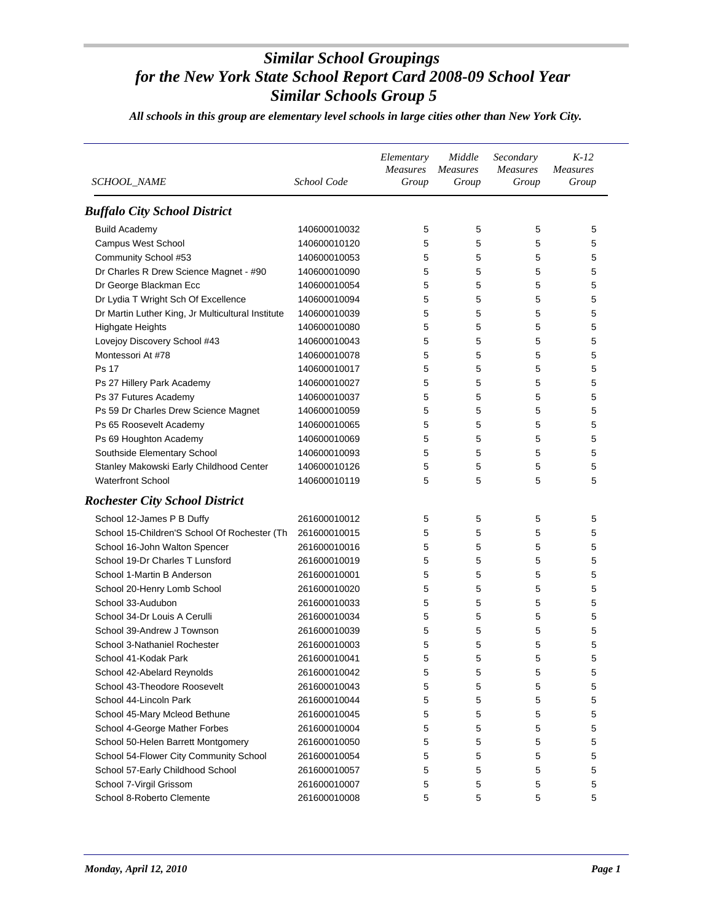| <i>SCHOOL_NAME</i>                                | School Code  | Elementary<br>Measures<br>Group | Middle<br><b>Measures</b><br>Group | Secondary<br><b>Measures</b><br>Group | $K-12$<br><b>Measures</b><br>Group |
|---------------------------------------------------|--------------|---------------------------------|------------------------------------|---------------------------------------|------------------------------------|
| <b>Buffalo City School District</b>               |              |                                 |                                    |                                       |                                    |
| <b>Build Academy</b>                              | 140600010032 | 5                               | 5                                  | 5                                     | 5                                  |
| <b>Campus West School</b>                         | 140600010120 | 5                               | 5                                  | 5                                     | 5                                  |
| Community School #53                              | 140600010053 | 5                               | 5                                  | 5                                     | 5                                  |
| Dr Charles R Drew Science Magnet - #90            | 140600010090 | 5                               | 5                                  | 5                                     | 5                                  |
| Dr George Blackman Ecc                            | 140600010054 | 5                               | 5                                  | 5                                     | 5                                  |
| Dr Lydia T Wright Sch Of Excellence               | 140600010094 | 5                               | 5                                  | 5                                     | 5                                  |
| Dr Martin Luther King, Jr Multicultural Institute | 140600010039 | 5                               | 5                                  | 5                                     | 5                                  |
| <b>Highgate Heights</b>                           | 140600010080 | 5                               | 5                                  | 5                                     | 5                                  |
| Lovejoy Discovery School #43                      | 140600010043 | 5                               | 5                                  | 5                                     | 5                                  |
| Montessori At #78                                 | 140600010078 | 5                               | 5                                  | 5                                     | 5                                  |
| <b>Ps 17</b>                                      | 140600010017 | 5                               | 5                                  | 5                                     | 5                                  |
| Ps 27 Hillery Park Academy                        | 140600010027 | 5                               | 5                                  | 5                                     | 5                                  |
| Ps 37 Futures Academy                             | 140600010037 | 5                               | 5                                  | 5                                     | 5                                  |
| Ps 59 Dr Charles Drew Science Magnet              | 140600010059 | 5                               | 5                                  | 5                                     | 5                                  |
| Ps 65 Roosevelt Academy                           | 140600010065 | 5                               | 5                                  | 5                                     | 5                                  |
| Ps 69 Houghton Academy                            | 140600010069 | 5                               | 5                                  | 5                                     | 5                                  |
| Southside Elementary School                       | 140600010093 | 5                               | 5                                  | 5                                     | 5                                  |
| Stanley Makowski Early Childhood Center           | 140600010126 | 5                               | 5                                  | 5                                     | 5                                  |
| <b>Waterfront School</b>                          | 140600010119 | 5                               | 5                                  | 5                                     | 5                                  |
| <b>Rochester City School District</b>             |              |                                 |                                    |                                       |                                    |
| School 12-James P B Duffy                         | 261600010012 | 5                               | 5                                  | 5                                     | 5                                  |
| School 15-Children'S School Of Rochester (Th      | 261600010015 | 5                               | 5                                  | 5                                     | 5                                  |
| School 16-John Walton Spencer                     | 261600010016 | 5                               | 5                                  | 5                                     | 5                                  |
| School 19-Dr Charles T Lunsford                   | 261600010019 | 5                               | 5                                  | 5                                     | 5                                  |
| School 1-Martin B Anderson                        | 261600010001 | 5                               | 5                                  | 5                                     | 5                                  |
| School 20-Henry Lomb School                       | 261600010020 | 5                               | 5                                  | 5                                     | 5                                  |
| School 33-Audubon                                 | 261600010033 | 5                               | 5                                  | 5                                     | 5                                  |
| School 34-Dr Louis A Cerulli                      | 261600010034 | 5                               | 5                                  | 5                                     | 5                                  |
| School 39-Andrew J Townson                        | 261600010039 | 5                               | 5                                  | 5                                     | 5                                  |
| School 3-Nathaniel Rochester                      | 261600010003 | 5                               | 5                                  | 5                                     | 5                                  |
| School 41-Kodak Park                              | 261600010041 | 5                               | 5                                  | 5                                     | 5                                  |
| School 42-Abelard Reynolds                        | 261600010042 | 5                               | 5                                  | 5                                     | 5                                  |
| School 43-Theodore Roosevelt                      | 261600010043 | 5                               | 5                                  | 5                                     | 5                                  |
| School 44-Lincoln Park                            | 261600010044 | 5                               | 5                                  | 5                                     | 5                                  |
| School 45-Mary Mcleod Bethune                     | 261600010045 | 5                               | 5                                  | 5                                     | 5                                  |
| School 4-George Mather Forbes                     | 261600010004 | 5                               | 5                                  | 5                                     | 5                                  |
| School 50-Helen Barrett Montgomery                | 261600010050 | 5                               | 5                                  | 5                                     | 5                                  |
| School 54-Flower City Community School            | 261600010054 | 5                               | 5                                  | 5                                     | 5                                  |
| School 57-Early Childhood School                  | 261600010057 | 5                               | 5                                  | 5                                     | 5                                  |
| School 7-Virgil Grissom                           | 261600010007 | 5                               | 5                                  | 5                                     | 5                                  |
| School 8-Roberto Clemente                         | 261600010008 | 5                               | 5                                  | 5                                     | 5                                  |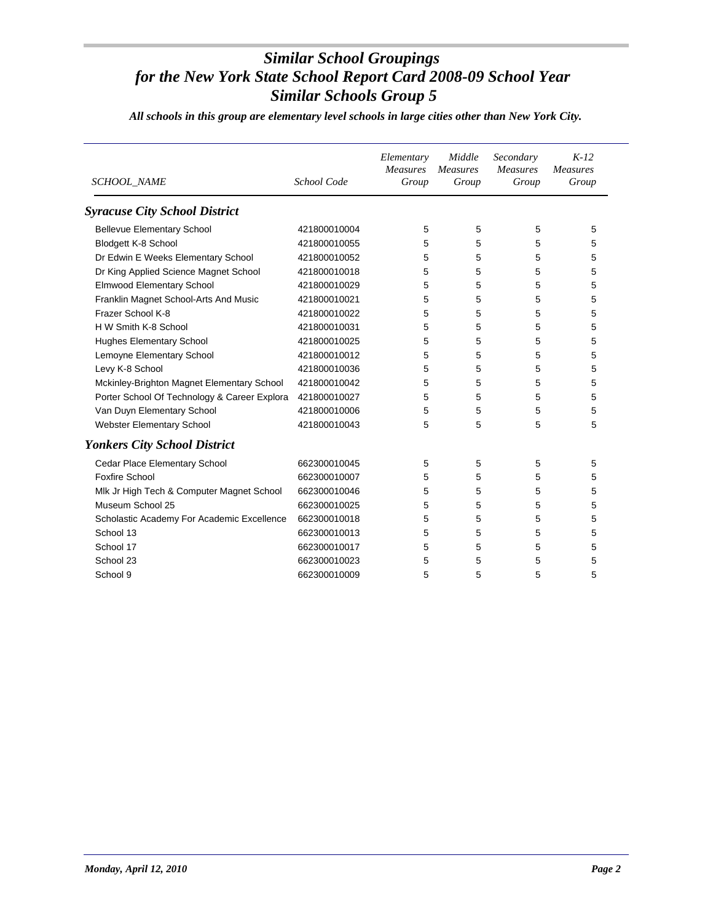| SCHOOL_NAME                                  | School Code  | Elementary<br><b>Measures</b><br>Group | Middle<br><b>Measures</b><br>Group | Secondary<br><b>Measures</b><br>Group | $K-12$<br><b>Measures</b><br>Group |
|----------------------------------------------|--------------|----------------------------------------|------------------------------------|---------------------------------------|------------------------------------|
| <b>Syracuse City School District</b>         |              |                                        |                                    |                                       |                                    |
| <b>Bellevue Elementary School</b>            | 421800010004 | 5                                      | 5                                  | 5                                     | 5                                  |
| Blodgett K-8 School                          | 421800010055 | 5                                      | 5                                  | 5                                     | 5                                  |
| Dr Edwin E Weeks Elementary School           | 421800010052 | 5                                      | 5                                  | 5                                     | 5                                  |
| Dr King Applied Science Magnet School        | 421800010018 | 5                                      | 5                                  | 5                                     | 5                                  |
| <b>Elmwood Elementary School</b>             | 421800010029 | 5                                      | 5                                  | 5                                     | 5                                  |
| Franklin Magnet School-Arts And Music        | 421800010021 | 5                                      | 5                                  | 5                                     | 5                                  |
| Frazer School K-8                            | 421800010022 | 5                                      | 5                                  | 5                                     | 5                                  |
| H W Smith K-8 School                         | 421800010031 | 5                                      | 5                                  | 5                                     | 5                                  |
| <b>Hughes Elementary School</b>              | 421800010025 | 5                                      | 5                                  | 5                                     | 5                                  |
| Lemoyne Elementary School                    | 421800010012 | 5                                      | 5                                  | 5                                     | 5                                  |
| Levy K-8 School                              | 421800010036 | 5                                      | 5                                  | 5                                     | 5                                  |
| Mckinley-Brighton Magnet Elementary School   | 421800010042 | 5                                      | 5                                  | 5                                     | 5                                  |
| Porter School Of Technology & Career Explora | 421800010027 | 5                                      | 5                                  | 5                                     | 5                                  |
| Van Duyn Elementary School                   | 421800010006 | 5                                      | 5                                  | 5                                     | 5                                  |
| Webster Elementary School                    | 421800010043 | 5                                      | 5                                  | 5                                     | 5                                  |
| <b>Yonkers City School District</b>          |              |                                        |                                    |                                       |                                    |
| Cedar Place Elementary School                | 662300010045 | 5                                      | 5                                  | 5                                     | 5                                  |
| <b>Foxfire School</b>                        | 662300010007 | 5                                      | 5                                  | 5                                     | 5                                  |
| Mlk Jr High Tech & Computer Magnet School    | 662300010046 | 5                                      | 5                                  | 5                                     | 5                                  |
| Museum School 25                             | 662300010025 | 5                                      | 5                                  | 5                                     | 5                                  |
| Scholastic Academy For Academic Excellence   | 662300010018 | 5                                      | 5                                  | 5                                     | 5                                  |
| School 13                                    | 662300010013 | 5                                      | 5                                  | 5                                     | 5                                  |
| School 17                                    | 662300010017 | 5                                      | 5                                  | 5                                     | 5                                  |
| School 23                                    | 662300010023 | 5                                      | 5                                  | 5                                     | 5                                  |
| School 9                                     | 662300010009 | 5                                      | 5                                  | 5                                     | 5                                  |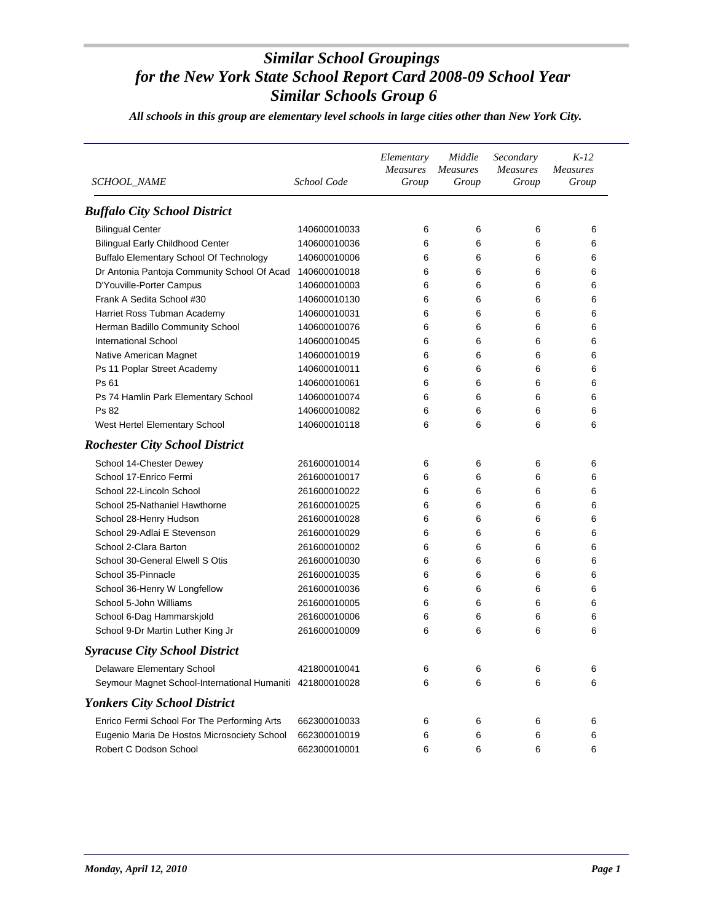| SCHOOL_NAME                                    | School Code  | Elementary<br><b>Measures</b><br>Group | Middle<br><b>Measures</b><br>Group | Secondary<br><b>Measures</b><br>Group | $K-12$<br><b>Measures</b><br>Group |
|------------------------------------------------|--------------|----------------------------------------|------------------------------------|---------------------------------------|------------------------------------|
| <b>Buffalo City School District</b>            |              |                                        |                                    |                                       |                                    |
| <b>Bilingual Center</b>                        | 140600010033 | 6                                      | 6                                  | 6                                     | 6                                  |
| <b>Bilingual Early Childhood Center</b>        | 140600010036 | 6                                      | 6                                  | 6                                     | 6                                  |
| <b>Buffalo Elementary School Of Technology</b> | 140600010006 | 6                                      | 6                                  | 6                                     | 6                                  |
| Dr Antonia Pantoja Community School Of Acad    | 140600010018 | 6                                      | 6                                  | 6                                     | 6                                  |
| D'Youville-Porter Campus                       | 140600010003 | 6                                      | 6                                  | 6                                     | 6                                  |
| Frank A Sedita School #30                      | 140600010130 | 6                                      | 6                                  | 6                                     | 6                                  |
| Harriet Ross Tubman Academy                    | 140600010031 | 6                                      | 6                                  | 6                                     | 6                                  |
| Herman Badillo Community School                | 140600010076 | 6                                      | 6                                  | 6                                     | 6                                  |
| <b>International School</b>                    | 140600010045 | 6                                      | 6                                  | 6                                     | 6                                  |
| Native American Magnet                         | 140600010019 | 6                                      | 6                                  | 6                                     | 6                                  |
| Ps 11 Poplar Street Academy                    | 140600010011 | 6                                      | 6                                  | 6                                     | 6                                  |
| Ps 61                                          | 140600010061 | 6                                      | 6                                  | 6                                     | 6                                  |
| Ps 74 Hamlin Park Elementary School            | 140600010074 | 6                                      | 6                                  | 6                                     | 6                                  |
| Ps 82                                          | 140600010082 | 6                                      | 6                                  | 6                                     | 6                                  |
| West Hertel Elementary School                  | 140600010118 | 6                                      | 6                                  | 6                                     | 6                                  |
| <b>Rochester City School District</b>          |              |                                        |                                    |                                       |                                    |
| School 14-Chester Dewey                        | 261600010014 | 6                                      | 6                                  | 6                                     | 6                                  |
| School 17-Enrico Fermi                         | 261600010017 | 6                                      | 6                                  | 6                                     | 6                                  |
| School 22-Lincoln School                       | 261600010022 | 6                                      | 6                                  | 6                                     | 6                                  |
| School 25-Nathaniel Hawthorne                  | 261600010025 | 6                                      | 6                                  | 6                                     | 6                                  |
| School 28-Henry Hudson                         | 261600010028 | 6                                      | 6                                  | 6                                     | 6                                  |
| School 29-Adlai E Stevenson                    | 261600010029 | 6                                      | 6                                  | 6                                     | 6                                  |
| School 2-Clara Barton                          | 261600010002 | 6                                      | 6                                  | 6                                     | 6                                  |
| School 30-General Elwell S Otis                | 261600010030 | 6                                      | 6                                  | 6                                     | 6                                  |
| School 35-Pinnacle                             | 261600010035 | 6                                      | 6                                  | 6                                     | 6                                  |
| School 36-Henry W Longfellow                   | 261600010036 | 6                                      | 6                                  | 6                                     | 6                                  |
| School 5-John Williams                         | 261600010005 | 6                                      | 6                                  | 6                                     | 6                                  |
| School 6-Dag Hammarskjold                      | 261600010006 | 6                                      | 6                                  | 6                                     | 6                                  |
| School 9-Dr Martin Luther King Jr              | 261600010009 | 6                                      | 6                                  | 6                                     | 6                                  |
| <b>Syracuse City School District</b>           |              |                                        |                                    |                                       |                                    |
| Delaware Elementary School                     | 421800010041 | $\boldsymbol{6}$                       | 6                                  | 6                                     | 6                                  |
| Seymour Magnet School-International Humaniti   | 421800010028 | 6                                      | 6                                  | 6                                     | 6                                  |
| <b>Yonkers City School District</b>            |              |                                        |                                    |                                       |                                    |
| Enrico Fermi School For The Performing Arts    | 662300010033 | 6                                      | 6                                  | 6                                     | 6                                  |
| Eugenio Maria De Hostos Microsociety School    | 662300010019 | 6                                      | 6                                  | 6                                     | 6                                  |
| Robert C Dodson School                         | 662300010001 | 6                                      | 6                                  | 6                                     | 6                                  |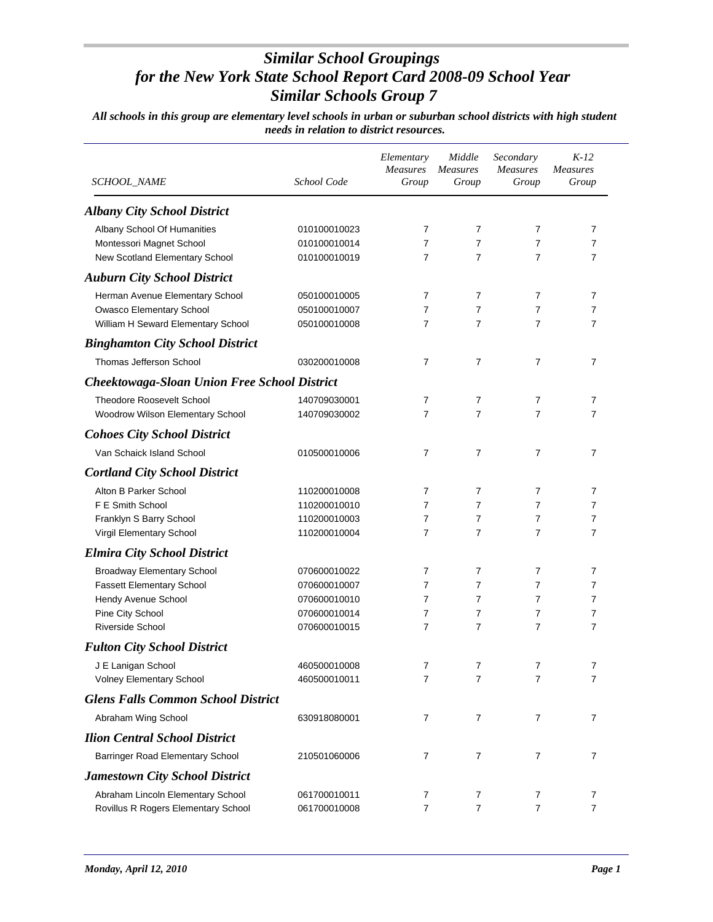| <i>SCHOOL_NAME</i>                                  | School Code  | Elementary<br><b>Measures</b><br>Group | Middle<br><b>Measures</b><br>Group | Secondary<br><b>Measures</b><br>Group | $K-12$<br><b>Measures</b><br>Group |
|-----------------------------------------------------|--------------|----------------------------------------|------------------------------------|---------------------------------------|------------------------------------|
| <b>Albany City School District</b>                  |              |                                        |                                    |                                       |                                    |
| Albany School Of Humanities                         | 010100010023 | 7                                      | 7                                  | $\overline{7}$                        | 7                                  |
| Montessori Magnet School                            | 010100010014 | 7                                      | $\overline{7}$                     | $\overline{7}$                        | $\overline{7}$                     |
| New Scotland Elementary School                      | 010100010019 | 7                                      | 7                                  | 7                                     | 7                                  |
| <b>Auburn City School District</b>                  |              |                                        |                                    |                                       |                                    |
| Herman Avenue Elementary School                     | 050100010005 | 7                                      | 7                                  | 7                                     | 7                                  |
| Owasco Elementary School                            | 050100010007 | 7                                      | 7                                  | 7                                     | 7                                  |
| William H Seward Elementary School                  | 050100010008 | 7                                      | 7                                  | 7                                     | $\overline{7}$                     |
| <b>Binghamton City School District</b>              |              |                                        |                                    |                                       |                                    |
| Thomas Jefferson School                             | 030200010008 | 7                                      | 7                                  | 7                                     | 7                                  |
| <b>Cheektowaga-Sloan Union Free School District</b> |              |                                        |                                    |                                       |                                    |
| <b>Theodore Roosevelt School</b>                    | 140709030001 | 7                                      | 7                                  | 7                                     | 7                                  |
| Woodrow Wilson Elementary School                    | 140709030002 | 7                                      | 7                                  | 7                                     | $\overline{7}$                     |
| <b>Cohoes City School District</b>                  |              |                                        |                                    |                                       |                                    |
| Van Schaick Island School                           | 010500010006 | 7                                      | 7                                  | $\overline{7}$                        | $\overline{7}$                     |
| <b>Cortland City School District</b>                |              |                                        |                                    |                                       |                                    |
| Alton B Parker School                               | 110200010008 | 7                                      | 7                                  | 7                                     | 7                                  |
| F E Smith School                                    | 110200010010 | 7                                      | 7                                  | 7                                     | 7                                  |
| Franklyn S Barry School                             | 110200010003 | 7                                      | 7                                  | 7                                     | $\overline{7}$                     |
| Virgil Elementary School                            | 110200010004 | 7                                      | 7                                  | 7                                     | $\overline{7}$                     |
| <b>Elmira City School District</b>                  |              |                                        |                                    |                                       |                                    |
| <b>Broadway Elementary School</b>                   | 070600010022 | 7                                      | 7                                  | 7                                     | $\overline{7}$                     |
| <b>Fassett Elementary School</b>                    | 070600010007 | 7                                      | 7                                  | 7                                     | 7                                  |
| Hendy Avenue School                                 | 070600010010 | 7                                      | 7                                  | 7                                     | 7                                  |
| Pine City School                                    | 070600010014 | 7                                      | 7                                  | 7                                     | $\overline{7}$                     |
| <b>Riverside School</b>                             | 070600010015 | $\overline{7}$                         | 7                                  | $\overline{7}$                        | $\overline{7}$                     |
| <b>Fulton City School District</b>                  |              |                                        |                                    |                                       |                                    |
| J E Lanigan School                                  | 460500010008 | $\mathbf{7}$                           | 7                                  | 7                                     | 7                                  |
| <b>Volney Elementary School</b>                     | 460500010011 | 7                                      | 7                                  | 7                                     | $\overline{7}$                     |
| <b>Glens Falls Common School District</b>           |              |                                        |                                    |                                       |                                    |
| Abraham Wing School                                 | 630918080001 | $\overline{7}$                         | $\overline{7}$                     | 7                                     | 7                                  |
| <b>Ilion Central School District</b>                |              |                                        |                                    |                                       |                                    |
| <b>Barringer Road Elementary School</b>             | 210501060006 | 7                                      | $\overline{7}$                     | 7                                     | $\overline{7}$                     |
| <b>Jamestown City School District</b>               |              |                                        |                                    |                                       |                                    |
| Abraham Lincoln Elementary School                   | 061700010011 | 7                                      | 7                                  | 7                                     | 7                                  |
| Rovillus R Rogers Elementary School                 | 061700010008 | $\overline{7}$                         | $\overline{7}$                     | $\overline{7}$                        | $\overline{7}$                     |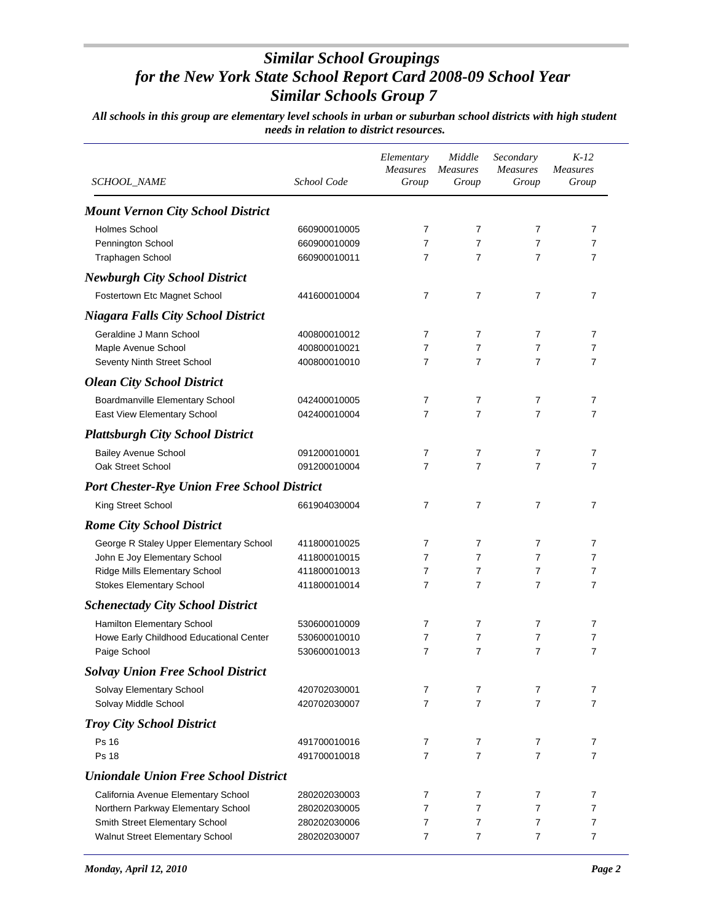| SCHOOL_NAME                                        | School Code  | Elementary<br><b>Measures</b><br>Group | Middle<br><b>Measures</b><br>Group | Secondary<br>Measures<br>Group | $K-12$<br><b>Measures</b><br>Group |
|----------------------------------------------------|--------------|----------------------------------------|------------------------------------|--------------------------------|------------------------------------|
| <b>Mount Vernon City School District</b>           |              |                                        |                                    |                                |                                    |
| Holmes School                                      | 660900010005 | 7                                      | 7                                  | 7                              | 7                                  |
| Pennington School                                  | 660900010009 | 7                                      | 7                                  | 7                              | 7                                  |
| Traphagen School                                   | 660900010011 | 7                                      | 7                                  | $\overline{7}$                 | 7                                  |
| <b>Newburgh City School District</b>               |              |                                        |                                    |                                |                                    |
| Fostertown Etc Magnet School                       | 441600010004 | 7                                      | 7                                  | 7                              | $\overline{7}$                     |
| <b>Niagara Falls City School District</b>          |              |                                        |                                    |                                |                                    |
| Geraldine J Mann School                            | 400800010012 | 7                                      | 7                                  | 7                              | 7                                  |
| Maple Avenue School                                | 400800010021 | 7                                      | 7                                  | 7                              | 7                                  |
| Seventy Ninth Street School                        | 400800010010 | 7                                      | $\overline{7}$                     | $\overline{7}$                 | 7                                  |
| <b>Olean City School District</b>                  |              |                                        |                                    |                                |                                    |
| Boardmanville Elementary School                    | 042400010005 | 7                                      | 7                                  | 7                              | 7                                  |
| East View Elementary School                        | 042400010004 | 7                                      | $\overline{7}$                     | $\overline{7}$                 | 7                                  |
| <b>Plattsburgh City School District</b>            |              |                                        |                                    |                                |                                    |
| <b>Bailey Avenue School</b>                        | 091200010001 | 7                                      | 7                                  | 7                              | 7                                  |
| Oak Street School                                  | 091200010004 | 7                                      | $\overline{7}$                     | $\overline{7}$                 | 7                                  |
| <b>Port Chester-Rye Union Free School District</b> |              |                                        |                                    |                                |                                    |
| King Street School                                 | 661904030004 | 7                                      | $\overline{7}$                     | $\overline{7}$                 | $\overline{7}$                     |
| <b>Rome City School District</b>                   |              |                                        |                                    |                                |                                    |
| George R Staley Upper Elementary School            | 411800010025 | 7                                      | 7                                  | 7                              | 7                                  |
| John E Joy Elementary School                       | 411800010015 | 7                                      | $\overline{7}$                     | 7                              | 7                                  |
| Ridge Mills Elementary School                      | 411800010013 | 7                                      | $\overline{7}$                     | 7                              | 7                                  |
| <b>Stokes Elementary School</b>                    | 411800010014 | 7                                      | $\overline{7}$                     | $\overline{7}$                 | 7                                  |
| <b>Schenectady City School District</b>            |              |                                        |                                    |                                |                                    |
| Hamilton Elementary School                         | 530600010009 | 7                                      | $\overline{7}$                     | $\overline{7}$                 | 7                                  |
| Howe Early Childhood Educational Center            | 530600010010 | 7                                      | 7                                  | 7                              | 7                                  |
| Paige School                                       | 530600010013 | 7                                      | $\overline{7}$                     | $\overline{7}$                 | $\overline{7}$                     |
| <b>Solvay Union Free School District</b>           |              |                                        |                                    |                                |                                    |
| Solvay Elementary School                           | 420702030001 | 7                                      | 7                                  | 7                              | 7                                  |
| Solvay Middle School                               | 420702030007 | 7                                      | $\overline{7}$                     | 7                              | 7                                  |
| <b>Troy City School District</b>                   |              |                                        |                                    |                                |                                    |
| Ps 16                                              | 491700010016 | $\overline{7}$                         | 7                                  | 7                              | $\overline{7}$                     |
| Ps 18                                              | 491700010018 | 7                                      | $\overline{7}$                     | $\overline{7}$                 | $\overline{7}$                     |
| <b>Uniondale Union Free School District</b>        |              |                                        |                                    |                                |                                    |
| California Avenue Elementary School                | 280202030003 | 7                                      | 7                                  | 7                              | 7                                  |
| Northern Parkway Elementary School                 | 280202030005 | 7                                      | $\overline{7}$                     | $\overline{7}$                 | 7                                  |
| Smith Street Elementary School                     | 280202030006 | 7                                      | $\overline{7}$                     | $\overline{7}$                 | 7                                  |
| Walnut Street Elementary School                    | 280202030007 | 7                                      | $\overline{7}$                     | $\overline{7}$                 | 7                                  |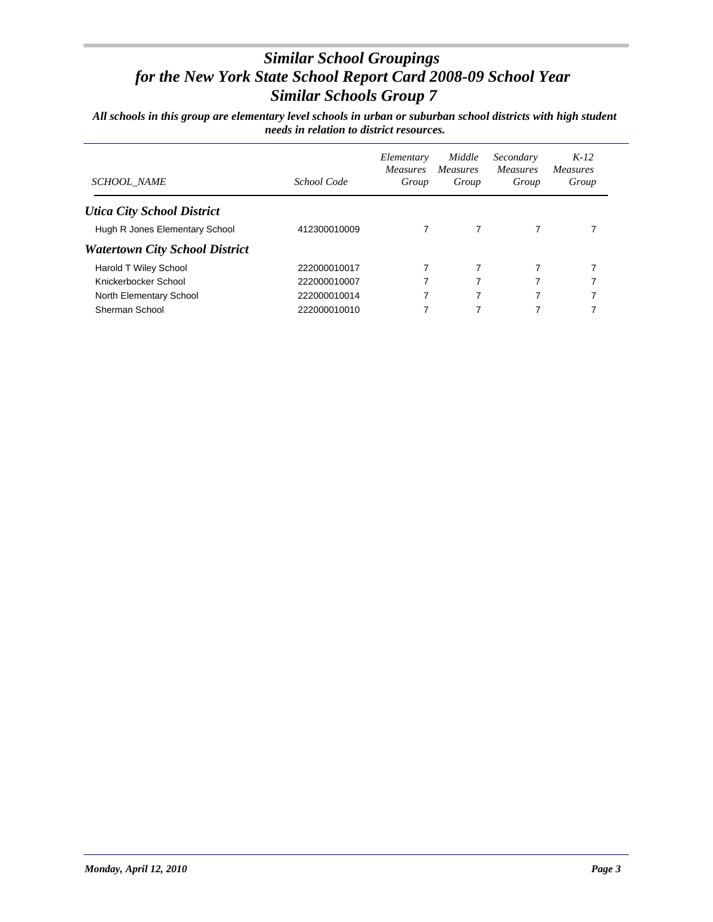| <b>SCHOOL NAME</b>                    | School Code  | Elementary<br><i>Measures</i><br>Group | Middle<br><i>Measures</i><br>Group | Secondary<br><b>Measures</b><br>Group | $K-12$<br><i>Measures</i><br>Group |
|---------------------------------------|--------------|----------------------------------------|------------------------------------|---------------------------------------|------------------------------------|
| <b>Utica City School District</b>     |              |                                        |                                    |                                       |                                    |
| Hugh R Jones Elementary School        | 412300010009 |                                        | 7                                  | 7                                     |                                    |
| <b>Watertown City School District</b> |              |                                        |                                    |                                       |                                    |
| <b>Harold T Wiley School</b>          | 222000010017 |                                        | 7                                  |                                       |                                    |
| Knickerbocker School                  | 222000010007 | 7                                      | 7                                  | 7                                     |                                    |
| North Elementary School               | 222000010014 | 7                                      | 7                                  | 7                                     | 7                                  |
| Sherman School                        | 222000010010 | 7                                      | 7                                  | 7                                     |                                    |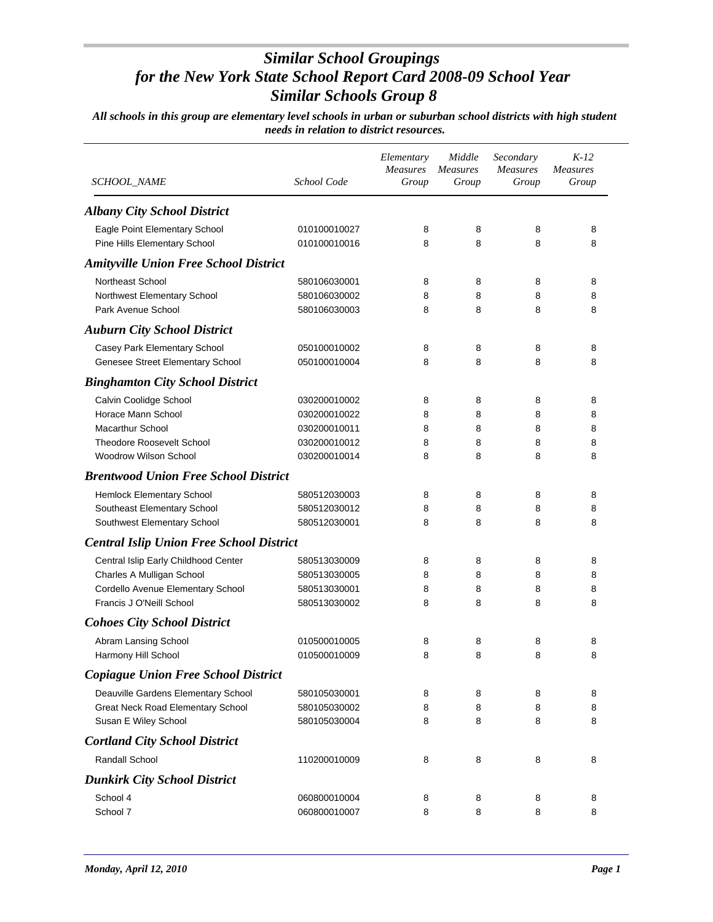| SCHOOL_NAME                                     | School Code  | Elementary<br><b>Measures</b><br>Group | Middle<br><b>Measures</b><br>Group | Secondary<br><b>Measures</b><br>Group | $K-12$<br><b>Measures</b><br>Group |
|-------------------------------------------------|--------------|----------------------------------------|------------------------------------|---------------------------------------|------------------------------------|
| <b>Albany City School District</b>              |              |                                        |                                    |                                       |                                    |
| Eagle Point Elementary School                   | 010100010027 | 8                                      | 8                                  | 8                                     | 8                                  |
| Pine Hills Elementary School                    | 010100010016 | 8                                      | 8                                  | 8                                     | 8                                  |
| <b>Amityville Union Free School District</b>    |              |                                        |                                    |                                       |                                    |
| Northeast School                                | 580106030001 | 8                                      | 8                                  | 8                                     | 8                                  |
| Northwest Elementary School                     | 580106030002 | 8                                      | 8                                  | 8                                     | 8                                  |
| Park Avenue School                              | 580106030003 | 8                                      | 8                                  | 8                                     | 8                                  |
| <b>Auburn City School District</b>              |              |                                        |                                    |                                       |                                    |
| Casey Park Elementary School                    | 050100010002 | 8                                      | 8                                  | 8                                     | 8                                  |
| Genesee Street Elementary School                | 050100010004 | 8                                      | 8                                  | 8                                     | 8                                  |
| <b>Binghamton City School District</b>          |              |                                        |                                    |                                       |                                    |
| Calvin Coolidge School                          | 030200010002 | 8                                      | 8                                  | 8                                     | 8                                  |
| Horace Mann School                              | 030200010022 | 8                                      | 8                                  | 8                                     | 8                                  |
| <b>Macarthur School</b>                         | 030200010011 | 8                                      | 8                                  | 8                                     | 8                                  |
| <b>Theodore Roosevelt School</b>                | 030200010012 | 8                                      | 8                                  | 8                                     | 8                                  |
| Woodrow Wilson School                           | 030200010014 | 8                                      | 8                                  | 8                                     | 8                                  |
| <b>Brentwood Union Free School District</b>     |              |                                        |                                    |                                       |                                    |
| Hemlock Elementary School                       | 580512030003 | 8                                      | 8                                  | 8                                     | 8                                  |
| Southeast Elementary School                     | 580512030012 | 8                                      | 8                                  | 8                                     | 8                                  |
| Southwest Elementary School                     | 580512030001 | 8                                      | 8                                  | 8                                     | 8                                  |
| <b>Central Islip Union Free School District</b> |              |                                        |                                    |                                       |                                    |
| Central Islip Early Childhood Center            | 580513030009 | 8                                      | 8                                  | 8                                     | 8                                  |
| Charles A Mulligan School                       | 580513030005 | 8                                      | 8                                  | 8                                     | 8                                  |
| Cordello Avenue Elementary School               | 580513030001 | 8                                      | 8                                  | 8                                     | 8                                  |
| Francis J O'Neill School                        | 580513030002 | 8                                      | 8                                  | 8                                     | 8                                  |
| <b>Cohoes City School District</b>              |              |                                        |                                    |                                       |                                    |
| Abram Lansing School                            | 010500010005 | 8                                      | 8                                  | 8                                     | 8                                  |
| Harmony Hill School                             | 010500010009 | 8                                      | 8                                  | 8                                     | 8                                  |
| <b>Copiague Union Free School District</b>      |              |                                        |                                    |                                       |                                    |
| Deauville Gardens Elementary School             | 580105030001 | 8                                      | 8                                  | 8                                     | 8                                  |
| Great Neck Road Elementary School               | 580105030002 | 8                                      | 8                                  | 8                                     | 8                                  |
| Susan E Wiley School                            | 580105030004 | 8                                      | 8                                  | 8                                     | 8                                  |
| <b>Cortland City School District</b>            |              |                                        |                                    |                                       |                                    |
| Randall School                                  | 110200010009 | 8                                      | 8                                  | 8                                     | 8                                  |
| <b>Dunkirk City School District</b>             |              |                                        |                                    |                                       |                                    |
| School 4                                        | 060800010004 | 8                                      | 8                                  | 8                                     | 8                                  |
| School 7                                        | 060800010007 | 8                                      | 8                                  | 8                                     | 8                                  |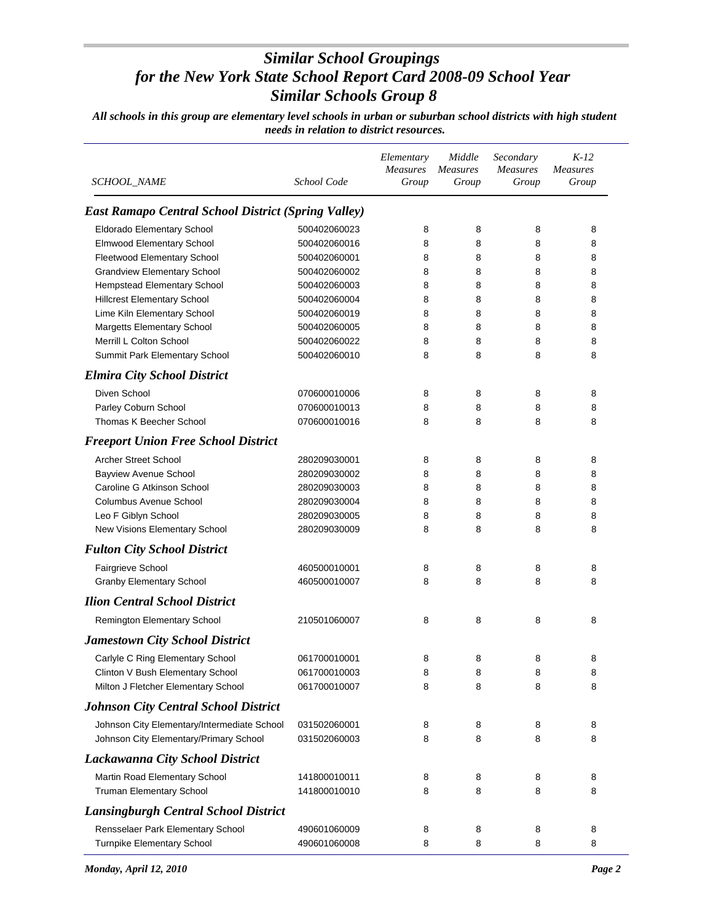| <b>SCHOOL_NAME</b>                                         | School Code  | Elementary<br>Measures<br>Group | Middle<br><b>Measures</b><br>Group | Secondary<br>Measures<br>Group | $K-12$<br><b>Measures</b><br>Group |
|------------------------------------------------------------|--------------|---------------------------------|------------------------------------|--------------------------------|------------------------------------|
| <b>East Ramapo Central School District (Spring Valley)</b> |              |                                 |                                    |                                |                                    |
| Eldorado Elementary School                                 | 500402060023 | 8                               | 8                                  | 8                              | 8                                  |
| Elmwood Elementary School                                  | 500402060016 | 8                               | 8                                  | 8                              | 8                                  |
| Fleetwood Elementary School                                | 500402060001 | 8                               | 8                                  | 8                              | 8                                  |
| <b>Grandview Elementary School</b>                         | 500402060002 | 8                               | 8                                  | 8                              | 8                                  |
| Hempstead Elementary School                                | 500402060003 | 8                               | 8                                  | 8                              | 8                                  |
| <b>Hillcrest Elementary School</b>                         | 500402060004 | 8                               | 8                                  | 8                              | 8                                  |
| Lime Kiln Elementary School                                | 500402060019 | 8                               | 8                                  | 8                              | 8                                  |
| <b>Margetts Elementary School</b>                          | 500402060005 | 8                               | 8                                  | 8                              | 8                                  |
| Merrill L Colton School                                    | 500402060022 | 8                               | 8                                  | 8                              | 8                                  |
| Summit Park Elementary School                              | 500402060010 | 8                               | 8                                  | 8                              | 8                                  |
| <b>Elmira City School District</b>                         |              |                                 |                                    |                                |                                    |
| Diven School                                               | 070600010006 | 8                               | 8                                  | 8                              | 8                                  |
| Parley Coburn School                                       | 070600010013 | 8                               | 8                                  | 8                              | 8                                  |
| Thomas K Beecher School                                    | 070600010016 | 8                               | 8                                  | 8                              | 8                                  |
| <b>Freeport Union Free School District</b>                 |              |                                 |                                    |                                |                                    |
| <b>Archer Street School</b>                                | 280209030001 | 8                               | 8                                  | 8                              | 8                                  |
| <b>Bayview Avenue School</b>                               | 280209030002 | 8                               | 8                                  | 8                              | 8                                  |
| Caroline G Atkinson School                                 | 280209030003 | 8                               | 8                                  | 8                              | 8                                  |
| <b>Columbus Avenue School</b>                              | 280209030004 | 8                               | 8                                  | 8                              | 8                                  |
| Leo F Giblyn School                                        | 280209030005 | 8                               | 8                                  | 8                              | 8                                  |
| New Visions Elementary School                              | 280209030009 | 8                               | 8                                  | 8                              | 8                                  |
| <b>Fulton City School District</b>                         |              |                                 |                                    |                                |                                    |
| Fairgrieve School                                          | 460500010001 | 8                               | 8                                  | 8                              | 8                                  |
| <b>Granby Elementary School</b>                            | 460500010007 | 8                               | 8                                  | 8                              | 8                                  |
| <b>Ilion Central School District</b>                       |              |                                 |                                    |                                |                                    |
|                                                            | 210501060007 | 8                               | 8                                  | 8                              | 8                                  |
| Remington Elementary School                                |              |                                 |                                    |                                |                                    |
| <b>Jamestown City School District</b>                      |              |                                 |                                    |                                |                                    |
| Carlyle C Ring Elementary School                           | 061700010001 | 8                               | 8                                  | 8                              | 8                                  |
| Clinton V Bush Elementary School                           | 061700010003 | 8                               | 8                                  | 8                              | 8                                  |
| Milton J Fletcher Elementary School                        | 061700010007 | 8                               | 8                                  | 8                              | 8                                  |
| <b>Johnson City Central School District</b>                |              |                                 |                                    |                                |                                    |
| Johnson City Elementary/Intermediate School                | 031502060001 | 8                               | 8                                  | 8                              | 8                                  |
| Johnson City Elementary/Primary School                     | 031502060003 | 8                               | 8                                  | 8                              | 8                                  |
| Lackawanna City School District                            |              |                                 |                                    |                                |                                    |
| Martin Road Elementary School                              | 141800010011 | 8                               | 8                                  | 8                              | 8                                  |
| <b>Truman Elementary School</b>                            | 141800010010 | 8                               | 8                                  | 8                              | 8                                  |
| <b>Lansingburgh Central School District</b>                |              |                                 |                                    |                                |                                    |
| Rensselaer Park Elementary School                          | 490601060009 | 8                               | 8                                  | 8                              | 8                                  |
| Turnpike Elementary School                                 | 490601060008 | 8                               | 8                                  | 8                              | 8                                  |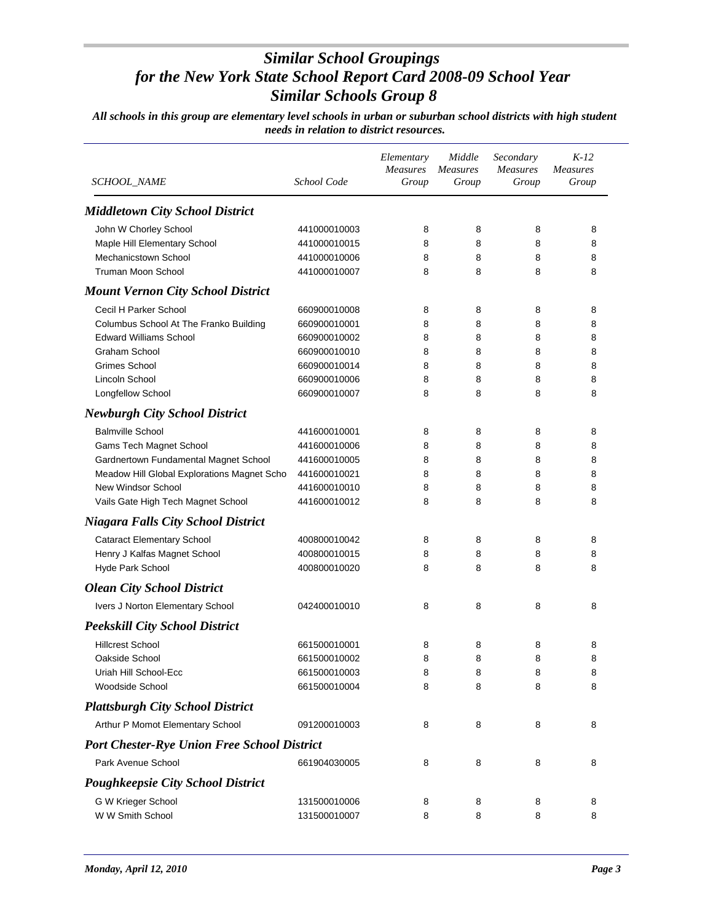| SCHOOL_NAME                                        | School Code  | Elementary<br><b>Measures</b><br>Group | Middle<br><b>Measures</b><br>Group | Secondary<br><b>Measures</b><br>Group | $K-12$<br><b>Measures</b><br>Group |
|----------------------------------------------------|--------------|----------------------------------------|------------------------------------|---------------------------------------|------------------------------------|
| <b>Middletown City School District</b>             |              |                                        |                                    |                                       |                                    |
| John W Chorley School                              | 441000010003 | 8                                      | 8                                  | 8                                     | 8                                  |
| Maple Hill Elementary School                       | 441000010015 | 8                                      | 8                                  | 8                                     | 8                                  |
| Mechanicstown School                               | 441000010006 | 8                                      | 8                                  | 8                                     | 8                                  |
| Truman Moon School                                 | 441000010007 | 8                                      | 8                                  | 8                                     | 8                                  |
| <b>Mount Vernon City School District</b>           |              |                                        |                                    |                                       |                                    |
| Cecil H Parker School                              | 660900010008 | 8                                      | 8                                  | 8                                     | 8                                  |
| Columbus School At The Franko Building             | 660900010001 | 8                                      | 8                                  | 8                                     | 8                                  |
| <b>Edward Williams School</b>                      | 660900010002 | 8                                      | 8                                  | 8                                     | 8                                  |
| <b>Graham School</b>                               | 660900010010 | 8                                      | 8                                  | 8                                     | 8                                  |
| <b>Grimes School</b>                               | 660900010014 | 8                                      | 8                                  | 8                                     | 8                                  |
| Lincoln School                                     | 660900010006 | 8                                      | 8                                  | 8                                     | 8                                  |
| Longfellow School                                  | 660900010007 | 8                                      | 8                                  | 8                                     | 8                                  |
| <b>Newburgh City School District</b>               |              |                                        |                                    |                                       |                                    |
| <b>Balmville School</b>                            | 441600010001 | 8                                      | 8                                  | 8                                     | 8                                  |
| Gams Tech Magnet School                            | 441600010006 | 8                                      | 8                                  | 8                                     | 8                                  |
| Gardnertown Fundamental Magnet School              | 441600010005 | 8                                      | 8                                  | 8                                     | 8                                  |
| Meadow Hill Global Explorations Magnet Scho        | 441600010021 | 8                                      | 8                                  | 8                                     | 8                                  |
| New Windsor School                                 | 441600010010 | 8                                      | 8                                  | 8                                     | 8                                  |
| Vails Gate High Tech Magnet School                 | 441600010012 | 8                                      | 8                                  | 8                                     | 8                                  |
| <b>Niagara Falls City School District</b>          |              |                                        |                                    |                                       |                                    |
| <b>Cataract Elementary School</b>                  | 400800010042 | 8                                      | 8                                  | 8                                     | 8                                  |
| Henry J Kalfas Magnet School                       | 400800010015 | 8                                      | 8                                  | 8                                     | 8                                  |
| Hyde Park School                                   | 400800010020 | 8                                      | 8                                  | 8                                     | 8                                  |
| <b>Olean City School District</b>                  |              |                                        |                                    |                                       |                                    |
| Ivers J Norton Elementary School                   | 042400010010 | 8                                      | 8                                  | 8                                     | 8                                  |
| <b>Peekskill City School District</b>              |              |                                        |                                    |                                       |                                    |
| <b>Hillcrest School</b>                            | 661500010001 | 8                                      | 8                                  | 8                                     | 8                                  |
| Oakside School                                     | 661500010002 | 8                                      | 8                                  | 8                                     | 8                                  |
| Uriah Hill School-Ecc                              | 661500010003 | 8                                      | 8                                  | 8                                     | 8                                  |
| Woodside School                                    | 661500010004 | 8                                      | 8                                  | 8                                     | 8                                  |
| <b>Plattsburgh City School District</b>            |              |                                        |                                    |                                       |                                    |
| Arthur P Momot Elementary School                   | 091200010003 | 8                                      | 8                                  | 8                                     | 8                                  |
| <b>Port Chester-Rye Union Free School District</b> |              |                                        |                                    |                                       |                                    |
| Park Avenue School                                 | 661904030005 | 8                                      | 8                                  | 8                                     | 8                                  |
| <b>Poughkeepsie City School District</b>           |              |                                        |                                    |                                       |                                    |
| G W Krieger School                                 | 131500010006 | 8                                      | 8                                  | 8                                     | 8                                  |
| W W Smith School                                   | 131500010007 | 8                                      | 8                                  | 8                                     | 8                                  |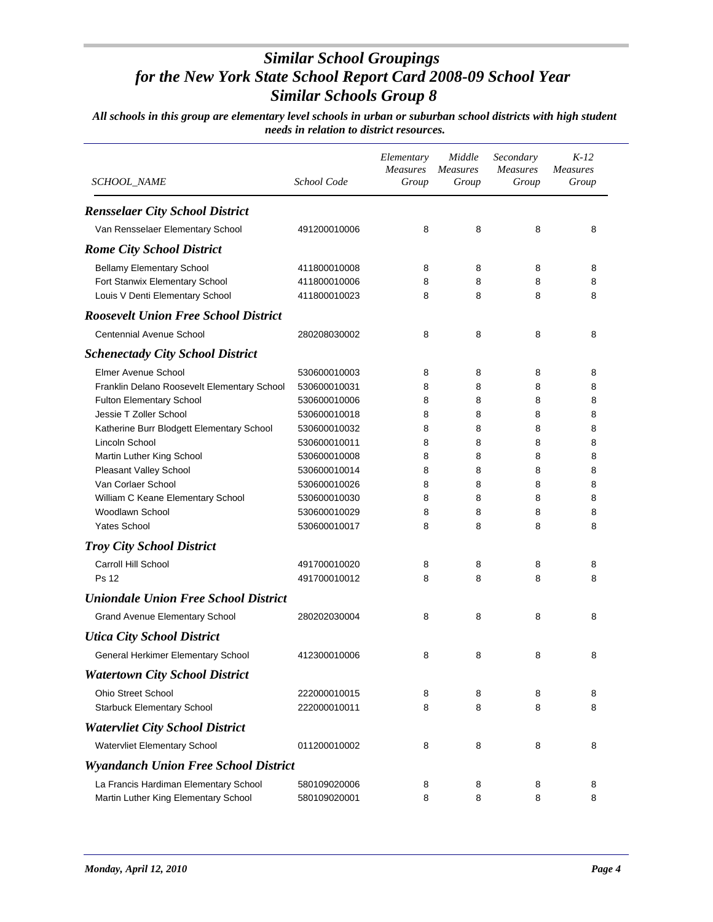| <i>SCHOOL_NAME</i>                          | School Code  | Elementary<br><b>Measures</b><br>Group | Middle<br><b>Measures</b><br>Group | Secondary<br><b>Measures</b><br>Group | $K-12$<br><b>Measures</b><br>Group |
|---------------------------------------------|--------------|----------------------------------------|------------------------------------|---------------------------------------|------------------------------------|
| <b>Rensselaer City School District</b>      |              |                                        |                                    |                                       |                                    |
| Van Rensselaer Elementary School            | 491200010006 | 8                                      | 8                                  | 8                                     | 8                                  |
| <b>Rome City School District</b>            |              |                                        |                                    |                                       |                                    |
| <b>Bellamy Elementary School</b>            | 411800010008 | 8                                      | 8                                  | 8                                     | 8                                  |
| Fort Stanwix Elementary School              | 411800010006 | 8                                      | 8                                  | 8                                     | 8                                  |
| Louis V Denti Elementary School             | 411800010023 | 8                                      | 8                                  | 8                                     | 8                                  |
| <b>Roosevelt Union Free School District</b> |              |                                        |                                    |                                       |                                    |
| <b>Centennial Avenue School</b>             | 280208030002 | 8                                      | 8                                  | 8                                     | 8                                  |
| <b>Schenectady City School District</b>     |              |                                        |                                    |                                       |                                    |
| Elmer Avenue School                         | 530600010003 | 8                                      | 8                                  | 8                                     | 8                                  |
| Franklin Delano Roosevelt Elementary School | 530600010031 | 8                                      | 8                                  | 8                                     | 8                                  |
| <b>Fulton Elementary School</b>             | 530600010006 | 8                                      | 8                                  | 8                                     | 8                                  |
| Jessie T Zoller School                      | 530600010018 | 8                                      | 8                                  | 8                                     | 8                                  |
| Katherine Burr Blodgett Elementary School   | 530600010032 | 8                                      | 8                                  | 8                                     | 8                                  |
| Lincoln School                              | 530600010011 | 8                                      | 8                                  | 8                                     | 8                                  |
| Martin Luther King School                   | 530600010008 | 8                                      | 8                                  | 8                                     | 8                                  |
| Pleasant Valley School                      | 530600010014 | 8                                      | 8                                  | 8                                     | 8                                  |
| Van Corlaer School                          | 530600010026 | 8                                      | 8                                  | 8                                     | 8                                  |
| William C Keane Elementary School           | 530600010030 | 8                                      | 8                                  | 8                                     | 8                                  |
| Woodlawn School                             | 530600010029 | 8                                      | 8                                  | 8                                     | 8                                  |
| <b>Yates School</b>                         | 530600010017 | 8                                      | 8                                  | 8                                     | 8                                  |
| <b>Troy City School District</b>            |              |                                        |                                    |                                       |                                    |
| Carroll Hill School                         | 491700010020 | 8                                      | 8                                  | 8                                     | 8                                  |
| <b>Ps 12</b>                                | 491700010012 | 8                                      | 8                                  | 8                                     | 8                                  |
| <b>Uniondale Union Free School District</b> |              |                                        |                                    |                                       |                                    |
| Grand Avenue Elementary School              | 280202030004 | 8                                      | 8                                  | 8                                     | 8                                  |
| <b>Utica City School District</b>           |              |                                        |                                    |                                       |                                    |
| General Herkimer Elementary School          | 412300010006 | 8                                      | 8                                  | 8                                     | 8                                  |
| <b>Watertown City School District</b>       |              |                                        |                                    |                                       |                                    |
| <b>Ohio Street School</b>                   | 222000010015 | 8                                      | 8                                  | 8                                     | 8                                  |
| <b>Starbuck Elementary School</b>           | 222000010011 | 8                                      | 8                                  | 8                                     | 8                                  |
| <b>Watervliet City School District</b>      |              |                                        |                                    |                                       |                                    |
| Watervliet Elementary School                | 011200010002 | 8                                      | 8                                  | 8                                     | 8                                  |
| <b>Wyandanch Union Free School District</b> |              |                                        |                                    |                                       |                                    |
| La Francis Hardiman Elementary School       | 580109020006 | 8                                      | 8                                  | 8                                     | 8                                  |
| Martin Luther King Elementary School        | 580109020001 | 8                                      | 8                                  | 8                                     | 8                                  |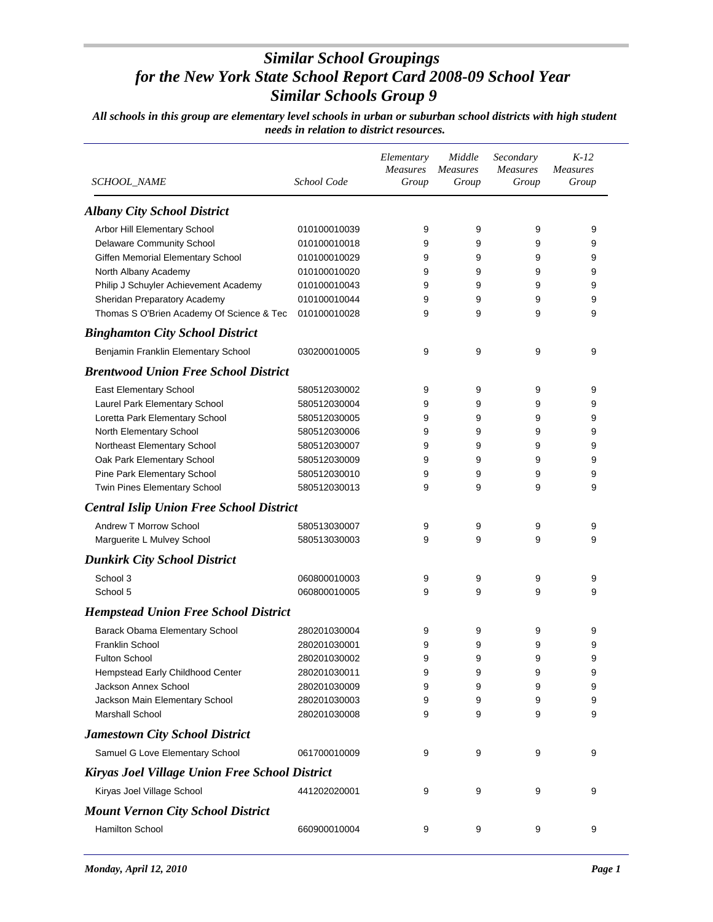| SCHOOL_NAME                                     | School Code  | Elementary<br><b>Measures</b><br>Group | Middle<br><b>Measures</b><br>Group | Secondary<br><b>Measures</b><br>Group | $K-12$<br><b>Measures</b><br>Group |
|-------------------------------------------------|--------------|----------------------------------------|------------------------------------|---------------------------------------|------------------------------------|
| <b>Albany City School District</b>              |              |                                        |                                    |                                       |                                    |
| Arbor Hill Elementary School                    | 010100010039 | 9                                      | 9                                  | 9                                     | 9                                  |
| Delaware Community School                       | 010100010018 | 9                                      | 9                                  | 9                                     | 9                                  |
| Giffen Memorial Elementary School               | 010100010029 | 9                                      | 9                                  | 9                                     | 9                                  |
| North Albany Academy                            | 010100010020 | 9                                      | 9                                  | 9                                     | 9                                  |
| Philip J Schuyler Achievement Academy           | 010100010043 | 9                                      | 9                                  | 9                                     | 9                                  |
| Sheridan Preparatory Academy                    | 010100010044 | 9                                      | 9                                  | 9                                     | 9                                  |
| Thomas S O'Brien Academy Of Science & Tec       | 010100010028 | 9                                      | 9                                  | 9                                     | 9                                  |
| <b>Binghamton City School District</b>          |              |                                        |                                    |                                       |                                    |
| Benjamin Franklin Elementary School             | 030200010005 | 9                                      | 9                                  | 9                                     | 9                                  |
| <b>Brentwood Union Free School District</b>     |              |                                        |                                    |                                       |                                    |
| East Elementary School                          | 580512030002 | 9                                      | 9                                  | 9                                     | 9                                  |
| Laurel Park Elementary School                   | 580512030004 | 9                                      | 9                                  | 9                                     | 9                                  |
| Loretta Park Elementary School                  | 580512030005 | 9                                      | 9                                  | 9                                     | 9                                  |
| North Elementary School                         | 580512030006 | 9                                      | 9                                  | 9                                     | 9                                  |
| Northeast Elementary School                     | 580512030007 | 9                                      | 9                                  | 9                                     | 9                                  |
| Oak Park Elementary School                      | 580512030009 | 9                                      | 9                                  | 9                                     | 9                                  |
| Pine Park Elementary School                     | 580512030010 | 9                                      | 9                                  | 9                                     | 9                                  |
| Twin Pines Elementary School                    | 580512030013 | 9                                      | 9                                  | 9                                     | 9                                  |
| <b>Central Islip Union Free School District</b> |              |                                        |                                    |                                       |                                    |
| Andrew T Morrow School                          | 580513030007 | 9                                      | 9                                  | 9                                     | 9                                  |
| Marguerite L Mulvey School                      | 580513030003 | 9                                      | 9                                  | 9                                     | 9                                  |
| <b>Dunkirk City School District</b>             |              |                                        |                                    |                                       |                                    |
| School 3                                        | 060800010003 | 9                                      | 9                                  | 9                                     | 9                                  |
| School 5                                        | 060800010005 | 9                                      | 9                                  | 9                                     | 9                                  |
| <b>Hempstead Union Free School District</b>     |              |                                        |                                    |                                       |                                    |
| Barack Obama Elementary School                  | 280201030004 | 9                                      | 9                                  | 9                                     | 9                                  |
| <b>Franklin School</b>                          | 280201030001 | 9                                      | 9                                  | 9                                     | 9                                  |
| <b>Fulton School</b>                            | 280201030002 | 9                                      | 9                                  | 9                                     | 9                                  |
| Hempstead Early Childhood Center                | 280201030011 | 9                                      | 9                                  | 9                                     | 9                                  |
| Jackson Annex School                            | 280201030009 | 9                                      | 9                                  | 9                                     | 9                                  |
| Jackson Main Elementary School                  | 280201030003 | 9                                      | 9                                  | 9                                     | 9                                  |
| Marshall School                                 | 280201030008 | 9                                      | 9                                  | 9                                     | 9                                  |
| Jamestown City School District                  |              |                                        |                                    |                                       |                                    |
| Samuel G Love Elementary School                 | 061700010009 | 9                                      | 9                                  | 9                                     | 9                                  |
| Kiryas Joel Village Union Free School District  |              |                                        |                                    |                                       |                                    |
| Kiryas Joel Village School                      | 441202020001 | 9                                      | 9                                  | 9                                     | 9                                  |
| <b>Mount Vernon City School District</b>        |              |                                        |                                    |                                       |                                    |
| Hamilton School                                 | 660900010004 | 9                                      | 9                                  | 9                                     | 9                                  |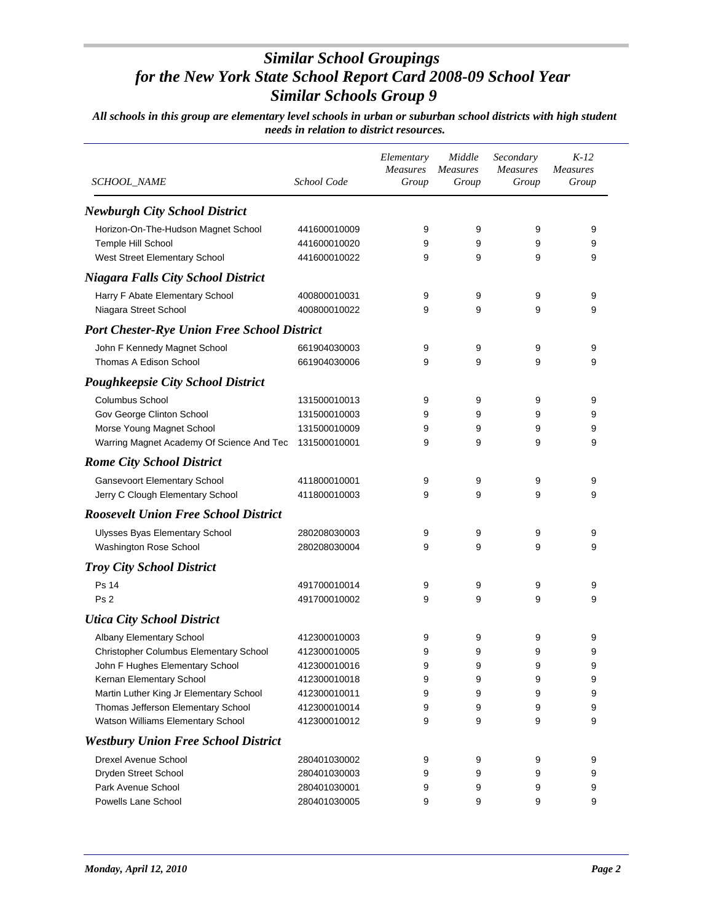| <i>SCHOOL_NAME</i>                                 | School Code  | Elementary<br><b>Measures</b><br>Group | Middle<br><b>Measures</b><br>Group | Secondary<br><b>Measures</b><br>Group | $K-12$<br><b>Measures</b><br>Group |
|----------------------------------------------------|--------------|----------------------------------------|------------------------------------|---------------------------------------|------------------------------------|
| <b>Newburgh City School District</b>               |              |                                        |                                    |                                       |                                    |
| Horizon-On-The-Hudson Magnet School                | 441600010009 | 9                                      | 9                                  | 9                                     | 9                                  |
| Temple Hill School                                 | 441600010020 | 9                                      | 9                                  | 9                                     | 9                                  |
| West Street Elementary School                      | 441600010022 | 9                                      | 9                                  | 9                                     | 9                                  |
| <b>Niagara Falls City School District</b>          |              |                                        |                                    |                                       |                                    |
| Harry F Abate Elementary School                    | 400800010031 | 9                                      | 9                                  | 9                                     | 9                                  |
| Niagara Street School                              | 400800010022 | 9                                      | 9                                  | 9                                     | 9                                  |
| <b>Port Chester-Rye Union Free School District</b> |              |                                        |                                    |                                       |                                    |
| John F Kennedy Magnet School                       | 661904030003 | 9                                      | 9                                  | 9                                     | 9                                  |
| Thomas A Edison School                             | 661904030006 | 9                                      | 9                                  | 9                                     | 9                                  |
| <b>Poughkeepsie City School District</b>           |              |                                        |                                    |                                       |                                    |
| <b>Columbus School</b>                             | 131500010013 | 9                                      | 9                                  | 9                                     | 9                                  |
| Gov George Clinton School                          | 131500010003 | 9                                      | 9                                  | 9                                     | 9                                  |
| Morse Young Magnet School                          | 131500010009 | 9                                      | 9                                  | 9                                     | 9                                  |
| Warring Magnet Academy Of Science And Tec          | 131500010001 | 9                                      | 9                                  | 9                                     | 9                                  |
| <b>Rome City School District</b>                   |              |                                        |                                    |                                       |                                    |
| <b>Gansevoort Elementary School</b>                | 411800010001 | 9                                      | 9                                  | 9                                     | 9                                  |
| Jerry C Clough Elementary School                   | 411800010003 | 9                                      | 9                                  | 9                                     | 9                                  |
| <b>Roosevelt Union Free School District</b>        |              |                                        |                                    |                                       |                                    |
| Ulysses Byas Elementary School                     | 280208030003 | 9                                      | 9                                  | 9                                     | 9                                  |
| Washington Rose School                             | 280208030004 | 9                                      | 9                                  | 9                                     | 9                                  |
| <b>Troy City School District</b>                   |              |                                        |                                    |                                       |                                    |
| <b>Ps 14</b>                                       | 491700010014 | 9                                      | 9                                  | 9                                     | 9                                  |
| Ps <sub>2</sub>                                    | 491700010002 | 9                                      | 9                                  | 9                                     | 9                                  |
| <b>Utica City School District</b>                  |              |                                        |                                    |                                       |                                    |
| Albany Elementary School                           | 412300010003 | 9                                      | 9                                  | 9                                     | 9                                  |
| Christopher Columbus Elementary School             | 412300010005 | 9                                      | 9                                  | 9                                     | 9                                  |
| John F Hughes Elementary School                    | 412300010016 | 9                                      | 9                                  | 9                                     | 9                                  |
| Kernan Elementary School                           | 412300010018 | 9                                      | 9                                  | 9                                     | 9                                  |
| Martin Luther King Jr Elementary School            | 412300010011 | 9                                      | 9                                  | 9                                     | 9                                  |
| Thomas Jefferson Elementary School                 | 412300010014 | 9                                      | 9                                  | 9                                     | 9                                  |
| Watson Williams Elementary School                  | 412300010012 | 9                                      | 9                                  | 9                                     | 9                                  |
| <b>Westbury Union Free School District</b>         |              |                                        |                                    |                                       |                                    |
| Drexel Avenue School                               | 280401030002 | 9                                      | 9                                  | 9                                     | 9                                  |
| Dryden Street School                               | 280401030003 | 9                                      | 9                                  | 9                                     | 9                                  |
| Park Avenue School                                 | 280401030001 | 9                                      | 9                                  | 9                                     | 9                                  |
| Powells Lane School                                | 280401030005 | 9                                      | 9                                  | 9                                     | 9                                  |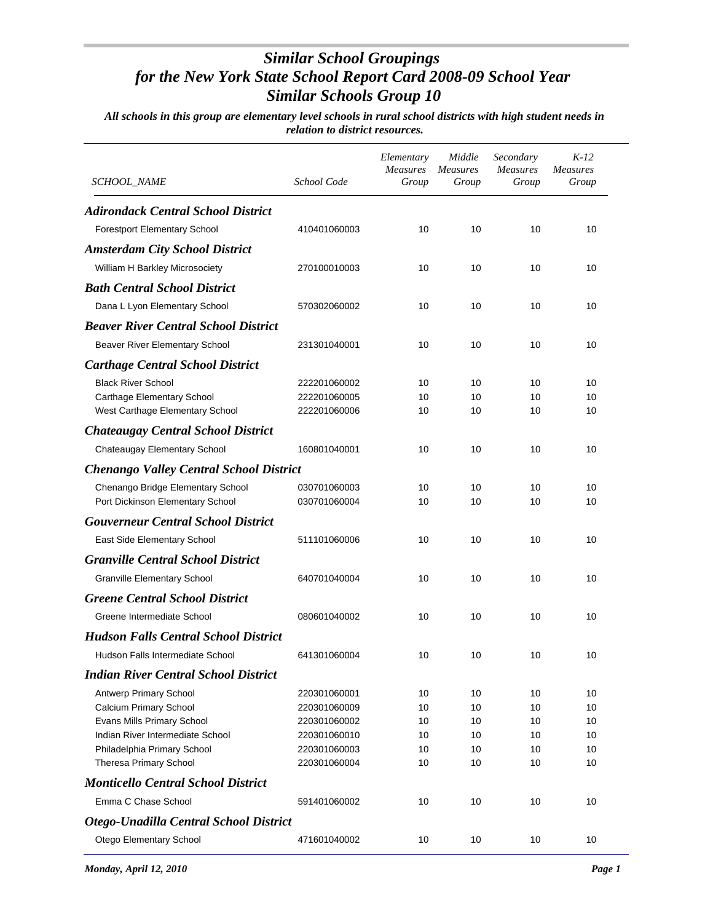| <i>SCHOOL_NAME</i>                             | School Code  | Elementary<br>Measures<br>Group | Middle<br><b>Measures</b><br>Group | Secondary<br><b>Measures</b><br>Group | $K-12$<br><b>Measures</b><br>Group |
|------------------------------------------------|--------------|---------------------------------|------------------------------------|---------------------------------------|------------------------------------|
| <b>Adirondack Central School District</b>      |              |                                 |                                    |                                       |                                    |
| Forestport Elementary School                   | 410401060003 | 10                              | 10                                 | 10                                    | 10                                 |
| <b>Amsterdam City School District</b>          |              |                                 |                                    |                                       |                                    |
| William H Barkley Microsociety                 | 270100010003 | 10                              | 10                                 | 10                                    | 10                                 |
| <b>Bath Central School District</b>            |              |                                 |                                    |                                       |                                    |
| Dana L Lyon Elementary School                  | 570302060002 | 10                              | 10                                 | 10                                    | 10                                 |
| <b>Beaver River Central School District</b>    |              |                                 |                                    |                                       |                                    |
| Beaver River Elementary School                 | 231301040001 | 10                              | 10                                 | 10                                    | 10                                 |
| <b>Carthage Central School District</b>        |              |                                 |                                    |                                       |                                    |
| <b>Black River School</b>                      | 222201060002 | 10                              | 10                                 | 10                                    | 10                                 |
| Carthage Elementary School                     | 222201060005 | 10                              | 10                                 | 10                                    | 10                                 |
| West Carthage Elementary School                | 222201060006 | 10                              | 10                                 | 10                                    | 10                                 |
| <b>Chateaugay Central School District</b>      |              |                                 |                                    |                                       |                                    |
| Chateaugay Elementary School                   | 160801040001 | 10                              | 10                                 | 10                                    | 10                                 |
| <b>Chenango Valley Central School District</b> |              |                                 |                                    |                                       |                                    |
| Chenango Bridge Elementary School              | 030701060003 | 10                              | 10                                 | 10                                    | 10                                 |
| Port Dickinson Elementary School               | 030701060004 | 10                              | 10                                 | 10                                    | 10                                 |
| <b>Gouverneur Central School District</b>      |              |                                 |                                    |                                       |                                    |
| East Side Elementary School                    | 511101060006 | 10                              | 10                                 | 10                                    | 10                                 |
| <b>Granville Central School District</b>       |              |                                 |                                    |                                       |                                    |
| <b>Granville Elementary School</b>             | 640701040004 | 10                              | 10                                 | 10                                    | 10                                 |
| <b>Greene Central School District</b>          |              |                                 |                                    |                                       |                                    |
| Greene Intermediate School                     | 080601040002 | 10                              | 10                                 | 10                                    | 10                                 |
| <b>Hudson Falls Central School District</b>    |              |                                 |                                    |                                       |                                    |
| Hudson Falls Intermediate School               | 641301060004 | 10                              | 10                                 | 10                                    | 10                                 |
| <b>Indian River Central School District</b>    |              |                                 |                                    |                                       |                                    |
| Antwerp Primary School                         | 220301060001 | 10                              | 10                                 | 10                                    | 10                                 |
| Calcium Primary School                         | 220301060009 | 10                              | 10                                 | 10                                    | 10                                 |
| Evans Mills Primary School                     | 220301060002 | 10                              | 10                                 | 10                                    | 10                                 |
| Indian River Intermediate School               | 220301060010 | 10                              | 10                                 | 10                                    | 10                                 |
| Philadelphia Primary School                    | 220301060003 | 10                              | 10                                 | 10                                    | 10                                 |
| Theresa Primary School                         | 220301060004 | 10                              | 10                                 | 10                                    | 10                                 |
| <b>Monticello Central School District</b>      |              |                                 |                                    |                                       |                                    |
| Emma C Chase School                            | 591401060002 | 10                              | 10                                 | 10                                    | 10                                 |
| Otego-Unadilla Central School District         |              |                                 |                                    |                                       |                                    |
| Otego Elementary School                        | 471601040002 | 10                              | 10                                 | 10                                    | 10                                 |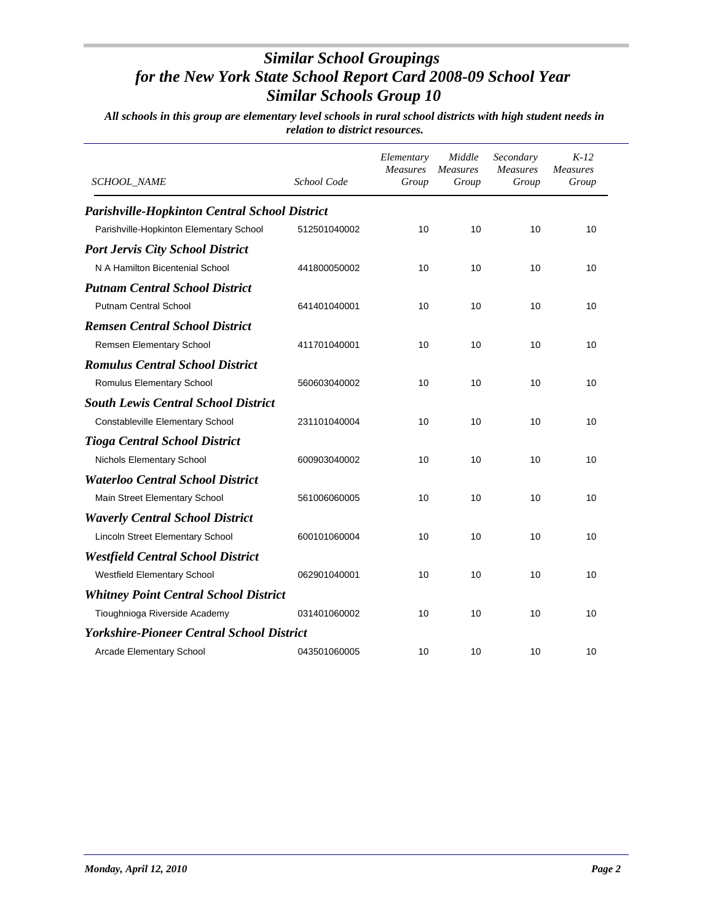| SCHOOL_NAME                                          | School Code  | Elementary<br>Measures<br>Group | Middle<br><b>Measures</b><br>Group | Secondary<br><b>Measures</b><br>Group | $K-12$<br><b>Measures</b><br>Group |
|------------------------------------------------------|--------------|---------------------------------|------------------------------------|---------------------------------------|------------------------------------|
| <b>Parishville-Hopkinton Central School District</b> |              |                                 |                                    |                                       |                                    |
| Parishville-Hopkinton Elementary School              | 512501040002 | 10                              | 10                                 | 10                                    | 10                                 |
| <b>Port Jervis City School District</b>              |              |                                 |                                    |                                       |                                    |
| N A Hamilton Bicentenial School                      | 441800050002 | 10                              | 10                                 | 10                                    | 10                                 |
| <b>Putnam Central School District</b>                |              |                                 |                                    |                                       |                                    |
| <b>Putnam Central School</b>                         | 641401040001 | 10                              | 10                                 | 10                                    | 10                                 |
| <b>Remsen Central School District</b>                |              |                                 |                                    |                                       |                                    |
| Remsen Elementary School                             | 411701040001 | 10                              | 10                                 | 10                                    | 10                                 |
| <b>Romulus Central School District</b>               |              |                                 |                                    |                                       |                                    |
| Romulus Elementary School                            | 560603040002 | 10                              | 10                                 | 10                                    | 10                                 |
| <b>South Lewis Central School District</b>           |              |                                 |                                    |                                       |                                    |
| Constableville Elementary School                     | 231101040004 | 10                              | 10                                 | 10                                    | 10                                 |
| <b>Tioga Central School District</b>                 |              |                                 |                                    |                                       |                                    |
| Nichols Elementary School                            | 600903040002 | 10                              | 10                                 | 10                                    | 10                                 |
| <b>Waterloo Central School District</b>              |              |                                 |                                    |                                       |                                    |
| Main Street Elementary School                        | 561006060005 | 10                              | 10                                 | 10                                    | 10                                 |
| <b>Waverly Central School District</b>               |              |                                 |                                    |                                       |                                    |
| Lincoln Street Elementary School                     | 600101060004 | 10                              | 10                                 | 10                                    | 10                                 |
| <b>Westfield Central School District</b>             |              |                                 |                                    |                                       |                                    |
| <b>Westfield Elementary School</b>                   | 062901040001 | 10                              | 10                                 | 10                                    | 10                                 |
| <b>Whitney Point Central School District</b>         |              |                                 |                                    |                                       |                                    |
| Tioughnioga Riverside Academy                        | 031401060002 | 10                              | 10                                 | 10                                    | 10                                 |
| <b>Yorkshire-Pioneer Central School District</b>     |              |                                 |                                    |                                       |                                    |
| Arcade Elementary School                             | 043501060005 | 10                              | 10                                 | 10                                    | 10                                 |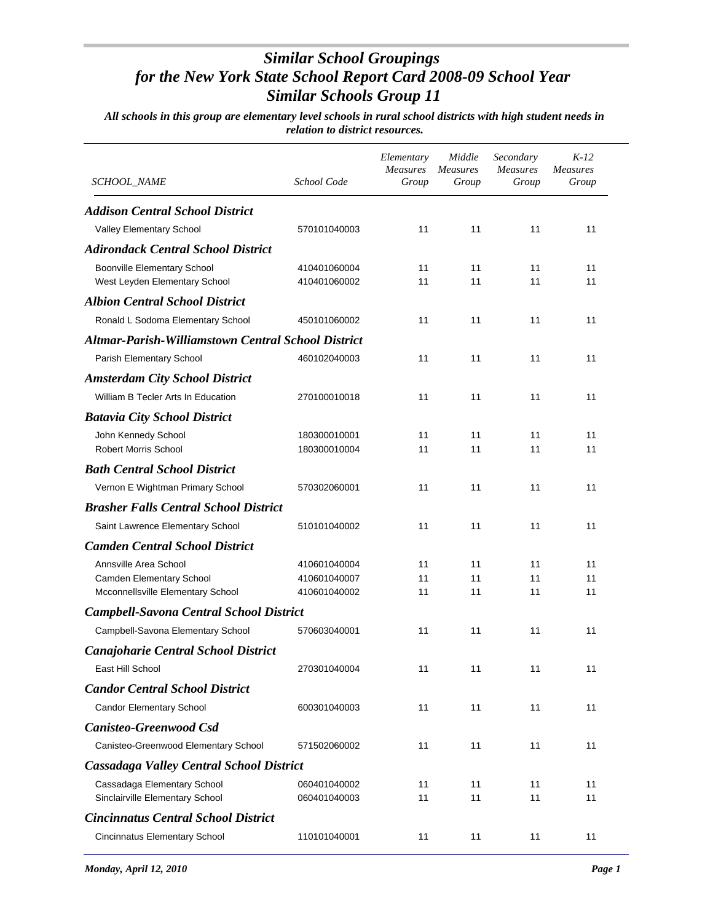| SCHOOL_NAME                                                         | School Code                  | Elementary<br>Measures<br>Group | Middle<br><b>Measures</b><br>Group | Secondary<br>Measures<br>Group | $K-12$<br><b>Measures</b><br>Group |
|---------------------------------------------------------------------|------------------------------|---------------------------------|------------------------------------|--------------------------------|------------------------------------|
| <b>Addison Central School District</b>                              |                              |                                 |                                    |                                |                                    |
| Valley Elementary School                                            | 570101040003                 | 11                              | 11                                 | 11                             | 11                                 |
| <b>Adirondack Central School District</b>                           |                              |                                 |                                    |                                |                                    |
| <b>Boonville Elementary School</b><br>West Leyden Elementary School | 410401060004<br>410401060002 | 11<br>11                        | 11<br>11                           | 11<br>11                       | 11<br>11                           |
| <b>Albion Central School District</b>                               |                              |                                 |                                    |                                |                                    |
| Ronald L Sodoma Elementary School                                   | 450101060002                 | 11                              | 11                                 | 11                             | 11                                 |
| <b>Altmar-Parish-Williamstown Central School District</b>           |                              |                                 |                                    |                                |                                    |
| Parish Elementary School                                            | 460102040003                 | 11                              | 11                                 | 11                             | 11                                 |
| <b>Amsterdam City School District</b>                               |                              |                                 |                                    |                                |                                    |
| William B Tecler Arts In Education                                  | 270100010018                 | 11                              | 11                                 | 11                             | 11                                 |
| <b>Batavia City School District</b>                                 |                              |                                 |                                    |                                |                                    |
| John Kennedy School                                                 | 180300010001                 | 11                              | 11                                 | 11                             | 11                                 |
| <b>Robert Morris School</b>                                         | 180300010004                 | 11                              | 11                                 | 11                             | 11                                 |
| <b>Bath Central School District</b>                                 |                              |                                 |                                    |                                |                                    |
| Vernon E Wightman Primary School                                    | 570302060001                 | 11                              | 11                                 | 11                             | 11                                 |
| <b>Brasher Falls Central School District</b>                        |                              |                                 |                                    |                                |                                    |
| Saint Lawrence Elementary School                                    | 510101040002                 | 11                              | 11                                 | 11                             | 11                                 |
| <b>Camden Central School District</b>                               |                              |                                 |                                    |                                |                                    |
| Annsville Area School                                               | 410601040004                 | 11                              | 11                                 | 11                             | 11                                 |
| Camden Elementary School                                            | 410601040007                 | 11                              | 11                                 | 11                             | 11                                 |
| Mcconnellsville Elementary School                                   | 410601040002                 | 11                              | 11                                 | 11                             | 11                                 |
| <b>Campbell-Savona Central School District</b>                      |                              |                                 |                                    |                                |                                    |
| Campbell-Savona Elementary School                                   | 570603040001                 | 11                              | 11                                 | 11                             | 11                                 |
| <b>Canajoharie Central School District</b>                          |                              |                                 |                                    |                                |                                    |
| East Hill School                                                    | 270301040004                 | 11                              | 11                                 | 11                             | 11                                 |
| <b>Candor Central School District</b>                               |                              |                                 |                                    |                                |                                    |
| <b>Candor Elementary School</b>                                     | 600301040003                 | 11                              | 11                                 | 11                             | 11                                 |
| <b>Canisteo-Greenwood Csd</b>                                       |                              |                                 |                                    |                                |                                    |
| Canisteo-Greenwood Elementary School                                | 571502060002                 | 11                              | 11                                 | 11                             | 11                                 |
| <b>Cassadaga Valley Central School District</b>                     |                              |                                 |                                    |                                |                                    |
| Cassadaga Elementary School                                         | 060401040002                 | 11                              | 11                                 | 11                             | 11                                 |
| Sinclairville Elementary School                                     | 060401040003                 | 11                              | 11                                 | 11                             | 11                                 |
| <b>Cincinnatus Central School District</b>                          |                              |                                 |                                    |                                |                                    |
| Cincinnatus Elementary School                                       | 110101040001                 | 11                              | 11                                 | 11                             | 11                                 |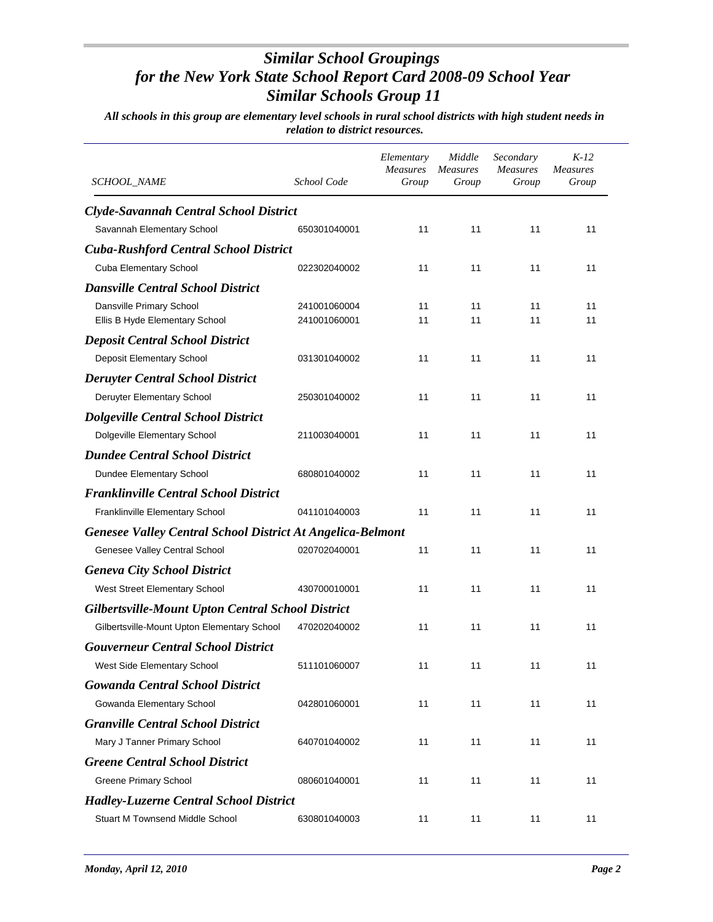| <b>SCHOOL_NAME</b>                                                | School Code                  | Elementary<br><i>Measures</i><br>Group | Middle<br><b>Measures</b><br>Group | Secondary<br>Measures<br>Group | $K-12$<br><b>Measures</b><br>Group |
|-------------------------------------------------------------------|------------------------------|----------------------------------------|------------------------------------|--------------------------------|------------------------------------|
| Clyde-Savannah Central School District                            |                              |                                        |                                    |                                |                                    |
| Savannah Elementary School                                        | 650301040001                 | 11                                     | 11                                 | 11                             | 11                                 |
| <b>Cuba-Rushford Central School District</b>                      |                              |                                        |                                    |                                |                                    |
| Cuba Elementary School                                            | 022302040002                 | 11                                     | 11                                 | 11                             | 11                                 |
| <b>Dansville Central School District</b>                          |                              |                                        |                                    |                                |                                    |
| Dansville Primary School<br>Ellis B Hyde Elementary School        | 241001060004<br>241001060001 | 11<br>11                               | 11<br>11                           | 11<br>11                       | 11<br>11                           |
| <b>Deposit Central School District</b>                            |                              |                                        |                                    |                                |                                    |
| Deposit Elementary School                                         | 031301040002                 | 11                                     | 11                                 | 11                             | 11                                 |
| <b>Deruyter Central School District</b>                           |                              |                                        |                                    |                                |                                    |
| Deruyter Elementary School                                        | 250301040002                 | 11                                     | 11                                 | 11                             | 11                                 |
| <b>Dolgeville Central School District</b>                         |                              |                                        |                                    |                                |                                    |
| Dolgeville Elementary School                                      | 211003040001                 | 11                                     | 11                                 | 11                             | 11                                 |
| <b>Dundee Central School District</b>                             |                              |                                        |                                    |                                |                                    |
| Dundee Elementary School                                          | 680801040002                 | 11                                     | 11                                 | 11                             | 11                                 |
| <b>Franklinville Central School District</b>                      |                              |                                        |                                    |                                |                                    |
| Franklinville Elementary School                                   | 041101040003                 | 11                                     | 11                                 | 11                             | 11                                 |
| <b>Genesee Valley Central School District At Angelica-Belmont</b> |                              |                                        |                                    |                                |                                    |
| Genesee Valley Central School                                     | 020702040001                 | 11                                     | 11                                 | 11                             | 11                                 |
| <b>Geneva City School District</b>                                |                              |                                        |                                    |                                |                                    |
| West Street Elementary School                                     | 430700010001                 | 11                                     | 11                                 | 11                             | 11                                 |
| <b>Gilbertsville-Mount Upton Central School District</b>          |                              |                                        |                                    |                                |                                    |
| Gilbertsville-Mount Upton Elementary School                       | 470202040002                 | 11                                     | 11                                 | 11                             | 11                                 |
| <b>Gouverneur Central School District</b>                         |                              |                                        |                                    |                                |                                    |
| West Side Elementary School                                       | 511101060007                 | 11                                     | 11                                 | 11                             | 11                                 |
| <b>Gowanda Central School District</b>                            |                              |                                        |                                    |                                |                                    |
| Gowanda Elementary School                                         | 042801060001                 | 11                                     | 11                                 | 11                             | 11                                 |
| <b>Granville Central School District</b>                          |                              |                                        |                                    |                                |                                    |
| Mary J Tanner Primary School                                      | 640701040002                 | 11                                     | 11                                 | 11                             | 11                                 |
| <b>Greene Central School District</b>                             |                              |                                        |                                    |                                |                                    |
| <b>Greene Primary School</b>                                      | 080601040001                 | 11                                     | 11                                 | 11                             | 11                                 |
| <b>Hadley-Luzerne Central School District</b>                     |                              |                                        |                                    |                                |                                    |
| Stuart M Townsend Middle School                                   | 630801040003                 | 11                                     | 11                                 | 11                             | 11                                 |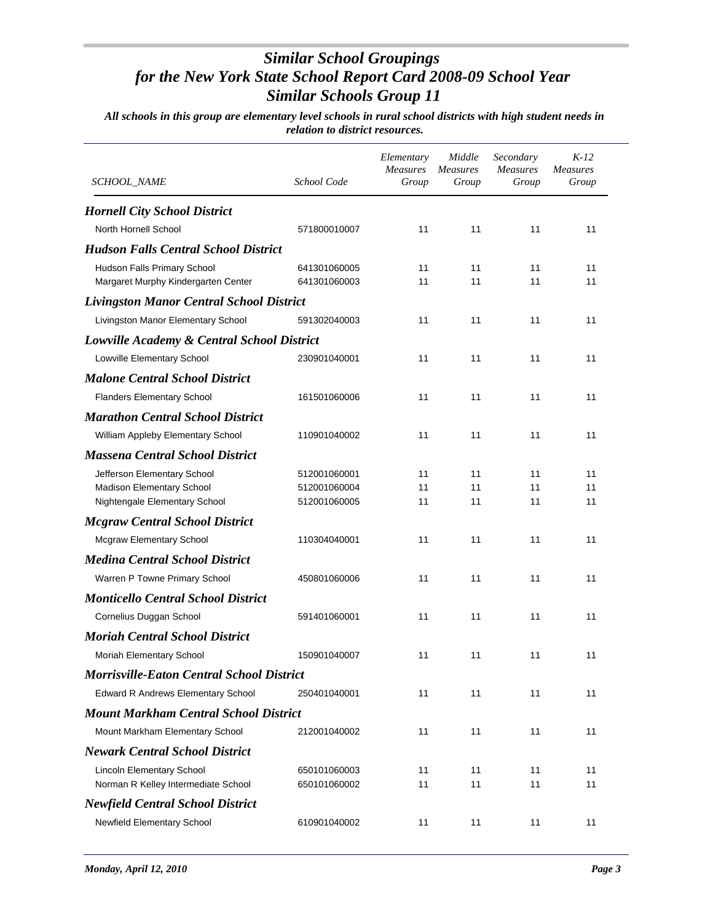| SCHOOL_NAME                                                        | School Code                  | Elementary<br>Measures<br>Group | Middle<br>Measures<br>Group | Secondary<br>Measures<br>Group | $K-12$<br><b>Measures</b><br>Group |
|--------------------------------------------------------------------|------------------------------|---------------------------------|-----------------------------|--------------------------------|------------------------------------|
| <b>Hornell City School District</b>                                |                              |                                 |                             |                                |                                    |
| North Hornell School                                               | 571800010007                 | 11                              | 11                          | 11                             | 11                                 |
| <b>Hudson Falls Central School District</b>                        |                              |                                 |                             |                                |                                    |
| Hudson Falls Primary School<br>Margaret Murphy Kindergarten Center | 641301060005<br>641301060003 | 11<br>11                        | 11<br>11                    | 11<br>11                       | 11<br>11                           |
| <b>Livingston Manor Central School District</b>                    |                              |                                 |                             |                                |                                    |
| Livingston Manor Elementary School                                 | 591302040003                 | 11                              | 11                          | 11                             | 11                                 |
| Lowville Academy & Central School District                         |                              |                                 |                             |                                |                                    |
| Lowville Elementary School                                         | 230901040001                 | 11                              | 11                          | 11                             | 11                                 |
| <b>Malone Central School District</b>                              |                              |                                 |                             |                                |                                    |
| <b>Flanders Elementary School</b>                                  | 161501060006                 | 11                              | 11                          | 11                             | 11                                 |
| <b>Marathon Central School District</b>                            |                              |                                 |                             |                                |                                    |
| William Appleby Elementary School                                  | 110901040002                 | 11                              | 11                          | 11                             | 11                                 |
| <b>Massena Central School District</b>                             |                              |                                 |                             |                                |                                    |
| Jefferson Elementary School                                        | 512001060001                 | 11                              | 11                          | 11                             | 11                                 |
| Madison Elementary School                                          | 512001060004                 | 11                              | 11                          | 11                             | 11                                 |
| Nightengale Elementary School                                      | 512001060005                 | 11                              | 11                          | 11                             | 11                                 |
| <b>Mcgraw Central School District</b>                              |                              |                                 |                             |                                |                                    |
| <b>Mcgraw Elementary School</b>                                    | 110304040001                 | 11                              | 11                          | 11                             | 11                                 |
| <b>Medina Central School District</b>                              |                              |                                 |                             |                                |                                    |
| Warren P Towne Primary School                                      | 450801060006                 | 11                              | 11                          | 11                             | 11                                 |
| <b>Monticello Central School District</b>                          |                              |                                 |                             |                                |                                    |
| Cornelius Duggan School                                            | 591401060001                 | 11                              | 11                          | 11                             | 11                                 |
| <b>Moriah Central School District</b>                              |                              |                                 |                             |                                |                                    |
| Moriah Elementary School                                           | 150901040007                 | 11                              | 11                          | 11                             | 11                                 |
| <b>Morrisville-Eaton Central School District</b>                   |                              |                                 |                             |                                |                                    |
| <b>Edward R Andrews Elementary School</b>                          | 250401040001                 | 11                              | 11                          | 11                             | 11                                 |
| <b>Mount Markham Central School District</b>                       |                              |                                 |                             |                                |                                    |
| Mount Markham Elementary School                                    | 212001040002                 | 11                              | 11                          | 11                             | 11                                 |
| <b>Newark Central School District</b>                              |                              |                                 |                             |                                |                                    |
| Lincoln Elementary School                                          | 650101060003                 | 11                              | 11                          | 11                             | 11                                 |
| Norman R Kelley Intermediate School                                | 650101060002                 | 11                              | 11                          | 11                             | 11                                 |
| <b>Newfield Central School District</b>                            |                              |                                 |                             |                                |                                    |
| Newfield Elementary School                                         | 610901040002                 | 11                              | 11                          | 11                             | 11                                 |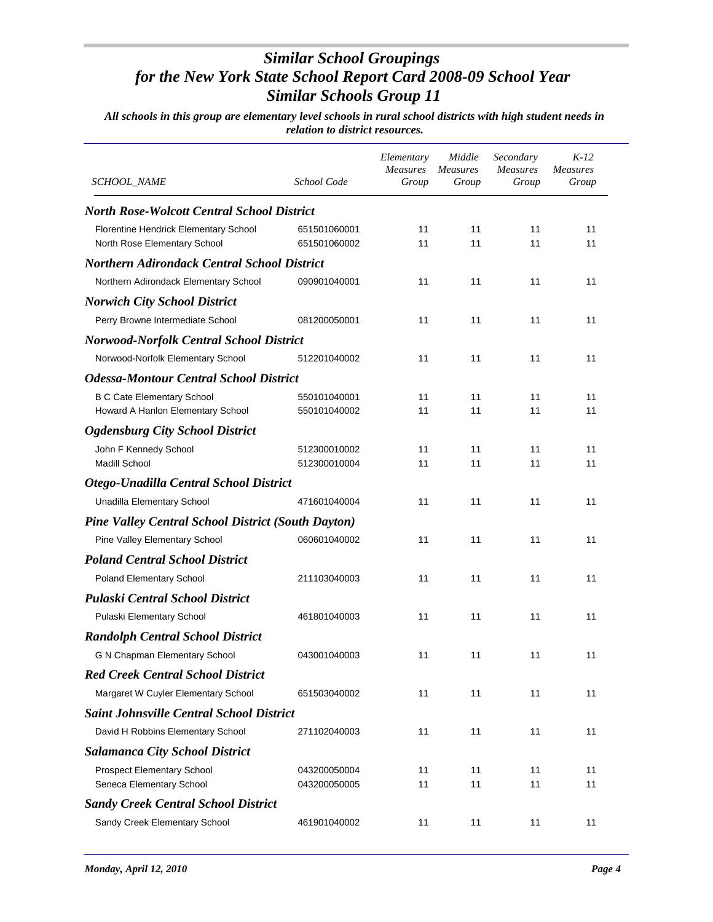| SCHOOL_NAME                                               | School Code  | Elementary<br><b>Measures</b><br>Group | Middle<br>Measures<br>Group | Secondary<br>Measures<br>Group | $K-12$<br>Measures<br>Group |
|-----------------------------------------------------------|--------------|----------------------------------------|-----------------------------|--------------------------------|-----------------------------|
| <b>North Rose-Wolcott Central School District</b>         |              |                                        |                             |                                |                             |
| Florentine Hendrick Elementary School                     | 651501060001 | 11                                     | 11                          | 11                             | 11                          |
| North Rose Elementary School                              | 651501060002 | 11                                     | 11                          | 11                             | 11                          |
| <b>Northern Adirondack Central School District</b>        |              |                                        |                             |                                |                             |
| Northern Adirondack Elementary School                     | 090901040001 | 11                                     | 11                          | 11                             | 11                          |
| <b>Norwich City School District</b>                       |              |                                        |                             |                                |                             |
| Perry Browne Intermediate School                          | 081200050001 | 11                                     | 11                          | 11                             | 11                          |
| <b>Norwood-Norfolk Central School District</b>            |              |                                        |                             |                                |                             |
| Norwood-Norfolk Elementary School                         | 512201040002 | 11                                     | 11                          | 11                             | 11                          |
| <b>Odessa-Montour Central School District</b>             |              |                                        |                             |                                |                             |
| <b>B C Cate Elementary School</b>                         | 550101040001 | 11                                     | 11                          | 11                             | 11                          |
| Howard A Hanlon Elementary School                         | 550101040002 | 11                                     | 11                          | 11                             | 11                          |
| <b>Ogdensburg City School District</b>                    |              |                                        |                             |                                |                             |
| John F Kennedy School                                     | 512300010002 | 11                                     | 11                          | 11                             | 11                          |
| <b>Madill School</b>                                      | 512300010004 | 11                                     | 11                          | 11                             | 11                          |
| Otego-Unadilla Central School District                    |              |                                        |                             |                                |                             |
| Unadilla Elementary School                                | 471601040004 | 11                                     | 11                          | 11                             | 11                          |
| <b>Pine Valley Central School District (South Dayton)</b> |              |                                        |                             |                                |                             |
| Pine Valley Elementary School                             | 060601040002 | 11                                     | 11                          | 11                             | 11                          |
| <b>Poland Central School District</b>                     |              |                                        |                             |                                |                             |
| Poland Elementary School                                  | 211103040003 | 11                                     | 11                          | 11                             | 11                          |
| <b>Pulaski Central School District</b>                    |              |                                        |                             |                                |                             |
| Pulaski Elementary School                                 | 461801040003 | 11                                     | 11                          | 11                             | 11                          |
| <b>Randolph Central School District</b>                   |              |                                        |                             |                                |                             |
| G N Chapman Elementary School                             | 043001040003 | 11                                     | 11                          | 11                             | 11                          |
| <b>Red Creek Central School District</b>                  |              |                                        |                             |                                |                             |
| Margaret W Cuyler Elementary School                       | 651503040002 | 11                                     | 11                          | 11                             | 11                          |
| <b>Saint Johnsville Central School District</b>           |              |                                        |                             |                                |                             |
| David H Robbins Elementary School                         | 271102040003 | 11                                     | 11                          | 11                             | 11                          |
| <b>Salamanca City School District</b>                     |              |                                        |                             |                                |                             |
| Prospect Elementary School                                | 043200050004 | 11                                     | 11                          | 11                             | 11                          |
| Seneca Elementary School                                  | 043200050005 | 11                                     | 11                          | 11                             | 11                          |
| <b>Sandy Creek Central School District</b>                |              |                                        |                             |                                |                             |
| Sandy Creek Elementary School                             | 461901040002 | 11                                     | 11                          | 11                             | 11                          |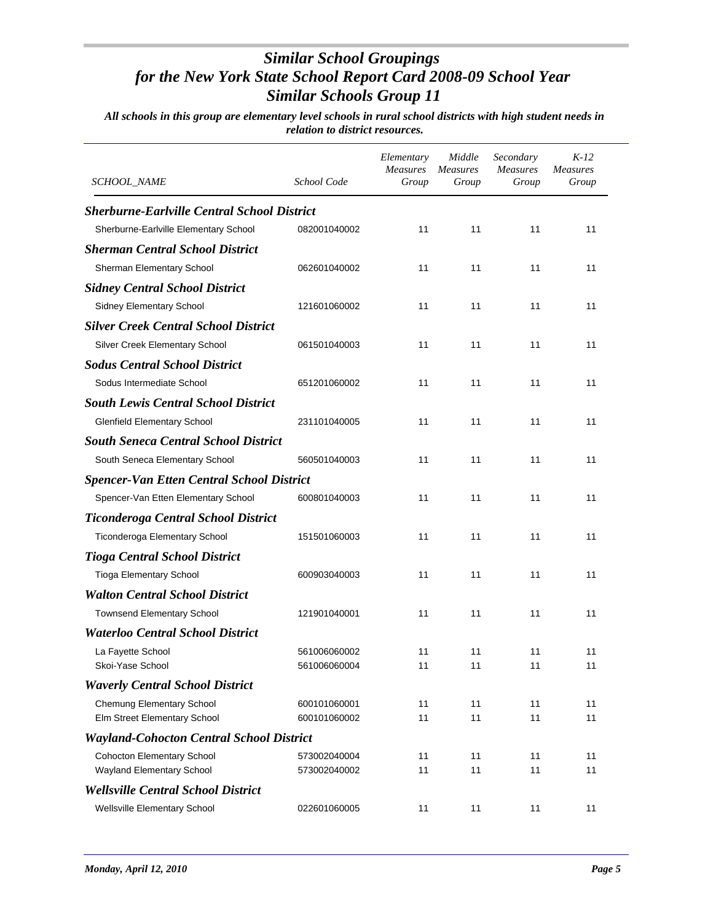| SCHOOL_NAME                                                    | School Code                  | Elementary<br><b>Measures</b><br>Group | Middle<br><b>Measures</b><br>Group | Secondary<br><b>Measures</b><br>Group | K-12<br><b>Measures</b><br>Group |
|----------------------------------------------------------------|------------------------------|----------------------------------------|------------------------------------|---------------------------------------|----------------------------------|
| <b>Sherburne-Earlville Central School District</b>             |                              |                                        |                                    |                                       |                                  |
| Sherburne-Earlville Elementary School                          | 082001040002                 | 11                                     | 11                                 | 11                                    | 11                               |
| <b>Sherman Central School District</b>                         |                              |                                        |                                    |                                       |                                  |
| Sherman Elementary School                                      | 062601040002                 | 11                                     | 11                                 | 11                                    | 11                               |
| <b>Sidney Central School District</b>                          |                              |                                        |                                    |                                       |                                  |
| Sidney Elementary School                                       | 121601060002                 | 11                                     | 11                                 | 11                                    | 11                               |
| <b>Silver Creek Central School District</b>                    |                              |                                        |                                    |                                       |                                  |
| Silver Creek Elementary School                                 | 061501040003                 | 11                                     | 11                                 | 11                                    | 11                               |
| <b>Sodus Central School District</b>                           |                              |                                        |                                    |                                       |                                  |
| Sodus Intermediate School                                      | 651201060002                 | 11                                     | 11                                 | 11                                    | 11                               |
| <b>South Lewis Central School District</b>                     |                              |                                        |                                    |                                       |                                  |
| <b>Glenfield Elementary School</b>                             | 231101040005                 | 11                                     | 11                                 | 11                                    | 11                               |
| <b>South Seneca Central School District</b>                    |                              |                                        |                                    |                                       |                                  |
| South Seneca Elementary School                                 | 560501040003                 | 11                                     | 11                                 | 11                                    | 11                               |
| <b>Spencer-Van Etten Central School District</b>               |                              |                                        |                                    |                                       |                                  |
| Spencer-Van Etten Elementary School                            | 600801040003                 | 11                                     | 11                                 | 11                                    | 11                               |
| <b>Ticonderoga Central School District</b>                     |                              |                                        |                                    |                                       |                                  |
| Ticonderoga Elementary School                                  | 151501060003                 | 11                                     | 11                                 | 11                                    | 11                               |
| <b>Tioga Central School District</b>                           |                              |                                        |                                    |                                       |                                  |
| <b>Tioga Elementary School</b>                                 | 600903040003                 | 11                                     | 11                                 | 11                                    | 11                               |
| <b>Walton Central School District</b>                          |                              |                                        |                                    |                                       |                                  |
| <b>Townsend Elementary School</b>                              | 121901040001                 | 11                                     | 11                                 | 11                                    | 11                               |
| <b>Waterloo Central School District</b>                        |                              |                                        |                                    |                                       |                                  |
| La Fayette School                                              | 561006060002                 | 11                                     | 11                                 | 11                                    | 11                               |
| Skoi-Yase School                                               | 561006060004                 | 11                                     | 11                                 | 11                                    | 11                               |
| <b>Waverly Central School District</b>                         |                              |                                        |                                    |                                       |                                  |
| Chemung Elementary School                                      | 600101060001                 | 11                                     | 11                                 | 11                                    | 11                               |
| Elm Street Elementary School                                   | 600101060002                 | 11                                     | 11                                 | 11                                    | 11                               |
| <b>Wayland-Cohocton Central School District</b>                |                              |                                        |                                    |                                       |                                  |
| <b>Cohocton Elementary School</b><br>Wayland Elementary School | 573002040004<br>573002040002 | 11<br>11                               | 11<br>11                           | 11<br>11                              | 11<br>11                         |
| <b>Wellsville Central School District</b>                      |                              |                                        |                                    |                                       |                                  |
| Wellsville Elementary School                                   | 022601060005                 | 11                                     | 11                                 | 11                                    | 11                               |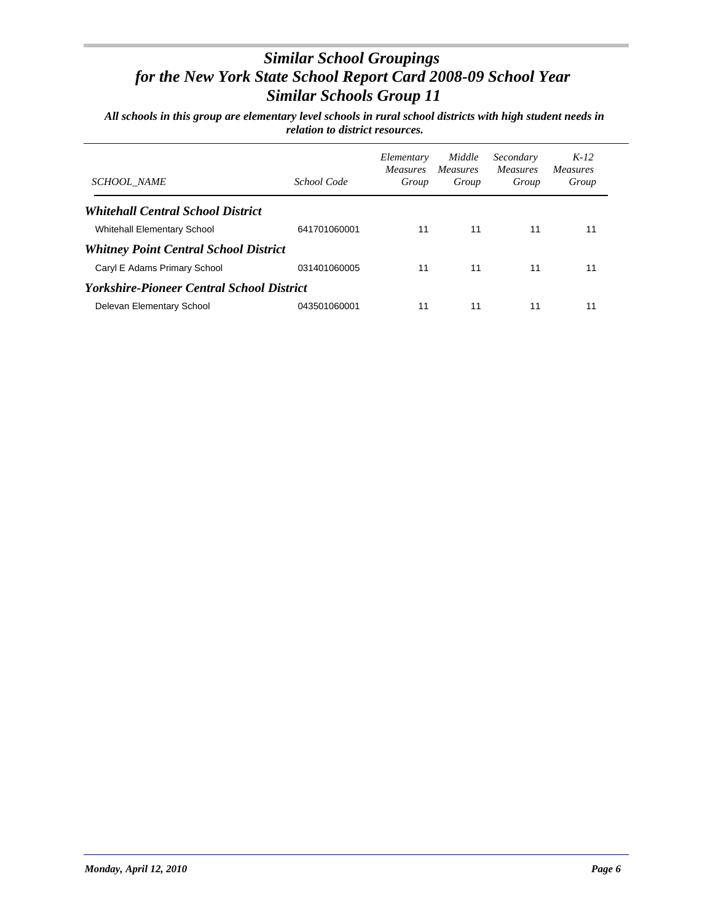| <b>SCHOOL NAME</b>                                      | School Code  | Elementary<br><i>Measures</i><br>Group | Middle<br><i>Measures</i><br>Group | Secondary<br>Measures<br>Group | $K-12$<br><b>Measures</b><br>Group |
|---------------------------------------------------------|--------------|----------------------------------------|------------------------------------|--------------------------------|------------------------------------|
| <b>Whitehall Central School District</b>                |              |                                        |                                    |                                |                                    |
| <b>Whitehall Elementary School</b>                      | 641701060001 | 11                                     | 11                                 | 11                             | 11                                 |
| <b>Whitney Point Central School District</b>            |              |                                        |                                    |                                |                                    |
| Caryl E Adams Primary School                            | 031401060005 | 11                                     | 11                                 | 11                             | 11                                 |
| <i><b>Yorkshire-Pioneer Central School District</b></i> |              |                                        |                                    |                                |                                    |
| Delevan Elementary School                               | 043501060001 | 11                                     | 11                                 | 11                             | 11                                 |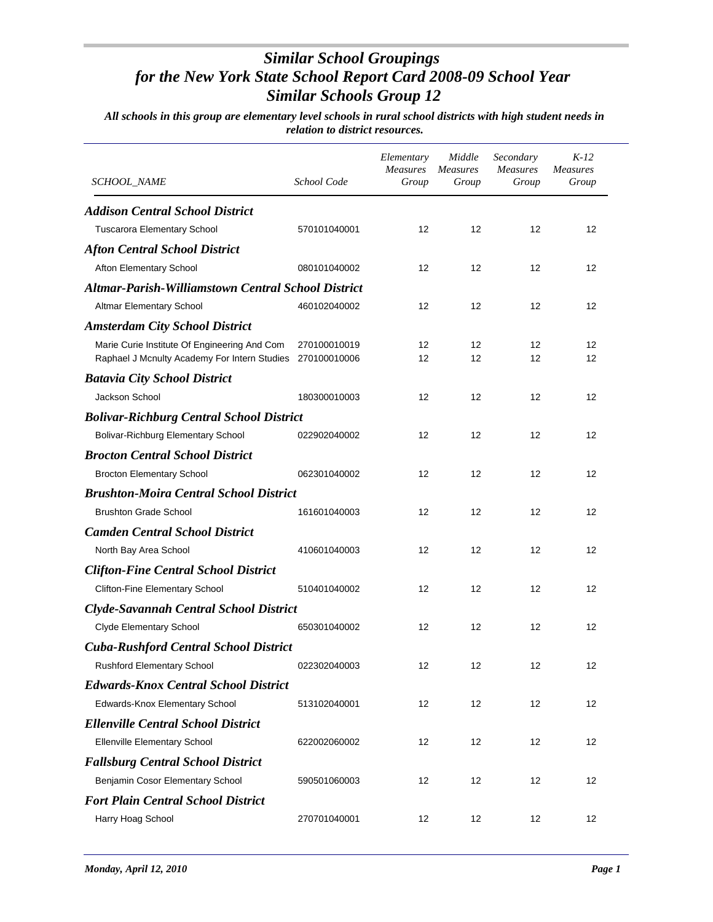| <i>SCHOOL_NAME</i>                                                                           | School Code                  | Elementary<br><b>Measures</b><br>Group | Middle<br><b>Measures</b><br>Group | Secondary<br><b>Measures</b><br>Group | $K-12$<br><b>Measures</b><br>Group |
|----------------------------------------------------------------------------------------------|------------------------------|----------------------------------------|------------------------------------|---------------------------------------|------------------------------------|
| <b>Addison Central School District</b>                                                       |                              |                                        |                                    |                                       |                                    |
| <b>Tuscarora Elementary School</b>                                                           | 570101040001                 | 12                                     | 12                                 | 12                                    | 12                                 |
| <b>Afton Central School District</b>                                                         |                              |                                        |                                    |                                       |                                    |
| Afton Elementary School                                                                      | 080101040002                 | 12                                     | 12                                 | 12                                    | 12                                 |
| <b>Altmar-Parish-Williamstown Central School District</b>                                    |                              |                                        |                                    |                                       |                                    |
| <b>Altmar Elementary School</b>                                                              | 460102040002                 | 12                                     | 12                                 | 12                                    | 12                                 |
| <b>Amsterdam City School District</b>                                                        |                              |                                        |                                    |                                       |                                    |
| Marie Curie Institute Of Engineering And Com<br>Raphael J Mcnulty Academy For Intern Studies | 270100010019<br>270100010006 | 12<br>12                               | 12<br>12                           | 12<br>12                              | 12<br>12                           |
| <b>Batavia City School District</b>                                                          |                              |                                        |                                    |                                       |                                    |
| Jackson School                                                                               | 180300010003                 | 12                                     | 12                                 | 12                                    | 12                                 |
| <b>Bolivar-Richburg Central School District</b>                                              |                              |                                        |                                    |                                       |                                    |
| Bolivar-Richburg Elementary School                                                           | 022902040002                 | 12                                     | 12                                 | 12                                    | 12                                 |
| <b>Brocton Central School District</b>                                                       |                              |                                        |                                    |                                       |                                    |
| <b>Brocton Elementary School</b>                                                             | 062301040002                 | 12                                     | 12                                 | 12                                    | 12                                 |
| <b>Brushton-Moira Central School District</b>                                                |                              |                                        |                                    |                                       |                                    |
| <b>Brushton Grade School</b>                                                                 | 161601040003                 | 12                                     | 12                                 | 12                                    | 12                                 |
| <b>Camden Central School District</b>                                                        |                              |                                        |                                    |                                       |                                    |
| North Bay Area School                                                                        | 410601040003                 | 12                                     | 12                                 | 12                                    | 12                                 |
| <b>Clifton-Fine Central School District</b>                                                  |                              |                                        |                                    |                                       |                                    |
| Clifton-Fine Elementary School                                                               | 510401040002                 | 12                                     | 12                                 | 12                                    | 12                                 |
| <b>Clyde-Savannah Central School District</b>                                                |                              |                                        |                                    |                                       |                                    |
| <b>Clyde Elementary School</b>                                                               | 650301040002                 | 12                                     | 12                                 | 12                                    | 12                                 |
| <b>Cuba-Rushford Central School District</b>                                                 |                              |                                        |                                    |                                       |                                    |
| <b>Rushford Elementary School</b>                                                            | 022302040003                 | 12                                     | 12                                 | 12                                    | 12                                 |
| <b>Edwards-Knox Central School District</b>                                                  |                              |                                        |                                    |                                       |                                    |
| Edwards-Knox Elementary School                                                               | 513102040001                 | 12                                     | 12                                 | 12                                    | 12                                 |
| <b>Ellenville Central School District</b>                                                    |                              |                                        |                                    |                                       |                                    |
| <b>Ellenville Elementary School</b>                                                          | 622002060002                 | 12                                     | 12                                 | 12                                    | 12                                 |
| <b>Fallsburg Central School District</b>                                                     |                              |                                        |                                    |                                       |                                    |
| Benjamin Cosor Elementary School                                                             | 590501060003                 | 12                                     | 12                                 | 12                                    | 12                                 |
| <b>Fort Plain Central School District</b>                                                    |                              |                                        |                                    |                                       |                                    |
| Harry Hoag School                                                                            | 270701040001                 | 12                                     | 12                                 | 12                                    | 12                                 |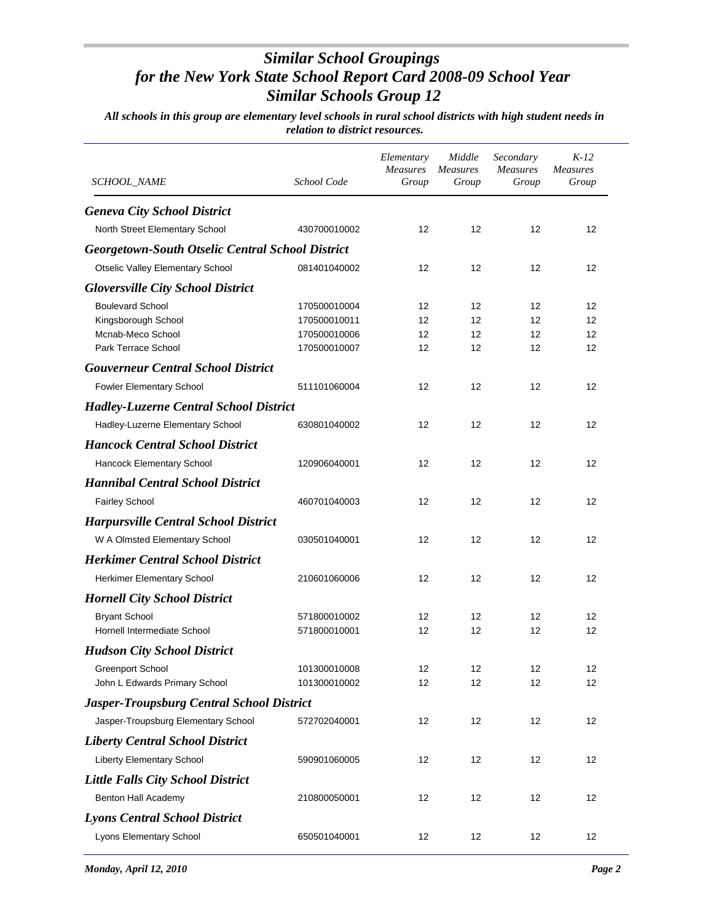| <i>SCHOOL_NAME</i>                                      | School Code  | Elementary<br><b>Measures</b><br>Group | Middle<br><b>Measures</b><br>Group | Secondary<br>Measures<br>Group | $K-12$<br><b>Measures</b><br>Group |
|---------------------------------------------------------|--------------|----------------------------------------|------------------------------------|--------------------------------|------------------------------------|
| <b>Geneva City School District</b>                      |              |                                        |                                    |                                |                                    |
| North Street Elementary School                          | 430700010002 | 12                                     | 12                                 | 12                             | 12                                 |
| <b>Georgetown-South Otselic Central School District</b> |              |                                        |                                    |                                |                                    |
| Otselic Valley Elementary School                        | 081401040002 | 12                                     | 12                                 | 12                             | 12                                 |
| <b>Gloversville City School District</b>                |              |                                        |                                    |                                |                                    |
| <b>Boulevard School</b>                                 | 170500010004 | 12                                     | 12                                 | 12                             | 12                                 |
| Kingsborough School                                     | 170500010011 | 12                                     | 12                                 | 12                             | 12                                 |
| Mcnab-Meco School                                       | 170500010006 | 12                                     | 12                                 | 12                             | 12                                 |
| Park Terrace School                                     | 170500010007 | 12                                     | 12                                 | 12                             | 12                                 |
| <b>Gouverneur Central School District</b>               |              |                                        |                                    |                                |                                    |
| Fowler Elementary School                                | 511101060004 | 12                                     | 12                                 | 12                             | 12                                 |
| <b>Hadley-Luzerne Central School District</b>           |              |                                        |                                    |                                |                                    |
| Hadley-Luzerne Elementary School                        | 630801040002 | 12                                     | 12                                 | 12                             | 12                                 |
| <b>Hancock Central School District</b>                  |              |                                        |                                    |                                |                                    |
| Hancock Elementary School                               | 120906040001 | 12                                     | 12                                 | 12                             | 12                                 |
| <b>Hannibal Central School District</b>                 |              |                                        |                                    |                                |                                    |
| <b>Fairley School</b>                                   | 460701040003 | 12                                     | 12                                 | 12                             | 12                                 |
| <b>Harpursville Central School District</b>             |              |                                        |                                    |                                |                                    |
| W A Olmsted Elementary School                           | 030501040001 | 12                                     | 12                                 | 12                             | 12                                 |
| <b>Herkimer Central School District</b>                 |              |                                        |                                    |                                |                                    |
| Herkimer Elementary School                              | 210601060006 | 12                                     | 12                                 | 12                             | 12                                 |
| <b>Hornell City School District</b>                     |              |                                        |                                    |                                |                                    |
| <b>Bryant School</b>                                    | 571800010002 | 12                                     | 12                                 | 12                             | 12                                 |
| Hornell Intermediate School                             | 571800010001 | 12                                     | 12                                 | 12                             | 12                                 |
| <b>Hudson City School District</b>                      |              |                                        |                                    |                                |                                    |
| Greenport School                                        | 101300010008 | 12                                     | 12                                 | 12                             | 12                                 |
| John L Edwards Primary School                           | 101300010002 | 12                                     | 12                                 | 12                             | 12                                 |
| <b>Jasper-Troupsburg Central School District</b>        |              |                                        |                                    |                                |                                    |
| Jasper-Troupsburg Elementary School                     | 572702040001 | 12                                     | 12                                 | 12                             | 12                                 |
| <b>Liberty Central School District</b>                  |              |                                        |                                    |                                |                                    |
| <b>Liberty Elementary School</b>                        | 590901060005 | 12                                     | 12                                 | 12                             | 12                                 |
| <b>Little Falls City School District</b>                |              |                                        |                                    |                                |                                    |
| Benton Hall Academy                                     | 210800050001 | 12                                     | 12                                 | 12                             | 12                                 |
| <b>Lyons Central School District</b>                    |              |                                        |                                    |                                |                                    |
| Lyons Elementary School                                 | 650501040001 | 12                                     | 12                                 | 12                             | 12                                 |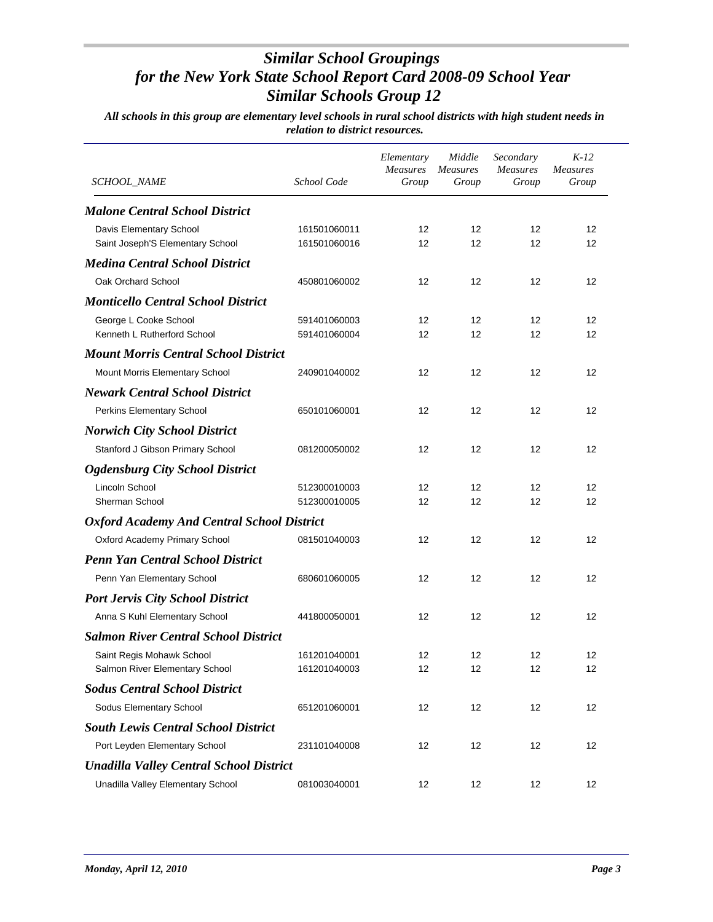| <i>SCHOOL_NAME</i>                                | School Code  | Elementary<br><b>Measures</b><br>Group | Middle<br><b>Measures</b><br>Group | Secondary<br>Measures<br>Group | $K-12$<br><b>Measures</b><br>Group |
|---------------------------------------------------|--------------|----------------------------------------|------------------------------------|--------------------------------|------------------------------------|
| <b>Malone Central School District</b>             |              |                                        |                                    |                                |                                    |
| Davis Elementary School                           | 161501060011 | 12                                     | 12                                 | 12                             | 12                                 |
| Saint Joseph'S Elementary School                  | 161501060016 | 12                                     | 12                                 | 12                             | 12                                 |
| <b>Medina Central School District</b>             |              |                                        |                                    |                                |                                    |
| Oak Orchard School                                | 450801060002 | 12                                     | 12                                 | 12                             | 12                                 |
| <b>Monticello Central School District</b>         |              |                                        |                                    |                                |                                    |
| George L Cooke School                             | 591401060003 | 12                                     | 12                                 | 12                             | 12                                 |
| Kenneth L Rutherford School                       | 591401060004 | 12                                     | 12                                 | 12                             | 12                                 |
| <b>Mount Morris Central School District</b>       |              |                                        |                                    |                                |                                    |
| Mount Morris Elementary School                    | 240901040002 | 12                                     | 12                                 | 12                             | 12                                 |
| <b>Newark Central School District</b>             |              |                                        |                                    |                                |                                    |
| Perkins Elementary School                         | 650101060001 | 12                                     | 12                                 | 12                             | 12                                 |
| <b>Norwich City School District</b>               |              |                                        |                                    |                                |                                    |
| Stanford J Gibson Primary School                  | 081200050002 | 12                                     | 12                                 | 12                             | 12                                 |
| <b>Ogdensburg City School District</b>            |              |                                        |                                    |                                |                                    |
| Lincoln School                                    | 512300010003 | 12                                     | 12                                 | 12                             | 12                                 |
| Sherman School                                    | 512300010005 | 12                                     | 12                                 | 12                             | 12                                 |
| <b>Oxford Academy And Central School District</b> |              |                                        |                                    |                                |                                    |
| Oxford Academy Primary School                     | 081501040003 | 12                                     | 12                                 | 12                             | 12                                 |
| <b>Penn Yan Central School District</b>           |              |                                        |                                    |                                |                                    |
| Penn Yan Elementary School                        | 680601060005 | 12                                     | 12                                 | 12                             | 12                                 |
| <b>Port Jervis City School District</b>           |              |                                        |                                    |                                |                                    |
| Anna S Kuhl Elementary School                     | 441800050001 | 12                                     | 12                                 | 12                             | 12                                 |
| <b>Salmon River Central School District</b>       |              |                                        |                                    |                                |                                    |
| Saint Regis Mohawk School                         | 161201040001 | 12                                     | 12                                 | 12                             | 12                                 |
| Salmon River Elementary School                    | 161201040003 | 12                                     | 12                                 | 12                             | 12                                 |
| <b>Sodus Central School District</b>              |              |                                        |                                    |                                |                                    |
| Sodus Elementary School                           | 651201060001 | 12                                     | 12                                 | 12                             | 12                                 |
| <b>South Lewis Central School District</b>        |              |                                        |                                    |                                |                                    |
| Port Leyden Elementary School                     | 231101040008 | 12                                     | 12                                 | 12                             | 12                                 |
| <b>Unadilla Valley Central School District</b>    |              |                                        |                                    |                                |                                    |
| Unadilla Valley Elementary School                 | 081003040001 | 12                                     | 12                                 | 12                             | 12                                 |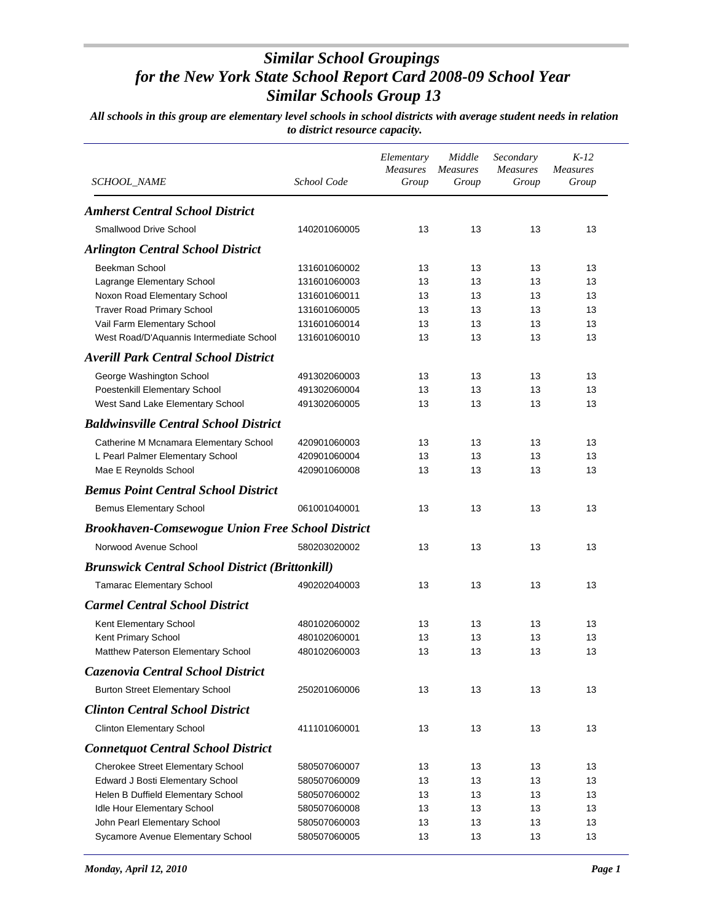| <i>SCHOOL_NAME</i>                                      | School Code  | Elementary<br><b>Measures</b><br>Group | Middle<br><i>Measures</i><br>Group | Secondary<br><b>Measures</b><br>Group | $K-12$<br><b>Measures</b><br>Group |
|---------------------------------------------------------|--------------|----------------------------------------|------------------------------------|---------------------------------------|------------------------------------|
| <b>Amherst Central School District</b>                  |              |                                        |                                    |                                       |                                    |
| <b>Smallwood Drive School</b>                           | 140201060005 | 13                                     | 13                                 | 13                                    | 13                                 |
| <b>Arlington Central School District</b>                |              |                                        |                                    |                                       |                                    |
| Beekman School                                          | 131601060002 | 13                                     | 13                                 | 13                                    | 13                                 |
| Lagrange Elementary School                              | 131601060003 | 13                                     | 13                                 | 13                                    | 13                                 |
| Noxon Road Elementary School                            | 131601060011 | 13                                     | 13                                 | 13                                    | 13                                 |
| <b>Traver Road Primary School</b>                       | 131601060005 | 13                                     | 13                                 | 13                                    | 13                                 |
| Vail Farm Elementary School                             | 131601060014 | 13                                     | 13                                 | 13                                    | 13                                 |
| West Road/D'Aquannis Intermediate School                | 131601060010 | 13                                     | 13                                 | 13                                    | 13                                 |
| <b>Averill Park Central School District</b>             |              |                                        |                                    |                                       |                                    |
| George Washington School                                | 491302060003 | 13                                     | 13                                 | 13                                    | 13                                 |
| Poestenkill Elementary School                           | 491302060004 | 13                                     | 13                                 | 13                                    | 13                                 |
| West Sand Lake Elementary School                        | 491302060005 | 13                                     | 13                                 | 13                                    | 13                                 |
| <b>Baldwinsville Central School District</b>            |              |                                        |                                    |                                       |                                    |
| Catherine M Mcnamara Elementary School                  | 420901060003 | 13                                     | 13                                 | 13                                    | 13                                 |
| L Pearl Palmer Elementary School                        | 420901060004 | 13                                     | 13                                 | 13                                    | 13                                 |
| Mae E Reynolds School                                   | 420901060008 | 13                                     | 13                                 | 13                                    | 13                                 |
| <b>Bemus Point Central School District</b>              |              |                                        |                                    |                                       |                                    |
|                                                         |              |                                        |                                    |                                       |                                    |
| <b>Bemus Elementary School</b>                          | 061001040001 | 13                                     | 13                                 | 13                                    | 13                                 |
| <b>Brookhaven-Comsewogue Union Free School District</b> |              |                                        |                                    |                                       |                                    |
| Norwood Avenue School                                   | 580203020002 | 13                                     | 13                                 | 13                                    | 13                                 |
| <b>Brunswick Central School District (Brittonkill)</b>  |              |                                        |                                    |                                       |                                    |
| <b>Tamarac Elementary School</b>                        | 490202040003 | 13                                     | 13                                 | 13                                    | 13                                 |
| <b>Carmel Central School District</b>                   |              |                                        |                                    |                                       |                                    |
| Kent Elementary School                                  | 480102060002 | 13                                     | 13                                 | 13                                    | 13                                 |
| Kent Primary School                                     | 480102060001 | 13                                     | 13                                 | 13                                    | 13                                 |
| Matthew Paterson Elementary School                      | 480102060003 | 13                                     | 13                                 | 13                                    | 13                                 |
| Cazenovia Central School District                       |              |                                        |                                    |                                       |                                    |
| <b>Burton Street Elementary School</b>                  | 250201060006 | 13                                     | 13                                 | 13                                    | 13                                 |
| <b>Clinton Central School District</b>                  |              |                                        |                                    |                                       |                                    |
| <b>Clinton Elementary School</b>                        | 411101060001 | 13                                     | 13                                 | 13                                    | 13                                 |
| <b>Connetquot Central School District</b>               |              |                                        |                                    |                                       |                                    |
| <b>Cherokee Street Elementary School</b>                | 580507060007 | 13                                     | 13                                 | 13                                    | 13                                 |
| Edward J Bosti Elementary School                        | 580507060009 | 13                                     | 13                                 | 13                                    | 13                                 |
| Helen B Duffield Elementary School                      | 580507060002 | 13                                     | 13                                 | 13                                    | 13                                 |
| Idle Hour Elementary School                             | 580507060008 | 13                                     | 13                                 | 13                                    | 13                                 |
| John Pearl Elementary School                            | 580507060003 | 13                                     | 13                                 | 13                                    | 13                                 |
| Sycamore Avenue Elementary School                       | 580507060005 | 13                                     | 13                                 | 13                                    | 13                                 |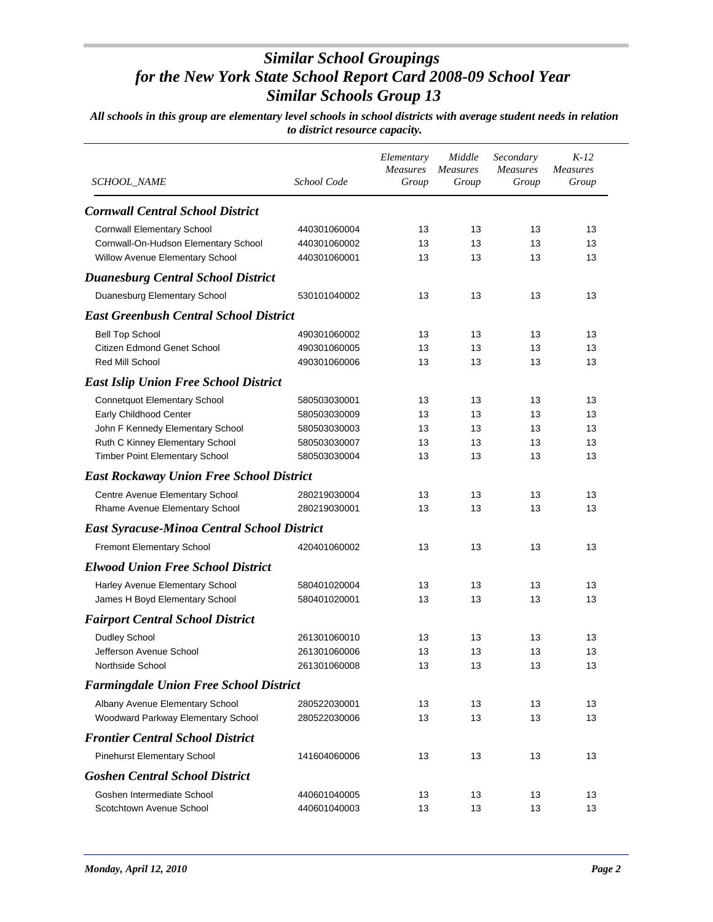| SCHOOL_NAME                                        | School Code  | Elementary<br><b>Measures</b><br>Group | Middle<br><b>Measures</b><br>Group | Secondary<br><b>Measures</b><br>Group | $K-12$<br><b>Measures</b><br>Group |
|----------------------------------------------------|--------------|----------------------------------------|------------------------------------|---------------------------------------|------------------------------------|
| <b>Cornwall Central School District</b>            |              |                                        |                                    |                                       |                                    |
| <b>Cornwall Elementary School</b>                  | 440301060004 | 13                                     | 13                                 | 13                                    | 13                                 |
| Cornwall-On-Hudson Elementary School               | 440301060002 | 13                                     | 13                                 | 13                                    | 13                                 |
| Willow Avenue Elementary School                    | 440301060001 | 13                                     | 13                                 | 13                                    | 13                                 |
| <b>Duanesburg Central School District</b>          |              |                                        |                                    |                                       |                                    |
| Duanesburg Elementary School                       | 530101040002 | 13                                     | 13                                 | 13                                    | 13                                 |
| <b>East Greenbush Central School District</b>      |              |                                        |                                    |                                       |                                    |
| <b>Bell Top School</b>                             | 490301060002 | 13                                     | 13                                 | 13                                    | 13                                 |
| Citizen Edmond Genet School                        | 490301060005 | 13                                     | 13                                 | 13                                    | 13                                 |
| Red Mill School                                    | 490301060006 | 13                                     | 13                                 | 13                                    | 13                                 |
| <b>East Islip Union Free School District</b>       |              |                                        |                                    |                                       |                                    |
| Connetquot Elementary School                       | 580503030001 | 13                                     | 13                                 | 13                                    | 13                                 |
| Early Childhood Center                             | 580503030009 | 13                                     | 13                                 | 13                                    | 13                                 |
| John F Kennedy Elementary School                   | 580503030003 | 13                                     | 13                                 | 13                                    | 13                                 |
| Ruth C Kinney Elementary School                    | 580503030007 | 13                                     | 13                                 | 13                                    | 13                                 |
| Timber Point Elementary School                     | 580503030004 | 13                                     | 13                                 | 13                                    | 13                                 |
| <b>East Rockaway Union Free School District</b>    |              |                                        |                                    |                                       |                                    |
| Centre Avenue Elementary School                    | 280219030004 | 13                                     | 13                                 | 13                                    | 13                                 |
| Rhame Avenue Elementary School                     | 280219030001 | 13                                     | 13                                 | 13                                    | 13                                 |
| <b>East Syracuse-Minoa Central School District</b> |              |                                        |                                    |                                       |                                    |
| <b>Fremont Elementary School</b>                   | 420401060002 | 13                                     | 13                                 | 13                                    | 13                                 |
| <b>Elwood Union Free School District</b>           |              |                                        |                                    |                                       |                                    |
| Harley Avenue Elementary School                    | 580401020004 | 13                                     | 13                                 | 13                                    | 13                                 |
| James H Boyd Elementary School                     | 580401020001 | 13                                     | 13                                 | 13                                    | 13                                 |
| <b>Fairport Central School District</b>            |              |                                        |                                    |                                       |                                    |
| Dudley School                                      | 261301060010 | 13                                     | 13                                 | 13                                    | 13                                 |
| Jefferson Avenue School                            | 261301060006 | 13                                     | 13                                 | 13                                    | 13                                 |
| Northside School                                   | 261301060008 | 13                                     | 13                                 | 13                                    | 13                                 |
| <b>Farmingdale Union Free School District</b>      |              |                                        |                                    |                                       |                                    |
| Albany Avenue Elementary School                    | 280522030001 | 13                                     | 13                                 | 13                                    | 13                                 |
| Woodward Parkway Elementary School                 | 280522030006 | 13                                     | 13                                 | 13                                    | 13                                 |
| <b>Frontier Central School District</b>            |              |                                        |                                    |                                       |                                    |
| <b>Pinehurst Elementary School</b>                 | 141604060006 | 13                                     | 13                                 | 13                                    | 13                                 |
| <b>Goshen Central School District</b>              |              |                                        |                                    |                                       |                                    |
| Goshen Intermediate School                         | 440601040005 | 13                                     | 13                                 | 13                                    | 13                                 |
| Scotchtown Avenue School                           | 440601040003 | 13                                     | 13                                 | 13                                    | 13                                 |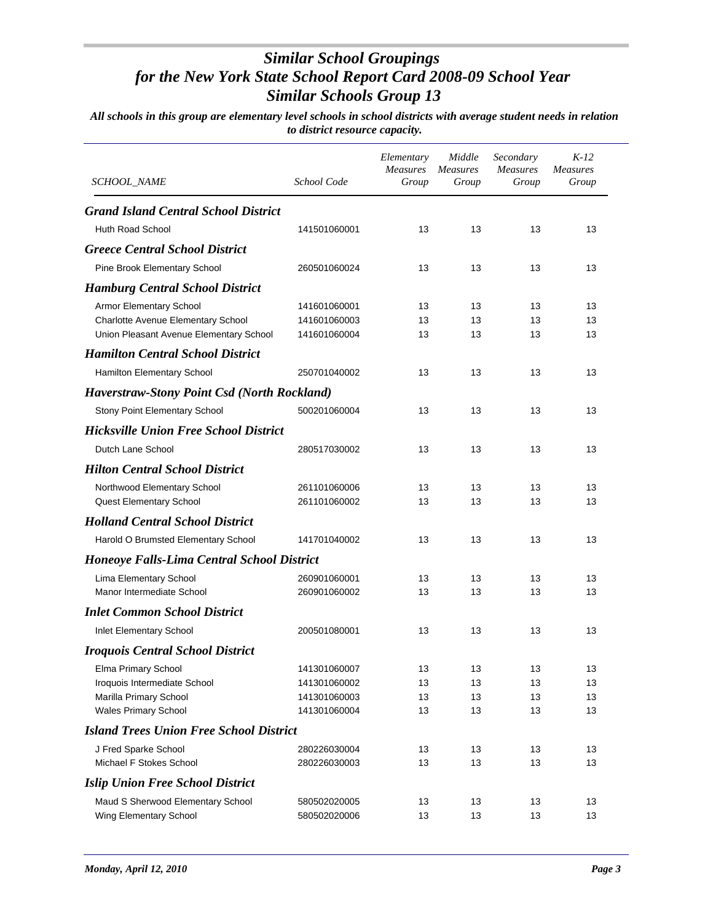| SCHOOL_NAME                                        | School Code  | Elementary<br><b>Measures</b><br>Group | Middle<br><b>Measures</b><br>Group | Secondary<br><b>Measures</b><br>Group | $K-12$<br><b>Measures</b><br>Group |
|----------------------------------------------------|--------------|----------------------------------------|------------------------------------|---------------------------------------|------------------------------------|
|                                                    |              |                                        |                                    |                                       |                                    |
| <b>Grand Island Central School District</b>        |              |                                        |                                    |                                       |                                    |
| Huth Road School                                   | 141501060001 | 13                                     | 13                                 | 13                                    | 13                                 |
| <b>Greece Central School District</b>              |              |                                        |                                    |                                       |                                    |
| Pine Brook Elementary School                       | 260501060024 | 13                                     | 13                                 | 13                                    | 13                                 |
| <b>Hamburg Central School District</b>             |              |                                        |                                    |                                       |                                    |
| Armor Elementary School                            | 141601060001 | 13                                     | 13                                 | 13                                    | 13                                 |
| Charlotte Avenue Elementary School                 | 141601060003 | 13                                     | 13                                 | 13                                    | 13                                 |
| Union Pleasant Avenue Elementary School            | 141601060004 | 13                                     | 13                                 | 13                                    | 13                                 |
| <b>Hamilton Central School District</b>            |              |                                        |                                    |                                       |                                    |
| Hamilton Elementary School                         | 250701040002 | 13                                     | 13                                 | 13                                    | 13                                 |
| <b>Haverstraw-Stony Point Csd (North Rockland)</b> |              |                                        |                                    |                                       |                                    |
| Stony Point Elementary School                      | 500201060004 | 13                                     | 13                                 | 13                                    | 13                                 |
| <b>Hicksville Union Free School District</b>       |              |                                        |                                    |                                       |                                    |
| Dutch Lane School                                  | 280517030002 | 13                                     | 13                                 | 13                                    | 13                                 |
| <b>Hilton Central School District</b>              |              |                                        |                                    |                                       |                                    |
| Northwood Elementary School                        | 261101060006 | 13                                     | 13                                 | 13                                    | 13                                 |
| Quest Elementary School                            | 261101060002 | 13                                     | 13                                 | 13                                    | 13                                 |
| <b>Holland Central School District</b>             |              |                                        |                                    |                                       |                                    |
| Harold O Brumsted Elementary School                | 141701040002 | 13                                     | 13                                 | 13                                    | 13                                 |
| <b>Honeoye Falls-Lima Central School District</b>  |              |                                        |                                    |                                       |                                    |
| Lima Elementary School                             | 260901060001 | 13                                     | 13                                 | 13                                    | 13                                 |
| Manor Intermediate School                          | 260901060002 | 13                                     | 13                                 | 13                                    | 13                                 |
| <b>Inlet Common School District</b>                |              |                                        |                                    |                                       |                                    |
| Inlet Elementary School                            | 200501080001 | 13                                     | 13                                 | 13                                    | 13                                 |
| <b>Iroquois Central School District</b>            |              |                                        |                                    |                                       |                                    |
| Elma Primary School                                | 141301060007 | 13                                     | 13                                 | 13                                    | 13                                 |
| Iroquois Intermediate School                       | 141301060002 | 13                                     | 13                                 | 13                                    | 13                                 |
| Marilla Primary School                             | 141301060003 | 13                                     | 13                                 | 13                                    | 13                                 |
| <b>Wales Primary School</b>                        | 141301060004 | 13                                     | 13                                 | 13                                    | 13                                 |
| <b>Island Trees Union Free School District</b>     |              |                                        |                                    |                                       |                                    |
| J Fred Sparke School                               | 280226030004 | 13                                     | 13                                 | 13                                    | 13                                 |
| Michael F Stokes School                            | 280226030003 | 13                                     | 13                                 | 13                                    | 13                                 |
| <b>Islip Union Free School District</b>            |              |                                        |                                    |                                       |                                    |
| Maud S Sherwood Elementary School                  | 580502020005 | 13                                     | 13                                 | 13                                    | 13                                 |
| Wing Elementary School                             | 580502020006 | 13                                     | 13                                 | 13                                    | 13                                 |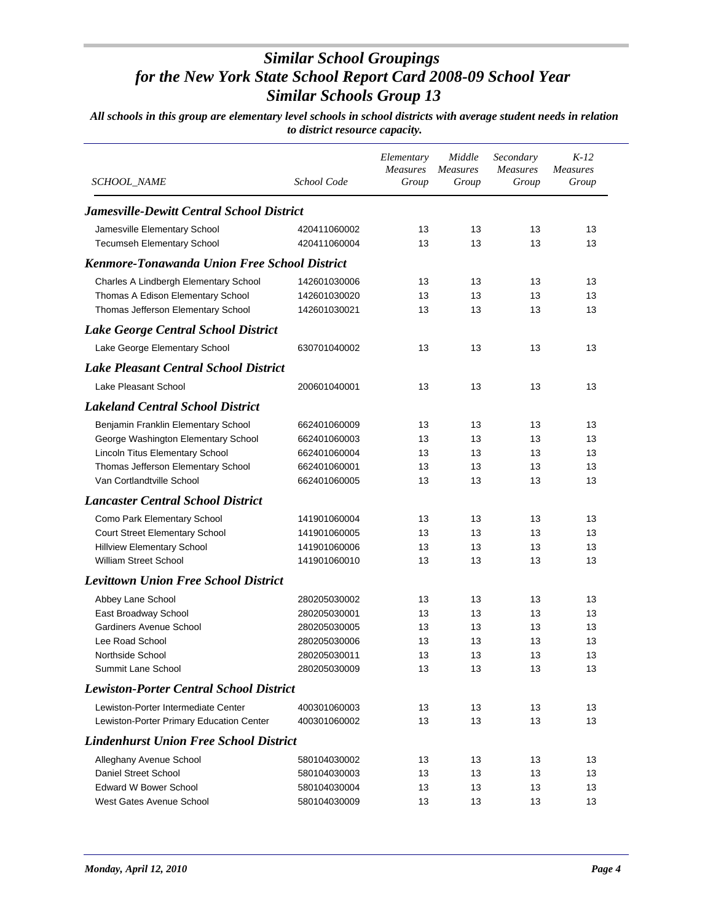| SCHOOL_NAME                                         | School Code  | Elementary<br><b>Measures</b><br>Group | Middle<br><b>Measures</b><br>Group | Secondary<br><b>Measures</b><br>Group | $K-12$<br><b>Measures</b><br>Group |
|-----------------------------------------------------|--------------|----------------------------------------|------------------------------------|---------------------------------------|------------------------------------|
| <b>Jamesville-Dewitt Central School District</b>    |              |                                        |                                    |                                       |                                    |
| Jamesville Elementary School                        | 420411060002 | 13                                     | 13                                 | 13                                    | 13                                 |
| <b>Tecumseh Elementary School</b>                   | 420411060004 | 13                                     | 13                                 | 13                                    | 13                                 |
| <b>Kenmore-Tonawanda Union Free School District</b> |              |                                        |                                    |                                       |                                    |
| Charles A Lindbergh Elementary School               | 142601030006 | 13                                     | 13                                 | 13                                    | 13                                 |
| Thomas A Edison Elementary School                   | 142601030020 | 13                                     | 13                                 | 13                                    | 13                                 |
| Thomas Jefferson Elementary School                  | 142601030021 | 13                                     | 13                                 | 13                                    | 13                                 |
| Lake George Central School District                 |              |                                        |                                    |                                       |                                    |
| Lake George Elementary School                       | 630701040002 | 13                                     | 13                                 | 13                                    | 13                                 |
| <b>Lake Pleasant Central School District</b>        |              |                                        |                                    |                                       |                                    |
| Lake Pleasant School                                | 200601040001 | 13                                     | 13                                 | 13                                    | 13                                 |
| <b>Lakeland Central School District</b>             |              |                                        |                                    |                                       |                                    |
| Benjamin Franklin Elementary School                 | 662401060009 | 13                                     | 13                                 | 13                                    | 13                                 |
| George Washington Elementary School                 | 662401060003 | 13                                     | 13                                 | 13                                    | 13                                 |
| <b>Lincoln Titus Elementary School</b>              | 662401060004 | 13                                     | 13                                 | 13                                    | 13                                 |
| Thomas Jefferson Elementary School                  | 662401060001 | 13                                     | 13                                 | 13                                    | 13                                 |
| Van Cortlandtville School                           | 662401060005 | 13                                     | 13                                 | 13                                    | 13                                 |
| <b>Lancaster Central School District</b>            |              |                                        |                                    |                                       |                                    |
| Como Park Elementary School                         | 141901060004 | 13                                     | 13                                 | 13                                    | 13                                 |
| <b>Court Street Elementary School</b>               | 141901060005 | 13                                     | 13                                 | 13                                    | 13                                 |
| <b>Hillview Elementary School</b>                   | 141901060006 | 13                                     | 13                                 | 13                                    | 13                                 |
| <b>William Street School</b>                        | 141901060010 | 13                                     | 13                                 | 13                                    | 13                                 |
| <b>Levittown Union Free School District</b>         |              |                                        |                                    |                                       |                                    |
| Abbey Lane School                                   | 280205030002 | 13                                     | 13                                 | 13                                    | 13                                 |
| East Broadway School                                | 280205030001 | 13                                     | 13                                 | 13                                    | 13                                 |
| Gardiners Avenue School                             | 280205030005 | 13                                     | 13                                 | 13                                    | 13                                 |
| Lee Road School                                     | 280205030006 | 13                                     | 13                                 | 13                                    | 13                                 |
| Northside School                                    | 280205030011 | 13                                     | 13                                 | 13                                    | 13                                 |
| Summit Lane School                                  | 280205030009 | 13                                     | 13                                 | 13                                    | 13                                 |
| <b>Lewiston-Porter Central School District</b>      |              |                                        |                                    |                                       |                                    |
| Lewiston-Porter Intermediate Center                 | 400301060003 | 13                                     | 13                                 | 13                                    | 13                                 |
| Lewiston-Porter Primary Education Center            | 400301060002 | 13                                     | 13                                 | 13                                    | 13                                 |
| <b>Lindenhurst Union Free School District</b>       |              |                                        |                                    |                                       |                                    |
| Alleghany Avenue School                             | 580104030002 | 13                                     | 13                                 | 13                                    | 13                                 |
| Daniel Street School                                | 580104030003 | 13                                     | 13                                 | 13                                    | 13                                 |
| <b>Edward W Bower School</b>                        | 580104030004 | 13                                     | 13                                 | 13                                    | 13                                 |
| West Gates Avenue School                            | 580104030009 | 13                                     | 13                                 | 13                                    | 13                                 |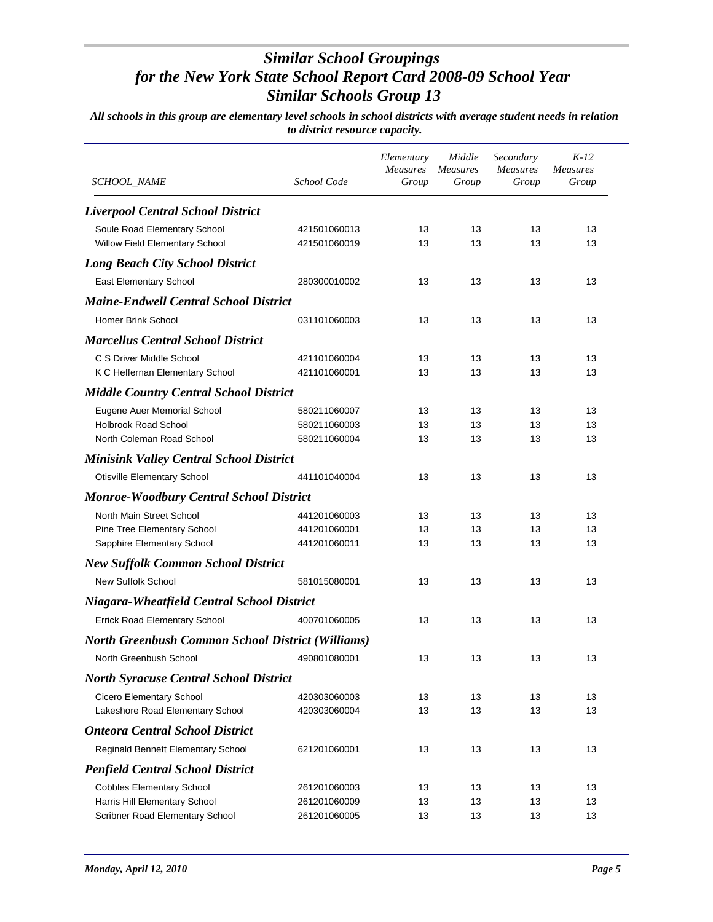| SCHOOL_NAME                                              | School Code  | Elementary<br><b>Measures</b><br>Group | Middle<br><i>Measures</i><br>Group | Secondary<br><b>Measures</b><br>Group | $K-12$<br><b>Measures</b><br>Group |
|----------------------------------------------------------|--------------|----------------------------------------|------------------------------------|---------------------------------------|------------------------------------|
| <b>Liverpool Central School District</b>                 |              |                                        |                                    |                                       |                                    |
| Soule Road Elementary School                             | 421501060013 | 13                                     | 13                                 | 13                                    | 13                                 |
| Willow Field Elementary School                           | 421501060019 | 13                                     | 13                                 | 13                                    | 13                                 |
| <b>Long Beach City School District</b>                   |              |                                        |                                    |                                       |                                    |
| East Elementary School                                   | 280300010002 | 13                                     | 13                                 | 13                                    | 13                                 |
| <b>Maine-Endwell Central School District</b>             |              |                                        |                                    |                                       |                                    |
| Homer Brink School                                       | 031101060003 | 13                                     | 13                                 | 13                                    | 13                                 |
| <b>Marcellus Central School District</b>                 |              |                                        |                                    |                                       |                                    |
| C S Driver Middle School                                 | 421101060004 | 13                                     | 13                                 | 13                                    | 13                                 |
| K C Heffernan Elementary School                          | 421101060001 | 13                                     | 13                                 | 13                                    | 13                                 |
| <b>Middle Country Central School District</b>            |              |                                        |                                    |                                       |                                    |
| Eugene Auer Memorial School                              | 580211060007 | 13                                     | 13                                 | 13                                    | 13                                 |
| <b>Holbrook Road School</b>                              | 580211060003 | 13                                     | 13                                 | 13                                    | 13                                 |
| North Coleman Road School                                | 580211060004 | 13                                     | 13                                 | 13                                    | 13                                 |
| <b>Minisink Valley Central School District</b>           |              |                                        |                                    |                                       |                                    |
| <b>Otisville Elementary School</b>                       | 441101040004 | 13                                     | 13                                 | 13                                    | 13                                 |
| <b>Monroe-Woodbury Central School District</b>           |              |                                        |                                    |                                       |                                    |
| North Main Street School                                 | 441201060003 | 13                                     | 13                                 | 13                                    | 13                                 |
| Pine Tree Elementary School                              | 441201060001 | 13                                     | 13                                 | 13                                    | 13                                 |
| Sapphire Elementary School                               | 441201060011 | 13                                     | 13                                 | 13                                    | 13                                 |
| <b>New Suffolk Common School District</b>                |              |                                        |                                    |                                       |                                    |
| <b>New Suffolk School</b>                                | 581015080001 | 13                                     | 13                                 | 13                                    | 13                                 |
| <b>Niagara-Wheatfield Central School District</b>        |              |                                        |                                    |                                       |                                    |
| <b>Errick Road Elementary School</b>                     | 400701060005 | 13                                     | 13                                 | 13                                    | 13                                 |
| <b>North Greenbush Common School District (Williams)</b> |              |                                        |                                    |                                       |                                    |
| North Greenbush School                                   | 490801080001 | 13                                     | 13                                 | 13                                    | 13                                 |
| <b>North Syracuse Central School District</b>            |              |                                        |                                    |                                       |                                    |
| Cicero Elementary School                                 | 420303060003 | 13                                     | 13                                 | 13                                    | 13                                 |
| Lakeshore Road Elementary School                         | 420303060004 | 13                                     | 13                                 | 13                                    | 13                                 |
| <b>Onteora Central School District</b>                   |              |                                        |                                    |                                       |                                    |
| Reginald Bennett Elementary School                       | 621201060001 | 13                                     | 13                                 | 13                                    | 13                                 |
| <b>Penfield Central School District</b>                  |              |                                        |                                    |                                       |                                    |
| <b>Cobbles Elementary School</b>                         | 261201060003 | 13                                     | 13                                 | 13                                    | 13                                 |
| Harris Hill Elementary School                            | 261201060009 | 13                                     | 13                                 | 13                                    | 13                                 |
| Scribner Road Elementary School                          | 261201060005 | 13                                     | 13                                 | 13                                    | 13                                 |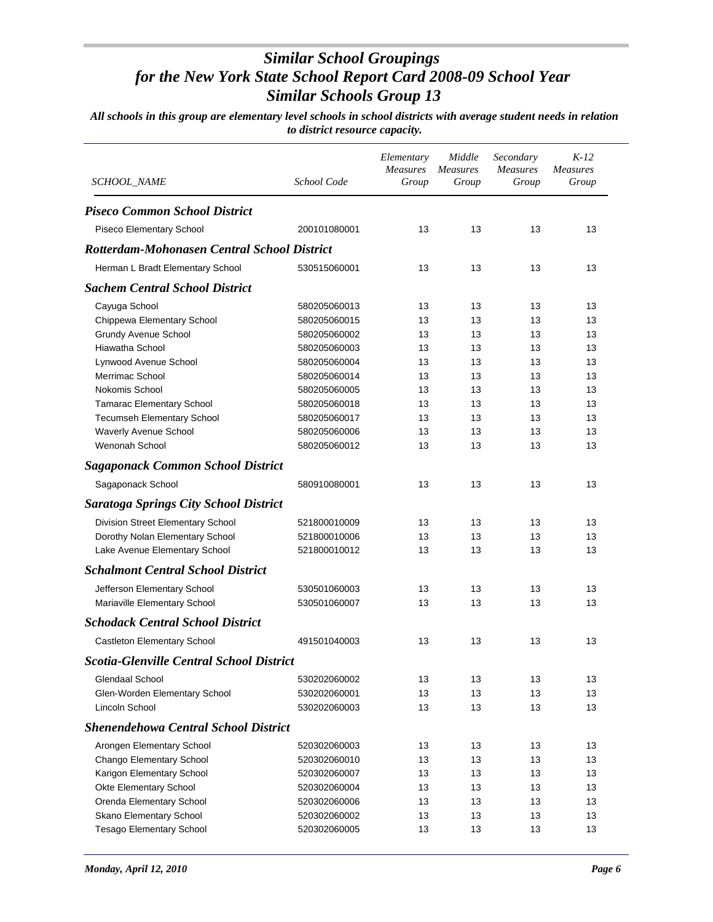| <i>SCHOOL_NAME</i>                                 | School Code                  | Elementary<br><b>Measures</b><br>Group | Middle<br><b>Measures</b><br>Group | Secondary<br>Measures<br>Group | $K-12$<br><b>Measures</b><br>Group |
|----------------------------------------------------|------------------------------|----------------------------------------|------------------------------------|--------------------------------|------------------------------------|
| <b>Piseco Common School District</b>               |                              |                                        |                                    |                                |                                    |
| Piseco Elementary School                           | 200101080001                 | 13                                     | 13                                 | 13                             | 13                                 |
| <b>Rotterdam-Mohonasen Central School District</b> |                              |                                        |                                    |                                |                                    |
| Herman L Bradt Elementary School                   | 530515060001                 | 13                                     | 13                                 | 13                             | 13                                 |
| <b>Sachem Central School District</b>              |                              |                                        |                                    |                                |                                    |
|                                                    |                              | 13                                     | 13                                 | 13                             | 13                                 |
| Cayuga School<br>Chippewa Elementary School        | 580205060013<br>580205060015 | 13                                     | 13                                 | 13                             | 13                                 |
| <b>Grundy Avenue School</b>                        | 580205060002                 | 13                                     | 13                                 | 13                             | 13                                 |
| Hiawatha School                                    | 580205060003                 | 13                                     | 13                                 | 13                             | 13                                 |
| Lynwood Avenue School                              | 580205060004                 | 13                                     | 13                                 | 13                             | 13                                 |
| Merrimac School                                    | 580205060014                 | 13                                     | 13                                 | 13                             | 13                                 |
| Nokomis School                                     | 580205060005                 | 13                                     | 13                                 | 13                             | 13                                 |
| <b>Tamarac Elementary School</b>                   | 580205060018                 | 13                                     | 13                                 | 13                             | 13                                 |
| <b>Tecumseh Elementary School</b>                  | 580205060017                 | 13                                     | 13                                 | 13                             | 13                                 |
| Waverly Avenue School                              | 580205060006                 | 13                                     | 13                                 | 13                             | 13                                 |
| Wenonah School                                     | 580205060012                 | 13                                     | 13                                 | 13                             | 13                                 |
| <b>Sagaponack Common School District</b>           |                              |                                        |                                    |                                |                                    |
| Sagaponack School                                  | 580910080001                 | 13                                     | 13                                 | 13                             | 13                                 |
| <b>Saratoga Springs City School District</b>       |                              |                                        |                                    |                                |                                    |
| Division Street Elementary School                  | 521800010009                 | 13                                     | 13                                 | 13                             | 13                                 |
| Dorothy Nolan Elementary School                    | 521800010006                 | 13                                     | 13                                 | 13                             | 13                                 |
| Lake Avenue Elementary School                      | 521800010012                 | 13                                     | 13                                 | 13                             | 13                                 |
| <b>Schalmont Central School District</b>           |                              |                                        |                                    |                                |                                    |
| Jefferson Elementary School                        | 530501060003                 | 13                                     | 13                                 | 13                             | 13                                 |
| Mariaville Elementary School                       | 530501060007                 | 13                                     | 13                                 | 13                             | 13                                 |
| <b>Schodack Central School District</b>            |                              |                                        |                                    |                                |                                    |
| Castleton Elementary School                        | 491501040003                 | 13                                     | 13                                 | 13                             | 13                                 |
| <b>Scotia-Glenville Central School District</b>    |                              |                                        |                                    |                                |                                    |
|                                                    |                              |                                        |                                    |                                |                                    |
| Glendaal School                                    | 530202060002                 | 13                                     | 13                                 | 13                             | 13                                 |
| Glen-Worden Elementary School                      | 530202060001                 | 13                                     | 13                                 | 13                             | 13                                 |
| Lincoln School                                     | 530202060003                 | 13                                     | 13                                 | 13                             | 13                                 |
| <b>Shenendehowa Central School District</b>        |                              |                                        |                                    |                                |                                    |
| Arongen Elementary School                          | 520302060003                 | 13                                     | 13                                 | 13                             | 13                                 |
| Chango Elementary School                           | 520302060010                 | 13                                     | 13                                 | 13                             | 13                                 |
| Karigon Elementary School                          | 520302060007                 | 13                                     | 13                                 | 13                             | 13                                 |
| Okte Elementary School                             | 520302060004                 | 13                                     | 13                                 | 13                             | 13                                 |
| Orenda Elementary School                           | 520302060006                 | 13                                     | 13                                 | 13                             | 13                                 |
| Skano Elementary School                            | 520302060002                 | 13                                     | 13                                 | 13                             | 13                                 |
| <b>Tesago Elementary School</b>                    | 520302060005                 | 13                                     | 13                                 | 13                             | 13                                 |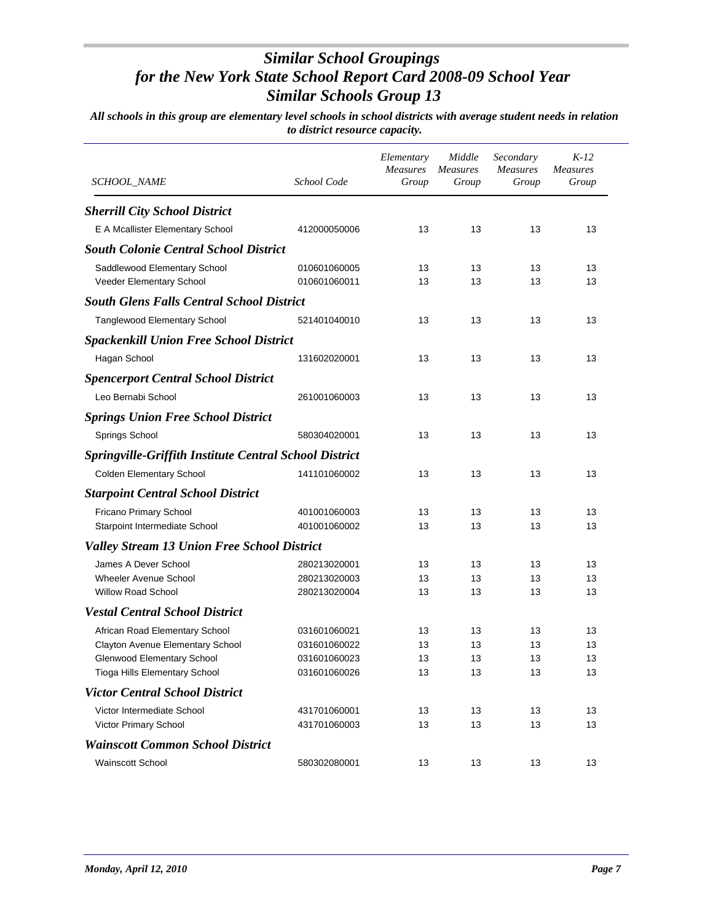| <i>SCHOOL_NAME</i>                                            | School Code                  | Elementary<br>Measures<br>Group | Middle<br><b>Measures</b><br>Group | Secondary<br><b>Measures</b><br>Group | $K-12$<br><b>Measures</b><br>Group |
|---------------------------------------------------------------|------------------------------|---------------------------------|------------------------------------|---------------------------------------|------------------------------------|
| <b>Sherrill City School District</b>                          |                              |                                 |                                    |                                       |                                    |
| E A Mcallister Elementary School                              | 412000050006                 | 13                              | 13                                 | 13                                    | 13                                 |
| <b>South Colonie Central School District</b>                  |                              |                                 |                                    |                                       |                                    |
| Saddlewood Elementary School<br>Veeder Elementary School      | 010601060005<br>010601060011 | 13<br>13                        | 13<br>13                           | 13<br>13                              | 13<br>13                           |
| <b>South Glens Falls Central School District</b>              |                              |                                 |                                    |                                       |                                    |
| <b>Tanglewood Elementary School</b>                           | 521401040010                 | 13                              | 13                                 | 13                                    | 13                                 |
| <b>Spackenkill Union Free School District</b>                 |                              |                                 |                                    |                                       |                                    |
| Hagan School                                                  | 131602020001                 | 13                              | 13                                 | 13                                    | 13                                 |
| <b>Spencerport Central School District</b>                    |                              |                                 |                                    |                                       |                                    |
| Leo Bernabi School                                            | 261001060003                 | 13                              | 13                                 | 13                                    | 13                                 |
| <b>Springs Union Free School District</b>                     |                              |                                 |                                    |                                       |                                    |
| Springs School                                                | 580304020001                 | 13                              | 13                                 | 13                                    | 13                                 |
| <b>Springville-Griffith Institute Central School District</b> |                              |                                 |                                    |                                       |                                    |
| Colden Elementary School                                      | 141101060002                 | 13                              | 13                                 | 13                                    | 13                                 |
| <b>Starpoint Central School District</b>                      |                              |                                 |                                    |                                       |                                    |
| Fricano Primary School                                        | 401001060003                 | 13                              | 13                                 | 13                                    | 13                                 |
| Starpoint Intermediate School                                 | 401001060002                 | 13                              | 13                                 | 13                                    | 13                                 |
| <b>Valley Stream 13 Union Free School District</b>            |                              |                                 |                                    |                                       |                                    |
| James A Dever School                                          | 280213020001                 | 13                              | 13                                 | 13                                    | 13                                 |
| <b>Wheeler Avenue School</b>                                  | 280213020003                 | 13                              | 13                                 | 13                                    | 13                                 |
| <b>Willow Road School</b>                                     | 280213020004                 | 13                              | 13                                 | 13                                    | 13                                 |
| <b>Vestal Central School District</b>                         |                              |                                 |                                    |                                       |                                    |
| African Road Elementary School                                | 031601060021                 | 13                              | 13                                 | 13                                    | 13                                 |
| Clayton Avenue Elementary School                              | 031601060022                 | 13                              | 13                                 | 13                                    | 13                                 |
| Glenwood Elementary School                                    | 031601060023                 | 13                              | 13                                 | 13                                    | 13                                 |
| Tioga Hills Elementary School                                 | 031601060026                 | 13                              | 13                                 | 13                                    | 13                                 |
| <b>Victor Central School District</b>                         |                              |                                 |                                    |                                       |                                    |
| Victor Intermediate School                                    | 431701060001                 | 13                              | 13                                 | 13                                    | 13                                 |
| Victor Primary School                                         | 431701060003                 | 13                              | 13                                 | 13                                    | 13                                 |
| <b>Wainscott Common School District</b>                       |                              |                                 |                                    |                                       |                                    |
| <b>Wainscott School</b>                                       | 580302080001                 | 13                              | 13                                 | 13                                    | 13                                 |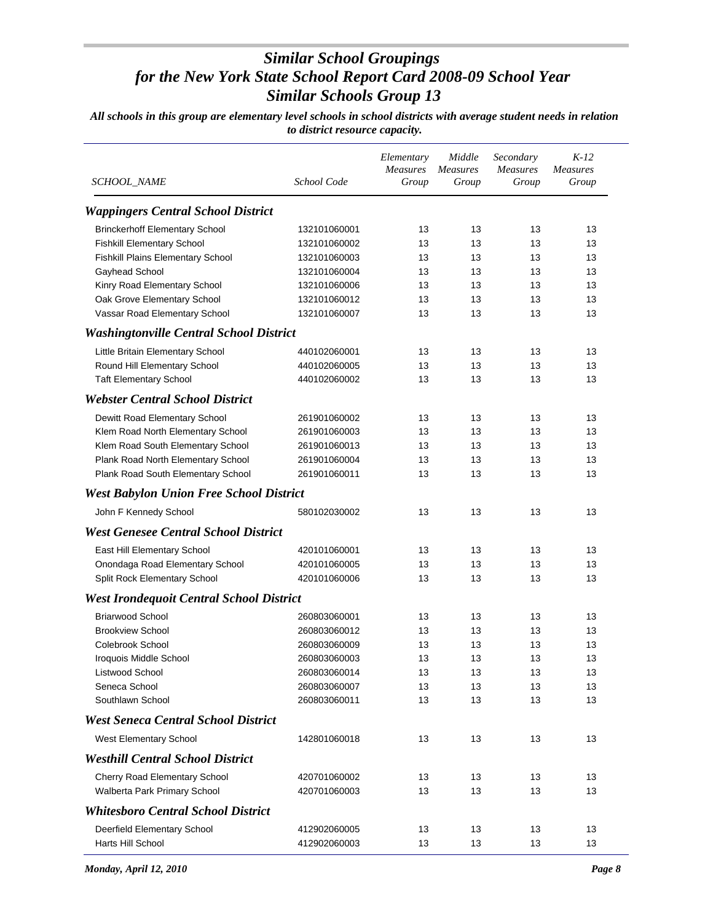| SCHOOL_NAME                                     | School Code  | Elementary<br><b>Measures</b><br>Group | Middle<br><b>Measures</b><br>Group | Secondary<br><b>Measures</b><br>Group | $K-12$<br><b>Measures</b><br>Group |
|-------------------------------------------------|--------------|----------------------------------------|------------------------------------|---------------------------------------|------------------------------------|
| <b>Wappingers Central School District</b>       |              |                                        |                                    |                                       |                                    |
| <b>Brinckerhoff Elementary School</b>           | 132101060001 | 13                                     | 13                                 | 13                                    | 13                                 |
| <b>Fishkill Elementary School</b>               | 132101060002 | 13                                     | 13                                 | 13                                    | 13                                 |
| Fishkill Plains Elementary School               | 132101060003 | 13                                     | 13                                 | 13                                    | 13                                 |
| Gayhead School                                  | 132101060004 | 13                                     | 13                                 | 13                                    | 13                                 |
| Kinry Road Elementary School                    | 132101060006 | 13                                     | 13                                 | 13                                    | 13                                 |
| Oak Grove Elementary School                     | 132101060012 | 13                                     | 13                                 | 13                                    | 13                                 |
| Vassar Road Elementary School                   | 132101060007 | 13                                     | 13                                 | 13                                    | 13                                 |
| <b>Washingtonville Central School District</b>  |              |                                        |                                    |                                       |                                    |
| Little Britain Elementary School                | 440102060001 | 13                                     | 13                                 | 13                                    | 13                                 |
| Round Hill Elementary School                    | 440102060005 | 13                                     | 13                                 | 13                                    | 13                                 |
| <b>Taft Elementary School</b>                   | 440102060002 | 13                                     | 13                                 | 13                                    | 13                                 |
| <b>Webster Central School District</b>          |              |                                        |                                    |                                       |                                    |
| Dewitt Road Elementary School                   | 261901060002 | 13                                     | 13                                 | 13                                    | 13                                 |
| Klem Road North Elementary School               | 261901060003 | 13                                     | 13                                 | 13                                    | 13                                 |
| Klem Road South Elementary School               | 261901060013 | 13                                     | 13                                 | 13                                    | 13                                 |
| Plank Road North Elementary School              | 261901060004 | 13                                     | 13                                 | 13                                    | 13                                 |
| Plank Road South Elementary School              | 261901060011 | 13                                     | 13                                 | 13                                    | 13                                 |
| <b>West Babylon Union Free School District</b>  |              |                                        |                                    |                                       |                                    |
| John F Kennedy School                           | 580102030002 | 13                                     | 13                                 | 13                                    | 13                                 |
| <b>West Genesee Central School District</b>     |              |                                        |                                    |                                       |                                    |
| East Hill Elementary School                     | 420101060001 | 13                                     | 13                                 | 13                                    | 13                                 |
| Onondaga Road Elementary School                 | 420101060005 | 13                                     | 13                                 | 13                                    | 13                                 |
| Split Rock Elementary School                    | 420101060006 | 13                                     | 13                                 | 13                                    | 13                                 |
| <b>West Irondequoit Central School District</b> |              |                                        |                                    |                                       |                                    |
| Briarwood School                                | 260803060001 | 13                                     | 13                                 | 13                                    | 13                                 |
| <b>Brookview School</b>                         | 260803060012 | 13                                     | 13                                 | 13                                    | 13                                 |
| Colebrook School                                | 260803060009 | 13                                     | 13                                 | 13                                    | 13                                 |
| Iroquois Middle School                          | 260803060003 | 13                                     | 13                                 | 13                                    | 13                                 |
| Listwood School                                 | 260803060014 | 13                                     | 13                                 | 13                                    | 13                                 |
| Seneca School                                   | 260803060007 | 13                                     | 13                                 | 13                                    | 13                                 |
| Southlawn School                                | 260803060011 | 13                                     | 13                                 | 13                                    | 13                                 |
| <b>West Seneca Central School District</b>      |              |                                        |                                    |                                       |                                    |
| West Elementary School                          | 142801060018 | 13                                     | 13                                 | 13                                    | 13                                 |
| <b>Westhill Central School District</b>         |              |                                        |                                    |                                       |                                    |
| Cherry Road Elementary School                   | 420701060002 | 13                                     | 13                                 | 13                                    | 13                                 |
| Walberta Park Primary School                    | 420701060003 | 13                                     | 13                                 | 13                                    | 13                                 |
| <b>Whitesboro Central School District</b>       |              |                                        |                                    |                                       |                                    |
| Deerfield Elementary School                     | 412902060005 | 13                                     | 13                                 | 13                                    | 13                                 |
| Harts Hill School                               | 412902060003 | 13                                     | 13                                 | 13                                    | 13                                 |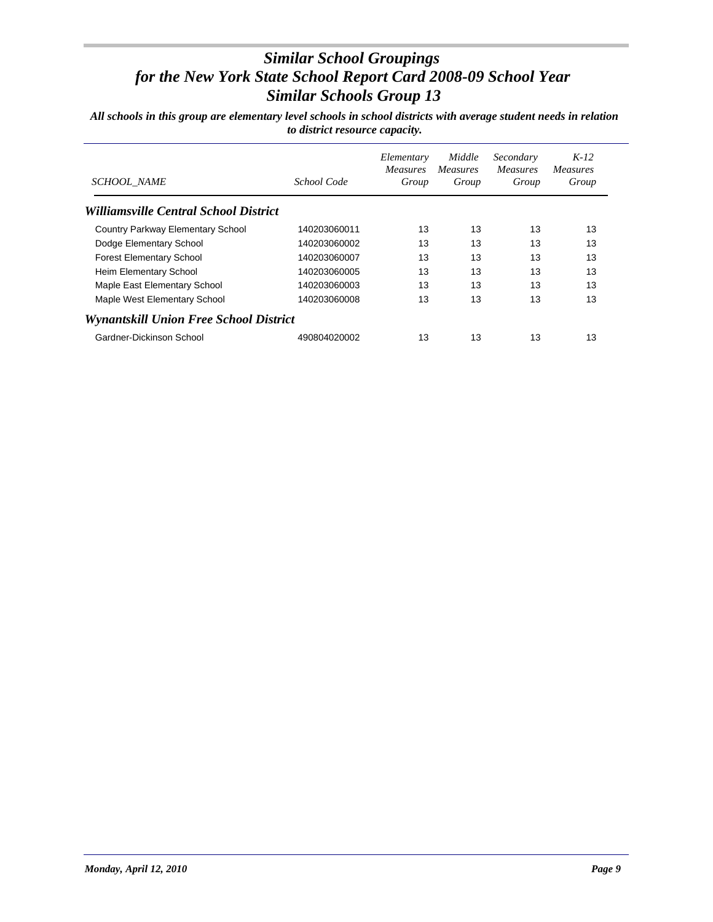| <b>SCHOOL NAME</b>                     | School Code  | Elementary<br><b>Measures</b><br>Group | Middle<br><i>Measures</i><br>Group | Secondary<br><i>Measures</i><br>Group | $K-12$<br>Measures<br>Group |
|----------------------------------------|--------------|----------------------------------------|------------------------------------|---------------------------------------|-----------------------------|
| Williamsville Central School District  |              |                                        |                                    |                                       |                             |
| Country Parkway Elementary School      | 140203060011 | 13                                     | 13                                 | 13                                    | 13                          |
| Dodge Elementary School                | 140203060002 | 13                                     | 13                                 | 13                                    | 13                          |
| <b>Forest Elementary School</b>        | 140203060007 | 13                                     | 13                                 | 13                                    | 13                          |
| Heim Elementary School                 | 140203060005 | 13                                     | 13                                 | 13                                    | 13                          |
| Maple East Elementary School           | 140203060003 | 13                                     | 13                                 | 13                                    | 13                          |
| Maple West Elementary School           | 140203060008 | 13                                     | 13                                 | 13                                    | 13                          |
| Wynantskill Union Free School District |              |                                        |                                    |                                       |                             |
| Gardner-Dickinson School               | 490804020002 | 13                                     | 13                                 | 13                                    | 13                          |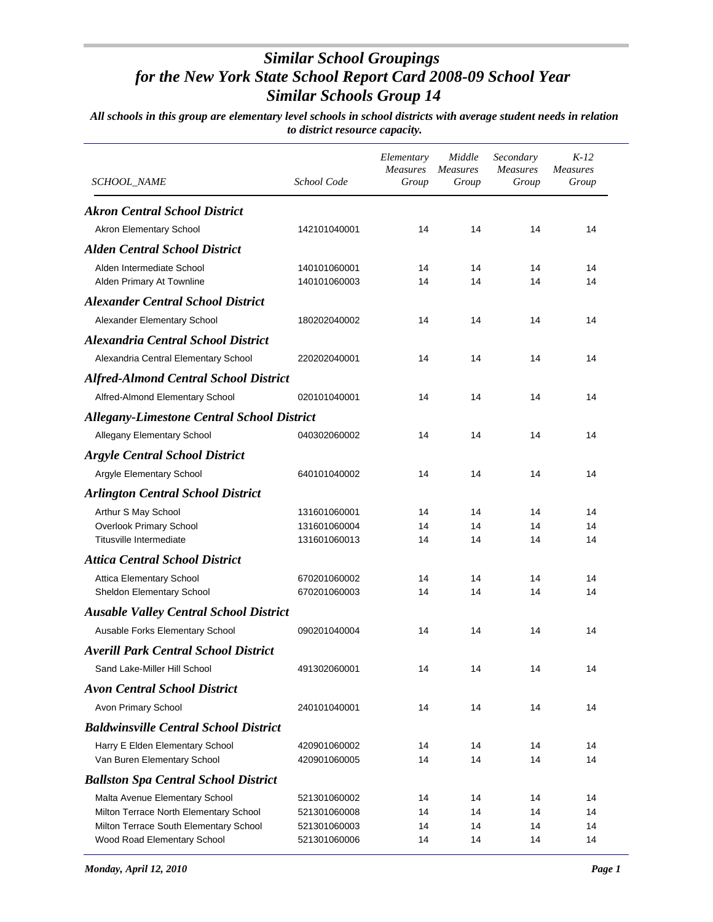| Group<br>Group       |
|----------------------|
|                      |
|                      |
| 14<br>14             |
|                      |
| 14<br>14<br>14<br>14 |
|                      |
| 14<br>14             |
|                      |
| 14<br>14             |
|                      |
| 14<br>14             |
|                      |
| 14<br>14             |
|                      |
| 14<br>14             |
|                      |
| 14                   |
| 14<br>14             |
| 14<br>14             |
|                      |
| 14<br>14             |
| 14<br>14             |
|                      |
| 14<br>14             |
|                      |
| 14<br>14             |
|                      |
| 14<br>14             |
|                      |
| 14<br>14             |
| 14<br>14             |
|                      |
| 14<br>14             |
|                      |
| 14<br>14<br>14<br>14 |
| 14                   |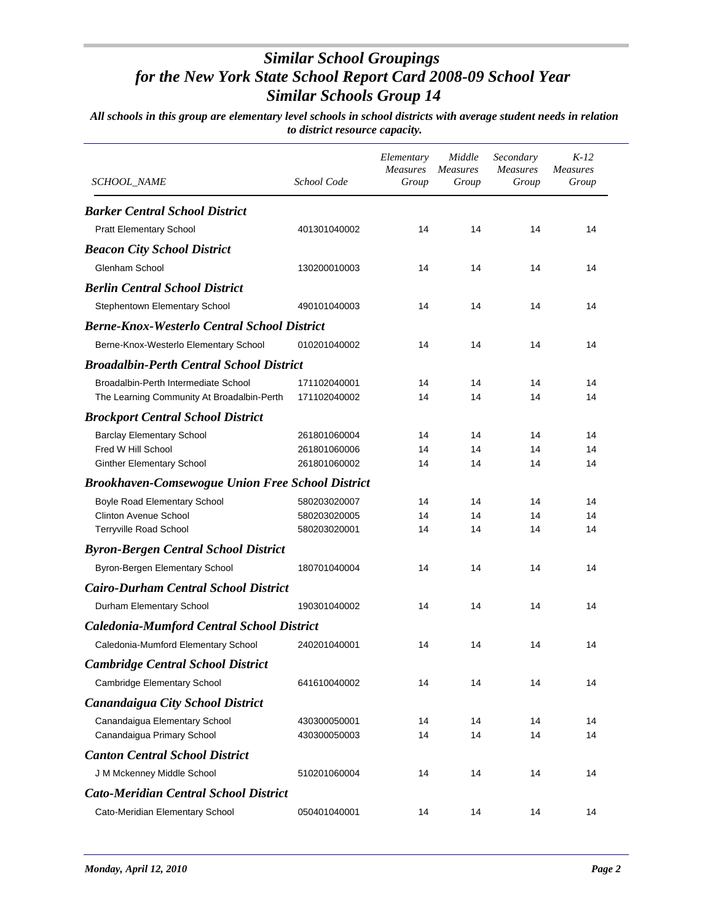| SCHOOL_NAME                                             | School Code  | Elementary<br><b>Measures</b><br>Group | Middle<br><b>Measures</b><br>Group | Secondary<br>Measures<br>Group | $K-12$<br><b>Measures</b><br>Group |
|---------------------------------------------------------|--------------|----------------------------------------|------------------------------------|--------------------------------|------------------------------------|
| <b>Barker Central School District</b>                   |              |                                        |                                    |                                |                                    |
| <b>Pratt Elementary School</b>                          | 401301040002 | 14                                     | 14                                 | 14                             | 14                                 |
| <b>Beacon City School District</b>                      |              |                                        |                                    |                                |                                    |
| Glenham School                                          | 130200010003 | 14                                     | 14                                 | 14                             | 14                                 |
| <b>Berlin Central School District</b>                   |              |                                        |                                    |                                |                                    |
| Stephentown Elementary School                           | 490101040003 | 14                                     | 14                                 | 14                             | 14                                 |
| <b>Berne-Knox-Westerlo Central School District</b>      |              |                                        |                                    |                                |                                    |
| Berne-Knox-Westerlo Elementary School                   | 010201040002 | 14                                     | 14                                 | 14                             | 14                                 |
| <b>Broadalbin-Perth Central School District</b>         |              |                                        |                                    |                                |                                    |
| Broadalbin-Perth Intermediate School                    | 171102040001 | 14                                     | 14                                 | 14                             | 14                                 |
| The Learning Community At Broadalbin-Perth              | 171102040002 | 14                                     | 14                                 | 14                             | 14                                 |
| <b>Brockport Central School District</b>                |              |                                        |                                    |                                |                                    |
| <b>Barclay Elementary School</b>                        | 261801060004 | 14                                     | 14                                 | 14                             | 14                                 |
| Fred W Hill School                                      | 261801060006 | 14                                     | 14                                 | 14                             | 14                                 |
| <b>Ginther Elementary School</b>                        | 261801060002 | 14                                     | 14                                 | 14                             | 14                                 |
| <b>Brookhaven-Comsewogue Union Free School District</b> |              |                                        |                                    |                                |                                    |
| Boyle Road Elementary School                            | 580203020007 | 14                                     | 14                                 | 14                             | 14                                 |
| <b>Clinton Avenue School</b>                            | 580203020005 | 14                                     | 14                                 | 14                             | 14                                 |
| Terryville Road School                                  | 580203020001 | 14                                     | 14                                 | 14                             | 14                                 |
| <b>Byron-Bergen Central School District</b>             |              |                                        |                                    |                                |                                    |
| Byron-Bergen Elementary School                          | 180701040004 | 14                                     | 14                                 | 14                             | 14                                 |
| <b>Cairo-Durham Central School District</b>             |              |                                        |                                    |                                |                                    |
| Durham Elementary School                                | 190301040002 | 14                                     | 14                                 | 14                             | 14                                 |
| <b>Caledonia-Mumford Central School District</b>        |              |                                        |                                    |                                |                                    |
| Caledonia-Mumford Elementary School                     | 240201040001 | 14                                     | 14                                 | 14                             | 14                                 |
| <b>Cambridge Central School District</b>                |              |                                        |                                    |                                |                                    |
| Cambridge Elementary School                             | 641610040002 | 14                                     | 14                                 | 14                             | 14                                 |
| <b>Canandaigua City School District</b>                 |              |                                        |                                    |                                |                                    |
| Canandaigua Elementary School                           | 430300050001 | 14                                     | 14                                 | 14                             | 14                                 |
| Canandaigua Primary School                              | 430300050003 | 14                                     | 14                                 | 14                             | 14                                 |
| <b>Canton Central School District</b>                   |              |                                        |                                    |                                |                                    |
| J M Mckenney Middle School                              | 510201060004 | 14                                     | 14                                 | 14                             | 14                                 |
| <b>Cato-Meridian Central School District</b>            |              |                                        |                                    |                                |                                    |
| Cato-Meridian Elementary School                         | 050401040001 | 14                                     | 14                                 | 14                             | 14                                 |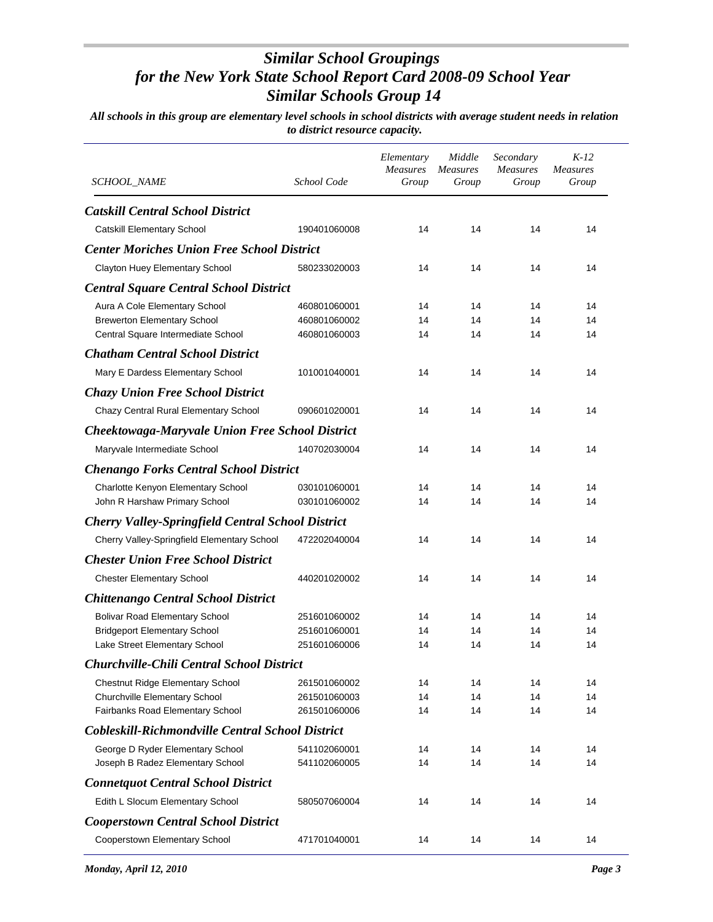| SCHOOL_NAME                                              | School Code  | Elementary<br><b>Measures</b><br>Group | Middle<br><b>Measures</b><br>Group | Secondary<br><b>Measures</b><br>Group | $K-12$<br><b>Measures</b><br>Group |
|----------------------------------------------------------|--------------|----------------------------------------|------------------------------------|---------------------------------------|------------------------------------|
| <b>Catskill Central School District</b>                  |              |                                        |                                    |                                       |                                    |
| Catskill Elementary School                               | 190401060008 | 14                                     | 14                                 | 14                                    | 14                                 |
| <b>Center Moriches Union Free School District</b>        |              |                                        |                                    |                                       |                                    |
| Clayton Huey Elementary School                           | 580233020003 | 14                                     | 14                                 | 14                                    | 14                                 |
| <b>Central Square Central School District</b>            |              |                                        |                                    |                                       |                                    |
| Aura A Cole Elementary School                            | 460801060001 | 14                                     | 14                                 | 14                                    | 14                                 |
| <b>Brewerton Elementary School</b>                       | 460801060002 | 14                                     | 14                                 | 14                                    | 14                                 |
| Central Square Intermediate School                       | 460801060003 | 14                                     | 14                                 | 14                                    | 14                                 |
| <b>Chatham Central School District</b>                   |              |                                        |                                    |                                       |                                    |
| Mary E Dardess Elementary School                         | 101001040001 | 14                                     | 14                                 | 14                                    | 14                                 |
| <b>Chazy Union Free School District</b>                  |              |                                        |                                    |                                       |                                    |
| Chazy Central Rural Elementary School                    | 090601020001 | 14                                     | 14                                 | 14                                    | 14                                 |
| <b>Cheektowaga-Maryvale Union Free School District</b>   |              |                                        |                                    |                                       |                                    |
| Maryvale Intermediate School                             | 140702030004 | 14                                     | 14                                 | 14                                    | 14                                 |
| <b>Chenango Forks Central School District</b>            |              |                                        |                                    |                                       |                                    |
| Charlotte Kenyon Elementary School                       | 030101060001 | 14                                     | 14                                 | 14                                    | 14                                 |
| John R Harshaw Primary School                            | 030101060002 | 14                                     | 14                                 | 14                                    | 14                                 |
| <b>Cherry Valley-Springfield Central School District</b> |              |                                        |                                    |                                       |                                    |
| Cherry Valley-Springfield Elementary School              | 472202040004 | 14                                     | 14                                 | 14                                    | 14                                 |
| <b>Chester Union Free School District</b>                |              |                                        |                                    |                                       |                                    |
| <b>Chester Elementary School</b>                         | 440201020002 | 14                                     | 14                                 | 14                                    | 14                                 |
| <b>Chittenango Central School District</b>               |              |                                        |                                    |                                       |                                    |
| <b>Bolivar Road Elementary School</b>                    | 251601060002 | 14                                     | 14                                 | 14                                    | 14                                 |
| <b>Bridgeport Elementary School</b>                      | 251601060001 | 14                                     | 14                                 | 14                                    | 14                                 |
| Lake Street Elementary School                            | 251601060006 | 14                                     | 14                                 | 14                                    | 14                                 |
| <b>Churchville-Chili Central School District</b>         |              |                                        |                                    |                                       |                                    |
| Chestnut Ridge Elementary School                         | 261501060002 | 14                                     | 14                                 | 14                                    | 14                                 |
| Churchville Elementary School                            | 261501060003 | 14                                     | 14                                 | 14                                    | 14                                 |
| Fairbanks Road Elementary School                         | 261501060006 | 14                                     | 14                                 | 14                                    | 14                                 |
| Cobleskill-Richmondville Central School District         |              |                                        |                                    |                                       |                                    |
| George D Ryder Elementary School                         | 541102060001 | 14                                     | 14                                 | 14                                    | 14                                 |
| Joseph B Radez Elementary School                         | 541102060005 | 14                                     | 14                                 | 14                                    | 14                                 |
| <b>Connetquot Central School District</b>                |              |                                        |                                    |                                       |                                    |
| Edith L Slocum Elementary School                         | 580507060004 | 14                                     | 14                                 | 14                                    | 14                                 |
| <b>Cooperstown Central School District</b>               |              |                                        |                                    |                                       |                                    |
| Cooperstown Elementary School                            | 471701040001 | 14                                     | 14                                 | 14                                    | 14                                 |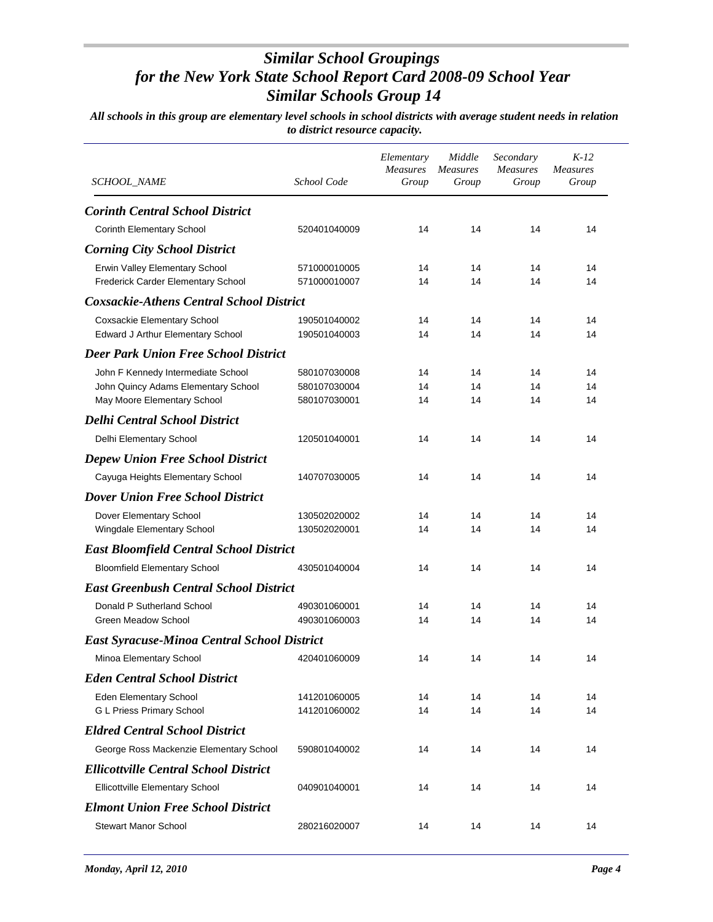| SCHOOL_NAME                                        | School Code  | Elementary<br>Measures<br>Group | Middle<br><b>Measures</b><br>Group | Secondary<br><b>Measures</b><br>Group | $K-12$<br><b>Measures</b><br>Group |
|----------------------------------------------------|--------------|---------------------------------|------------------------------------|---------------------------------------|------------------------------------|
| <b>Corinth Central School District</b>             |              |                                 |                                    |                                       |                                    |
| Corinth Elementary School                          | 520401040009 | 14                              | 14                                 | 14                                    | 14                                 |
| <b>Corning City School District</b>                |              |                                 |                                    |                                       |                                    |
| Erwin Valley Elementary School                     | 571000010005 | 14                              | 14                                 | 14                                    | 14                                 |
| Frederick Carder Elementary School                 | 571000010007 | 14                              | 14                                 | 14                                    | 14                                 |
| <b>Coxsackie-Athens Central School District</b>    |              |                                 |                                    |                                       |                                    |
| <b>Coxsackie Elementary School</b>                 | 190501040002 | 14                              | 14                                 | 14                                    | 14                                 |
| Edward J Arthur Elementary School                  | 190501040003 | 14                              | 14                                 | 14                                    | 14                                 |
| <b>Deer Park Union Free School District</b>        |              |                                 |                                    |                                       |                                    |
| John F Kennedy Intermediate School                 | 580107030008 | 14                              | 14                                 | 14                                    | 14                                 |
| John Quincy Adams Elementary School                | 580107030004 | 14                              | 14                                 | 14                                    | 14                                 |
| May Moore Elementary School                        | 580107030001 | 14                              | 14                                 | 14                                    | 14                                 |
| <b>Delhi Central School District</b>               |              |                                 |                                    |                                       |                                    |
| Delhi Elementary School                            | 120501040001 | 14                              | 14                                 | 14                                    | 14                                 |
| <b>Depew Union Free School District</b>            |              |                                 |                                    |                                       |                                    |
| Cayuga Heights Elementary School                   | 140707030005 | 14                              | 14                                 | 14                                    | 14                                 |
| <b>Dover Union Free School District</b>            |              |                                 |                                    |                                       |                                    |
| Dover Elementary School                            | 130502020002 | 14                              | 14                                 | 14                                    | 14                                 |
| Wingdale Elementary School                         | 130502020001 | 14                              | 14                                 | 14                                    | 14                                 |
| <b>East Bloomfield Central School District</b>     |              |                                 |                                    |                                       |                                    |
| <b>Bloomfield Elementary School</b>                | 430501040004 | 14                              | 14                                 | 14                                    | 14                                 |
| <b>East Greenbush Central School District</b>      |              |                                 |                                    |                                       |                                    |
| Donald P Sutherland School                         | 490301060001 | 14                              | 14                                 | 14                                    | 14                                 |
| Green Meadow School                                | 490301060003 | 14                              | 14                                 | 14                                    | 14                                 |
| <b>East Syracuse-Minoa Central School District</b> |              |                                 |                                    |                                       |                                    |
| Minoa Elementary School                            | 420401060009 | 14                              | 14                                 | 14                                    | 14                                 |
| <b>Eden Central School District</b>                |              |                                 |                                    |                                       |                                    |
| Eden Elementary School                             | 141201060005 | 14                              | 14                                 | 14                                    | 14                                 |
| G L Priess Primary School                          | 141201060002 | 14                              | 14                                 | 14                                    | 14                                 |
| <b>Eldred Central School District</b>              |              |                                 |                                    |                                       |                                    |
| George Ross Mackenzie Elementary School            | 590801040002 | 14                              | 14                                 | 14                                    | 14                                 |
| <b>Ellicottville Central School District</b>       |              |                                 |                                    |                                       |                                    |
| <b>Ellicottville Elementary School</b>             | 040901040001 | 14                              | 14                                 | 14                                    | 14                                 |
| <b>Elmont Union Free School District</b>           |              |                                 |                                    |                                       |                                    |
| <b>Stewart Manor School</b>                        | 280216020007 | 14                              | 14                                 | 14                                    | 14                                 |
|                                                    |              |                                 |                                    |                                       |                                    |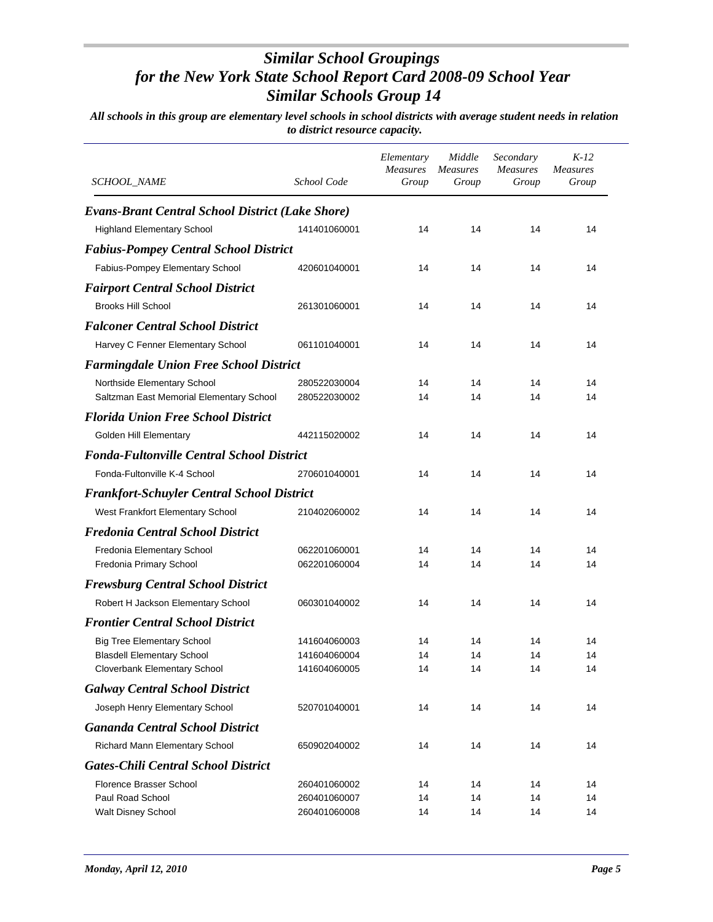| SCHOOL_NAME                                                             | School Code                  | Elementary<br><b>Measures</b><br>Group | Middle<br>Measures<br>Group | Secondary<br><b>Measures</b><br>Group | $K-12$<br>Measures<br>Group |
|-------------------------------------------------------------------------|------------------------------|----------------------------------------|-----------------------------|---------------------------------------|-----------------------------|
| <b>Evans-Brant Central School District (Lake Shore)</b>                 |                              |                                        |                             |                                       |                             |
| <b>Highland Elementary School</b>                                       | 141401060001                 | 14                                     | 14                          | 14                                    | 14                          |
| <b>Fabius-Pompey Central School District</b>                            |                              |                                        |                             |                                       |                             |
| Fabius-Pompey Elementary School                                         | 420601040001                 | 14                                     | 14                          | 14                                    | 14                          |
| <b>Fairport Central School District</b>                                 |                              |                                        |                             |                                       |                             |
| <b>Brooks Hill School</b>                                               | 261301060001                 | 14                                     | 14                          | 14                                    | 14                          |
| <b>Falconer Central School District</b>                                 |                              |                                        |                             |                                       |                             |
|                                                                         | 061101040001                 | 14                                     | 14                          | 14                                    | 14                          |
| Harvey C Fenner Elementary School                                       |                              |                                        |                             |                                       |                             |
| <b>Farmingdale Union Free School District</b>                           |                              |                                        |                             |                                       |                             |
| Northside Elementary School<br>Saltzman East Memorial Elementary School | 280522030004<br>280522030002 | 14<br>14                               | 14<br>14                    | 14<br>14                              | 14<br>14                    |
|                                                                         |                              |                                        |                             |                                       |                             |
| <b>Florida Union Free School District</b>                               |                              |                                        |                             |                                       |                             |
| <b>Golden Hill Elementary</b>                                           | 442115020002                 | 14                                     | 14                          | 14                                    | 14                          |
| <b>Fonda-Fultonville Central School District</b>                        |                              |                                        |                             |                                       |                             |
| Fonda-Fultonville K-4 School                                            | 270601040001                 | 14                                     | 14                          | 14                                    | 14                          |
| <b>Frankfort-Schuyler Central School District</b>                       |                              |                                        |                             |                                       |                             |
| West Frankfort Elementary School                                        | 210402060002                 | 14                                     | 14                          | 14                                    | 14                          |
| <b>Fredonia Central School District</b>                                 |                              |                                        |                             |                                       |                             |
| Fredonia Elementary School                                              | 062201060001                 | 14                                     | 14                          | 14                                    | 14                          |
| Fredonia Primary School                                                 | 062201060004                 | 14                                     | 14                          | 14                                    | 14                          |
| <b>Frewsburg Central School District</b>                                |                              |                                        |                             |                                       |                             |
| Robert H Jackson Elementary School                                      | 060301040002                 | 14                                     | 14                          | 14                                    | 14                          |
| <b>Frontier Central School District</b>                                 |                              |                                        |                             |                                       |                             |
| <b>Big Tree Elementary School</b>                                       | 141604060003                 | 14                                     | 14                          | 14                                    | 14                          |
| <b>Blasdell Elementary School</b>                                       | 141604060004                 | 14                                     | 14                          | 14                                    | 14                          |
| Cloverbank Elementary School                                            | 141604060005                 | 14                                     | 14                          | 14                                    | 14                          |
| <b>Galway Central School District</b>                                   |                              |                                        |                             |                                       |                             |
| Joseph Henry Elementary School                                          | 520701040001                 | 14                                     | 14                          | 14                                    | 14                          |
| <b>Gananda Central School District</b>                                  |                              |                                        |                             |                                       |                             |
| Richard Mann Elementary School                                          | 650902040002                 | 14                                     | 14                          | 14                                    | 14                          |
| <b>Gates-Chili Central School District</b>                              |                              |                                        |                             |                                       |                             |
| Florence Brasser School                                                 | 260401060002                 | 14                                     | 14                          | 14                                    | 14                          |
| Paul Road School                                                        | 260401060007                 | 14                                     | 14                          | 14                                    | 14                          |
| Walt Disney School                                                      | 260401060008                 | 14                                     | 14                          | 14                                    | 14                          |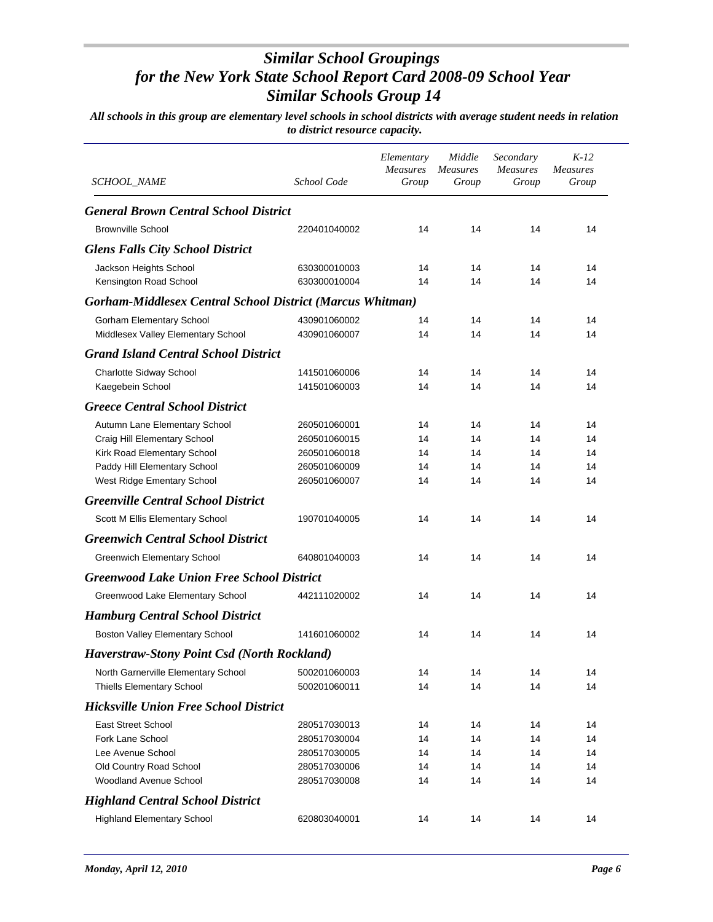| SCHOOL_NAME                                                      | School Code  | Elementary<br><b>Measures</b><br>Group | Middle<br><b>Measures</b><br>Group | Secondary<br><b>Measures</b><br>Group | $K-12$<br><b>Measures</b><br>Group |
|------------------------------------------------------------------|--------------|----------------------------------------|------------------------------------|---------------------------------------|------------------------------------|
| <b>General Brown Central School District</b>                     |              |                                        |                                    |                                       |                                    |
| <b>Brownville School</b>                                         | 220401040002 | 14                                     | 14                                 | 14                                    | 14                                 |
| <b>Glens Falls City School District</b>                          |              |                                        |                                    |                                       |                                    |
| Jackson Heights School                                           | 630300010003 | 14                                     | 14                                 | 14                                    | 14                                 |
| Kensington Road School                                           | 630300010004 | 14                                     | 14                                 | 14                                    | 14                                 |
| <b>Gorham-Middlesex Central School District (Marcus Whitman)</b> |              |                                        |                                    |                                       |                                    |
| <b>Gorham Elementary School</b>                                  | 430901060002 | 14                                     | 14                                 | 14                                    | 14                                 |
| Middlesex Valley Elementary School                               | 430901060007 | 14                                     | 14                                 | 14                                    | 14                                 |
| <b>Grand Island Central School District</b>                      |              |                                        |                                    |                                       |                                    |
| Charlotte Sidway School                                          | 141501060006 | 14                                     | 14                                 | 14                                    | 14                                 |
| Kaegebein School                                                 | 141501060003 | 14                                     | 14                                 | 14                                    | 14                                 |
| <b>Greece Central School District</b>                            |              |                                        |                                    |                                       |                                    |
| Autumn Lane Elementary School                                    | 260501060001 | 14                                     | 14                                 | 14                                    | 14                                 |
| Craig Hill Elementary School                                     | 260501060015 | 14                                     | 14                                 | 14                                    | 14                                 |
| Kirk Road Elementary School                                      | 260501060018 | 14                                     | 14                                 | 14                                    | 14                                 |
| Paddy Hill Elementary School                                     | 260501060009 | 14                                     | 14                                 | 14                                    | 14                                 |
| West Ridge Ementary School                                       | 260501060007 | 14                                     | 14                                 | 14                                    | 14                                 |
| <b>Greenville Central School District</b>                        |              |                                        |                                    |                                       |                                    |
| Scott M Ellis Elementary School                                  | 190701040005 | 14                                     | 14                                 | 14                                    | 14                                 |
| <b>Greenwich Central School District</b>                         |              |                                        |                                    |                                       |                                    |
| <b>Greenwich Elementary School</b>                               | 640801040003 | 14                                     | 14                                 | 14                                    | 14                                 |
| <b>Greenwood Lake Union Free School District</b>                 |              |                                        |                                    |                                       |                                    |
| Greenwood Lake Elementary School                                 | 442111020002 | 14                                     | 14                                 | 14                                    | 14                                 |
| <b>Hamburg Central School District</b>                           |              |                                        |                                    |                                       |                                    |
| Boston Valley Elementary School                                  | 141601060002 | 14                                     | 14                                 | 14                                    | 14                                 |
| <b>Haverstraw-Stony Point Csd (North Rockland)</b>               |              |                                        |                                    |                                       |                                    |
| North Garnerville Elementary School                              | 500201060003 | 14                                     | 14                                 | 14                                    | 14                                 |
| <b>Thiells Elementary School</b>                                 | 500201060011 | 14                                     | 14                                 | 14                                    | 14                                 |
| <b>Hicksville Union Free School District</b>                     |              |                                        |                                    |                                       |                                    |
| <b>East Street School</b>                                        | 280517030013 | 14                                     | 14                                 | 14                                    | 14                                 |
| Fork Lane School                                                 | 280517030004 | 14                                     | 14                                 | 14                                    | 14                                 |
| Lee Avenue School                                                | 280517030005 | 14                                     | 14                                 | 14                                    | 14                                 |
| Old Country Road School                                          | 280517030006 | 14                                     | 14                                 | 14                                    | 14                                 |
| <b>Woodland Avenue School</b>                                    | 280517030008 | 14                                     | 14                                 | 14                                    | 14                                 |
| <b>Highland Central School District</b>                          |              |                                        |                                    |                                       |                                    |
| <b>Highland Elementary School</b>                                | 620803040001 | 14                                     | 14                                 | 14                                    | 14                                 |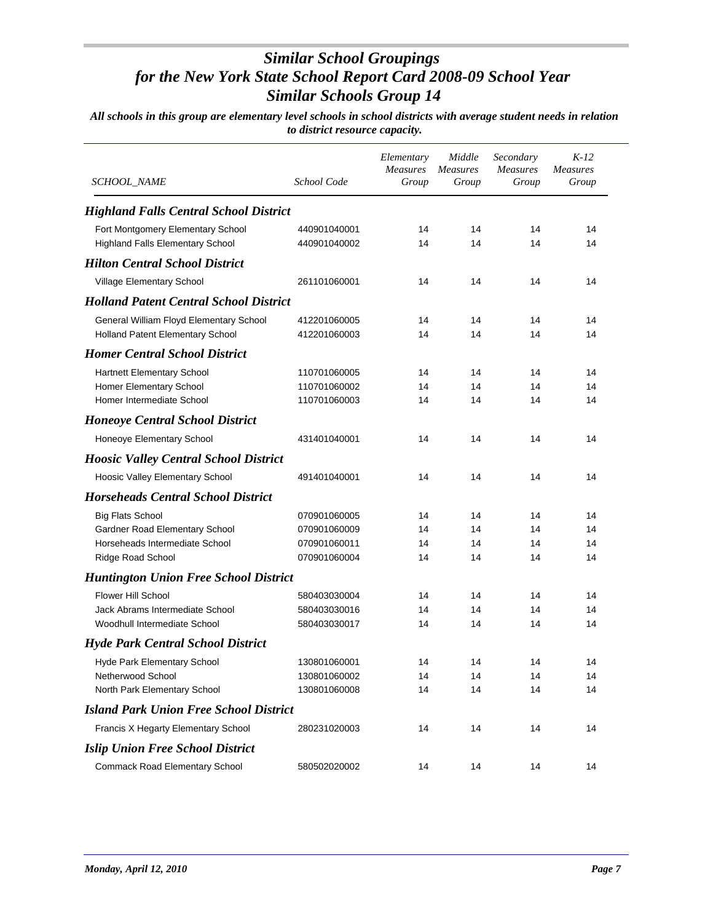| <b>SCHOOL_NAME</b>                            | School Code  | Elementary<br><b>Measures</b><br>Group | Middle<br><b>Measures</b><br>Group | Secondary<br><b>Measures</b><br>Group | $K-12$<br><b>Measures</b><br>Group |
|-----------------------------------------------|--------------|----------------------------------------|------------------------------------|---------------------------------------|------------------------------------|
| <b>Highland Falls Central School District</b> |              |                                        |                                    |                                       |                                    |
| Fort Montgomery Elementary School             | 440901040001 | 14                                     | 14                                 | 14                                    | 14                                 |
| Highland Falls Elementary School              | 440901040002 | 14                                     | 14                                 | 14                                    | 14                                 |
| <b>Hilton Central School District</b>         |              |                                        |                                    |                                       |                                    |
| Village Elementary School                     | 261101060001 | 14                                     | 14                                 | 14                                    | 14                                 |
| <b>Holland Patent Central School District</b> |              |                                        |                                    |                                       |                                    |
| General William Floyd Elementary School       | 412201060005 | 14                                     | 14                                 | 14                                    | 14                                 |
| Holland Patent Elementary School              | 412201060003 | 14                                     | 14                                 | 14                                    | 14                                 |
| <b>Homer Central School District</b>          |              |                                        |                                    |                                       |                                    |
| <b>Hartnett Elementary School</b>             | 110701060005 | 14                                     | 14                                 | 14                                    | 14                                 |
| Homer Elementary School                       | 110701060002 | 14                                     | 14                                 | 14                                    | 14                                 |
| Homer Intermediate School                     | 110701060003 | 14                                     | 14                                 | 14                                    | 14                                 |
| <b>Honeoye Central School District</b>        |              |                                        |                                    |                                       |                                    |
| Honeoye Elementary School                     | 431401040001 | 14                                     | 14                                 | 14                                    | 14                                 |
| <b>Hoosic Valley Central School District</b>  |              |                                        |                                    |                                       |                                    |
| Hoosic Valley Elementary School               | 491401040001 | 14                                     | 14                                 | 14                                    | 14                                 |
| <b>Horseheads Central School District</b>     |              |                                        |                                    |                                       |                                    |
| <b>Big Flats School</b>                       | 070901060005 | 14                                     | 14                                 | 14                                    | 14                                 |
| Gardner Road Elementary School                | 070901060009 | 14                                     | 14                                 | 14                                    | 14                                 |
| Horseheads Intermediate School                | 070901060011 | 14                                     | 14                                 | 14                                    | 14                                 |
| Ridge Road School                             | 070901060004 | 14                                     | 14                                 | 14                                    | 14                                 |
| <b>Huntington Union Free School District</b>  |              |                                        |                                    |                                       |                                    |
| <b>Flower Hill School</b>                     | 580403030004 | 14                                     | 14                                 | 14                                    | 14                                 |
| Jack Abrams Intermediate School               | 580403030016 | 14                                     | 14                                 | 14                                    | 14                                 |
| Woodhull Intermediate School                  | 580403030017 | 14                                     | 14                                 | 14                                    | 14                                 |
| Hyde Park Central School District             |              |                                        |                                    |                                       |                                    |
| Hyde Park Elementary School                   | 130801060001 | 14                                     | 14                                 | 14                                    | 14                                 |
| Netherwood School                             | 130801060002 | 14                                     | 14                                 | 14                                    | 14                                 |
| North Park Elementary School                  | 130801060008 | 14                                     | 14                                 | 14                                    | 14                                 |
| <b>Island Park Union Free School District</b> |              |                                        |                                    |                                       |                                    |
| Francis X Hegarty Elementary School           | 280231020003 | 14                                     | 14                                 | 14                                    | 14                                 |
| <b>Islip Union Free School District</b>       |              |                                        |                                    |                                       |                                    |
| <b>Commack Road Elementary School</b>         | 580502020002 | 14                                     | 14                                 | 14                                    | 14                                 |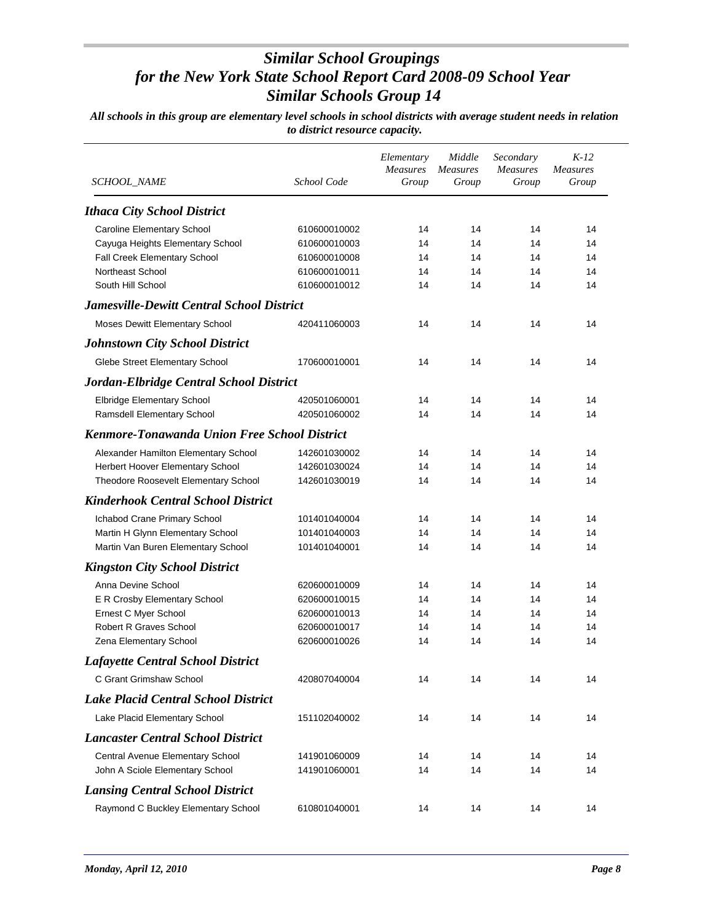| SCHOOL_NAME                                                    | School Code                  | Elementary<br>Measures<br>Group | Middle<br><b>Measures</b><br>Group | Secondary<br><b>Measures</b><br>Group | $K-12$<br><b>Measures</b><br>Group |
|----------------------------------------------------------------|------------------------------|---------------------------------|------------------------------------|---------------------------------------|------------------------------------|
| <b>Ithaca City School District</b>                             |                              |                                 |                                    |                                       |                                    |
|                                                                |                              |                                 |                                    |                                       |                                    |
| Caroline Elementary School<br>Cayuga Heights Elementary School | 610600010002<br>610600010003 | 14<br>14                        | 14<br>14                           | 14<br>14                              | 14<br>14                           |
| Fall Creek Elementary School                                   | 610600010008                 | 14                              | 14                                 | 14                                    | 14                                 |
| Northeast School                                               | 610600010011                 | 14                              | 14                                 | 14                                    | 14                                 |
| South Hill School                                              | 610600010012                 | 14                              | 14                                 | 14                                    | 14                                 |
| <b>Jamesville-Dewitt Central School District</b>               |                              |                                 |                                    |                                       |                                    |
| Moses Dewitt Elementary School                                 | 420411060003                 | 14                              | 14                                 | 14                                    | 14                                 |
| <b>Johnstown City School District</b>                          |                              |                                 |                                    |                                       |                                    |
| Glebe Street Elementary School                                 | 170600010001                 | 14                              | 14                                 | 14                                    | 14                                 |
| Jordan-Elbridge Central School District                        |                              |                                 |                                    |                                       |                                    |
| Elbridge Elementary School                                     | 420501060001                 | 14                              | 14                                 | 14                                    | 14                                 |
| Ramsdell Elementary School                                     | 420501060002                 | 14                              | 14                                 | 14                                    | 14                                 |
| <b>Kenmore-Tonawanda Union Free School District</b>            |                              |                                 |                                    |                                       |                                    |
| Alexander Hamilton Elementary School                           | 142601030002                 | 14                              | 14                                 | 14                                    | 14                                 |
| Herbert Hoover Elementary School                               | 142601030024                 | 14                              | 14                                 | 14                                    | 14                                 |
| Theodore Roosevelt Elementary School                           | 142601030019                 | 14                              | 14                                 | 14                                    | 14                                 |
| <b>Kinderhook Central School District</b>                      |                              |                                 |                                    |                                       |                                    |
| Ichabod Crane Primary School                                   | 101401040004                 | 14                              | 14                                 | 14                                    | 14                                 |
| Martin H Glynn Elementary School                               | 101401040003                 | 14                              | 14                                 | 14                                    | 14                                 |
| Martin Van Buren Elementary School                             | 101401040001                 | 14                              | 14                                 | 14                                    | 14                                 |
| <b>Kingston City School District</b>                           |                              |                                 |                                    |                                       |                                    |
| Anna Devine School                                             | 620600010009                 | 14                              | 14                                 | 14                                    | 14                                 |
| E R Crosby Elementary School                                   | 620600010015                 | 14                              | 14                                 | 14                                    | 14                                 |
| Ernest C Myer School                                           | 620600010013                 | 14                              | 14                                 | 14                                    | 14                                 |
| <b>Robert R Graves School</b>                                  | 620600010017                 | 14                              | 14                                 | 14                                    | 14                                 |
| Zena Elementary School                                         | 620600010026                 | 14                              | 14                                 | 14                                    | 14                                 |
| <b>Lafayette Central School District</b>                       |                              |                                 |                                    |                                       |                                    |
| C Grant Grimshaw School                                        | 420807040004                 | 14                              | 14                                 | 14                                    | 14                                 |
| <b>Lake Placid Central School District</b>                     |                              |                                 |                                    |                                       |                                    |
| Lake Placid Elementary School                                  | 151102040002                 | 14                              | 14                                 | 14                                    | 14                                 |
| <b>Lancaster Central School District</b>                       |                              |                                 |                                    |                                       |                                    |
| Central Avenue Elementary School                               | 141901060009                 | 14                              | 14                                 | 14                                    | 14                                 |
| John A Sciole Elementary School                                | 141901060001                 | 14                              | 14                                 | 14                                    | 14                                 |
| <b>Lansing Central School District</b>                         |                              |                                 |                                    |                                       |                                    |
| Raymond C Buckley Elementary School                            | 610801040001                 | 14                              | 14                                 | 14                                    | 14                                 |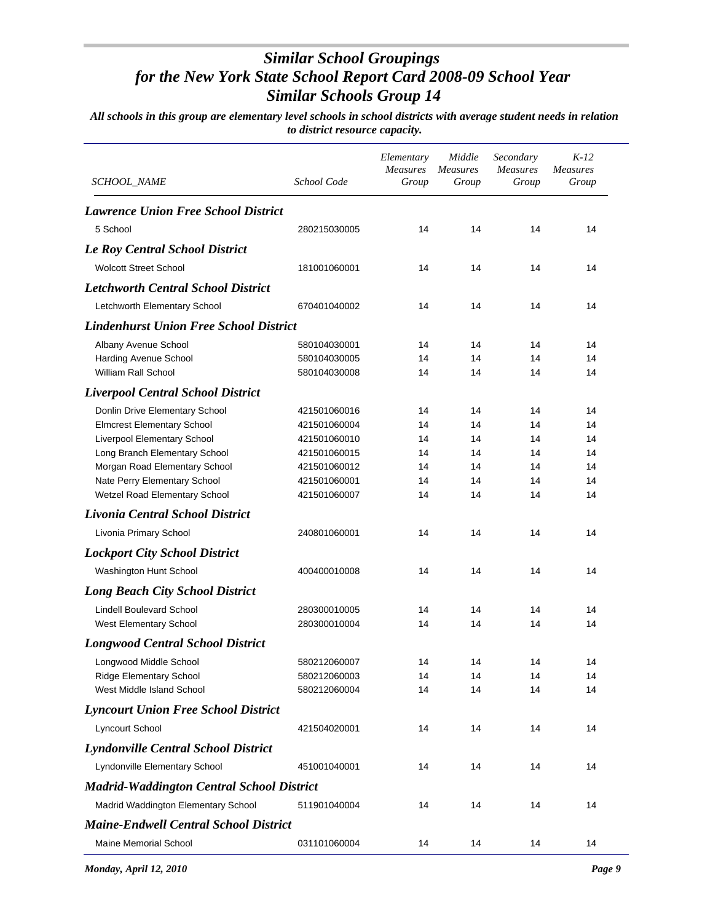| <b>SCHOOL_NAME</b>                               | School Code  | Elementary<br><b>Measures</b><br>Group | Middle<br><b>Measures</b><br>Group | Secondary<br><b>Measures</b><br>Group | $K-12$<br><b>Measures</b><br>Group |
|--------------------------------------------------|--------------|----------------------------------------|------------------------------------|---------------------------------------|------------------------------------|
|                                                  |              |                                        |                                    |                                       |                                    |
| <b>Lawrence Union Free School District</b>       |              |                                        |                                    |                                       |                                    |
| 5 School                                         | 280215030005 | 14                                     | 14                                 | 14                                    | 14                                 |
| <b>Le Roy Central School District</b>            |              |                                        |                                    |                                       |                                    |
| <b>Wolcott Street School</b>                     | 181001060001 | 14                                     | 14                                 | 14                                    | 14                                 |
| <b>Letchworth Central School District</b>        |              |                                        |                                    |                                       |                                    |
| Letchworth Elementary School                     | 670401040002 | 14                                     | 14                                 | 14                                    | 14                                 |
| <b>Lindenhurst Union Free School District</b>    |              |                                        |                                    |                                       |                                    |
| Albany Avenue School                             | 580104030001 | 14                                     | 14                                 | 14                                    | 14                                 |
| <b>Harding Avenue School</b>                     | 580104030005 | 14                                     | 14                                 | 14                                    | 14                                 |
| William Rall School                              | 580104030008 | 14                                     | 14                                 | 14                                    | 14                                 |
| <b>Liverpool Central School District</b>         |              |                                        |                                    |                                       |                                    |
| Donlin Drive Elementary School                   | 421501060016 | 14                                     | 14                                 | 14                                    | 14                                 |
| <b>Elmcrest Elementary School</b>                | 421501060004 | 14                                     | 14                                 | 14                                    | 14                                 |
| Liverpool Elementary School                      | 421501060010 | 14                                     | 14                                 | 14                                    | 14                                 |
| Long Branch Elementary School                    | 421501060015 | 14                                     | 14                                 | 14                                    | 14                                 |
| Morgan Road Elementary School                    | 421501060012 | 14                                     | 14                                 | 14                                    | 14                                 |
| Nate Perry Elementary School                     | 421501060001 | 14                                     | 14                                 | 14                                    | 14                                 |
| Wetzel Road Elementary School                    | 421501060007 | 14                                     | 14                                 | 14                                    | 14                                 |
| Livonia Central School District                  |              |                                        |                                    |                                       |                                    |
| Livonia Primary School                           | 240801060001 | 14                                     | 14                                 | 14                                    | 14                                 |
| <b>Lockport City School District</b>             |              |                                        |                                    |                                       |                                    |
| Washington Hunt School                           | 400400010008 | 14                                     | 14                                 | 14                                    | 14                                 |
| <b>Long Beach City School District</b>           |              |                                        |                                    |                                       |                                    |
| <b>Lindell Boulevard School</b>                  | 280300010005 | 14                                     | 14                                 | 14                                    | 14                                 |
| West Elementary School                           | 280300010004 | 14                                     | 14                                 | 14                                    | 14                                 |
| <b>Longwood Central School District</b>          |              |                                        |                                    |                                       |                                    |
| Longwood Middle School                           | 580212060007 | 14                                     | 14                                 | 14                                    | 14                                 |
| <b>Ridge Elementary School</b>                   | 580212060003 | 14                                     | 14                                 | 14                                    | 14                                 |
| West Middle Island School                        | 580212060004 | 14                                     | 14                                 | 14                                    | 14                                 |
| <b>Lyncourt Union Free School District</b>       |              |                                        |                                    |                                       |                                    |
| Lyncourt School                                  | 421504020001 | 14                                     | 14                                 | 14                                    | 14                                 |
| <b>Lyndonville Central School District</b>       |              |                                        |                                    |                                       |                                    |
| Lyndonville Elementary School                    | 451001040001 | 14                                     | 14                                 | 14                                    | 14                                 |
| <b>Madrid-Waddington Central School District</b> |              |                                        |                                    |                                       |                                    |
| Madrid Waddington Elementary School              | 511901040004 |                                        |                                    |                                       |                                    |
|                                                  |              | 14                                     | 14                                 | 14                                    | 14                                 |
| <b>Maine-Endwell Central School District</b>     |              |                                        |                                    |                                       |                                    |
| <b>Maine Memorial School</b>                     | 031101060004 | 14                                     | 14                                 | 14                                    | 14                                 |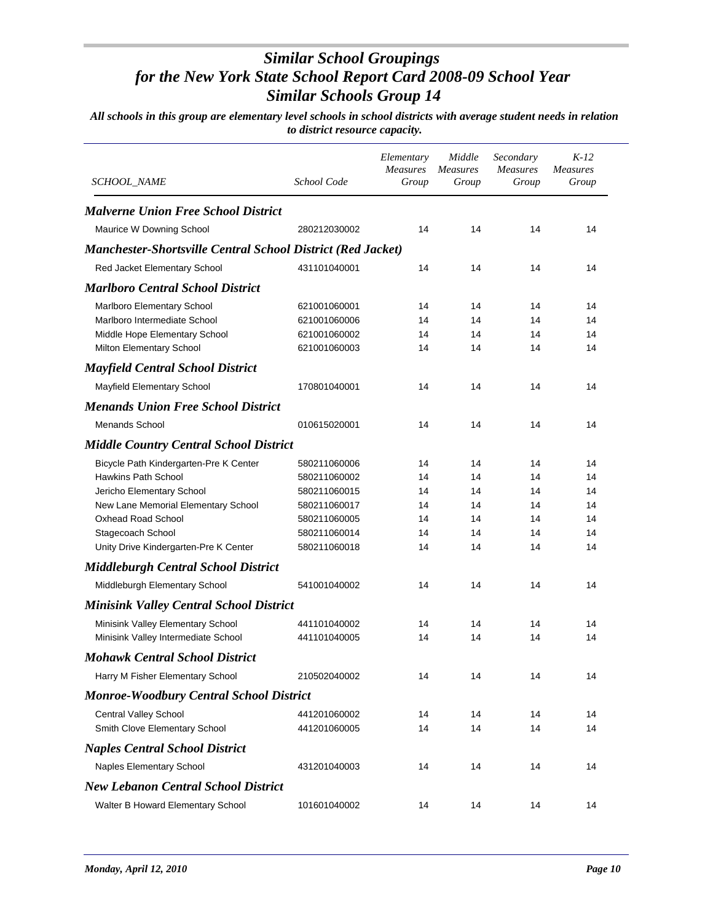| SCHOOL_NAME                                                        | School Code  | Elementary<br><b>Measures</b><br>Group | Middle<br>Measures<br>Group | Secondary<br><b>Measures</b><br>Group | $K-12$<br><b>Measures</b><br>Group |
|--------------------------------------------------------------------|--------------|----------------------------------------|-----------------------------|---------------------------------------|------------------------------------|
|                                                                    |              |                                        |                             |                                       |                                    |
| <b>Malverne Union Free School District</b>                         |              |                                        |                             |                                       |                                    |
| Maurice W Downing School                                           | 280212030002 | 14                                     | 14                          | 14                                    | 14                                 |
| <b>Manchester-Shortsville Central School District (Red Jacket)</b> |              |                                        |                             |                                       |                                    |
| Red Jacket Elementary School                                       | 431101040001 | 14                                     | 14                          | 14                                    | 14                                 |
| <b>Marlboro Central School District</b>                            |              |                                        |                             |                                       |                                    |
| Marlboro Elementary School                                         | 621001060001 | 14                                     | 14                          | 14                                    | 14                                 |
| Marlboro Intermediate School                                       | 621001060006 | 14                                     | 14                          | 14                                    | 14                                 |
| Middle Hope Elementary School                                      | 621001060002 | 14                                     | 14                          | 14                                    | 14                                 |
| Milton Elementary School                                           | 621001060003 | 14                                     | 14                          | 14                                    | 14                                 |
| <b>Mayfield Central School District</b>                            |              |                                        |                             |                                       |                                    |
| Mayfield Elementary School                                         | 170801040001 | 14                                     | 14                          | 14                                    | 14                                 |
| <b>Menands Union Free School District</b>                          |              |                                        |                             |                                       |                                    |
| <b>Menands School</b>                                              | 010615020001 | 14                                     | 14                          | 14                                    | 14                                 |
| <b>Middle Country Central School District</b>                      |              |                                        |                             |                                       |                                    |
| Bicycle Path Kindergarten-Pre K Center                             | 580211060006 | 14                                     | 14                          | 14                                    | 14                                 |
| <b>Hawkins Path School</b>                                         | 580211060002 | 14                                     | 14                          | 14                                    | 14                                 |
| Jericho Elementary School                                          | 580211060015 | 14                                     | 14                          | 14                                    | 14                                 |
| New Lane Memorial Elementary School                                | 580211060017 | 14                                     | 14                          | 14                                    | 14                                 |
| <b>Oxhead Road School</b>                                          | 580211060005 | 14                                     | 14                          | 14                                    | 14                                 |
| Stagecoach School                                                  | 580211060014 | 14                                     | 14                          | 14                                    | 14                                 |
| Unity Drive Kindergarten-Pre K Center                              | 580211060018 | 14                                     | 14                          | 14                                    | 14                                 |
| <b>Middleburgh Central School District</b>                         |              |                                        |                             |                                       |                                    |
| Middleburgh Elementary School                                      | 541001040002 | 14                                     | 14                          | 14                                    | 14                                 |
| <b>Minisink Valley Central School District</b>                     |              |                                        |                             |                                       |                                    |
| Minisink Valley Elementary School                                  | 441101040002 | 14                                     | 14                          | 14                                    | 14                                 |
| Minisink Valley Intermediate School                                | 441101040005 | 14                                     | 14                          | 14                                    | 14                                 |
| <b>Mohawk Central School District</b>                              |              |                                        |                             |                                       |                                    |
| Harry M Fisher Elementary School                                   | 210502040002 | 14                                     | 14                          | 14                                    | 14                                 |
| <b>Monroe-Woodbury Central School District</b>                     |              |                                        |                             |                                       |                                    |
| Central Valley School                                              | 441201060002 | 14                                     | 14                          | 14                                    | 14                                 |
| Smith Clove Elementary School                                      | 441201060005 | 14                                     | 14                          | 14                                    | 14                                 |
| <b>Naples Central School District</b>                              |              |                                        |                             |                                       |                                    |
| Naples Elementary School                                           | 431201040003 | 14                                     | 14                          | 14                                    | 14                                 |
| <b>New Lebanon Central School District</b>                         |              |                                        |                             |                                       |                                    |
| Walter B Howard Elementary School                                  | 101601040002 | 14                                     | 14                          | 14                                    | 14                                 |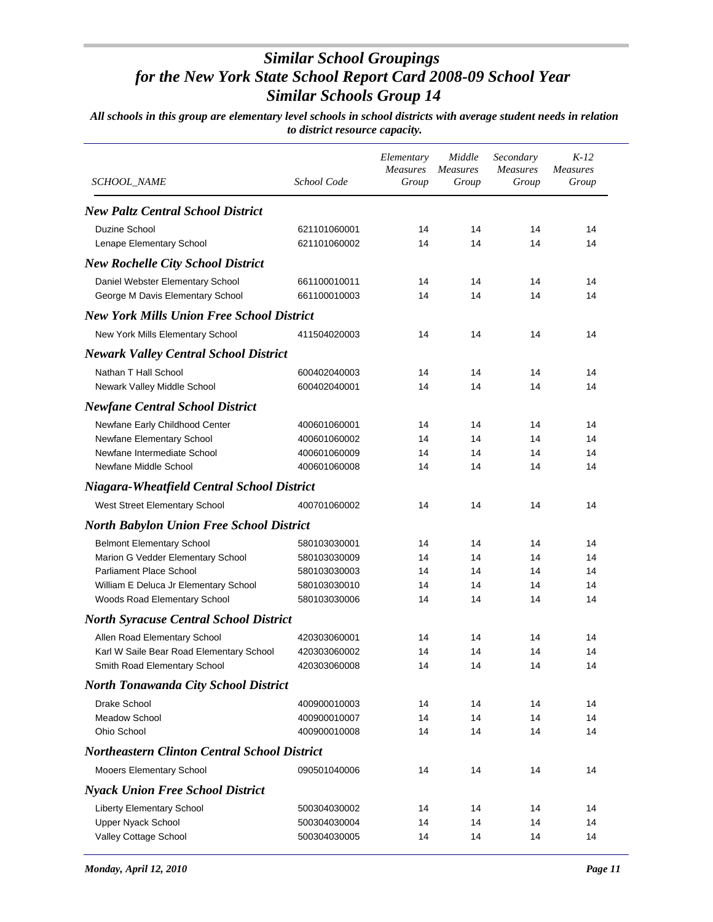| <b>SCHOOL_NAME</b>                                  | School Code  | Elementary<br><b>Measures</b><br>Group | Middle<br><b>Measures</b><br>Group | Secondary<br><b>Measures</b><br>Group | $K-12$<br><b>Measures</b><br>Group |
|-----------------------------------------------------|--------------|----------------------------------------|------------------------------------|---------------------------------------|------------------------------------|
|                                                     |              |                                        |                                    |                                       |                                    |
| <b>New Paltz Central School District</b>            |              |                                        |                                    |                                       |                                    |
| Duzine School                                       | 621101060001 | 14                                     | 14                                 | 14                                    | 14                                 |
| Lenape Elementary School                            | 621101060002 | 14                                     | 14                                 | 14                                    | 14                                 |
| <b>New Rochelle City School District</b>            |              |                                        |                                    |                                       |                                    |
| Daniel Webster Elementary School                    | 661100010011 | 14                                     | 14                                 | 14                                    | 14                                 |
| George M Davis Elementary School                    | 661100010003 | 14                                     | 14                                 | 14                                    | 14                                 |
| <b>New York Mills Union Free School District</b>    |              |                                        |                                    |                                       |                                    |
| New York Mills Elementary School                    | 411504020003 | 14                                     | 14                                 | 14                                    | 14                                 |
| <b>Newark Valley Central School District</b>        |              |                                        |                                    |                                       |                                    |
| Nathan T Hall School                                | 600402040003 | 14                                     | 14                                 | 14                                    | 14                                 |
| Newark Valley Middle School                         | 600402040001 | 14                                     | 14                                 | 14                                    | 14                                 |
| <b>Newfane Central School District</b>              |              |                                        |                                    |                                       |                                    |
| Newfane Early Childhood Center                      | 400601060001 | 14                                     | 14                                 | 14                                    | 14                                 |
| Newfane Elementary School                           | 400601060002 | 14                                     | 14                                 | 14                                    | 14                                 |
| Newfane Intermediate School                         | 400601060009 | 14                                     | 14                                 | 14                                    | 14                                 |
| Newfane Middle School                               | 400601060008 | 14                                     | 14                                 | 14                                    | 14                                 |
| <b>Niagara-Wheatfield Central School District</b>   |              |                                        |                                    |                                       |                                    |
| West Street Elementary School                       | 400701060002 | 14                                     | 14                                 | 14                                    | 14                                 |
| <b>North Babylon Union Free School District</b>     |              |                                        |                                    |                                       |                                    |
| <b>Belmont Elementary School</b>                    | 580103030001 | 14                                     | 14                                 | 14                                    | 14                                 |
| Marion G Vedder Elementary School                   | 580103030009 | 14                                     | 14                                 | 14                                    | 14                                 |
| <b>Parliament Place School</b>                      | 580103030003 | 14                                     | 14                                 | 14                                    | 14                                 |
| William E Deluca Jr Elementary School               | 580103030010 | 14                                     | 14                                 | 14                                    | 14                                 |
| Woods Road Elementary School                        | 580103030006 | 14                                     | 14                                 | 14                                    | 14                                 |
| <b>North Syracuse Central School District</b>       |              |                                        |                                    |                                       |                                    |
| Allen Road Elementary School                        | 420303060001 | 14                                     | 14                                 | 14                                    | 14                                 |
| Karl W Saile Bear Road Elementary School            | 420303060002 | 14                                     | 14                                 | 14                                    | 14                                 |
| Smith Road Elementary School                        | 420303060008 | 14                                     | 14                                 | 14                                    | 14                                 |
| <b>North Tonawanda City School District</b>         |              |                                        |                                    |                                       |                                    |
| Drake School                                        | 400900010003 | 14                                     | 14                                 | 14                                    | 14                                 |
| <b>Meadow School</b><br>Ohio School                 | 400900010007 | 14<br>14                               | 14<br>14                           | 14<br>14                              | 14<br>14                           |
|                                                     | 400900010008 |                                        |                                    |                                       |                                    |
| <b>Northeastern Clinton Central School District</b> |              |                                        |                                    |                                       |                                    |
| Mooers Elementary School                            | 090501040006 | 14                                     | 14                                 | 14                                    | 14                                 |
| <b>Nyack Union Free School District</b>             |              |                                        |                                    |                                       |                                    |
| <b>Liberty Elementary School</b>                    | 500304030002 | 14                                     | 14                                 | 14                                    | 14                                 |
| <b>Upper Nyack School</b>                           | 500304030004 | 14                                     | 14                                 | 14                                    | 14                                 |
| Valley Cottage School                               | 500304030005 | 14                                     | 14                                 | 14                                    | 14                                 |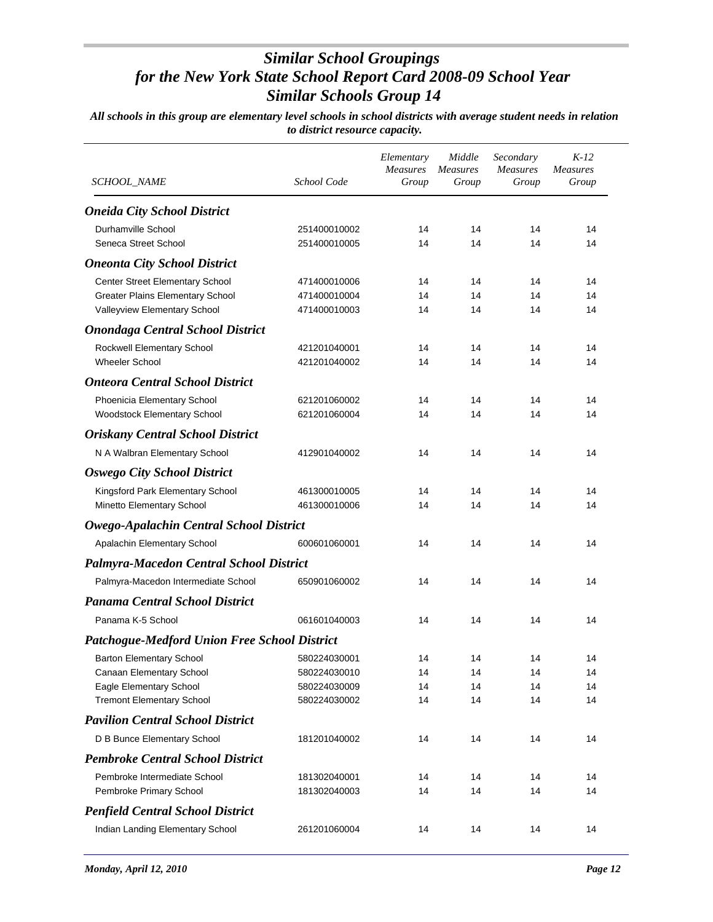| SCHOOL_NAME                                                                | School Code                  | Elementary<br>Measures<br>Group | Middle<br><b>Measures</b><br>Group | Secondary<br>Measures<br>Group | $K-12$<br><b>Measures</b><br>Group |
|----------------------------------------------------------------------------|------------------------------|---------------------------------|------------------------------------|--------------------------------|------------------------------------|
| <b>Oneida City School District</b>                                         |                              |                                 |                                    |                                |                                    |
| Durhamville School                                                         | 251400010002                 | 14                              | 14                                 | 14                             | 14                                 |
| Seneca Street School                                                       | 251400010005                 | 14                              | 14                                 | 14                             | 14                                 |
| <b>Oneonta City School District</b>                                        |                              |                                 |                                    |                                |                                    |
|                                                                            |                              |                                 | 14                                 | 14                             | 14                                 |
| Center Street Elementary School<br><b>Greater Plains Elementary School</b> | 471400010006<br>471400010004 | 14<br>14                        | 14                                 | 14                             | 14                                 |
| Valleyview Elementary School                                               | 471400010003                 | 14                              | 14                                 | 14                             | 14                                 |
| <b>Onondaga Central School District</b>                                    |                              |                                 |                                    |                                |                                    |
| Rockwell Elementary School                                                 | 421201040001                 | 14                              | 14                                 | 14                             | 14                                 |
| <b>Wheeler School</b>                                                      | 421201040002                 | 14                              | 14                                 | 14                             | 14                                 |
| <b>Onteora Central School District</b>                                     |                              |                                 |                                    |                                |                                    |
|                                                                            |                              | 14                              | 14                                 | 14                             | 14                                 |
| Phoenicia Elementary School<br>Woodstock Elementary School                 | 621201060002<br>621201060004 | 14                              | 14                                 | 14                             | 14                                 |
| <b>Oriskany Central School District</b>                                    |                              |                                 |                                    |                                |                                    |
| N A Walbran Elementary School                                              | 412901040002                 | 14                              | 14                                 | 14                             | 14                                 |
|                                                                            |                              |                                 |                                    |                                |                                    |
| <b>Oswego City School District</b>                                         |                              |                                 |                                    |                                |                                    |
| Kingsford Park Elementary School                                           | 461300010005                 | 14                              | 14                                 | 14                             | 14                                 |
| Minetto Elementary School                                                  | 461300010006                 | 14                              | 14                                 | 14                             | 14                                 |
| Owego-Apalachin Central School District                                    |                              |                                 |                                    |                                |                                    |
| Apalachin Elementary School                                                | 600601060001                 | 14                              | 14                                 | 14                             | 14                                 |
| <b>Palmyra-Macedon Central School District</b>                             |                              |                                 |                                    |                                |                                    |
| Palmyra-Macedon Intermediate School                                        | 650901060002                 | 14                              | 14                                 | 14                             | 14                                 |
| <b>Panama Central School District</b>                                      |                              |                                 |                                    |                                |                                    |
| Panama K-5 School                                                          | 061601040003                 | 14                              | 14                                 | 14                             | 14                                 |
| <b>Patchogue-Medford Union Free School District</b>                        |                              |                                 |                                    |                                |                                    |
| <b>Barton Elementary School</b>                                            | 580224030001                 | 14                              | 14                                 | 14                             | 14                                 |
| Canaan Elementary School                                                   | 580224030010                 | 14                              | 14                                 | 14                             | 14                                 |
| Eagle Elementary School                                                    | 580224030009                 | 14                              | 14                                 | 14                             | 14                                 |
| <b>Tremont Elementary School</b>                                           | 580224030002                 | 14                              | 14                                 | 14                             | 14                                 |
| <b>Pavilion Central School District</b>                                    |                              |                                 |                                    |                                |                                    |
| D B Bunce Elementary School                                                | 181201040002                 | 14                              | 14                                 | 14                             | 14                                 |
| <b>Pembroke Central School District</b>                                    |                              |                                 |                                    |                                |                                    |
| Pembroke Intermediate School                                               | 181302040001                 | 14                              | 14                                 | 14                             | 14                                 |
| Pembroke Primary School                                                    | 181302040003                 | 14                              | 14                                 | 14                             | 14                                 |
| <b>Penfield Central School District</b>                                    |                              |                                 |                                    |                                |                                    |
| Indian Landing Elementary School                                           | 261201060004                 | 14                              | 14                                 | 14                             | 14                                 |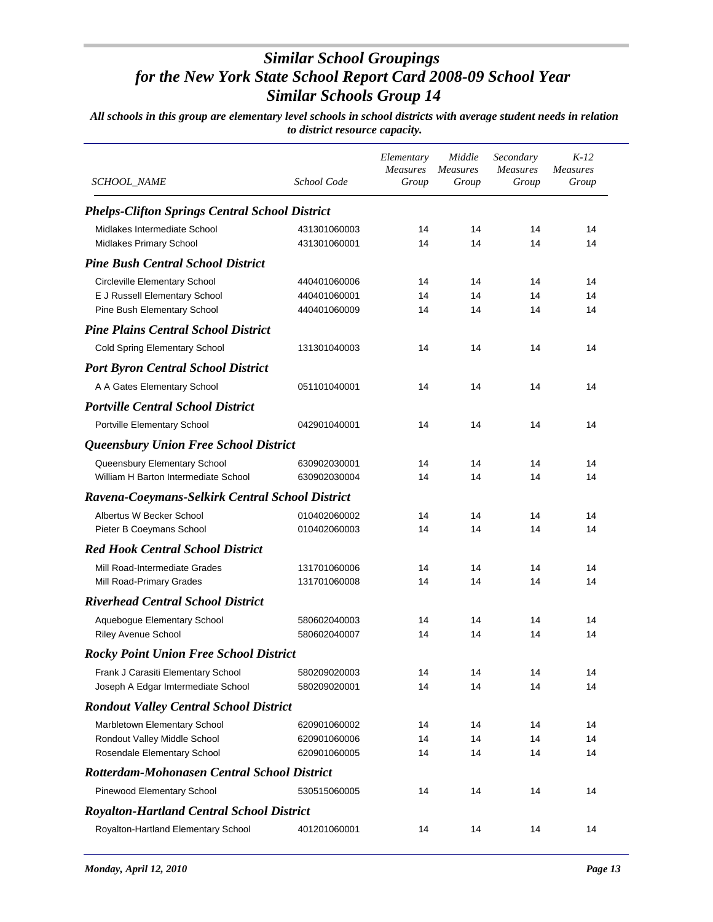| SCHOOL_NAME                                           | School Code  | Elementary<br>Measures<br>Group | Middle<br><b>Measures</b><br>Group | Secondary<br><b>Measures</b><br>Group | $K-12$<br><b>Measures</b><br>Group |
|-------------------------------------------------------|--------------|---------------------------------|------------------------------------|---------------------------------------|------------------------------------|
| <b>Phelps-Clifton Springs Central School District</b> |              |                                 |                                    |                                       |                                    |
| Midlakes Intermediate School                          | 431301060003 | 14                              | 14                                 | 14                                    | 14                                 |
| Midlakes Primary School                               | 431301060001 | 14                              | 14                                 | 14                                    | 14                                 |
| <b>Pine Bush Central School District</b>              |              |                                 |                                    |                                       |                                    |
| <b>Circleville Elementary School</b>                  | 440401060006 | 14                              | 14                                 | 14                                    | 14                                 |
| E J Russell Elementary School                         | 440401060001 | 14                              | 14                                 | 14                                    | 14                                 |
| Pine Bush Elementary School                           | 440401060009 | 14                              | 14                                 | 14                                    | 14                                 |
| <b>Pine Plains Central School District</b>            |              |                                 |                                    |                                       |                                    |
| <b>Cold Spring Elementary School</b>                  | 131301040003 | 14                              | 14                                 | 14                                    | 14                                 |
| <b>Port Byron Central School District</b>             |              |                                 |                                    |                                       |                                    |
| A A Gates Elementary School                           | 051101040001 | 14                              | 14                                 | 14                                    | 14                                 |
| <b>Portville Central School District</b>              |              |                                 |                                    |                                       |                                    |
| Portville Elementary School                           | 042901040001 | 14                              | 14                                 | 14                                    | 14                                 |
| Queensbury Union Free School District                 |              |                                 |                                    |                                       |                                    |
| Queensbury Elementary School                          | 630902030001 | 14                              | 14                                 | 14                                    | 14                                 |
| William H Barton Intermediate School                  | 630902030004 | 14                              | 14                                 | 14                                    | 14                                 |
| Ravena-Coeymans-Selkirk Central School District       |              |                                 |                                    |                                       |                                    |
| Albertus W Becker School                              | 010402060002 | 14                              | 14                                 | 14                                    | 14                                 |
| Pieter B Coeymans School                              | 010402060003 | 14                              | 14                                 | 14                                    | 14                                 |
| <b>Red Hook Central School District</b>               |              |                                 |                                    |                                       |                                    |
| Mill Road-Intermediate Grades                         | 131701060006 | 14                              | 14                                 | 14                                    | 14                                 |
| Mill Road-Primary Grades                              | 131701060008 | 14                              | 14                                 | 14                                    | 14                                 |
| <b>Riverhead Central School District</b>              |              |                                 |                                    |                                       |                                    |
| Aquebogue Elementary School                           | 580602040003 | 14                              | 14                                 | 14                                    | 14                                 |
| <b>Riley Avenue School</b>                            | 580602040007 | 14                              | 14                                 | 14                                    | 14                                 |
| <b>Rocky Point Union Free School District</b>         |              |                                 |                                    |                                       |                                    |
| Frank J Carasiti Elementary School                    | 580209020003 | 14                              | 14                                 | 14                                    | 14                                 |
| Joseph A Edgar Imtermediate School                    | 580209020001 | 14                              | 14                                 | 14                                    | 14                                 |
| <b>Rondout Valley Central School District</b>         |              |                                 |                                    |                                       |                                    |
| Marbletown Elementary School                          | 620901060002 | 14                              | 14                                 | 14                                    | 14                                 |
| Rondout Valley Middle School                          | 620901060006 | 14                              | 14                                 | 14                                    | 14                                 |
| Rosendale Elementary School                           | 620901060005 | 14                              | 14                                 | 14                                    | 14                                 |
| Rotterdam-Mohonasen Central School District           |              |                                 |                                    |                                       |                                    |
| Pinewood Elementary School                            | 530515060005 | 14                              | 14                                 | 14                                    | 14                                 |
| <b>Royalton-Hartland Central School District</b>      |              |                                 |                                    |                                       |                                    |
| Royalton-Hartland Elementary School                   | 401201060001 | 14                              | 14                                 | 14                                    | 14                                 |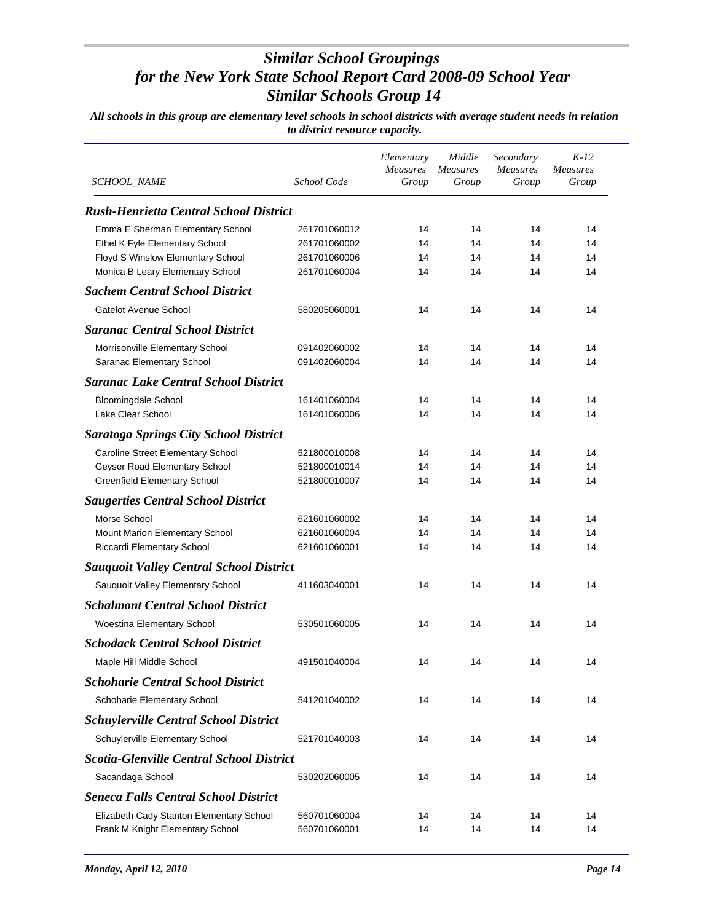| <b>SCHOOL_NAME</b>                                                  | School Code                  | Elementary<br><b>Measures</b><br>Group | Middle<br><b>Measures</b><br>Group | Secondary<br><b>Measures</b><br>Group | $K-12$<br><b>Measures</b><br>Group |
|---------------------------------------------------------------------|------------------------------|----------------------------------------|------------------------------------|---------------------------------------|------------------------------------|
| <b>Rush-Henrietta Central School District</b>                       |                              |                                        |                                    |                                       |                                    |
|                                                                     |                              |                                        |                                    |                                       |                                    |
| Emma E Sherman Elementary School                                    | 261701060012                 | 14<br>14                               | 14<br>14                           | 14<br>14                              | 14<br>14                           |
| Ethel K Fyle Elementary School<br>Floyd S Winslow Elementary School | 261701060002<br>261701060006 | 14                                     | 14                                 | 14                                    | 14                                 |
| Monica B Leary Elementary School                                    | 261701060004                 | 14                                     | 14                                 | 14                                    | 14                                 |
| <b>Sachem Central School District</b>                               |                              |                                        |                                    |                                       |                                    |
| Gatelot Avenue School                                               | 580205060001                 | 14                                     | 14                                 | 14                                    | 14                                 |
| <b>Saranac Central School District</b>                              |                              |                                        |                                    |                                       |                                    |
| Morrisonville Elementary School                                     | 091402060002                 | 14                                     | 14                                 | 14                                    | 14                                 |
| Saranac Elementary School                                           | 091402060004                 | 14                                     | 14                                 | 14                                    | 14                                 |
| <b>Saranac Lake Central School District</b>                         |                              |                                        |                                    |                                       |                                    |
| <b>Bloomingdale School</b>                                          | 161401060004                 | 14                                     | 14                                 | 14                                    | 14                                 |
| Lake Clear School                                                   | 161401060006                 | 14                                     | 14                                 | 14                                    | 14                                 |
| <b>Saratoga Springs City School District</b>                        |                              |                                        |                                    |                                       |                                    |
| Caroline Street Elementary School                                   | 521800010008                 | 14                                     | 14                                 | 14                                    | 14                                 |
| Geyser Road Elementary School                                       | 521800010014                 | 14                                     | 14                                 | 14                                    | 14                                 |
| <b>Greenfield Elementary School</b>                                 | 521800010007                 | 14                                     | 14                                 | 14                                    | 14                                 |
| <b>Saugerties Central School District</b>                           |                              |                                        |                                    |                                       |                                    |
| Morse School                                                        | 621601060002                 | 14                                     | 14                                 | 14                                    | 14                                 |
| Mount Marion Elementary School                                      | 621601060004                 | 14                                     | 14                                 | 14                                    | 14                                 |
| Riccardi Elementary School                                          | 621601060001                 | 14                                     | 14                                 | 14                                    | 14                                 |
| <b>Sauquoit Valley Central School District</b>                      |                              |                                        |                                    |                                       |                                    |
| Sauquoit Valley Elementary School                                   | 411603040001                 | 14                                     | 14                                 | 14                                    | 14                                 |
| <b>Schalmont Central School District</b>                            |                              |                                        |                                    |                                       |                                    |
| Woestina Elementary School                                          | 530501060005                 | 14                                     | 14                                 | 14                                    | 14                                 |
| <b>Schodack Central School District</b>                             |                              |                                        |                                    |                                       |                                    |
| Maple Hill Middle School                                            | 491501040004                 | 14                                     | 14                                 | 14                                    | 14                                 |
| <b>Schoharie Central School District</b>                            |                              |                                        |                                    |                                       |                                    |
| Schoharie Elementary School                                         | 541201040002                 | 14                                     | 14                                 | 14                                    | 14                                 |
| <b>Schuylerville Central School District</b>                        |                              |                                        |                                    |                                       |                                    |
| Schuylerville Elementary School                                     | 521701040003                 | 14                                     | 14                                 | 14                                    | 14                                 |
| <b>Scotia-Glenville Central School District</b>                     |                              |                                        |                                    |                                       |                                    |
| Sacandaga School                                                    | 530202060005                 | 14                                     | 14                                 | 14                                    | 14                                 |
| <b>Seneca Falls Central School District</b>                         |                              |                                        |                                    |                                       |                                    |
| Elizabeth Cady Stanton Elementary School                            | 560701060004                 | 14                                     | 14                                 | 14                                    | 14                                 |
| Frank M Knight Elementary School                                    | 560701060001                 | 14                                     | 14                                 | 14                                    | 14                                 |
|                                                                     |                              |                                        |                                    |                                       |                                    |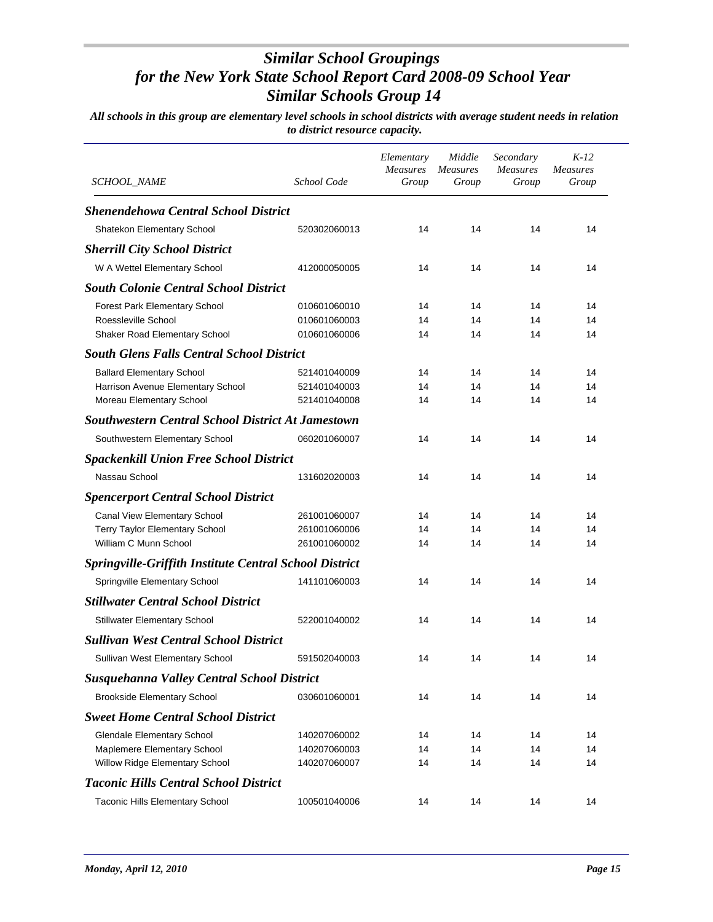| SCHOOL_NAME                                                   | School Code  | Elementary<br><b>Measures</b><br>Group | Middle<br><b>Measures</b><br>Group | Secondary<br><b>Measures</b><br>Group | $K-12$<br><b>Measures</b><br>Group |
|---------------------------------------------------------------|--------------|----------------------------------------|------------------------------------|---------------------------------------|------------------------------------|
| <b>Shenendehowa Central School District</b>                   |              |                                        |                                    |                                       |                                    |
| Shatekon Elementary School                                    | 520302060013 | 14                                     | 14                                 | 14                                    | 14                                 |
| <b>Sherrill City School District</b>                          |              |                                        |                                    |                                       |                                    |
| W A Wettel Elementary School                                  | 412000050005 | 14                                     | 14                                 | 14                                    | 14                                 |
| <b>South Colonie Central School District</b>                  |              |                                        |                                    |                                       |                                    |
| <b>Forest Park Elementary School</b>                          | 010601060010 | 14                                     | 14                                 | 14                                    | 14                                 |
| Roessleville School                                           | 010601060003 | 14                                     | 14                                 | 14                                    | 14                                 |
| Shaker Road Elementary School                                 | 010601060006 | 14                                     | 14                                 | 14                                    | 14                                 |
| <b>South Glens Falls Central School District</b>              |              |                                        |                                    |                                       |                                    |
| <b>Ballard Elementary School</b>                              | 521401040009 | 14                                     | 14                                 | 14                                    | 14                                 |
| Harrison Avenue Elementary School                             | 521401040003 | 14                                     | 14                                 | 14                                    | 14                                 |
| Moreau Elementary School                                      | 521401040008 | 14                                     | 14                                 | 14                                    | 14                                 |
| <b>Southwestern Central School District At Jamestown</b>      |              |                                        |                                    |                                       |                                    |
| Southwestern Elementary School                                | 060201060007 | 14                                     | 14                                 | 14                                    | 14                                 |
| <b>Spackenkill Union Free School District</b>                 |              |                                        |                                    |                                       |                                    |
| Nassau School                                                 | 131602020003 | 14                                     | 14                                 | 14                                    | 14                                 |
| <b>Spencerport Central School District</b>                    |              |                                        |                                    |                                       |                                    |
| Canal View Elementary School                                  | 261001060007 | 14                                     | 14                                 | 14                                    | 14                                 |
| Terry Taylor Elementary School                                | 261001060006 | 14                                     | 14                                 | 14                                    | 14                                 |
| William C Munn School                                         | 261001060002 | 14                                     | 14                                 | 14                                    | 14                                 |
| <b>Springville-Griffith Institute Central School District</b> |              |                                        |                                    |                                       |                                    |
| Springville Elementary School                                 | 141101060003 | 14                                     | 14                                 | 14                                    | 14                                 |
| <b>Stillwater Central School District</b>                     |              |                                        |                                    |                                       |                                    |
| <b>Stillwater Elementary School</b>                           | 522001040002 | 14                                     | 14                                 | 14                                    | 14                                 |
| <b>Sullivan West Central School District</b>                  |              |                                        |                                    |                                       |                                    |
| Sullivan West Elementary School                               | 591502040003 | 14                                     | 14                                 | 14                                    | 14                                 |
| <b>Susquehanna Valley Central School District</b>             |              |                                        |                                    |                                       |                                    |
| <b>Brookside Elementary School</b>                            | 030601060001 | 14                                     | 14                                 | 14                                    | 14                                 |
| <b>Sweet Home Central School District</b>                     |              |                                        |                                    |                                       |                                    |
| <b>Glendale Elementary School</b>                             | 140207060002 | 14                                     | 14                                 | 14                                    | 14                                 |
| Maplemere Elementary School                                   | 140207060003 | 14                                     | 14                                 | 14                                    | 14                                 |
| Willow Ridge Elementary School                                | 140207060007 | 14                                     | 14                                 | 14                                    | 14                                 |
| <b>Taconic Hills Central School District</b>                  |              |                                        |                                    |                                       |                                    |
| <b>Taconic Hills Elementary School</b>                        | 100501040006 | 14                                     | 14                                 | 14                                    | 14                                 |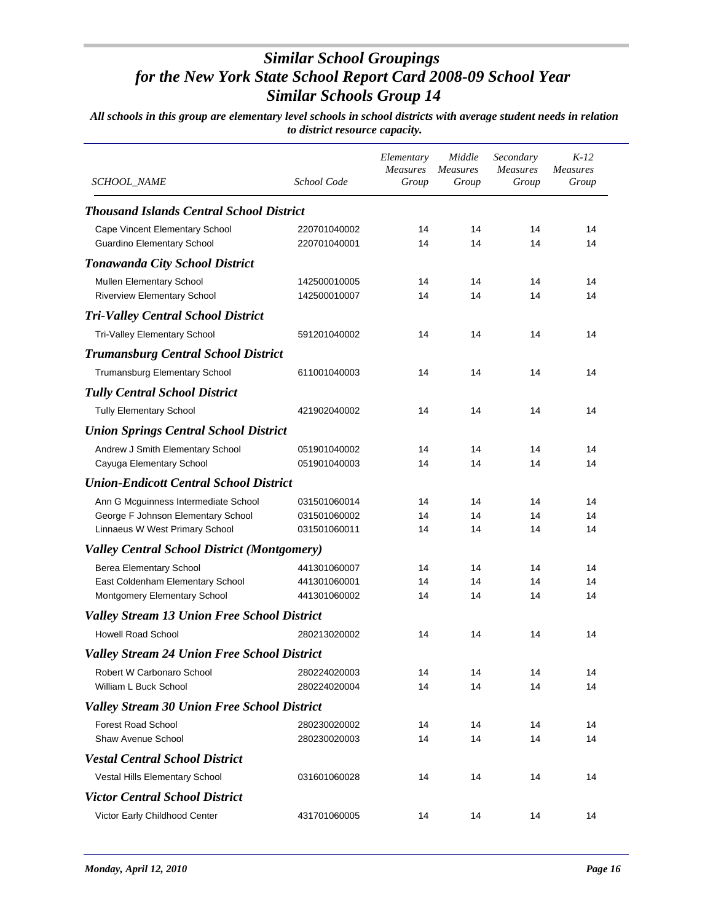| <i>SCHOOL_NAME</i>                                 | School Code  | Elementary<br>Measures<br>Group | Middle<br><b>Measures</b><br>Group | Secondary<br><b>Measures</b><br>Group | $K-12$<br><b>Measures</b><br>Group |
|----------------------------------------------------|--------------|---------------------------------|------------------------------------|---------------------------------------|------------------------------------|
| <b>Thousand Islands Central School District</b>    |              |                                 |                                    |                                       |                                    |
| Cape Vincent Elementary School                     | 220701040002 | 14                              | 14                                 | 14                                    | 14                                 |
| <b>Guardino Elementary School</b>                  | 220701040001 | 14                              | 14                                 | 14                                    | 14                                 |
| <b>Tonawanda City School District</b>              |              |                                 |                                    |                                       |                                    |
| Mullen Elementary School                           | 142500010005 | 14                              | 14                                 | 14                                    | 14                                 |
| <b>Riverview Elementary School</b>                 | 142500010007 | 14                              | 14                                 | 14                                    | 14                                 |
| <b>Tri-Valley Central School District</b>          |              |                                 |                                    |                                       |                                    |
| Tri-Valley Elementary School                       | 591201040002 | 14                              | 14                                 | 14                                    | 14                                 |
| <b>Trumansburg Central School District</b>         |              |                                 |                                    |                                       |                                    |
| Trumansburg Elementary School                      | 611001040003 | 14                              | 14                                 | 14                                    | 14                                 |
| <b>Tully Central School District</b>               |              |                                 |                                    |                                       |                                    |
| <b>Tully Elementary School</b>                     | 421902040002 | 14                              | 14                                 | 14                                    | 14                                 |
| <b>Union Springs Central School District</b>       |              |                                 |                                    |                                       |                                    |
| Andrew J Smith Elementary School                   | 051901040002 | 14                              | 14                                 | 14                                    | 14                                 |
| Cayuga Elementary School                           | 051901040003 | 14                              | 14                                 | 14                                    | 14                                 |
| <b>Union-Endicott Central School District</b>      |              |                                 |                                    |                                       |                                    |
| Ann G Mcguinness Intermediate School               | 031501060014 | 14                              | 14                                 | 14                                    | 14                                 |
| George F Johnson Elementary School                 | 031501060002 | 14                              | 14                                 | 14                                    | 14                                 |
| Linnaeus W West Primary School                     | 031501060011 | 14                              | 14                                 | 14                                    | 14                                 |
| <b>Valley Central School District (Montgomery)</b> |              |                                 |                                    |                                       |                                    |
| Berea Elementary School                            | 441301060007 | 14                              | 14                                 | 14                                    | 14                                 |
| East Coldenham Elementary School                   | 441301060001 | 14                              | 14                                 | 14                                    | 14                                 |
| Montgomery Elementary School                       | 441301060002 | 14                              | 14                                 | 14                                    | 14                                 |
| <b>Valley Stream 13 Union Free School District</b> |              |                                 |                                    |                                       |                                    |
| <b>Howell Road School</b>                          | 280213020002 | 14                              | 14                                 | 14                                    | 14                                 |
| <b>Valley Stream 24 Union Free School District</b> |              |                                 |                                    |                                       |                                    |
| Robert W Carbonaro School                          | 280224020003 | 14                              | 14                                 | 14                                    | 14                                 |
| William L Buck School                              | 280224020004 | 14                              | 14                                 | 14                                    | 14                                 |
| <b>Valley Stream 30 Union Free School District</b> |              |                                 |                                    |                                       |                                    |
| <b>Forest Road School</b>                          | 280230020002 | 14                              | 14                                 | 14                                    | 14                                 |
| Shaw Avenue School                                 | 280230020003 | 14                              | 14                                 | 14                                    | 14                                 |
| <b>Vestal Central School District</b>              |              |                                 |                                    |                                       |                                    |
| Vestal Hills Elementary School                     | 031601060028 | 14                              | 14                                 | 14                                    | 14                                 |
| <b>Victor Central School District</b>              |              |                                 |                                    |                                       |                                    |
| Victor Early Childhood Center                      | 431701060005 | 14                              | 14                                 | 14                                    | 14                                 |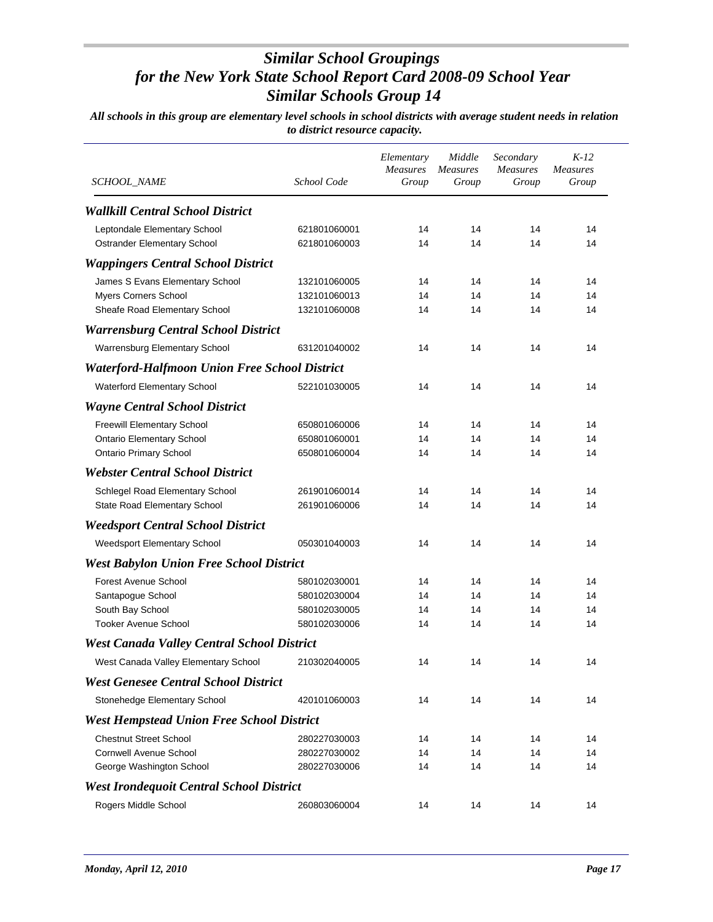| <i>SCHOOL_NAME</i>                                   | School Code  | Elementary<br><b>Measures</b><br>Group | Middle<br><b>Measures</b><br>Group | Secondary<br><b>Measures</b><br>Group | $K-12$<br><b>Measures</b><br>Group |
|------------------------------------------------------|--------------|----------------------------------------|------------------------------------|---------------------------------------|------------------------------------|
|                                                      |              |                                        |                                    |                                       |                                    |
| <b>Wallkill Central School District</b>              |              |                                        |                                    |                                       |                                    |
| Leptondale Elementary School                         | 621801060001 | 14                                     | 14                                 | 14                                    | 14                                 |
| Ostrander Elementary School                          | 621801060003 | 14                                     | 14                                 | 14                                    | 14                                 |
| <b>Wappingers Central School District</b>            |              |                                        |                                    |                                       |                                    |
| James S Evans Elementary School                      | 132101060005 | 14                                     | 14                                 | 14                                    | 14                                 |
| <b>Myers Corners School</b>                          | 132101060013 | 14                                     | 14                                 | 14                                    | 14                                 |
| Sheafe Road Elementary School                        | 132101060008 | 14                                     | 14                                 | 14                                    | 14                                 |
| <b>Warrensburg Central School District</b>           |              |                                        |                                    |                                       |                                    |
| Warrensburg Elementary School                        | 631201040002 | 14                                     | 14                                 | 14                                    | 14                                 |
| <b>Waterford-Halfmoon Union Free School District</b> |              |                                        |                                    |                                       |                                    |
| Waterford Elementary School                          | 522101030005 | 14                                     | 14                                 | 14                                    | 14                                 |
| <b>Wayne Central School District</b>                 |              |                                        |                                    |                                       |                                    |
| <b>Freewill Elementary School</b>                    | 650801060006 | 14                                     | 14                                 | 14                                    | 14                                 |
| <b>Ontario Elementary School</b>                     | 650801060001 | 14                                     | 14                                 | 14                                    | 14                                 |
| <b>Ontario Primary School</b>                        | 650801060004 | 14                                     | 14                                 | 14                                    | 14                                 |
| <b>Webster Central School District</b>               |              |                                        |                                    |                                       |                                    |
| Schlegel Road Elementary School                      | 261901060014 | 14                                     | 14                                 | 14                                    | 14                                 |
| State Road Elementary School                         | 261901060006 | 14                                     | 14                                 | 14                                    | 14                                 |
| <b>Weedsport Central School District</b>             |              |                                        |                                    |                                       |                                    |
| Weedsport Elementary School                          | 050301040003 | 14                                     | 14                                 | 14                                    | 14                                 |
| <b>West Babylon Union Free School District</b>       |              |                                        |                                    |                                       |                                    |
| Forest Avenue School                                 | 580102030001 | 14                                     | 14                                 | 14                                    | 14                                 |
| Santapogue School                                    | 580102030004 | 14                                     | 14                                 | 14                                    | 14                                 |
| South Bay School                                     | 580102030005 | 14                                     | 14                                 | 14                                    | 14                                 |
| <b>Tooker Avenue School</b>                          | 580102030006 | 14                                     | 14                                 | 14                                    | 14                                 |
| <b>West Canada Valley Central School District</b>    |              |                                        |                                    |                                       |                                    |
| West Canada Valley Elementary School                 | 210302040005 | 14                                     | 14                                 | 14                                    | 14                                 |
| <b>West Genesee Central School District</b>          |              |                                        |                                    |                                       |                                    |
| Stonehedge Elementary School                         | 420101060003 | 14                                     | 14                                 | 14                                    | 14                                 |
| <b>West Hempstead Union Free School District</b>     |              |                                        |                                    |                                       |                                    |
| <b>Chestnut Street School</b>                        | 280227030003 | 14                                     | 14                                 | 14                                    | 14                                 |
| <b>Cornwell Avenue School</b>                        | 280227030002 | 14                                     | 14                                 | 14                                    | 14                                 |
| George Washington School                             | 280227030006 | 14                                     | 14                                 | 14                                    | 14                                 |
| <b>West Irondequoit Central School District</b>      |              |                                        |                                    |                                       |                                    |
| Rogers Middle School                                 | 260803060004 | 14                                     | 14                                 | 14                                    | 14                                 |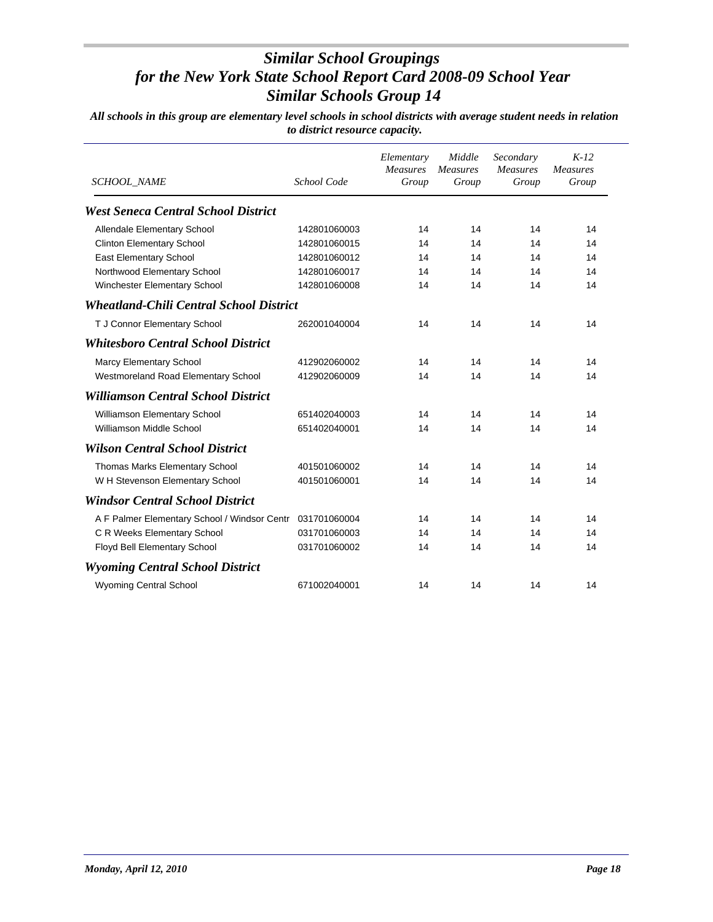| <b>SCHOOL_NAME</b>                             | School Code  | Elementary<br><b>Measures</b><br>Group | Middle<br><b>Measures</b><br>Group | Secondary<br><b>Measures</b><br>Group | $K-12$<br><b>Measures</b><br>Group |
|------------------------------------------------|--------------|----------------------------------------|------------------------------------|---------------------------------------|------------------------------------|
| <b>West Seneca Central School District</b>     |              |                                        |                                    |                                       |                                    |
| Allendale Elementary School                    | 142801060003 | 14                                     | 14                                 | 14                                    | 14                                 |
| <b>Clinton Elementary School</b>               | 142801060015 | 14                                     | 14                                 | 14                                    | 14                                 |
| East Elementary School                         | 142801060012 | 14                                     | 14                                 | 14                                    | 14                                 |
| Northwood Elementary School                    | 142801060017 | 14                                     | 14                                 | 14                                    | 14                                 |
| Winchester Elementary School                   | 142801060008 | 14                                     | 14                                 | 14                                    | 14                                 |
| <b>Wheatland-Chili Central School District</b> |              |                                        |                                    |                                       |                                    |
| T J Connor Elementary School                   | 262001040004 | 14                                     | 14                                 | 14                                    | 14                                 |
| <b>Whitesboro Central School District</b>      |              |                                        |                                    |                                       |                                    |
| Marcy Elementary School                        | 412902060002 | 14                                     | 14                                 | 14                                    | 14                                 |
| Westmoreland Road Elementary School            | 412902060009 | 14                                     | 14                                 | 14                                    | 14                                 |
| <b>Williamson Central School District</b>      |              |                                        |                                    |                                       |                                    |
| Williamson Elementary School                   | 651402040003 | 14                                     | 14                                 | 14                                    | 14                                 |
| Williamson Middle School                       | 651402040001 | 14                                     | 14                                 | 14                                    | 14                                 |
| <b>Wilson Central School District</b>          |              |                                        |                                    |                                       |                                    |
| Thomas Marks Elementary School                 | 401501060002 | 14                                     | 14                                 | 14                                    | 14                                 |
| W H Stevenson Elementary School                | 401501060001 | 14                                     | 14                                 | 14                                    | 14                                 |
| <b>Windsor Central School District</b>         |              |                                        |                                    |                                       |                                    |
| A F Palmer Elementary School / Windsor Centr   | 031701060004 | 14                                     | 14                                 | 14                                    | 14                                 |
| C R Weeks Elementary School                    | 031701060003 | 14                                     | 14                                 | 14                                    | 14                                 |
| Floyd Bell Elementary School                   | 031701060002 | 14                                     | 14                                 | 14                                    | 14                                 |
| <b>Wyoming Central School District</b>         |              |                                        |                                    |                                       |                                    |
| <b>Wyoming Central School</b>                  | 671002040001 | 14                                     | 14                                 | 14                                    | 14                                 |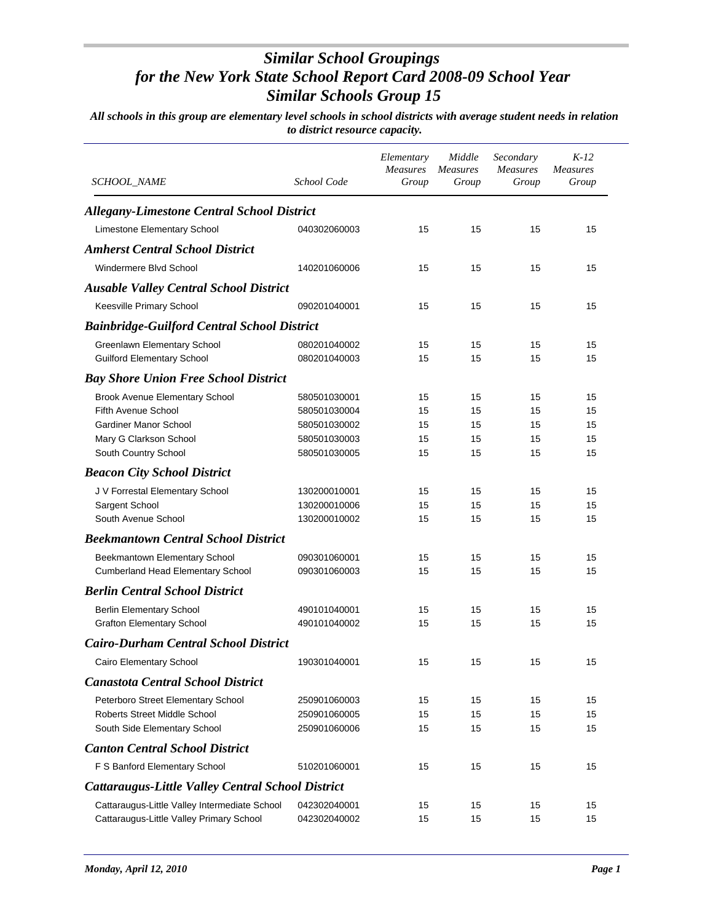| SCHOOL_NAME                                        | School Code  | Elementary<br><b>Measures</b><br>Group | Middle<br><i>Measures</i><br>Group | Secondary<br><b>Measures</b><br>Group | $K-12$<br><b>Measures</b><br>Group |
|----------------------------------------------------|--------------|----------------------------------------|------------------------------------|---------------------------------------|------------------------------------|
| <b>Allegany-Limestone Central School District</b>  |              |                                        |                                    |                                       |                                    |
| Limestone Elementary School                        | 040302060003 | 15                                     | 15                                 | 15                                    | 15                                 |
| <b>Amherst Central School District</b>             |              |                                        |                                    |                                       |                                    |
| Windermere Blvd School                             | 140201060006 | 15                                     | 15                                 | 15                                    | 15                                 |
| <b>Ausable Valley Central School District</b>      |              |                                        |                                    |                                       |                                    |
| Keesville Primary School                           | 090201040001 | 15                                     | 15                                 | 15                                    | 15                                 |
|                                                    |              |                                        |                                    |                                       |                                    |
| <b>Bainbridge-Guilford Central School District</b> |              |                                        |                                    |                                       |                                    |
| Greenlawn Elementary School                        | 080201040002 | 15                                     | 15                                 | 15                                    | 15                                 |
| <b>Guilford Elementary School</b>                  | 080201040003 | 15                                     | 15                                 | 15                                    | 15                                 |
| <b>Bay Shore Union Free School District</b>        |              |                                        |                                    |                                       |                                    |
| <b>Brook Avenue Elementary School</b>              | 580501030001 | 15                                     | 15                                 | 15                                    | 15                                 |
| Fifth Avenue School                                | 580501030004 | 15                                     | 15                                 | 15                                    | 15                                 |
| <b>Gardiner Manor School</b>                       | 580501030002 | 15                                     | 15                                 | 15                                    | 15                                 |
| Mary G Clarkson School                             | 580501030003 | 15                                     | 15                                 | 15                                    | 15                                 |
| South Country School                               | 580501030005 | 15                                     | 15                                 | 15                                    | 15                                 |
| <b>Beacon City School District</b>                 |              |                                        |                                    |                                       |                                    |
| J V Forrestal Elementary School                    | 130200010001 | 15                                     | 15                                 | 15                                    | 15                                 |
| Sargent School                                     | 130200010006 | 15                                     | 15                                 | 15                                    | 15                                 |
| South Avenue School                                | 130200010002 | 15                                     | 15                                 | 15                                    | 15                                 |
| <b>Beekmantown Central School District</b>         |              |                                        |                                    |                                       |                                    |
| Beekmantown Elementary School                      | 090301060001 | 15                                     | 15                                 | 15                                    | 15                                 |
| <b>Cumberland Head Elementary School</b>           | 090301060003 | 15                                     | 15                                 | 15                                    | 15                                 |
| <b>Berlin Central School District</b>              |              |                                        |                                    |                                       |                                    |
| <b>Berlin Elementary School</b>                    | 490101040001 | 15                                     | 15                                 | 15                                    | 15                                 |
| <b>Grafton Elementary School</b>                   | 490101040002 | 15                                     | 15                                 | 15                                    | 15                                 |
| <b>Cairo-Durham Central School District</b>        |              |                                        |                                    |                                       |                                    |
| Cairo Elementary School                            | 190301040001 | 15                                     | 15                                 | 15                                    | 15                                 |
|                                                    |              |                                        |                                    |                                       |                                    |
| <b>Canastota Central School District</b>           |              |                                        |                                    |                                       |                                    |
| Peterboro Street Elementary School                 | 250901060003 | 15                                     | 15                                 | 15                                    | 15                                 |
| Roberts Street Middle School                       | 250901060005 | 15                                     | 15                                 | 15                                    | 15                                 |
| South Side Elementary School                       | 250901060006 | 15                                     | 15                                 | 15                                    | 15                                 |
| <b>Canton Central School District</b>              |              |                                        |                                    |                                       |                                    |
| F S Banford Elementary School                      | 510201060001 | 15                                     | 15                                 | 15                                    | 15                                 |
| Cattaraugus-Little Valley Central School District  |              |                                        |                                    |                                       |                                    |
| Cattaraugus-Little Valley Intermediate School      | 042302040001 | 15                                     | 15                                 | 15                                    | 15                                 |
| Cattaraugus-Little Valley Primary School           | 042302040002 | 15                                     | 15                                 | 15                                    | 15                                 |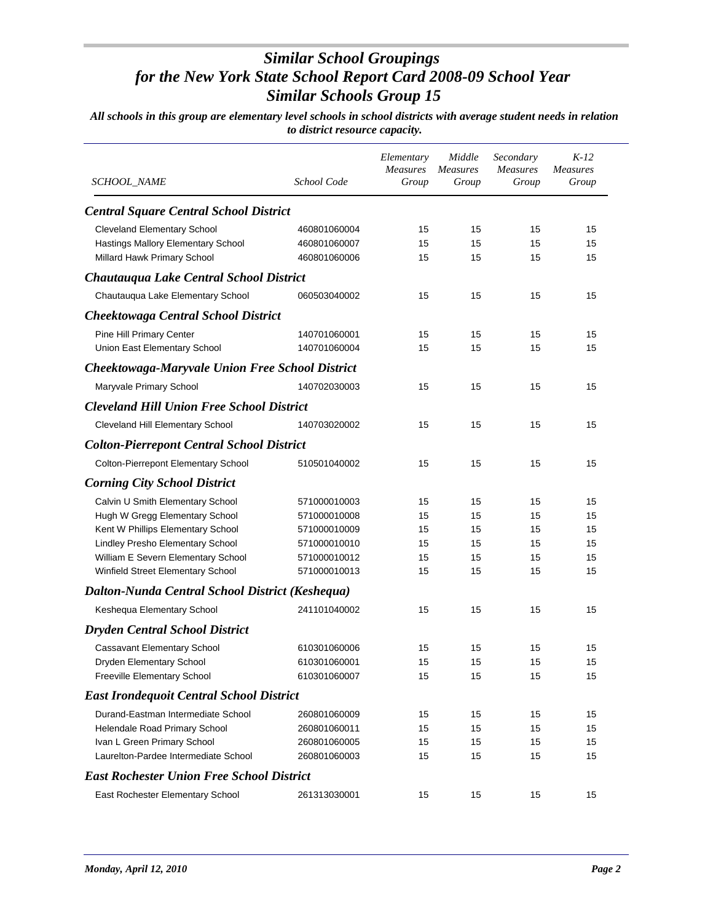| SCHOOL_NAME                                            | School Code  | Elementary<br><b>Measures</b><br>Group | Middle<br><i>Measures</i><br>Group | Secondary<br><b>Measures</b><br>Group | $K-12$<br>Measures<br>Group |
|--------------------------------------------------------|--------------|----------------------------------------|------------------------------------|---------------------------------------|-----------------------------|
| <b>Central Square Central School District</b>          |              |                                        |                                    |                                       |                             |
| <b>Cleveland Elementary School</b>                     | 460801060004 | 15                                     | 15                                 | 15                                    | 15                          |
| Hastings Mallory Elementary School                     | 460801060007 | 15                                     | 15                                 | 15                                    | 15                          |
| Millard Hawk Primary School                            | 460801060006 | 15                                     | 15                                 | 15                                    | 15                          |
| Chautauqua Lake Central School District                |              |                                        |                                    |                                       |                             |
| Chautauqua Lake Elementary School                      | 060503040002 | 15                                     | 15                                 | 15                                    | 15                          |
| <b>Cheektowaga Central School District</b>             |              |                                        |                                    |                                       |                             |
| Pine Hill Primary Center                               | 140701060001 | 15                                     | 15                                 | 15                                    | 15                          |
| Union East Elementary School                           | 140701060004 | 15                                     | 15                                 | 15                                    | 15                          |
| <b>Cheektowaga-Maryvale Union Free School District</b> |              |                                        |                                    |                                       |                             |
| Maryvale Primary School                                | 140702030003 | 15                                     | 15                                 | 15                                    | 15                          |
| <b>Cleveland Hill Union Free School District</b>       |              |                                        |                                    |                                       |                             |
| Cleveland Hill Elementary School                       | 140703020002 | 15                                     | 15                                 | 15                                    | 15                          |
| <b>Colton-Pierrepont Central School District</b>       |              |                                        |                                    |                                       |                             |
| Colton-Pierrepont Elementary School                    | 510501040002 | 15                                     | 15                                 | 15                                    | 15                          |
| <b>Corning City School District</b>                    |              |                                        |                                    |                                       |                             |
| Calvin U Smith Elementary School                       | 571000010003 | 15                                     | 15                                 | 15                                    | 15                          |
| Hugh W Gregg Elementary School                         | 571000010008 | 15                                     | 15                                 | 15                                    | 15                          |
| Kent W Phillips Elementary School                      | 571000010009 | 15                                     | 15                                 | 15                                    | 15                          |
| Lindley Presho Elementary School                       | 571000010010 | 15                                     | 15                                 | 15                                    | 15                          |
| William E Severn Elementary School                     | 571000010012 | 15                                     | 15                                 | 15                                    | 15                          |
| Winfield Street Elementary School                      | 571000010013 | 15                                     | 15                                 | 15                                    | 15                          |
| Dalton-Nunda Central School District (Keshequa)        |              |                                        |                                    |                                       |                             |
| Keshequa Elementary School                             | 241101040002 | 15                                     | 15                                 | 15                                    | 15                          |
| <b>Dryden Central School District</b>                  |              |                                        |                                    |                                       |                             |
| Cassavant Elementary School                            | 610301060006 | 15                                     | 15                                 | 15                                    | 15                          |
| Dryden Elementary School                               | 610301060001 | 15                                     | 15                                 | 15                                    | 15                          |
| Freeville Elementary School                            | 610301060007 | 15                                     | 15                                 | 15                                    | 15                          |
| <b>East Irondequoit Central School District</b>        |              |                                        |                                    |                                       |                             |
| Durand-Eastman Intermediate School                     | 260801060009 | 15                                     | 15                                 | 15                                    | 15                          |
| Helendale Road Primary School                          | 260801060011 | 15                                     | 15                                 | 15                                    | 15                          |
| Ivan L Green Primary School                            | 260801060005 | 15                                     | 15                                 | 15                                    | 15                          |
| Laurelton-Pardee Intermediate School                   | 260801060003 | 15                                     | 15                                 | 15                                    | 15                          |
| <b>East Rochester Union Free School District</b>       |              |                                        |                                    |                                       |                             |
| East Rochester Elementary School                       | 261313030001 | 15                                     | 15                                 | 15                                    | 15                          |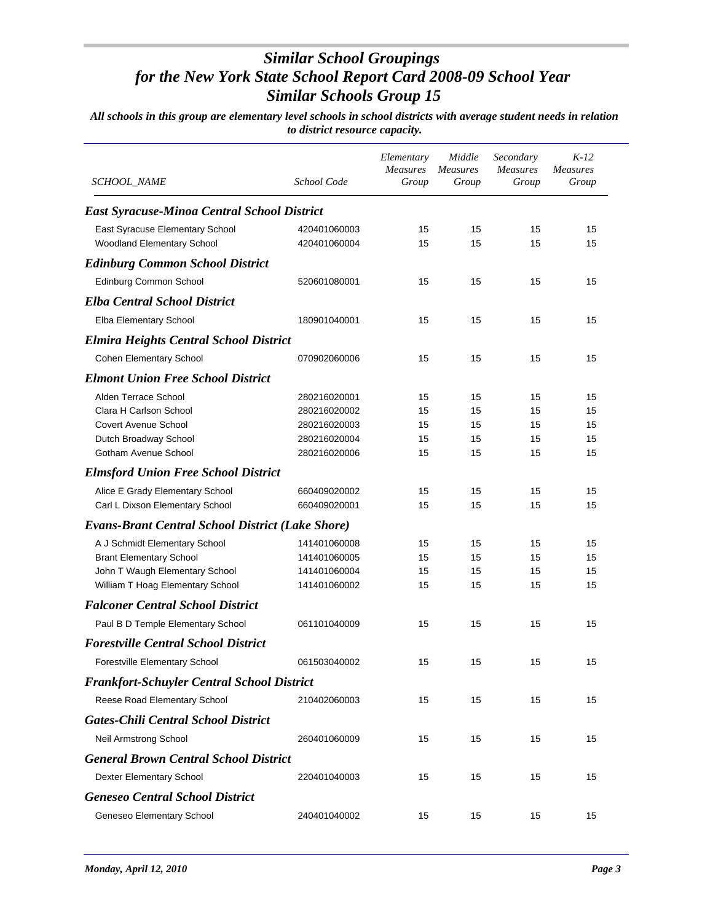| <i>SCHOOL_NAME</i>                                            | School Code                  | Elementary<br><b>Measures</b><br>Group | Middle<br><b>Measures</b><br>Group | Secondary<br><b>Measures</b><br>Group | $K-12$<br><b>Measures</b><br>Group |
|---------------------------------------------------------------|------------------------------|----------------------------------------|------------------------------------|---------------------------------------|------------------------------------|
| <b>East Syracuse-Minoa Central School District</b>            |                              |                                        |                                    |                                       |                                    |
| East Syracuse Elementary School<br>Woodland Elementary School | 420401060003<br>420401060004 | 15<br>15                               | 15<br>15                           | 15<br>15                              | 15<br>15                           |
| <b>Edinburg Common School District</b>                        |                              |                                        |                                    |                                       |                                    |
| Edinburg Common School                                        | 520601080001                 | 15                                     | 15                                 | 15                                    | 15                                 |
| <b>Elba Central School District</b>                           |                              |                                        |                                    |                                       |                                    |
| Elba Elementary School                                        | 180901040001                 | 15                                     | 15                                 | 15                                    | 15                                 |
|                                                               |                              |                                        |                                    |                                       |                                    |
| <b>Elmira Heights Central School District</b>                 |                              |                                        |                                    |                                       |                                    |
| <b>Cohen Elementary School</b>                                | 070902060006                 | 15                                     | 15                                 | 15                                    | 15                                 |
| <b>Elmont Union Free School District</b>                      |                              |                                        |                                    |                                       |                                    |
| Alden Terrace School                                          | 280216020001                 | 15                                     | 15                                 | 15                                    | 15                                 |
| Clara H Carlson School                                        | 280216020002                 | 15                                     | 15                                 | 15                                    | 15                                 |
| <b>Covert Avenue School</b>                                   | 280216020003                 | 15                                     | 15                                 | 15                                    | 15                                 |
| Dutch Broadway School                                         | 280216020004                 | 15                                     | 15                                 | 15                                    | 15                                 |
| Gotham Avenue School                                          | 280216020006                 | 15                                     | 15                                 | 15                                    | 15                                 |
| <b>Elmsford Union Free School District</b>                    |                              |                                        |                                    |                                       |                                    |
| Alice E Grady Elementary School                               | 660409020002                 | 15                                     | 15                                 | 15                                    | 15                                 |
| Carl L Dixson Elementary School                               | 660409020001                 | 15                                     | 15                                 | 15                                    | 15                                 |
| <b>Evans-Brant Central School District (Lake Shore)</b>       |                              |                                        |                                    |                                       |                                    |
| A J Schmidt Elementary School                                 | 141401060008                 | 15                                     | 15                                 | 15                                    | 15                                 |
| <b>Brant Elementary School</b>                                | 141401060005                 | 15                                     | 15                                 | 15                                    | 15                                 |
| John T Waugh Elementary School                                | 141401060004                 | 15                                     | 15                                 | 15                                    | 15                                 |
| William T Hoag Elementary School                              | 141401060002                 | 15                                     | 15                                 | 15                                    | 15                                 |
| <b>Falconer Central School District</b>                       |                              |                                        |                                    |                                       |                                    |
| Paul B D Temple Elementary School                             | 061101040009                 | 15                                     | 15                                 | 15                                    | 15                                 |
| <b>Forestville Central School District</b>                    |                              |                                        |                                    |                                       |                                    |
| Forestville Elementary School                                 | 061503040002                 | 15                                     | 15                                 | 15                                    | 15                                 |
| <b>Frankfort-Schuyler Central School District</b>             |                              |                                        |                                    |                                       |                                    |
| Reese Road Elementary School                                  | 210402060003                 | 15                                     | 15                                 | 15                                    | 15                                 |
| <b>Gates-Chili Central School District</b>                    |                              |                                        |                                    |                                       |                                    |
| Neil Armstrong School                                         | 260401060009                 | 15                                     | 15                                 | 15                                    | 15                                 |
| <b>General Brown Central School District</b>                  |                              |                                        |                                    |                                       |                                    |
| Dexter Elementary School                                      | 220401040003                 | 15                                     | 15                                 | 15                                    | 15                                 |
| <b>Geneseo Central School District</b>                        |                              |                                        |                                    |                                       |                                    |
|                                                               |                              |                                        |                                    |                                       |                                    |
| Geneseo Elementary School                                     | 240401040002                 | 15                                     | 15                                 | 15                                    | 15                                 |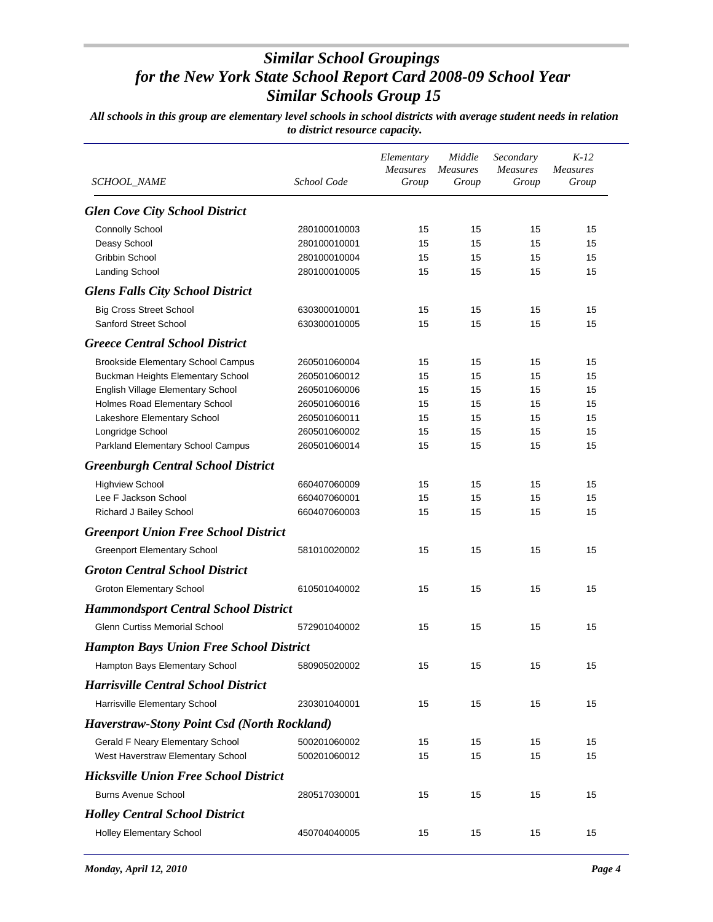| <i>SCHOOL_NAME</i>                                    | School Code                  | Elementary<br><b>Measures</b><br>Group | Middle<br><b>Measures</b><br>Group | Secondary<br><i>Measures</i><br>Group | $K-12$<br><b>Measures</b><br>Group |
|-------------------------------------------------------|------------------------------|----------------------------------------|------------------------------------|---------------------------------------|------------------------------------|
| <b>Glen Cove City School District</b>                 |                              |                                        |                                    |                                       |                                    |
| <b>Connolly School</b>                                | 280100010003                 | 15                                     | 15                                 | 15                                    | 15                                 |
| Deasy School                                          | 280100010001                 | 15                                     | 15                                 | 15                                    | 15                                 |
| <b>Gribbin School</b>                                 | 280100010004                 | 15                                     | 15                                 | 15                                    | 15                                 |
| <b>Landing School</b>                                 | 280100010005                 | 15                                     | 15                                 | 15                                    | 15                                 |
| <b>Glens Falls City School District</b>               |                              |                                        |                                    |                                       |                                    |
| <b>Big Cross Street School</b>                        | 630300010001                 | 15                                     | 15                                 | 15                                    | 15                                 |
| Sanford Street School                                 | 630300010005                 | 15                                     | 15                                 | 15                                    | 15                                 |
| <b>Greece Central School District</b>                 |                              |                                        |                                    |                                       |                                    |
| <b>Brookside Elementary School Campus</b>             | 260501060004                 | 15                                     | 15                                 | 15                                    | 15                                 |
| Buckman Heights Elementary School                     | 260501060012                 | 15                                     | 15                                 | 15                                    | 15                                 |
| English Village Elementary School                     | 260501060006                 | 15                                     | 15                                 | 15                                    | 15                                 |
| Holmes Road Elementary School                         | 260501060016                 | 15                                     | 15                                 | 15                                    | 15                                 |
| Lakeshore Elementary School                           | 260501060011                 | 15                                     | 15                                 | 15                                    | 15                                 |
| Longridge School<br>Parkland Elementary School Campus | 260501060002<br>260501060014 | 15<br>15                               | 15<br>15                           | 15<br>15                              | 15<br>15                           |
| <b>Greenburgh Central School District</b>             |                              |                                        |                                    |                                       |                                    |
|                                                       |                              |                                        |                                    |                                       |                                    |
| <b>Highview School</b>                                | 660407060009                 | 15                                     | 15                                 | 15                                    | 15                                 |
| Lee F Jackson School<br>Richard J Bailey School       | 660407060001<br>660407060003 | 15<br>15                               | 15<br>15                           | 15<br>15                              | 15<br>15                           |
| <b>Greenport Union Free School District</b>           |                              |                                        |                                    |                                       |                                    |
|                                                       |                              |                                        |                                    |                                       |                                    |
| <b>Greenport Elementary School</b>                    | 581010020002                 | 15                                     | 15                                 | 15                                    | 15                                 |
| <b>Groton Central School District</b>                 |                              |                                        |                                    |                                       |                                    |
| <b>Groton Elementary School</b>                       | 610501040002                 | 15                                     | 15                                 | 15                                    | 15                                 |
| <b>Hammondsport Central School District</b>           |                              |                                        |                                    |                                       |                                    |
| <b>Glenn Curtiss Memorial School</b>                  | 572901040002                 | 15                                     | 15                                 | 15                                    | 15                                 |
| <b>Hampton Bays Union Free School District</b>        |                              |                                        |                                    |                                       |                                    |
| Hampton Bays Elementary School                        | 580905020002                 | 15                                     | 15                                 | 15                                    | 15                                 |
| <b>Harrisville Central School District</b>            |                              |                                        |                                    |                                       |                                    |
| Harrisville Elementary School                         | 230301040001                 | 15                                     | 15                                 | 15                                    | 15                                 |
| <b>Haverstraw-Stony Point Csd (North Rockland)</b>    |                              |                                        |                                    |                                       |                                    |
| Gerald F Neary Elementary School                      | 500201060002                 | 15                                     | 15                                 | 15                                    | 15                                 |
| West Haverstraw Elementary School                     | 500201060012                 | 15                                     | 15                                 | 15                                    | 15                                 |
| <b>Hicksville Union Free School District</b>          |                              |                                        |                                    |                                       |                                    |
| <b>Burns Avenue School</b>                            | 280517030001                 | 15                                     | 15                                 | 15                                    | 15                                 |
| <b>Holley Central School District</b>                 |                              |                                        |                                    |                                       |                                    |
| <b>Holley Elementary School</b>                       | 450704040005                 | 15                                     | 15                                 | 15                                    | 15                                 |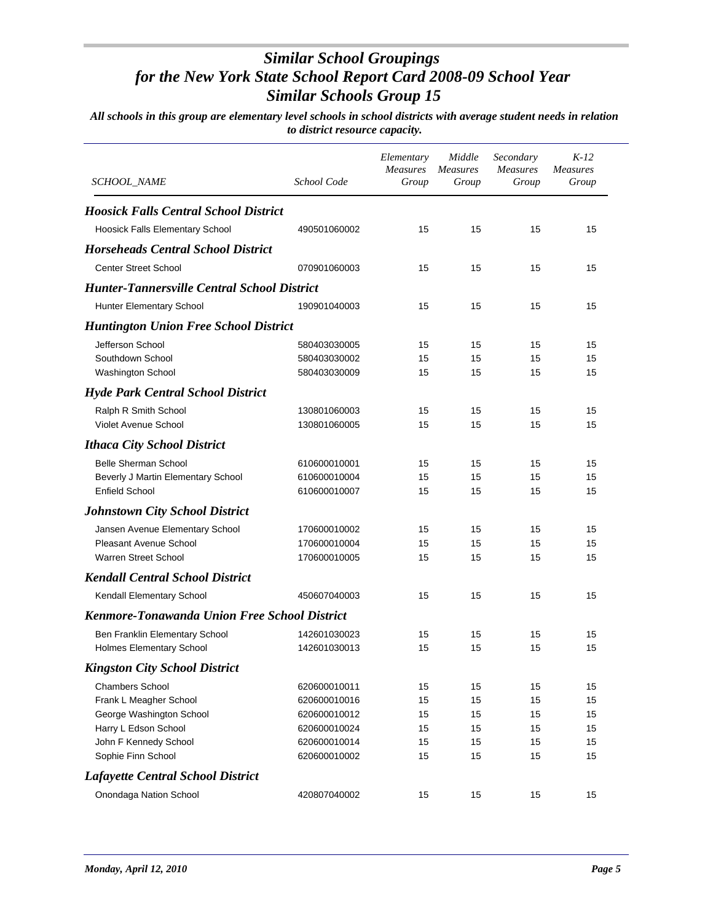| <b>SCHOOL_NAME</b>                                  | School Code  | Elementary<br>Measures<br>Group | Middle<br><b>Measures</b><br>Group | Secondary<br><b>Measures</b><br>Group | $K-12$<br><b>Measures</b><br>Group |
|-----------------------------------------------------|--------------|---------------------------------|------------------------------------|---------------------------------------|------------------------------------|
| <b>Hoosick Falls Central School District</b>        |              |                                 |                                    |                                       |                                    |
| Hoosick Falls Elementary School                     | 490501060002 | 15                              | 15                                 | 15                                    | 15                                 |
| <b>Horseheads Central School District</b>           |              |                                 |                                    |                                       |                                    |
| <b>Center Street School</b>                         | 070901060003 | 15                              | 15                                 | 15                                    | 15                                 |
| <b>Hunter-Tannersville Central School District</b>  |              |                                 |                                    |                                       |                                    |
|                                                     | 190901040003 | 15                              | 15                                 | 15                                    | 15                                 |
| Hunter Elementary School                            |              |                                 |                                    |                                       |                                    |
| <b>Huntington Union Free School District</b>        |              |                                 |                                    |                                       |                                    |
| Jefferson School                                    | 580403030005 | 15                              | 15                                 | 15                                    | 15                                 |
| Southdown School                                    | 580403030002 | 15                              | 15                                 | 15                                    | 15                                 |
| Washington School                                   | 580403030009 | 15                              | 15                                 | 15                                    | 15                                 |
| <b>Hyde Park Central School District</b>            |              |                                 |                                    |                                       |                                    |
| Ralph R Smith School                                | 130801060003 | 15                              | 15                                 | 15                                    | 15                                 |
| Violet Avenue School                                | 130801060005 | 15                              | 15                                 | 15                                    | 15                                 |
| <b>Ithaca City School District</b>                  |              |                                 |                                    |                                       |                                    |
| Belle Sherman School                                | 610600010001 | 15                              | 15                                 | 15                                    | 15                                 |
| Beverly J Martin Elementary School                  | 610600010004 | 15                              | 15                                 | 15                                    | 15                                 |
| <b>Enfield School</b>                               | 610600010007 | 15                              | 15                                 | 15                                    | 15                                 |
| <b>Johnstown City School District</b>               |              |                                 |                                    |                                       |                                    |
| Jansen Avenue Elementary School                     | 170600010002 | 15                              | 15                                 | 15                                    | 15                                 |
| <b>Pleasant Avenue School</b>                       | 170600010004 | 15                              | 15                                 | 15                                    | 15                                 |
| <b>Warren Street School</b>                         | 170600010005 | 15                              | 15                                 | 15                                    | 15                                 |
| <b>Kendall Central School District</b>              |              |                                 |                                    |                                       |                                    |
| Kendall Elementary School                           | 450607040003 | 15                              | 15                                 | 15                                    | 15                                 |
| <b>Kenmore-Tonawanda Union Free School District</b> |              |                                 |                                    |                                       |                                    |
| Ben Franklin Elementary School                      | 142601030023 | 15                              | 15                                 | 15                                    | 15                                 |
| <b>Holmes Elementary School</b>                     | 142601030013 | 15                              | 15                                 | 15                                    | 15                                 |
| <b>Kingston City School District</b>                |              |                                 |                                    |                                       |                                    |
| <b>Chambers School</b>                              | 620600010011 | 15                              | 15                                 | 15                                    | 15                                 |
| Frank L Meagher School                              | 620600010016 | 15                              | 15                                 | 15                                    | 15                                 |
| George Washington School                            | 620600010012 | 15                              | 15                                 | 15                                    | 15                                 |
| Harry L Edson School                                | 620600010024 | 15                              | 15                                 | 15                                    | 15                                 |
| John F Kennedy School                               | 620600010014 | 15                              | 15                                 | 15                                    | 15                                 |
| Sophie Finn School                                  | 620600010002 | 15                              | 15                                 | 15                                    | 15                                 |
| <b>Lafayette Central School District</b>            |              |                                 |                                    |                                       |                                    |
| Onondaga Nation School                              | 420807040002 | 15                              | 15                                 | 15                                    | 15                                 |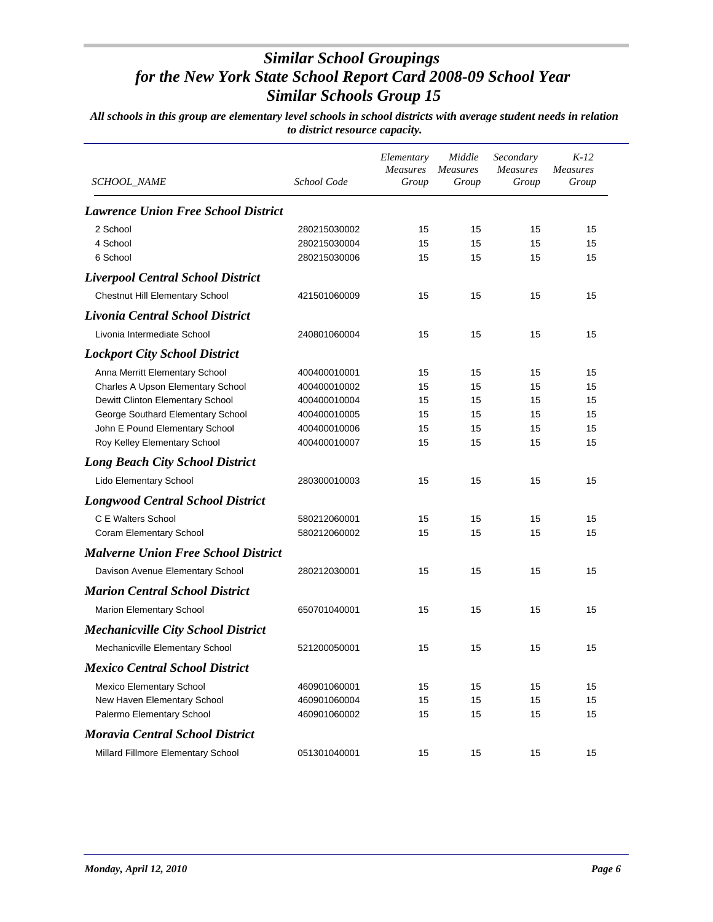| SCHOOL_NAME                                | School Code  | Elementary<br><b>Measures</b><br>Group | Middle<br><b>Measures</b><br>Group | Secondary<br><b>Measures</b><br>Group | $K-12$<br><b>Measures</b><br>Group |
|--------------------------------------------|--------------|----------------------------------------|------------------------------------|---------------------------------------|------------------------------------|
| <b>Lawrence Union Free School District</b> |              |                                        |                                    |                                       |                                    |
| 2 School                                   | 280215030002 | 15                                     | 15                                 | 15                                    | 15                                 |
| 4 School                                   | 280215030004 | 15                                     | 15                                 | 15                                    | 15                                 |
| 6 School                                   | 280215030006 | 15                                     | 15                                 | 15                                    | 15                                 |
| <b>Liverpool Central School District</b>   |              |                                        |                                    |                                       |                                    |
| Chestnut Hill Elementary School            | 421501060009 | 15                                     | 15                                 | 15                                    | 15                                 |
| Livonia Central School District            |              |                                        |                                    |                                       |                                    |
| Livonia Intermediate School                | 240801060004 | 15                                     | 15                                 | 15                                    | 15                                 |
| <b>Lockport City School District</b>       |              |                                        |                                    |                                       |                                    |
| Anna Merritt Elementary School             | 400400010001 | 15                                     | 15                                 | 15                                    | 15                                 |
| Charles A Upson Elementary School          | 400400010002 | 15                                     | 15                                 | 15                                    | 15                                 |
| Dewitt Clinton Elementary School           | 400400010004 | 15                                     | 15                                 | 15                                    | 15                                 |
| George Southard Elementary School          | 400400010005 | 15                                     | 15                                 | 15                                    | 15                                 |
| John E Pound Elementary School             | 400400010006 | 15                                     | 15                                 | 15                                    | 15                                 |
| Roy Kelley Elementary School               | 400400010007 | 15                                     | 15                                 | 15                                    | 15                                 |
| <b>Long Beach City School District</b>     |              |                                        |                                    |                                       |                                    |
| Lido Elementary School                     | 280300010003 | 15                                     | 15                                 | 15                                    | 15                                 |
| <b>Longwood Central School District</b>    |              |                                        |                                    |                                       |                                    |
| C E Walters School                         | 580212060001 | 15                                     | 15                                 | 15                                    | 15                                 |
| Coram Elementary School                    | 580212060002 | 15                                     | 15                                 | 15                                    | 15                                 |
| <b>Malverne Union Free School District</b> |              |                                        |                                    |                                       |                                    |
| Davison Avenue Elementary School           | 280212030001 | 15                                     | 15                                 | 15                                    | 15                                 |
| <b>Marion Central School District</b>      |              |                                        |                                    |                                       |                                    |
| Marion Elementary School                   | 650701040001 | 15                                     | 15                                 | 15                                    | 15                                 |
| <b>Mechanicville City School District</b>  |              |                                        |                                    |                                       |                                    |
| Mechanicville Elementary School            | 521200050001 | 15                                     | 15                                 | 15                                    | 15                                 |
| <b>Mexico Central School District</b>      |              |                                        |                                    |                                       |                                    |
| <b>Mexico Elementary School</b>            | 460901060001 | 15                                     | 15                                 | 15                                    | 15                                 |
| New Haven Elementary School                | 460901060004 | 15                                     | 15                                 | 15                                    | 15                                 |
| Palermo Elementary School                  | 460901060002 | 15                                     | 15                                 | 15                                    | 15                                 |
| <b>Moravia Central School District</b>     |              |                                        |                                    |                                       |                                    |
| Millard Fillmore Elementary School         | 051301040001 | 15                                     | 15                                 | 15                                    | 15                                 |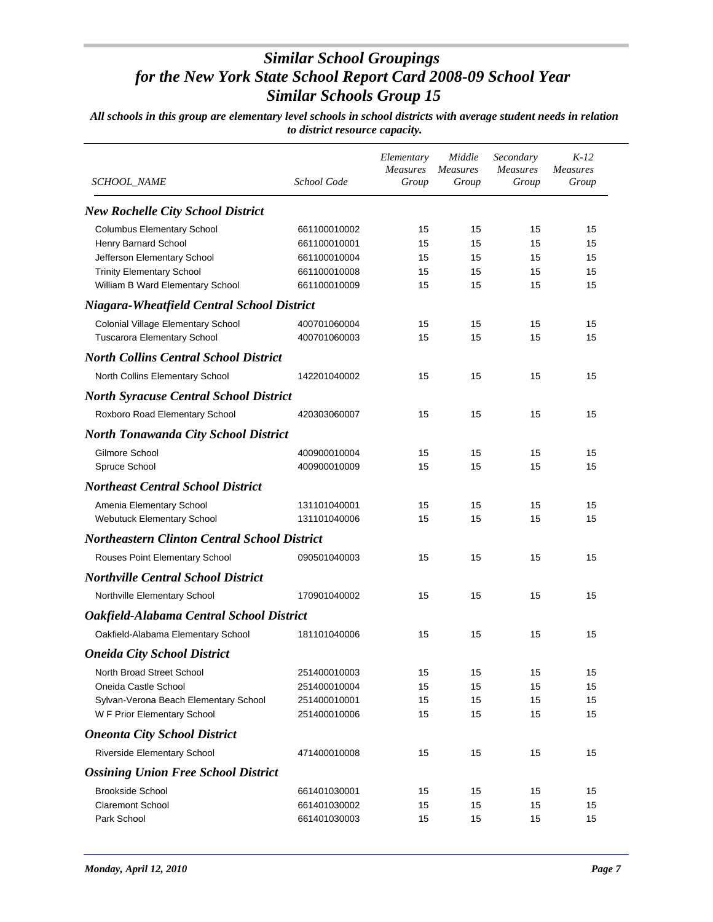| SCHOOL_NAME                                         | School Code  | Elementary<br><b>Measures</b><br>Group | Middle<br><b>Measures</b><br>Group | Secondary<br><b>Measures</b><br>Group | $K-12$<br><b>Measures</b><br>Group |
|-----------------------------------------------------|--------------|----------------------------------------|------------------------------------|---------------------------------------|------------------------------------|
| <b>New Rochelle City School District</b>            |              |                                        |                                    |                                       |                                    |
| <b>Columbus Elementary School</b>                   | 661100010002 | 15                                     | 15                                 | 15                                    | 15                                 |
| Henry Barnard School                                | 661100010001 | 15                                     | 15                                 | 15                                    | 15                                 |
| Jefferson Elementary School                         | 661100010004 | 15                                     | 15                                 | 15                                    | 15                                 |
| <b>Trinity Elementary School</b>                    | 661100010008 | 15                                     | 15                                 | 15                                    | 15                                 |
| William B Ward Elementary School                    | 661100010009 | 15                                     | 15                                 | 15                                    | 15                                 |
| <b>Niagara-Wheatfield Central School District</b>   |              |                                        |                                    |                                       |                                    |
| Colonial Village Elementary School                  | 400701060004 | 15                                     | 15                                 | 15                                    | 15                                 |
| <b>Tuscarora Elementary School</b>                  | 400701060003 | 15                                     | 15                                 | 15                                    | 15                                 |
| <b>North Collins Central School District</b>        |              |                                        |                                    |                                       |                                    |
| North Collins Elementary School                     | 142201040002 | 15                                     | 15                                 | 15                                    | 15                                 |
| <b>North Syracuse Central School District</b>       |              |                                        |                                    |                                       |                                    |
| Roxboro Road Elementary School                      | 420303060007 | 15                                     | 15                                 | 15                                    | 15                                 |
| <b>North Tonawanda City School District</b>         |              |                                        |                                    |                                       |                                    |
| Gilmore School                                      | 400900010004 | 15                                     | 15                                 | 15                                    | 15                                 |
| Spruce School                                       | 400900010009 | 15                                     | 15                                 | 15                                    | 15                                 |
| <b>Northeast Central School District</b>            |              |                                        |                                    |                                       |                                    |
| Amenia Elementary School                            | 131101040001 | 15                                     | 15                                 | 15                                    | 15                                 |
| Webutuck Elementary School                          | 131101040006 | 15                                     | 15                                 | 15                                    | 15                                 |
| <b>Northeastern Clinton Central School District</b> |              |                                        |                                    |                                       |                                    |
| Rouses Point Elementary School                      | 090501040003 | 15                                     | 15                                 | 15                                    | 15                                 |
| <b>Northville Central School District</b>           |              |                                        |                                    |                                       |                                    |
| Northville Elementary School                        | 170901040002 | 15                                     | 15                                 | 15                                    | 15                                 |
| Oakfield-Alabama Central School District            |              |                                        |                                    |                                       |                                    |
| Oakfield-Alabama Elementary School                  | 181101040006 | 15                                     | 15                                 | 15                                    | 15                                 |
| <b>Oneida City School District</b>                  |              |                                        |                                    |                                       |                                    |
| North Broad Street School                           | 251400010003 | 15                                     | 15                                 | 15                                    | 15                                 |
| Oneida Castle School                                | 251400010004 | 15                                     | 15                                 | 15                                    | 15                                 |
| Sylvan-Verona Beach Elementary School               | 251400010001 | 15                                     | 15                                 | 15                                    | 15                                 |
| W F Prior Elementary School                         | 251400010006 | 15                                     | 15                                 | 15                                    | 15                                 |
| <b>Oneonta City School District</b>                 |              |                                        |                                    |                                       |                                    |
| Riverside Elementary School                         | 471400010008 | 15                                     | 15                                 | 15                                    | 15                                 |
| <b>Ossining Union Free School District</b>          |              |                                        |                                    |                                       |                                    |
| <b>Brookside School</b>                             | 661401030001 | 15                                     | 15                                 | 15                                    | 15                                 |
| <b>Claremont School</b>                             | 661401030002 | 15                                     | 15                                 | 15                                    | 15                                 |
| Park School                                         | 661401030003 | 15                                     | 15                                 | 15                                    | 15                                 |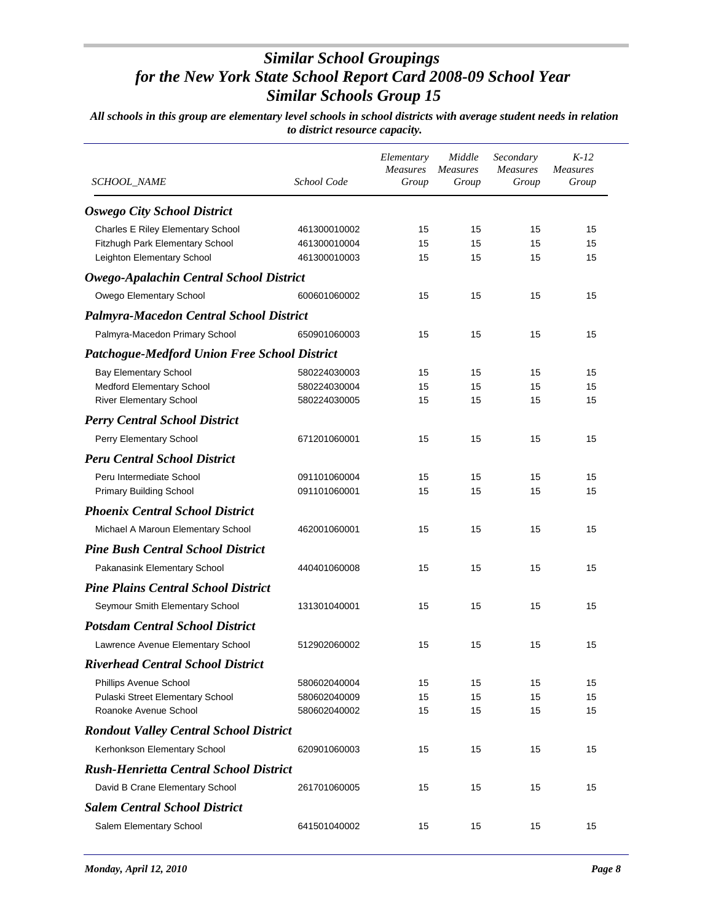| SCHOOL_NAME                                         | School Code  | Elementary<br><b>Measures</b><br>Group | Middle<br><b>Measures</b><br>Group | Secondary<br><b>Measures</b><br>Group | $K-12$<br><b>Measures</b><br>Group |
|-----------------------------------------------------|--------------|----------------------------------------|------------------------------------|---------------------------------------|------------------------------------|
| <b>Oswego City School District</b>                  |              |                                        |                                    |                                       |                                    |
| Charles E Riley Elementary School                   | 461300010002 | 15                                     | 15                                 | 15                                    | 15                                 |
| Fitzhugh Park Elementary School                     | 461300010004 | 15                                     | 15                                 | 15                                    | 15                                 |
| Leighton Elementary School                          | 461300010003 | 15                                     | 15                                 | 15                                    | 15                                 |
| Owego-Apalachin Central School District             |              |                                        |                                    |                                       |                                    |
| Owego Elementary School                             | 600601060002 | 15                                     | 15                                 | 15                                    | 15                                 |
| <b>Palmyra-Macedon Central School District</b>      |              |                                        |                                    |                                       |                                    |
| Palmyra-Macedon Primary School                      | 650901060003 | 15                                     | 15                                 | 15                                    | 15                                 |
| <b>Patchogue-Medford Union Free School District</b> |              |                                        |                                    |                                       |                                    |
| <b>Bay Elementary School</b>                        | 580224030003 | 15                                     | 15                                 | 15                                    | 15                                 |
| Medford Elementary School                           | 580224030004 | 15                                     | 15                                 | 15                                    | 15                                 |
| <b>River Elementary School</b>                      | 580224030005 | 15                                     | 15                                 | 15                                    | 15                                 |
| <b>Perry Central School District</b>                |              |                                        |                                    |                                       |                                    |
| Perry Elementary School                             | 671201060001 | 15                                     | 15                                 | 15                                    | 15                                 |
| <b>Peru Central School District</b>                 |              |                                        |                                    |                                       |                                    |
| Peru Intermediate School                            | 091101060004 | 15                                     | 15                                 | 15                                    | 15                                 |
| <b>Primary Building School</b>                      | 091101060001 | 15                                     | 15                                 | 15                                    | 15                                 |
| <b>Phoenix Central School District</b>              |              |                                        |                                    |                                       |                                    |
| Michael A Maroun Elementary School                  | 462001060001 | 15                                     | 15                                 | 15                                    | 15                                 |
| <b>Pine Bush Central School District</b>            |              |                                        |                                    |                                       |                                    |
| Pakanasink Elementary School                        | 440401060008 | 15                                     | 15                                 | 15                                    | 15                                 |
| <b>Pine Plains Central School District</b>          |              |                                        |                                    |                                       |                                    |
| Seymour Smith Elementary School                     | 131301040001 | 15                                     | 15                                 | 15                                    | 15                                 |
| <b>Potsdam Central School District</b>              |              |                                        |                                    |                                       |                                    |
| Lawrence Avenue Elementary School                   | 512902060002 | 15                                     | 15                                 | 15                                    | 15                                 |
| <b>Riverhead Central School District</b>            |              |                                        |                                    |                                       |                                    |
| Phillips Avenue School                              | 580602040004 | 15                                     | 15                                 | 15                                    | 15                                 |
| Pulaski Street Elementary School                    | 580602040009 | 15                                     | 15                                 | 15                                    | 15                                 |
| Roanoke Avenue School                               | 580602040002 | 15                                     | 15                                 | 15                                    | 15                                 |
| <b>Rondout Valley Central School District</b>       |              |                                        |                                    |                                       |                                    |
| Kerhonkson Elementary School                        | 620901060003 | 15                                     | 15                                 | 15                                    | 15                                 |
| <b>Rush-Henrietta Central School District</b>       |              |                                        |                                    |                                       |                                    |
| David B Crane Elementary School                     | 261701060005 | 15                                     | 15                                 | 15                                    | 15                                 |
| <b>Salem Central School District</b>                |              |                                        |                                    |                                       |                                    |
| Salem Elementary School                             | 641501040002 | 15                                     | 15                                 | 15                                    | 15                                 |
|                                                     |              |                                        |                                    |                                       |                                    |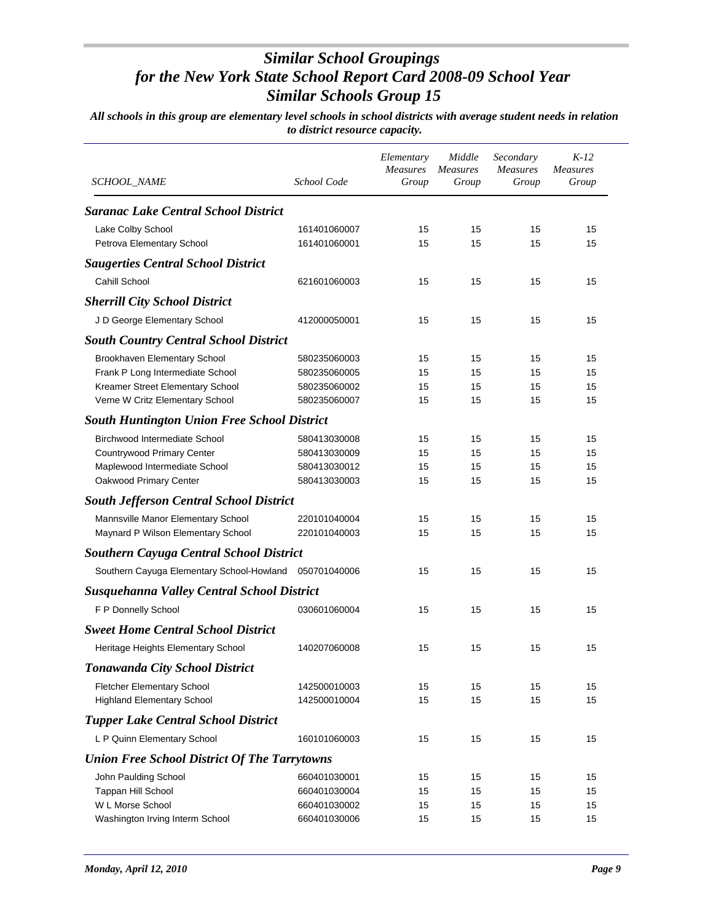| SCHOOL_NAME                                            | School Code  | Elementary<br>Measures<br>Group | Middle<br><b>Measures</b><br>Group | Secondary<br><b>Measures</b><br>Group | $K-12$<br><b>Measures</b><br>Group |
|--------------------------------------------------------|--------------|---------------------------------|------------------------------------|---------------------------------------|------------------------------------|
| <b>Saranac Lake Central School District</b>            |              |                                 |                                    |                                       |                                    |
| Lake Colby School                                      | 161401060007 | 15                              | 15                                 | 15                                    | 15                                 |
| Petrova Elementary School                              | 161401060001 | 15                              | 15                                 | 15                                    | 15                                 |
| <b>Saugerties Central School District</b>              |              |                                 |                                    |                                       |                                    |
| Cahill School                                          | 621601060003 | 15                              | 15                                 | 15                                    | 15                                 |
| <b>Sherrill City School District</b>                   |              |                                 |                                    |                                       |                                    |
| J D George Elementary School                           | 412000050001 | 15                              | 15                                 | 15                                    | 15                                 |
| <b>South Country Central School District</b>           |              |                                 |                                    |                                       |                                    |
| Brookhaven Elementary School                           | 580235060003 | 15                              | 15                                 | 15                                    | 15                                 |
| Frank P Long Intermediate School                       | 580235060005 | 15                              | 15                                 | 15                                    | 15                                 |
| Kreamer Street Elementary School                       | 580235060002 | 15                              | 15                                 | 15                                    | 15                                 |
| Verne W Critz Elementary School                        | 580235060007 | 15                              | 15                                 | 15                                    | 15                                 |
| <b>South Huntington Union Free School District</b>     |              |                                 |                                    |                                       |                                    |
| Birchwood Intermediate School                          | 580413030008 | 15                              | 15                                 | 15                                    | 15                                 |
| Countrywood Primary Center                             | 580413030009 | 15                              | 15                                 | 15                                    | 15                                 |
| Maplewood Intermediate School                          | 580413030012 | 15                              | 15                                 | 15                                    | 15                                 |
| Oakwood Primary Center                                 | 580413030003 | 15                              | 15                                 | 15                                    | 15                                 |
| <b>South Jefferson Central School District</b>         |              |                                 |                                    |                                       |                                    |
| Mannsville Manor Elementary School                     | 220101040004 | 15                              | 15                                 | 15                                    | 15                                 |
| Maynard P Wilson Elementary School                     | 220101040003 | 15                              | 15                                 | 15                                    | 15                                 |
| <b>Southern Cayuga Central School District</b>         |              |                                 |                                    |                                       |                                    |
| Southern Cayuga Elementary School-Howland 050701040006 |              | 15                              | 15                                 | 15                                    | 15                                 |
| <b>Susquehanna Valley Central School District</b>      |              |                                 |                                    |                                       |                                    |
| F P Donnelly School                                    | 030601060004 | 15                              | 15                                 | 15                                    | 15                                 |
| <b>Sweet Home Central School District</b>              |              |                                 |                                    |                                       |                                    |
| Heritage Heights Elementary School                     | 140207060008 | 15                              | 15                                 | 15                                    | 15                                 |
| Tonawanda City School District                         |              |                                 |                                    |                                       |                                    |
| <b>Fletcher Elementary School</b>                      | 142500010003 | 15                              | 15                                 | 15                                    | 15                                 |
| <b>Highland Elementary School</b>                      | 142500010004 | 15                              | 15                                 | 15                                    | 15                                 |
| <b>Tupper Lake Central School District</b>             |              |                                 |                                    |                                       |                                    |
| L P Quinn Elementary School                            | 160101060003 | 15                              | 15                                 | 15                                    | 15                                 |
| <b>Union Free School District Of The Tarrytowns</b>    |              |                                 |                                    |                                       |                                    |
| John Paulding School                                   | 660401030001 | 15                              | 15                                 | 15                                    | 15                                 |
| Tappan Hill School                                     | 660401030004 | 15                              | 15                                 | 15                                    | 15                                 |
| W L Morse School                                       | 660401030002 | 15                              | 15                                 | 15                                    | 15                                 |
| Washington Irving Interm School                        | 660401030006 | 15                              | 15                                 | 15                                    | 15                                 |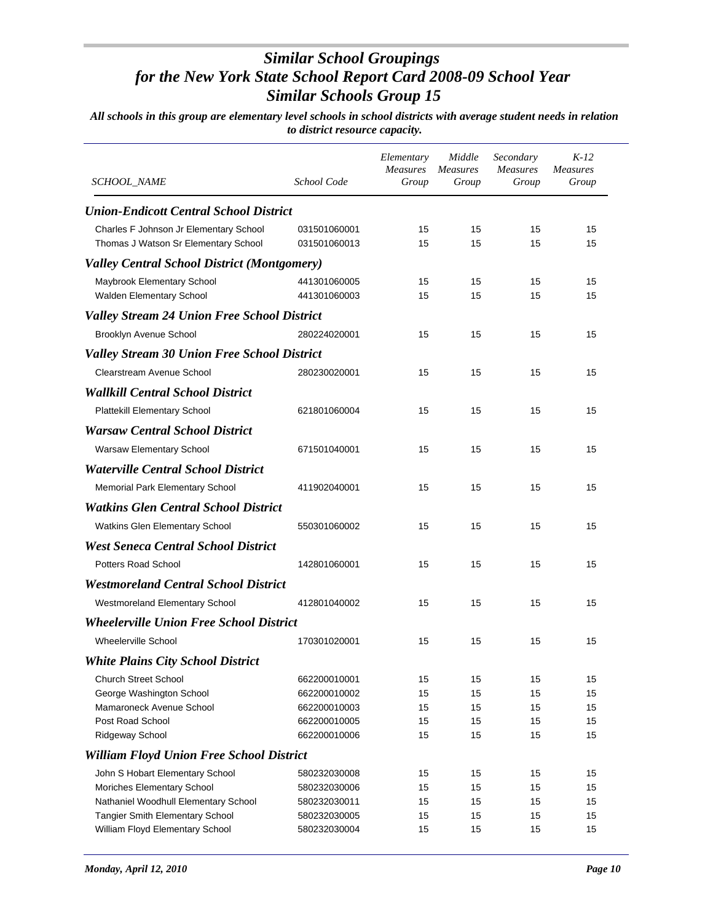| <i>SCHOOL_NAME</i>                                                 | School Code                  | Elementary<br><b>Measures</b><br>Group | Middle<br><b>Measures</b><br>Group | Secondary<br>Measures<br>Group | K-12<br><b>Measures</b><br>Group |
|--------------------------------------------------------------------|------------------------------|----------------------------------------|------------------------------------|--------------------------------|----------------------------------|
| <b>Union-Endicott Central School District</b>                      |                              |                                        |                                    |                                |                                  |
| Charles F Johnson Jr Elementary School                             | 031501060001                 | 15                                     | 15                                 | 15                             | 15                               |
| Thomas J Watson Sr Elementary School                               | 031501060013                 | 15                                     | 15                                 | 15                             | 15                               |
| <b>Valley Central School District (Montgomery)</b>                 |                              |                                        |                                    |                                |                                  |
| Maybrook Elementary School                                         | 441301060005                 | 15                                     | 15                                 | 15                             | 15                               |
| Walden Elementary School                                           | 441301060003                 | 15                                     | 15                                 | 15                             | 15                               |
| <b>Valley Stream 24 Union Free School District</b>                 |                              |                                        |                                    |                                |                                  |
| Brooklyn Avenue School                                             | 280224020001                 | 15                                     | 15                                 | 15                             | 15                               |
| <b>Valley Stream 30 Union Free School District</b>                 |                              |                                        |                                    |                                |                                  |
| Clearstream Avenue School                                          | 280230020001                 | 15                                     | 15                                 | 15                             | 15                               |
| <b>Wallkill Central School District</b>                            |                              |                                        |                                    |                                |                                  |
| <b>Plattekill Elementary School</b>                                | 621801060004                 | 15                                     | 15                                 | 15                             | 15                               |
| <b>Warsaw Central School District</b>                              |                              |                                        |                                    |                                |                                  |
| Warsaw Elementary School                                           | 671501040001                 | 15                                     | 15                                 | 15                             | 15                               |
| <b>Waterville Central School District</b>                          |                              |                                        |                                    |                                |                                  |
| Memorial Park Elementary School                                    | 411902040001                 | 15                                     | 15                                 | 15                             | 15                               |
| <b>Watkins Glen Central School District</b>                        |                              |                                        |                                    |                                |                                  |
| Watkins Glen Elementary School                                     | 550301060002                 | 15                                     | 15                                 | 15                             | 15                               |
|                                                                    |                              |                                        |                                    |                                |                                  |
| <b>West Seneca Central School District</b>                         |                              |                                        |                                    |                                |                                  |
| <b>Potters Road School</b>                                         | 142801060001                 | 15                                     | 15                                 | 15                             | 15                               |
| <b>Westmoreland Central School District</b>                        |                              |                                        |                                    |                                |                                  |
| Westmoreland Elementary School                                     | 412801040002                 | 15                                     | 15                                 | 15                             | 15                               |
| <b>Wheelerville Union Free School District</b>                     |                              |                                        |                                    |                                |                                  |
| <b>Wheelerville School</b>                                         | 170301020001                 | 15                                     | 15                                 | 15                             | 15                               |
| <b>White Plains City School District</b>                           |                              |                                        |                                    |                                |                                  |
| <b>Church Street School</b>                                        | 662200010001                 | 15                                     | 15                                 | 15                             | 15                               |
| George Washington School                                           | 662200010002                 | 15                                     | 15                                 | 15                             | 15                               |
| Mamaroneck Avenue School                                           | 662200010003                 | 15                                     | 15                                 | 15                             | 15                               |
| Post Road School                                                   | 662200010005                 | 15                                     | 15                                 | 15                             | 15                               |
| Ridgeway School                                                    | 662200010006                 | 15                                     | 15                                 | 15                             | 15                               |
| <b>William Floyd Union Free School District</b>                    |                              |                                        |                                    |                                |                                  |
| John S Hobart Elementary School                                    | 580232030008                 | 15                                     | 15                                 | 15                             | 15                               |
| Moriches Elementary School<br>Nathaniel Woodhull Elementary School | 580232030006<br>580232030011 | 15<br>15                               | 15<br>15                           | 15<br>15                       | 15<br>15                         |
| Tangier Smith Elementary School                                    | 580232030005                 | 15                                     | 15                                 | 15                             | 15                               |
| William Floyd Elementary School                                    | 580232030004                 | 15                                     | 15                                 | 15                             | 15                               |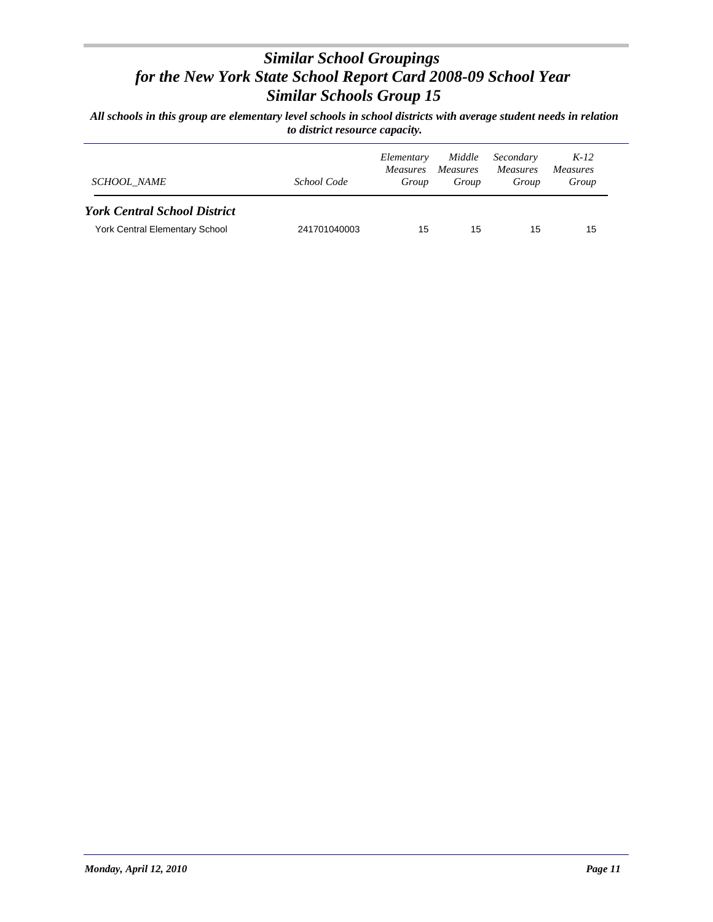| SCHOOL NAME                           | School Code  | Elementary<br><i>Measures</i><br>Group | Middle<br><i>Measures</i><br>Group | Secondary<br><i>Measures</i><br>Group | $K-12$<br>Measures<br>Group |
|---------------------------------------|--------------|----------------------------------------|------------------------------------|---------------------------------------|-----------------------------|
| <b>York Central School District</b>   |              |                                        |                                    |                                       |                             |
| <b>York Central Elementary School</b> | 241701040003 | 15                                     | 15                                 | 15                                    | 15                          |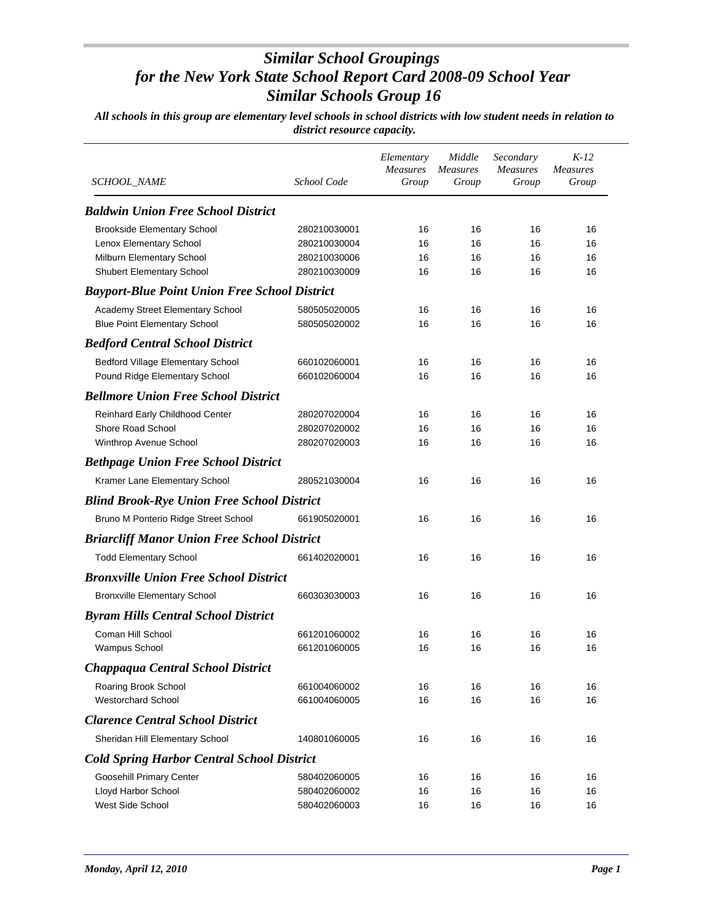| <i>SCHOOL_NAME</i>                                   | School Code  | Elementary<br><b>Measures</b><br>Group | Middle<br><b>Measures</b><br>Group | Secondary<br><b>Measures</b><br>Group | $K-12$<br><b>Measures</b><br>Group |
|------------------------------------------------------|--------------|----------------------------------------|------------------------------------|---------------------------------------|------------------------------------|
| <b>Baldwin Union Free School District</b>            |              |                                        |                                    |                                       |                                    |
| <b>Brookside Elementary School</b>                   | 280210030001 | 16                                     | 16                                 | 16                                    | 16                                 |
| Lenox Elementary School                              | 280210030004 | 16                                     | 16                                 | 16                                    | 16                                 |
| Milburn Elementary School                            | 280210030006 | 16                                     | 16                                 | 16                                    | 16                                 |
| Shubert Elementary School                            | 280210030009 | 16                                     | 16                                 | 16                                    | 16                                 |
| <b>Bayport-Blue Point Union Free School District</b> |              |                                        |                                    |                                       |                                    |
| Academy Street Elementary School                     | 580505020005 | 16                                     | 16                                 | 16                                    | 16                                 |
| <b>Blue Point Elementary School</b>                  | 580505020002 | 16                                     | 16                                 | 16                                    | 16                                 |
| <b>Bedford Central School District</b>               |              |                                        |                                    |                                       |                                    |
| Bedford Village Elementary School                    | 660102060001 | 16                                     | 16                                 | 16                                    | 16                                 |
| Pound Ridge Elementary School                        | 660102060004 | 16                                     | 16                                 | 16                                    | 16                                 |
| <b>Bellmore Union Free School District</b>           |              |                                        |                                    |                                       |                                    |
| Reinhard Early Childhood Center                      | 280207020004 | 16                                     | 16                                 | 16                                    | 16                                 |
| Shore Road School                                    | 280207020002 | 16                                     | 16                                 | 16                                    | 16                                 |
| Winthrop Avenue School                               | 280207020003 | 16                                     | 16                                 | 16                                    | 16                                 |
| <b>Bethpage Union Free School District</b>           |              |                                        |                                    |                                       |                                    |
| Kramer Lane Elementary School                        | 280521030004 | 16                                     | 16                                 | 16                                    | 16                                 |
| <b>Blind Brook-Rye Union Free School District</b>    |              |                                        |                                    |                                       |                                    |
| Bruno M Ponterio Ridge Street School                 | 661905020001 | 16                                     | 16                                 | 16                                    | 16                                 |
| <b>Briarcliff Manor Union Free School District</b>   |              |                                        |                                    |                                       |                                    |
| <b>Todd Elementary School</b>                        | 661402020001 | 16                                     | 16                                 | 16                                    | 16                                 |
| <b>Bronxville Union Free School District</b>         |              |                                        |                                    |                                       |                                    |
| <b>Bronxville Elementary School</b>                  | 660303030003 | 16                                     | 16                                 | 16                                    | 16                                 |
| <b>Byram Hills Central School District</b>           |              |                                        |                                    |                                       |                                    |
| Coman Hill School                                    | 661201060002 | 16                                     | 16                                 | 16                                    | 16                                 |
| <b>Wampus School</b>                                 | 661201060005 | 16                                     | 16                                 | 16                                    | 16                                 |
| Chappaqua Central School District                    |              |                                        |                                    |                                       |                                    |
| Roaring Brook School                                 | 661004060002 | 16                                     | 16                                 | 16                                    | 16                                 |
| <b>Westorchard School</b>                            | 661004060005 | 16                                     | 16                                 | 16                                    | 16                                 |
| <b>Clarence Central School District</b>              |              |                                        |                                    |                                       |                                    |
| Sheridan Hill Elementary School                      | 140801060005 | 16                                     | 16                                 | 16                                    | 16                                 |
| <b>Cold Spring Harbor Central School District</b>    |              |                                        |                                    |                                       |                                    |
| Goosehill Primary Center                             | 580402060005 | 16                                     | 16                                 | 16                                    | 16                                 |
| Lloyd Harbor School                                  | 580402060002 | 16                                     | 16                                 | 16                                    | 16                                 |
| West Side School                                     | 580402060003 | 16                                     | 16                                 | 16                                    | 16                                 |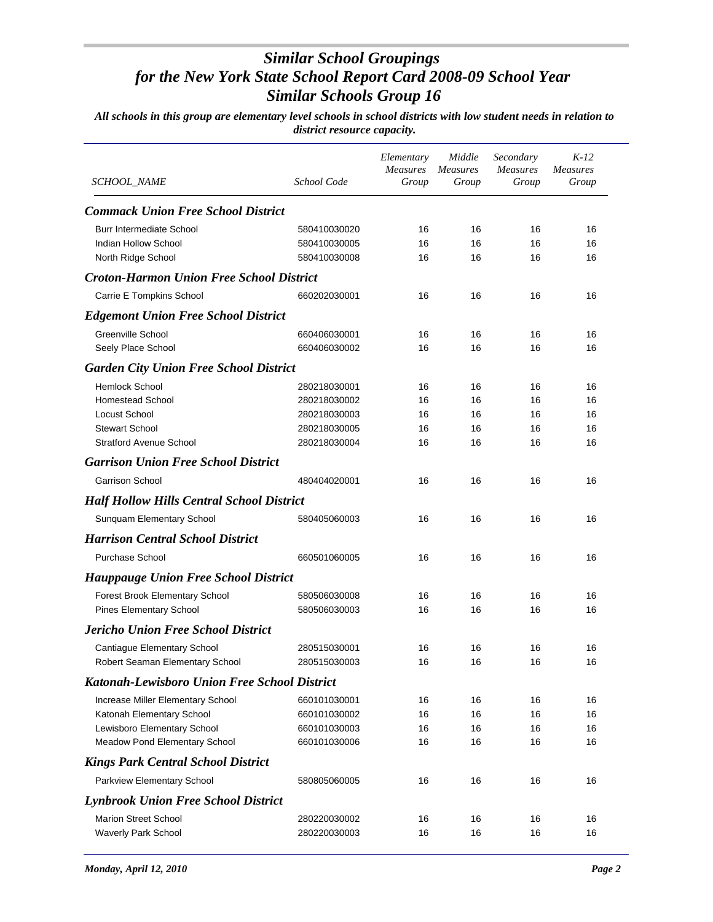| SCHOOL_NAME                                         | School Code                  | Elementary<br><b>Measures</b><br>Group | Middle<br><b>Measures</b><br>Group | Secondary<br><b>Measures</b><br>Group | $K-12$<br><b>Measures</b><br>Group |
|-----------------------------------------------------|------------------------------|----------------------------------------|------------------------------------|---------------------------------------|------------------------------------|
|                                                     |                              |                                        |                                    |                                       |                                    |
| <b>Commack Union Free School District</b>           |                              |                                        |                                    |                                       |                                    |
| <b>Burr Intermediate School</b>                     | 580410030020                 | 16                                     | 16                                 | 16                                    | 16                                 |
| Indian Hollow School<br>North Ridge School          | 580410030005<br>580410030008 | 16<br>16                               | 16<br>16                           | 16<br>16                              | 16<br>16                           |
| <b>Croton-Harmon Union Free School District</b>     |                              |                                        |                                    |                                       |                                    |
| Carrie E Tompkins School                            | 660202030001                 | 16                                     | 16                                 | 16                                    | 16                                 |
| <b>Edgemont Union Free School District</b>          |                              |                                        |                                    |                                       |                                    |
| <b>Greenville School</b>                            | 660406030001                 | 16                                     | 16                                 | 16                                    | 16                                 |
| Seely Place School                                  | 660406030002                 | 16                                     | 16                                 | 16                                    | 16                                 |
| <b>Garden City Union Free School District</b>       |                              |                                        |                                    |                                       |                                    |
| Hemlock School                                      | 280218030001                 | 16                                     | 16                                 | 16                                    | 16                                 |
| <b>Homestead School</b>                             | 280218030002                 | 16                                     | 16                                 | 16                                    | 16                                 |
| Locust School                                       | 280218030003                 | 16                                     | 16                                 | 16                                    | 16                                 |
| <b>Stewart School</b>                               | 280218030005                 | 16                                     | 16                                 | 16                                    | 16                                 |
| <b>Stratford Avenue School</b>                      | 280218030004                 | 16                                     | 16                                 | 16                                    | 16                                 |
| <b>Garrison Union Free School District</b>          |                              |                                        |                                    |                                       |                                    |
| <b>Garrison School</b>                              | 480404020001                 | 16                                     | 16                                 | 16                                    | 16                                 |
| <b>Half Hollow Hills Central School District</b>    |                              |                                        |                                    |                                       |                                    |
| Sunquam Elementary School                           | 580405060003                 | 16                                     | 16                                 | 16                                    | 16                                 |
| <b>Harrison Central School District</b>             |                              |                                        |                                    |                                       |                                    |
| <b>Purchase School</b>                              | 660501060005                 | 16                                     | 16                                 | 16                                    | 16                                 |
| <b>Hauppauge Union Free School District</b>         |                              |                                        |                                    |                                       |                                    |
| Forest Brook Elementary School                      | 580506030008                 | 16                                     | 16                                 | 16                                    | 16                                 |
| <b>Pines Elementary School</b>                      | 580506030003                 | 16                                     | 16                                 | 16                                    | 16                                 |
| <b>Jericho Union Free School District</b>           |                              |                                        |                                    |                                       |                                    |
| Cantiague Elementary School                         | 280515030001                 | 16                                     | 16                                 | 16                                    | 16                                 |
| Robert Seaman Elementary School                     | 280515030003                 | 16                                     | 16                                 | 16                                    | 16                                 |
| <b>Katonah-Lewisboro Union Free School District</b> |                              |                                        |                                    |                                       |                                    |
| Increase Miller Elementary School                   | 660101030001                 | 16                                     | 16                                 | 16                                    | 16                                 |
| Katonah Elementary School                           | 660101030002                 | 16                                     | 16                                 | 16                                    | 16                                 |
| Lewisboro Elementary School                         | 660101030003                 | 16                                     | 16                                 | 16                                    | 16                                 |
| Meadow Pond Elementary School                       | 660101030006                 | 16                                     | 16                                 | 16                                    | 16                                 |
| <b>Kings Park Central School District</b>           |                              |                                        |                                    |                                       |                                    |
| Parkview Elementary School                          | 580805060005                 | 16                                     | 16                                 | 16                                    | 16                                 |
| <b>Lynbrook Union Free School District</b>          |                              |                                        |                                    |                                       |                                    |
| <b>Marion Street School</b>                         | 280220030002                 | 16                                     | 16                                 | 16                                    | 16                                 |
| Waverly Park School                                 | 280220030003                 | 16                                     | 16                                 | 16                                    | 16                                 |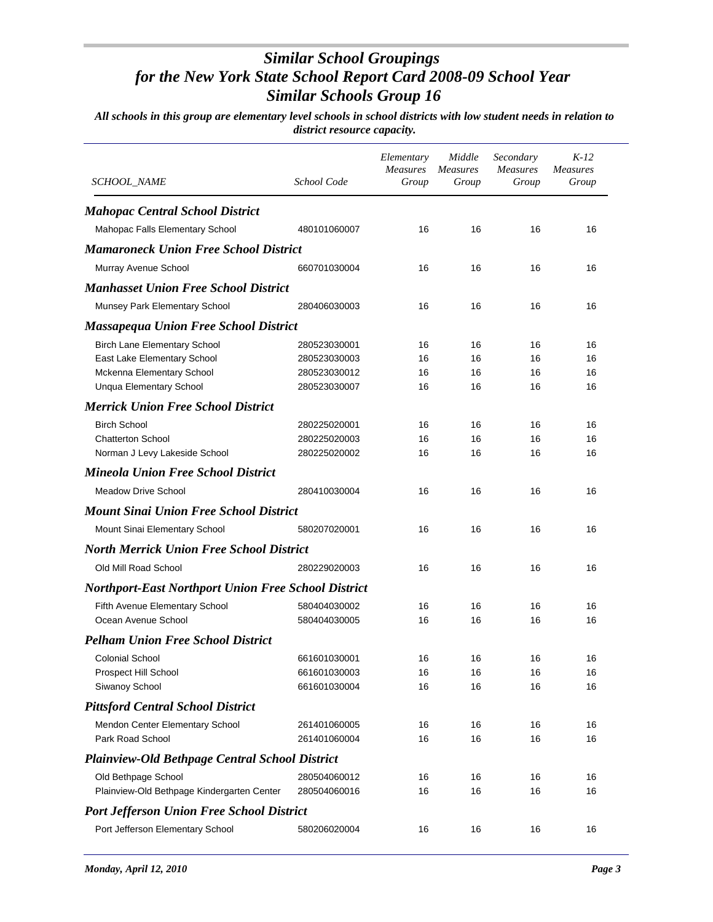| SCHOOL_NAME                                                | School Code  | Elementary<br><b>Measures</b><br>Group | Middle<br><b>Measures</b><br>Group | Secondary<br><b>Measures</b><br>Group | $K-12$<br><b>Measures</b><br>Group |
|------------------------------------------------------------|--------------|----------------------------------------|------------------------------------|---------------------------------------|------------------------------------|
| <b>Mahopac Central School District</b>                     |              |                                        |                                    |                                       |                                    |
| Mahopac Falls Elementary School                            | 480101060007 | 16                                     | 16                                 | 16                                    | 16                                 |
| <b>Mamaroneck Union Free School District</b>               |              |                                        |                                    |                                       |                                    |
| Murray Avenue School                                       | 660701030004 | 16                                     | 16                                 | 16                                    | 16                                 |
| <b>Manhasset Union Free School District</b>                |              |                                        |                                    |                                       |                                    |
| <b>Munsey Park Elementary School</b>                       | 280406030003 | 16                                     | 16                                 | 16                                    | 16                                 |
| <b>Massapequa Union Free School District</b>               |              |                                        |                                    |                                       |                                    |
| <b>Birch Lane Elementary School</b>                        | 280523030001 | 16                                     | 16                                 | 16                                    | 16                                 |
| East Lake Elementary School                                | 280523030003 | 16                                     | 16                                 | 16                                    | 16                                 |
| Mckenna Elementary School                                  | 280523030012 | 16                                     | 16                                 | 16                                    | 16                                 |
| <b>Unqua Elementary School</b>                             | 280523030007 | 16                                     | 16                                 | 16                                    | 16                                 |
| <b>Merrick Union Free School District</b>                  |              |                                        |                                    |                                       |                                    |
| <b>Birch School</b>                                        | 280225020001 | 16                                     | 16                                 | 16                                    | 16                                 |
| Chatterton School                                          | 280225020003 | 16                                     | 16                                 | 16                                    | 16                                 |
| Norman J Levy Lakeside School                              | 280225020002 | 16                                     | 16                                 | 16                                    | 16                                 |
| <b>Mineola Union Free School District</b>                  |              |                                        |                                    |                                       |                                    |
| <b>Meadow Drive School</b>                                 | 280410030004 | 16                                     | 16                                 | 16                                    | 16                                 |
| <b>Mount Sinai Union Free School District</b>              |              |                                        |                                    |                                       |                                    |
| Mount Sinai Elementary School                              | 580207020001 | 16                                     | 16                                 | 16                                    | 16                                 |
| <b>North Merrick Union Free School District</b>            |              |                                        |                                    |                                       |                                    |
| Old Mill Road School                                       | 280229020003 | 16                                     | 16                                 | 16                                    | 16                                 |
| <b>Northport-East Northport Union Free School District</b> |              |                                        |                                    |                                       |                                    |
| Fifth Avenue Elementary School                             | 580404030002 | 16                                     | 16                                 | 16                                    | 16                                 |
| Ocean Avenue School                                        | 580404030005 | 16                                     | 16                                 | 16                                    | 16                                 |
| <b>Pelham Union Free School District</b>                   |              |                                        |                                    |                                       |                                    |
| <b>Colonial School</b>                                     | 661601030001 | 16                                     | 16                                 | 16                                    | 16                                 |
| Prospect Hill School                                       | 661601030003 | 16                                     | 16                                 | 16                                    | 16                                 |
| Siwanoy School                                             | 661601030004 | 16                                     | 16                                 | 16                                    | 16                                 |
| <b>Pittsford Central School District</b>                   |              |                                        |                                    |                                       |                                    |
| Mendon Center Elementary School                            | 261401060005 | 16                                     | 16                                 | 16                                    | 16                                 |
| Park Road School                                           | 261401060004 | 16                                     | 16                                 | 16                                    | 16                                 |
| <b>Plainview-Old Bethpage Central School District</b>      |              |                                        |                                    |                                       |                                    |
| Old Bethpage School                                        | 280504060012 | 16                                     | 16                                 | 16                                    | 16                                 |
| Plainview-Old Bethpage Kindergarten Center                 | 280504060016 | 16                                     | 16                                 | 16                                    | 16                                 |
| <b>Port Jefferson Union Free School District</b>           |              |                                        |                                    |                                       |                                    |
| Port Jefferson Elementary School                           | 580206020004 | 16                                     | 16                                 | 16                                    | 16                                 |
|                                                            |              |                                        |                                    |                                       |                                    |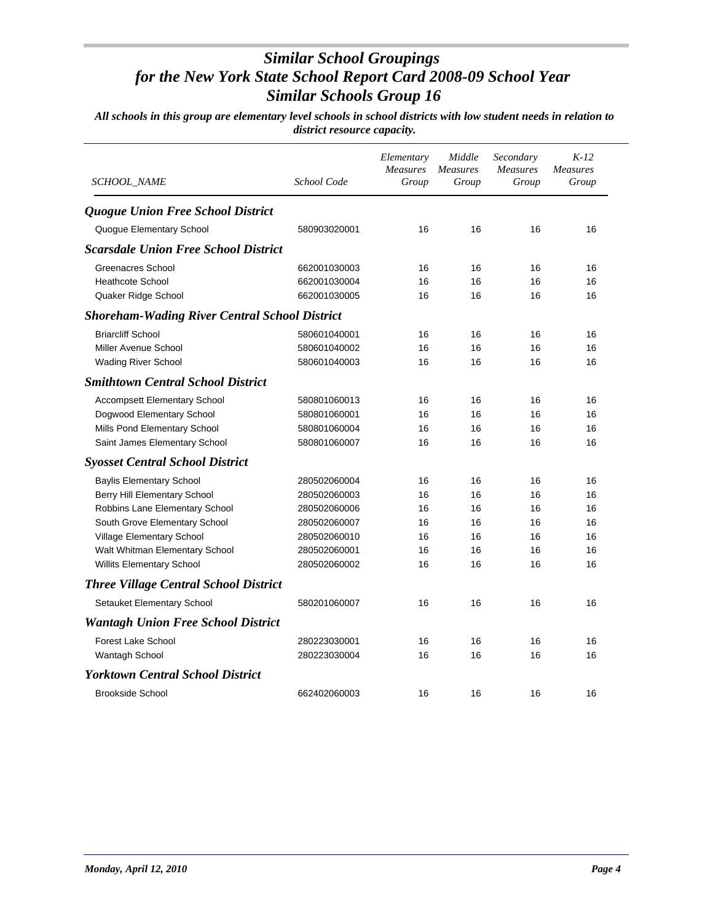| <b>SCHOOL NAME</b>                                   | School Code  | Elementary<br>Measures<br>Group | Middle<br><b>Measures</b><br>Group | Secondary<br><b>Measures</b><br>Group | $K-12$<br><b>Measures</b><br>Group |
|------------------------------------------------------|--------------|---------------------------------|------------------------------------|---------------------------------------|------------------------------------|
| <b>Quogue Union Free School District</b>             |              |                                 |                                    |                                       |                                    |
| Quogue Elementary School                             | 580903020001 | 16                              | 16                                 | 16                                    | 16                                 |
| <b>Scarsdale Union Free School District</b>          |              |                                 |                                    |                                       |                                    |
| <b>Greenacres School</b>                             | 662001030003 | 16                              | 16                                 | 16                                    | 16                                 |
| <b>Heathcote School</b>                              | 662001030004 | 16                              | 16                                 | 16                                    | 16                                 |
| Quaker Ridge School                                  | 662001030005 | 16                              | 16                                 | 16                                    | 16                                 |
| <b>Shoreham-Wading River Central School District</b> |              |                                 |                                    |                                       |                                    |
| <b>Briarcliff School</b>                             | 580601040001 | 16                              | 16                                 | 16                                    | 16                                 |
| Miller Avenue School                                 | 580601040002 | 16                              | 16                                 | 16                                    | 16                                 |
| <b>Wading River School</b>                           | 580601040003 | 16                              | 16                                 | 16                                    | 16                                 |
| <b>Smithtown Central School District</b>             |              |                                 |                                    |                                       |                                    |
| Accompsett Elementary School                         | 580801060013 | 16                              | 16                                 | 16                                    | 16                                 |
| Dogwood Elementary School                            | 580801060001 | 16                              | 16                                 | 16                                    | 16                                 |
| Mills Pond Elementary School                         | 580801060004 | 16                              | 16                                 | 16                                    | 16                                 |
| Saint James Elementary School                        | 580801060007 | 16                              | 16                                 | 16                                    | 16                                 |
| <b>Syosset Central School District</b>               |              |                                 |                                    |                                       |                                    |
| <b>Baylis Elementary School</b>                      | 280502060004 | 16                              | 16                                 | 16                                    | 16                                 |
| Berry Hill Elementary School                         | 280502060003 | 16                              | 16                                 | 16                                    | 16                                 |
| Robbins Lane Elementary School                       | 280502060006 | 16                              | 16                                 | 16                                    | 16                                 |
| South Grove Elementary School                        | 280502060007 | 16                              | 16                                 | 16                                    | 16                                 |
| Village Elementary School                            | 280502060010 | 16                              | 16                                 | 16                                    | 16                                 |
| Walt Whitman Elementary School                       | 280502060001 | 16                              | 16                                 | 16                                    | 16                                 |
| <b>Willits Elementary School</b>                     | 280502060002 | 16                              | 16                                 | 16                                    | 16                                 |
| <b>Three Village Central School District</b>         |              |                                 |                                    |                                       |                                    |
| Setauket Elementary School                           | 580201060007 | 16                              | 16                                 | 16                                    | 16                                 |
| <b>Wantagh Union Free School District</b>            |              |                                 |                                    |                                       |                                    |
| <b>Forest Lake School</b>                            | 280223030001 | 16                              | 16                                 | 16                                    | 16                                 |
| Wantagh School                                       | 280223030004 | 16                              | 16                                 | 16                                    | 16                                 |
| <b>Yorktown Central School District</b>              |              |                                 |                                    |                                       |                                    |
| <b>Brookside School</b>                              | 662402060003 | 16                              | 16                                 | 16                                    | 16                                 |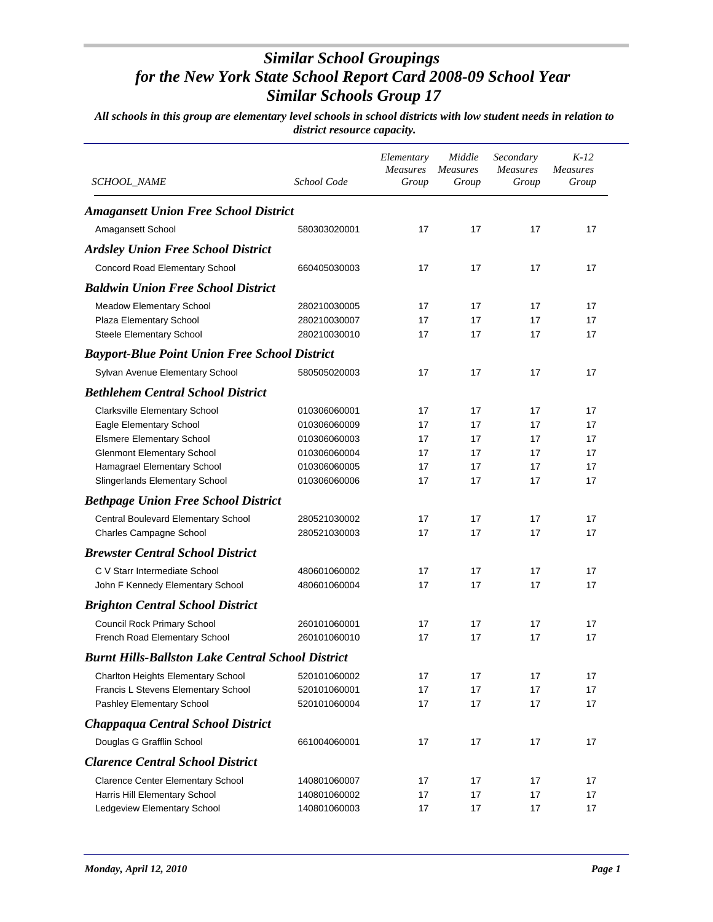| <i>SCHOOL_NAME</i>                                       | School Code                  | Elementary<br>Measures<br>Group | Middle<br><b>Measures</b><br>Group | Secondary<br>Measures<br>Group | $K-12$<br><b>Measures</b><br>Group |
|----------------------------------------------------------|------------------------------|---------------------------------|------------------------------------|--------------------------------|------------------------------------|
| <b>Amagansett Union Free School District</b>             |                              |                                 |                                    |                                |                                    |
| Amagansett School                                        | 580303020001                 | 17                              | 17                                 | 17                             | 17                                 |
| <b>Ardsley Union Free School District</b>                |                              |                                 |                                    |                                |                                    |
| Concord Road Elementary School                           | 660405030003                 | 17                              | 17                                 | 17                             | 17                                 |
| <b>Baldwin Union Free School District</b>                |                              |                                 |                                    |                                |                                    |
|                                                          |                              |                                 |                                    |                                |                                    |
| Meadow Elementary School                                 | 280210030005                 | 17                              | 17                                 | 17                             | 17                                 |
| Plaza Elementary School                                  | 280210030007<br>280210030010 | 17<br>17                        | 17<br>17                           | 17<br>17                       | 17<br>17                           |
| Steele Elementary School                                 |                              |                                 |                                    |                                |                                    |
| <b>Bayport-Blue Point Union Free School District</b>     |                              |                                 |                                    |                                |                                    |
| Sylvan Avenue Elementary School                          | 580505020003                 | 17                              | 17                                 | 17                             | 17                                 |
| <b>Bethlehem Central School District</b>                 |                              |                                 |                                    |                                |                                    |
| Clarksville Elementary School                            | 010306060001                 | 17                              | 17                                 | 17                             | 17                                 |
| Eagle Elementary School                                  | 010306060009                 | 17                              | 17                                 | 17                             | 17                                 |
| <b>Elsmere Elementary School</b>                         | 010306060003                 | 17                              | 17                                 | 17                             | 17                                 |
| <b>Glenmont Elementary School</b>                        | 010306060004                 | 17                              | 17                                 | 17                             | 17                                 |
| Hamagrael Elementary School                              | 010306060005                 | 17                              | 17                                 | 17                             | 17                                 |
| Slingerlands Elementary School                           | 010306060006                 | 17                              | 17                                 | 17                             | 17                                 |
| <b>Bethpage Union Free School District</b>               |                              |                                 |                                    |                                |                                    |
| <b>Central Boulevard Elementary School</b>               | 280521030002                 | 17                              | 17                                 | 17                             | 17                                 |
| Charles Campagne School                                  | 280521030003                 | 17                              | 17                                 | 17                             | 17                                 |
| <b>Brewster Central School District</b>                  |                              |                                 |                                    |                                |                                    |
| C V Starr Intermediate School                            | 480601060002                 | 17                              | 17                                 | 17                             | 17                                 |
| John F Kennedy Elementary School                         | 480601060004                 | 17                              | 17                                 | 17                             | 17                                 |
| <b>Brighton Central School District</b>                  |                              |                                 |                                    |                                |                                    |
| Council Rock Primary School                              | 260101060001                 | 17                              | 17                                 | 17                             | 17                                 |
| French Road Elementary School                            | 260101060010                 | 17                              | 17                                 | 17                             | 17                                 |
| <b>Burnt Hills-Ballston Lake Central School District</b> |                              |                                 |                                    |                                |                                    |
| Charlton Heights Elementary School                       | 520101060002                 | 17                              | 17                                 | 17                             | 17                                 |
| Francis L Stevens Elementary School                      | 520101060001                 | 17                              | 17                                 | 17                             | 17                                 |
| Pashley Elementary School                                | 520101060004                 | 17                              | 17                                 | 17                             | 17                                 |
| Chappaqua Central School District                        |                              |                                 |                                    |                                |                                    |
| Douglas G Grafflin School                                | 661004060001                 | 17                              | 17                                 | 17                             | 17                                 |
| <b>Clarence Central School District</b>                  |                              |                                 |                                    |                                |                                    |
| <b>Clarence Center Elementary School</b>                 | 140801060007                 | 17                              | 17                                 | 17                             | 17                                 |
| Harris Hill Elementary School                            | 140801060002                 | 17                              | 17                                 | 17                             | 17                                 |
| Ledgeview Elementary School                              | 140801060003                 | 17                              | 17                                 | 17                             | 17                                 |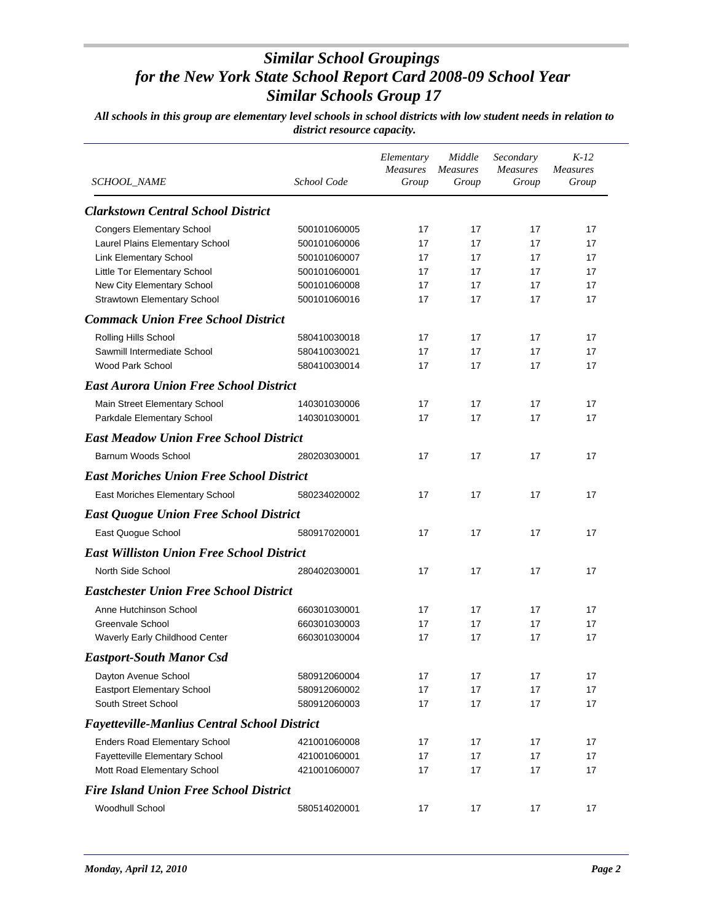| <b>SCHOOL_NAME</b>                                                  | School Code                  | Elementary<br>Measures<br>Group | Middle<br><b>Measures</b><br>Group | Secondary<br>Measures<br>Group | $K-12$<br><b>Measures</b><br>Group |
|---------------------------------------------------------------------|------------------------------|---------------------------------|------------------------------------|--------------------------------|------------------------------------|
| <b>Clarkstown Central School District</b>                           |                              |                                 |                                    |                                |                                    |
|                                                                     |                              |                                 |                                    |                                |                                    |
| <b>Congers Elementary School</b><br>Laurel Plains Elementary School | 500101060005<br>500101060006 | 17<br>17                        | 17<br>17                           | 17<br>17                       | 17<br>17                           |
| <b>Link Elementary School</b>                                       | 500101060007                 | 17                              | 17                                 | 17                             | 17                                 |
| Little Tor Elementary School                                        | 500101060001                 | 17                              | 17                                 | 17                             | 17                                 |
| New City Elementary School                                          | 500101060008                 | 17                              | 17                                 | 17                             | 17                                 |
| Strawtown Elementary School                                         | 500101060016                 | 17                              | 17                                 | 17                             | 17                                 |
| <b>Commack Union Free School District</b>                           |                              |                                 |                                    |                                |                                    |
| Rolling Hills School                                                | 580410030018                 | 17                              | 17                                 | 17                             | 17                                 |
| Sawmill Intermediate School                                         | 580410030021                 | 17                              | 17                                 | 17                             | 17                                 |
| Wood Park School                                                    | 580410030014                 | 17                              | 17                                 | 17                             | 17                                 |
| <b>East Aurora Union Free School District</b>                       |                              |                                 |                                    |                                |                                    |
| Main Street Elementary School                                       | 140301030006                 | 17                              | 17                                 | 17                             | 17                                 |
| Parkdale Elementary School                                          | 140301030001                 | 17                              | 17                                 | 17                             | 17                                 |
| <b>East Meadow Union Free School District</b>                       |                              |                                 |                                    |                                |                                    |
| Barnum Woods School                                                 | 280203030001                 | 17                              | 17                                 | 17                             | 17                                 |
| <b>East Moriches Union Free School District</b>                     |                              |                                 |                                    |                                |                                    |
| East Moriches Elementary School                                     | 580234020002                 | 17                              | 17                                 | 17                             | 17                                 |
| <b>East Quogue Union Free School District</b>                       |                              |                                 |                                    |                                |                                    |
| East Quogue School                                                  | 580917020001                 | 17                              | 17                                 | 17                             | 17                                 |
| <b>East Williston Union Free School District</b>                    |                              |                                 |                                    |                                |                                    |
| North Side School                                                   | 280402030001                 | 17                              | 17                                 | 17                             | 17                                 |
| <b>Eastchester Union Free School District</b>                       |                              |                                 |                                    |                                |                                    |
| Anne Hutchinson School                                              | 660301030001                 | 17                              | 17                                 | 17                             | 17                                 |
| Greenvale School                                                    | 660301030003                 | 17                              | 17                                 | 17                             | 17                                 |
| Waverly Early Childhood Center                                      | 660301030004                 | 17                              | 17                                 | 17                             | 17                                 |
| <b>Eastport-South Manor Csd</b>                                     |                              |                                 |                                    |                                |                                    |
| Dayton Avenue School                                                | 580912060004                 | 17                              | 17                                 | 17                             | 17                                 |
| Eastport Elementary School                                          | 580912060002                 | 17                              | 17                                 | 17                             | 17                                 |
| South Street School                                                 | 580912060003                 | 17                              | 17                                 | 17                             | 17                                 |
| <b>Fayetteville-Manlius Central School District</b>                 |                              |                                 |                                    |                                |                                    |
| <b>Enders Road Elementary School</b>                                | 421001060008                 | 17                              | 17                                 | 17                             | 17                                 |
| Fayetteville Elementary School                                      | 421001060001                 | 17                              | 17                                 | 17                             | 17                                 |
| Mott Road Elementary School                                         | 421001060007                 | 17                              | 17                                 | 17                             | 17                                 |
| <b>Fire Island Union Free School District</b>                       |                              |                                 |                                    |                                |                                    |
| <b>Woodhull School</b>                                              | 580514020001                 | 17                              | 17                                 | 17                             | 17                                 |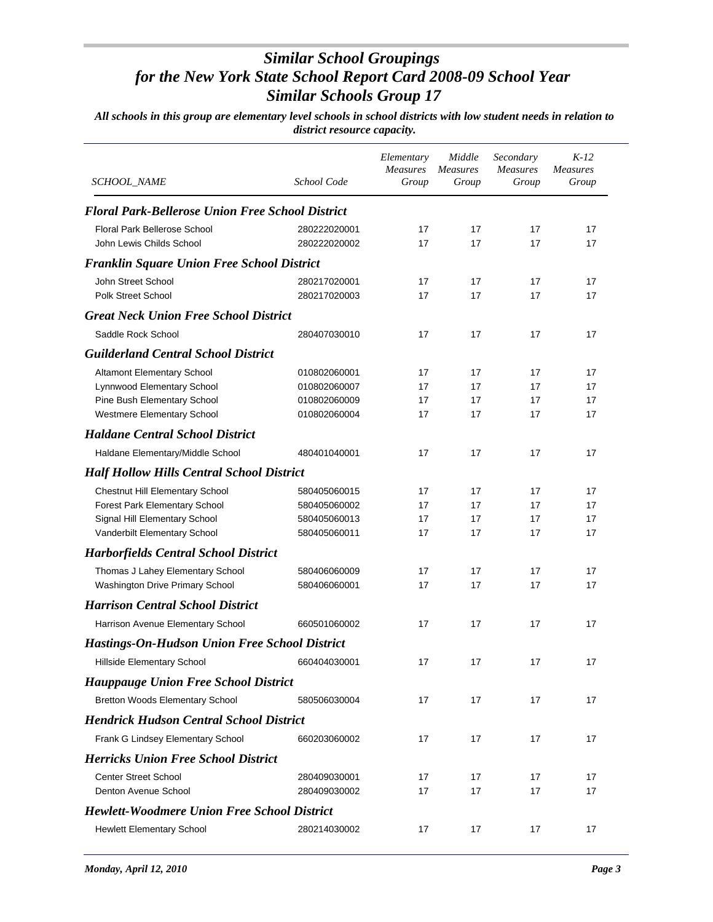| SCHOOL_NAME                                                         | School Code                  | Elementary<br><b>Measures</b><br>Group | Middle<br><b>Measures</b><br>Group | Secondary<br><b>Measures</b><br>Group | $K-12$<br><b>Measures</b><br>Group |
|---------------------------------------------------------------------|------------------------------|----------------------------------------|------------------------------------|---------------------------------------|------------------------------------|
| <b>Floral Park-Bellerose Union Free School District</b>             |                              |                                        |                                    |                                       |                                    |
| <b>Floral Park Bellerose School</b><br>John Lewis Childs School     | 280222020001<br>280222020002 | 17<br>17                               | 17<br>17                           | 17<br>17                              | 17<br>17                           |
| <b>Franklin Square Union Free School District</b>                   |                              |                                        |                                    |                                       |                                    |
| John Street School<br><b>Polk Street School</b>                     | 280217020001<br>280217020003 | 17<br>17                               | 17<br>17                           | 17<br>17                              | 17<br>17                           |
| <b>Great Neck Union Free School District</b>                        |                              |                                        |                                    |                                       |                                    |
| Saddle Rock School                                                  | 280407030010                 | 17                                     | 17                                 | 17                                    | 17                                 |
| <b>Guilderland Central School District</b>                          |                              |                                        |                                    |                                       |                                    |
| <b>Altamont Elementary School</b>                                   | 010802060001                 | 17                                     | 17                                 | 17                                    | 17                                 |
| Lynnwood Elementary School                                          | 010802060007                 | 17                                     | 17                                 | 17                                    | 17                                 |
| Pine Bush Elementary School                                         | 010802060009                 | 17                                     | 17                                 | 17                                    | 17                                 |
| Westmere Elementary School                                          | 010802060004                 | 17                                     | 17                                 | 17                                    | 17                                 |
| <b>Haldane Central School District</b>                              |                              |                                        |                                    |                                       |                                    |
| Haldane Elementary/Middle School                                    | 480401040001                 | 17                                     | 17                                 | 17                                    | 17                                 |
| <b>Half Hollow Hills Central School District</b>                    |                              |                                        |                                    |                                       |                                    |
| <b>Chestnut Hill Elementary School</b>                              | 580405060015                 | 17                                     | 17                                 | 17                                    | 17                                 |
| Forest Park Elementary School                                       | 580405060002                 | 17                                     | 17                                 | 17                                    | 17                                 |
| Signal Hill Elementary School<br>Vanderbilt Elementary School       | 580405060013<br>580405060011 | 17<br>17                               | 17<br>17                           | 17<br>17                              | 17<br>17                           |
|                                                                     |                              |                                        |                                    |                                       |                                    |
| <b>Harborfields Central School District</b>                         |                              |                                        |                                    |                                       |                                    |
| Thomas J Lahey Elementary School<br>Washington Drive Primary School | 580406060009<br>580406060001 | 17<br>17                               | 17<br>17                           | 17<br>17                              | 17<br>17                           |
| <b>Harrison Central School District</b>                             |                              |                                        |                                    |                                       |                                    |
| Harrison Avenue Elementary School                                   | 660501060002                 | 17                                     | 17                                 | 17                                    | 17                                 |
|                                                                     |                              |                                        |                                    |                                       |                                    |
| <b>Hastings-On-Hudson Union Free School District</b>                |                              |                                        |                                    |                                       |                                    |
| Hillside Elementary School                                          | 660404030001                 | 17                                     | 17                                 | 17                                    | 17                                 |
| <b>Hauppauge Union Free School District</b>                         |                              |                                        |                                    |                                       |                                    |
| <b>Bretton Woods Elementary School</b>                              | 580506030004                 | 17                                     | 17                                 | 17                                    | 17                                 |
| <b>Hendrick Hudson Central School District</b>                      |                              |                                        |                                    |                                       |                                    |
| Frank G Lindsey Elementary School                                   | 660203060002                 | 17                                     | 17                                 | 17                                    | 17                                 |
| <b>Herricks Union Free School District</b>                          |                              |                                        |                                    |                                       |                                    |
| <b>Center Street School</b>                                         | 280409030001                 | 17                                     | 17                                 | 17                                    | 17                                 |
| Denton Avenue School                                                | 280409030002                 | 17                                     | 17                                 | 17                                    | 17                                 |
| <b>Hewlett-Woodmere Union Free School District</b>                  |                              |                                        |                                    |                                       |                                    |
| <b>Hewlett Elementary School</b>                                    | 280214030002                 | 17                                     | 17                                 | 17                                    | 17                                 |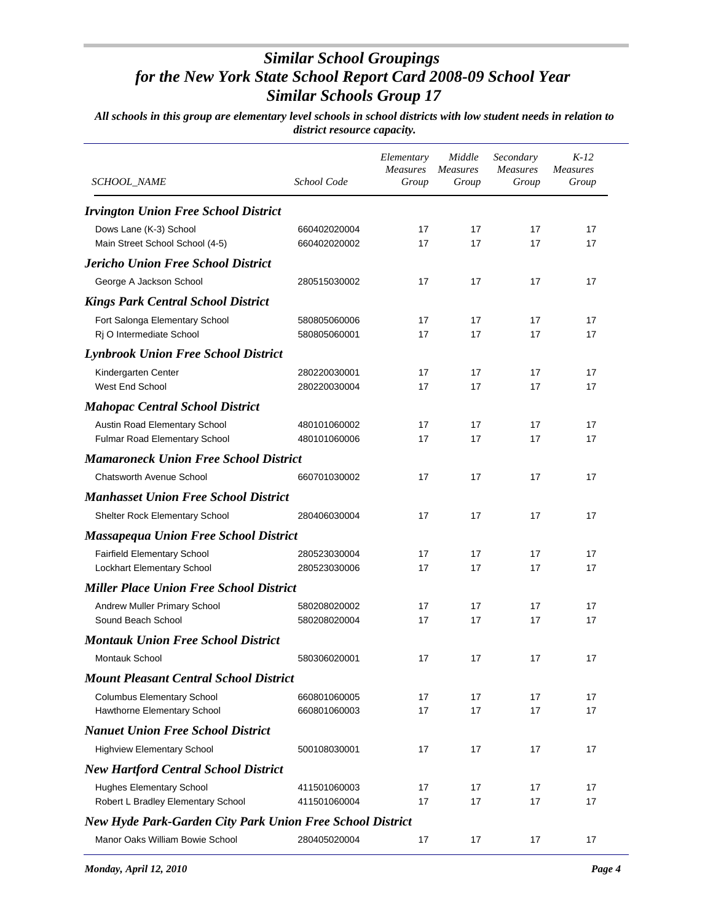| <i>SCHOOL_NAME</i>                                               | School Code  | Elementary<br><b>Measures</b><br>Group | Middle<br><i>Measures</i><br>Group | Secondary<br><b>Measures</b><br>Group | $K-12$<br><b>Measures</b><br>Group |
|------------------------------------------------------------------|--------------|----------------------------------------|------------------------------------|---------------------------------------|------------------------------------|
| <b>Irvington Union Free School District</b>                      |              |                                        |                                    |                                       |                                    |
| Dows Lane (K-3) School                                           | 660402020004 | 17                                     | 17                                 | 17                                    | 17                                 |
| Main Street School School (4-5)                                  | 660402020002 | 17                                     | 17                                 | 17                                    | 17                                 |
| <b>Jericho Union Free School District</b>                        |              |                                        |                                    |                                       |                                    |
| George A Jackson School                                          | 280515030002 | 17                                     | 17                                 | 17                                    | 17                                 |
| <b>Kings Park Central School District</b>                        |              |                                        |                                    |                                       |                                    |
| Fort Salonga Elementary School                                   | 580805060006 | 17                                     | 17                                 | 17                                    | 17                                 |
| Rj O Intermediate School                                         | 580805060001 | 17                                     | 17                                 | 17                                    | 17                                 |
| <b>Lynbrook Union Free School District</b>                       |              |                                        |                                    |                                       |                                    |
| Kindergarten Center                                              | 280220030001 | 17                                     | 17                                 | 17                                    | 17                                 |
| <b>West End School</b>                                           | 280220030004 | 17                                     | 17                                 | 17                                    | 17                                 |
| <b>Mahopac Central School District</b>                           |              |                                        |                                    |                                       |                                    |
| Austin Road Elementary School                                    | 480101060002 | 17                                     | 17                                 | 17                                    | 17                                 |
| Fulmar Road Elementary School                                    | 480101060006 | 17                                     | 17                                 | 17                                    | 17                                 |
| <b>Mamaroneck Union Free School District</b>                     |              |                                        |                                    |                                       |                                    |
| <b>Chatsworth Avenue School</b>                                  | 660701030002 | 17                                     | 17                                 | 17                                    | 17                                 |
| <b>Manhasset Union Free School District</b>                      |              |                                        |                                    |                                       |                                    |
| Shelter Rock Elementary School                                   | 280406030004 | 17                                     | 17                                 | 17                                    | 17                                 |
| <b>Massapequa Union Free School District</b>                     |              |                                        |                                    |                                       |                                    |
| Fairfield Elementary School                                      | 280523030004 | 17                                     | 17                                 | 17                                    | 17                                 |
| Lockhart Elementary School                                       | 280523030006 | 17                                     | 17                                 | 17                                    | 17                                 |
| <b>Miller Place Union Free School District</b>                   |              |                                        |                                    |                                       |                                    |
| Andrew Muller Primary School                                     | 580208020002 | 17                                     | 17                                 | 17                                    | 17                                 |
| Sound Beach School                                               | 580208020004 | 17                                     | 17                                 | 17                                    | 17                                 |
| <b>Montauk Union Free School District</b>                        |              |                                        |                                    |                                       |                                    |
| <b>Montauk School</b>                                            | 580306020001 | 17                                     | 17                                 | 17                                    | 17                                 |
| <b>Mount Pleasant Central School District</b>                    |              |                                        |                                    |                                       |                                    |
| <b>Columbus Elementary School</b>                                | 660801060005 | 17                                     | 17                                 | 17                                    | 17                                 |
| Hawthorne Elementary School                                      | 660801060003 | 17                                     | 17                                 | 17                                    | 17                                 |
| <b>Nanuet Union Free School District</b>                         |              |                                        |                                    |                                       |                                    |
| <b>Highview Elementary School</b>                                | 500108030001 | 17                                     | 17                                 | 17                                    | 17                                 |
| <b>New Hartford Central School District</b>                      |              |                                        |                                    |                                       |                                    |
| <b>Hughes Elementary School</b>                                  | 411501060003 | 17                                     | 17                                 | 17                                    | 17                                 |
| Robert L Bradley Elementary School                               | 411501060004 | 17                                     | 17                                 | 17                                    | 17                                 |
| <b>New Hyde Park-Garden City Park Union Free School District</b> |              |                                        |                                    |                                       |                                    |
| Manor Oaks William Bowie School                                  | 280405020004 | 17                                     | 17                                 | 17                                    | 17                                 |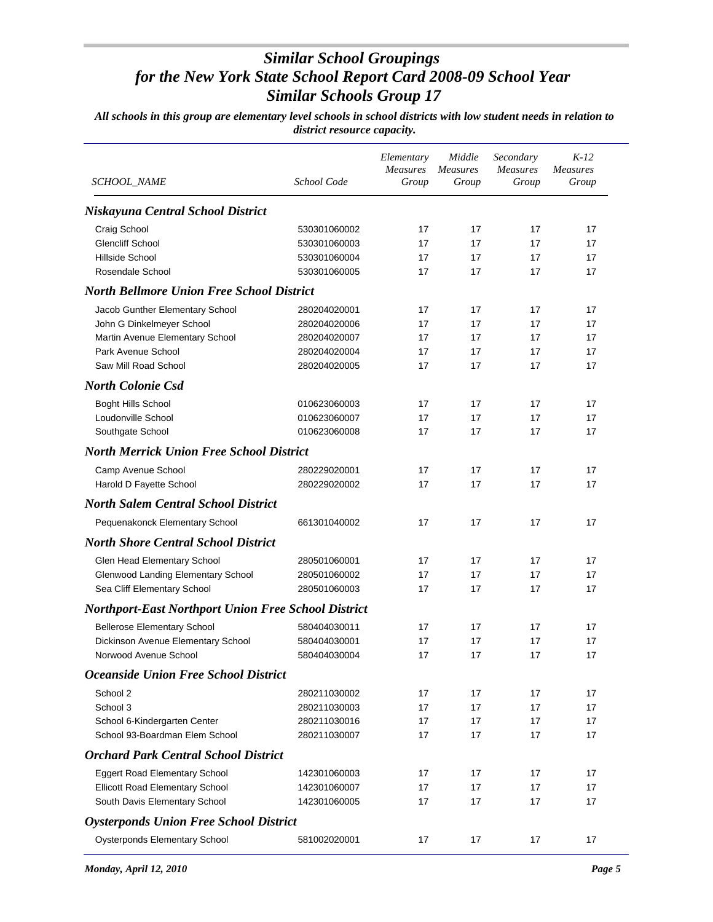| SCHOOL_NAME                                                | School Code  | Elementary<br><b>Measures</b><br>Group | Middle<br><b>Measures</b><br>Group | Secondary<br><b>Measures</b><br>Group | $K-12$<br><b>Measures</b><br>Group |
|------------------------------------------------------------|--------------|----------------------------------------|------------------------------------|---------------------------------------|------------------------------------|
| Niskayuna Central School District                          |              |                                        |                                    |                                       |                                    |
| Craig School                                               | 530301060002 | 17                                     | 17                                 | 17                                    | 17                                 |
| <b>Glencliff School</b>                                    | 530301060003 | 17                                     | 17                                 | 17                                    | 17                                 |
| Hillside School                                            | 530301060004 | 17                                     | 17                                 | 17                                    | 17                                 |
| Rosendale School                                           | 530301060005 | 17                                     | 17                                 | 17                                    | 17                                 |
| <b>North Bellmore Union Free School District</b>           |              |                                        |                                    |                                       |                                    |
| Jacob Gunther Elementary School                            | 280204020001 | 17                                     | 17                                 | 17                                    | 17                                 |
| John G Dinkelmeyer School                                  | 280204020006 | 17                                     | 17                                 | 17                                    | 17                                 |
| Martin Avenue Elementary School                            | 280204020007 | 17                                     | 17                                 | 17                                    | 17                                 |
| Park Avenue School                                         | 280204020004 | 17                                     | 17                                 | 17                                    | 17                                 |
| Saw Mill Road School                                       | 280204020005 | 17                                     | 17                                 | 17                                    | 17                                 |
| <b>North Colonie Csd</b>                                   |              |                                        |                                    |                                       |                                    |
| <b>Boght Hills School</b>                                  | 010623060003 | 17                                     | 17                                 | 17                                    | 17                                 |
| Loudonville School                                         | 010623060007 | 17                                     | 17                                 | 17                                    | 17                                 |
| Southgate School                                           | 010623060008 | 17                                     | 17                                 | 17                                    | 17                                 |
| <b>North Merrick Union Free School District</b>            |              |                                        |                                    |                                       |                                    |
| Camp Avenue School                                         | 280229020001 | 17                                     | 17                                 | 17                                    | 17                                 |
| Harold D Fayette School                                    | 280229020002 | 17                                     | 17                                 | 17                                    | 17                                 |
| <b>North Salem Central School District</b>                 |              |                                        |                                    |                                       |                                    |
| Pequenakonck Elementary School                             | 661301040002 | 17                                     | 17                                 | 17                                    | 17                                 |
| <b>North Shore Central School District</b>                 |              |                                        |                                    |                                       |                                    |
| Glen Head Elementary School                                | 280501060001 | 17                                     | 17                                 | 17                                    | 17                                 |
| Glenwood Landing Elementary School                         | 280501060002 | 17                                     | 17                                 | 17                                    | 17                                 |
| Sea Cliff Elementary School                                | 280501060003 | 17                                     | 17                                 | 17                                    | 17                                 |
| <b>Northport-East Northport Union Free School District</b> |              |                                        |                                    |                                       |                                    |
| <b>Bellerose Elementary School</b>                         | 580404030011 | 17                                     | 17                                 | 17                                    | 17                                 |
| Dickinson Avenue Elementary School                         | 580404030001 | 17                                     | 17                                 | 17                                    | 17                                 |
| Norwood Avenue School                                      | 580404030004 | 17                                     | 17                                 | 17                                    | 17                                 |
| <b>Oceanside Union Free School District</b>                |              |                                        |                                    |                                       |                                    |
| School 2                                                   | 280211030002 | 17                                     | 17                                 | 17                                    | 17                                 |
| School 3                                                   | 280211030003 | 17                                     | 17                                 | 17                                    | 17                                 |
| School 6-Kindergarten Center                               | 280211030016 | 17                                     | 17                                 | 17                                    | 17                                 |
| School 93-Boardman Elem School                             | 280211030007 | 17                                     | 17                                 | 17                                    | 17                                 |
| <b>Orchard Park Central School District</b>                |              |                                        |                                    |                                       |                                    |
| Eggert Road Elementary School                              | 142301060003 | 17                                     | 17                                 | 17                                    | 17                                 |
| Ellicott Road Elementary School                            | 142301060007 | 17                                     | 17                                 | 17                                    | 17                                 |
| South Davis Elementary School                              | 142301060005 | 17                                     | 17                                 | 17                                    | 17                                 |
| <b>Oysterponds Union Free School District</b>              |              |                                        |                                    |                                       |                                    |
| <b>Oysterponds Elementary School</b>                       | 581002020001 | 17                                     | 17                                 | 17                                    | 17                                 |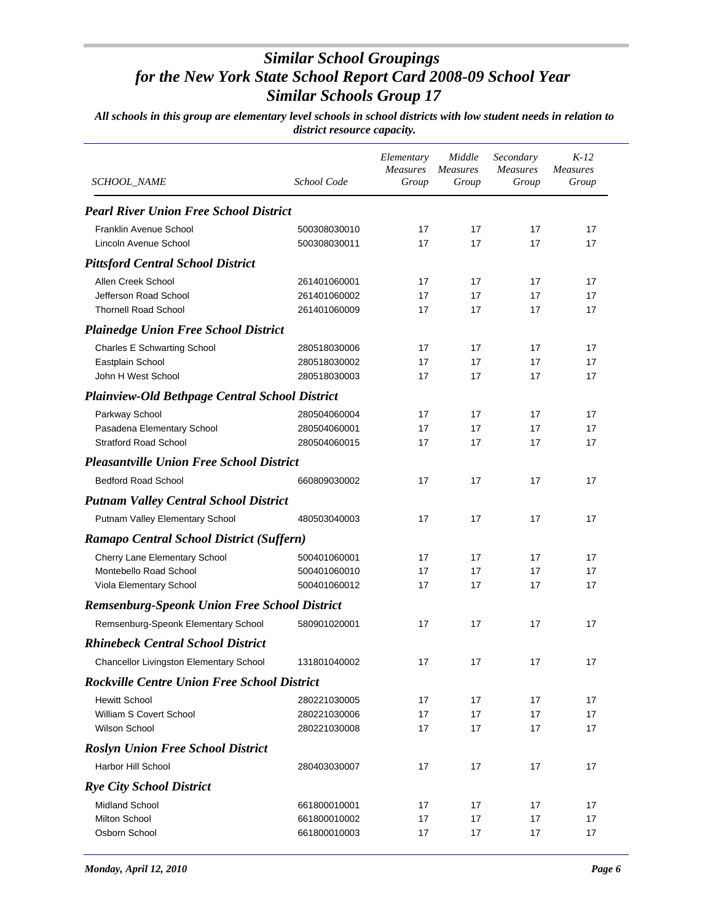| <b>SCHOOL_NAME</b>                                    | School Code  | Elementary<br><b>Measures</b><br>Group | Middle<br><b>Measures</b><br>Group | Secondary<br><b>Measures</b><br>Group | $K-12$<br><b>Measures</b><br>Group |
|-------------------------------------------------------|--------------|----------------------------------------|------------------------------------|---------------------------------------|------------------------------------|
| <b>Pearl River Union Free School District</b>         |              |                                        |                                    |                                       |                                    |
| Franklin Avenue School                                | 500308030010 | 17                                     | 17                                 | 17                                    | 17                                 |
| Lincoln Avenue School                                 | 500308030011 | 17                                     | 17                                 | 17                                    | 17                                 |
| <b>Pittsford Central School District</b>              |              |                                        |                                    |                                       |                                    |
| Allen Creek School                                    | 261401060001 | 17                                     | 17                                 | 17                                    | 17                                 |
| Jefferson Road School                                 | 261401060002 | 17                                     | 17                                 | 17                                    | 17                                 |
| <b>Thornell Road School</b>                           | 261401060009 | 17                                     | 17                                 | 17                                    | 17                                 |
| <b>Plainedge Union Free School District</b>           |              |                                        |                                    |                                       |                                    |
| <b>Charles E Schwarting School</b>                    | 280518030006 | 17                                     | 17                                 | 17                                    | 17                                 |
| Eastplain School                                      | 280518030002 | 17                                     | 17                                 | 17                                    | 17                                 |
| John H West School                                    | 280518030003 | 17                                     | 17                                 | 17                                    | 17                                 |
| <b>Plainview-Old Bethpage Central School District</b> |              |                                        |                                    |                                       |                                    |
| Parkway School                                        | 280504060004 | 17                                     | 17                                 | 17                                    | 17                                 |
| Pasadena Elementary School                            | 280504060001 | 17                                     | 17                                 | 17                                    | 17                                 |
| <b>Stratford Road School</b>                          | 280504060015 | 17                                     | 17                                 | 17                                    | 17                                 |
| <b>Pleasantville Union Free School District</b>       |              |                                        |                                    |                                       |                                    |
| <b>Bedford Road School</b>                            | 660809030002 | 17                                     | 17                                 | 17                                    | 17                                 |
| <b>Putnam Valley Central School District</b>          |              |                                        |                                    |                                       |                                    |
| Putnam Valley Elementary School                       | 480503040003 | 17                                     | 17                                 | 17                                    | 17                                 |
| <b>Ramapo Central School District (Suffern)</b>       |              |                                        |                                    |                                       |                                    |
| Cherry Lane Elementary School                         | 500401060001 | 17                                     | 17                                 | 17                                    | 17                                 |
| Montebello Road School                                | 500401060010 | 17                                     | 17                                 | 17                                    | 17                                 |
| Viola Elementary School                               | 500401060012 | 17                                     | 17                                 | 17                                    | 17                                 |
| <b>Remsenburg-Speonk Union Free School District</b>   |              |                                        |                                    |                                       |                                    |
| Remsenburg-Speonk Elementary School                   | 580901020001 | 17                                     | 17                                 | 17                                    | 17                                 |
| <b>Rhinebeck Central School District</b>              |              |                                        |                                    |                                       |                                    |
| <b>Chancellor Livingston Elementary School</b>        | 131801040002 | 17                                     | 17                                 | 17                                    | 17                                 |
| <b>Rockville Centre Union Free School District</b>    |              |                                        |                                    |                                       |                                    |
| <b>Hewitt School</b>                                  | 280221030005 | 17                                     | 17                                 | 17                                    | 17                                 |
| William S Covert School                               | 280221030006 | 17                                     | 17                                 | 17                                    | 17                                 |
| <b>Wilson School</b>                                  | 280221030008 | 17                                     | 17                                 | 17                                    | 17                                 |
| <b>Roslyn Union Free School District</b>              |              |                                        |                                    |                                       |                                    |
| Harbor Hill School                                    | 280403030007 | 17                                     | 17                                 | 17                                    | 17                                 |
| <b>Rye City School District</b>                       |              |                                        |                                    |                                       |                                    |
| Midland School                                        | 661800010001 | 17                                     | 17                                 | 17                                    | 17                                 |
| <b>Milton School</b>                                  | 661800010002 | 17                                     | 17                                 | 17                                    | 17                                 |
| Osborn School                                         | 661800010003 | 17                                     | 17                                 | 17                                    | 17                                 |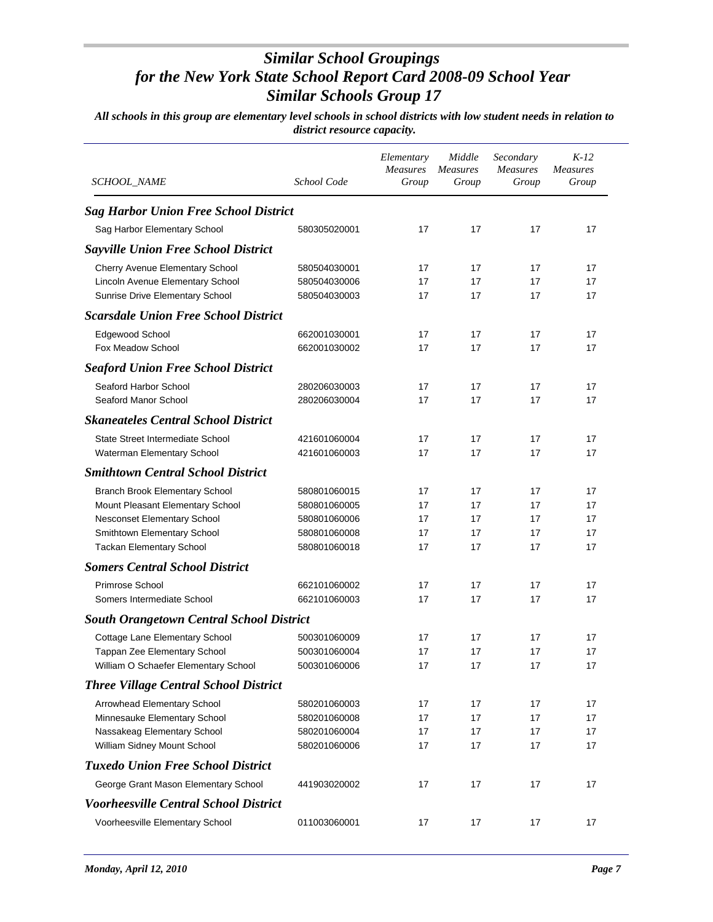| SCHOOL_NAME                                     | School Code  | Elementary<br><b>Measures</b><br>Group | Middle<br><b>Measures</b><br>Group | Secondary<br><b>Measures</b><br>Group | $K-12$<br><b>Measures</b><br>Group |
|-------------------------------------------------|--------------|----------------------------------------|------------------------------------|---------------------------------------|------------------------------------|
| <b>Sag Harbor Union Free School District</b>    |              |                                        |                                    |                                       |                                    |
| Sag Harbor Elementary School                    | 580305020001 | 17                                     | 17                                 | 17                                    | 17                                 |
| <b>Sayville Union Free School District</b>      |              |                                        |                                    |                                       |                                    |
| Cherry Avenue Elementary School                 | 580504030001 | 17                                     | 17                                 | 17                                    | 17                                 |
| Lincoln Avenue Elementary School                | 580504030006 | 17                                     | 17                                 | 17                                    | 17                                 |
| Sunrise Drive Elementary School                 | 580504030003 | 17                                     | 17                                 | 17                                    | 17                                 |
| <b>Scarsdale Union Free School District</b>     |              |                                        |                                    |                                       |                                    |
| Edgewood School                                 | 662001030001 | 17                                     | 17                                 | 17                                    | 17                                 |
| Fox Meadow School                               | 662001030002 | 17                                     | 17                                 | 17                                    | 17                                 |
| <b>Seaford Union Free School District</b>       |              |                                        |                                    |                                       |                                    |
| Seaford Harbor School                           | 280206030003 | 17                                     | 17                                 | 17                                    | 17                                 |
| Seaford Manor School                            | 280206030004 | 17                                     | 17                                 | 17                                    | 17                                 |
| <b>Skaneateles Central School District</b>      |              |                                        |                                    |                                       |                                    |
| State Street Intermediate School                | 421601060004 | 17                                     | 17                                 | 17                                    | 17                                 |
| Waterman Elementary School                      | 421601060003 | 17                                     | 17                                 | 17                                    | 17                                 |
| <b>Smithtown Central School District</b>        |              |                                        |                                    |                                       |                                    |
| Branch Brook Elementary School                  | 580801060015 | 17                                     | 17                                 | 17                                    | 17                                 |
| Mount Pleasant Elementary School                | 580801060005 | 17                                     | 17                                 | 17                                    | 17                                 |
| Nesconset Elementary School                     | 580801060006 | 17                                     | 17                                 | 17                                    | 17                                 |
| Smithtown Elementary School                     | 580801060008 | 17                                     | 17                                 | 17                                    | 17                                 |
| <b>Tackan Elementary School</b>                 | 580801060018 | 17                                     | 17                                 | 17                                    | 17                                 |
| <b>Somers Central School District</b>           |              |                                        |                                    |                                       |                                    |
| Primrose School                                 | 662101060002 | 17                                     | 17                                 | 17                                    | 17                                 |
| Somers Intermediate School                      | 662101060003 | 17                                     | 17                                 | 17                                    | 17                                 |
| <b>South Orangetown Central School District</b> |              |                                        |                                    |                                       |                                    |
| Cottage Lane Elementary School                  | 500301060009 | 17                                     | 17                                 | 17                                    | 17                                 |
| Tappan Zee Elementary School                    | 500301060004 | 17                                     | 17                                 | 17                                    | 17                                 |
| William O Schaefer Elementary School            | 500301060006 | 17                                     | 17                                 | 17                                    | 17                                 |
| <b>Three Village Central School District</b>    |              |                                        |                                    |                                       |                                    |
| Arrowhead Elementary School                     | 580201060003 | 17                                     | 17                                 | 17                                    | 17                                 |
| Minnesauke Elementary School                    | 580201060008 | 17                                     | 17                                 | 17                                    | 17                                 |
| Nassakeag Elementary School                     | 580201060004 | 17                                     | 17                                 | 17                                    | 17                                 |
| William Sidney Mount School                     | 580201060006 | 17                                     | 17                                 | 17                                    | 17                                 |
| <b>Tuxedo Union Free School District</b>        |              |                                        |                                    |                                       |                                    |
| George Grant Mason Elementary School            | 441903020002 | 17                                     | 17                                 | 17                                    | 17                                 |
| <b>Voorheesville Central School District</b>    |              |                                        |                                    |                                       |                                    |
| Voorheesville Elementary School                 | 011003060001 | 17                                     | 17                                 | 17                                    | 17                                 |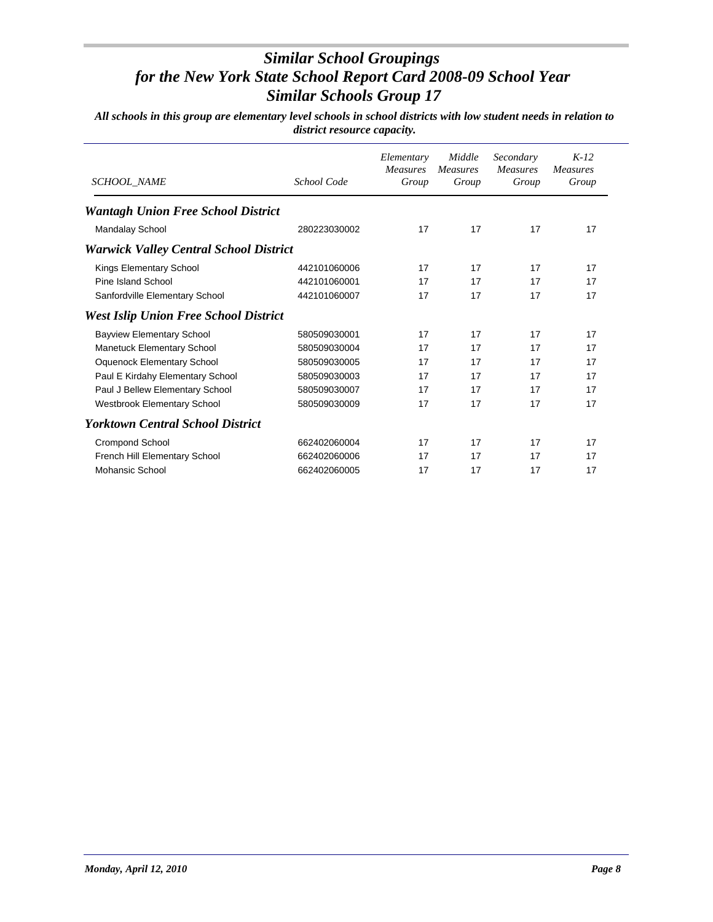| <b>SCHOOL_NAME</b>                            | School Code  | Elementary<br><b>Measures</b><br>Group | Middle<br><b>Measures</b><br>Group | Secondary<br><b>Measures</b><br>Group | $K-12$<br><b>Measures</b><br>Group |
|-----------------------------------------------|--------------|----------------------------------------|------------------------------------|---------------------------------------|------------------------------------|
| <b>Wantagh Union Free School District</b>     |              |                                        |                                    |                                       |                                    |
| <b>Mandalay School</b>                        | 280223030002 | 17                                     | 17                                 | 17                                    | 17                                 |
| <b>Warwick Valley Central School District</b> |              |                                        |                                    |                                       |                                    |
| Kings Elementary School                       | 442101060006 | 17                                     | 17                                 | 17                                    | 17                                 |
| Pine Island School                            | 442101060001 | 17                                     | 17                                 | 17                                    | 17                                 |
| Sanfordville Elementary School                | 442101060007 | 17                                     | 17                                 | 17                                    | 17                                 |
| <b>West Islip Union Free School District</b>  |              |                                        |                                    |                                       |                                    |
| <b>Bayview Elementary School</b>              | 580509030001 | 17                                     | 17                                 | 17                                    | 17                                 |
| <b>Manetuck Elementary School</b>             | 580509030004 | 17                                     | 17                                 | 17                                    | 17                                 |
| <b>Oquenock Elementary School</b>             | 580509030005 | 17                                     | 17                                 | 17                                    | 17                                 |
| Paul E Kirdahy Elementary School              | 580509030003 | 17                                     | 17                                 | 17                                    | 17                                 |
| Paul J Bellew Elementary School               | 580509030007 | 17                                     | 17                                 | 17                                    | 17                                 |
| Westbrook Elementary School                   | 580509030009 | 17                                     | 17                                 | 17                                    | 17                                 |
| <b>Yorktown Central School District</b>       |              |                                        |                                    |                                       |                                    |
| <b>Crompond School</b>                        | 662402060004 | 17                                     | 17                                 | 17                                    | 17                                 |
| French Hill Elementary School                 | 662402060006 | 17                                     | 17                                 | 17                                    | 17                                 |
| Mohansic School                               | 662402060005 | 17                                     | 17                                 | 17                                    | 17                                 |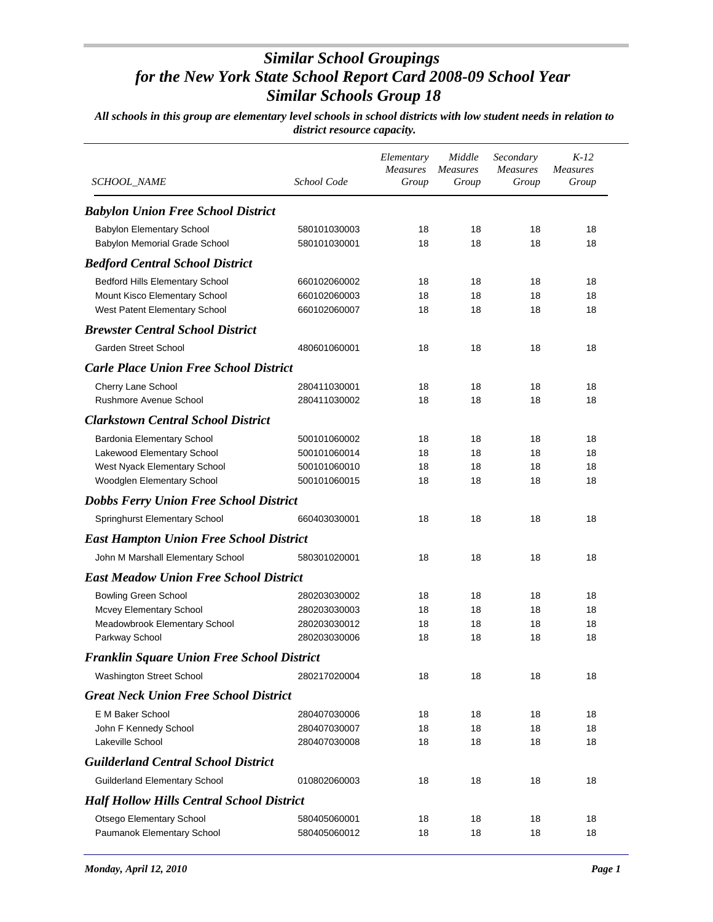|                                                   |              | Elementary<br><b>Measures</b> | Middle<br><b>Measures</b> | Secondary<br>Measures | $K-12$<br><b>Measures</b> |
|---------------------------------------------------|--------------|-------------------------------|---------------------------|-----------------------|---------------------------|
| SCHOOL_NAME                                       | School Code  | Group                         | Group                     | Group                 | Group                     |
| <b>Babylon Union Free School District</b>         |              |                               |                           |                       |                           |
| <b>Babylon Elementary School</b>                  | 580101030003 | 18                            | 18                        | 18                    | 18                        |
| Babylon Memorial Grade School                     | 580101030001 | 18                            | 18                        | 18                    | 18                        |
| <b>Bedford Central School District</b>            |              |                               |                           |                       |                           |
| Bedford Hills Elementary School                   | 660102060002 | 18                            | 18                        | 18                    | 18                        |
| Mount Kisco Elementary School                     | 660102060003 | 18                            | 18                        | 18                    | 18                        |
| West Patent Elementary School                     | 660102060007 | 18                            | 18                        | 18                    | 18                        |
| <b>Brewster Central School District</b>           |              |                               |                           |                       |                           |
| <b>Garden Street School</b>                       | 480601060001 | 18                            | 18                        | 18                    | 18                        |
| <b>Carle Place Union Free School District</b>     |              |                               |                           |                       |                           |
| Cherry Lane School                                | 280411030001 | 18                            | 18                        | 18                    | 18                        |
| Rushmore Avenue School                            | 280411030002 | 18                            | 18                        | 18                    | 18                        |
| <b>Clarkstown Central School District</b>         |              |                               |                           |                       |                           |
| Bardonia Elementary School                        | 500101060002 | 18                            | 18                        | 18                    | 18                        |
| Lakewood Elementary School                        | 500101060014 | 18                            | 18                        | 18                    | 18                        |
| West Nyack Elementary School                      | 500101060010 | 18                            | 18                        | 18                    | 18                        |
| Woodglen Elementary School                        | 500101060015 | 18                            | 18                        | 18                    | 18                        |
| <b>Dobbs Ferry Union Free School District</b>     |              |                               |                           |                       |                           |
| Springhurst Elementary School                     | 660403030001 | 18                            | 18                        | 18                    | 18                        |
| <b>East Hampton Union Free School District</b>    |              |                               |                           |                       |                           |
| John M Marshall Elementary School                 | 580301020001 | 18                            | 18                        | 18                    | 18                        |
| <b>East Meadow Union Free School District</b>     |              |                               |                           |                       |                           |
| <b>Bowling Green School</b>                       | 280203030002 | 18                            | 18                        | 18                    | 18                        |
| Mcvey Elementary School                           | 280203030003 | 18                            | 18                        | 18                    | 18                        |
| Meadowbrook Elementary School                     | 280203030012 | 18                            | 18                        | 18                    | 18                        |
| Parkway School                                    | 280203030006 | 18                            | 18                        | 18                    | 18                        |
| <b>Franklin Square Union Free School District</b> |              |                               |                           |                       |                           |
| <b>Washington Street School</b>                   | 280217020004 | 18                            | 18                        | 18                    | 18                        |
| <b>Great Neck Union Free School District</b>      |              |                               |                           |                       |                           |
| E M Baker School                                  | 280407030006 | 18                            | 18                        | 18                    | 18                        |
| John F Kennedy School                             | 280407030007 | 18                            | 18                        | 18                    | 18                        |
| Lakeville School                                  | 280407030008 | 18                            | 18                        | 18                    | 18                        |
| <b>Guilderland Central School District</b>        |              |                               |                           |                       |                           |
| <b>Guilderland Elementary School</b>              | 010802060003 | 18                            | 18                        | 18                    | 18                        |
| <b>Half Hollow Hills Central School District</b>  |              |                               |                           |                       |                           |
| Otsego Elementary School                          | 580405060001 | 18                            | 18                        | 18                    | 18                        |
| Paumanok Elementary School                        | 580405060012 | 18                            | 18                        | 18                    | 18                        |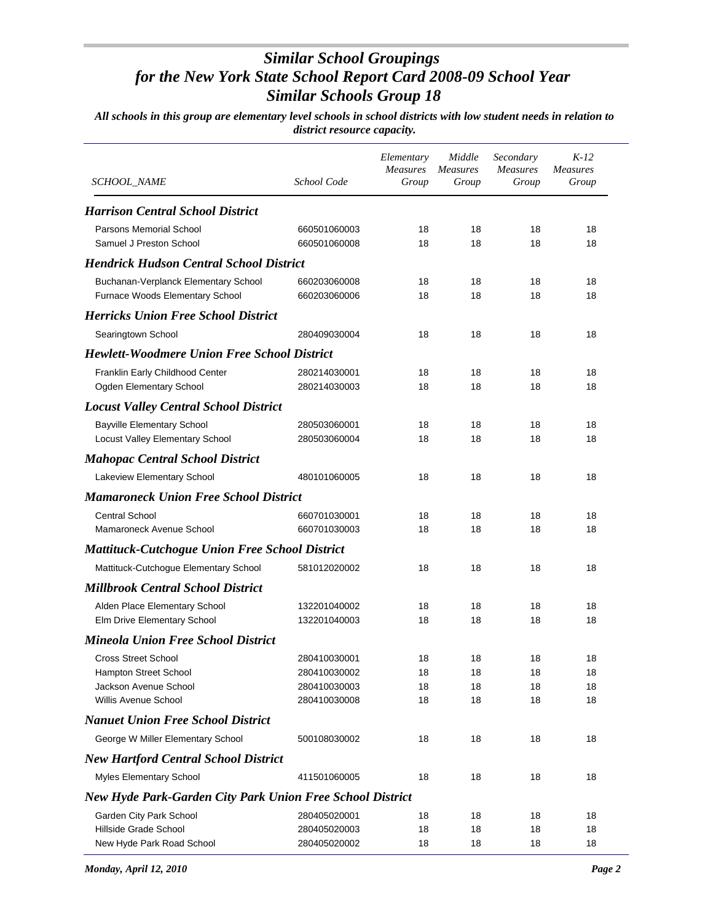|                                                                  | School Code  | Elementary<br><b>Measures</b> | Middle<br><b>Measures</b> | Secondary<br><b>Measures</b> | $K-12$<br><b>Measures</b> |
|------------------------------------------------------------------|--------------|-------------------------------|---------------------------|------------------------------|---------------------------|
| <b>SCHOOL_NAME</b>                                               |              | Group                         | Group                     | Group                        | Group                     |
| <b>Harrison Central School District</b>                          |              |                               |                           |                              |                           |
| Parsons Memorial School                                          | 660501060003 | 18                            | 18                        | 18                           | 18                        |
| Samuel J Preston School                                          | 660501060008 | 18                            | 18                        | 18                           | 18                        |
| <b>Hendrick Hudson Central School District</b>                   |              |                               |                           |                              |                           |
| Buchanan-Verplanck Elementary School                             | 660203060008 | 18                            | 18                        | 18                           | 18                        |
| Furnace Woods Elementary School                                  | 660203060006 | 18                            | 18                        | 18                           | 18                        |
| <b>Herricks Union Free School District</b>                       |              |                               |                           |                              |                           |
| Searingtown School                                               | 280409030004 | 18                            | 18                        | 18                           | 18                        |
| <b>Hewlett-Woodmere Union Free School District</b>               |              |                               |                           |                              |                           |
| Franklin Early Childhood Center                                  | 280214030001 | 18                            | 18                        | 18                           | 18                        |
| Ogden Elementary School                                          | 280214030003 | 18                            | 18                        | 18                           | 18                        |
| <b>Locust Valley Central School District</b>                     |              |                               |                           |                              |                           |
| <b>Bayville Elementary School</b>                                | 280503060001 | 18                            | 18                        | 18                           | 18                        |
| Locust Valley Elementary School                                  | 280503060004 | 18                            | 18                        | 18                           | 18                        |
| <b>Mahopac Central School District</b>                           |              |                               |                           |                              |                           |
| Lakeview Elementary School                                       | 480101060005 | 18                            | 18                        | 18                           | 18                        |
| <b>Mamaroneck Union Free School District</b>                     |              |                               |                           |                              |                           |
| <b>Central School</b>                                            | 660701030001 | 18                            | 18                        | 18                           | 18                        |
| Mamaroneck Avenue School                                         | 660701030003 | 18                            | 18                        | 18                           | 18                        |
| <b>Mattituck-Cutchogue Union Free School District</b>            |              |                               |                           |                              |                           |
| Mattituck-Cutchogue Elementary School                            | 581012020002 | 18                            | 18                        | 18                           | 18                        |
| <b>Millbrook Central School District</b>                         |              |                               |                           |                              |                           |
| Alden Place Elementary School                                    | 132201040002 | 18                            | 18                        | 18                           | 18                        |
| Elm Drive Elementary School                                      | 132201040003 | 18                            | 18                        | 18                           | 18                        |
| <b>Mineola Union Free School District</b>                        |              |                               |                           |                              |                           |
| <b>Cross Street School</b>                                       | 280410030001 | 18                            | 18                        | 18                           | 18                        |
| Hampton Street School                                            | 280410030002 | 18                            | 18                        | 18                           | 18                        |
| Jackson Avenue School                                            | 280410030003 | 18                            | 18                        | 18                           | 18                        |
| <b>Willis Avenue School</b>                                      | 280410030008 | 18                            | 18                        | 18                           | 18                        |
| <b>Nanuet Union Free School District</b>                         |              |                               |                           |                              |                           |
| George W Miller Elementary School                                | 500108030002 | 18                            | 18                        | 18                           | 18                        |
| <b>New Hartford Central School District</b>                      |              |                               |                           |                              |                           |
| Myles Elementary School                                          | 411501060005 | 18                            | 18                        | 18                           | 18                        |
| <b>New Hyde Park-Garden City Park Union Free School District</b> |              |                               |                           |                              |                           |
| Garden City Park School                                          | 280405020001 | 18                            | 18                        | 18                           | 18                        |
| Hillside Grade School                                            | 280405020003 | 18                            | 18                        | 18                           | 18                        |
| New Hyde Park Road School                                        | 280405020002 | 18                            | 18                        | 18                           | 18                        |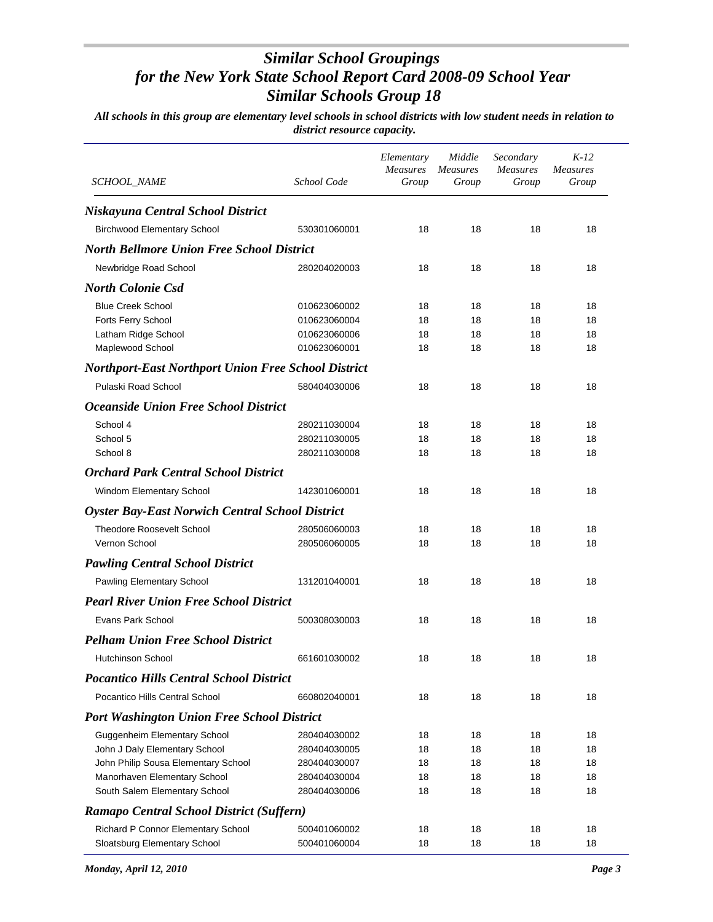| <i>SCHOOL_NAME</i>                                     | School Code  | Elementary<br><b>Measures</b><br>Group | Middle<br><i>Measures</i><br>Group | Secondary<br><b>Measures</b><br>Group | $K-12$<br><i>Measures</i><br>Group |
|--------------------------------------------------------|--------------|----------------------------------------|------------------------------------|---------------------------------------|------------------------------------|
|                                                        |              |                                        |                                    |                                       |                                    |
| Niskayuna Central School District                      |              |                                        |                                    |                                       |                                    |
| <b>Birchwood Elementary School</b>                     | 530301060001 | 18                                     | 18                                 | 18                                    | 18                                 |
| <b>North Bellmore Union Free School District</b>       |              |                                        |                                    |                                       |                                    |
| Newbridge Road School                                  | 280204020003 | 18                                     | 18                                 | 18                                    | 18                                 |
| <b>North Colonie Csd</b>                               |              |                                        |                                    |                                       |                                    |
| <b>Blue Creek School</b>                               | 010623060002 | 18                                     | 18                                 | 18                                    | 18                                 |
| <b>Forts Ferry School</b>                              | 010623060004 | 18                                     | 18                                 | 18                                    | 18                                 |
| Latham Ridge School                                    | 010623060006 | 18                                     | 18                                 | 18                                    | 18                                 |
| Maplewood School                                       | 010623060001 | 18                                     | 18                                 | 18                                    | 18                                 |
| Northport-East Northport Union Free School District    |              |                                        |                                    |                                       |                                    |
| Pulaski Road School                                    | 580404030006 | 18                                     | 18                                 | 18                                    | 18                                 |
| <i><b>Oceanside Union Free School District</b></i>     |              |                                        |                                    |                                       |                                    |
| School 4                                               | 280211030004 | 18                                     | 18                                 | 18                                    | 18                                 |
| School 5                                               | 280211030005 | 18                                     | 18                                 | 18                                    | 18                                 |
| School 8                                               | 280211030008 | 18                                     | 18                                 | 18                                    | 18                                 |
| <b>Orchard Park Central School District</b>            |              |                                        |                                    |                                       |                                    |
| Windom Elementary School                               | 142301060001 | 18                                     | 18                                 | 18                                    | 18                                 |
| <b>Oyster Bay-East Norwich Central School District</b> |              |                                        |                                    |                                       |                                    |
| <b>Theodore Roosevelt School</b>                       | 280506060003 | 18                                     | 18                                 | 18                                    | 18                                 |
| Vernon School                                          | 280506060005 | 18                                     | 18                                 | 18                                    | 18                                 |
| <b>Pawling Central School District</b>                 |              |                                        |                                    |                                       |                                    |
| Pawling Elementary School                              | 131201040001 | 18                                     | 18                                 | 18                                    | 18                                 |
| <b>Pearl River Union Free School District</b>          |              |                                        |                                    |                                       |                                    |
| Evans Park School                                      | 500308030003 | 18                                     | 18                                 | 18                                    | 18                                 |
| <b>Pelham Union Free School District</b>               |              |                                        |                                    |                                       |                                    |
| <b>Hutchinson School</b>                               | 661601030002 | 18                                     | 18                                 | 18                                    | 18                                 |
| <b>Pocantico Hills Central School District</b>         |              |                                        |                                    |                                       |                                    |
| Pocantico Hills Central School                         | 660802040001 | 18                                     | 18                                 | 18                                    | 18                                 |
| <b>Port Washington Union Free School District</b>      |              |                                        |                                    |                                       |                                    |
| Guggenheim Elementary School                           | 280404030002 | 18                                     | 18                                 | 18                                    | 18                                 |
| John J Daly Elementary School                          | 280404030005 | 18                                     | 18                                 | 18                                    | 18                                 |
| John Philip Sousa Elementary School                    | 280404030007 | 18                                     | 18                                 | 18                                    | 18                                 |
| Manorhaven Elementary School                           | 280404030004 | 18                                     | 18                                 | 18                                    | 18                                 |
| South Salem Elementary School                          | 280404030006 | 18                                     | 18                                 | 18                                    | 18                                 |
| Ramapo Central School District (Suffern)               |              |                                        |                                    |                                       |                                    |
| Richard P Connor Elementary School                     | 500401060002 | 18                                     | 18                                 | 18                                    | 18                                 |
| Sloatsburg Elementary School                           | 500401060004 | 18                                     | 18                                 | 18                                    | 18                                 |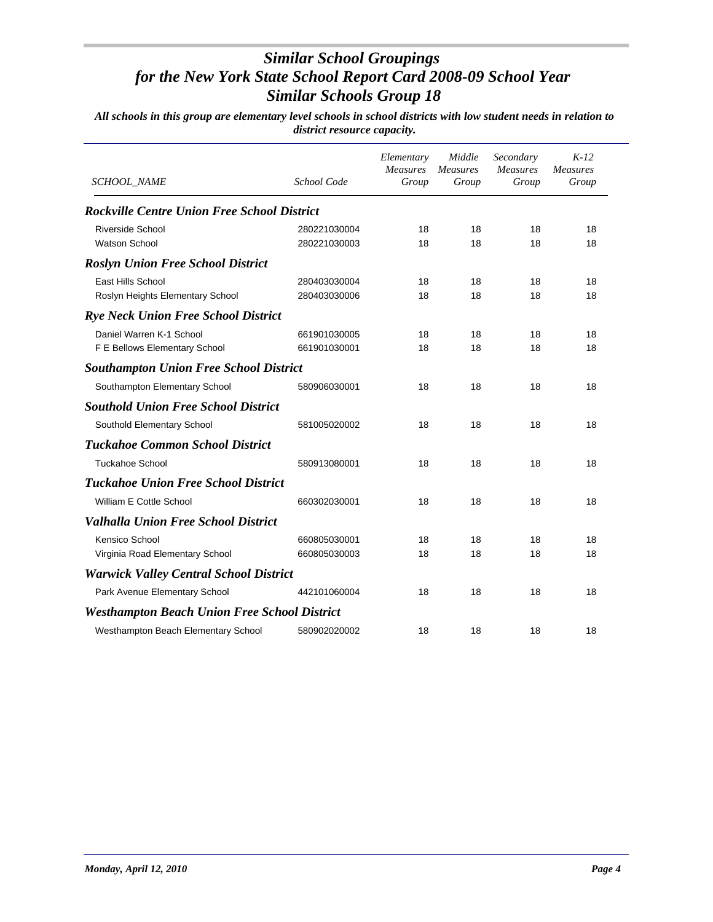| <b>SCHOOL_NAME</b>                                  | School Code  | Elementary<br><b>Measures</b><br>Group | Middle<br><b>Measures</b><br>Group | Secondary<br><b>Measures</b><br>Group | $K-12$<br>Measures<br>Group |
|-----------------------------------------------------|--------------|----------------------------------------|------------------------------------|---------------------------------------|-----------------------------|
| <b>Rockville Centre Union Free School District</b>  |              |                                        |                                    |                                       |                             |
| <b>Riverside School</b>                             | 280221030004 | 18                                     | 18                                 | 18                                    | 18                          |
| <b>Watson School</b>                                | 280221030003 | 18                                     | 18                                 | 18                                    | 18                          |
| <b>Roslyn Union Free School District</b>            |              |                                        |                                    |                                       |                             |
| East Hills School                                   | 280403030004 | 18                                     | 18                                 | 18                                    | 18                          |
| Roslyn Heights Elementary School                    | 280403030006 | 18                                     | 18                                 | 18                                    | 18                          |
| <b>Rye Neck Union Free School District</b>          |              |                                        |                                    |                                       |                             |
| Daniel Warren K-1 School                            | 661901030005 | 18                                     | 18                                 | 18                                    | 18                          |
| F E Bellows Elementary School                       | 661901030001 | 18                                     | 18                                 | 18                                    | 18                          |
| <b>Southampton Union Free School District</b>       |              |                                        |                                    |                                       |                             |
| Southampton Elementary School                       | 580906030001 | 18                                     | 18                                 | 18                                    | 18                          |
| <b>Southold Union Free School District</b>          |              |                                        |                                    |                                       |                             |
| Southold Elementary School                          | 581005020002 | 18                                     | 18                                 | 18                                    | 18                          |
| <b>Tuckahoe Common School District</b>              |              |                                        |                                    |                                       |                             |
| <b>Tuckahoe School</b>                              | 580913080001 | 18                                     | 18                                 | 18                                    | 18                          |
| <b>Tuckahoe Union Free School District</b>          |              |                                        |                                    |                                       |                             |
| William E Cottle School                             | 660302030001 | 18                                     | 18                                 | 18                                    | 18                          |
| <b>Valhalla Union Free School District</b>          |              |                                        |                                    |                                       |                             |
| Kensico School                                      | 660805030001 | 18                                     | 18                                 | 18                                    | 18                          |
| Virginia Road Elementary School                     | 660805030003 | 18                                     | 18                                 | 18                                    | 18                          |
| <b>Warwick Valley Central School District</b>       |              |                                        |                                    |                                       |                             |
| Park Avenue Elementary School                       | 442101060004 | 18                                     | 18                                 | 18                                    | 18                          |
| <b>Westhampton Beach Union Free School District</b> |              |                                        |                                    |                                       |                             |
| Westhampton Beach Elementary School                 | 580902020002 | 18                                     | 18                                 | 18                                    | 18                          |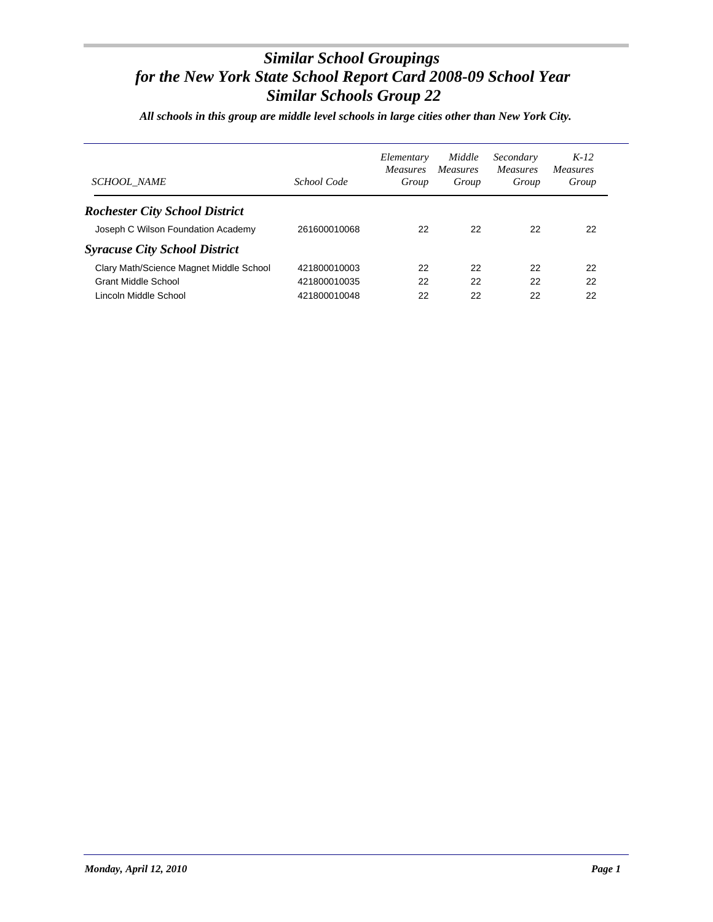*All schools in this group are middle level schools in large cities other than New York City.*

| <b>SCHOOL NAME</b>                      | School Code  | Elementary<br><i>Measures</i><br>Group | Middle<br><i>Measures</i><br>Group | Secondary<br><b>Measures</b><br>Group | $K-12$<br><i>Measures</i><br>Group |
|-----------------------------------------|--------------|----------------------------------------|------------------------------------|---------------------------------------|------------------------------------|
| <b>Rochester City School District</b>   |              |                                        |                                    |                                       |                                    |
| Joseph C Wilson Foundation Academy      | 261600010068 | 22                                     | 22                                 | 22                                    | 22                                 |
| <b>Syracuse City School District</b>    |              |                                        |                                    |                                       |                                    |
| Clary Math/Science Magnet Middle School | 421800010003 | 22                                     | 22                                 | 22                                    | 22                                 |
| <b>Grant Middle School</b>              | 421800010035 | 22                                     | 22                                 | 22                                    | 22                                 |
| Lincoln Middle School                   | 421800010048 | 22                                     | 22                                 | 22                                    | 22                                 |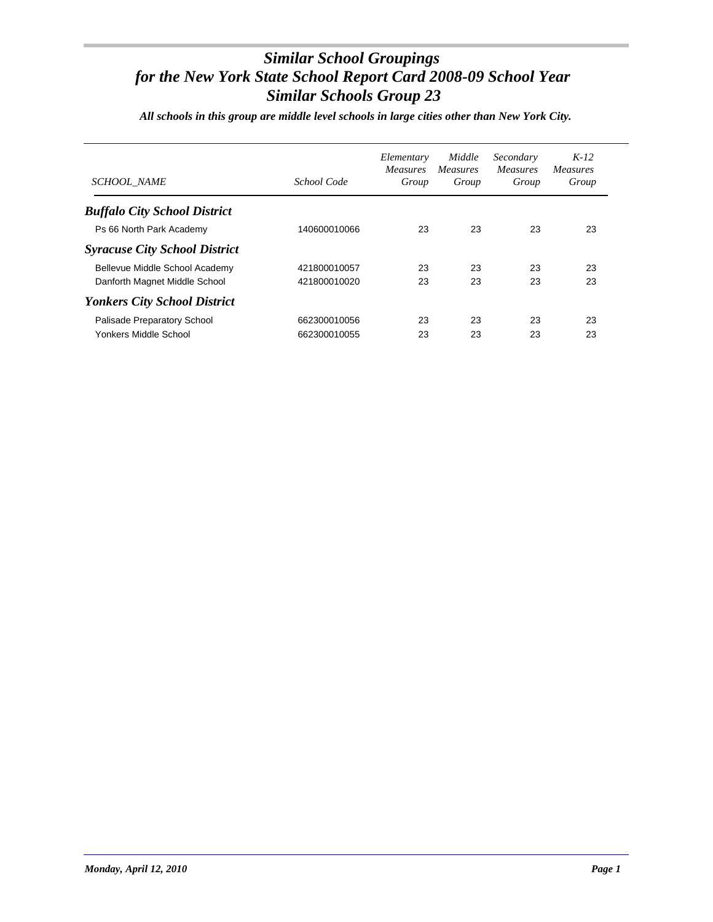*All schools in this group are middle level schools in large cities other than New York City.*

| <b>SCHOOL NAME</b>                   | School Code  | Elementary<br><i>Measures</i><br>Group | Middle<br><i>Measures</i><br>Group | Secondary<br><i>Measures</i><br>Group | $K-12$<br><i>Measures</i><br>Group |
|--------------------------------------|--------------|----------------------------------------|------------------------------------|---------------------------------------|------------------------------------|
| <b>Buffalo City School District</b>  |              |                                        |                                    |                                       |                                    |
| Ps 66 North Park Academy             | 140600010066 | 23                                     | 23                                 | 23                                    | 23                                 |
| <b>Syracuse City School District</b> |              |                                        |                                    |                                       |                                    |
| Bellevue Middle School Academy       | 421800010057 | 23                                     | 23                                 | 23                                    | 23                                 |
| Danforth Magnet Middle School        | 421800010020 | 23                                     | 23                                 | 23                                    | 23                                 |
| <b>Yonkers City School District</b>  |              |                                        |                                    |                                       |                                    |
| Palisade Preparatory School          | 662300010056 | 23                                     | 23                                 | 23                                    | 23                                 |
| Yonkers Middle School                | 662300010055 | 23                                     | 23                                 | 23                                    | 23                                 |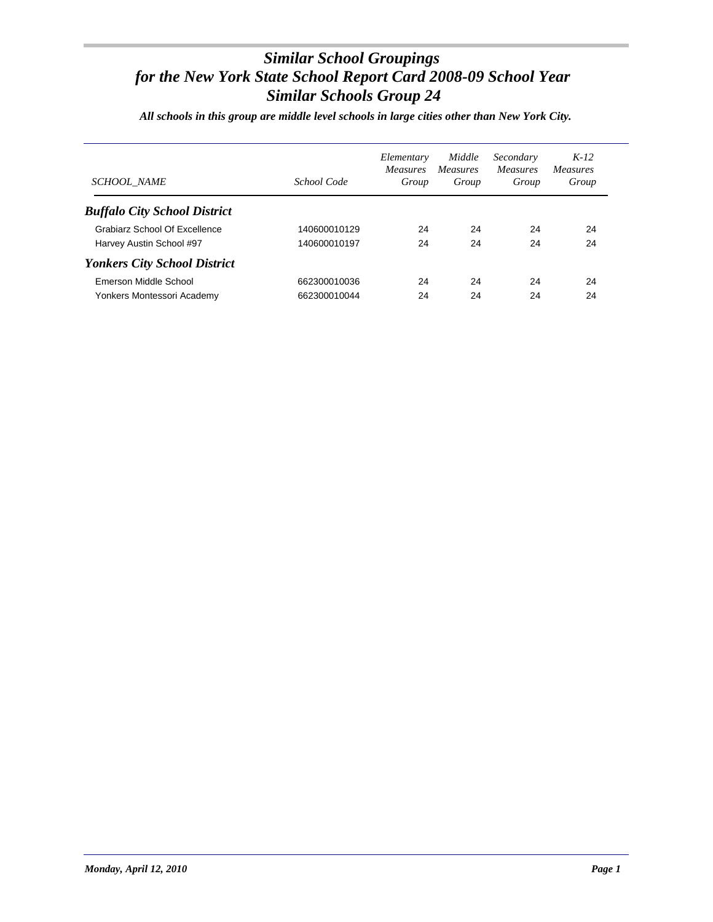*All schools in this group are middle level schools in large cities other than New York City.*

| <b>SCHOOL NAME</b>                  | School Code  | Elementary<br><i>Measures</i><br>Group | Middle<br><i>Measures</i><br>Group | Secondary<br><i>Measures</i><br>Group | $K-12$<br><i>Measures</i><br>Group |
|-------------------------------------|--------------|----------------------------------------|------------------------------------|---------------------------------------|------------------------------------|
| <b>Buffalo City School District</b> |              |                                        |                                    |                                       |                                    |
| Grabiarz School Of Excellence       | 140600010129 | 24                                     | 24                                 | 24                                    | 24                                 |
| Harvey Austin School #97            | 140600010197 | 24                                     | 24                                 | 24                                    | 24                                 |
| <b>Yonkers City School District</b> |              |                                        |                                    |                                       |                                    |
| Emerson Middle School               | 662300010036 | 24                                     | 24                                 | 24                                    | 24                                 |
| Yonkers Montessori Academy          | 662300010044 | 24                                     | 24                                 | 24                                    | 24                                 |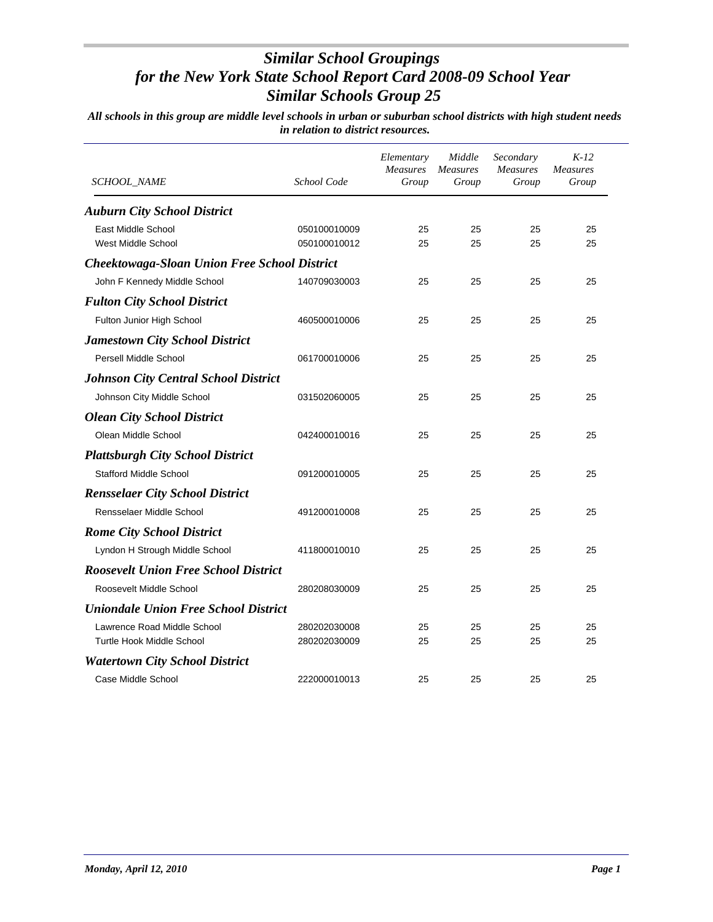| SCHOOL_NAME                                         | School Code  | Elementary<br>Measures<br>Group | Middle<br>Measures<br>Group | Secondary<br><b>Measures</b><br>Group | $K-12$<br><b>Measures</b><br>Group |
|-----------------------------------------------------|--------------|---------------------------------|-----------------------------|---------------------------------------|------------------------------------|
| <b>Auburn City School District</b>                  |              |                                 |                             |                                       |                                    |
| East Middle School                                  | 050100010009 | 25                              | 25                          | 25                                    | 25                                 |
| West Middle School                                  | 050100010012 | 25                              | 25                          | 25                                    | 25                                 |
| <b>Cheektowaga-Sloan Union Free School District</b> |              |                                 |                             |                                       |                                    |
| John F Kennedy Middle School                        | 140709030003 | 25                              | 25                          | 25                                    | 25                                 |
| <b>Fulton City School District</b>                  |              |                                 |                             |                                       |                                    |
| Fulton Junior High School                           | 460500010006 | 25                              | 25                          | 25                                    | 25                                 |
| <b>Jamestown City School District</b>               |              |                                 |                             |                                       |                                    |
| Persell Middle School                               | 061700010006 | 25                              | 25                          | 25                                    | 25                                 |
| <b>Johnson City Central School District</b>         |              |                                 |                             |                                       |                                    |
| Johnson City Middle School                          | 031502060005 | 25                              | 25                          | 25                                    | 25                                 |
| <b>Olean City School District</b>                   |              |                                 |                             |                                       |                                    |
| Olean Middle School                                 | 042400010016 | 25                              | 25                          | 25                                    | 25                                 |
| <b>Plattsburgh City School District</b>             |              |                                 |                             |                                       |                                    |
| <b>Stafford Middle School</b>                       | 091200010005 | 25                              | 25                          | 25                                    | 25                                 |
| <b>Rensselaer City School District</b>              |              |                                 |                             |                                       |                                    |
| Rensselaer Middle School                            | 491200010008 | 25                              | 25                          | 25                                    | 25                                 |
| <b>Rome City School District</b>                    |              |                                 |                             |                                       |                                    |
| Lyndon H Strough Middle School                      | 411800010010 | 25                              | 25                          | 25                                    | 25                                 |
| <b>Roosevelt Union Free School District</b>         |              |                                 |                             |                                       |                                    |
| Roosevelt Middle School                             | 280208030009 | 25                              | 25                          | 25                                    | 25                                 |
| <b>Uniondale Union Free School District</b>         |              |                                 |                             |                                       |                                    |
| Lawrence Road Middle School                         | 280202030008 | 25                              | 25                          | 25                                    | 25                                 |
| Turtle Hook Middle School                           | 280202030009 | 25                              | 25                          | 25                                    | 25                                 |
| <b>Watertown City School District</b>               |              |                                 |                             |                                       |                                    |
| Case Middle School                                  | 222000010013 | 25                              | 25                          | 25                                    | 25                                 |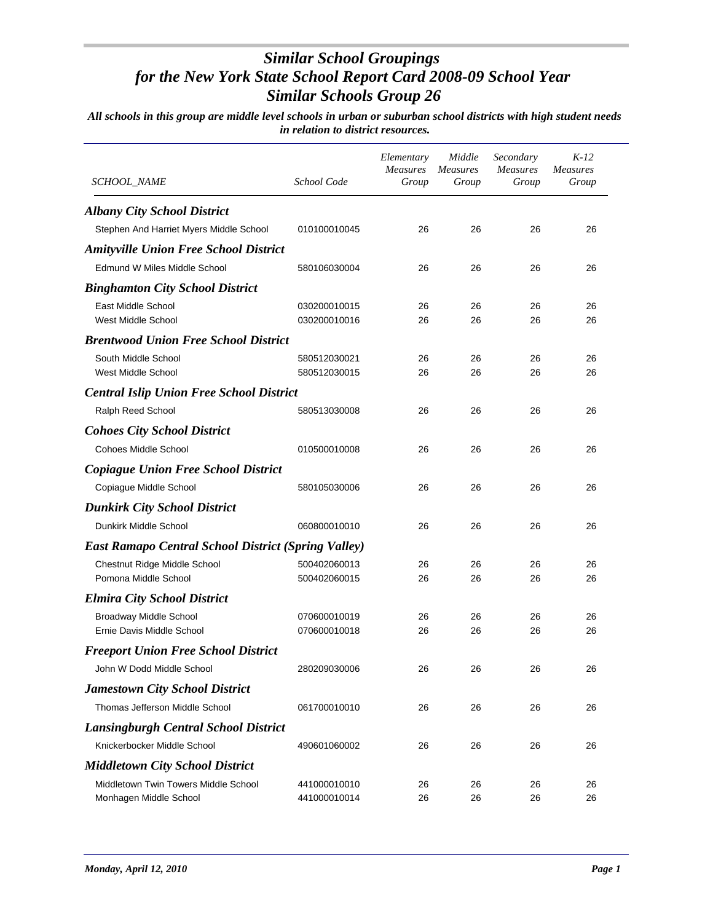| SCHOOL_NAME                                                    | School Code                  | Elementary<br><b>Measures</b><br>Group | Middle<br><b>Measures</b><br>Group | Secondary<br><b>Measures</b><br>Group | $K-12$<br><b>Measures</b><br>Group |
|----------------------------------------------------------------|------------------------------|----------------------------------------|------------------------------------|---------------------------------------|------------------------------------|
| <b>Albany City School District</b>                             |                              |                                        |                                    |                                       |                                    |
| Stephen And Harriet Myers Middle School                        | 010100010045                 | 26                                     | 26                                 | 26                                    | 26                                 |
| <b>Amityville Union Free School District</b>                   |                              |                                        |                                    |                                       |                                    |
| Edmund W Miles Middle School                                   | 580106030004                 | 26                                     | 26                                 | 26                                    | 26                                 |
| <b>Binghamton City School District</b>                         |                              |                                        |                                    |                                       |                                    |
| East Middle School                                             | 030200010015                 | 26                                     | 26                                 | 26                                    | 26                                 |
| West Middle School                                             | 030200010016                 | 26                                     | 26                                 | 26                                    | 26                                 |
| <b>Brentwood Union Free School District</b>                    |                              |                                        |                                    |                                       |                                    |
| South Middle School                                            | 580512030021                 | 26                                     | 26                                 | 26                                    | 26                                 |
| West Middle School                                             | 580512030015                 | 26                                     | 26                                 | 26                                    | 26                                 |
| <b>Central Islip Union Free School District</b>                |                              |                                        |                                    |                                       |                                    |
| Ralph Reed School                                              | 580513030008                 | 26                                     | 26                                 | 26                                    | 26                                 |
| <b>Cohoes City School District</b>                             |                              |                                        |                                    |                                       |                                    |
| Cohoes Middle School                                           | 010500010008                 | 26                                     | 26                                 | 26                                    | 26                                 |
| <b>Copiague Union Free School District</b>                     |                              |                                        |                                    |                                       |                                    |
| Copiague Middle School                                         | 580105030006                 | 26                                     | 26                                 | 26                                    | 26                                 |
| <b>Dunkirk City School District</b>                            |                              |                                        |                                    |                                       |                                    |
| Dunkirk Middle School                                          | 060800010010                 | 26                                     | 26                                 | 26                                    | 26                                 |
| <b>East Ramapo Central School District (Spring Valley)</b>     |                              |                                        |                                    |                                       |                                    |
| <b>Chestnut Ridge Middle School</b>                            | 500402060013                 | 26                                     | 26                                 | 26                                    | 26                                 |
| Pomona Middle School                                           | 500402060015                 | 26                                     | 26                                 | 26                                    | 26                                 |
| <b>Elmira City School District</b>                             |                              |                                        |                                    |                                       |                                    |
| <b>Broadway Middle School</b>                                  | 070600010019                 | 26                                     | 26                                 | 26                                    | 26                                 |
| Ernie Davis Middle School                                      | 070600010018                 | 26                                     | 26                                 | 26                                    | 26                                 |
| <b>Freeport Union Free School District</b>                     |                              |                                        |                                    |                                       |                                    |
| John W Dodd Middle School                                      | 280209030006                 | 26                                     | 26                                 | 26                                    | 26                                 |
| <b>Jamestown City School District</b>                          |                              |                                        |                                    |                                       |                                    |
| Thomas Jefferson Middle School                                 | 061700010010                 | 26                                     | 26                                 | 26                                    | 26                                 |
| <b>Lansingburgh Central School District</b>                    |                              |                                        |                                    |                                       |                                    |
| Knickerbocker Middle School                                    | 490601060002                 | 26                                     | 26                                 | 26                                    | 26                                 |
|                                                                |                              |                                        |                                    |                                       |                                    |
| <b>Middletown City School District</b>                         |                              |                                        |                                    |                                       |                                    |
| Middletown Twin Towers Middle School<br>Monhagen Middle School | 441000010010<br>441000010014 | 26<br>26                               | 26<br>26                           | 26<br>26                              | 26<br>26                           |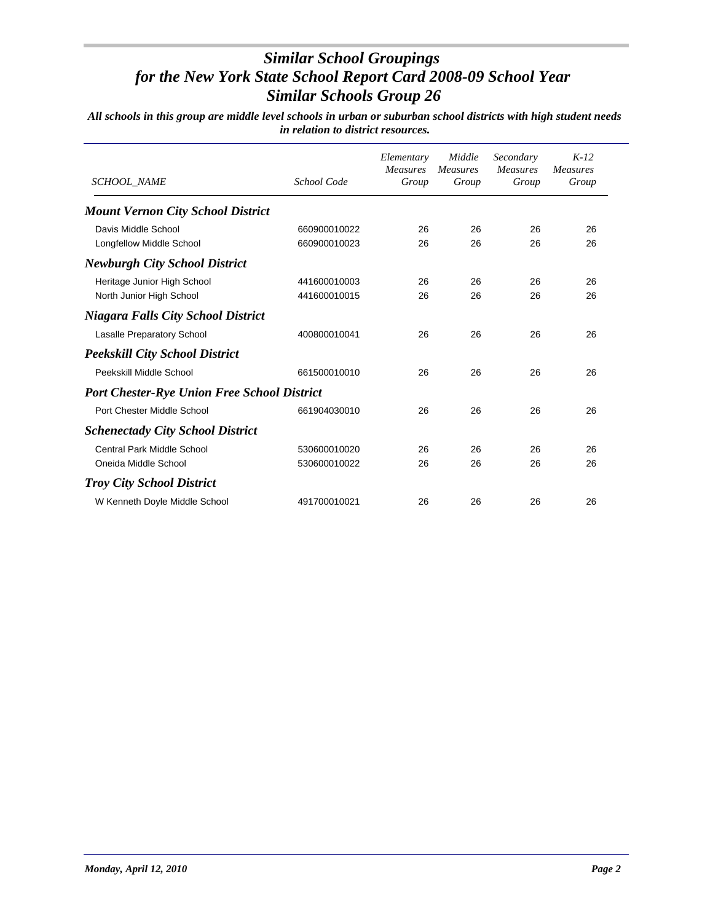| <b>SCHOOL NAME</b>                                 | School Code  | Elementary<br><b>Measures</b><br>Group | Middle<br><b>Measures</b><br>Group | Secondary<br><b>Measures</b><br>Group | $K-12$<br><b>Measures</b><br>Group |
|----------------------------------------------------|--------------|----------------------------------------|------------------------------------|---------------------------------------|------------------------------------|
| <b>Mount Vernon City School District</b>           |              |                                        |                                    |                                       |                                    |
| Davis Middle School                                | 660900010022 | 26                                     | 26                                 | 26                                    | 26                                 |
| Longfellow Middle School                           | 660900010023 | 26                                     | 26                                 | 26                                    | 26                                 |
| <b>Newburgh City School District</b>               |              |                                        |                                    |                                       |                                    |
| Heritage Junior High School                        | 441600010003 | 26                                     | 26                                 | 26                                    | 26                                 |
| North Junior High School                           | 441600010015 | 26                                     | 26                                 | 26                                    | 26                                 |
| <b>Niagara Falls City School District</b>          |              |                                        |                                    |                                       |                                    |
| <b>Lasalle Preparatory School</b>                  | 400800010041 | 26                                     | 26                                 | 26                                    | 26                                 |
| <b>Peekskill City School District</b>              |              |                                        |                                    |                                       |                                    |
| Peekskill Middle School                            | 661500010010 | 26                                     | 26                                 | 26                                    | 26                                 |
| <b>Port Chester-Rye Union Free School District</b> |              |                                        |                                    |                                       |                                    |
| Port Chester Middle School                         | 661904030010 | 26                                     | 26                                 | 26                                    | 26                                 |
| <b>Schenectady City School District</b>            |              |                                        |                                    |                                       |                                    |
| <b>Central Park Middle School</b>                  | 530600010020 | 26                                     | 26                                 | 26                                    | 26                                 |
| Oneida Middle School                               | 530600010022 | 26                                     | 26                                 | 26                                    | 26                                 |
| <b>Troy City School District</b>                   |              |                                        |                                    |                                       |                                    |
| W Kenneth Doyle Middle School                      | 491700010021 | 26                                     | 26                                 | 26                                    | 26                                 |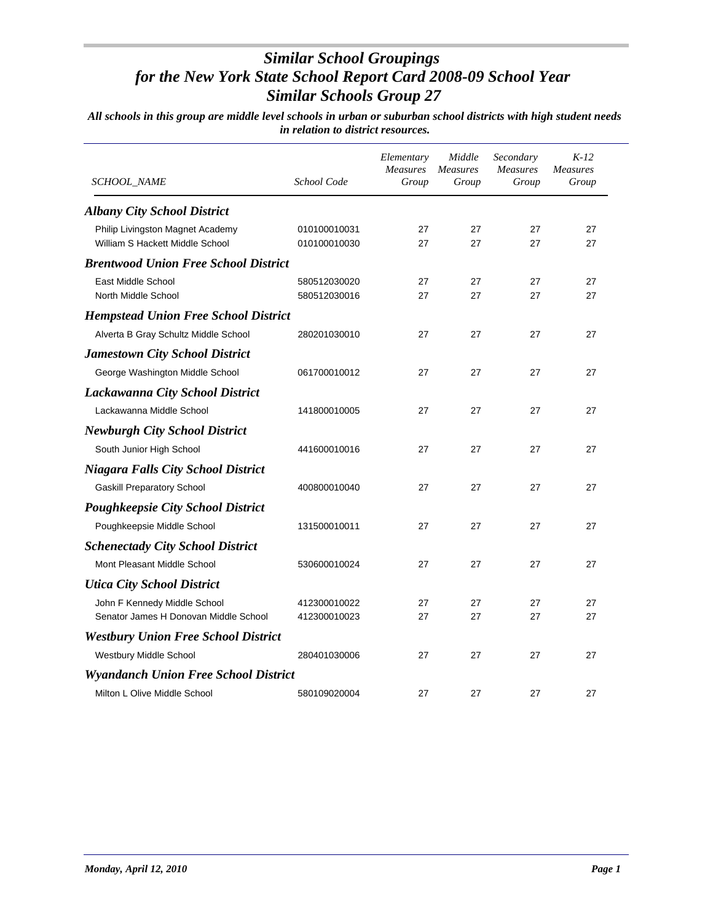| <i>SCHOOL_NAME</i>                                                    | School Code                  | Elementary<br><b>Measures</b><br>Group | Middle<br><b>Measures</b><br>Group | Secondary<br><b>Measures</b><br>Group | $K-12$<br><b>Measures</b><br>Group |
|-----------------------------------------------------------------------|------------------------------|----------------------------------------|------------------------------------|---------------------------------------|------------------------------------|
| <b>Albany City School District</b>                                    |                              |                                        |                                    |                                       |                                    |
| Philip Livingston Magnet Academy<br>William S Hackett Middle School   | 010100010031<br>010100010030 | 27<br>27                               | 27<br>27                           | 27<br>27                              | 27<br>27                           |
| <b>Brentwood Union Free School District</b>                           |                              |                                        |                                    |                                       |                                    |
| East Middle School<br>North Middle School                             | 580512030020<br>580512030016 | 27<br>27                               | 27<br>27                           | 27<br>27                              | 27<br>27                           |
| <b>Hempstead Union Free School District</b>                           |                              |                                        |                                    |                                       |                                    |
| Alverta B Gray Schultz Middle School                                  | 280201030010                 | 27                                     | 27                                 | 27                                    | 27                                 |
| <b>Jamestown City School District</b>                                 |                              |                                        |                                    |                                       |                                    |
| George Washington Middle School                                       | 061700010012                 | 27                                     | 27                                 | 27                                    | 27                                 |
| <b>Lackawanna City School District</b>                                |                              |                                        |                                    |                                       |                                    |
| Lackawanna Middle School                                              | 141800010005                 | 27                                     | 27                                 | 27                                    | 27                                 |
| <b>Newburgh City School District</b>                                  |                              |                                        |                                    |                                       |                                    |
| South Junior High School                                              | 441600010016                 | 27                                     | 27                                 | 27                                    | 27                                 |
| <b>Niagara Falls City School District</b>                             |                              |                                        |                                    |                                       |                                    |
| <b>Gaskill Preparatory School</b>                                     | 400800010040                 | 27                                     | 27                                 | 27                                    | 27                                 |
| <b>Poughkeepsie City School District</b>                              |                              |                                        |                                    |                                       |                                    |
| Poughkeepsie Middle School                                            | 131500010011                 | 27                                     | 27                                 | 27                                    | 27                                 |
| <b>Schenectady City School District</b>                               |                              |                                        |                                    |                                       |                                    |
| Mont Pleasant Middle School                                           | 530600010024                 | 27                                     | 27                                 | 27                                    | 27                                 |
| <b>Utica City School District</b>                                     |                              |                                        |                                    |                                       |                                    |
| John F Kennedy Middle School<br>Senator James H Donovan Middle School | 412300010022<br>412300010023 | 27<br>27                               | 27<br>27                           | 27<br>27                              | 27<br>27                           |
| <b>Westbury Union Free School District</b>                            |                              |                                        |                                    |                                       |                                    |
| Westbury Middle School                                                | 280401030006                 | 27                                     | 27                                 | 27                                    | 27                                 |
| <b>Wyandanch Union Free School District</b>                           |                              |                                        |                                    |                                       |                                    |
| Milton L Olive Middle School                                          | 580109020004                 | 27                                     | 27                                 | 27                                    | 27                                 |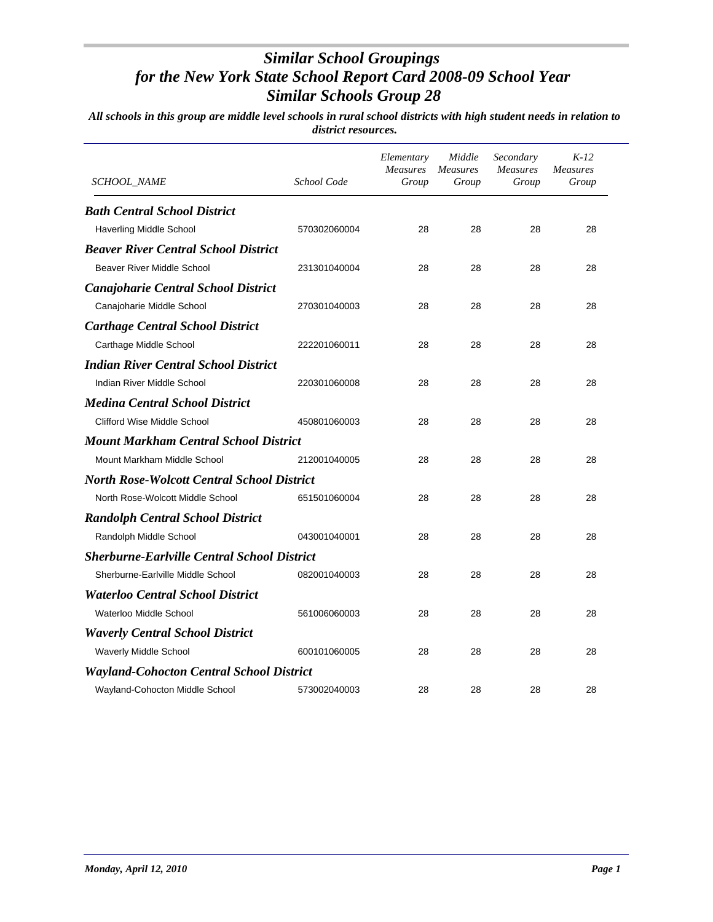| <i>SCHOOL_NAME</i>                                 | School Code  | Elementary<br>Measures<br>Group | Middle<br><b>Measures</b><br>Group | Secondary<br>Measures<br>Group | $K-12$<br><b>Measures</b><br>Group |
|----------------------------------------------------|--------------|---------------------------------|------------------------------------|--------------------------------|------------------------------------|
| <b>Bath Central School District</b>                |              |                                 |                                    |                                |                                    |
| <b>Haverling Middle School</b>                     | 570302060004 | 28                              | 28                                 | 28                             | 28                                 |
| <b>Beaver River Central School District</b>        |              |                                 |                                    |                                |                                    |
| Beaver River Middle School                         | 231301040004 | 28                              | 28                                 | 28                             | 28                                 |
| <b>Canajoharie Central School District</b>         |              |                                 |                                    |                                |                                    |
| Canajoharie Middle School                          | 270301040003 | 28                              | 28                                 | 28                             | 28                                 |
| <b>Carthage Central School District</b>            |              |                                 |                                    |                                |                                    |
| Carthage Middle School                             | 222201060011 | 28                              | 28                                 | 28                             | 28                                 |
| <b>Indian River Central School District</b>        |              |                                 |                                    |                                |                                    |
| Indian River Middle School                         | 220301060008 | 28                              | 28                                 | 28                             | 28                                 |
| <b>Medina Central School District</b>              |              |                                 |                                    |                                |                                    |
| <b>Clifford Wise Middle School</b>                 | 450801060003 | 28                              | 28                                 | 28                             | 28                                 |
| <b>Mount Markham Central School District</b>       |              |                                 |                                    |                                |                                    |
| Mount Markham Middle School                        | 212001040005 | 28                              | 28                                 | 28                             | 28                                 |
| <b>North Rose-Wolcott Central School District</b>  |              |                                 |                                    |                                |                                    |
| North Rose-Wolcott Middle School                   | 651501060004 | 28                              | 28                                 | 28                             | 28                                 |
| <b>Randolph Central School District</b>            |              |                                 |                                    |                                |                                    |
| Randolph Middle School                             | 043001040001 | 28                              | 28                                 | 28                             | 28                                 |
| <b>Sherburne-Earlville Central School District</b> |              |                                 |                                    |                                |                                    |
| Sherburne-Earlville Middle School                  | 082001040003 | 28                              | 28                                 | 28                             | 28                                 |
| <b>Waterloo Central School District</b>            |              |                                 |                                    |                                |                                    |
| Waterloo Middle School                             | 561006060003 | 28                              | 28                                 | 28                             | 28                                 |
| <b>Waverly Central School District</b>             |              |                                 |                                    |                                |                                    |
| Waverly Middle School                              | 600101060005 | 28                              | 28                                 | 28                             | 28                                 |
| <b>Wayland-Cohocton Central School District</b>    |              |                                 |                                    |                                |                                    |
| Wayland-Cohocton Middle School                     | 573002040003 | 28                              | 28                                 | 28                             | 28                                 |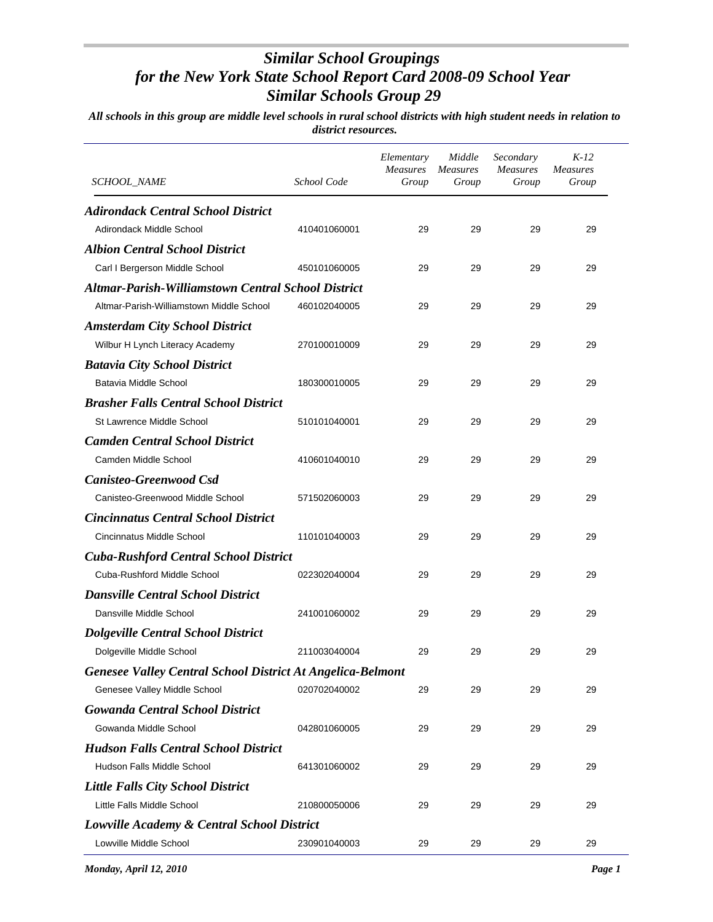| <b>SCHOOL_NAME</b>                                                | School Code  | Elementary<br><b>Measures</b><br>Group | Middle<br><b>Measures</b><br>Group | Secondary<br><b>Measures</b><br>Group | $K-12$<br><b>Measures</b><br>Group |
|-------------------------------------------------------------------|--------------|----------------------------------------|------------------------------------|---------------------------------------|------------------------------------|
| <b>Adirondack Central School District</b>                         |              |                                        |                                    |                                       |                                    |
| Adirondack Middle School                                          | 410401060001 | 29                                     | 29                                 | 29                                    | 29                                 |
| <b>Albion Central School District</b>                             |              |                                        |                                    |                                       |                                    |
| Carl I Bergerson Middle School                                    | 450101060005 | 29                                     | 29                                 | 29                                    | 29                                 |
| <b>Altmar-Parish-Williamstown Central School District</b>         |              |                                        |                                    |                                       |                                    |
| Altmar-Parish-Williamstown Middle School                          | 460102040005 | 29                                     | 29                                 | 29                                    | 29                                 |
| <b>Amsterdam City School District</b>                             |              |                                        |                                    |                                       |                                    |
| Wilbur H Lynch Literacy Academy                                   | 270100010009 | 29                                     | 29                                 | 29                                    | 29                                 |
| <b>Batavia City School District</b>                               |              |                                        |                                    |                                       |                                    |
| Batavia Middle School                                             | 180300010005 | 29                                     | 29                                 | 29                                    | 29                                 |
| <b>Brasher Falls Central School District</b>                      |              |                                        |                                    |                                       |                                    |
| St Lawrence Middle School                                         | 510101040001 | 29                                     | 29                                 | 29                                    | 29                                 |
| <b>Camden Central School District</b>                             |              |                                        |                                    |                                       |                                    |
| Camden Middle School                                              | 410601040010 | 29                                     | 29                                 | 29                                    | 29                                 |
| <b>Canisteo-Greenwood Csd</b>                                     |              |                                        |                                    |                                       |                                    |
| Canisteo-Greenwood Middle School                                  | 571502060003 | 29                                     | 29                                 | 29                                    | 29                                 |
| <b>Cincinnatus Central School District</b>                        |              |                                        |                                    |                                       |                                    |
| Cincinnatus Middle School                                         | 110101040003 | 29                                     | 29                                 | 29                                    | 29                                 |
| <b>Cuba-Rushford Central School District</b>                      |              |                                        |                                    |                                       |                                    |
| Cuba-Rushford Middle School                                       | 022302040004 | 29                                     | 29                                 | 29                                    | 29                                 |
| <b>Dansville Central School District</b>                          |              |                                        |                                    |                                       |                                    |
| Dansville Middle School                                           | 241001060002 | 29                                     | 29                                 | 29                                    | 29                                 |
| <b>Dolgeville Central School District</b>                         |              |                                        |                                    |                                       |                                    |
| Dolgeville Middle School                                          | 211003040004 | 29                                     | 29                                 | 29                                    | 29                                 |
| <b>Genesee Valley Central School District At Angelica-Belmont</b> |              |                                        |                                    |                                       |                                    |
| Genesee Valley Middle School                                      | 020702040002 | 29                                     | 29                                 | 29                                    | 29                                 |
| <b>Gowanda Central School District</b>                            |              |                                        |                                    |                                       |                                    |
| Gowanda Middle School                                             | 042801060005 | 29                                     | 29                                 | 29                                    | 29                                 |
| <b>Hudson Falls Central School District</b>                       |              |                                        |                                    |                                       |                                    |
| Hudson Falls Middle School                                        | 641301060002 | 29                                     | 29                                 | 29                                    | 29                                 |
| <b>Little Falls City School District</b>                          |              |                                        |                                    |                                       |                                    |
| Little Falls Middle School                                        | 210800050006 | 29                                     | 29                                 | 29                                    | 29                                 |
| Lowville Academy & Central School District                        |              |                                        |                                    |                                       |                                    |
| Lowville Middle School                                            | 230901040003 | 29                                     | 29                                 | 29                                    | 29                                 |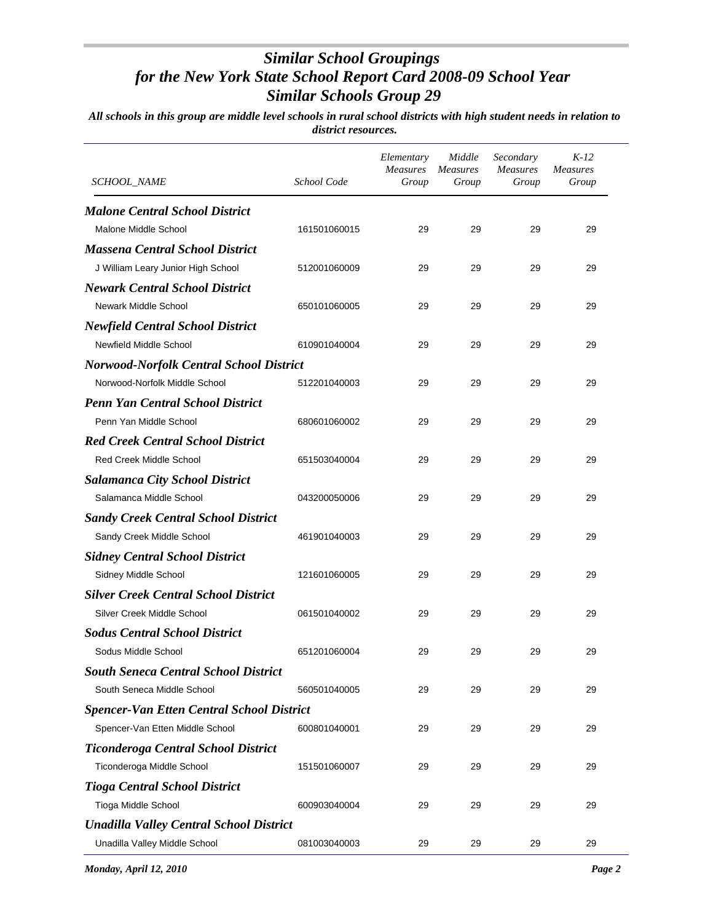| SCHOOL_NAME                                      | School Code  | Elementary<br><b>Measures</b><br>Group | Middle<br><b>Measures</b><br>Group | Secondary<br><b>Measures</b><br>Group | $K-12$<br><b>Measures</b><br>Group |
|--------------------------------------------------|--------------|----------------------------------------|------------------------------------|---------------------------------------|------------------------------------|
| <b>Malone Central School District</b>            |              |                                        |                                    |                                       |                                    |
| Malone Middle School                             | 161501060015 | 29                                     | 29                                 | 29                                    | 29                                 |
| <b>Massena Central School District</b>           |              |                                        |                                    |                                       |                                    |
| J William Leary Junior High School               | 512001060009 | 29                                     | 29                                 | 29                                    | 29                                 |
| <b>Newark Central School District</b>            |              |                                        |                                    |                                       |                                    |
| Newark Middle School                             | 650101060005 | 29                                     | 29                                 | 29                                    | 29                                 |
| <b>Newfield Central School District</b>          |              |                                        |                                    |                                       |                                    |
| Newfield Middle School                           | 610901040004 | 29                                     | 29                                 | 29                                    | 29                                 |
| <b>Norwood-Norfolk Central School District</b>   |              |                                        |                                    |                                       |                                    |
| Norwood-Norfolk Middle School                    | 512201040003 | 29                                     | 29                                 | 29                                    | 29                                 |
| <b>Penn Yan Central School District</b>          |              |                                        |                                    |                                       |                                    |
| Penn Yan Middle School                           | 680601060002 | 29                                     | 29                                 | 29                                    | 29                                 |
| <b>Red Creek Central School District</b>         |              |                                        |                                    |                                       |                                    |
| <b>Red Creek Middle School</b>                   | 651503040004 | 29                                     | 29                                 | 29                                    | 29                                 |
| <b>Salamanca City School District</b>            |              |                                        |                                    |                                       |                                    |
| Salamanca Middle School                          | 043200050006 | 29                                     | 29                                 | 29                                    | 29                                 |
| <b>Sandy Creek Central School District</b>       |              |                                        |                                    |                                       |                                    |
| Sandy Creek Middle School                        | 461901040003 | 29                                     | 29                                 | 29                                    | 29                                 |
| <b>Sidney Central School District</b>            |              |                                        |                                    |                                       |                                    |
| Sidney Middle School                             | 121601060005 | 29                                     | 29                                 | 29                                    | 29                                 |
| <b>Silver Creek Central School District</b>      |              |                                        |                                    |                                       |                                    |
| Silver Creek Middle School                       | 061501040002 | 29                                     | 29                                 | 29                                    | 29                                 |
| <b>Sodus Central School District</b>             |              |                                        |                                    |                                       |                                    |
| Sodus Middle School                              | 651201060004 | 29                                     | 29                                 | 29                                    | 29                                 |
| <b>South Seneca Central School District</b>      |              |                                        |                                    |                                       |                                    |
| South Seneca Middle School                       | 560501040005 | 29                                     | 29                                 | 29                                    | 29                                 |
| <b>Spencer-Van Etten Central School District</b> |              |                                        |                                    |                                       |                                    |
| Spencer-Van Etten Middle School                  | 600801040001 | 29                                     | 29                                 | 29                                    | 29                                 |
| Ticonderoga Central School District              |              |                                        |                                    |                                       |                                    |
| Ticonderoga Middle School                        | 151501060007 | 29                                     | 29                                 | 29                                    | 29                                 |
| <b>Tioga Central School District</b>             |              |                                        |                                    |                                       |                                    |
| Tioga Middle School                              | 600903040004 | 29                                     | 29                                 | 29                                    | 29                                 |
| <b>Unadilla Valley Central School District</b>   |              |                                        |                                    |                                       |                                    |
| Unadilla Valley Middle School                    | 081003040003 | 29                                     | 29                                 | 29                                    | 29                                 |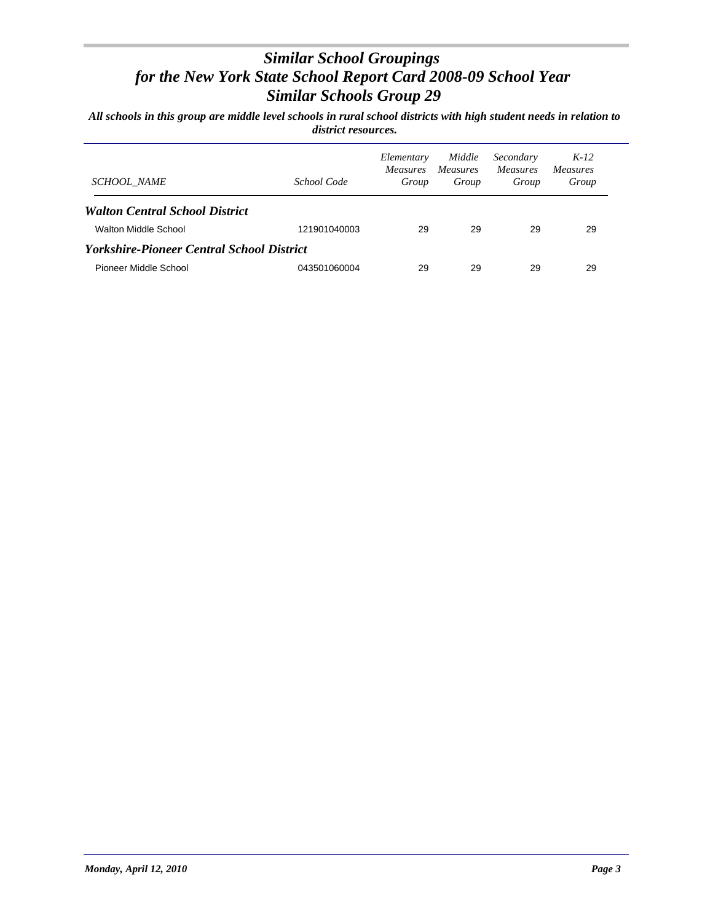| <b>SCHOOL NAME</b>                                      | School Code  | Elementary<br><i>Measures</i><br>Group | Middle<br><i>Measures</i><br>Group | Secondary<br><i>Measures</i><br>Group | $K-12$<br><i>Measures</i><br>Group |  |  |  |
|---------------------------------------------------------|--------------|----------------------------------------|------------------------------------|---------------------------------------|------------------------------------|--|--|--|
| <b>Walton Central School District</b>                   |              |                                        |                                    |                                       |                                    |  |  |  |
| Walton Middle School                                    | 121901040003 | 29                                     | 29                                 | 29                                    | 29                                 |  |  |  |
| <i><b>Yorkshire-Pioneer Central School District</b></i> |              |                                        |                                    |                                       |                                    |  |  |  |
| Pioneer Middle School                                   | 043501060004 | 29                                     | 29                                 | 29                                    | 29                                 |  |  |  |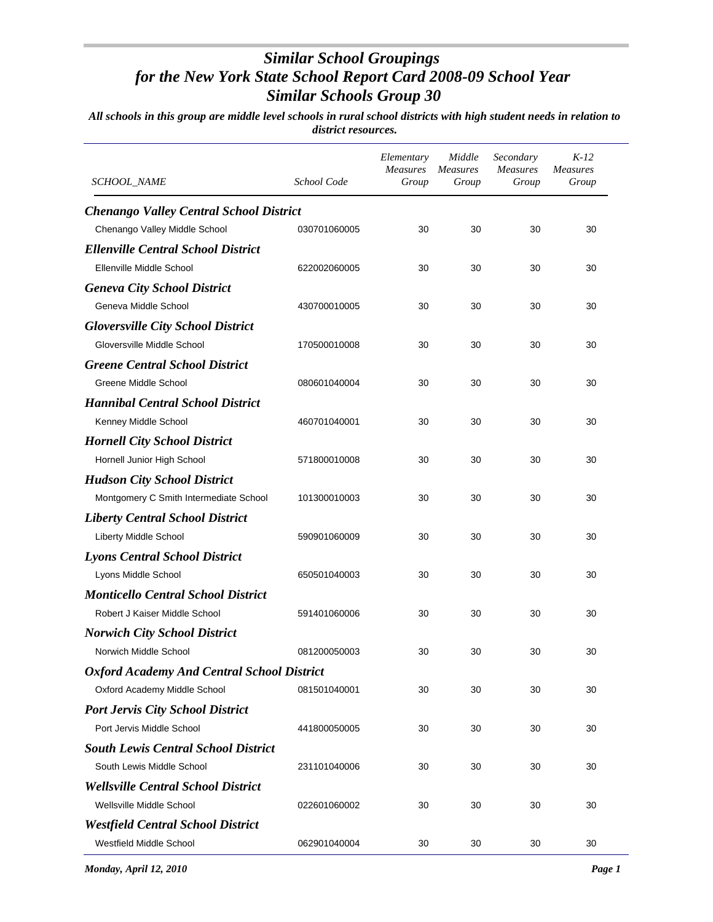| SCHOOL_NAME                                       | School Code  | Elementary<br><b>Measures</b><br>Group | Middle<br><i>Measures</i><br>Group | Secondary<br><b>Measures</b><br>Group | $K-12$<br><b>Measures</b><br>Group |
|---------------------------------------------------|--------------|----------------------------------------|------------------------------------|---------------------------------------|------------------------------------|
| <b>Chenango Valley Central School District</b>    |              |                                        |                                    |                                       |                                    |
| Chenango Valley Middle School                     | 030701060005 | 30                                     | 30                                 | 30                                    | 30                                 |
| <b>Ellenville Central School District</b>         |              |                                        |                                    |                                       |                                    |
| Ellenville Middle School                          | 622002060005 | 30                                     | 30                                 | 30                                    | 30                                 |
| <b>Geneva City School District</b>                |              |                                        |                                    |                                       |                                    |
| Geneva Middle School                              | 430700010005 | 30                                     | 30                                 | 30                                    | 30                                 |
| <b>Gloversville City School District</b>          |              |                                        |                                    |                                       |                                    |
| Gloversville Middle School                        | 170500010008 | 30                                     | 30                                 | 30                                    | 30                                 |
| <b>Greene Central School District</b>             |              |                                        |                                    |                                       |                                    |
| Greene Middle School                              | 080601040004 | 30                                     | 30                                 | 30                                    | 30                                 |
| <b>Hannibal Central School District</b>           |              |                                        |                                    |                                       |                                    |
| Kenney Middle School                              | 460701040001 | 30                                     | 30                                 | 30                                    | 30                                 |
| <b>Hornell City School District</b>               |              |                                        |                                    |                                       |                                    |
| Hornell Junior High School                        | 571800010008 | 30                                     | 30                                 | 30                                    | 30                                 |
| <b>Hudson City School District</b>                |              |                                        |                                    |                                       |                                    |
| Montgomery C Smith Intermediate School            | 101300010003 | 30                                     | 30                                 | 30                                    | 30                                 |
| <b>Liberty Central School District</b>            |              |                                        |                                    |                                       |                                    |
| Liberty Middle School                             | 590901060009 | 30                                     | 30                                 | 30                                    | 30                                 |
| <b>Lyons Central School District</b>              |              |                                        |                                    |                                       |                                    |
| Lyons Middle School                               | 650501040003 | 30                                     | 30                                 | 30                                    | 30                                 |
| <b>Monticello Central School District</b>         |              |                                        |                                    |                                       |                                    |
| Robert J Kaiser Middle School                     | 591401060006 | 30                                     | 30                                 | 30                                    | 30                                 |
| <b>Norwich City School District</b>               |              |                                        |                                    |                                       |                                    |
| Norwich Middle School                             | 081200050003 | 30                                     | 30                                 | 30                                    | 30                                 |
| <b>Oxford Academy And Central School District</b> |              |                                        |                                    |                                       |                                    |
| Oxford Academy Middle School                      | 081501040001 | 30                                     | 30                                 | 30                                    | 30                                 |
| <b>Port Jervis City School District</b>           |              |                                        |                                    |                                       |                                    |
| Port Jervis Middle School                         | 441800050005 | 30                                     | 30                                 | 30                                    | 30                                 |
| <b>South Lewis Central School District</b>        |              |                                        |                                    |                                       |                                    |
| South Lewis Middle School                         | 231101040006 | 30                                     | 30                                 | 30                                    | 30                                 |
| <b>Wellsville Central School District</b>         |              |                                        |                                    |                                       |                                    |
| Wellsville Middle School                          | 022601060002 | 30                                     | 30                                 | 30                                    | 30                                 |
| <b>Westfield Central School District</b>          |              |                                        |                                    |                                       |                                    |
| Westfield Middle School                           | 062901040004 | 30                                     | 30                                 | 30                                    | 30                                 |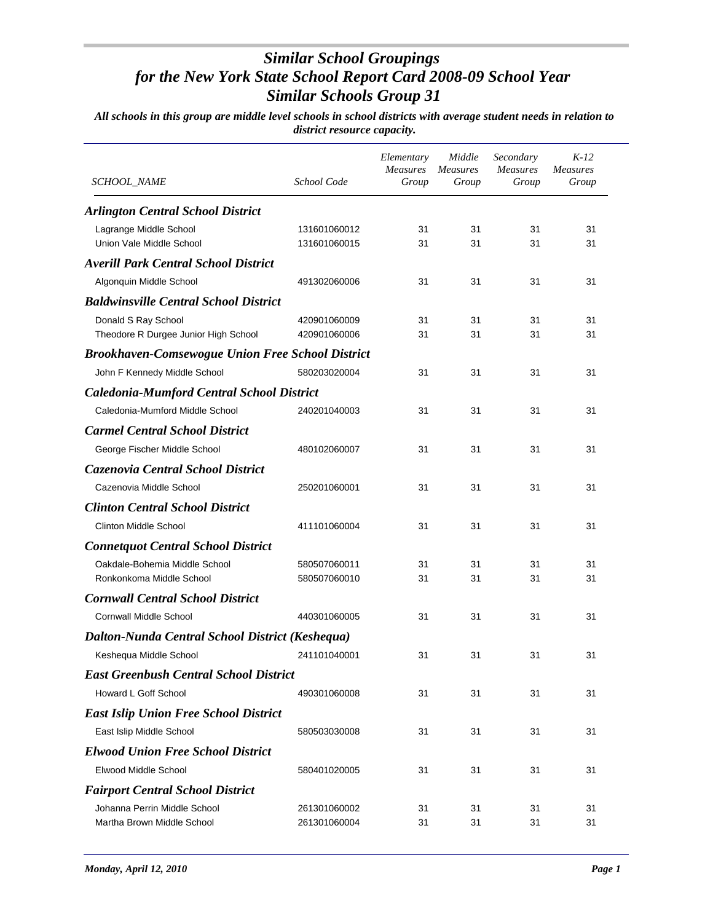| SCHOOL_NAME                                                 | School Code                  | Elementary<br><b>Measures</b><br>Group | Middle<br><b>Measures</b><br>Group | Secondary<br><b>Measures</b><br>Group | $K-12$<br><b>Measures</b><br>Group |
|-------------------------------------------------------------|------------------------------|----------------------------------------|------------------------------------|---------------------------------------|------------------------------------|
| <b>Arlington Central School District</b>                    |                              |                                        |                                    |                                       |                                    |
| Lagrange Middle School<br>Union Vale Middle School          | 131601060012<br>131601060015 | 31<br>31                               | 31<br>31                           | 31<br>31                              | 31<br>31                           |
| <b>Averill Park Central School District</b>                 |                              |                                        |                                    |                                       |                                    |
| Algonquin Middle School                                     | 491302060006                 | 31                                     | 31                                 | 31                                    | 31                                 |
| <b>Baldwinsville Central School District</b>                |                              |                                        |                                    |                                       |                                    |
| Donald S Ray School<br>Theodore R Durgee Junior High School | 420901060009<br>420901060006 | 31<br>31                               | 31<br>31                           | 31<br>31                              | 31<br>31                           |
| <b>Brookhaven-Comsewogue Union Free School District</b>     |                              |                                        |                                    |                                       |                                    |
| John F Kennedy Middle School                                | 580203020004                 | 31                                     | 31                                 | 31                                    | 31                                 |
| <b>Caledonia-Mumford Central School District</b>            |                              |                                        |                                    |                                       |                                    |
| Caledonia-Mumford Middle School                             | 240201040003                 | 31                                     | 31                                 | 31                                    | 31                                 |
| <b>Carmel Central School District</b>                       |                              |                                        |                                    |                                       |                                    |
| George Fischer Middle School                                | 480102060007                 | 31                                     | 31                                 | 31                                    | 31                                 |
| Cazenovia Central School District                           |                              |                                        |                                    |                                       |                                    |
| Cazenovia Middle School                                     | 250201060001                 | 31                                     | 31                                 | 31                                    | 31                                 |
| <b>Clinton Central School District</b>                      |                              |                                        |                                    |                                       |                                    |
| <b>Clinton Middle School</b>                                | 411101060004                 | 31                                     | 31                                 | 31                                    | 31                                 |
| <b>Connetquot Central School District</b>                   |                              |                                        |                                    |                                       |                                    |
| Oakdale-Bohemia Middle School<br>Ronkonkoma Middle School   | 580507060011<br>580507060010 | 31<br>31                               | 31<br>31                           | 31<br>31                              | 31<br>31                           |
| <b>Cornwall Central School District</b>                     |                              |                                        |                                    |                                       |                                    |
| <b>Cornwall Middle School</b>                               | 440301060005                 | 31                                     | 31                                 | 31                                    | 31                                 |
| Dalton-Nunda Central School District (Keshequa)             |                              |                                        |                                    |                                       |                                    |
| Keshequa Middle School                                      | 241101040001                 | 31                                     | 31                                 | 31                                    | 31                                 |
| <b>East Greenbush Central School District</b>               |                              |                                        |                                    |                                       |                                    |
| Howard L Goff School                                        | 490301060008                 | 31                                     | 31                                 | 31                                    | 31                                 |
| <b>East Islip Union Free School District</b>                |                              |                                        |                                    |                                       |                                    |
| East Islip Middle School                                    | 580503030008                 | 31                                     | 31                                 | 31                                    | 31                                 |
| <b>Elwood Union Free School District</b>                    |                              |                                        |                                    |                                       |                                    |
| Elwood Middle School                                        | 580401020005                 | 31                                     | 31                                 | 31                                    | 31                                 |
| <b>Fairport Central School District</b>                     |                              |                                        |                                    |                                       |                                    |
| Johanna Perrin Middle School<br>Martha Brown Middle School  | 261301060002<br>261301060004 | 31<br>31                               | 31<br>31                           | 31<br>31                              | 31<br>31                           |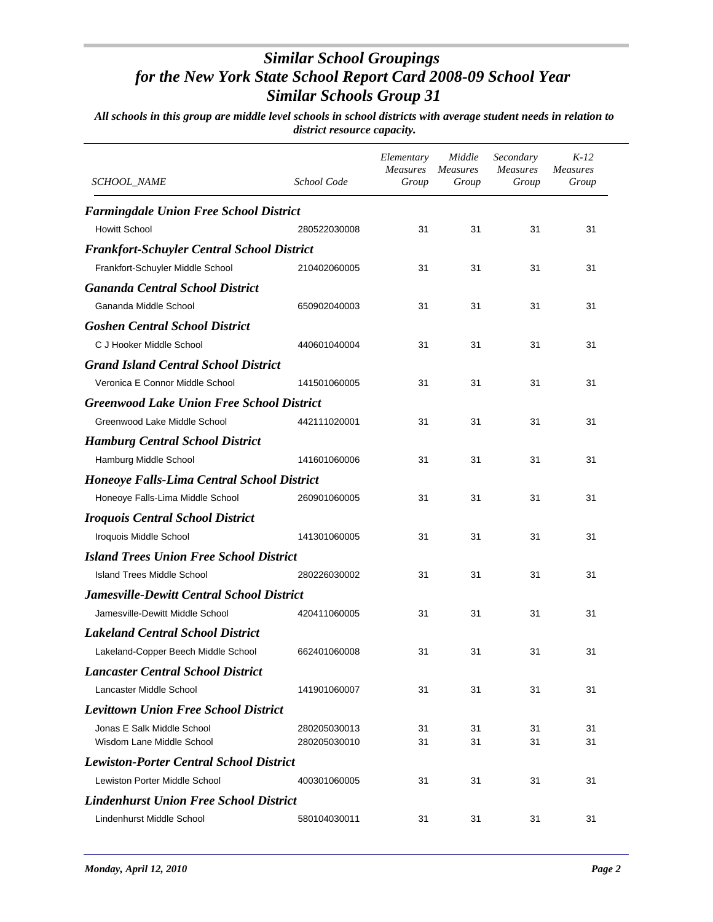| <b>SCHOOL_NAME</b>                                | School Code  | Elementary<br>Measures<br>Group | Middle<br><b>Measures</b><br>Group | Secondary<br><b>Measures</b><br>Group | $K-12$<br><b>Measures</b><br>Group |
|---------------------------------------------------|--------------|---------------------------------|------------------------------------|---------------------------------------|------------------------------------|
| <b>Farmingdale Union Free School District</b>     |              |                                 |                                    |                                       |                                    |
| <b>Howitt School</b>                              | 280522030008 | 31                              | 31                                 | 31                                    | 31                                 |
| <b>Frankfort-Schuyler Central School District</b> |              |                                 |                                    |                                       |                                    |
| Frankfort-Schuyler Middle School                  | 210402060005 | 31                              | 31                                 | 31                                    | 31                                 |
| <b>Gananda Central School District</b>            |              |                                 |                                    |                                       |                                    |
| Gananda Middle School                             | 650902040003 | 31                              | 31                                 | 31                                    | 31                                 |
| <b>Goshen Central School District</b>             |              |                                 |                                    |                                       |                                    |
| C J Hooker Middle School                          | 440601040004 | 31                              | 31                                 | 31                                    | 31                                 |
| <b>Grand Island Central School District</b>       |              |                                 |                                    |                                       |                                    |
| Veronica E Connor Middle School                   | 141501060005 | 31                              | 31                                 | 31                                    | 31                                 |
| <b>Greenwood Lake Union Free School District</b>  |              |                                 |                                    |                                       |                                    |
| Greenwood Lake Middle School                      | 442111020001 | 31                              | 31                                 | 31                                    | 31                                 |
| <b>Hamburg Central School District</b>            |              |                                 |                                    |                                       |                                    |
| Hamburg Middle School                             | 141601060006 | 31                              | 31                                 | 31                                    | 31                                 |
| <b>Honeoye Falls-Lima Central School District</b> |              |                                 |                                    |                                       |                                    |
| Honeoye Falls-Lima Middle School                  | 260901060005 | 31                              | 31                                 | 31                                    | 31                                 |
| <b>Iroquois Central School District</b>           |              |                                 |                                    |                                       |                                    |
| Iroquois Middle School                            | 141301060005 | 31                              | 31                                 | 31                                    | 31                                 |
| <b>Island Trees Union Free School District</b>    |              |                                 |                                    |                                       |                                    |
| Island Trees Middle School                        | 280226030002 | 31                              | 31                                 | 31                                    | 31                                 |
| <b>Jamesville-Dewitt Central School District</b>  |              |                                 |                                    |                                       |                                    |
| Jamesville-Dewitt Middle School                   | 420411060005 | 31                              | 31                                 | 31                                    | 31                                 |
| <b>Lakeland Central School District</b>           |              |                                 |                                    |                                       |                                    |
| Lakeland-Copper Beech Middle School               | 662401060008 | 31                              | 31                                 | 31                                    | 31                                 |
| <b>Lancaster Central School District</b>          |              |                                 |                                    |                                       |                                    |
| Lancaster Middle School                           | 141901060007 | 31                              | 31                                 | 31                                    | 31                                 |
| <b>Levittown Union Free School District</b>       |              |                                 |                                    |                                       |                                    |
| Jonas E Salk Middle School                        | 280205030013 | 31                              | 31                                 | 31                                    | 31                                 |
| Wisdom Lane Middle School                         | 280205030010 | 31                              | 31                                 | 31                                    | 31                                 |
| <b>Lewiston-Porter Central School District</b>    |              |                                 |                                    |                                       |                                    |
| Lewiston Porter Middle School                     | 400301060005 | 31                              | 31                                 | 31                                    | 31                                 |
| <b>Lindenhurst Union Free School District</b>     |              |                                 |                                    |                                       |                                    |
| Lindenhurst Middle School                         | 580104030011 | 31                              | 31                                 | 31                                    | 31                                 |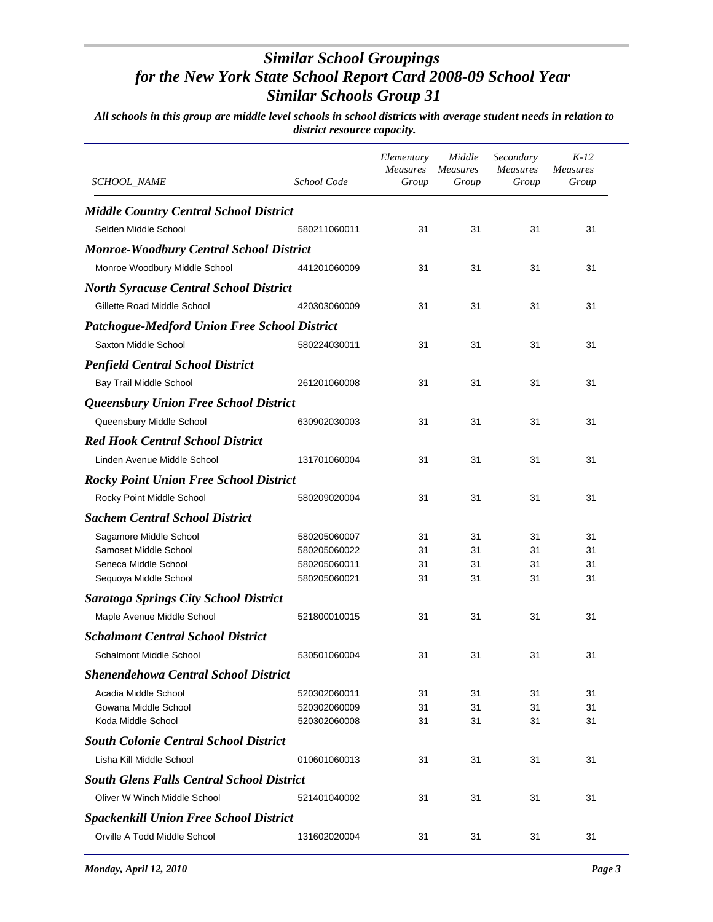| SCHOOL_NAME                                         | School Code                  | Elementary<br><b>Measures</b><br>Group | Middle<br><b>Measures</b><br>Group | Secondary<br><b>Measures</b><br>Group | $K-12$<br><b>Measures</b><br>Group |
|-----------------------------------------------------|------------------------------|----------------------------------------|------------------------------------|---------------------------------------|------------------------------------|
| <b>Middle Country Central School District</b>       |                              |                                        |                                    |                                       |                                    |
| Selden Middle School                                | 580211060011                 | 31                                     | 31                                 | 31                                    | 31                                 |
| <b>Monroe-Woodbury Central School District</b>      |                              |                                        |                                    |                                       |                                    |
| Monroe Woodbury Middle School                       | 441201060009                 | 31                                     | 31                                 | 31                                    | 31                                 |
| <b>North Syracuse Central School District</b>       |                              |                                        |                                    |                                       |                                    |
| Gillette Road Middle School                         | 420303060009                 | 31                                     | 31                                 | 31                                    | 31                                 |
|                                                     |                              |                                        |                                    |                                       |                                    |
| <b>Patchogue-Medford Union Free School District</b> |                              |                                        |                                    |                                       |                                    |
| Saxton Middle School                                | 580224030011                 | 31                                     | 31                                 | 31                                    | 31                                 |
| <b>Penfield Central School District</b>             |                              |                                        |                                    |                                       |                                    |
| Bay Trail Middle School                             | 261201060008                 | 31                                     | 31                                 | 31                                    | 31                                 |
| Queensbury Union Free School District               |                              |                                        |                                    |                                       |                                    |
| Queensbury Middle School                            | 630902030003                 | 31                                     | 31                                 | 31                                    | 31                                 |
| <b>Red Hook Central School District</b>             |                              |                                        |                                    |                                       |                                    |
| Linden Avenue Middle School                         | 131701060004                 | 31                                     | 31                                 | 31                                    | 31                                 |
| <b>Rocky Point Union Free School District</b>       |                              |                                        |                                    |                                       |                                    |
| Rocky Point Middle School                           | 580209020004                 | 31                                     | 31                                 | 31                                    | 31                                 |
| <b>Sachem Central School District</b>               |                              |                                        |                                    |                                       |                                    |
|                                                     |                              | 31                                     | 31                                 | 31                                    | 31                                 |
| Sagamore Middle School<br>Samoset Middle School     | 580205060007<br>580205060022 | 31                                     | 31                                 | 31                                    | 31                                 |
| Seneca Middle School                                | 580205060011                 | 31                                     | 31                                 | 31                                    | 31                                 |
| Sequoya Middle School                               | 580205060021                 | 31                                     | 31                                 | 31                                    | 31                                 |
| <b>Saratoga Springs City School District</b>        |                              |                                        |                                    |                                       |                                    |
| Maple Avenue Middle School                          | 521800010015                 | 31                                     | 31                                 | 31                                    | 31                                 |
| <b>Schalmont Central School District</b>            |                              |                                        |                                    |                                       |                                    |
| Schalmont Middle School                             | 530501060004                 | 31                                     | 31                                 | 31                                    | 31                                 |
| <b>Shenendehowa Central School District</b>         |                              |                                        |                                    |                                       |                                    |
| Acadia Middle School                                | 520302060011                 | 31                                     | 31                                 | 31                                    | 31                                 |
| Gowana Middle School                                | 520302060009                 | 31                                     | 31                                 | 31                                    | 31                                 |
| Koda Middle School                                  | 520302060008                 | 31                                     | 31                                 | 31                                    | 31                                 |
| <b>South Colonie Central School District</b>        |                              |                                        |                                    |                                       |                                    |
| Lisha Kill Middle School                            | 010601060013                 | 31                                     | 31                                 | 31                                    | 31                                 |
| <b>South Glens Falls Central School District</b>    |                              |                                        |                                    |                                       |                                    |
| Oliver W Winch Middle School                        | 521401040002                 | 31                                     | 31                                 | 31                                    | 31                                 |
| <b>Spackenkill Union Free School District</b>       |                              |                                        |                                    |                                       |                                    |
| Orville A Todd Middle School                        | 131602020004                 | 31                                     | 31                                 | 31                                    | 31                                 |
|                                                     |                              |                                        |                                    |                                       |                                    |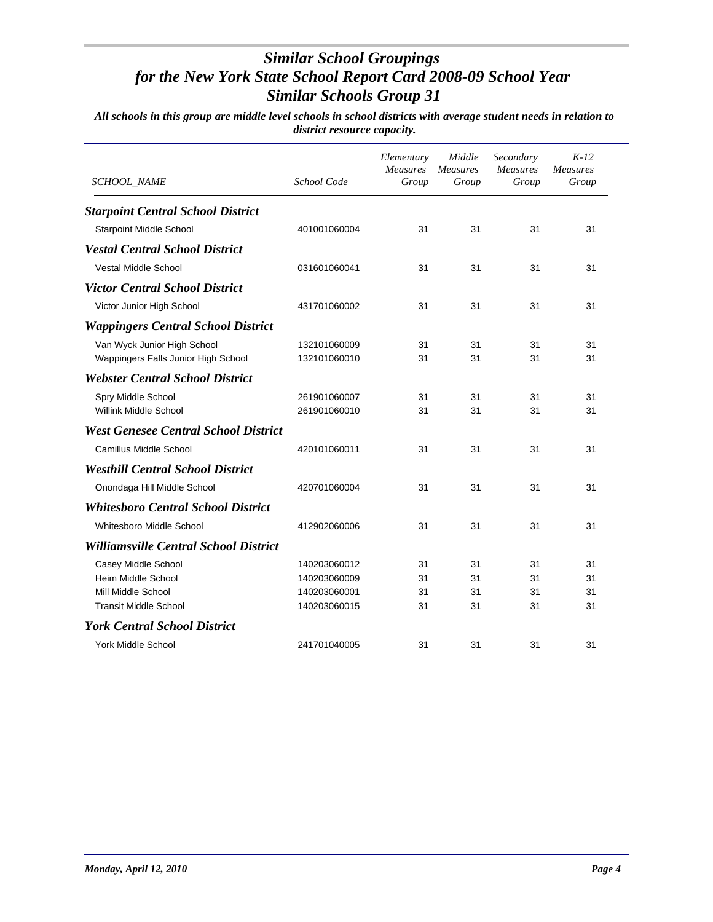| <b>SCHOOL_NAME</b>                           | School Code  | Elementary<br>Measures<br>Group | Middle<br><b>Measures</b><br>Group | Secondary<br><b>Measures</b><br>Group | $K-12$<br><b>Measures</b><br>Group |
|----------------------------------------------|--------------|---------------------------------|------------------------------------|---------------------------------------|------------------------------------|
| <b>Starpoint Central School District</b>     |              |                                 |                                    |                                       |                                    |
| <b>Starpoint Middle School</b>               | 401001060004 | 31                              | 31                                 | 31                                    | 31                                 |
| <b>Vestal Central School District</b>        |              |                                 |                                    |                                       |                                    |
| <b>Vestal Middle School</b>                  | 031601060041 | 31                              | 31                                 | 31                                    | 31                                 |
| <b>Victor Central School District</b>        |              |                                 |                                    |                                       |                                    |
| Victor Junior High School                    | 431701060002 | 31                              | 31                                 | 31                                    | 31                                 |
| <b>Wappingers Central School District</b>    |              |                                 |                                    |                                       |                                    |
| Van Wyck Junior High School                  | 132101060009 | 31                              | 31                                 | 31                                    | 31                                 |
| Wappingers Falls Junior High School          | 132101060010 | 31                              | 31                                 | 31                                    | 31                                 |
| <b>Webster Central School District</b>       |              |                                 |                                    |                                       |                                    |
| Spry Middle School                           | 261901060007 | 31                              | 31                                 | 31                                    | 31                                 |
| Willink Middle School                        | 261901060010 | 31                              | 31                                 | 31                                    | 31                                 |
| <b>West Genesee Central School District</b>  |              |                                 |                                    |                                       |                                    |
| Camillus Middle School                       | 420101060011 | 31                              | 31                                 | 31                                    | 31                                 |
| <b>Westhill Central School District</b>      |              |                                 |                                    |                                       |                                    |
| Onondaga Hill Middle School                  | 420701060004 | 31                              | 31                                 | 31                                    | 31                                 |
| <b>Whitesboro Central School District</b>    |              |                                 |                                    |                                       |                                    |
| Whitesboro Middle School                     | 412902060006 | 31                              | 31                                 | 31                                    | 31                                 |
| <b>Williamsville Central School District</b> |              |                                 |                                    |                                       |                                    |
| Casey Middle School                          | 140203060012 | 31                              | 31                                 | 31                                    | 31                                 |
| Heim Middle School                           | 140203060009 | 31                              | 31                                 | 31                                    | 31                                 |
| Mill Middle School                           | 140203060001 | 31                              | 31                                 | 31                                    | 31                                 |
| <b>Transit Middle School</b>                 | 140203060015 | 31                              | 31                                 | 31                                    | 31                                 |
| <b>York Central School District</b>          |              |                                 |                                    |                                       |                                    |
| York Middle School                           | 241701040005 | 31                              | 31                                 | 31                                    | 31                                 |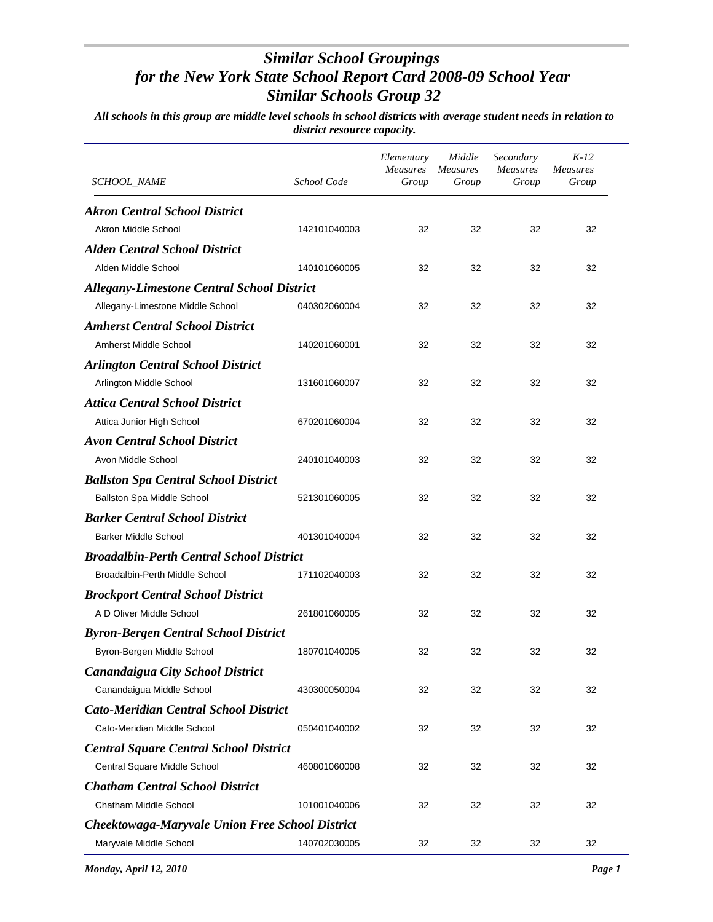| <i>SCHOOL_NAME</i>                                | School Code  | Elementary<br><b>Measures</b><br>Group | Middle<br><b>Measures</b><br>Group | Secondary<br><i>Measures</i><br>Group | $K-12$<br><b>Measures</b><br>Group |
|---------------------------------------------------|--------------|----------------------------------------|------------------------------------|---------------------------------------|------------------------------------|
| <b>Akron Central School District</b>              |              |                                        |                                    |                                       |                                    |
| Akron Middle School                               | 142101040003 | 32                                     | 32                                 | 32                                    | 32                                 |
| <b>Alden Central School District</b>              |              |                                        |                                    |                                       |                                    |
| Alden Middle School                               | 140101060005 | 32                                     | 32                                 | 32                                    | 32                                 |
| <b>Allegany-Limestone Central School District</b> |              |                                        |                                    |                                       |                                    |
| Allegany-Limestone Middle School                  | 040302060004 | 32                                     | 32                                 | 32                                    | 32                                 |
| <b>Amherst Central School District</b>            |              |                                        |                                    |                                       |                                    |
| Amherst Middle School                             | 140201060001 | 32                                     | 32                                 | 32                                    | 32                                 |
| <b>Arlington Central School District</b>          |              |                                        |                                    |                                       |                                    |
| Arlington Middle School                           | 131601060007 | 32                                     | 32                                 | 32                                    | 32                                 |
| <b>Attica Central School District</b>             |              |                                        |                                    |                                       |                                    |
| Attica Junior High School                         | 670201060004 | 32                                     | 32                                 | 32                                    | 32                                 |
| <b>Avon Central School District</b>               |              |                                        |                                    |                                       |                                    |
| Avon Middle School                                | 240101040003 | 32                                     | 32                                 | 32                                    | 32                                 |
| <b>Ballston Spa Central School District</b>       |              |                                        |                                    |                                       |                                    |
| Ballston Spa Middle School                        | 521301060005 | 32                                     | 32                                 | 32                                    | 32                                 |
| <b>Barker Central School District</b>             |              |                                        |                                    |                                       |                                    |
| <b>Barker Middle School</b>                       | 401301040004 | 32                                     | 32                                 | 32                                    | 32                                 |
| <b>Broadalbin-Perth Central School District</b>   |              |                                        |                                    |                                       |                                    |
| Broadalbin-Perth Middle School                    | 171102040003 | 32                                     | 32                                 | 32                                    | 32                                 |
| <b>Brockport Central School District</b>          |              |                                        |                                    |                                       |                                    |
| A D Oliver Middle School                          | 261801060005 | 32                                     | 32                                 | 32                                    | 32                                 |
| <b>Byron-Bergen Central School District</b>       |              |                                        |                                    |                                       |                                    |
| Byron-Bergen Middle School                        | 180701040005 | 32                                     | 32                                 | 32                                    | 32                                 |
| Canandaigua City School District                  |              |                                        |                                    |                                       |                                    |
| Canandaigua Middle School                         | 430300050004 | 32                                     | 32                                 | 32                                    | 32                                 |
| <b>Cato-Meridian Central School District</b>      |              |                                        |                                    |                                       |                                    |
| Cato-Meridian Middle School                       | 050401040002 | 32                                     | 32                                 | 32                                    | 32                                 |
| <b>Central Square Central School District</b>     |              |                                        |                                    |                                       |                                    |
| Central Square Middle School                      | 460801060008 | 32                                     | 32                                 | 32                                    | 32                                 |
| <b>Chatham Central School District</b>            |              |                                        |                                    |                                       |                                    |
| Chatham Middle School                             | 101001040006 | 32                                     | 32                                 | 32                                    | 32                                 |
| Cheektowaga-Maryvale Union Free School District   |              |                                        |                                    |                                       |                                    |
| Maryvale Middle School                            | 140702030005 | 32                                     | 32                                 | 32                                    | 32                                 |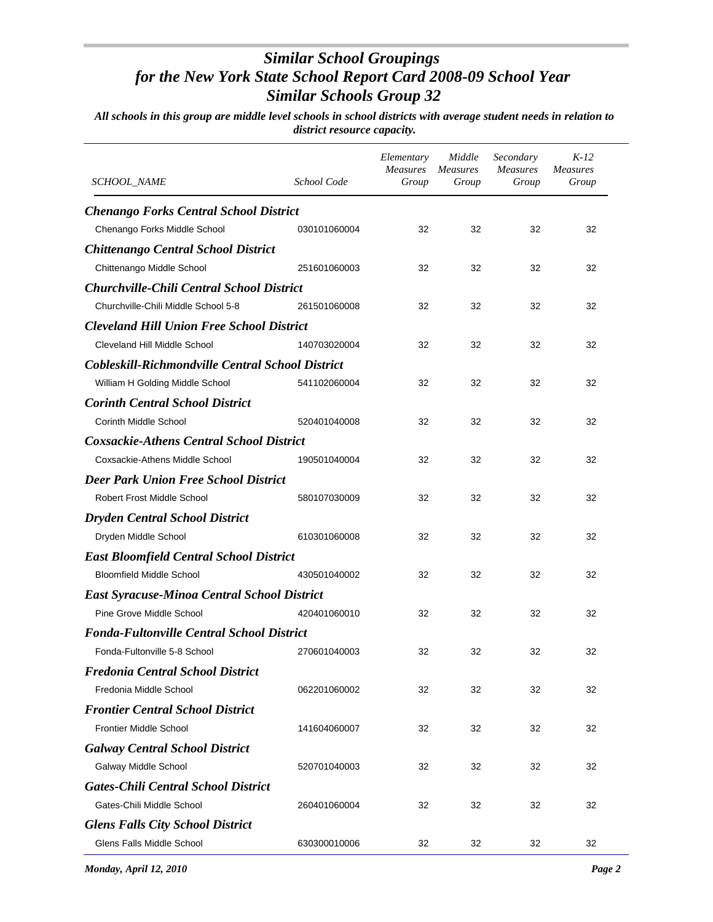| SCHOOL_NAME                                             | School Code  | Elementary<br><b>Measures</b><br>Group | Middle<br><b>Measures</b><br>Group | Secondary<br><b>Measures</b><br>Group | $K-12$<br><b>Measures</b><br>Group |
|---------------------------------------------------------|--------------|----------------------------------------|------------------------------------|---------------------------------------|------------------------------------|
| <b>Chenango Forks Central School District</b>           |              |                                        |                                    |                                       |                                    |
| Chenango Forks Middle School                            | 030101060004 | 32                                     | 32                                 | 32                                    | 32                                 |
| <b>Chittenango Central School District</b>              |              |                                        |                                    |                                       |                                    |
| Chittenango Middle School                               | 251601060003 | 32                                     | 32                                 | 32                                    | 32                                 |
| <b>Churchville-Chili Central School District</b>        |              |                                        |                                    |                                       |                                    |
| Churchville-Chili Middle School 5-8                     | 261501060008 | 32                                     | 32                                 | 32                                    | 32                                 |
| <b>Cleveland Hill Union Free School District</b>        |              |                                        |                                    |                                       |                                    |
| Cleveland Hill Middle School                            | 140703020004 | 32                                     | 32                                 | 32                                    | 32                                 |
| <b>Cobleskill-Richmondville Central School District</b> |              |                                        |                                    |                                       |                                    |
| William H Golding Middle School                         | 541102060004 | 32                                     | 32                                 | 32                                    | 32                                 |
| <b>Corinth Central School District</b>                  |              |                                        |                                    |                                       |                                    |
| Corinth Middle School                                   | 520401040008 | 32                                     | 32                                 | 32                                    | 32                                 |
| <b>Coxsackie-Athens Central School District</b>         |              |                                        |                                    |                                       |                                    |
| Coxsackie-Athens Middle School                          | 190501040004 | 32                                     | 32                                 | 32                                    | 32                                 |
| <b>Deer Park Union Free School District</b>             |              |                                        |                                    |                                       |                                    |
| <b>Robert Frost Middle School</b>                       | 580107030009 | 32                                     | 32                                 | 32                                    | 32                                 |
| <b>Dryden Central School District</b>                   |              |                                        |                                    |                                       |                                    |
| Dryden Middle School                                    | 610301060008 | 32                                     | 32                                 | 32                                    | 32                                 |
| <b>East Bloomfield Central School District</b>          |              |                                        |                                    |                                       |                                    |
| <b>Bloomfield Middle School</b>                         | 430501040002 | 32                                     | 32                                 | 32                                    | 32                                 |
| <b>East Syracuse-Minoa Central School District</b>      |              |                                        |                                    |                                       |                                    |
| Pine Grove Middle School                                | 420401060010 | 32                                     | 32                                 | 32                                    | 32                                 |
| <b>Fonda-Fultonville Central School District</b>        |              |                                        |                                    |                                       |                                    |
| Fonda-Fultonville 5-8 School                            | 270601040003 | 32                                     | 32                                 | 32                                    | 32                                 |
| <b>Fredonia Central School District</b>                 |              |                                        |                                    |                                       |                                    |
| Fredonia Middle School                                  | 062201060002 | 32                                     | 32                                 | 32                                    | 32                                 |
| <b>Frontier Central School District</b>                 |              |                                        |                                    |                                       |                                    |
| <b>Frontier Middle School</b>                           | 141604060007 | 32                                     | 32                                 | 32                                    | 32                                 |
| <b>Galway Central School District</b>                   |              |                                        |                                    |                                       |                                    |
| Galway Middle School                                    | 520701040003 | 32                                     | 32                                 | 32                                    | 32                                 |
| <b>Gates-Chili Central School District</b>              |              |                                        |                                    |                                       |                                    |
| Gates-Chili Middle School                               | 260401060004 | 32                                     | 32                                 | 32                                    | 32                                 |
| <b>Glens Falls City School District</b>                 |              |                                        |                                    |                                       |                                    |
| Glens Falls Middle School                               | 630300010006 | 32                                     | 32                                 | 32                                    | 32                                 |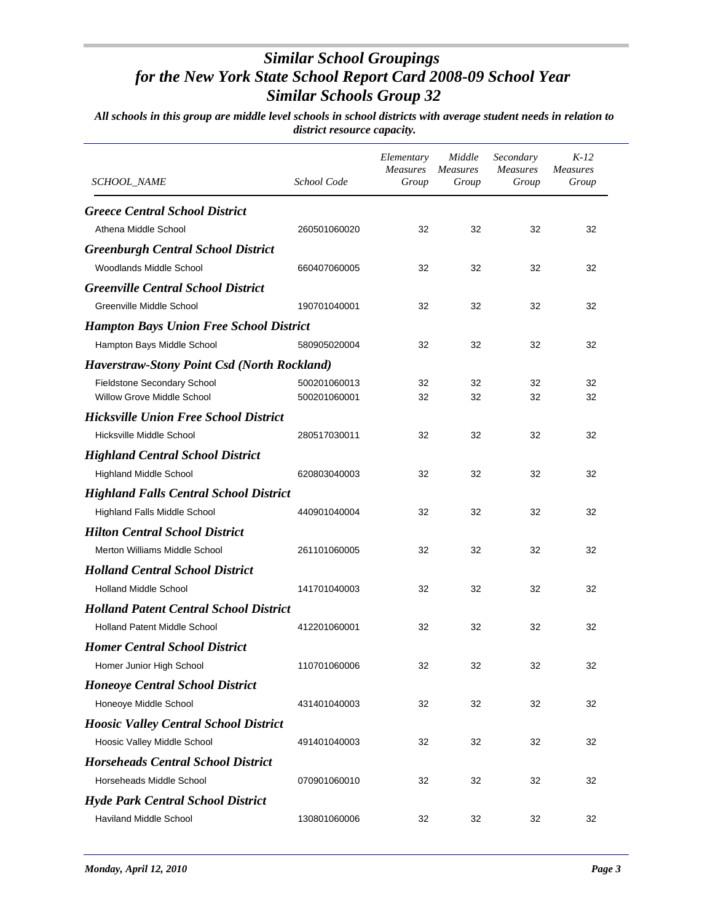| <i>SCHOOL_NAME</i>                                 | School Code  | Elementary<br>Measures<br>Group | Middle<br><b>Measures</b><br>Group | Secondary<br><b>Measures</b><br>Group | $K-12$<br><b>Measures</b><br>Group |
|----------------------------------------------------|--------------|---------------------------------|------------------------------------|---------------------------------------|------------------------------------|
| <b>Greece Central School District</b>              |              |                                 |                                    |                                       |                                    |
| Athena Middle School                               | 260501060020 | 32                              | 32                                 | 32                                    | 32                                 |
| <b>Greenburgh Central School District</b>          |              |                                 |                                    |                                       |                                    |
| Woodlands Middle School                            | 660407060005 | 32                              | 32                                 | 32                                    | 32                                 |
| <b>Greenville Central School District</b>          |              |                                 |                                    |                                       |                                    |
| Greenville Middle School                           | 190701040001 | 32                              | 32                                 | 32                                    | 32                                 |
| <b>Hampton Bays Union Free School District</b>     |              |                                 |                                    |                                       |                                    |
| Hampton Bays Middle School                         | 580905020004 | 32                              | 32                                 | 32                                    | 32                                 |
| <b>Haverstraw-Stony Point Csd (North Rockland)</b> |              |                                 |                                    |                                       |                                    |
| Fieldstone Secondary School                        | 500201060013 | 32                              | 32                                 | 32                                    | 32                                 |
| <b>Willow Grove Middle School</b>                  | 500201060001 | 32                              | 32                                 | 32                                    | 32                                 |
| <b>Hicksville Union Free School District</b>       |              |                                 |                                    |                                       |                                    |
| Hicksville Middle School                           | 280517030011 | 32                              | 32                                 | 32                                    | 32                                 |
| <b>Highland Central School District</b>            |              |                                 |                                    |                                       |                                    |
| <b>Highland Middle School</b>                      | 620803040003 | 32                              | 32                                 | 32                                    | 32                                 |
| <b>Highland Falls Central School District</b>      |              |                                 |                                    |                                       |                                    |
| Highland Falls Middle School                       | 440901040004 | 32                              | 32                                 | 32                                    | 32                                 |
| <b>Hilton Central School District</b>              |              |                                 |                                    |                                       |                                    |
| Merton Williams Middle School                      | 261101060005 | 32                              | 32                                 | 32                                    | 32                                 |
| <b>Holland Central School District</b>             |              |                                 |                                    |                                       |                                    |
| <b>Holland Middle School</b>                       | 141701040003 | 32                              | 32                                 | 32                                    | 32                                 |
| <b>Holland Patent Central School District</b>      |              |                                 |                                    |                                       |                                    |
| <b>Holland Patent Middle School</b>                | 412201060001 | 32                              | 32                                 | 32                                    | 32                                 |
| <b>Homer Central School District</b>               |              |                                 |                                    |                                       |                                    |
| Homer Junior High School                           | 110701060006 | 32                              | 32                                 | 32                                    | 32                                 |
| <b>Honeoye Central School District</b>             |              |                                 |                                    |                                       |                                    |
| Honeoye Middle School                              | 431401040003 | 32                              | 32                                 | 32                                    | 32                                 |
| <b>Hoosic Valley Central School District</b>       |              |                                 |                                    |                                       |                                    |
| Hoosic Valley Middle School                        | 491401040003 | 32                              | 32                                 | 32                                    | 32                                 |
| <b>Horseheads Central School District</b>          |              |                                 |                                    |                                       |                                    |
| Horseheads Middle School                           | 070901060010 | 32                              | 32                                 | 32                                    | 32                                 |
| <b>Hyde Park Central School District</b>           |              |                                 |                                    |                                       |                                    |
| Haviland Middle School                             | 130801060006 | 32                              | 32                                 | 32                                    | 32                                 |
|                                                    |              |                                 |                                    |                                       |                                    |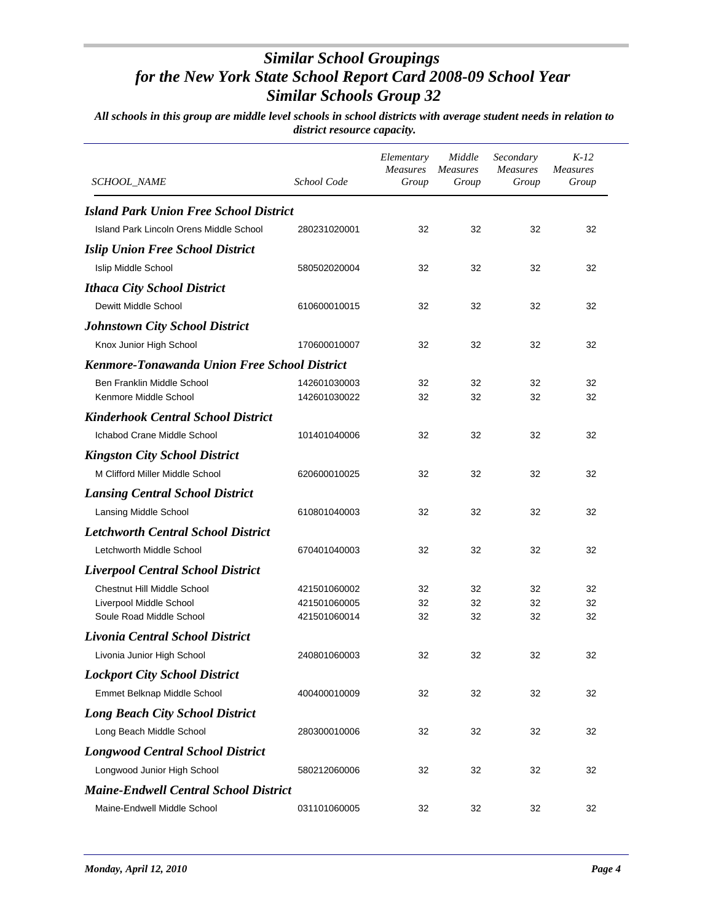| <b>SCHOOL_NAME</b>                                  | School Code  | Elementary<br>Measures<br>Group | Middle<br><b>Measures</b><br>Group | Secondary<br><b>Measures</b><br>Group | $K-12$<br><b>Measures</b><br>Group |
|-----------------------------------------------------|--------------|---------------------------------|------------------------------------|---------------------------------------|------------------------------------|
| <b>Island Park Union Free School District</b>       |              |                                 |                                    |                                       |                                    |
| Island Park Lincoln Orens Middle School             | 280231020001 | 32                              | 32                                 | 32                                    | 32                                 |
| <b>Islip Union Free School District</b>             |              |                                 |                                    |                                       |                                    |
| <b>Islip Middle School</b>                          | 580502020004 | 32                              | 32                                 | 32                                    | 32                                 |
| <b>Ithaca City School District</b>                  |              |                                 |                                    |                                       |                                    |
| Dewitt Middle School                                | 610600010015 | 32                              | 32                                 | 32                                    | 32                                 |
| <b>Johnstown City School District</b>               |              |                                 |                                    |                                       |                                    |
| Knox Junior High School                             | 170600010007 | 32                              | 32                                 | 32                                    | 32                                 |
| <b>Kenmore-Tonawanda Union Free School District</b> |              |                                 |                                    |                                       |                                    |
| Ben Franklin Middle School                          | 142601030003 | 32                              | 32                                 | 32                                    | 32                                 |
| Kenmore Middle School                               | 142601030022 | 32                              | 32                                 | 32                                    | 32                                 |
| <b>Kinderhook Central School District</b>           |              |                                 |                                    |                                       |                                    |
| Ichabod Crane Middle School                         | 101401040006 | 32                              | 32                                 | 32                                    | 32                                 |
| <b>Kingston City School District</b>                |              |                                 |                                    |                                       |                                    |
| M Clifford Miller Middle School                     | 620600010025 | 32                              | 32                                 | 32                                    | 32                                 |
| <b>Lansing Central School District</b>              |              |                                 |                                    |                                       |                                    |
| Lansing Middle School                               | 610801040003 | 32                              | 32                                 | 32                                    | 32                                 |
| <b>Letchworth Central School District</b>           |              |                                 |                                    |                                       |                                    |
| Letchworth Middle School                            | 670401040003 | 32                              | 32                                 | 32                                    | 32                                 |
| <b>Liverpool Central School District</b>            |              |                                 |                                    |                                       |                                    |
| <b>Chestnut Hill Middle School</b>                  | 421501060002 | 32                              | 32                                 | 32                                    | 32                                 |
| Liverpool Middle School                             | 421501060005 | 32                              | 32                                 | 32                                    | 32                                 |
| Soule Road Middle School                            | 421501060014 | 32                              | 32                                 | 32                                    | 32                                 |
| Livonia Central School District                     |              |                                 |                                    |                                       |                                    |
| Livonia Junior High School                          | 240801060003 | 32                              | 32                                 | 32                                    | 32                                 |
| <b>Lockport City School District</b>                |              |                                 |                                    |                                       |                                    |
| Emmet Belknap Middle School                         | 400400010009 | 32                              | 32                                 | 32                                    | 32                                 |
| <b>Long Beach City School District</b>              |              |                                 |                                    |                                       |                                    |
| Long Beach Middle School                            | 280300010006 | 32                              | 32                                 | 32                                    | 32                                 |
| <b>Longwood Central School District</b>             |              |                                 |                                    |                                       |                                    |
| Longwood Junior High School                         | 580212060006 | 32                              | 32                                 | 32                                    | 32                                 |
| <b>Maine-Endwell Central School District</b>        |              |                                 |                                    |                                       |                                    |
| Maine-Endwell Middle School                         | 031101060005 | 32                              | 32                                 | 32                                    | 32                                 |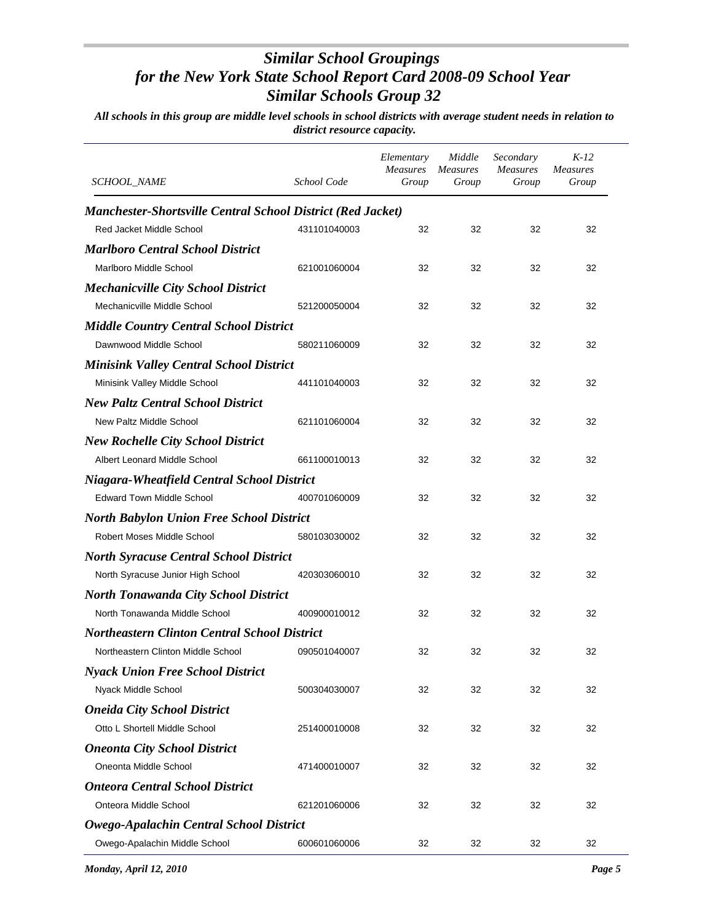| SCHOOL_NAME                                                        | School Code  | Elementary<br>Measures<br>Group | Middle<br><b>Measures</b><br>Group | Secondary<br><b>Measures</b><br>Group | $K-12$<br><b>Measures</b><br>Group |
|--------------------------------------------------------------------|--------------|---------------------------------|------------------------------------|---------------------------------------|------------------------------------|
| <b>Manchester-Shortsville Central School District (Red Jacket)</b> |              |                                 |                                    |                                       |                                    |
| <b>Red Jacket Middle School</b>                                    | 431101040003 | 32                              | 32                                 | 32                                    | 32                                 |
| <b>Marlboro Central School District</b>                            |              |                                 |                                    |                                       |                                    |
| Marlboro Middle School                                             | 621001060004 | 32                              | 32                                 | 32                                    | 32                                 |
| <b>Mechanicville City School District</b>                          |              |                                 |                                    |                                       |                                    |
| Mechanicville Middle School                                        | 521200050004 | 32                              | 32                                 | 32                                    | 32                                 |
| <b>Middle Country Central School District</b>                      |              |                                 |                                    |                                       |                                    |
| Dawnwood Middle School                                             | 580211060009 | 32                              | 32                                 | 32                                    | 32                                 |
| <b>Minisink Valley Central School District</b>                     |              |                                 |                                    |                                       |                                    |
| Minisink Valley Middle School                                      | 441101040003 | 32                              | 32                                 | 32                                    | 32                                 |
| <b>New Paltz Central School District</b>                           |              |                                 |                                    |                                       |                                    |
| New Paltz Middle School                                            | 621101060004 | 32                              | 32                                 | 32                                    | 32                                 |
| <b>New Rochelle City School District</b>                           |              |                                 |                                    |                                       |                                    |
| Albert Leonard Middle School                                       | 661100010013 | 32                              | 32                                 | 32                                    | 32                                 |
| Niagara-Wheatfield Central School District                         |              |                                 |                                    |                                       |                                    |
| <b>Edward Town Middle School</b>                                   | 400701060009 | 32                              | 32                                 | 32                                    | 32                                 |
| <b>North Babylon Union Free School District</b>                    |              |                                 |                                    |                                       |                                    |
| Robert Moses Middle School                                         | 580103030002 | 32                              | 32                                 | 32                                    | 32                                 |
| <b>North Syracuse Central School District</b>                      |              |                                 |                                    |                                       |                                    |
| North Syracuse Junior High School                                  | 420303060010 | 32                              | 32                                 | 32                                    | 32                                 |
| <b>North Tonawanda City School District</b>                        |              |                                 |                                    |                                       |                                    |
| North Tonawanda Middle School                                      | 400900010012 | 32                              | 32                                 | 32                                    | 32                                 |
| <b>Northeastern Clinton Central School District</b>                |              |                                 |                                    |                                       |                                    |
| Northeastern Clinton Middle School                                 | 090501040007 | 32                              | 32                                 | 32                                    | 32                                 |
| <b>Nyack Union Free School District</b>                            |              |                                 |                                    |                                       |                                    |
| Nyack Middle School                                                | 500304030007 | 32                              | 32                                 | 32                                    | 32                                 |
| <b>Oneida City School District</b>                                 |              |                                 |                                    |                                       |                                    |
| Otto L Shortell Middle School                                      | 251400010008 | 32                              | 32                                 | 32                                    | 32                                 |
| <b>Oneonta City School District</b>                                |              |                                 |                                    |                                       |                                    |
| Oneonta Middle School                                              | 471400010007 | 32                              | 32                                 | 32                                    | 32                                 |
| <b>Onteora Central School District</b>                             |              |                                 |                                    |                                       |                                    |
| Onteora Middle School                                              | 621201060006 | 32                              | 32                                 | 32                                    | 32                                 |
| <b>Owego-Apalachin Central School District</b>                     |              |                                 |                                    |                                       |                                    |
| Owego-Apalachin Middle School                                      | 600601060006 | 32                              | 32                                 | 32                                    | 32                                 |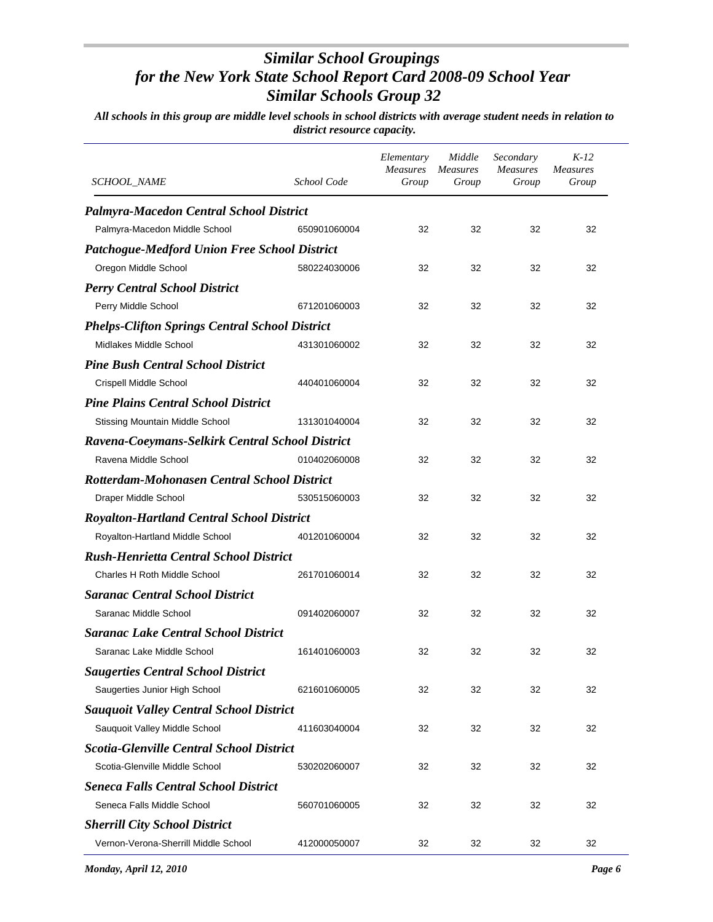| <b>SCHOOL_NAME</b>                                    | School Code  | Elementary<br><b>Measures</b><br>Group | Middle<br>Measures<br>Group | Secondary<br><b>Measures</b><br>Group | $K-12$<br><b>Measures</b><br>Group |
|-------------------------------------------------------|--------------|----------------------------------------|-----------------------------|---------------------------------------|------------------------------------|
| <b>Palmyra-Macedon Central School District</b>        |              |                                        |                             |                                       |                                    |
| Palmyra-Macedon Middle School                         | 650901060004 | 32                                     | 32                          | 32                                    | 32                                 |
| <b>Patchogue-Medford Union Free School District</b>   |              |                                        |                             |                                       |                                    |
| Oregon Middle School                                  | 580224030006 | 32                                     | 32                          | 32                                    | 32                                 |
| <b>Perry Central School District</b>                  |              |                                        |                             |                                       |                                    |
| Perry Middle School                                   | 671201060003 | 32                                     | 32                          | 32                                    | 32                                 |
| <b>Phelps-Clifton Springs Central School District</b> |              |                                        |                             |                                       |                                    |
| Midlakes Middle School                                | 431301060002 | 32                                     | 32                          | 32                                    | 32                                 |
| <b>Pine Bush Central School District</b>              |              |                                        |                             |                                       |                                    |
| Crispell Middle School                                | 440401060004 | 32                                     | 32                          | 32                                    | 32                                 |
| <b>Pine Plains Central School District</b>            |              |                                        |                             |                                       |                                    |
| <b>Stissing Mountain Middle School</b>                | 131301040004 | 32                                     | 32                          | 32                                    | 32                                 |
| Ravena-Coeymans-Selkirk Central School District       |              |                                        |                             |                                       |                                    |
| Ravena Middle School                                  | 010402060008 | 32                                     | 32                          | 32                                    | 32                                 |
| Rotterdam-Mohonasen Central School District           |              |                                        |                             |                                       |                                    |
| Draper Middle School                                  | 530515060003 | 32                                     | 32                          | 32                                    | 32                                 |
| <b>Royalton-Hartland Central School District</b>      |              |                                        |                             |                                       |                                    |
| Royalton-Hartland Middle School                       | 401201060004 | 32                                     | 32                          | 32                                    | 32                                 |
| <b>Rush-Henrietta Central School District</b>         |              |                                        |                             |                                       |                                    |
| <b>Charles H Roth Middle School</b>                   | 261701060014 | 32                                     | 32                          | 32                                    | 32                                 |
| <b>Saranac Central School District</b>                |              |                                        |                             |                                       |                                    |
| Saranac Middle School                                 | 091402060007 | 32                                     | 32                          | 32                                    | 32                                 |
| <b>Saranac Lake Central School District</b>           |              |                                        |                             |                                       |                                    |
| Saranac Lake Middle School                            | 161401060003 | 32                                     | 32                          | 32                                    | 32                                 |
| <b>Saugerties Central School District</b>             |              |                                        |                             |                                       |                                    |
| Saugerties Junior High School                         | 621601060005 | 32                                     | 32                          | 32                                    | 32                                 |
| <b>Sauquoit Valley Central School District</b>        |              |                                        |                             |                                       |                                    |
| Sauquoit Valley Middle School                         | 411603040004 | 32                                     | 32                          | 32                                    | 32                                 |
| <b>Scotia-Glenville Central School District</b>       |              |                                        |                             |                                       |                                    |
| Scotia-Glenville Middle School                        | 530202060007 | 32                                     | 32                          | 32                                    | 32                                 |
| <b>Seneca Falls Central School District</b>           |              |                                        |                             |                                       |                                    |
| Seneca Falls Middle School                            | 560701060005 | 32                                     | 32                          | 32                                    | 32                                 |
| <b>Sherrill City School District</b>                  |              |                                        |                             |                                       |                                    |
| Vernon-Verona-Sherrill Middle School                  | 412000050007 | 32                                     | 32                          | 32                                    | 32                                 |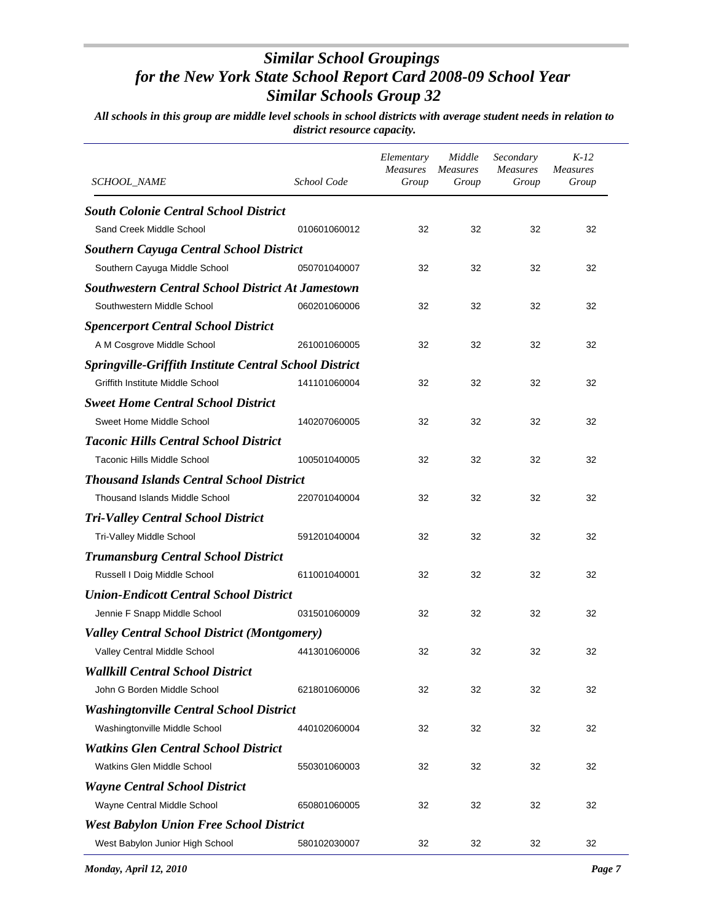| <i>SCHOOL_NAME</i>                                            | School Code  | Elementary<br><b>Measures</b><br>Group | Middle<br><b>Measures</b><br>Group | Secondary<br><b>Measures</b><br>Group | $K-12$<br><b>Measures</b><br>Group |
|---------------------------------------------------------------|--------------|----------------------------------------|------------------------------------|---------------------------------------|------------------------------------|
| <b>South Colonie Central School District</b>                  |              |                                        |                                    |                                       |                                    |
| Sand Creek Middle School                                      | 010601060012 | 32                                     | 32                                 | 32                                    | 32                                 |
| <b>Southern Cayuga Central School District</b>                |              |                                        |                                    |                                       |                                    |
| Southern Cayuga Middle School                                 | 050701040007 | 32                                     | 32                                 | 32                                    | 32                                 |
| <b>Southwestern Central School District At Jamestown</b>      |              |                                        |                                    |                                       |                                    |
| Southwestern Middle School                                    | 060201060006 | 32                                     | 32                                 | 32                                    | 32                                 |
| <b>Spencerport Central School District</b>                    |              |                                        |                                    |                                       |                                    |
| A M Cosgrove Middle School                                    | 261001060005 | 32                                     | 32                                 | 32                                    | 32                                 |
| <b>Springville-Griffith Institute Central School District</b> |              |                                        |                                    |                                       |                                    |
| Griffith Institute Middle School                              | 141101060004 | 32                                     | 32                                 | 32                                    | 32                                 |
| <b>Sweet Home Central School District</b>                     |              |                                        |                                    |                                       |                                    |
| Sweet Home Middle School                                      | 140207060005 | 32                                     | 32                                 | 32                                    | 32                                 |
| <b>Taconic Hills Central School District</b>                  |              |                                        |                                    |                                       |                                    |
| Taconic Hills Middle School                                   | 100501040005 | 32                                     | 32                                 | 32                                    | 32                                 |
| <b>Thousand Islands Central School District</b>               |              |                                        |                                    |                                       |                                    |
| <b>Thousand Islands Middle School</b>                         | 220701040004 | 32                                     | 32                                 | 32                                    | 32                                 |
| <b>Tri-Valley Central School District</b>                     |              |                                        |                                    |                                       |                                    |
| Tri-Valley Middle School                                      | 591201040004 | 32                                     | 32                                 | 32                                    | 32                                 |
| <b>Trumansburg Central School District</b>                    |              |                                        |                                    |                                       |                                    |
| Russell I Doig Middle School                                  | 611001040001 | 32                                     | 32                                 | 32                                    | 32                                 |
| <b>Union-Endicott Central School District</b>                 |              |                                        |                                    |                                       |                                    |
| Jennie F Snapp Middle School                                  | 031501060009 | 32                                     | 32                                 | 32                                    | 32                                 |
| <b>Valley Central School District (Montgomery)</b>            |              |                                        |                                    |                                       |                                    |
| Valley Central Middle School                                  | 441301060006 | 32                                     | 32                                 | 32                                    | 32                                 |
| <b>Wallkill Central School District</b>                       |              |                                        |                                    |                                       |                                    |
| John G Borden Middle School                                   | 621801060006 | 32                                     | 32                                 | 32                                    | 32                                 |
| <b>Washingtonville Central School District</b>                |              |                                        |                                    |                                       |                                    |
| Washingtonville Middle School                                 | 440102060004 | 32                                     | 32                                 | 32                                    | 32                                 |
| <b>Watkins Glen Central School District</b>                   |              |                                        |                                    |                                       |                                    |
| Watkins Glen Middle School                                    | 550301060003 | 32                                     | 32                                 | 32                                    | 32                                 |
| <b>Wayne Central School District</b>                          |              |                                        |                                    |                                       |                                    |
| Wayne Central Middle School                                   | 650801060005 | 32                                     | 32                                 | 32                                    | 32                                 |
| <b>West Babylon Union Free School District</b>                |              |                                        |                                    |                                       |                                    |
| West Babylon Junior High School                               | 580102030007 | 32                                     | 32                                 | 32                                    | 32                                 |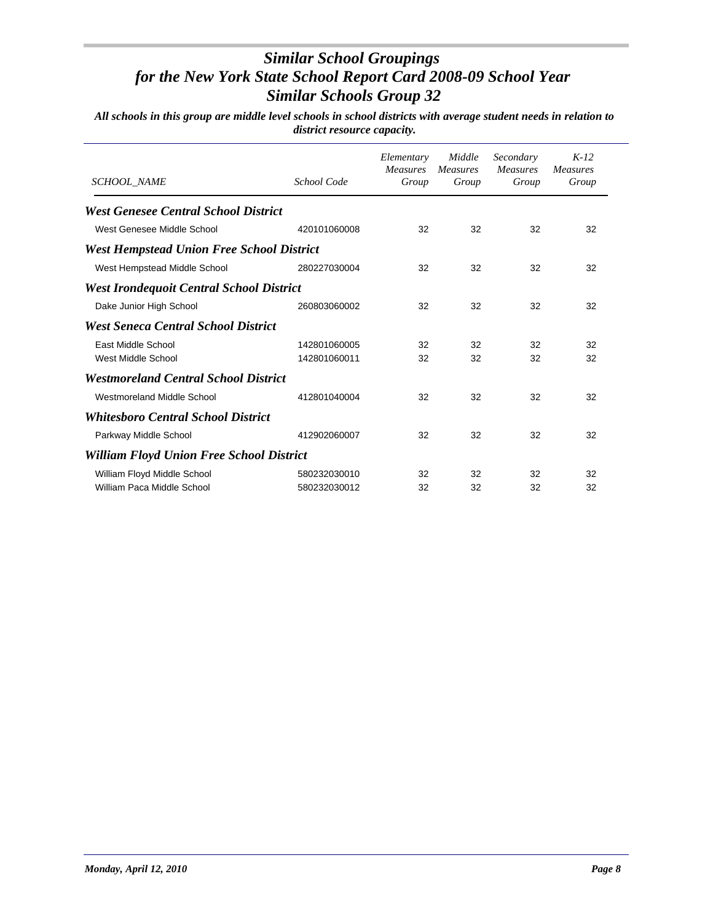| <b>SCHOOL NAME</b>                               | School Code  | Elementary<br><b>Measures</b><br>Group | Middle<br><b>Measures</b><br>Group | Secondary<br><b>Measures</b><br>Group | $K-12$<br><b>Measures</b><br>Group |
|--------------------------------------------------|--------------|----------------------------------------|------------------------------------|---------------------------------------|------------------------------------|
| <b>West Genesee Central School District</b>      |              |                                        |                                    |                                       |                                    |
| West Genesee Middle School                       | 420101060008 | 32                                     | 32                                 | 32                                    | 32                                 |
| <b>West Hempstead Union Free School District</b> |              |                                        |                                    |                                       |                                    |
| West Hempstead Middle School                     | 280227030004 | 32                                     | 32                                 | 32                                    | 32                                 |
| <b>West Irondequoit Central School District</b>  |              |                                        |                                    |                                       |                                    |
| Dake Junior High School                          | 260803060002 | 32                                     | 32                                 | 32                                    | 32                                 |
| <b>West Seneca Central School District</b>       |              |                                        |                                    |                                       |                                    |
| East Middle School                               | 142801060005 | 32                                     | 32                                 | 32                                    | 32                                 |
| West Middle School                               | 142801060011 | 32                                     | 32                                 | 32                                    | 32                                 |
| <b>Westmoreland Central School District</b>      |              |                                        |                                    |                                       |                                    |
| Westmoreland Middle School                       | 412801040004 | 32                                     | 32                                 | 32                                    | 32                                 |
| <b>Whitesboro Central School District</b>        |              |                                        |                                    |                                       |                                    |
| Parkway Middle School                            | 412902060007 | 32                                     | 32                                 | 32                                    | 32                                 |
| <b>William Floyd Union Free School District</b>  |              |                                        |                                    |                                       |                                    |
| William Floyd Middle School                      | 580232030010 | 32                                     | 32                                 | 32                                    | 32                                 |
| William Paca Middle School                       | 580232030012 | 32                                     | 32                                 | 32                                    | 32                                 |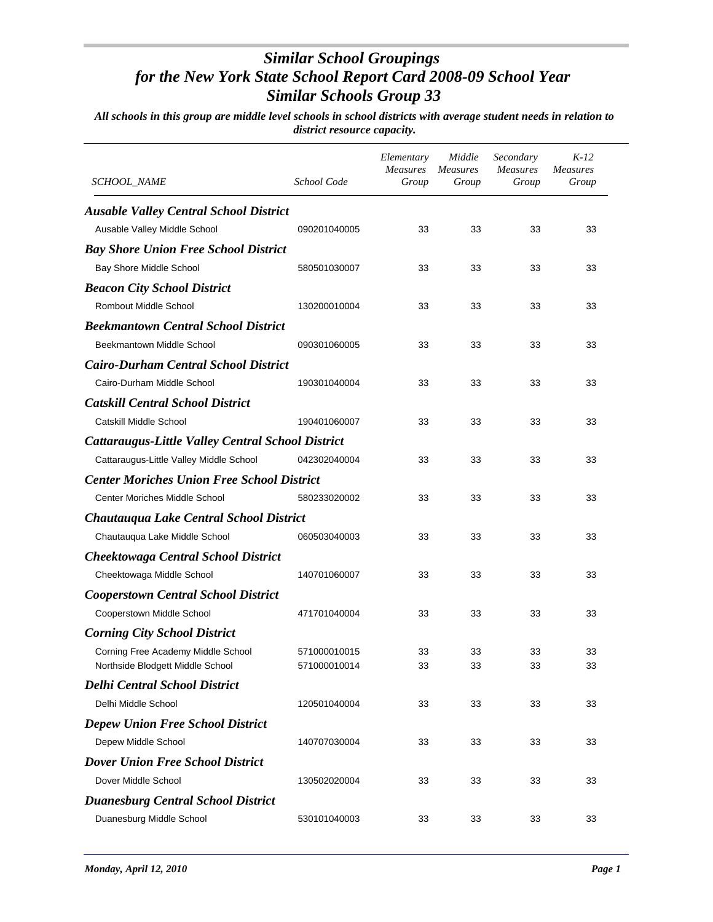| <i>SCHOOL_NAME</i>                                | School Code  | Elementary<br><b>Measures</b><br>Group | Middle<br><i>Measures</i><br>Group | Secondary<br><i>Measures</i><br>Group | $K-12$<br><b>Measures</b><br>Group |
|---------------------------------------------------|--------------|----------------------------------------|------------------------------------|---------------------------------------|------------------------------------|
| <b>Ausable Valley Central School District</b>     |              |                                        |                                    |                                       |                                    |
| Ausable Valley Middle School                      | 090201040005 | 33                                     | 33                                 | 33                                    | 33                                 |
| <b>Bay Shore Union Free School District</b>       |              |                                        |                                    |                                       |                                    |
| Bay Shore Middle School                           | 580501030007 | 33                                     | 33                                 | 33                                    | 33                                 |
| <b>Beacon City School District</b>                |              |                                        |                                    |                                       |                                    |
| <b>Rombout Middle School</b>                      | 130200010004 | 33                                     | 33                                 | 33                                    | 33                                 |
| <b>Beekmantown Central School District</b>        |              |                                        |                                    |                                       |                                    |
| Beekmantown Middle School                         | 090301060005 | 33                                     | 33                                 | 33                                    | 33                                 |
| <b>Cairo-Durham Central School District</b>       |              |                                        |                                    |                                       |                                    |
| Cairo-Durham Middle School                        | 190301040004 | 33                                     | 33                                 | 33                                    | 33                                 |
| <b>Catskill Central School District</b>           |              |                                        |                                    |                                       |                                    |
| Catskill Middle School                            | 190401060007 | 33                                     | 33                                 | 33                                    | 33                                 |
| Cattaraugus-Little Valley Central School District |              |                                        |                                    |                                       |                                    |
| Cattaraugus-Little Valley Middle School           | 042302040004 | 33                                     | 33                                 | 33                                    | 33                                 |
| <b>Center Moriches Union Free School District</b> |              |                                        |                                    |                                       |                                    |
| <b>Center Moriches Middle School</b>              | 580233020002 | 33                                     | 33                                 | 33                                    | 33                                 |
| Chautauqua Lake Central School District           |              |                                        |                                    |                                       |                                    |
| Chautauqua Lake Middle School                     | 060503040003 | 33                                     | 33                                 | 33                                    | 33                                 |
| <b>Cheektowaga Central School District</b>        |              |                                        |                                    |                                       |                                    |
| Cheektowaga Middle School                         | 140701060007 | 33                                     | 33                                 | 33                                    | 33                                 |
| <b>Cooperstown Central School District</b>        |              |                                        |                                    |                                       |                                    |
| Cooperstown Middle School                         | 471701040004 | 33                                     | 33                                 | 33                                    | 33                                 |
| <b>Corning City School District</b>               |              |                                        |                                    |                                       |                                    |
| Corning Free Academy Middle School                | 571000010015 | 33                                     | 33                                 | 33                                    | 33                                 |
| Northside Blodgett Middle School                  | 571000010014 | 33                                     | 33                                 | 33                                    | 33                                 |
| <b>Delhi Central School District</b>              |              |                                        |                                    |                                       |                                    |
| Delhi Middle School                               | 120501040004 | 33                                     | 33                                 | 33                                    | 33                                 |
| <b>Depew Union Free School District</b>           |              |                                        |                                    |                                       |                                    |
| Depew Middle School                               | 140707030004 | 33                                     | 33                                 | 33                                    | 33                                 |
| <b>Dover Union Free School District</b>           |              |                                        |                                    |                                       |                                    |
| Dover Middle School                               | 130502020004 | 33                                     | 33                                 | 33                                    | 33                                 |
| <b>Duanesburg Central School District</b>         |              |                                        |                                    |                                       |                                    |
| Duanesburg Middle School                          | 530101040003 | 33                                     | 33                                 | 33                                    | 33                                 |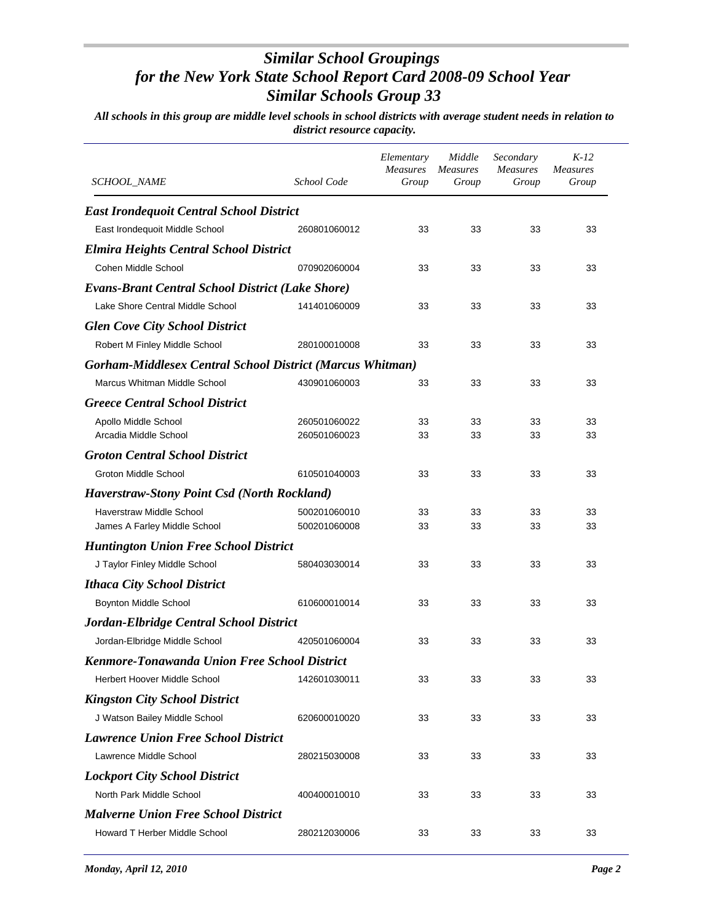| SCHOOL_NAME                                                      | School Code  | Elementary<br><b>Measures</b><br>Group | Middle<br><b>Measures</b><br>Group | Secondary<br><b>Measures</b><br>Group | $K-12$<br><b>Measures</b><br>Group |
|------------------------------------------------------------------|--------------|----------------------------------------|------------------------------------|---------------------------------------|------------------------------------|
| <b>East Irondequoit Central School District</b>                  |              |                                        |                                    |                                       |                                    |
| East Irondequoit Middle School                                   | 260801060012 | 33                                     | 33                                 | 33                                    | 33                                 |
| <b>Elmira Heights Central School District</b>                    |              |                                        |                                    |                                       |                                    |
| Cohen Middle School                                              | 070902060004 | 33                                     | 33                                 | 33                                    | 33                                 |
| <b>Evans-Brant Central School District (Lake Shore)</b>          |              |                                        |                                    |                                       |                                    |
| Lake Shore Central Middle School                                 | 141401060009 | 33                                     | 33                                 | 33                                    | 33                                 |
| <b>Glen Cove City School District</b>                            |              |                                        |                                    |                                       |                                    |
| Robert M Finley Middle School                                    | 280100010008 | 33                                     | 33                                 | 33                                    | 33                                 |
| <b>Gorham-Middlesex Central School District (Marcus Whitman)</b> |              |                                        |                                    |                                       |                                    |
| Marcus Whitman Middle School                                     | 430901060003 | 33                                     | 33                                 | 33                                    | 33                                 |
| <b>Greece Central School District</b>                            |              |                                        |                                    |                                       |                                    |
| Apollo Middle School                                             | 260501060022 | 33                                     | 33                                 | 33                                    | 33                                 |
| Arcadia Middle School                                            | 260501060023 | 33                                     | 33                                 | 33                                    | 33                                 |
| <b>Groton Central School District</b>                            |              |                                        |                                    |                                       |                                    |
| Groton Middle School                                             | 610501040003 | 33                                     | 33                                 | 33                                    | 33                                 |
| <b>Haverstraw-Stony Point Csd (North Rockland)</b>               |              |                                        |                                    |                                       |                                    |
| Haverstraw Middle School                                         | 500201060010 | 33                                     | 33                                 | 33                                    | 33                                 |
| James A Farley Middle School                                     | 500201060008 | 33                                     | 33                                 | 33                                    | 33                                 |
| <b>Huntington Union Free School District</b>                     |              |                                        |                                    |                                       |                                    |
| J Taylor Finley Middle School                                    | 580403030014 | 33                                     | 33                                 | 33                                    | 33                                 |
| <b>Ithaca City School District</b>                               |              |                                        |                                    |                                       |                                    |
| Boynton Middle School                                            | 610600010014 | 33                                     | 33                                 | 33                                    | 33                                 |
| Jordan-Elbridge Central School District                          |              |                                        |                                    |                                       |                                    |
| Jordan-Elbridge Middle School                                    | 420501060004 | 33                                     | 33                                 | 33                                    | 33                                 |
| Kenmore-Tonawanda Union Free School District                     |              |                                        |                                    |                                       |                                    |
| Herbert Hoover Middle School                                     | 142601030011 | 33                                     | 33                                 | 33                                    | 33                                 |
| <b>Kingston City School District</b>                             |              |                                        |                                    |                                       |                                    |
| J Watson Bailey Middle School                                    | 620600010020 | 33                                     | 33                                 | 33                                    | 33                                 |
| <b>Lawrence Union Free School District</b>                       |              |                                        |                                    |                                       |                                    |
| Lawrence Middle School                                           | 280215030008 | 33                                     | 33                                 | 33                                    | 33                                 |
| <b>Lockport City School District</b>                             |              |                                        |                                    |                                       |                                    |
| North Park Middle School                                         | 400400010010 | 33                                     | 33                                 | 33                                    | 33                                 |
| <b>Malverne Union Free School District</b>                       |              |                                        |                                    |                                       |                                    |
| Howard T Herber Middle School                                    | 280212030006 | 33                                     | 33                                 | 33                                    | 33                                 |
|                                                                  |              |                                        |                                    |                                       |                                    |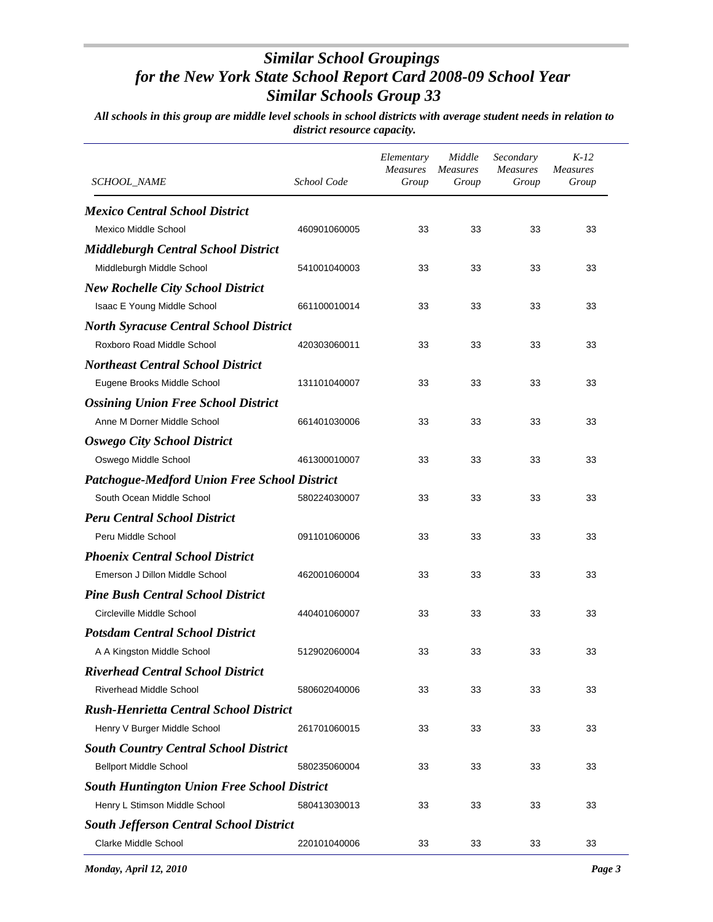| SCHOOL_NAME                                         | School Code  | Elementary<br><b>Measures</b><br>Group | Middle<br><b>Measures</b><br>Group | Secondary<br><b>Measures</b><br>Group | K-12<br><b>Measures</b><br>Group |
|-----------------------------------------------------|--------------|----------------------------------------|------------------------------------|---------------------------------------|----------------------------------|
| <b>Mexico Central School District</b>               |              |                                        |                                    |                                       |                                  |
| Mexico Middle School                                | 460901060005 | 33                                     | 33                                 | 33                                    | 33                               |
| <b>Middleburgh Central School District</b>          |              |                                        |                                    |                                       |                                  |
| Middleburgh Middle School                           | 541001040003 | 33                                     | 33                                 | 33                                    | 33                               |
| <b>New Rochelle City School District</b>            |              |                                        |                                    |                                       |                                  |
| Isaac E Young Middle School                         | 661100010014 | 33                                     | 33                                 | 33                                    | 33                               |
| <b>North Syracuse Central School District</b>       |              |                                        |                                    |                                       |                                  |
| Roxboro Road Middle School                          | 420303060011 | 33                                     | 33                                 | 33                                    | 33                               |
| <b>Northeast Central School District</b>            |              |                                        |                                    |                                       |                                  |
| Eugene Brooks Middle School                         | 131101040007 | 33                                     | 33                                 | 33                                    | 33                               |
| <b>Ossining Union Free School District</b>          |              |                                        |                                    |                                       |                                  |
| Anne M Dorner Middle School                         | 661401030006 | 33                                     | 33                                 | 33                                    | 33                               |
| <b>Oswego City School District</b>                  |              |                                        |                                    |                                       |                                  |
| Oswego Middle School                                | 461300010007 | 33                                     | 33                                 | 33                                    | 33                               |
| <b>Patchogue-Medford Union Free School District</b> |              |                                        |                                    |                                       |                                  |
| South Ocean Middle School                           | 580224030007 | 33                                     | 33                                 | 33                                    | 33                               |
| <b>Peru Central School District</b>                 |              |                                        |                                    |                                       |                                  |
| Peru Middle School                                  | 091101060006 | 33                                     | 33                                 | 33                                    | 33                               |
| <b>Phoenix Central School District</b>              |              |                                        |                                    |                                       |                                  |
| Emerson J Dillon Middle School                      | 462001060004 | 33                                     | 33                                 | 33                                    | 33                               |
| <b>Pine Bush Central School District</b>            |              |                                        |                                    |                                       |                                  |
| Circleville Middle School                           | 440401060007 | 33                                     | 33                                 | 33                                    | 33                               |
| <b>Potsdam Central School District</b>              |              |                                        |                                    |                                       |                                  |
| A A Kingston Middle School                          | 512902060004 | 33                                     | 33                                 | 33                                    | 33                               |
| <b>Riverhead Central School District</b>            |              |                                        |                                    |                                       |                                  |
| <b>Riverhead Middle School</b>                      | 580602040006 | 33                                     | 33                                 | 33                                    | 33                               |
| <b>Rush-Henrietta Central School District</b>       |              |                                        |                                    |                                       |                                  |
| Henry V Burger Middle School                        | 261701060015 | 33                                     | 33                                 | 33                                    | 33                               |
| <b>South Country Central School District</b>        |              |                                        |                                    |                                       |                                  |
| <b>Bellport Middle School</b>                       | 580235060004 | 33                                     | 33                                 | 33                                    | 33                               |
| <b>South Huntington Union Free School District</b>  |              |                                        |                                    |                                       |                                  |
| Henry L Stimson Middle School                       | 580413030013 | 33                                     | 33                                 | 33                                    | 33                               |
| <b>South Jefferson Central School District</b>      |              |                                        |                                    |                                       |                                  |
| <b>Clarke Middle School</b>                         | 220101040006 | 33                                     | 33                                 | 33                                    | 33                               |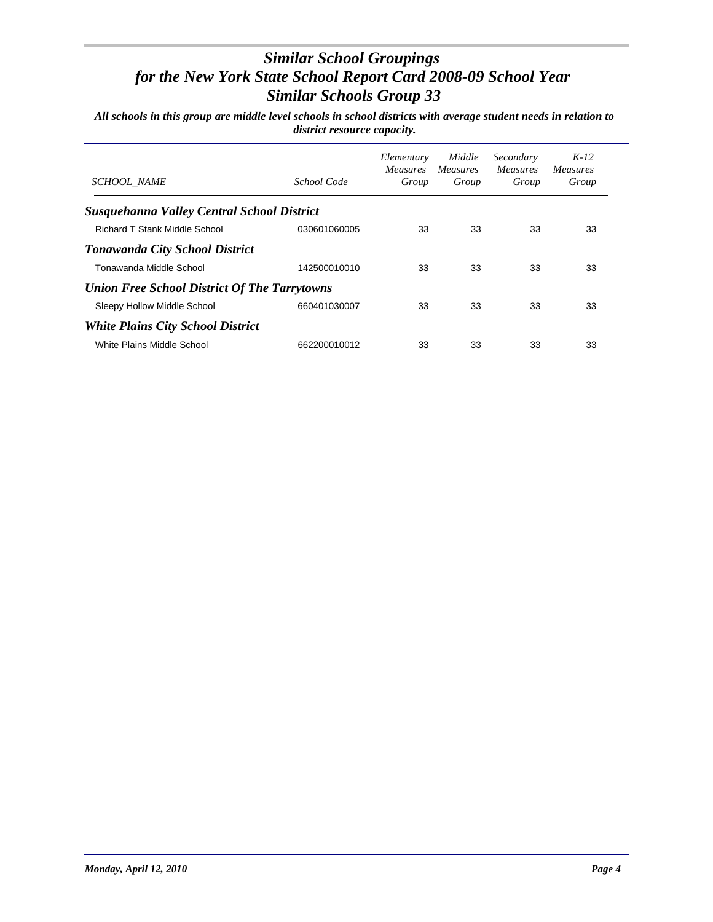| <b>SCHOOL NAME</b>                                | School Code  | Elementary<br><i>Measures</i><br>Group | Middle<br><i>Measures</i><br>Group | Secondary<br><i>Measures</i><br>Group | $K-12$<br><i>Measures</i><br>Group |
|---------------------------------------------------|--------------|----------------------------------------|------------------------------------|---------------------------------------|------------------------------------|
| <b>Susquehanna Valley Central School District</b> |              |                                        |                                    |                                       |                                    |
| Richard T Stank Middle School                     | 030601060005 | 33                                     | 33                                 | 33                                    | 33                                 |
| <b>Tonawanda City School District</b>             |              |                                        |                                    |                                       |                                    |
| Tonawanda Middle School                           | 142500010010 | 33                                     | 33                                 | 33                                    | 33                                 |
| Union Free School District Of The Tarrytowns      |              |                                        |                                    |                                       |                                    |
| Sleepy Hollow Middle School                       | 660401030007 | 33                                     | 33                                 | 33                                    | 33                                 |
| <b>White Plains City School District</b>          |              |                                        |                                    |                                       |                                    |
| White Plains Middle School                        | 662200010012 | 33                                     | 33                                 | 33                                    | 33                                 |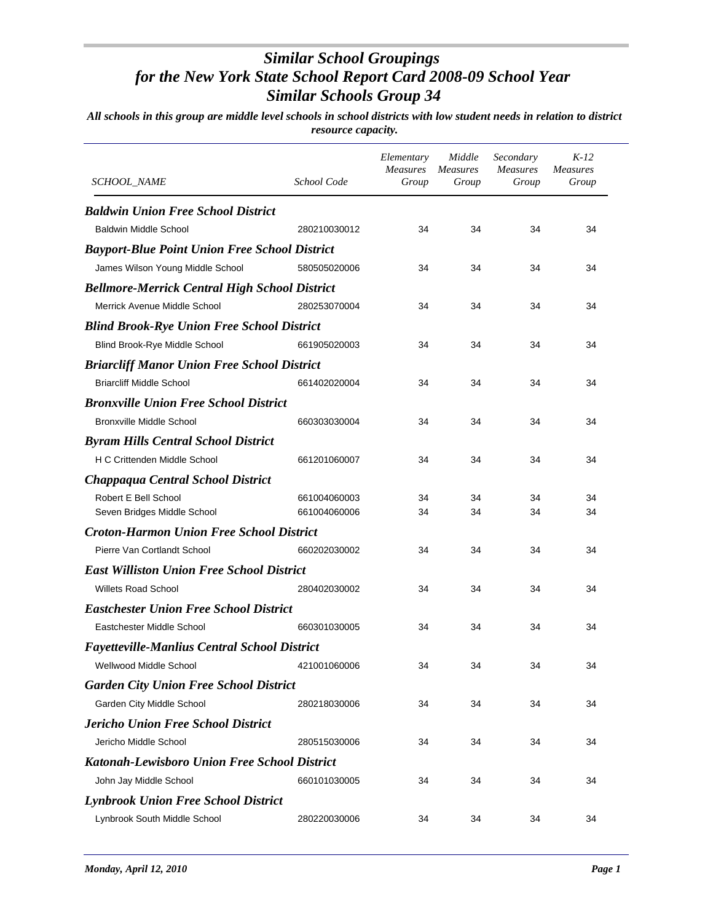| <i>SCHOOL_NAME</i>                                   | School Code  | Elementary<br><b>Measures</b><br>Group | Middle<br><i>Measures</i><br>Group | Secondary<br><b>Measures</b><br>Group | $K-12$<br><b>Measures</b><br>Group |
|------------------------------------------------------|--------------|----------------------------------------|------------------------------------|---------------------------------------|------------------------------------|
| <b>Baldwin Union Free School District</b>            |              |                                        |                                    |                                       |                                    |
| <b>Baldwin Middle School</b>                         | 280210030012 | 34                                     | 34                                 | 34                                    | 34                                 |
| <b>Bayport-Blue Point Union Free School District</b> |              |                                        |                                    |                                       |                                    |
| James Wilson Young Middle School                     | 580505020006 | 34                                     | 34                                 | 34                                    | 34                                 |
| <b>Bellmore-Merrick Central High School District</b> |              |                                        |                                    |                                       |                                    |
| Merrick Avenue Middle School                         | 280253070004 | 34                                     | 34                                 | 34                                    | 34                                 |
| <b>Blind Brook-Rye Union Free School District</b>    |              |                                        |                                    |                                       |                                    |
| Blind Brook-Rye Middle School                        | 661905020003 | 34                                     | 34                                 | 34                                    | 34                                 |
| <b>Briarcliff Manor Union Free School District</b>   |              |                                        |                                    |                                       |                                    |
| <b>Briarcliff Middle School</b>                      | 661402020004 | 34                                     | 34                                 | 34                                    | 34                                 |
| <b>Bronxville Union Free School District</b>         |              |                                        |                                    |                                       |                                    |
| Bronxville Middle School                             | 660303030004 | 34                                     | 34                                 | 34                                    | 34                                 |
| <b>Byram Hills Central School District</b>           |              |                                        |                                    |                                       |                                    |
| H C Crittenden Middle School                         | 661201060007 | 34                                     | 34                                 | 34                                    | 34                                 |
| <b>Chappaqua Central School District</b>             |              |                                        |                                    |                                       |                                    |
| Robert E Bell School                                 | 661004060003 | 34                                     | 34                                 | 34                                    | 34                                 |
| Seven Bridges Middle School                          | 661004060006 | 34                                     | 34                                 | 34                                    | 34                                 |
| <b>Croton-Harmon Union Free School District</b>      |              |                                        |                                    |                                       |                                    |
| Pierre Van Cortlandt School                          | 660202030002 | 34                                     | 34                                 | 34                                    | 34                                 |
| <b>East Williston Union Free School District</b>     |              |                                        |                                    |                                       |                                    |
| <b>Willets Road School</b>                           | 280402030002 | 34                                     | 34                                 | 34                                    | 34                                 |
| <b>Eastchester Union Free School District</b>        |              |                                        |                                    |                                       |                                    |
| Eastchester Middle School                            | 660301030005 | 34                                     | 34                                 | 34                                    | 34                                 |
| <b>Fayetteville-Manlius Central School District</b>  |              |                                        |                                    |                                       |                                    |
| Wellwood Middle School                               | 421001060006 | 34                                     | 34                                 | 34                                    | 34                                 |
| <b>Garden City Union Free School District</b>        |              |                                        |                                    |                                       |                                    |
| Garden City Middle School                            | 280218030006 | 34                                     | 34                                 | 34                                    | 34                                 |
| <b>Jericho Union Free School District</b>            |              |                                        |                                    |                                       |                                    |
| Jericho Middle School                                | 280515030006 | 34                                     | 34                                 | 34                                    | 34                                 |
| Katonah-Lewisboro Union Free School District         |              |                                        |                                    |                                       |                                    |
| John Jay Middle School                               | 660101030005 | 34                                     | 34                                 | 34                                    | 34                                 |
| <b>Lynbrook Union Free School District</b>           |              |                                        |                                    |                                       |                                    |
| Lynbrook South Middle School                         | 280220030006 | 34                                     | 34                                 | 34                                    | 34                                 |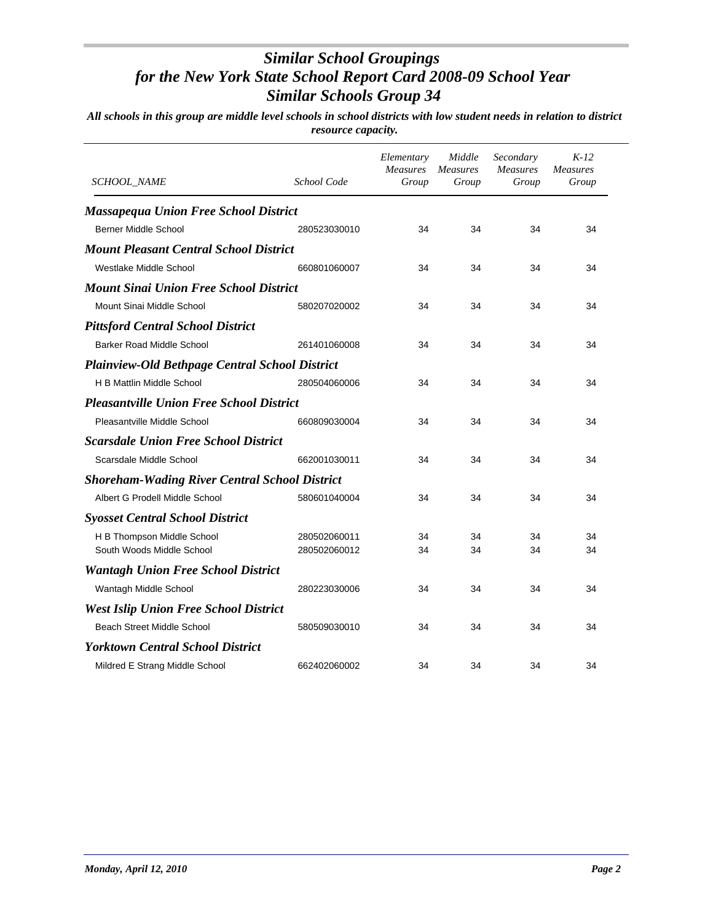| SCHOOL_NAME                                           | School Code  | Elementary<br><b>Measures</b><br>Group | Middle<br><b>Measures</b><br>Group | Secondary<br><b>Measures</b><br>Group | $K-12$<br><b>Measures</b><br>Group |
|-------------------------------------------------------|--------------|----------------------------------------|------------------------------------|---------------------------------------|------------------------------------|
| <b>Massapequa Union Free School District</b>          |              |                                        |                                    |                                       |                                    |
| <b>Berner Middle School</b>                           | 280523030010 | 34                                     | 34                                 | 34                                    | 34                                 |
| <b>Mount Pleasant Central School District</b>         |              |                                        |                                    |                                       |                                    |
| Westlake Middle School                                | 660801060007 | 34                                     | 34                                 | 34                                    | 34                                 |
| <b>Mount Sinai Union Free School District</b>         |              |                                        |                                    |                                       |                                    |
| Mount Sinai Middle School                             | 580207020002 | 34                                     | 34                                 | 34                                    | 34                                 |
| <b>Pittsford Central School District</b>              |              |                                        |                                    |                                       |                                    |
| Barker Road Middle School                             | 261401060008 | 34                                     | 34                                 | 34                                    | 34                                 |
| <b>Plainview-Old Bethpage Central School District</b> |              |                                        |                                    |                                       |                                    |
| H B Mattlin Middle School                             | 280504060006 | 34                                     | 34                                 | 34                                    | 34                                 |
| <b>Pleasantville Union Free School District</b>       |              |                                        |                                    |                                       |                                    |
| Pleasantville Middle School                           | 660809030004 | 34                                     | 34                                 | 34                                    | 34                                 |
| <b>Scarsdale Union Free School District</b>           |              |                                        |                                    |                                       |                                    |
| Scarsdale Middle School                               | 662001030011 | 34                                     | 34                                 | 34                                    | 34                                 |
| <b>Shoreham-Wading River Central School District</b>  |              |                                        |                                    |                                       |                                    |
| Albert G Prodell Middle School                        | 580601040004 | 34                                     | 34                                 | 34                                    | 34                                 |
| <b>Syosset Central School District</b>                |              |                                        |                                    |                                       |                                    |
| H B Thompson Middle School                            | 280502060011 | 34                                     | 34                                 | 34                                    | 34                                 |
| South Woods Middle School                             | 280502060012 | 34                                     | 34                                 | 34                                    | 34                                 |
| <b>Wantagh Union Free School District</b>             |              |                                        |                                    |                                       |                                    |
| Wantagh Middle School                                 | 280223030006 | 34                                     | 34                                 | 34                                    | 34                                 |
| <b>West Islip Union Free School District</b>          |              |                                        |                                    |                                       |                                    |
| Beach Street Middle School                            | 580509030010 | 34                                     | 34                                 | 34                                    | 34                                 |
| <b>Yorktown Central School District</b>               |              |                                        |                                    |                                       |                                    |
| Mildred E Strang Middle School                        | 662402060002 | 34                                     | 34                                 | 34                                    | 34                                 |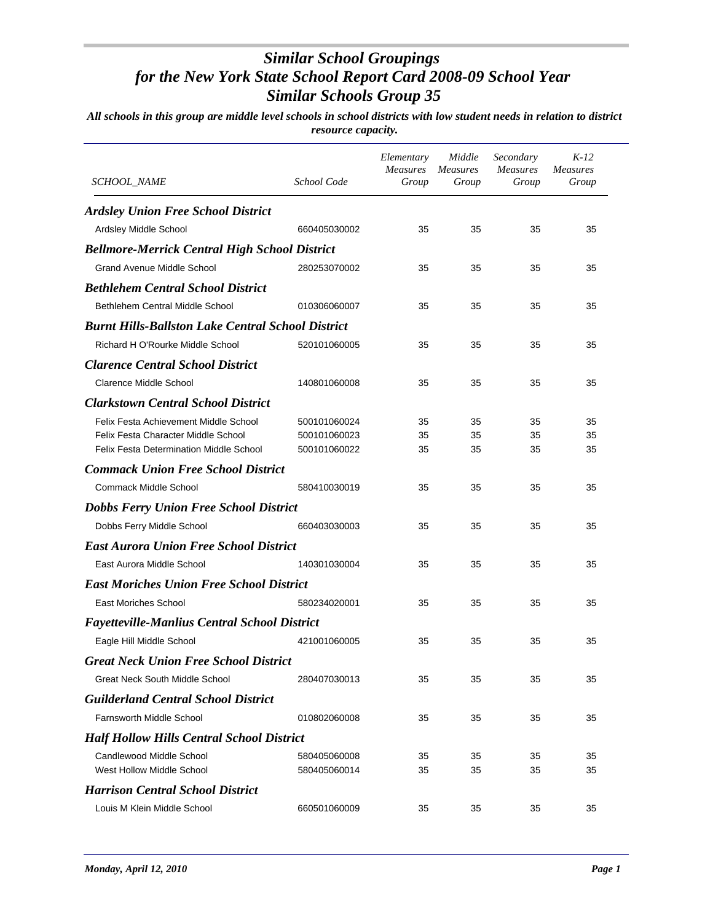| SCHOOL_NAME                                              | School Code  | Elementary<br><b>Measures</b><br>Group | Middle<br><i>Measures</i><br>Group | Secondary<br><b>Measures</b><br>Group | $K-12$<br><b>Measures</b><br>Group |
|----------------------------------------------------------|--------------|----------------------------------------|------------------------------------|---------------------------------------|------------------------------------|
| <b>Ardsley Union Free School District</b>                |              |                                        |                                    |                                       |                                    |
| Ardsley Middle School                                    | 660405030002 | 35                                     | 35                                 | 35                                    | 35                                 |
| <b>Bellmore-Merrick Central High School District</b>     |              |                                        |                                    |                                       |                                    |
| <b>Grand Avenue Middle School</b>                        | 280253070002 | 35                                     | 35                                 | 35                                    | 35                                 |
| <b>Bethlehem Central School District</b>                 |              |                                        |                                    |                                       |                                    |
| Bethlehem Central Middle School                          | 010306060007 | 35                                     | 35                                 | 35                                    | 35                                 |
| <b>Burnt Hills-Ballston Lake Central School District</b> |              |                                        |                                    |                                       |                                    |
| Richard H O'Rourke Middle School                         | 520101060005 | 35                                     | 35                                 | 35                                    | 35                                 |
| <b>Clarence Central School District</b>                  |              |                                        |                                    |                                       |                                    |
| <b>Clarence Middle School</b>                            | 140801060008 | 35                                     | 35                                 | 35                                    | 35                                 |
| <b>Clarkstown Central School District</b>                |              |                                        |                                    |                                       |                                    |
| Felix Festa Achievement Middle School                    | 500101060024 | 35                                     | 35                                 | 35                                    | 35                                 |
| Felix Festa Character Middle School                      | 500101060023 | 35                                     | 35                                 | 35                                    | 35                                 |
| <b>Felix Festa Determination Middle School</b>           | 500101060022 | 35                                     | 35                                 | 35                                    | 35                                 |
| <b>Commack Union Free School District</b>                |              |                                        |                                    |                                       |                                    |
| Commack Middle School                                    | 580410030019 | 35                                     | 35                                 | 35                                    | 35                                 |
| <b>Dobbs Ferry Union Free School District</b>            |              |                                        |                                    |                                       |                                    |
| Dobbs Ferry Middle School                                | 660403030003 | 35                                     | 35                                 | 35                                    | 35                                 |
| <b>East Aurora Union Free School District</b>            |              |                                        |                                    |                                       |                                    |
| East Aurora Middle School                                | 140301030004 | 35                                     | 35                                 | 35                                    | 35                                 |
| <b>East Moriches Union Free School District</b>          |              |                                        |                                    |                                       |                                    |
| <b>East Moriches School</b>                              | 580234020001 | 35                                     | 35                                 | 35                                    | 35                                 |
| <b>Fayetteville-Manlius Central School District</b>      |              |                                        |                                    |                                       |                                    |
| Eagle Hill Middle School                                 | 421001060005 | 35                                     | 35                                 | 35                                    | 35                                 |
| <b>Great Neck Union Free School District</b>             |              |                                        |                                    |                                       |                                    |
| Great Neck South Middle School                           | 280407030013 | 35                                     | 35                                 | 35                                    | 35                                 |
| <b>Guilderland Central School District</b>               |              |                                        |                                    |                                       |                                    |
| <b>Farnsworth Middle School</b>                          | 010802060008 | 35                                     | 35                                 | 35                                    | 35                                 |
| <b>Half Hollow Hills Central School District</b>         |              |                                        |                                    |                                       |                                    |
| Candlewood Middle School                                 | 580405060008 | 35                                     | 35                                 | 35                                    | 35                                 |
| West Hollow Middle School                                | 580405060014 | 35                                     | 35                                 | 35                                    | 35                                 |
| <b>Harrison Central School District</b>                  |              |                                        |                                    |                                       |                                    |
| Louis M Klein Middle School                              | 660501060009 | 35                                     | 35                                 | 35                                    | 35                                 |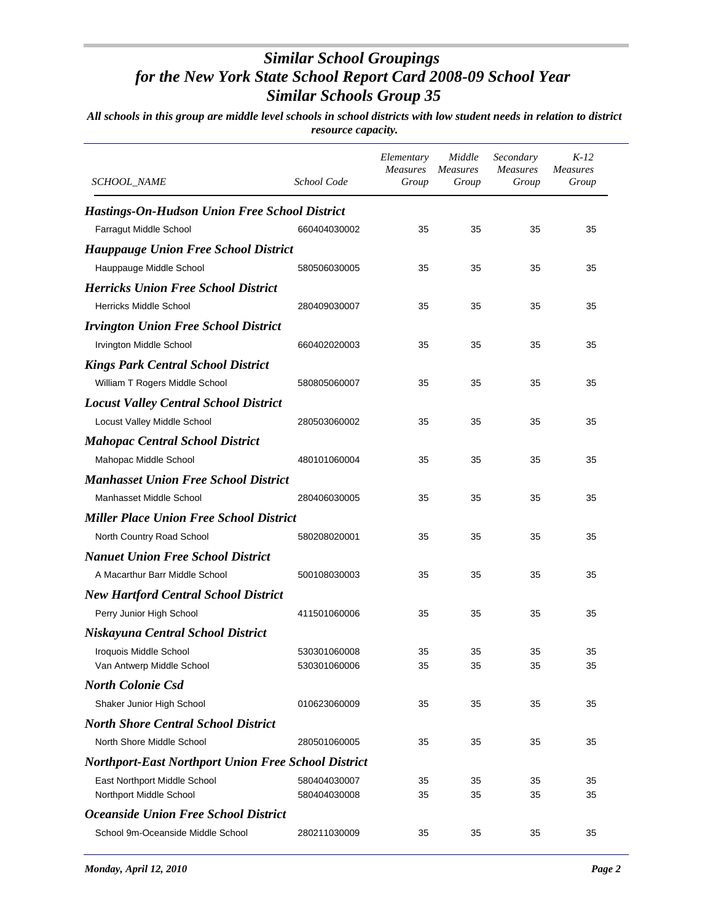| SCHOOL_NAME                                          | School Code  | Elementary<br><b>Measures</b><br>Group | Middle<br><i>Measures</i><br>Group | Secondary<br><b>Measures</b><br>Group | $K-12$<br><i>Measures</i><br>Group |
|------------------------------------------------------|--------------|----------------------------------------|------------------------------------|---------------------------------------|------------------------------------|
| <b>Hastings-On-Hudson Union Free School District</b> |              |                                        |                                    |                                       |                                    |
| Farragut Middle School                               | 660404030002 | 35                                     | 35                                 | 35                                    | 35                                 |
| <b>Hauppauge Union Free School District</b>          |              |                                        |                                    |                                       |                                    |
| Hauppauge Middle School                              | 580506030005 | 35                                     | 35                                 | 35                                    | 35                                 |
| <b>Herricks Union Free School District</b>           |              |                                        |                                    |                                       |                                    |
| <b>Herricks Middle School</b>                        | 280409030007 | 35                                     | 35                                 | 35                                    | 35                                 |
| <b>Irvington Union Free School District</b>          |              |                                        |                                    |                                       |                                    |
| Irvington Middle School                              | 660402020003 | 35                                     | 35                                 | 35                                    | 35                                 |
| <b>Kings Park Central School District</b>            |              |                                        |                                    |                                       |                                    |
| William T Rogers Middle School                       | 580805060007 | 35                                     | 35                                 | 35                                    | 35                                 |
| <b>Locust Valley Central School District</b>         |              |                                        |                                    |                                       |                                    |
| Locust Valley Middle School                          | 280503060002 | 35                                     | 35                                 | 35                                    | 35                                 |
| <b>Mahopac Central School District</b>               |              |                                        |                                    |                                       |                                    |
| Mahopac Middle School                                | 480101060004 | 35                                     | 35                                 | 35                                    | 35                                 |
| <b>Manhasset Union Free School District</b>          |              |                                        |                                    |                                       |                                    |
| Manhasset Middle School                              | 280406030005 | 35                                     | 35                                 | 35                                    | 35                                 |
| <b>Miller Place Union Free School District</b>       |              |                                        |                                    |                                       |                                    |
| North Country Road School                            | 580208020001 | 35                                     | 35                                 | 35                                    | 35                                 |
| <b>Nanuet Union Free School District</b>             |              |                                        |                                    |                                       |                                    |
| A Macarthur Barr Middle School                       | 500108030003 | 35                                     | 35                                 | 35                                    | 35                                 |
| <b>New Hartford Central School District</b>          |              |                                        |                                    |                                       |                                    |
| Perry Junior High School                             | 411501060006 | 35                                     | 35                                 | 35                                    | 35                                 |
| Niskayuna Central School District                    |              |                                        |                                    |                                       |                                    |
| Iroquois Middle School                               | 530301060008 | 35                                     | 35                                 | 35                                    | 35                                 |
| Van Antwerp Middle School                            | 530301060006 | 35                                     | 35                                 | 35                                    | 35                                 |
| <b>North Colonie Csd</b>                             |              |                                        |                                    |                                       |                                    |
| Shaker Junior High School                            | 010623060009 | 35                                     | 35                                 | 35                                    | 35                                 |
| <b>North Shore Central School District</b>           |              |                                        |                                    |                                       |                                    |
| North Shore Middle School                            | 280501060005 | 35                                     | 35                                 | 35                                    | 35                                 |
| Northport-East Northport Union Free School District  |              |                                        |                                    |                                       |                                    |
| East Northport Middle School                         | 580404030007 | 35                                     | 35                                 | 35                                    | 35                                 |
| Northport Middle School                              | 580404030008 | 35                                     | 35                                 | 35                                    | 35                                 |
| <b>Oceanside Union Free School District</b>          |              |                                        |                                    |                                       |                                    |
| School 9m-Oceanside Middle School                    | 280211030009 | 35                                     | 35                                 | 35                                    | 35                                 |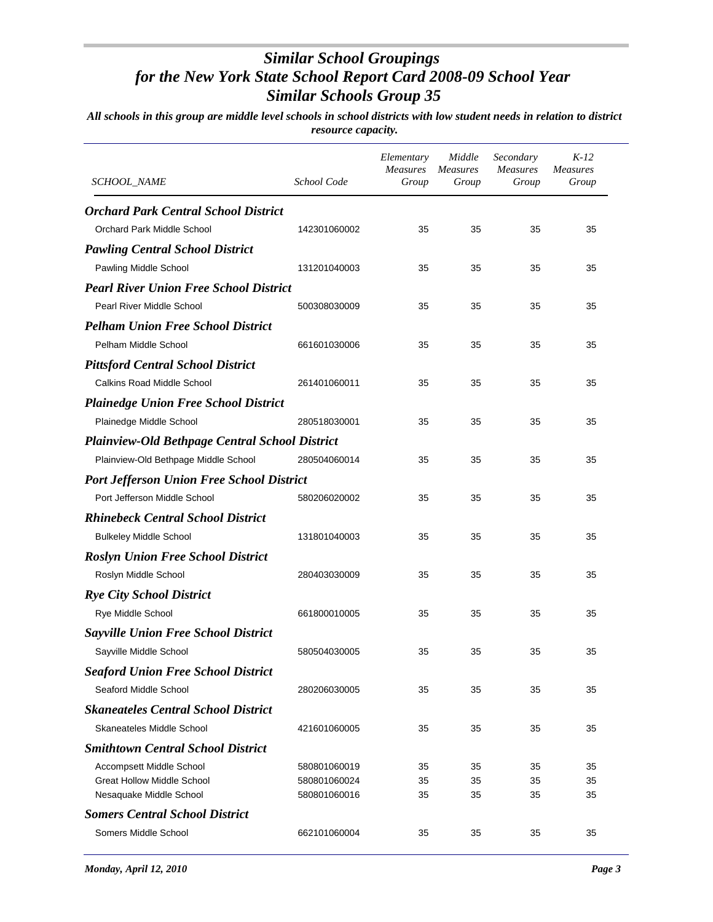| <b>SCHOOL_NAME</b>                                    | School Code  | Elementary<br><b>Measures</b><br>Group | Middle<br><b>Measures</b><br>Group | Secondary<br><b>Measures</b><br>Group | $K-12$<br><b>Measures</b><br>Group |  |  |  |
|-------------------------------------------------------|--------------|----------------------------------------|------------------------------------|---------------------------------------|------------------------------------|--|--|--|
| <b>Orchard Park Central School District</b>           |              |                                        |                                    |                                       |                                    |  |  |  |
| Orchard Park Middle School                            | 142301060002 | 35                                     | 35                                 | 35                                    | 35                                 |  |  |  |
| <b>Pawling Central School District</b>                |              |                                        |                                    |                                       |                                    |  |  |  |
| Pawling Middle School                                 | 131201040003 | 35                                     | 35                                 | 35                                    | 35                                 |  |  |  |
| <b>Pearl River Union Free School District</b>         |              |                                        |                                    |                                       |                                    |  |  |  |
| Pearl River Middle School                             | 500308030009 | 35                                     | 35                                 | 35                                    | 35                                 |  |  |  |
| <b>Pelham Union Free School District</b>              |              |                                        |                                    |                                       |                                    |  |  |  |
| Pelham Middle School                                  | 661601030006 | 35                                     | 35                                 | 35                                    | 35                                 |  |  |  |
| <b>Pittsford Central School District</b>              |              |                                        |                                    |                                       |                                    |  |  |  |
| <b>Calkins Road Middle School</b>                     | 261401060011 | 35                                     | 35                                 | 35                                    | 35                                 |  |  |  |
| <b>Plainedge Union Free School District</b>           |              |                                        |                                    |                                       |                                    |  |  |  |
| Plainedge Middle School                               | 280518030001 | 35                                     | 35                                 | 35                                    | 35                                 |  |  |  |
| <b>Plainview-Old Bethpage Central School District</b> |              |                                        |                                    |                                       |                                    |  |  |  |
| Plainview-Old Bethpage Middle School                  | 280504060014 | 35                                     | 35                                 | 35                                    | 35                                 |  |  |  |
| <b>Port Jefferson Union Free School District</b>      |              |                                        |                                    |                                       |                                    |  |  |  |
| Port Jefferson Middle School                          | 580206020002 | 35                                     | 35                                 | 35                                    | 35                                 |  |  |  |
| <b>Rhinebeck Central School District</b>              |              |                                        |                                    |                                       |                                    |  |  |  |
| <b>Bulkeley Middle School</b>                         | 131801040003 | 35                                     | 35                                 | 35                                    | 35                                 |  |  |  |
| <b>Roslyn Union Free School District</b>              |              |                                        |                                    |                                       |                                    |  |  |  |
| Roslyn Middle School                                  | 280403030009 | 35                                     | 35                                 | 35                                    | 35                                 |  |  |  |
| <b>Rye City School District</b>                       |              |                                        |                                    |                                       |                                    |  |  |  |
| Rye Middle School                                     | 661800010005 | 35                                     | 35                                 | 35                                    | 35                                 |  |  |  |
| <b>Sayville Union Free School District</b>            |              |                                        |                                    |                                       |                                    |  |  |  |
| Sayville Middle School                                | 580504030005 | 35                                     | 35                                 | 35                                    | 35                                 |  |  |  |
| <b>Seaford Union Free School District</b>             |              |                                        |                                    |                                       |                                    |  |  |  |
| Seaford Middle School                                 | 280206030005 | 35                                     | 35                                 | 35                                    | 35                                 |  |  |  |
| <b>Skaneateles Central School District</b>            |              |                                        |                                    |                                       |                                    |  |  |  |
| Skaneateles Middle School                             | 421601060005 | 35                                     | 35                                 | 35                                    | 35                                 |  |  |  |
| <b>Smithtown Central School District</b>              |              |                                        |                                    |                                       |                                    |  |  |  |
| Accompsett Middle School                              | 580801060019 | 35                                     | 35                                 | 35                                    | 35                                 |  |  |  |
| <b>Great Hollow Middle School</b>                     | 580801060024 | 35                                     | 35                                 | 35                                    | 35                                 |  |  |  |
| Nesaquake Middle School                               | 580801060016 | 35                                     | 35                                 | 35                                    | 35                                 |  |  |  |
| <b>Somers Central School District</b>                 |              |                                        |                                    |                                       |                                    |  |  |  |
| Somers Middle School                                  | 662101060004 | 35                                     | 35                                 | 35                                    | 35                                 |  |  |  |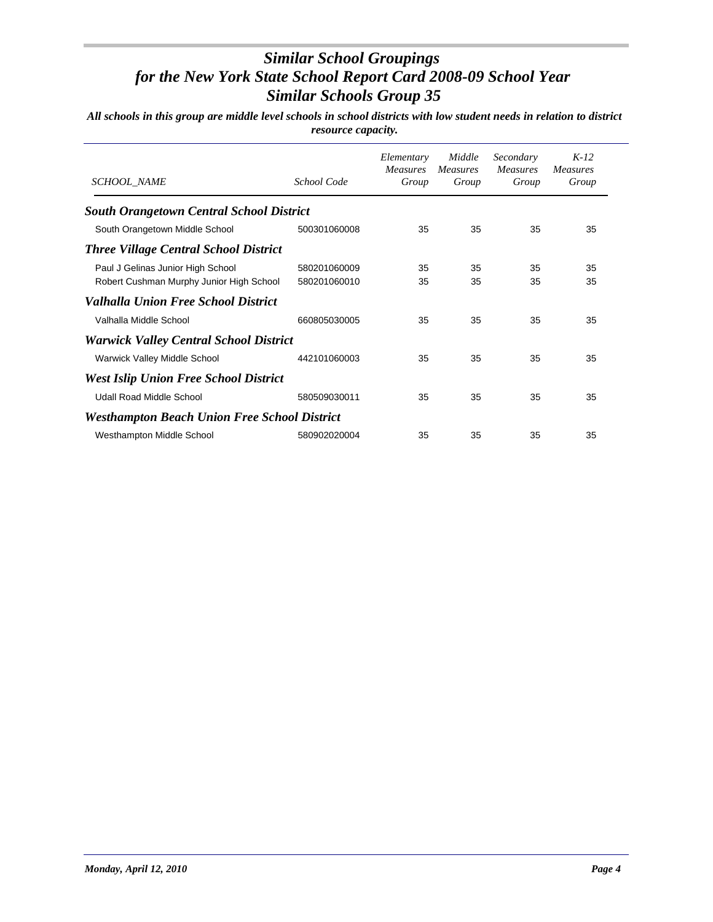| <b>SCHOOL NAME</b>                                  | School Code  | Elementary<br>Measures<br>Group | Middle<br><i>Measures</i><br>Group | Secondary<br><i>Measures</i><br>Group | $K-12$<br><i>Measures</i><br>Group |
|-----------------------------------------------------|--------------|---------------------------------|------------------------------------|---------------------------------------|------------------------------------|
| <b>South Orangetown Central School District</b>     |              |                                 |                                    |                                       |                                    |
| South Orangetown Middle School                      | 500301060008 | 35                              | 35                                 | 35                                    | 35                                 |
| <b>Three Village Central School District</b>        |              |                                 |                                    |                                       |                                    |
| Paul J Gelinas Junior High School                   | 580201060009 | 35                              | 35                                 | 35                                    | 35                                 |
| Robert Cushman Murphy Junior High School            | 580201060010 | 35                              | 35                                 | 35                                    | 35                                 |
| Valhalla Union Free School District                 |              |                                 |                                    |                                       |                                    |
| Valhalla Middle School                              | 660805030005 | 35                              | 35                                 | 35                                    | 35                                 |
| <b>Warwick Valley Central School District</b>       |              |                                 |                                    |                                       |                                    |
| Warwick Valley Middle School                        | 442101060003 | 35                              | 35                                 | 35                                    | 35                                 |
| <b>West Islip Union Free School District</b>        |              |                                 |                                    |                                       |                                    |
| Udall Road Middle School                            | 580509030011 | 35                              | 35                                 | 35                                    | 35                                 |
| <b>Westhampton Beach Union Free School District</b> |              |                                 |                                    |                                       |                                    |
| Westhampton Middle School                           | 580902020004 | 35                              | 35                                 | 35                                    | 35                                 |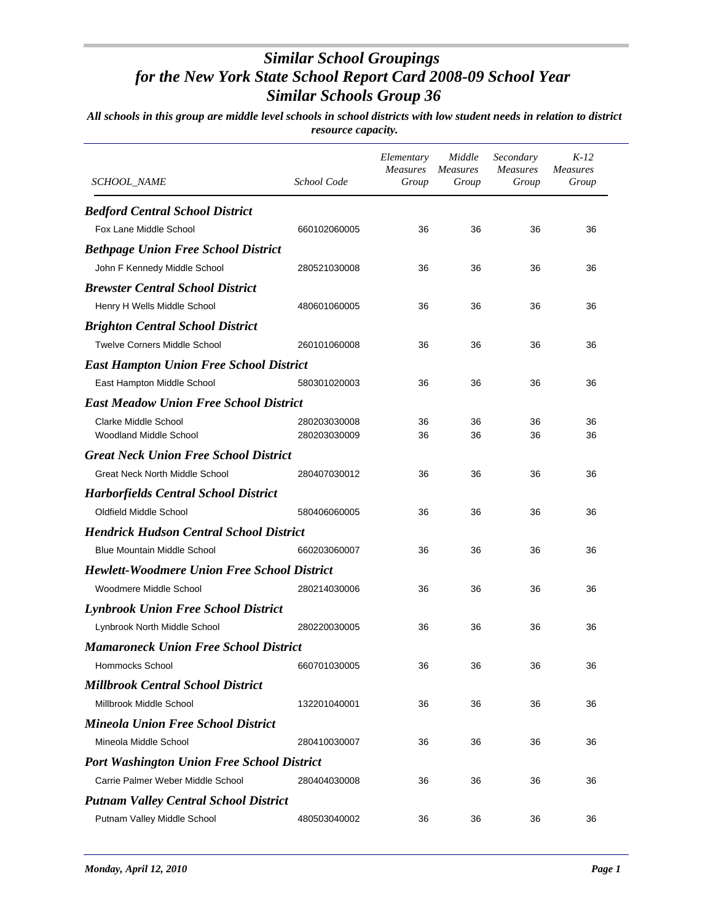| <i>SCHOOL_NAME</i>                                 | School Code  | Elementary<br><b>Measures</b><br>Group | Middle<br><i>Measures</i><br>Group | Secondary<br><b>Measures</b><br>Group | $K-12$<br><b>Measures</b><br>Group |
|----------------------------------------------------|--------------|----------------------------------------|------------------------------------|---------------------------------------|------------------------------------|
| <b>Bedford Central School District</b>             |              |                                        |                                    |                                       |                                    |
| Fox Lane Middle School                             | 660102060005 | 36                                     | 36                                 | 36                                    | 36                                 |
| <b>Bethpage Union Free School District</b>         |              |                                        |                                    |                                       |                                    |
| John F Kennedy Middle School                       | 280521030008 | 36                                     | 36                                 | 36                                    | 36                                 |
| <b>Brewster Central School District</b>            |              |                                        |                                    |                                       |                                    |
| Henry H Wells Middle School                        | 480601060005 | 36                                     | 36                                 | 36                                    | 36                                 |
| <b>Brighton Central School District</b>            |              |                                        |                                    |                                       |                                    |
| <b>Twelve Corners Middle School</b>                | 260101060008 | 36                                     | 36                                 | 36                                    | 36                                 |
| <b>East Hampton Union Free School District</b>     |              |                                        |                                    |                                       |                                    |
| East Hampton Middle School                         | 580301020003 | 36                                     | 36                                 | 36                                    | 36                                 |
| <b>East Meadow Union Free School District</b>      |              |                                        |                                    |                                       |                                    |
| Clarke Middle School                               | 280203030008 | 36                                     | 36                                 | 36                                    | 36                                 |
| <b>Woodland Middle School</b>                      | 280203030009 | 36                                     | 36                                 | 36                                    | 36                                 |
| <b>Great Neck Union Free School District</b>       |              |                                        |                                    |                                       |                                    |
| <b>Great Neck North Middle School</b>              | 280407030012 | 36                                     | 36                                 | 36                                    | 36                                 |
| <b>Harborfields Central School District</b>        |              |                                        |                                    |                                       |                                    |
| Oldfield Middle School                             | 580406060005 | 36                                     | 36                                 | 36                                    | 36                                 |
| <b>Hendrick Hudson Central School District</b>     |              |                                        |                                    |                                       |                                    |
| <b>Blue Mountain Middle School</b>                 | 660203060007 | 36                                     | 36                                 | 36                                    | 36                                 |
| <b>Hewlett-Woodmere Union Free School District</b> |              |                                        |                                    |                                       |                                    |
| Woodmere Middle School                             | 280214030006 | 36                                     | 36                                 | 36                                    | 36                                 |
| <b>Lynbrook Union Free School District</b>         |              |                                        |                                    |                                       |                                    |
| Lynbrook North Middle School                       | 280220030005 | 36                                     | 36                                 | 36                                    | 36                                 |
| <b>Mamaroneck Union Free School District</b>       |              |                                        |                                    |                                       |                                    |
| Hommocks School                                    | 660701030005 | 36                                     | 36                                 | 36                                    | 36                                 |
| <b>Millbrook Central School District</b>           |              |                                        |                                    |                                       |                                    |
| Millbrook Middle School                            | 132201040001 | 36                                     | 36                                 | 36                                    | 36                                 |
| <b>Mineola Union Free School District</b>          |              |                                        |                                    |                                       |                                    |
| Mineola Middle School                              | 280410030007 | 36                                     | 36                                 | 36                                    | 36                                 |
| <b>Port Washington Union Free School District</b>  |              |                                        |                                    |                                       |                                    |
| Carrie Palmer Weber Middle School                  | 280404030008 | 36                                     | 36                                 | 36                                    | 36                                 |
| <b>Putnam Valley Central School District</b>       |              |                                        |                                    |                                       |                                    |
| Putnam Valley Middle School                        | 480503040002 | 36                                     | 36                                 | 36                                    | 36                                 |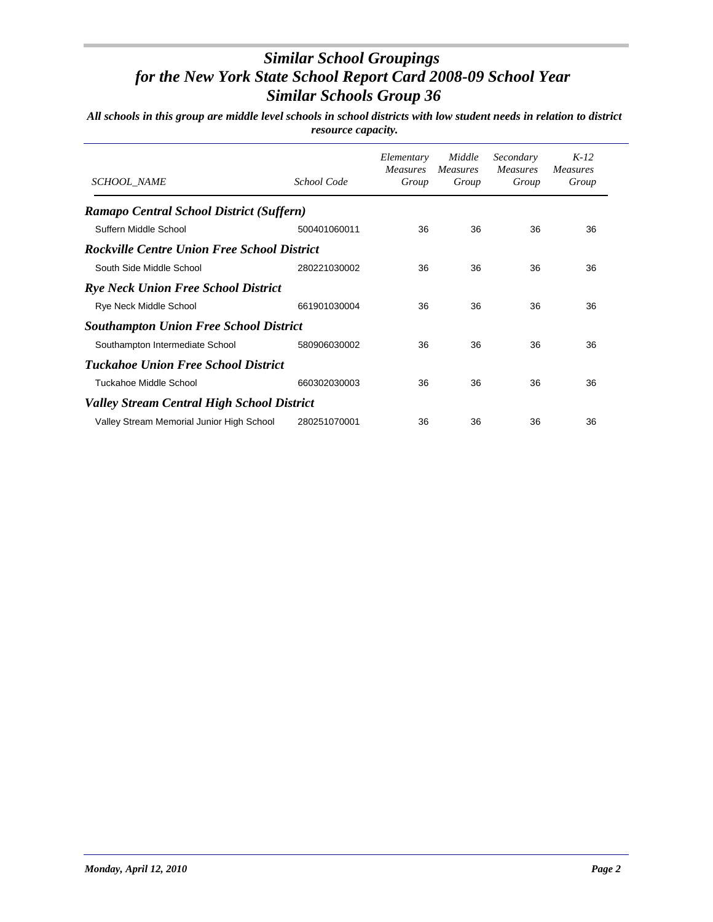| <b>SCHOOL NAME</b>                                 | School Code  | Elementary<br><b>Measures</b><br>Group | Middle<br><i>Measures</i><br>Group | Secondary<br><i>Measures</i><br>Group | $K-12$<br><i>Measures</i><br>Group |
|----------------------------------------------------|--------------|----------------------------------------|------------------------------------|---------------------------------------|------------------------------------|
| Ramapo Central School District (Suffern)           |              |                                        |                                    |                                       |                                    |
| Suffern Middle School                              | 500401060011 | 36                                     | 36                                 | 36                                    | 36                                 |
| <b>Rockville Centre Union Free School District</b> |              |                                        |                                    |                                       |                                    |
| South Side Middle School                           | 280221030002 | 36                                     | 36                                 | 36                                    | 36                                 |
| <b>Rye Neck Union Free School District</b>         |              |                                        |                                    |                                       |                                    |
| Rye Neck Middle School                             | 661901030004 | 36                                     | 36                                 | 36                                    | 36                                 |
| <b>Southampton Union Free School District</b>      |              |                                        |                                    |                                       |                                    |
| Southampton Intermediate School                    | 580906030002 | 36                                     | 36                                 | 36                                    | 36                                 |
| <b>Tuckahoe Union Free School District</b>         |              |                                        |                                    |                                       |                                    |
| Tuckahoe Middle School                             | 660302030003 | 36                                     | 36                                 | 36                                    | 36                                 |
| <b>Valley Stream Central High School District</b>  |              |                                        |                                    |                                       |                                    |
| Valley Stream Memorial Junior High School          | 280251070001 | 36                                     | 36                                 | 36                                    | 36                                 |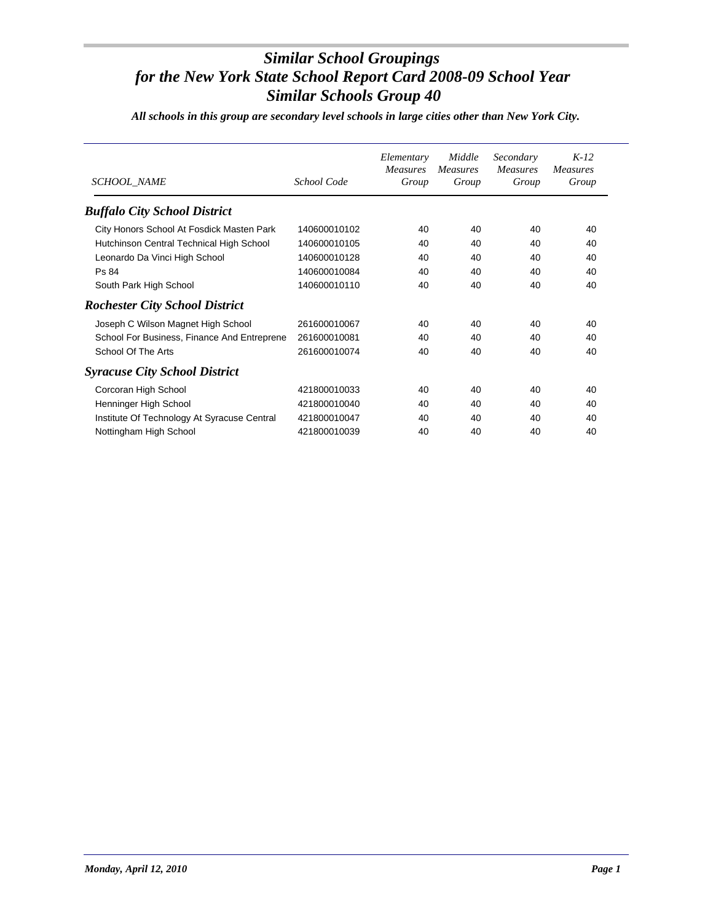*All schools in this group are secondary level schools in large cities other than New York City.*

| <b>SCHOOL NAME</b>                          | School Code  | Elementary<br><b>Measures</b><br>Group | Middle<br><b>Measures</b><br>Group | Secondary<br><b>Measures</b><br>Group | $K-12$<br>Measures<br>Group |
|---------------------------------------------|--------------|----------------------------------------|------------------------------------|---------------------------------------|-----------------------------|
| <b>Buffalo City School District</b>         |              |                                        |                                    |                                       |                             |
| City Honors School At Fosdick Masten Park   | 140600010102 | 40                                     | 40                                 | 40                                    | 40                          |
| Hutchinson Central Technical High School    | 140600010105 | 40                                     | 40                                 | 40                                    | 40                          |
| Leonardo Da Vinci High School               | 140600010128 | 40                                     | 40                                 | 40                                    | 40                          |
| Ps 84                                       | 140600010084 | 40                                     | 40                                 | 40                                    | 40                          |
| South Park High School                      | 140600010110 | 40                                     | 40                                 | 40                                    | 40                          |
| <b>Rochester City School District</b>       |              |                                        |                                    |                                       |                             |
| Joseph C Wilson Magnet High School          | 261600010067 | 40                                     | 40                                 | 40                                    | 40                          |
| School For Business, Finance And Entreprene | 261600010081 | 40                                     | 40                                 | 40                                    | 40                          |
| School Of The Arts                          | 261600010074 | 40                                     | 40                                 | 40                                    | 40                          |
| <b>Syracuse City School District</b>        |              |                                        |                                    |                                       |                             |
| Corcoran High School                        | 421800010033 | 40                                     | 40                                 | 40                                    | 40                          |
| Henninger High School                       | 421800010040 | 40                                     | 40                                 | 40                                    | 40                          |
| Institute Of Technology At Syracuse Central | 421800010047 | 40                                     | 40                                 | 40                                    | 40                          |
| Nottingham High School                      | 421800010039 | 40                                     | 40                                 | 40                                    | 40                          |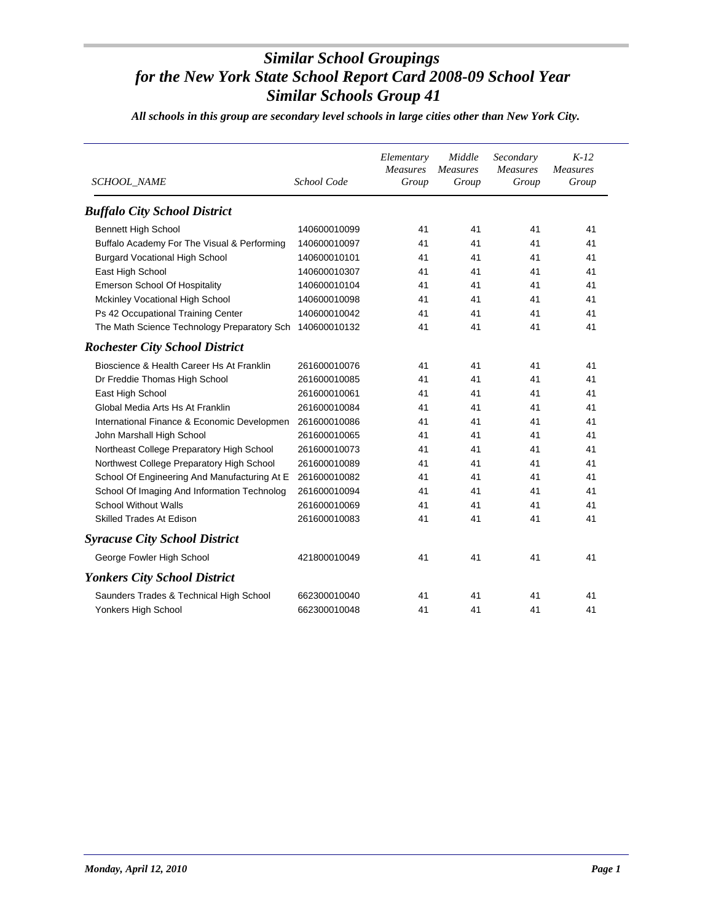*All schools in this group are secondary level schools in large cities other than New York City.*

| <b>SCHOOL_NAME</b>                           | School Code  | Elementary<br><b>Measures</b><br>Group | Middle<br><b>Measures</b><br>Group | Secondary<br><b>Measures</b><br>Group | $K-12$<br><i>Measures</i><br>Group |
|----------------------------------------------|--------------|----------------------------------------|------------------------------------|---------------------------------------|------------------------------------|
| <b>Buffalo City School District</b>          |              |                                        |                                    |                                       |                                    |
| <b>Bennett High School</b>                   | 140600010099 | 41                                     | 41                                 | 41                                    | 41                                 |
| Buffalo Academy For The Visual & Performing  | 140600010097 | 41                                     | 41                                 | 41                                    | 41                                 |
| <b>Burgard Vocational High School</b>        | 140600010101 | 41                                     | 41                                 | 41                                    | 41                                 |
| East High School                             | 140600010307 | 41                                     | 41                                 | 41                                    | 41                                 |
| <b>Emerson School Of Hospitality</b>         | 140600010104 | 41                                     | 41                                 | 41                                    | 41                                 |
| Mckinley Vocational High School              | 140600010098 | 41                                     | 41                                 | 41                                    | 41                                 |
| Ps 42 Occupational Training Center           | 140600010042 | 41                                     | 41                                 | 41                                    | 41                                 |
| The Math Science Technology Preparatory Sch  | 140600010132 | 41                                     | 41                                 | 41                                    | 41                                 |
| <b>Rochester City School District</b>        |              |                                        |                                    |                                       |                                    |
| Bioscience & Health Career Hs At Franklin    | 261600010076 | 41                                     | 41                                 | 41                                    | 41                                 |
| Dr Freddie Thomas High School                | 261600010085 | 41                                     | 41                                 | 41                                    | 41                                 |
| East High School                             | 261600010061 | 41                                     | 41                                 | 41                                    | 41                                 |
| Global Media Arts Hs At Franklin             | 261600010084 | 41                                     | 41                                 | 41                                    | 41                                 |
| International Finance & Economic Developmen  | 261600010086 | 41                                     | 41                                 | 41                                    | 41                                 |
| John Marshall High School                    | 261600010065 | 41                                     | 41                                 | 41                                    | 41                                 |
| Northeast College Preparatory High School    | 261600010073 | 41                                     | 41                                 | 41                                    | 41                                 |
| Northwest College Preparatory High School    | 261600010089 | 41                                     | 41                                 | 41                                    | 41                                 |
| School Of Engineering And Manufacturing At E | 261600010082 | 41                                     | 41                                 | 41                                    | 41                                 |
| School Of Imaging And Information Technolog  | 261600010094 | 41                                     | 41                                 | 41                                    | 41                                 |
| <b>School Without Walls</b>                  | 261600010069 | 41                                     | 41                                 | 41                                    | 41                                 |
| <b>Skilled Trades At Edison</b>              | 261600010083 | 41                                     | 41                                 | 41                                    | 41                                 |
| <b>Syracuse City School District</b>         |              |                                        |                                    |                                       |                                    |
| George Fowler High School                    | 421800010049 | 41                                     | 41                                 | 41                                    | 41                                 |
| <b>Yonkers City School District</b>          |              |                                        |                                    |                                       |                                    |
| Saunders Trades & Technical High School      | 662300010040 | 41                                     | 41                                 | 41                                    | 41                                 |
| Yonkers High School                          | 662300010048 | 41                                     | 41                                 | 41                                    | 41                                 |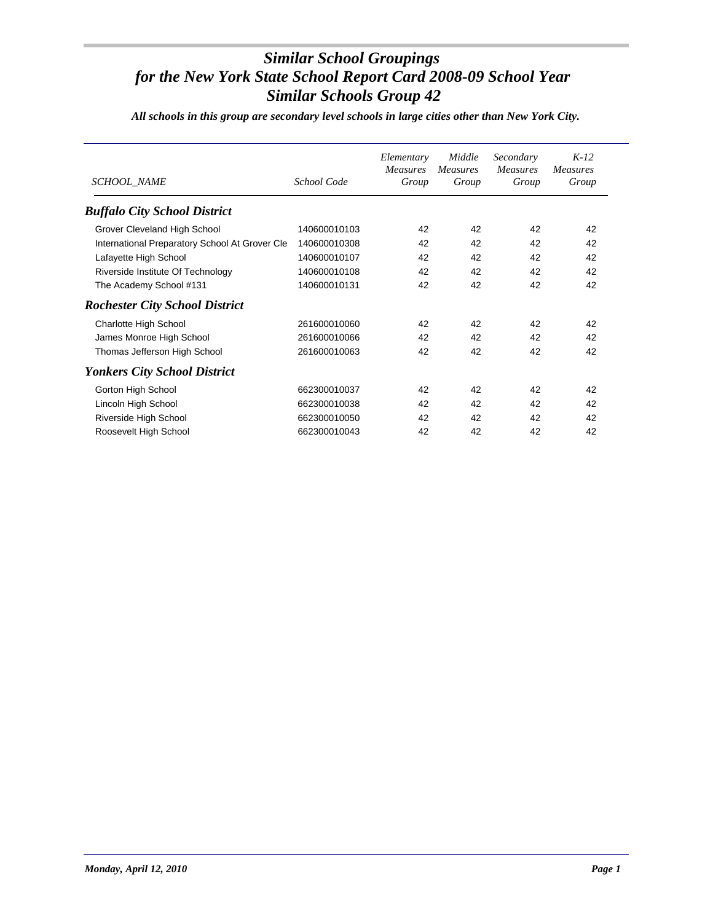*All schools in this group are secondary level schools in large cities other than New York City.*

| <b>SCHOOL NAME</b>                             | School Code  | Elementary<br>Measures<br>Group | Middle<br><b>Measures</b><br>Group | Secondary<br><i>Measures</i><br>Group | $K-12$<br><b>Measures</b><br>Group |
|------------------------------------------------|--------------|---------------------------------|------------------------------------|---------------------------------------|------------------------------------|
| <b>Buffalo City School District</b>            |              |                                 |                                    |                                       |                                    |
| Grover Cleveland High School                   | 140600010103 | 42                              | 42                                 | 42                                    | 42                                 |
| International Preparatory School At Grover Cle | 140600010308 | 42                              | 42                                 | 42                                    | 42                                 |
| Lafayette High School                          | 140600010107 | 42                              | 42                                 | 42                                    | 42                                 |
| Riverside Institute Of Technology              | 140600010108 | 42                              | 42                                 | 42                                    | 42                                 |
| The Academy School #131                        | 140600010131 | 42                              | 42                                 | 42                                    | 42                                 |
| <b>Rochester City School District</b>          |              |                                 |                                    |                                       |                                    |
| Charlotte High School                          | 261600010060 | 42                              | 42                                 | 42                                    | 42                                 |
| James Monroe High School                       | 261600010066 | 42                              | 42                                 | 42                                    | 42                                 |
| Thomas Jefferson High School                   | 261600010063 | 42                              | 42                                 | 42                                    | 42                                 |
| <b>Yonkers City School District</b>            |              |                                 |                                    |                                       |                                    |
| Gorton High School                             | 662300010037 | 42                              | 42                                 | 42                                    | 42                                 |
| Lincoln High School                            | 662300010038 | 42                              | 42                                 | 42                                    | 42                                 |
| Riverside High School                          | 662300010050 | 42                              | 42                                 | 42                                    | 42                                 |
| Roosevelt High School                          | 662300010043 | 42                              | 42                                 | 42                                    | 42                                 |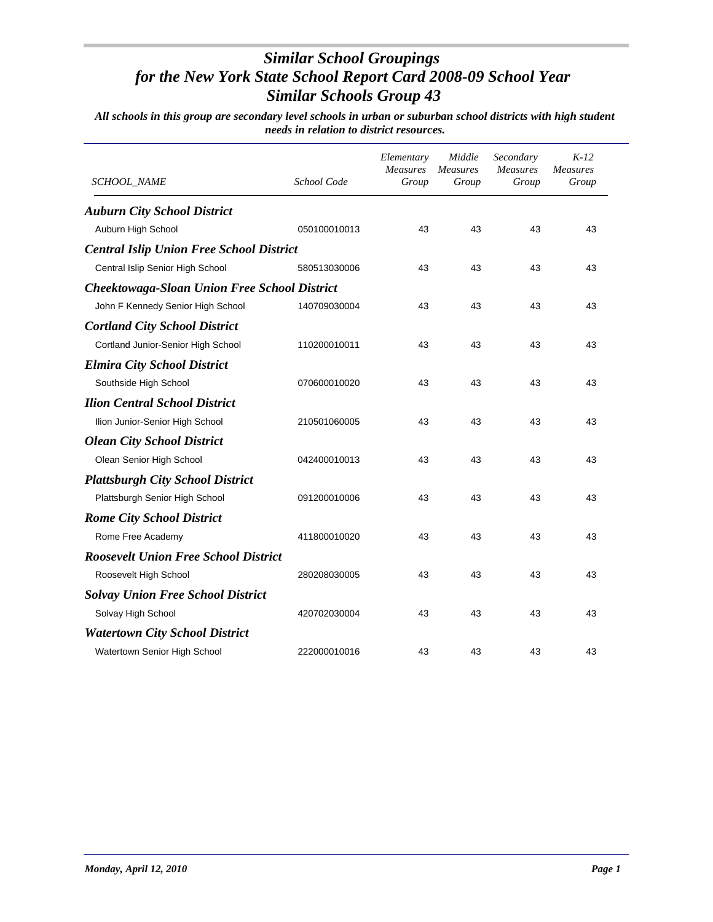| SCHOOL_NAME                                         | School Code  | Elementary<br>Measures<br>Group | Middle<br><b>Measures</b><br>Group | Secondary<br><b>Measures</b><br>Group | $K-12$<br><b>Measures</b><br>Group |
|-----------------------------------------------------|--------------|---------------------------------|------------------------------------|---------------------------------------|------------------------------------|
| <b>Auburn City School District</b>                  |              |                                 |                                    |                                       |                                    |
| Auburn High School                                  | 050100010013 | 43                              | 43                                 | 43                                    | 43                                 |
| <b>Central Islip Union Free School District</b>     |              |                                 |                                    |                                       |                                    |
| Central Islip Senior High School                    | 580513030006 | 43                              | 43                                 | 43                                    | 43                                 |
| <b>Cheektowaga-Sloan Union Free School District</b> |              |                                 |                                    |                                       |                                    |
| John F Kennedy Senior High School                   | 140709030004 | 43                              | 43                                 | 43                                    | 43                                 |
| <b>Cortland City School District</b>                |              |                                 |                                    |                                       |                                    |
| Cortland Junior-Senior High School                  | 110200010011 | 43                              | 43                                 | 43                                    | 43                                 |
| <b>Elmira City School District</b>                  |              |                                 |                                    |                                       |                                    |
| Southside High School                               | 070600010020 | 43                              | 43                                 | 43                                    | 43                                 |
| <b>Ilion Central School District</b>                |              |                                 |                                    |                                       |                                    |
| Ilion Junior-Senior High School                     | 210501060005 | 43                              | 43                                 | 43                                    | 43                                 |
| <b>Olean City School District</b>                   |              |                                 |                                    |                                       |                                    |
| Olean Senior High School                            | 042400010013 | 43                              | 43                                 | 43                                    | 43                                 |
| <b>Plattsburgh City School District</b>             |              |                                 |                                    |                                       |                                    |
| Plattsburgh Senior High School                      | 091200010006 | 43                              | 43                                 | 43                                    | 43                                 |
| <b>Rome City School District</b>                    |              |                                 |                                    |                                       |                                    |
| Rome Free Academy                                   | 411800010020 | 43                              | 43                                 | 43                                    | 43                                 |
| <b>Roosevelt Union Free School District</b>         |              |                                 |                                    |                                       |                                    |
| Roosevelt High School                               | 280208030005 | 43                              | 43                                 | 43                                    | 43                                 |
| <b>Solvay Union Free School District</b>            |              |                                 |                                    |                                       |                                    |
| Solvay High School                                  | 420702030004 | 43                              | 43                                 | 43                                    | 43                                 |
| <b>Watertown City School District</b>               |              |                                 |                                    |                                       |                                    |
| Watertown Senior High School                        | 222000010016 | 43                              | 43                                 | 43                                    | 43                                 |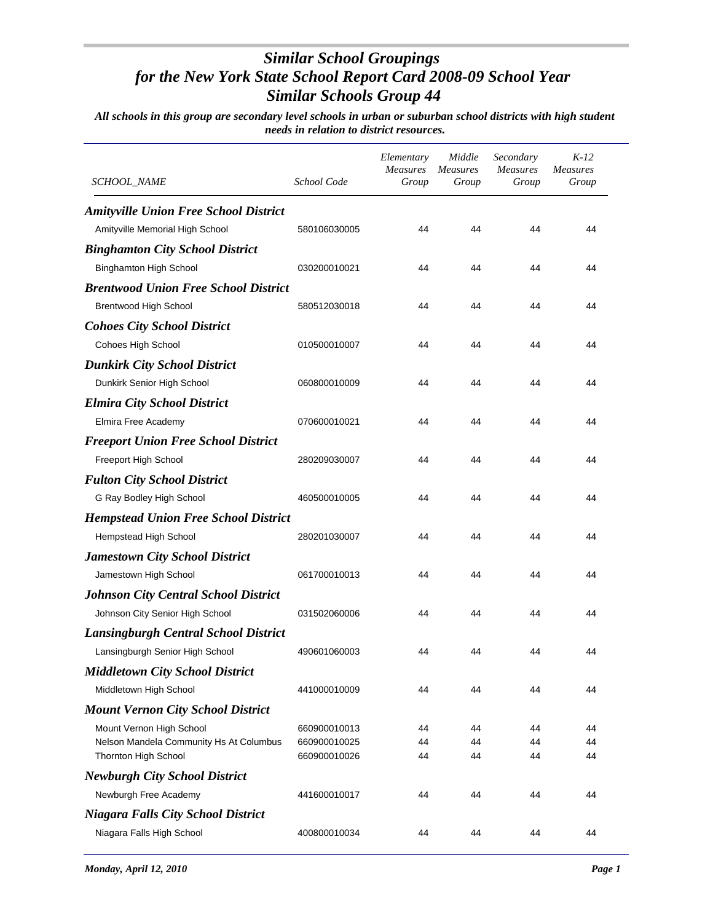| <i>SCHOOL_NAME</i>                           | School Code  | Elementary<br>Measures<br>Group | Middle<br><i>Measures</i><br>Group | Secondary<br><b>Measures</b><br>Group | $K-12$<br><b>Measures</b><br>Group |
|----------------------------------------------|--------------|---------------------------------|------------------------------------|---------------------------------------|------------------------------------|
| <b>Amityville Union Free School District</b> |              |                                 |                                    |                                       |                                    |
| Amityville Memorial High School              | 580106030005 | 44                              | 44                                 | 44                                    | 44                                 |
| <b>Binghamton City School District</b>       |              |                                 |                                    |                                       |                                    |
| <b>Binghamton High School</b>                | 030200010021 | 44                              | 44                                 | 44                                    | 44                                 |
| <b>Brentwood Union Free School District</b>  |              |                                 |                                    |                                       |                                    |
| <b>Brentwood High School</b>                 | 580512030018 | 44                              | 44                                 | 44                                    | 44                                 |
| <b>Cohoes City School District</b>           |              |                                 |                                    |                                       |                                    |
| Cohoes High School                           | 010500010007 | 44                              | 44                                 | 44                                    | 44                                 |
| <b>Dunkirk City School District</b>          |              |                                 |                                    |                                       |                                    |
| Dunkirk Senior High School                   | 060800010009 | 44                              | 44                                 | 44                                    | 44                                 |
| <b>Elmira City School District</b>           |              |                                 |                                    |                                       |                                    |
| Elmira Free Academy                          | 070600010021 | 44                              | 44                                 | 44                                    | 44                                 |
| <b>Freeport Union Free School District</b>   |              |                                 |                                    |                                       |                                    |
| Freeport High School                         | 280209030007 | 44                              | 44                                 | 44                                    | 44                                 |
| <b>Fulton City School District</b>           |              |                                 |                                    |                                       |                                    |
| G Ray Bodley High School                     | 460500010005 | 44                              | 44                                 | 44                                    | 44                                 |
| <b>Hempstead Union Free School District</b>  |              |                                 |                                    |                                       |                                    |
| Hempstead High School                        | 280201030007 | 44                              | 44                                 | 44                                    | 44                                 |
| <b>Jamestown City School District</b>        |              |                                 |                                    |                                       |                                    |
| Jamestown High School                        | 061700010013 | 44                              | 44                                 | 44                                    | 44                                 |
| <b>Johnson City Central School District</b>  |              |                                 |                                    |                                       |                                    |
| Johnson City Senior High School              | 031502060006 | 44                              | 44                                 | 44                                    | 44                                 |
| <b>Lansingburgh Central School District</b>  |              |                                 |                                    |                                       |                                    |
| Lansingburgh Senior High School              | 490601060003 | 44                              | 44                                 | 44                                    | 44                                 |
| <b>Middletown City School District</b>       |              |                                 |                                    |                                       |                                    |
| Middletown High School                       | 441000010009 | 44                              | 44                                 | 44                                    | 44                                 |
| <b>Mount Vernon City School District</b>     |              |                                 |                                    |                                       |                                    |
| Mount Vernon High School                     | 660900010013 | 44                              | 44                                 | 44                                    | 44                                 |
| Nelson Mandela Community Hs At Columbus      | 660900010025 | 44                              | 44                                 | 44                                    | 44                                 |
| Thornton High School                         | 660900010026 | 44                              | 44                                 | 44                                    | 44                                 |
| <b>Newburgh City School District</b>         |              |                                 |                                    |                                       |                                    |
| Newburgh Free Academy                        | 441600010017 | 44                              | 44                                 | 44                                    | 44                                 |
| <b>Niagara Falls City School District</b>    |              |                                 |                                    |                                       |                                    |
| Niagara Falls High School                    | 400800010034 | 44                              | 44                                 | 44                                    | 44                                 |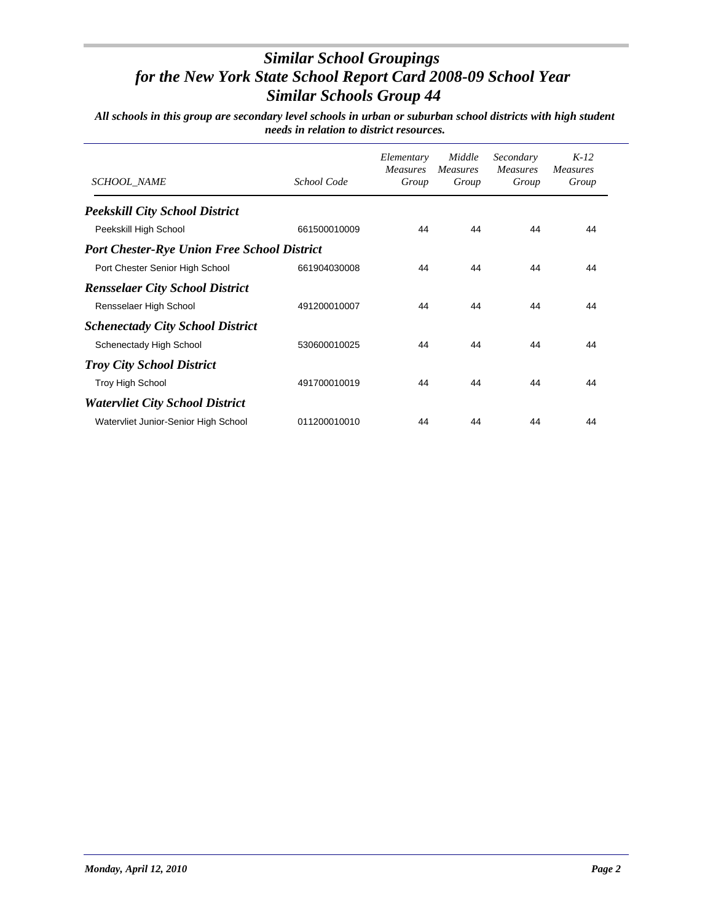| SCHOOL_NAME                                        | School Code  | Elementary<br><b>Measures</b><br>Group | Middle<br><b>Measures</b><br>Group | Secondary<br><b>Measures</b><br>Group | $K-12$<br>Measures<br>Group |
|----------------------------------------------------|--------------|----------------------------------------|------------------------------------|---------------------------------------|-----------------------------|
| <b>Peekskill City School District</b>              |              |                                        |                                    |                                       |                             |
| Peekskill High School                              | 661500010009 | 44                                     | 44                                 | 44                                    | 44                          |
| <b>Port Chester-Rye Union Free School District</b> |              |                                        |                                    |                                       |                             |
| Port Chester Senior High School                    | 661904030008 | 44                                     | 44                                 | 44                                    | 44                          |
| <b>Rensselaer City School District</b>             |              |                                        |                                    |                                       |                             |
| Rensselaer High School                             | 491200010007 | 44                                     | 44                                 | 44                                    | 44                          |
| <b>Schenectady City School District</b>            |              |                                        |                                    |                                       |                             |
| Schenectady High School                            | 530600010025 | 44                                     | 44                                 | 44                                    | 44                          |
| <b>Troy City School District</b>                   |              |                                        |                                    |                                       |                             |
| <b>Troy High School</b>                            | 491700010019 | 44                                     | 44                                 | 44                                    | 44                          |
| <b>Watervliet City School District</b>             |              |                                        |                                    |                                       |                             |
| Watervliet Junior-Senior High School               | 011200010010 | 44                                     | 44                                 | 44                                    | 44                          |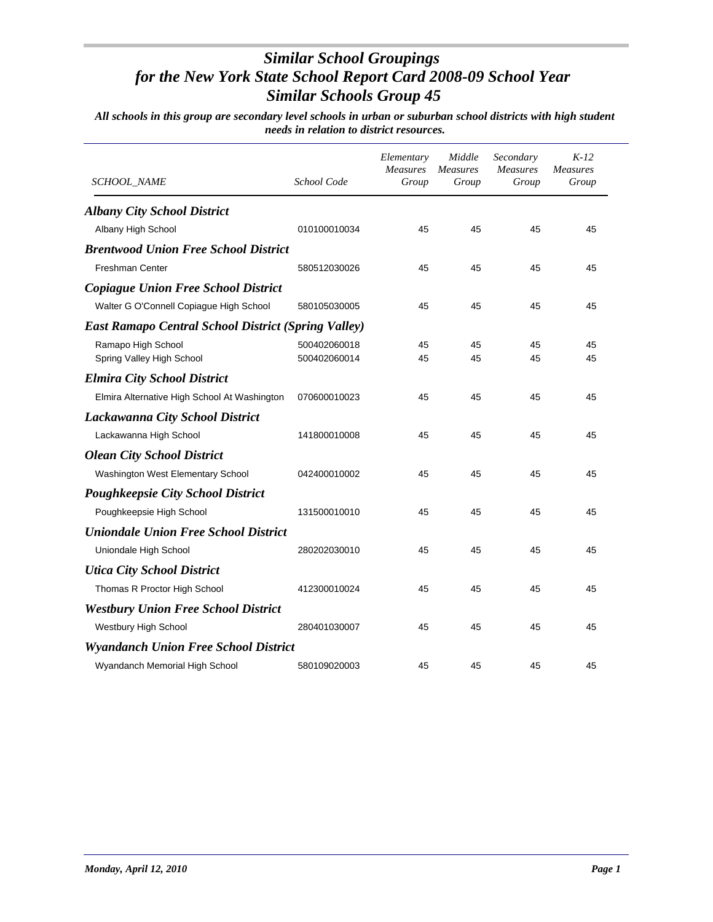| <b>SCHOOL_NAME</b>                                         | School Code  | Elementary<br><b>Measures</b><br>Group | Middle<br><b>Measures</b><br>Group | Secondary<br>Measures<br>Group | $K-12$<br><b>Measures</b><br>Group |
|------------------------------------------------------------|--------------|----------------------------------------|------------------------------------|--------------------------------|------------------------------------|
| <b>Albany City School District</b>                         |              |                                        |                                    |                                |                                    |
| Albany High School                                         | 010100010034 | 45                                     | 45                                 | 45                             | 45                                 |
| <b>Brentwood Union Free School District</b>                |              |                                        |                                    |                                |                                    |
| <b>Freshman Center</b>                                     | 580512030026 | 45                                     | 45                                 | 45                             | 45                                 |
| <b>Copiague Union Free School District</b>                 |              |                                        |                                    |                                |                                    |
| Walter G O'Connell Copiague High School                    | 580105030005 | 45                                     | 45                                 | 45                             | 45                                 |
| <b>East Ramapo Central School District (Spring Valley)</b> |              |                                        |                                    |                                |                                    |
| Ramapo High School                                         | 500402060018 | 45                                     | 45                                 | 45                             | 45                                 |
| Spring Valley High School                                  | 500402060014 | 45                                     | 45                                 | 45                             | 45                                 |
| <b>Elmira City School District</b>                         |              |                                        |                                    |                                |                                    |
| Elmira Alternative High School At Washington               | 070600010023 | 45                                     | 45                                 | 45                             | 45                                 |
| <b>Lackawanna City School District</b>                     |              |                                        |                                    |                                |                                    |
| Lackawanna High School                                     | 141800010008 | 45                                     | 45                                 | 45                             | 45                                 |
| <b>Olean City School District</b>                          |              |                                        |                                    |                                |                                    |
| Washington West Elementary School                          | 042400010002 | 45                                     | 45                                 | 45                             | 45                                 |
| Poughkeepsie City School District                          |              |                                        |                                    |                                |                                    |
| Poughkeepsie High School                                   | 131500010010 | 45                                     | 45                                 | 45                             | 45                                 |
| <b>Uniondale Union Free School District</b>                |              |                                        |                                    |                                |                                    |
| Uniondale High School                                      | 280202030010 | 45                                     | 45                                 | 45                             | 45                                 |
| <b>Utica City School District</b>                          |              |                                        |                                    |                                |                                    |
| Thomas R Proctor High School                               | 412300010024 | 45                                     | 45                                 | 45                             | 45                                 |
| <b>Westbury Union Free School District</b>                 |              |                                        |                                    |                                |                                    |
| Westbury High School                                       | 280401030007 | 45                                     | 45                                 | 45                             | 45                                 |
| <b>Wyandanch Union Free School District</b>                |              |                                        |                                    |                                |                                    |
| Wyandanch Memorial High School                             | 580109020003 | 45                                     | 45                                 | 45                             | 45                                 |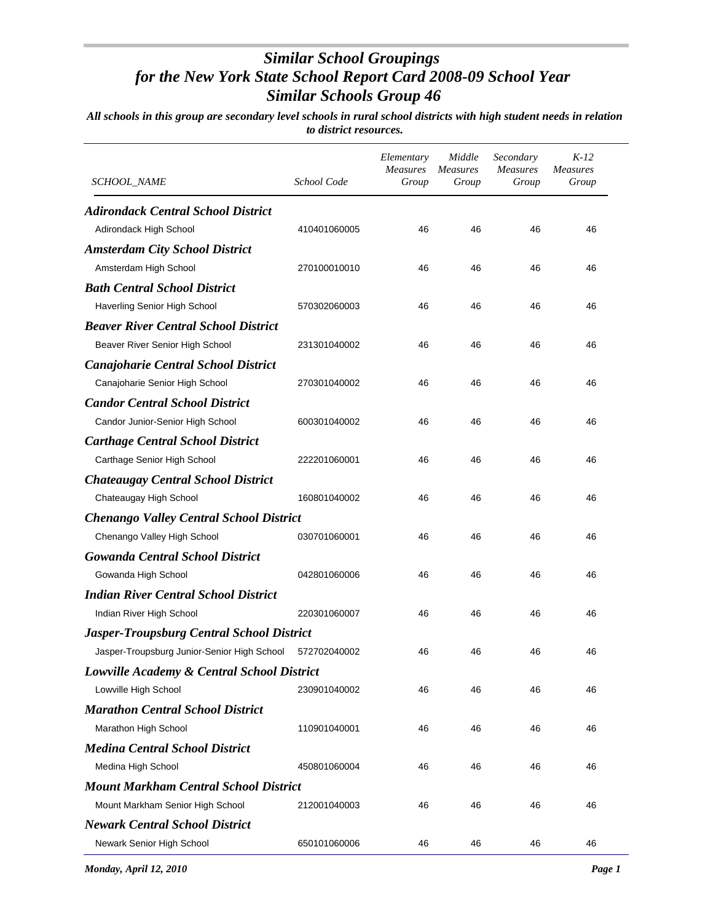| SCHOOL_NAME                                      | School Code  | Elementary<br><b>Measures</b><br>Group | Middle<br><b>Measures</b><br>Group | Secondary<br><b>Measures</b><br>Group | $K-12$<br><b>Measures</b><br>Group |
|--------------------------------------------------|--------------|----------------------------------------|------------------------------------|---------------------------------------|------------------------------------|
| <b>Adirondack Central School District</b>        |              |                                        |                                    |                                       |                                    |
| Adirondack High School                           | 410401060005 | 46                                     | 46                                 | 46                                    | 46                                 |
| <b>Amsterdam City School District</b>            |              |                                        |                                    |                                       |                                    |
| Amsterdam High School                            | 270100010010 | 46                                     | 46                                 | 46                                    | 46                                 |
| <b>Bath Central School District</b>              |              |                                        |                                    |                                       |                                    |
| Haverling Senior High School                     | 570302060003 | 46                                     | 46                                 | 46                                    | 46                                 |
| <b>Beaver River Central School District</b>      |              |                                        |                                    |                                       |                                    |
| Beaver River Senior High School                  | 231301040002 | 46                                     | 46                                 | 46                                    | 46                                 |
| <b>Canajoharie Central School District</b>       |              |                                        |                                    |                                       |                                    |
| Canajoharie Senior High School                   | 270301040002 | 46                                     | 46                                 | 46                                    | 46                                 |
| <b>Candor Central School District</b>            |              |                                        |                                    |                                       |                                    |
| Candor Junior-Senior High School                 | 600301040002 | 46                                     | 46                                 | 46                                    | 46                                 |
| <b>Carthage Central School District</b>          |              |                                        |                                    |                                       |                                    |
| Carthage Senior High School                      | 222201060001 | 46                                     | 46                                 | 46                                    | 46                                 |
| <b>Chateaugay Central School District</b>        |              |                                        |                                    |                                       |                                    |
| Chateaugay High School                           | 160801040002 | 46                                     | 46                                 | 46                                    | 46                                 |
| <b>Chenango Valley Central School District</b>   |              |                                        |                                    |                                       |                                    |
| Chenango Valley High School                      | 030701060001 | 46                                     | 46                                 | 46                                    | 46                                 |
| <b>Gowanda Central School District</b>           |              |                                        |                                    |                                       |                                    |
| Gowanda High School                              | 042801060006 | 46                                     | 46                                 | 46                                    | 46                                 |
| <b>Indian River Central School District</b>      |              |                                        |                                    |                                       |                                    |
| Indian River High School                         | 220301060007 | 46                                     | 46                                 | 46                                    | 46                                 |
| <b>Jasper-Troupsburg Central School District</b> |              |                                        |                                    |                                       |                                    |
| Jasper-Troupsburg Junior-Senior High School      | 572702040002 | 46                                     | 46                                 | 46                                    | 46                                 |
| Lowville Academy & Central School District       |              |                                        |                                    |                                       |                                    |
| Lowville High School                             | 230901040002 | 46                                     | 46                                 | 46                                    | 46                                 |
| <b>Marathon Central School District</b>          |              |                                        |                                    |                                       |                                    |
| Marathon High School                             | 110901040001 | 46                                     | 46                                 | 46                                    | 46                                 |
| <b>Medina Central School District</b>            |              |                                        |                                    |                                       |                                    |
| Medina High School                               | 450801060004 | 46                                     | 46                                 | 46                                    | 46                                 |
| <b>Mount Markham Central School District</b>     |              |                                        |                                    |                                       |                                    |
| Mount Markham Senior High School                 | 212001040003 | 46                                     | 46                                 | 46                                    | 46                                 |
| <b>Newark Central School District</b>            |              |                                        |                                    |                                       |                                    |
| Newark Senior High School                        | 650101060006 | 46                                     | 46                                 | 46                                    | 46                                 |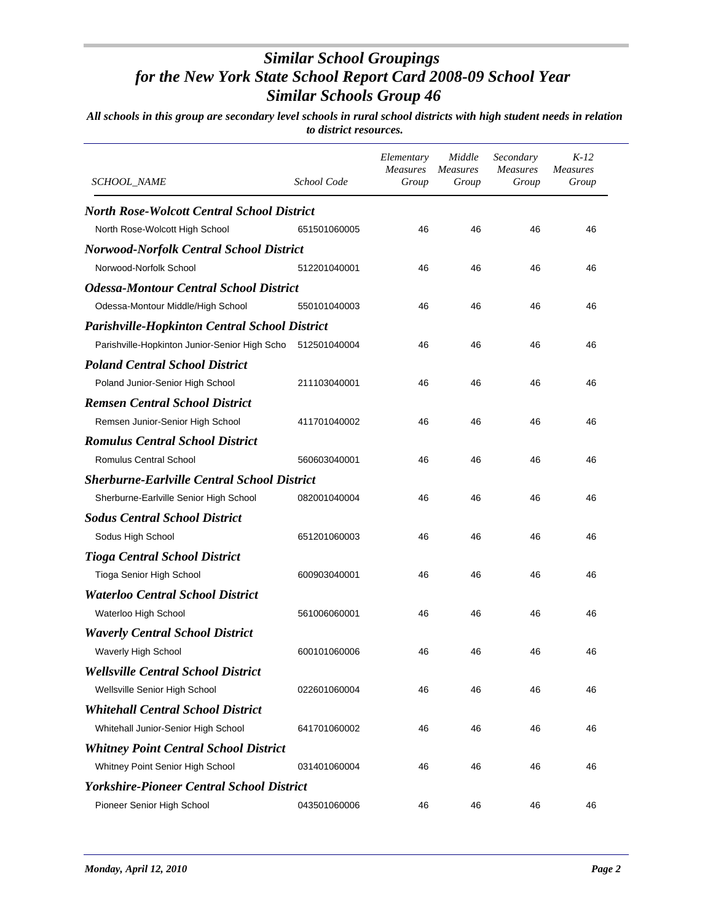| <i>SCHOOL_NAME</i>                                   | School Code  | Elementary<br><b>Measures</b><br>Group | Middle<br>Measures<br>Group | Secondary<br><b>Measures</b><br>Group | $K-12$<br><b>Measures</b><br>Group |
|------------------------------------------------------|--------------|----------------------------------------|-----------------------------|---------------------------------------|------------------------------------|
| <b>North Rose-Wolcott Central School District</b>    |              |                                        |                             |                                       |                                    |
| North Rose-Wolcott High School                       | 651501060005 | 46                                     | 46                          | 46                                    | 46                                 |
| <b>Norwood-Norfolk Central School District</b>       |              |                                        |                             |                                       |                                    |
| Norwood-Norfolk School                               | 512201040001 | 46                                     | 46                          | 46                                    | 46                                 |
| <b>Odessa-Montour Central School District</b>        |              |                                        |                             |                                       |                                    |
| Odessa-Montour Middle/High School                    | 550101040003 | 46                                     | 46                          | 46                                    | 46                                 |
| <b>Parishville-Hopkinton Central School District</b> |              |                                        |                             |                                       |                                    |
| Parishville-Hopkinton Junior-Senior High Scho        | 512501040004 | 46                                     | 46                          | 46                                    | 46                                 |
| <b>Poland Central School District</b>                |              |                                        |                             |                                       |                                    |
| Poland Junior-Senior High School                     | 211103040001 | 46                                     | 46                          | 46                                    | 46                                 |
| <b>Remsen Central School District</b>                |              |                                        |                             |                                       |                                    |
| Remsen Junior-Senior High School                     | 411701040002 | 46                                     | 46                          | 46                                    | 46                                 |
| <b>Romulus Central School District</b>               |              |                                        |                             |                                       |                                    |
| <b>Romulus Central School</b>                        | 560603040001 | 46                                     | 46                          | 46                                    | 46                                 |
| <b>Sherburne-Earlville Central School District</b>   |              |                                        |                             |                                       |                                    |
| Sherburne-Earlville Senior High School               | 082001040004 | 46                                     | 46                          | 46                                    | 46                                 |
| <b>Sodus Central School District</b>                 |              |                                        |                             |                                       |                                    |
| Sodus High School                                    | 651201060003 | 46                                     | 46                          | 46                                    | 46                                 |
| <b>Tioga Central School District</b>                 |              |                                        |                             |                                       |                                    |
| Tioga Senior High School                             | 600903040001 | 46                                     | 46                          | 46                                    | 46                                 |
| <b>Waterloo Central School District</b>              |              |                                        |                             |                                       |                                    |
| Waterloo High School                                 | 561006060001 | 46                                     | 46                          | 46                                    | 46                                 |
| <b>Waverly Central School District</b>               |              |                                        |                             |                                       |                                    |
| Waverly High School                                  | 600101060006 | 46                                     | 46                          | 46                                    | 46                                 |
| <b>Wellsville Central School District</b>            |              |                                        |                             |                                       |                                    |
| Wellsville Senior High School                        | 022601060004 | 46                                     | 46                          | 46                                    | 46                                 |
| <b>Whitehall Central School District</b>             |              |                                        |                             |                                       |                                    |
| Whitehall Junior-Senior High School                  | 641701060002 | 46                                     | 46                          | 46                                    | 46                                 |
| <b>Whitney Point Central School District</b>         |              |                                        |                             |                                       |                                    |
| Whitney Point Senior High School                     | 031401060004 | 46                                     | 46                          | 46                                    | 46                                 |
| <b>Yorkshire-Pioneer Central School District</b>     |              |                                        |                             |                                       |                                    |
| Pioneer Senior High School                           | 043501060006 | 46                                     | 46                          | 46                                    | 46                                 |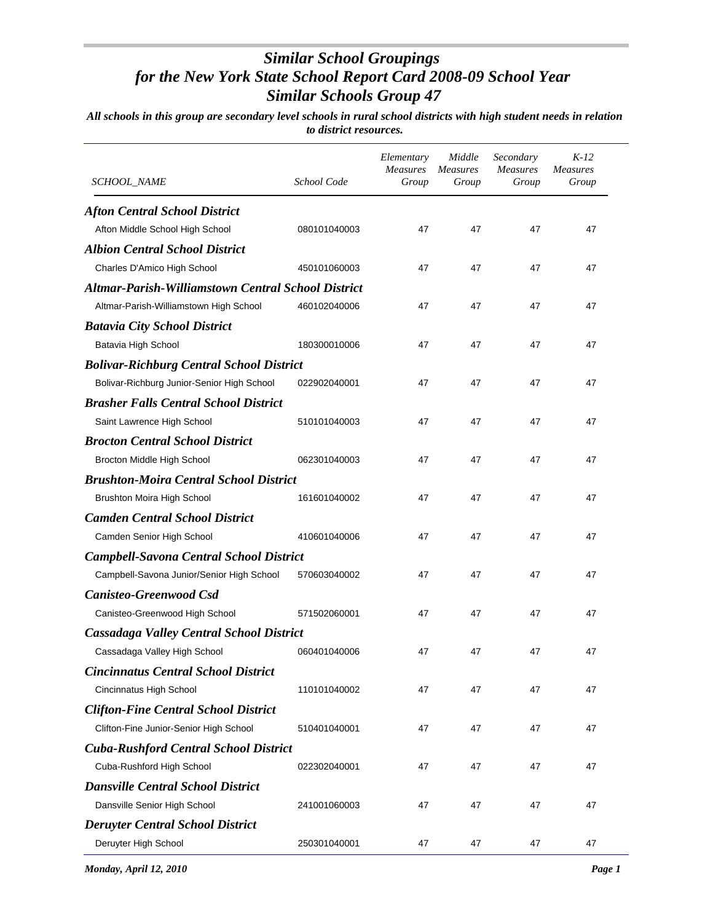| SCHOOL_NAME                                               | School Code  | Elementary<br><b>Measures</b><br>Group | Middle<br><i>Measures</i><br>Group | Secondary<br><b>Measures</b><br>Group | $K-12$<br><b>Measures</b><br>Group |
|-----------------------------------------------------------|--------------|----------------------------------------|------------------------------------|---------------------------------------|------------------------------------|
| <b>Afton Central School District</b>                      |              |                                        |                                    |                                       |                                    |
| Afton Middle School High School                           | 080101040003 | 47                                     | 47                                 | 47                                    | 47                                 |
| <b>Albion Central School District</b>                     |              |                                        |                                    |                                       |                                    |
| Charles D'Amico High School                               | 450101060003 | 47                                     | 47                                 | 47                                    | 47                                 |
| <b>Altmar-Parish-Williamstown Central School District</b> |              |                                        |                                    |                                       |                                    |
| Altmar-Parish-Williamstown High School                    | 460102040006 | 47                                     | 47                                 | 47                                    | 47                                 |
| <b>Batavia City School District</b>                       |              |                                        |                                    |                                       |                                    |
| Batavia High School                                       | 180300010006 | 47                                     | 47                                 | 47                                    | 47                                 |
| <b>Bolivar-Richburg Central School District</b>           |              |                                        |                                    |                                       |                                    |
| Bolivar-Richburg Junior-Senior High School                | 022902040001 | 47                                     | 47                                 | 47                                    | 47                                 |
| <b>Brasher Falls Central School District</b>              |              |                                        |                                    |                                       |                                    |
| Saint Lawrence High School                                | 510101040003 | 47                                     | 47                                 | 47                                    | 47                                 |
| <b>Brocton Central School District</b>                    |              |                                        |                                    |                                       |                                    |
| Brocton Middle High School                                | 062301040003 | 47                                     | 47                                 | 47                                    | 47                                 |
| <b>Brushton-Moira Central School District</b>             |              |                                        |                                    |                                       |                                    |
| <b>Brushton Moira High School</b>                         | 161601040002 | 47                                     | 47                                 | 47                                    | 47                                 |
| <b>Camden Central School District</b>                     |              |                                        |                                    |                                       |                                    |
| Camden Senior High School                                 | 410601040006 | 47                                     | 47                                 | 47                                    | 47                                 |
| <b>Campbell-Savona Central School District</b>            |              |                                        |                                    |                                       |                                    |
| Campbell-Savona Junior/Senior High School                 | 570603040002 | 47                                     | 47                                 | 47                                    | 47                                 |
| <b>Canisteo-Greenwood Csd</b>                             |              |                                        |                                    |                                       |                                    |
| Canisteo-Greenwood High School                            | 571502060001 | 47                                     | 47                                 | 47                                    | 47                                 |
| <b>Cassadaga Valley Central School District</b>           |              |                                        |                                    |                                       |                                    |
| Cassadaga Valley High School                              | 060401040006 | 47                                     | 47                                 | 47                                    | 47                                 |
| <b>Cincinnatus Central School District</b>                |              |                                        |                                    |                                       |                                    |
| Cincinnatus High School                                   | 110101040002 | 47                                     | 47                                 | 47                                    | 47                                 |
| <b>Clifton-Fine Central School District</b>               |              |                                        |                                    |                                       |                                    |
| Clifton-Fine Junior-Senior High School                    | 510401040001 | 47                                     | 47                                 | 47                                    | 47                                 |
| <b>Cuba-Rushford Central School District</b>              |              |                                        |                                    |                                       |                                    |
| Cuba-Rushford High School                                 | 022302040001 | 47                                     | 47                                 | 47                                    | 47                                 |
| <b>Dansville Central School District</b>                  |              |                                        |                                    |                                       |                                    |
| Dansville Senior High School                              | 241001060003 | 47                                     | 47                                 | 47                                    | 47                                 |
| <b>Deruyter Central School District</b>                   |              |                                        |                                    |                                       |                                    |
| Deruyter High School                                      | 250301040001 | 47                                     | 47                                 | 47                                    | 47                                 |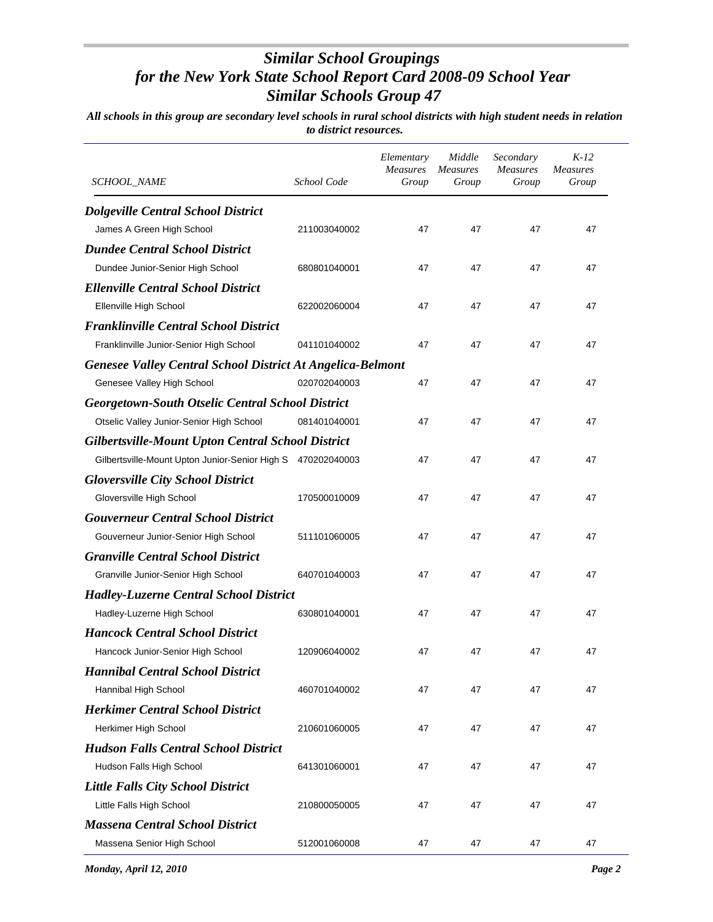| SCHOOL_NAME                                                       | School Code  | Elementary<br><b>Measures</b><br>Group | Middle<br><b>Measures</b><br>Group | Secondary<br><b>Measures</b><br>Group | $K-12$<br><b>Measures</b><br>Group |
|-------------------------------------------------------------------|--------------|----------------------------------------|------------------------------------|---------------------------------------|------------------------------------|
| <b>Dolgeville Central School District</b>                         |              |                                        |                                    |                                       |                                    |
| James A Green High School                                         | 211003040002 | 47                                     | 47                                 | 47                                    | 47                                 |
| <b>Dundee Central School District</b>                             |              |                                        |                                    |                                       |                                    |
| Dundee Junior-Senior High School                                  | 680801040001 | 47                                     | 47                                 | 47                                    | 47                                 |
| <b>Ellenville Central School District</b>                         |              |                                        |                                    |                                       |                                    |
| Ellenville High School                                            | 622002060004 | 47                                     | 47                                 | 47                                    | 47                                 |
| <b>Franklinville Central School District</b>                      |              |                                        |                                    |                                       |                                    |
| Franklinville Junior-Senior High School                           | 041101040002 | 47                                     | 47                                 | 47                                    | 47                                 |
| <b>Genesee Valley Central School District At Angelica-Belmont</b> |              |                                        |                                    |                                       |                                    |
| Genesee Valley High School                                        | 020702040003 | 47                                     | 47                                 | 47                                    | 47                                 |
| <b>Georgetown-South Otselic Central School District</b>           |              |                                        |                                    |                                       |                                    |
| Otselic Valley Junior-Senior High School                          | 081401040001 | 47                                     | 47                                 | 47                                    | 47                                 |
| <b>Gilbertsville-Mount Upton Central School District</b>          |              |                                        |                                    |                                       |                                    |
| Gilbertsville-Mount Upton Junior-Senior High S 470202040003       |              | 47                                     | 47                                 | 47                                    | 47                                 |
| <b>Gloversville City School District</b>                          |              |                                        |                                    |                                       |                                    |
| Gloversville High School                                          | 170500010009 | 47                                     | 47                                 | 47                                    | 47                                 |
| <b>Gouverneur Central School District</b>                         |              |                                        |                                    |                                       |                                    |
| Gouverneur Junior-Senior High School                              | 511101060005 | 47                                     | 47                                 | 47                                    | 47                                 |
| <b>Granville Central School District</b>                          |              |                                        |                                    |                                       |                                    |
| Granville Junior-Senior High School                               | 640701040003 | 47                                     | 47                                 | 47                                    | 47                                 |
| <b>Hadley-Luzerne Central School District</b>                     |              |                                        |                                    |                                       |                                    |
| Hadley-Luzerne High School                                        | 630801040001 | 47                                     | 47                                 | 47                                    | 47                                 |
| <b>Hancock Central School District</b>                            |              |                                        |                                    |                                       |                                    |
| Hancock Junior-Senior High School                                 | 120906040002 | 47                                     | 47                                 | 47                                    | 47                                 |
| <b>Hannibal Central School District</b>                           |              |                                        |                                    |                                       |                                    |
| Hannibal High School                                              | 460701040002 | 47                                     | 47                                 | 47                                    | 47                                 |
| <b>Herkimer Central School District</b>                           |              |                                        |                                    |                                       |                                    |
| Herkimer High School                                              | 210601060005 | 47                                     | 47                                 | 47                                    | 47                                 |
| <b>Hudson Falls Central School District</b>                       |              |                                        |                                    |                                       |                                    |
| Hudson Falls High School                                          | 641301060001 | 47                                     | 47                                 | 47                                    | 47                                 |
| <b>Little Falls City School District</b>                          |              |                                        |                                    |                                       |                                    |
| Little Falls High School                                          | 210800050005 | 47                                     | 47                                 | 47                                    | 47                                 |
| <b>Massena Central School District</b>                            |              |                                        |                                    |                                       |                                    |
| Massena Senior High School                                        | 512001060008 | 47                                     | 47                                 | 47                                    | 47                                 |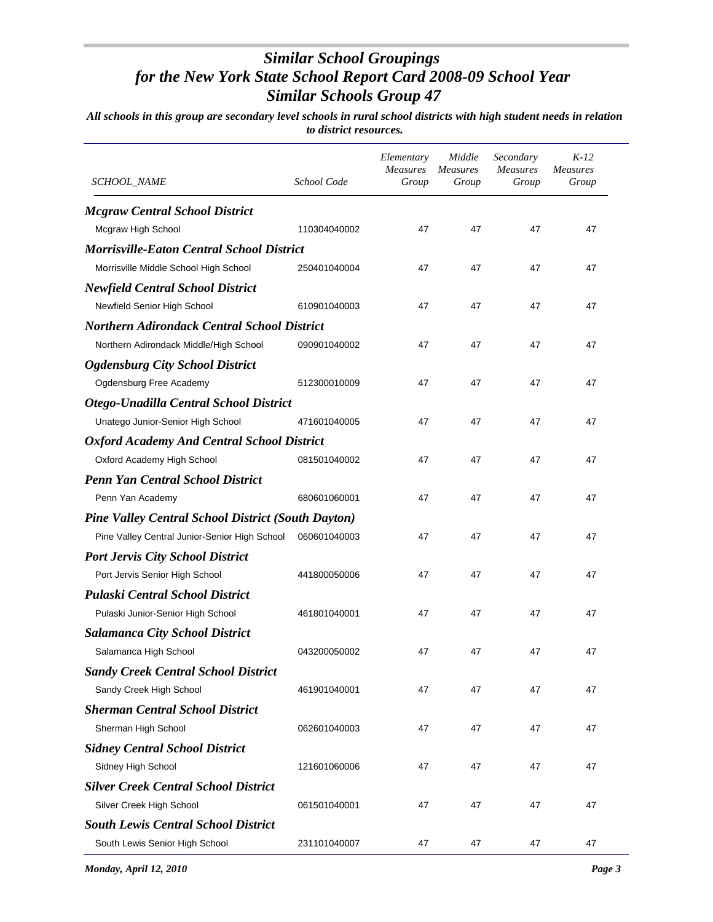| <b>SCHOOL_NAME</b>                                        | School Code  | Elementary<br><b>Measures</b><br>Group | Middle<br>Measures<br>Group | Secondary<br><i>Measures</i><br>Group | $K-12$<br><b>Measures</b><br>Group |
|-----------------------------------------------------------|--------------|----------------------------------------|-----------------------------|---------------------------------------|------------------------------------|
| <b>Mcgraw Central School District</b>                     |              |                                        |                             |                                       |                                    |
| Mcgraw High School                                        | 110304040002 | 47                                     | 47                          | 47                                    | 47                                 |
| <b>Morrisville-Eaton Central School District</b>          |              |                                        |                             |                                       |                                    |
| Morrisville Middle School High School                     | 250401040004 | 47                                     | 47                          | 47                                    | 47                                 |
| <b>Newfield Central School District</b>                   |              |                                        |                             |                                       |                                    |
| Newfield Senior High School                               | 610901040003 | 47                                     | 47                          | 47                                    | 47                                 |
| <b>Northern Adirondack Central School District</b>        |              |                                        |                             |                                       |                                    |
| Northern Adirondack Middle/High School                    | 090901040002 | 47                                     | 47                          | 47                                    | 47                                 |
| <b>Ogdensburg City School District</b>                    |              |                                        |                             |                                       |                                    |
| Ogdensburg Free Academy                                   | 512300010009 | 47                                     | 47                          | 47                                    | 47                                 |
| Otego-Unadilla Central School District                    |              |                                        |                             |                                       |                                    |
| Unatego Junior-Senior High School                         | 471601040005 | 47                                     | 47                          | 47                                    | 47                                 |
| <b>Oxford Academy And Central School District</b>         |              |                                        |                             |                                       |                                    |
| Oxford Academy High School                                | 081501040002 | 47                                     | 47                          | 47                                    | 47                                 |
| <b>Penn Yan Central School District</b>                   |              |                                        |                             |                                       |                                    |
| Penn Yan Academy                                          | 680601060001 | 47                                     | 47                          | 47                                    | 47                                 |
| <b>Pine Valley Central School District (South Dayton)</b> |              |                                        |                             |                                       |                                    |
| Pine Valley Central Junior-Senior High School             | 060601040003 | 47                                     | 47                          | 47                                    | 47                                 |
| <b>Port Jervis City School District</b>                   |              |                                        |                             |                                       |                                    |
| Port Jervis Senior High School                            | 441800050006 | 47                                     | 47                          | 47                                    | 47                                 |
| <b>Pulaski Central School District</b>                    |              |                                        |                             |                                       |                                    |
| Pulaski Junior-Senior High School                         | 461801040001 | 47                                     | 47                          | 47                                    | 47                                 |
| <b>Salamanca City School District</b>                     |              |                                        |                             |                                       |                                    |
| Salamanca High School                                     | 043200050002 | 47                                     | 47                          | 47                                    | 47                                 |
| <b>Sandy Creek Central School District</b>                |              |                                        |                             |                                       |                                    |
| Sandy Creek High School                                   | 461901040001 | 47                                     | 47                          | 47                                    | 47                                 |
| <b>Sherman Central School District</b>                    |              |                                        |                             |                                       |                                    |
| Sherman High School                                       | 062601040003 | 47                                     | 47                          | 47                                    | 47                                 |
| <b>Sidney Central School District</b>                     |              |                                        |                             |                                       |                                    |
| Sidney High School                                        | 121601060006 | 47                                     | 47                          | 47                                    | 47                                 |
| <b>Silver Creek Central School District</b>               |              |                                        |                             |                                       |                                    |
| Silver Creek High School                                  | 061501040001 | 47                                     | 47                          | 47                                    | 47                                 |
| <b>South Lewis Central School District</b>                |              |                                        |                             |                                       |                                    |
| South Lewis Senior High School                            | 231101040007 | 47                                     | 47                          | 47                                    | 47                                 |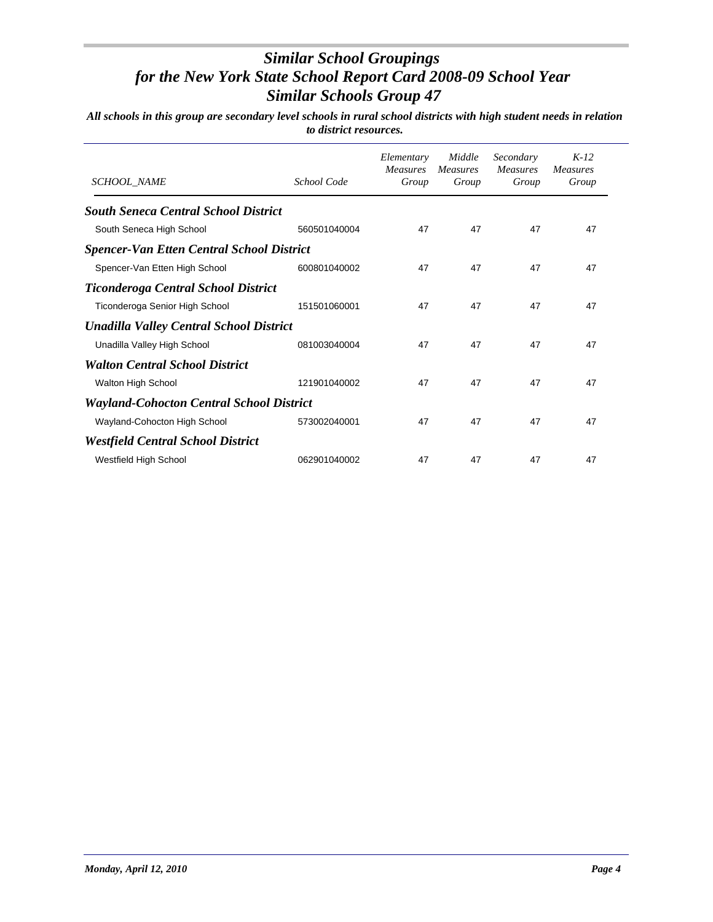| <b>SCHOOL NAME</b>                               | School Code  | Elementary<br><b>Measures</b><br>Group | Middle<br><b>Measures</b><br>Group | Secondary<br><b>Measures</b><br>Group | $K-12$<br><b>Measures</b><br>Group |
|--------------------------------------------------|--------------|----------------------------------------|------------------------------------|---------------------------------------|------------------------------------|
| <b>South Seneca Central School District</b>      |              |                                        |                                    |                                       |                                    |
| South Seneca High School                         | 560501040004 | 47                                     | 47                                 | 47                                    | 47                                 |
| <b>Spencer-Van Etten Central School District</b> |              |                                        |                                    |                                       |                                    |
| Spencer-Van Etten High School                    | 600801040002 | 47                                     | 47                                 | 47                                    | 47                                 |
| <b>Ticonderoga Central School District</b>       |              |                                        |                                    |                                       |                                    |
| Ticonderoga Senior High School                   | 151501060001 | 47                                     | 47                                 | 47                                    | 47                                 |
| <b>Unadilla Valley Central School District</b>   |              |                                        |                                    |                                       |                                    |
| Unadilla Valley High School                      | 081003040004 | 47                                     | 47                                 | 47                                    | 47                                 |
| <b>Walton Central School District</b>            |              |                                        |                                    |                                       |                                    |
| Walton High School                               | 121901040002 | 47                                     | 47                                 | 47                                    | 47                                 |
| <b>Wayland-Cohocton Central School District</b>  |              |                                        |                                    |                                       |                                    |
| Wayland-Cohocton High School                     | 573002040001 | 47                                     | 47                                 | 47                                    | 47                                 |
| <b>Westfield Central School District</b>         |              |                                        |                                    |                                       |                                    |
| Westfield High School                            | 062901040002 | 47                                     | 47                                 | 47                                    | 47                                 |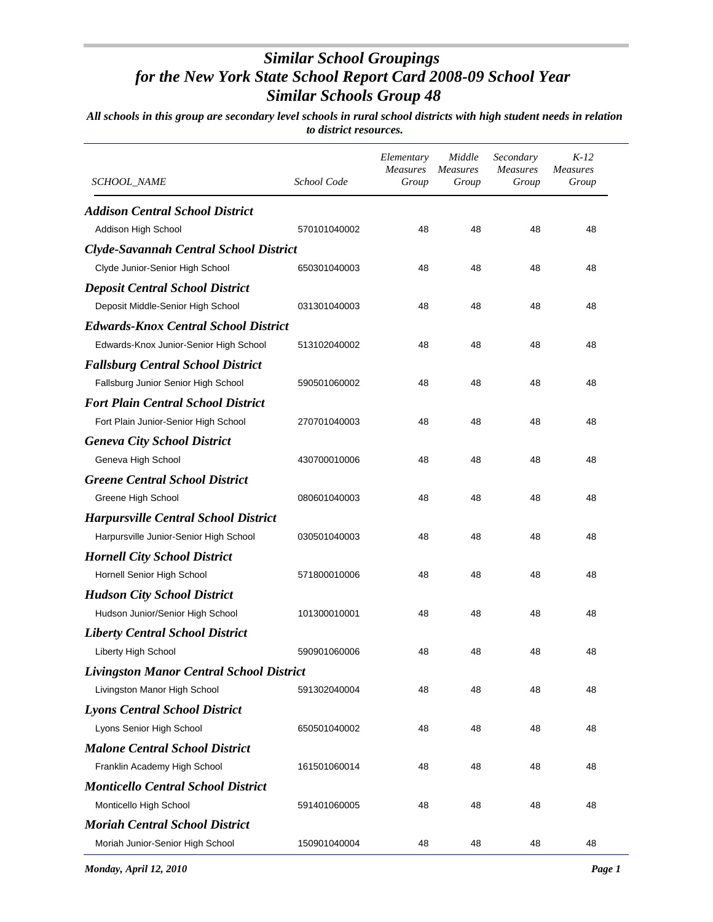| SCHOOL_NAME                                     | School Code  | Elementary<br><b>Measures</b><br>Group | Middle<br><b>Measures</b><br>Group | Secondary<br><b>Measures</b><br>Group | $K-12$<br><b>Measures</b><br>Group |
|-------------------------------------------------|--------------|----------------------------------------|------------------------------------|---------------------------------------|------------------------------------|
| <b>Addison Central School District</b>          |              |                                        |                                    |                                       |                                    |
| Addison High School                             | 570101040002 | 48                                     | 48                                 | 48                                    | 48                                 |
| <b>Clyde-Savannah Central School District</b>   |              |                                        |                                    |                                       |                                    |
| Clyde Junior-Senior High School                 | 650301040003 | 48                                     | 48                                 | 48                                    | 48                                 |
| <b>Deposit Central School District</b>          |              |                                        |                                    |                                       |                                    |
| Deposit Middle-Senior High School               | 031301040003 | 48                                     | 48                                 | 48                                    | 48                                 |
| <b>Edwards-Knox Central School District</b>     |              |                                        |                                    |                                       |                                    |
| Edwards-Knox Junior-Senior High School          | 513102040002 | 48                                     | 48                                 | 48                                    | 48                                 |
| <b>Fallsburg Central School District</b>        |              |                                        |                                    |                                       |                                    |
| Fallsburg Junior Senior High School             | 590501060002 | 48                                     | 48                                 | 48                                    | 48                                 |
| <b>Fort Plain Central School District</b>       |              |                                        |                                    |                                       |                                    |
| Fort Plain Junior-Senior High School            | 270701040003 | 48                                     | 48                                 | 48                                    | 48                                 |
| <b>Geneva City School District</b>              |              |                                        |                                    |                                       |                                    |
| Geneva High School                              | 430700010006 | 48                                     | 48                                 | 48                                    | 48                                 |
| <b>Greene Central School District</b>           |              |                                        |                                    |                                       |                                    |
| Greene High School                              | 080601040003 | 48                                     | 48                                 | 48                                    | 48                                 |
| <b>Harpursville Central School District</b>     |              |                                        |                                    |                                       |                                    |
| Harpursville Junior-Senior High School          | 030501040003 | 48                                     | 48                                 | 48                                    | 48                                 |
| <b>Hornell City School District</b>             |              |                                        |                                    |                                       |                                    |
| Hornell Senior High School                      | 571800010006 | 48                                     | 48                                 | 48                                    | 48                                 |
| <b>Hudson City School District</b>              |              |                                        |                                    |                                       |                                    |
| Hudson Junior/Senior High School                | 101300010001 | 48                                     | 48                                 | 48                                    | 48                                 |
| <b>Liberty Central School District</b>          |              |                                        |                                    |                                       |                                    |
| <b>Liberty High School</b>                      | 590901060006 | 48                                     | 48                                 | 48                                    | 48                                 |
| <b>Livingston Manor Central School District</b> |              |                                        |                                    |                                       |                                    |
| Livingston Manor High School                    | 591302040004 | 48                                     | 48                                 | 48                                    | 48                                 |
| <b>Lyons Central School District</b>            |              |                                        |                                    |                                       |                                    |
| Lyons Senior High School                        | 650501040002 | 48                                     | 48                                 | 48                                    | 48                                 |
| <b>Malone Central School District</b>           |              |                                        |                                    |                                       |                                    |
| Franklin Academy High School                    | 161501060014 | 48                                     | 48                                 | 48                                    | 48                                 |
| <b>Monticello Central School District</b>       |              |                                        |                                    |                                       |                                    |
| Monticello High School                          | 591401060005 | 48                                     | 48                                 | 48                                    | 48                                 |
| <b>Moriah Central School District</b>           |              |                                        |                                    |                                       |                                    |
| Moriah Junior-Senior High School                | 150901040004 | 48                                     | 48                                 | 48                                    | 48                                 |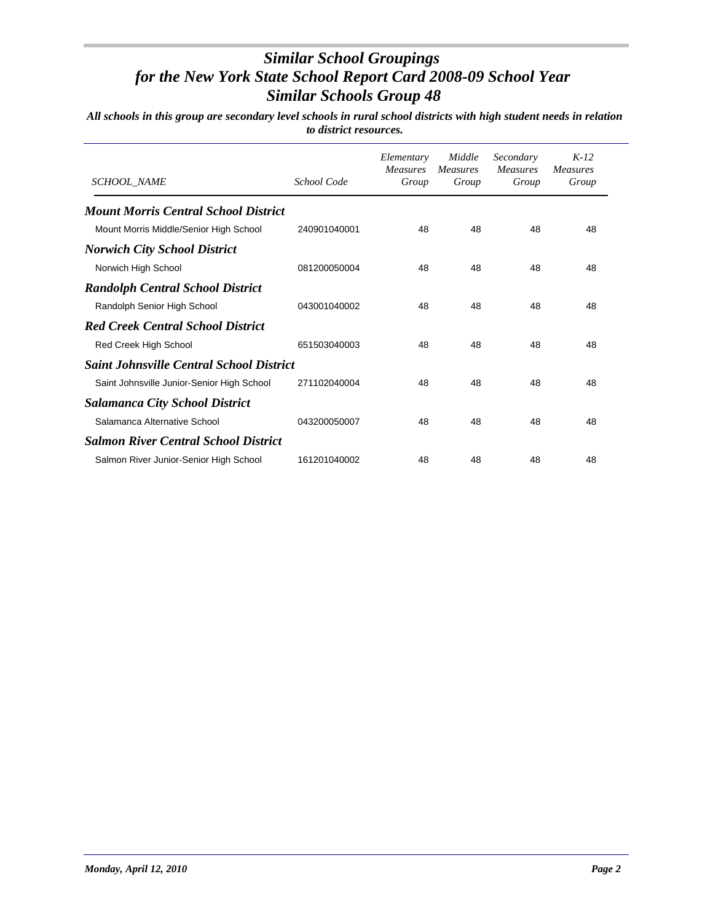| <b>SCHOOL NAME</b>                              | School Code  | Elementary<br><b>Measures</b><br>Group | Middle<br><b>Measures</b><br>Group | Secondary<br><b>Measures</b><br>Group | $K-12$<br><b>Measures</b><br>Group |
|-------------------------------------------------|--------------|----------------------------------------|------------------------------------|---------------------------------------|------------------------------------|
| <b>Mount Morris Central School District</b>     |              |                                        |                                    |                                       |                                    |
| Mount Morris Middle/Senior High School          | 240901040001 | 48                                     | 48                                 | 48                                    | 48                                 |
| <b>Norwich City School District</b>             |              |                                        |                                    |                                       |                                    |
| Norwich High School                             | 081200050004 | 48                                     | 48                                 | 48                                    | 48                                 |
| <b>Randolph Central School District</b>         |              |                                        |                                    |                                       |                                    |
| Randolph Senior High School                     | 043001040002 | 48                                     | 48                                 | 48                                    | 48                                 |
| <b>Red Creek Central School District</b>        |              |                                        |                                    |                                       |                                    |
| Red Creek High School                           | 651503040003 | 48                                     | 48                                 | 48                                    | 48                                 |
| <b>Saint Johnsville Central School District</b> |              |                                        |                                    |                                       |                                    |
| Saint Johnsville Junior-Senior High School      | 271102040004 | 48                                     | 48                                 | 48                                    | 48                                 |
| <b>Salamanca City School District</b>           |              |                                        |                                    |                                       |                                    |
| Salamanca Alternative School                    | 043200050007 | 48                                     | 48                                 | 48                                    | 48                                 |
| <b>Salmon River Central School District</b>     |              |                                        |                                    |                                       |                                    |
| Salmon River Junior-Senior High School          | 161201040002 | 48                                     | 48                                 | 48                                    | 48                                 |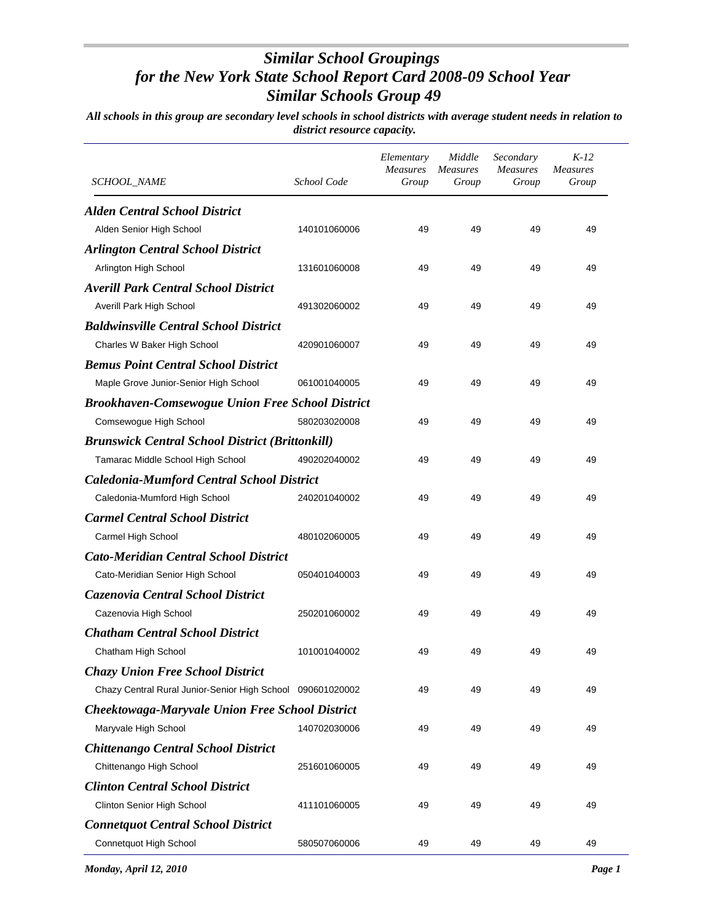| <b>SCHOOL_NAME</b>                                         | School Code  | Elementary<br>Measures<br>Group | Middle<br><i>Measures</i><br>Group | Secondary<br><b>Measures</b><br>Group | $K-12$<br><b>Measures</b><br>Group |
|------------------------------------------------------------|--------------|---------------------------------|------------------------------------|---------------------------------------|------------------------------------|
| <b>Alden Central School District</b>                       |              |                                 |                                    |                                       |                                    |
| Alden Senior High School                                   | 140101060006 | 49                              | 49                                 | 49                                    | 49                                 |
| <b>Arlington Central School District</b>                   |              |                                 |                                    |                                       |                                    |
| Arlington High School                                      | 131601060008 | 49                              | 49                                 | 49                                    | 49                                 |
| <b>Averill Park Central School District</b>                |              |                                 |                                    |                                       |                                    |
| Averill Park High School                                   | 491302060002 | 49                              | 49                                 | 49                                    | 49                                 |
| <b>Baldwinsville Central School District</b>               |              |                                 |                                    |                                       |                                    |
| Charles W Baker High School                                | 420901060007 | 49                              | 49                                 | 49                                    | 49                                 |
| <b>Bemus Point Central School District</b>                 |              |                                 |                                    |                                       |                                    |
| Maple Grove Junior-Senior High School                      | 061001040005 | 49                              | 49                                 | 49                                    | 49                                 |
| <b>Brookhaven-Comsewogue Union Free School District</b>    |              |                                 |                                    |                                       |                                    |
| Comsewogue High School                                     | 580203020008 | 49                              | 49                                 | 49                                    | 49                                 |
| <b>Brunswick Central School District (Brittonkill)</b>     |              |                                 |                                    |                                       |                                    |
| Tamarac Middle School High School                          | 490202040002 | 49                              | 49                                 | 49                                    | 49                                 |
| <b>Caledonia-Mumford Central School District</b>           |              |                                 |                                    |                                       |                                    |
| Caledonia-Mumford High School                              | 240201040002 | 49                              | 49                                 | 49                                    | 49                                 |
| <b>Carmel Central School District</b>                      |              |                                 |                                    |                                       |                                    |
| Carmel High School                                         | 480102060005 | 49                              | 49                                 | 49                                    | 49                                 |
| <b>Cato-Meridian Central School District</b>               |              |                                 |                                    |                                       |                                    |
| Cato-Meridian Senior High School                           | 050401040003 | 49                              | 49                                 | 49                                    | 49                                 |
| Cazenovia Central School District                          |              |                                 |                                    |                                       |                                    |
| Cazenovia High School                                      | 250201060002 | 49                              | 49                                 | 49                                    | 49                                 |
| <b>Chatham Central School District</b>                     |              |                                 |                                    |                                       |                                    |
| Chatham High School                                        | 101001040002 | 49                              | 49                                 | 49                                    | 49                                 |
| <b>Chazy Union Free School District</b>                    |              |                                 |                                    |                                       |                                    |
| Chazy Central Rural Junior-Senior High School 090601020002 |              | 49                              | 49                                 | 49                                    | 49                                 |
| <b>Cheektowaga-Maryvale Union Free School District</b>     |              |                                 |                                    |                                       |                                    |
| Maryvale High School                                       | 140702030006 | 49                              | 49                                 | 49                                    | 49                                 |
| <b>Chittenango Central School District</b>                 |              |                                 |                                    |                                       |                                    |
| Chittenango High School                                    | 251601060005 | 49                              | 49                                 | 49                                    | 49                                 |
| <b>Clinton Central School District</b>                     |              |                                 |                                    |                                       |                                    |
| Clinton Senior High School                                 | 411101060005 | 49                              | 49                                 | 49                                    | 49                                 |
| <b>Connetquot Central School District</b>                  |              |                                 |                                    |                                       |                                    |
| Connetquot High School                                     | 580507060006 | 49                              | 49                                 | 49                                    | 49                                 |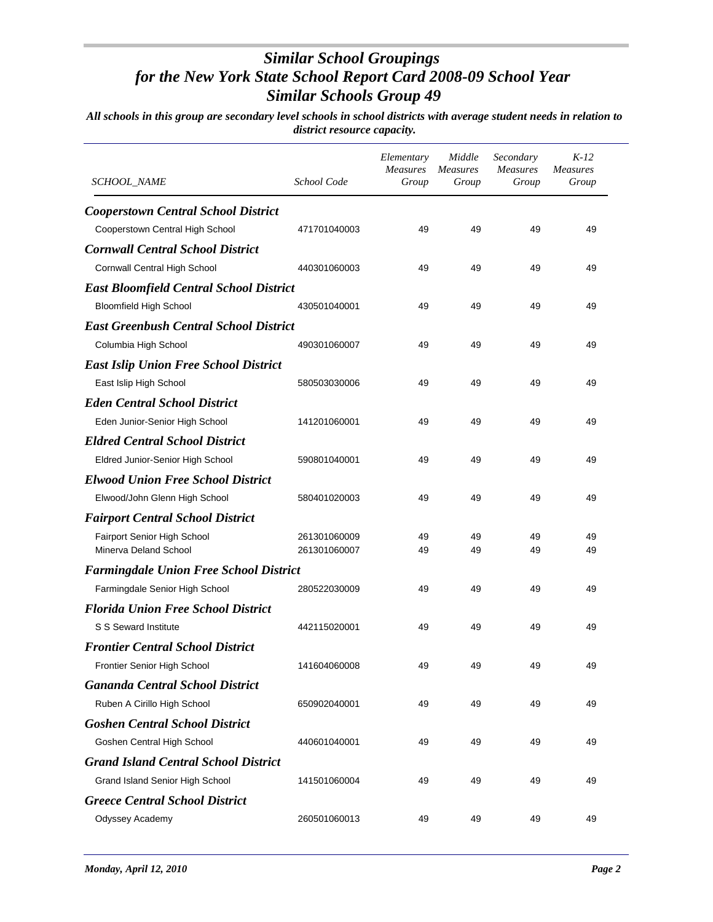| SCHOOL_NAME                                    | School Code  | Elementary<br><b>Measures</b><br>Group | Middle<br><b>Measures</b><br>Group | Secondary<br><b>Measures</b><br>Group | $K-12$<br><b>Measures</b><br>Group |
|------------------------------------------------|--------------|----------------------------------------|------------------------------------|---------------------------------------|------------------------------------|
| <b>Cooperstown Central School District</b>     |              |                                        |                                    |                                       |                                    |
| Cooperstown Central High School                | 471701040003 | 49                                     | 49                                 | 49                                    | 49                                 |
| <b>Cornwall Central School District</b>        |              |                                        |                                    |                                       |                                    |
| Cornwall Central High School                   | 440301060003 | 49                                     | 49                                 | 49                                    | 49                                 |
| <b>East Bloomfield Central School District</b> |              |                                        |                                    |                                       |                                    |
| <b>Bloomfield High School</b>                  | 430501040001 | 49                                     | 49                                 | 49                                    | 49                                 |
| <b>East Greenbush Central School District</b>  |              |                                        |                                    |                                       |                                    |
| Columbia High School                           | 490301060007 | 49                                     | 49                                 | 49                                    | 49                                 |
| <b>East Islip Union Free School District</b>   |              |                                        |                                    |                                       |                                    |
| East Islip High School                         | 580503030006 | 49                                     | 49                                 | 49                                    | 49                                 |
| <b>Eden Central School District</b>            |              |                                        |                                    |                                       |                                    |
| Eden Junior-Senior High School                 | 141201060001 | 49                                     | 49                                 | 49                                    | 49                                 |
| <b>Eldred Central School District</b>          |              |                                        |                                    |                                       |                                    |
| Eldred Junior-Senior High School               | 590801040001 | 49                                     | 49                                 | 49                                    | 49                                 |
| <b>Elwood Union Free School District</b>       |              |                                        |                                    |                                       |                                    |
| Elwood/John Glenn High School                  | 580401020003 | 49                                     | 49                                 | 49                                    | 49                                 |
| <b>Fairport Central School District</b>        |              |                                        |                                    |                                       |                                    |
| Fairport Senior High School                    | 261301060009 | 49                                     | 49                                 | 49                                    | 49                                 |
| Minerva Deland School                          | 261301060007 | 49                                     | 49                                 | 49                                    | 49                                 |
| <b>Farmingdale Union Free School District</b>  |              |                                        |                                    |                                       |                                    |
| Farmingdale Senior High School                 | 280522030009 | 49                                     | 49                                 | 49                                    | 49                                 |
| <b>Florida Union Free School District</b>      |              |                                        |                                    |                                       |                                    |
| S S Seward Institute                           | 442115020001 | 49                                     | 49                                 | 49                                    | 49                                 |
| <b>Frontier Central School District</b>        |              |                                        |                                    |                                       |                                    |
| Frontier Senior High School                    | 141604060008 | 49                                     | 49                                 | 49                                    | 49                                 |
| <b>Gananda Central School District</b>         |              |                                        |                                    |                                       |                                    |
| Ruben A Cirillo High School                    | 650902040001 | 49                                     | 49                                 | 49                                    | 49                                 |
| <b>Goshen Central School District</b>          |              |                                        |                                    |                                       |                                    |
| Goshen Central High School                     | 440601040001 | 49                                     | 49                                 | 49                                    | 49                                 |
| <b>Grand Island Central School District</b>    |              |                                        |                                    |                                       |                                    |
| Grand Island Senior High School                | 141501060004 | 49                                     | 49                                 | 49                                    | 49                                 |
| <b>Greece Central School District</b>          |              |                                        |                                    |                                       |                                    |
| Odyssey Academy                                | 260501060013 | 49                                     | 49                                 | 49                                    | 49                                 |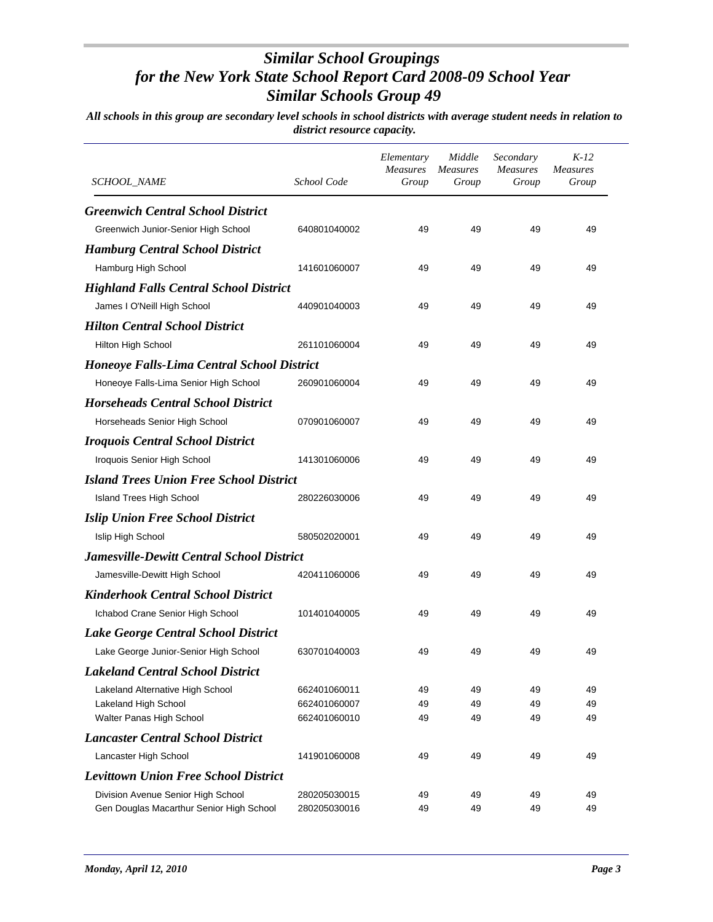| SCHOOL_NAME                                       | School Code  | Elementary<br>Measures<br>Group | Middle<br><b>Measures</b><br>Group | Secondary<br><b>Measures</b><br>Group | $K-12$<br><b>Measures</b><br>Group |
|---------------------------------------------------|--------------|---------------------------------|------------------------------------|---------------------------------------|------------------------------------|
| <b>Greenwich Central School District</b>          |              |                                 |                                    |                                       |                                    |
| Greenwich Junior-Senior High School               | 640801040002 | 49                              | 49                                 | 49                                    | 49                                 |
| <b>Hamburg Central School District</b>            |              |                                 |                                    |                                       |                                    |
| Hamburg High School                               | 141601060007 | 49                              | 49                                 | 49                                    | 49                                 |
| <b>Highland Falls Central School District</b>     |              |                                 |                                    |                                       |                                    |
| James I O'Neill High School                       | 440901040003 | 49                              | 49                                 | 49                                    | 49                                 |
| <b>Hilton Central School District</b>             |              |                                 |                                    |                                       |                                    |
| Hilton High School                                | 261101060004 | 49                              | 49                                 | 49                                    | 49                                 |
| <b>Honeoye Falls-Lima Central School District</b> |              |                                 |                                    |                                       |                                    |
| Honeoye Falls-Lima Senior High School             | 260901060004 | 49                              | 49                                 | 49                                    | 49                                 |
| <b>Horseheads Central School District</b>         |              |                                 |                                    |                                       |                                    |
| Horseheads Senior High School                     | 070901060007 | 49                              | 49                                 | 49                                    | 49                                 |
| <b>Iroquois Central School District</b>           |              |                                 |                                    |                                       |                                    |
| Iroquois Senior High School                       | 141301060006 | 49                              | 49                                 | 49                                    | 49                                 |
| <b>Island Trees Union Free School District</b>    |              |                                 |                                    |                                       |                                    |
| Island Trees High School                          | 280226030006 | 49                              | 49                                 | 49                                    | 49                                 |
| <b>Islip Union Free School District</b>           |              |                                 |                                    |                                       |                                    |
| Islip High School                                 | 580502020001 | 49                              | 49                                 | 49                                    | 49                                 |
| <b>Jamesville-Dewitt Central School District</b>  |              |                                 |                                    |                                       |                                    |
| Jamesville-Dewitt High School                     | 420411060006 | 49                              | 49                                 | 49                                    | 49                                 |
| <b>Kinderhook Central School District</b>         |              |                                 |                                    |                                       |                                    |
| Ichabod Crane Senior High School                  | 101401040005 | 49                              | 49                                 | 49                                    | 49                                 |
| Lake George Central School District               |              |                                 |                                    |                                       |                                    |
| Lake George Junior-Senior High School             | 630701040003 | 49                              | 49                                 | 49                                    | 49                                 |
| <b>Lakeland Central School District</b>           |              |                                 |                                    |                                       |                                    |
| Lakeland Alternative High School                  | 662401060011 | 49                              | 49                                 | 49                                    | 49                                 |
| Lakeland High School                              | 662401060007 | 49                              | 49                                 | 49                                    | 49                                 |
| Walter Panas High School                          | 662401060010 | 49                              | 49                                 | 49                                    | 49                                 |
| <b>Lancaster Central School District</b>          |              |                                 |                                    |                                       |                                    |
| Lancaster High School                             | 141901060008 | 49                              | 49                                 | 49                                    | 49                                 |
| <b>Levittown Union Free School District</b>       |              |                                 |                                    |                                       |                                    |
| Division Avenue Senior High School                | 280205030015 | 49                              | 49                                 | 49                                    | 49                                 |
| Gen Douglas Macarthur Senior High School          | 280205030016 | 49                              | 49                                 | 49                                    | 49                                 |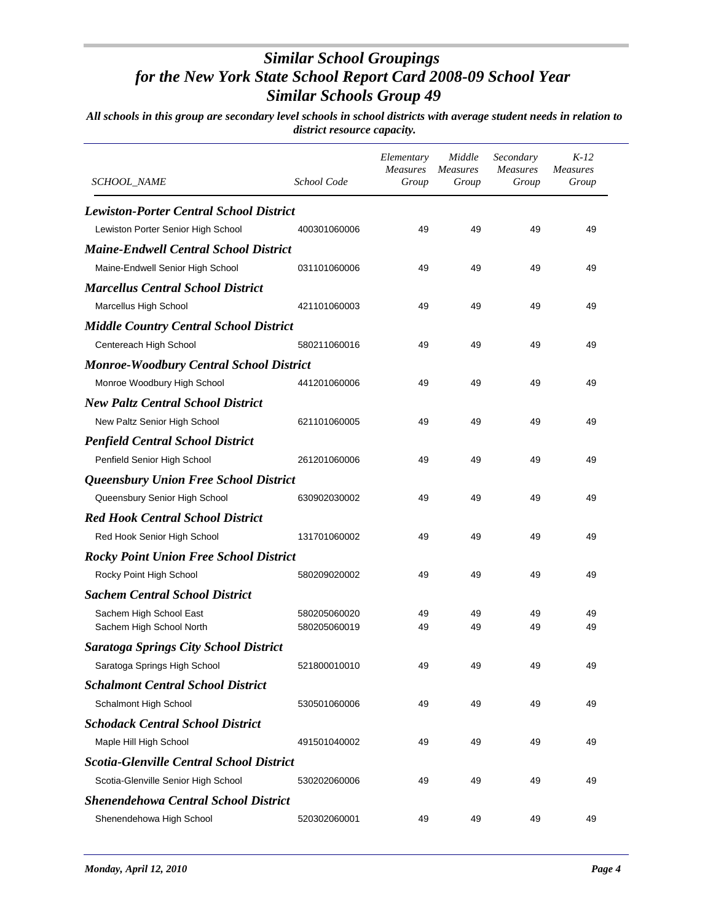| SCHOOL_NAME                                     | School Code  | Elementary<br><b>Measures</b><br>Group | Middle<br><i>Measures</i><br>Group | Secondary<br><b>Measures</b><br>Group | $K-12$<br><b>Measures</b><br>Group |
|-------------------------------------------------|--------------|----------------------------------------|------------------------------------|---------------------------------------|------------------------------------|
| <b>Lewiston-Porter Central School District</b>  |              |                                        |                                    |                                       |                                    |
| Lewiston Porter Senior High School              | 400301060006 | 49                                     | 49                                 | 49                                    | 49                                 |
| <b>Maine-Endwell Central School District</b>    |              |                                        |                                    |                                       |                                    |
| Maine-Endwell Senior High School                | 031101060006 | 49                                     | 49                                 | 49                                    | 49                                 |
| <b>Marcellus Central School District</b>        |              |                                        |                                    |                                       |                                    |
| Marcellus High School                           | 421101060003 | 49                                     | 49                                 | 49                                    | 49                                 |
| <b>Middle Country Central School District</b>   |              |                                        |                                    |                                       |                                    |
| Centereach High School                          | 580211060016 | 49                                     | 49                                 | 49                                    | 49                                 |
| <b>Monroe-Woodbury Central School District</b>  |              |                                        |                                    |                                       |                                    |
| Monroe Woodbury High School                     | 441201060006 | 49                                     | 49                                 | 49                                    | 49                                 |
| <b>New Paltz Central School District</b>        |              |                                        |                                    |                                       |                                    |
| New Paltz Senior High School                    | 621101060005 | 49                                     | 49                                 | 49                                    | 49                                 |
| <b>Penfield Central School District</b>         |              |                                        |                                    |                                       |                                    |
| Penfield Senior High School                     | 261201060006 | 49                                     | 49                                 | 49                                    | 49                                 |
| Queensbury Union Free School District           |              |                                        |                                    |                                       |                                    |
| Queensbury Senior High School                   | 630902030002 | 49                                     | 49                                 | 49                                    | 49                                 |
| <b>Red Hook Central School District</b>         |              |                                        |                                    |                                       |                                    |
| Red Hook Senior High School                     | 131701060002 | 49                                     | 49                                 | 49                                    | 49                                 |
| <b>Rocky Point Union Free School District</b>   |              |                                        |                                    |                                       |                                    |
| Rocky Point High School                         | 580209020002 | 49                                     | 49                                 | 49                                    | 49                                 |
| <b>Sachem Central School District</b>           |              |                                        |                                    |                                       |                                    |
| Sachem High School East                         | 580205060020 | 49                                     | 49                                 | 49                                    | 49                                 |
| Sachem High School North                        | 580205060019 | 49                                     | 49                                 | 49                                    | 49                                 |
| <b>Saratoga Springs City School District</b>    |              |                                        |                                    |                                       |                                    |
| Saratoga Springs High School                    | 521800010010 | 49                                     | 49                                 | 49                                    | 49                                 |
| <b>Schalmont Central School District</b>        |              |                                        |                                    |                                       |                                    |
| Schalmont High School                           | 530501060006 | 49                                     | 49                                 | 49                                    | 49                                 |
| <b>Schodack Central School District</b>         |              |                                        |                                    |                                       |                                    |
| Maple Hill High School                          | 491501040002 | 49                                     | 49                                 | 49                                    | 49                                 |
| <b>Scotia-Glenville Central School District</b> |              |                                        |                                    |                                       |                                    |
| Scotia-Glenville Senior High School             | 530202060006 | 49                                     | 49                                 | 49                                    | 49                                 |
| <b>Shenendehowa Central School District</b>     |              |                                        |                                    |                                       |                                    |
| Shenendehowa High School                        | 520302060001 | 49                                     | 49                                 | 49                                    | 49                                 |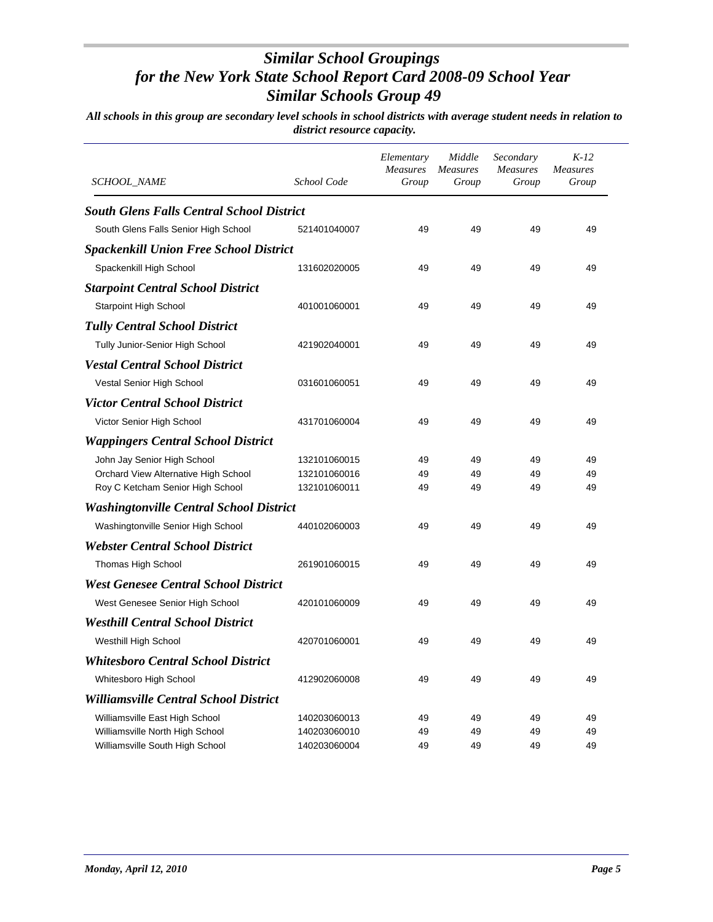| SCHOOL_NAME                                      | School Code  | Elementary<br>Measures<br>Group | Middle<br><b>Measures</b><br>Group | Secondary<br><b>Measures</b><br>Group | $K-12$<br><b>Measures</b><br>Group |
|--------------------------------------------------|--------------|---------------------------------|------------------------------------|---------------------------------------|------------------------------------|
| <b>South Glens Falls Central School District</b> |              |                                 |                                    |                                       |                                    |
| South Glens Falls Senior High School             | 521401040007 | 49                              | 49                                 | 49                                    | 49                                 |
| <b>Spackenkill Union Free School District</b>    |              |                                 |                                    |                                       |                                    |
| Spackenkill High School                          | 131602020005 | 49                              | 49                                 | 49                                    | 49                                 |
| <b>Starpoint Central School District</b>         |              |                                 |                                    |                                       |                                    |
| <b>Starpoint High School</b>                     | 401001060001 | 49                              | 49                                 | 49                                    | 49                                 |
| <b>Tully Central School District</b>             |              |                                 |                                    |                                       |                                    |
| Tully Junior-Senior High School                  | 421902040001 | 49                              | 49                                 | 49                                    | 49                                 |
| <i><b>Vestal Central School District</b></i>     |              |                                 |                                    |                                       |                                    |
| Vestal Senior High School                        | 031601060051 | 49                              | 49                                 | 49                                    | 49                                 |
| Victor Central School District                   |              |                                 |                                    |                                       |                                    |
| Victor Senior High School                        | 431701060004 | 49                              | 49                                 | 49                                    | 49                                 |
| <b>Wappingers Central School District</b>        |              |                                 |                                    |                                       |                                    |
| John Jay Senior High School                      | 132101060015 | 49                              | 49                                 | 49                                    | 49                                 |
| Orchard View Alternative High School             | 132101060016 | 49                              | 49                                 | 49                                    | 49                                 |
| Roy C Ketcham Senior High School                 | 132101060011 | 49                              | 49                                 | 49                                    | 49                                 |
| <b>Washingtonville Central School District</b>   |              |                                 |                                    |                                       |                                    |
| Washingtonville Senior High School               | 440102060003 | 49                              | 49                                 | 49                                    | 49                                 |
| <b>Webster Central School District</b>           |              |                                 |                                    |                                       |                                    |
| Thomas High School                               | 261901060015 | 49                              | 49                                 | 49                                    | 49                                 |
| <b>West Genesee Central School District</b>      |              |                                 |                                    |                                       |                                    |
| West Genesee Senior High School                  | 420101060009 | 49                              | 49                                 | 49                                    | 49                                 |
| Westhill Central School District                 |              |                                 |                                    |                                       |                                    |
| Westhill High School                             | 420701060001 | 49                              | 49                                 | 49                                    | 49                                 |
| <b>Whitesboro Central School District</b>        |              |                                 |                                    |                                       |                                    |
| Whitesboro High School                           | 412902060008 | 49                              | 49                                 | 49                                    | 49                                 |
| <b>Williamsville Central School District</b>     |              |                                 |                                    |                                       |                                    |
| Williamsville East High School                   | 140203060013 | 49                              | 49                                 | 49                                    | 49                                 |
| Williamsville North High School                  | 140203060010 | 49                              | 49                                 | 49                                    | 49                                 |
| Williamsville South High School                  | 140203060004 | 49                              | 49                                 | 49                                    | 49                                 |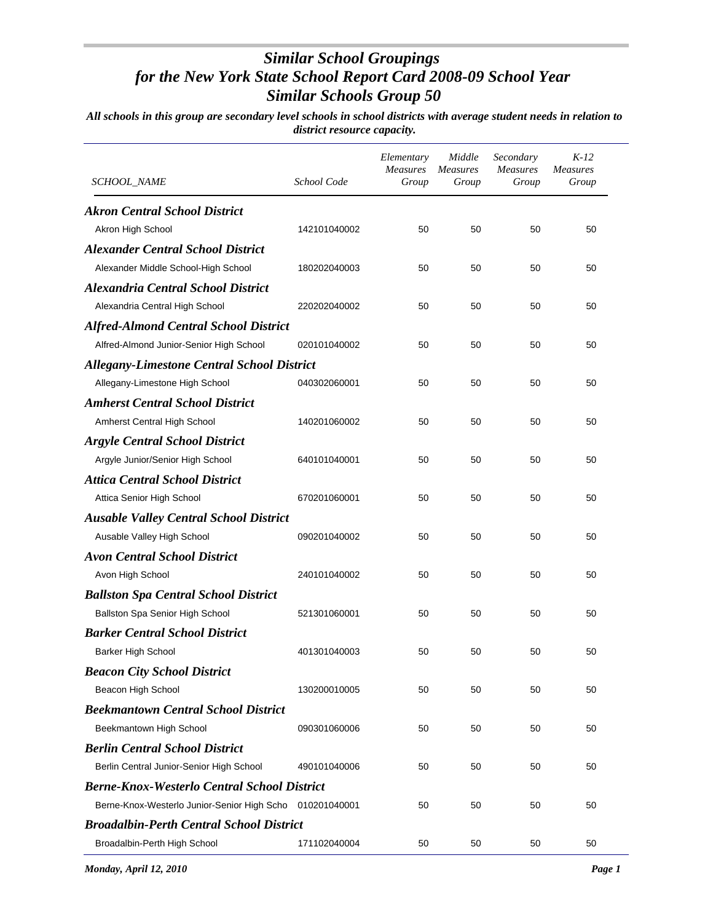| <i>SCHOOL_NAME</i>                                       | School Code  | Elementary<br><b>Measures</b><br>Group | Middle<br><b>Measures</b><br>Group | Secondary<br><b>Measures</b><br>Group | $K-12$<br><b>Measures</b><br>Group |
|----------------------------------------------------------|--------------|----------------------------------------|------------------------------------|---------------------------------------|------------------------------------|
| <b>Akron Central School District</b>                     |              |                                        |                                    |                                       |                                    |
| Akron High School                                        | 142101040002 | 50                                     | 50                                 | 50                                    | 50                                 |
| <b>Alexander Central School District</b>                 |              |                                        |                                    |                                       |                                    |
| Alexander Middle School-High School                      | 180202040003 | 50                                     | 50                                 | 50                                    | 50                                 |
| <b>Alexandria Central School District</b>                |              |                                        |                                    |                                       |                                    |
| Alexandria Central High School                           | 220202040002 | 50                                     | 50                                 | 50                                    | 50                                 |
| <b>Alfred-Almond Central School District</b>             |              |                                        |                                    |                                       |                                    |
| Alfred-Almond Junior-Senior High School                  | 020101040002 | 50                                     | 50                                 | 50                                    | 50                                 |
| <b>Allegany-Limestone Central School District</b>        |              |                                        |                                    |                                       |                                    |
| Allegany-Limestone High School                           | 040302060001 | 50                                     | 50                                 | 50                                    | 50                                 |
| <b>Amherst Central School District</b>                   |              |                                        |                                    |                                       |                                    |
| Amherst Central High School                              | 140201060002 | 50                                     | 50                                 | 50                                    | 50                                 |
| <b>Argyle Central School District</b>                    |              |                                        |                                    |                                       |                                    |
| Argyle Junior/Senior High School                         | 640101040001 | 50                                     | 50                                 | 50                                    | 50                                 |
| <b>Attica Central School District</b>                    |              |                                        |                                    |                                       |                                    |
| Attica Senior High School                                | 670201060001 | 50                                     | 50                                 | 50                                    | 50                                 |
| <b>Ausable Valley Central School District</b>            |              |                                        |                                    |                                       |                                    |
| Ausable Valley High School                               | 090201040002 | 50                                     | 50                                 | 50                                    | 50                                 |
| <b>Avon Central School District</b>                      |              |                                        |                                    |                                       |                                    |
| Avon High School                                         | 240101040002 | 50                                     | 50                                 | 50                                    | 50                                 |
| <b>Ballston Spa Central School District</b>              |              |                                        |                                    |                                       |                                    |
| Ballston Spa Senior High School                          | 521301060001 | 50                                     | 50                                 | 50                                    | 50                                 |
| <b>Barker Central School District</b>                    |              |                                        |                                    |                                       |                                    |
| <b>Barker High School</b>                                | 401301040003 | 50                                     | 50                                 | 50                                    | 50                                 |
| <b>Beacon City School District</b>                       |              |                                        |                                    |                                       |                                    |
| Beacon High School                                       | 130200010005 | 50                                     | 50                                 | 50                                    | 50                                 |
| <b>Beekmantown Central School District</b>               |              |                                        |                                    |                                       |                                    |
| Beekmantown High School                                  | 090301060006 | 50                                     | 50                                 | 50                                    | 50                                 |
| <b>Berlin Central School District</b>                    |              |                                        |                                    |                                       |                                    |
| Berlin Central Junior-Senior High School                 | 490101040006 | 50                                     | 50                                 | 50                                    | 50                                 |
| <b>Berne-Knox-Westerlo Central School District</b>       |              |                                        |                                    |                                       |                                    |
| Berne-Knox-Westerlo Junior-Senior High Scho 010201040001 |              | 50                                     | 50                                 | 50                                    | 50                                 |
| <b>Broadalbin-Perth Central School District</b>          |              |                                        |                                    |                                       |                                    |
| Broadalbin-Perth High School                             | 171102040004 | 50                                     | 50                                 | 50                                    | 50                                 |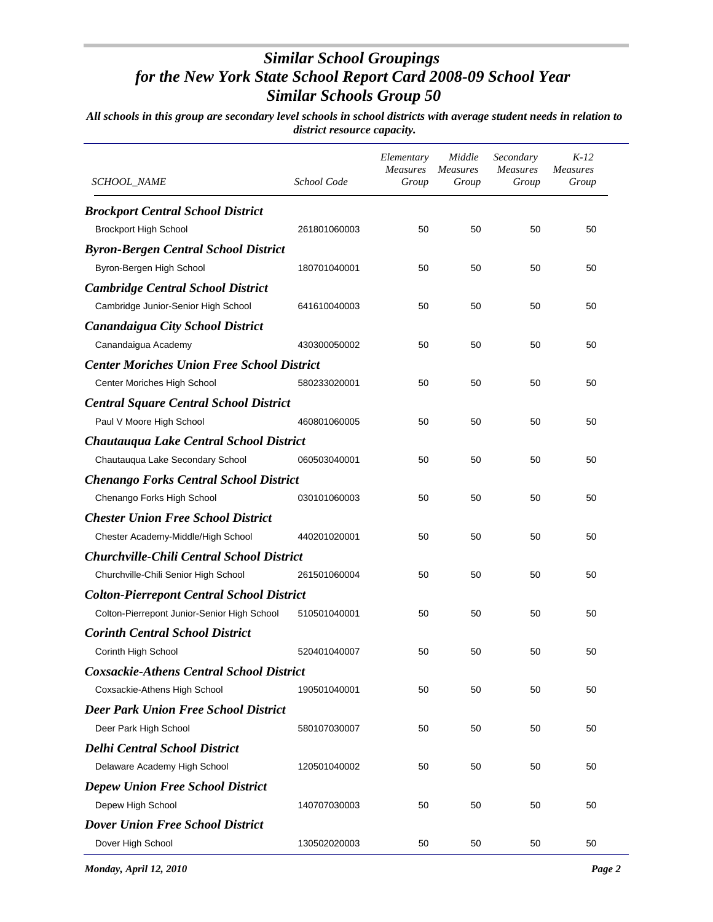| SCHOOL_NAME                                       | School Code  | Elementary<br><b>Measures</b><br>Group | Middle<br><i>Measures</i><br>Group | Secondary<br><b>Measures</b><br>Group | $K-12$<br><b>Measures</b><br>Group |
|---------------------------------------------------|--------------|----------------------------------------|------------------------------------|---------------------------------------|------------------------------------|
| <b>Brockport Central School District</b>          |              |                                        |                                    |                                       |                                    |
| <b>Brockport High School</b>                      | 261801060003 | 50                                     | 50                                 | 50                                    | 50                                 |
| <b>Byron-Bergen Central School District</b>       |              |                                        |                                    |                                       |                                    |
| Byron-Bergen High School                          | 180701040001 | 50                                     | 50                                 | 50                                    | 50                                 |
| <b>Cambridge Central School District</b>          |              |                                        |                                    |                                       |                                    |
| Cambridge Junior-Senior High School               | 641610040003 | 50                                     | 50                                 | 50                                    | 50                                 |
| <b>Canandaigua City School District</b>           |              |                                        |                                    |                                       |                                    |
| Canandaigua Academy                               | 430300050002 | 50                                     | 50                                 | 50                                    | 50                                 |
| <b>Center Moriches Union Free School District</b> |              |                                        |                                    |                                       |                                    |
| Center Moriches High School                       | 580233020001 | 50                                     | 50                                 | 50                                    | 50                                 |
| <b>Central Square Central School District</b>     |              |                                        |                                    |                                       |                                    |
| Paul V Moore High School                          | 460801060005 | 50                                     | 50                                 | 50                                    | 50                                 |
| Chautauqua Lake Central School District           |              |                                        |                                    |                                       |                                    |
| Chautauqua Lake Secondary School                  | 060503040001 | 50                                     | 50                                 | 50                                    | 50                                 |
| <b>Chenango Forks Central School District</b>     |              |                                        |                                    |                                       |                                    |
| Chenango Forks High School                        | 030101060003 | 50                                     | 50                                 | 50                                    | 50                                 |
| <b>Chester Union Free School District</b>         |              |                                        |                                    |                                       |                                    |
| Chester Academy-Middle/High School                | 440201020001 | 50                                     | 50                                 | 50                                    | 50                                 |
| <b>Churchville-Chili Central School District</b>  |              |                                        |                                    |                                       |                                    |
| Churchville-Chili Senior High School              | 261501060004 | 50                                     | 50                                 | 50                                    | 50                                 |
| <b>Colton-Pierrepont Central School District</b>  |              |                                        |                                    |                                       |                                    |
| Colton-Pierrepont Junior-Senior High School       | 510501040001 | 50                                     | 50                                 | 50                                    | 50                                 |
| <b>Corinth Central School District</b>            |              |                                        |                                    |                                       |                                    |
| Corinth High School                               | 520401040007 | 50                                     | 50                                 | 50                                    | 50                                 |
| <b>Coxsackie-Athens Central School District</b>   |              |                                        |                                    |                                       |                                    |
| Coxsackie-Athens High School                      | 190501040001 | 50                                     | 50                                 | 50                                    | 50                                 |
| <b>Deer Park Union Free School District</b>       |              |                                        |                                    |                                       |                                    |
| Deer Park High School                             | 580107030007 | 50                                     | 50                                 | 50                                    | 50                                 |
| <b>Delhi Central School District</b>              |              |                                        |                                    |                                       |                                    |
| Delaware Academy High School                      | 120501040002 | 50                                     | 50                                 | 50                                    | 50                                 |
| <b>Depew Union Free School District</b>           |              |                                        |                                    |                                       |                                    |
| Depew High School                                 | 140707030003 | 50                                     | 50                                 | 50                                    | 50                                 |
| <b>Dover Union Free School District</b>           |              |                                        |                                    |                                       |                                    |
| Dover High School                                 | 130502020003 | 50                                     | 50                                 | 50                                    | 50                                 |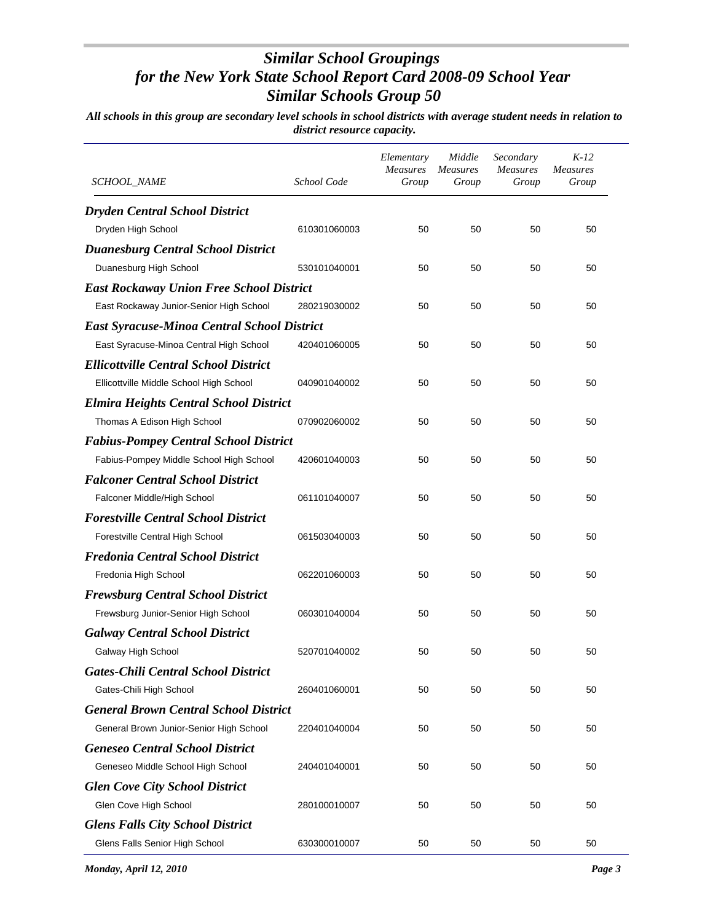| <i>SCHOOL_NAME</i>                                 | School Code  | Elementary<br>Measures<br>Group | Middle<br><b>Measures</b><br>Group | Secondary<br><b>Measures</b><br>Group | $K-12$<br><b>Measures</b><br>Group |
|----------------------------------------------------|--------------|---------------------------------|------------------------------------|---------------------------------------|------------------------------------|
| <b>Dryden Central School District</b>              |              |                                 |                                    |                                       |                                    |
| Dryden High School                                 | 610301060003 | 50                              | 50                                 | 50                                    | 50                                 |
| <b>Duanesburg Central School District</b>          |              |                                 |                                    |                                       |                                    |
| Duanesburg High School                             | 530101040001 | 50                              | 50                                 | 50                                    | 50                                 |
| <b>East Rockaway Union Free School District</b>    |              |                                 |                                    |                                       |                                    |
| East Rockaway Junior-Senior High School            | 280219030002 | 50                              | 50                                 | 50                                    | 50                                 |
| <b>East Syracuse-Minoa Central School District</b> |              |                                 |                                    |                                       |                                    |
| East Syracuse-Minoa Central High School            | 420401060005 | 50                              | 50                                 | 50                                    | 50                                 |
| <b>Ellicottville Central School District</b>       |              |                                 |                                    |                                       |                                    |
| Ellicottville Middle School High School            | 040901040002 | 50                              | 50                                 | 50                                    | 50                                 |
| <b>Elmira Heights Central School District</b>      |              |                                 |                                    |                                       |                                    |
| Thomas A Edison High School                        | 070902060002 | 50                              | 50                                 | 50                                    | 50                                 |
| <b>Fabius-Pompey Central School District</b>       |              |                                 |                                    |                                       |                                    |
| Fabius-Pompey Middle School High School            | 420601040003 | 50                              | 50                                 | 50                                    | 50                                 |
| <b>Falconer Central School District</b>            |              |                                 |                                    |                                       |                                    |
| Falconer Middle/High School                        | 061101040007 | 50                              | 50                                 | 50                                    | 50                                 |
| <b>Forestville Central School District</b>         |              |                                 |                                    |                                       |                                    |
| Forestville Central High School                    | 061503040003 | 50                              | 50                                 | 50                                    | 50                                 |
| <b>Fredonia Central School District</b>            |              |                                 |                                    |                                       |                                    |
| Fredonia High School                               | 062201060003 | 50                              | 50                                 | 50                                    | 50                                 |
| <b>Frewsburg Central School District</b>           |              |                                 |                                    |                                       |                                    |
| Frewsburg Junior-Senior High School                | 060301040004 | 50                              | 50                                 | 50                                    | 50                                 |
| <b>Galway Central School District</b>              |              |                                 |                                    |                                       |                                    |
| Galway High School                                 | 520701040002 | 50                              | 50                                 | 50                                    | 50                                 |
| <b>Gates-Chili Central School District</b>         |              |                                 |                                    |                                       |                                    |
| Gates-Chili High School                            | 260401060001 | 50                              | 50                                 | 50                                    | 50                                 |
| <b>General Brown Central School District</b>       |              |                                 |                                    |                                       |                                    |
| General Brown Junior-Senior High School            | 220401040004 | 50                              | 50                                 | 50                                    | 50                                 |
| <b>Geneseo Central School District</b>             |              |                                 |                                    |                                       |                                    |
| Geneseo Middle School High School                  | 240401040001 | 50                              | 50                                 | 50                                    | 50                                 |
| <b>Glen Cove City School District</b>              |              |                                 |                                    |                                       |                                    |
| Glen Cove High School                              | 280100010007 | 50                              | 50                                 | 50                                    | 50                                 |
| <b>Glens Falls City School District</b>            |              |                                 |                                    |                                       |                                    |
| Glens Falls Senior High School                     | 630300010007 | 50                              | 50                                 | 50                                    | 50                                 |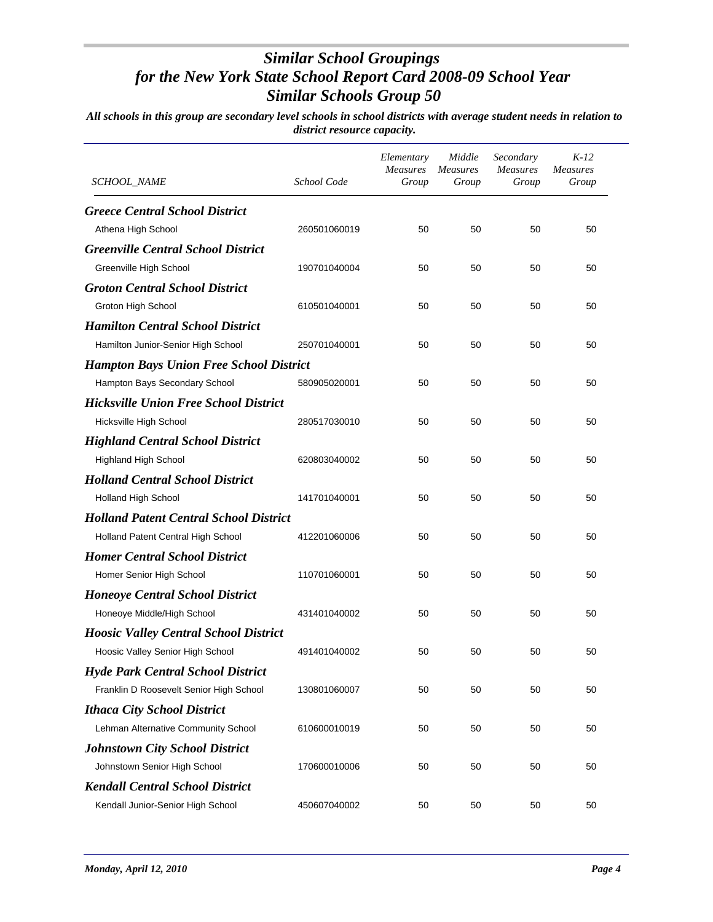| SCHOOL_NAME                                    | School Code  | Elementary<br><b>Measures</b><br>Group | Middle<br>Measures<br>Group | Secondary<br><b>Measures</b><br>Group | $K-12$<br><b>Measures</b><br>Group |
|------------------------------------------------|--------------|----------------------------------------|-----------------------------|---------------------------------------|------------------------------------|
| <b>Greece Central School District</b>          |              |                                        |                             |                                       |                                    |
| Athena High School                             | 260501060019 | 50                                     | 50                          | 50                                    | 50                                 |
| <b>Greenville Central School District</b>      |              |                                        |                             |                                       |                                    |
| Greenville High School                         | 190701040004 | 50                                     | 50                          | 50                                    | 50                                 |
| <b>Groton Central School District</b>          |              |                                        |                             |                                       |                                    |
| Groton High School                             | 610501040001 | 50                                     | 50                          | 50                                    | 50                                 |
| <b>Hamilton Central School District</b>        |              |                                        |                             |                                       |                                    |
| Hamilton Junior-Senior High School             | 250701040001 | 50                                     | 50                          | 50                                    | 50                                 |
| <b>Hampton Bays Union Free School District</b> |              |                                        |                             |                                       |                                    |
| Hampton Bays Secondary School                  | 580905020001 | 50                                     | 50                          | 50                                    | 50                                 |
| <b>Hicksville Union Free School District</b>   |              |                                        |                             |                                       |                                    |
| Hicksville High School                         | 280517030010 | 50                                     | 50                          | 50                                    | 50                                 |
| <b>Highland Central School District</b>        |              |                                        |                             |                                       |                                    |
| <b>Highland High School</b>                    | 620803040002 | 50                                     | 50                          | 50                                    | 50                                 |
| <b>Holland Central School District</b>         |              |                                        |                             |                                       |                                    |
| Holland High School                            | 141701040001 | 50                                     | 50                          | 50                                    | 50                                 |
| <b>Holland Patent Central School District</b>  |              |                                        |                             |                                       |                                    |
| Holland Patent Central High School             | 412201060006 | 50                                     | 50                          | 50                                    | 50                                 |
| <b>Homer Central School District</b>           |              |                                        |                             |                                       |                                    |
| Homer Senior High School                       | 110701060001 | 50                                     | 50                          | 50                                    | 50                                 |
| <b>Honeoye Central School District</b>         |              |                                        |                             |                                       |                                    |
| Honeoye Middle/High School                     | 431401040002 | 50                                     | 50                          | 50                                    | 50                                 |
| <b>Hoosic Valley Central School District</b>   |              |                                        |                             |                                       |                                    |
| Hoosic Valley Senior High School               | 491401040002 | 50                                     | 50                          | 50                                    | 50                                 |
| <b>Hyde Park Central School District</b>       |              |                                        |                             |                                       |                                    |
| Franklin D Roosevelt Senior High School        | 130801060007 | 50                                     | 50                          | 50                                    | 50                                 |
| <b>Ithaca City School District</b>             |              |                                        |                             |                                       |                                    |
| Lehman Alternative Community School            | 610600010019 | 50                                     | 50                          | 50                                    | 50                                 |
| <b>Johnstown City School District</b>          |              |                                        |                             |                                       |                                    |
| Johnstown Senior High School                   | 170600010006 | 50                                     | 50                          | 50                                    | 50                                 |
| <b>Kendall Central School District</b>         |              |                                        |                             |                                       |                                    |
| Kendall Junior-Senior High School              | 450607040002 | 50                                     | 50                          | 50                                    | 50                                 |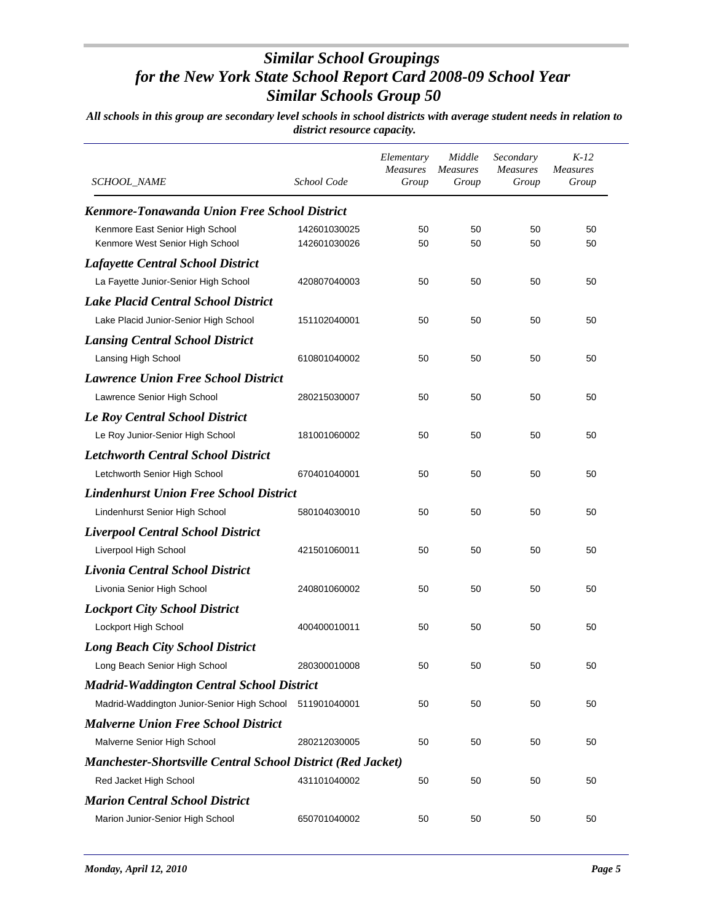| SCHOOL_NAME                                                        | School Code                  | Elementary<br><b>Measures</b><br>Group | Middle<br><i>Measures</i><br>Group | Secondary<br><b>Measures</b><br>Group | $K-12$<br><b>Measures</b><br>Group |
|--------------------------------------------------------------------|------------------------------|----------------------------------------|------------------------------------|---------------------------------------|------------------------------------|
| <b>Kenmore-Tonawanda Union Free School District</b>                |                              |                                        |                                    |                                       |                                    |
| Kenmore East Senior High School<br>Kenmore West Senior High School | 142601030025<br>142601030026 | 50<br>50                               | 50<br>50                           | 50<br>50                              | 50<br>50                           |
| <b>Lafayette Central School District</b>                           |                              |                                        |                                    |                                       |                                    |
| La Fayette Junior-Senior High School                               | 420807040003                 | 50                                     | 50                                 | 50                                    | 50                                 |
| <b>Lake Placid Central School District</b>                         |                              |                                        |                                    |                                       |                                    |
| Lake Placid Junior-Senior High School                              | 151102040001                 | 50                                     | 50                                 | 50                                    | 50                                 |
| <b>Lansing Central School District</b>                             |                              |                                        |                                    |                                       |                                    |
| Lansing High School                                                | 610801040002                 | 50                                     | 50                                 | 50                                    | 50                                 |
| <b>Lawrence Union Free School District</b>                         |                              |                                        |                                    |                                       |                                    |
| Lawrence Senior High School                                        | 280215030007                 | 50                                     | 50                                 | 50                                    | 50                                 |
| <b>Le Roy Central School District</b>                              |                              |                                        |                                    |                                       |                                    |
| Le Roy Junior-Senior High School                                   | 181001060002                 | 50                                     | 50                                 | 50                                    | 50                                 |
| <b>Letchworth Central School District</b>                          |                              |                                        |                                    |                                       |                                    |
| Letchworth Senior High School                                      | 670401040001                 | 50                                     | 50                                 | 50                                    | 50                                 |
| <b>Lindenhurst Union Free School District</b>                      |                              |                                        |                                    |                                       |                                    |
| Lindenhurst Senior High School                                     | 580104030010                 | 50                                     | 50                                 | 50                                    | 50                                 |
| <b>Liverpool Central School District</b>                           |                              |                                        |                                    |                                       |                                    |
| Liverpool High School                                              | 421501060011                 | 50                                     | 50                                 | 50                                    | 50                                 |
| Livonia Central School District                                    |                              |                                        |                                    |                                       |                                    |
| Livonia Senior High School                                         | 240801060002                 | 50                                     | 50                                 | 50                                    | 50                                 |
| <b>Lockport City School District</b>                               |                              |                                        |                                    |                                       |                                    |
| Lockport High School                                               | 400400010011                 | 50                                     | 50                                 | 50                                    | 50                                 |
| <b>Long Beach City School District</b>                             |                              |                                        |                                    |                                       |                                    |
| Long Beach Senior High School                                      | 280300010008                 | 50                                     | 50                                 | 50                                    | 50                                 |
| <b>Madrid-Waddington Central School District</b>                   |                              |                                        |                                    |                                       |                                    |
| Madrid-Waddington Junior-Senior High School                        | 511901040001                 | 50                                     | 50                                 | 50                                    | 50                                 |
| <b>Malverne Union Free School District</b>                         |                              |                                        |                                    |                                       |                                    |
| Malverne Senior High School                                        | 280212030005                 | 50                                     | 50                                 | 50                                    | 50                                 |
| <b>Manchester-Shortsville Central School District (Red Jacket)</b> |                              |                                        |                                    |                                       |                                    |
| Red Jacket High School                                             | 431101040002                 | 50                                     | 50                                 | 50                                    | 50                                 |
| <b>Marion Central School District</b>                              |                              |                                        |                                    |                                       |                                    |
| Marion Junior-Senior High School                                   | 650701040002                 | 50                                     | 50                                 | 50                                    | 50                                 |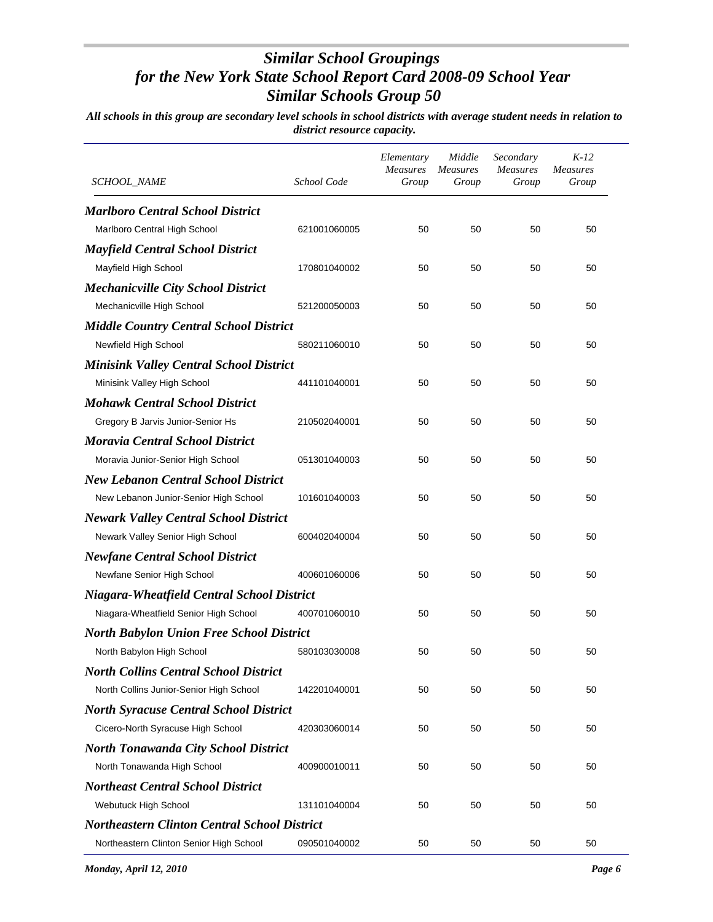| SCHOOL_NAME                                         | School Code  | Elementary<br>Measures<br>Group | Middle<br><b>Measures</b><br>Group | Secondary<br><b>Measures</b><br>Group | $K-12$<br><b>Measures</b><br>Group |
|-----------------------------------------------------|--------------|---------------------------------|------------------------------------|---------------------------------------|------------------------------------|
| <b>Marlboro Central School District</b>             |              |                                 |                                    |                                       |                                    |
| Marlboro Central High School                        | 621001060005 | 50                              | 50                                 | 50                                    | 50                                 |
| <b>Mayfield Central School District</b>             |              |                                 |                                    |                                       |                                    |
| Mayfield High School                                | 170801040002 | 50                              | 50                                 | 50                                    | 50                                 |
| <b>Mechanicville City School District</b>           |              |                                 |                                    |                                       |                                    |
| Mechanicville High School                           | 521200050003 | 50                              | 50                                 | 50                                    | 50                                 |
| <b>Middle Country Central School District</b>       |              |                                 |                                    |                                       |                                    |
| Newfield High School                                | 580211060010 | 50                              | 50                                 | 50                                    | 50                                 |
| <b>Minisink Valley Central School District</b>      |              |                                 |                                    |                                       |                                    |
| Minisink Valley High School                         | 441101040001 | 50                              | 50                                 | 50                                    | 50                                 |
| <b>Mohawk Central School District</b>               |              |                                 |                                    |                                       |                                    |
| Gregory B Jarvis Junior-Senior Hs                   | 210502040001 | 50                              | 50                                 | 50                                    | 50                                 |
| <b>Moravia Central School District</b>              |              |                                 |                                    |                                       |                                    |
| Moravia Junior-Senior High School                   | 051301040003 | 50                              | 50                                 | 50                                    | 50                                 |
| <b>New Lebanon Central School District</b>          |              |                                 |                                    |                                       |                                    |
| New Lebanon Junior-Senior High School               | 101601040003 | 50                              | 50                                 | 50                                    | 50                                 |
| <b>Newark Valley Central School District</b>        |              |                                 |                                    |                                       |                                    |
| Newark Valley Senior High School                    | 600402040004 | 50                              | 50                                 | 50                                    | 50                                 |
| <b>Newfane Central School District</b>              |              |                                 |                                    |                                       |                                    |
| Newfane Senior High School                          | 400601060006 | 50                              | 50                                 | 50                                    | 50                                 |
| <b>Niagara-Wheatfield Central School District</b>   |              |                                 |                                    |                                       |                                    |
| Niagara-Wheatfield Senior High School               | 400701060010 | 50                              | 50                                 | 50                                    | 50                                 |
| <b>North Babylon Union Free School District</b>     |              |                                 |                                    |                                       |                                    |
| North Babylon High School                           | 580103030008 | 50                              | 50                                 | 50                                    | 50                                 |
| <b>North Collins Central School District</b>        |              |                                 |                                    |                                       |                                    |
| North Collins Junior-Senior High School             | 142201040001 | 50                              | 50                                 | 50                                    | 50                                 |
| <b>North Syracuse Central School District</b>       |              |                                 |                                    |                                       |                                    |
| Cicero-North Syracuse High School                   | 420303060014 | 50                              | 50                                 | 50                                    | 50                                 |
| <b>North Tonawanda City School District</b>         |              |                                 |                                    |                                       |                                    |
| North Tonawanda High School                         | 400900010011 | 50                              | 50                                 | 50                                    | 50                                 |
| <b>Northeast Central School District</b>            |              |                                 |                                    |                                       |                                    |
| Webutuck High School                                | 131101040004 | 50                              | 50                                 | 50                                    | 50                                 |
| <b>Northeastern Clinton Central School District</b> |              |                                 |                                    |                                       |                                    |
| Northeastern Clinton Senior High School             | 090501040002 | 50                              | 50                                 | 50                                    | 50                                 |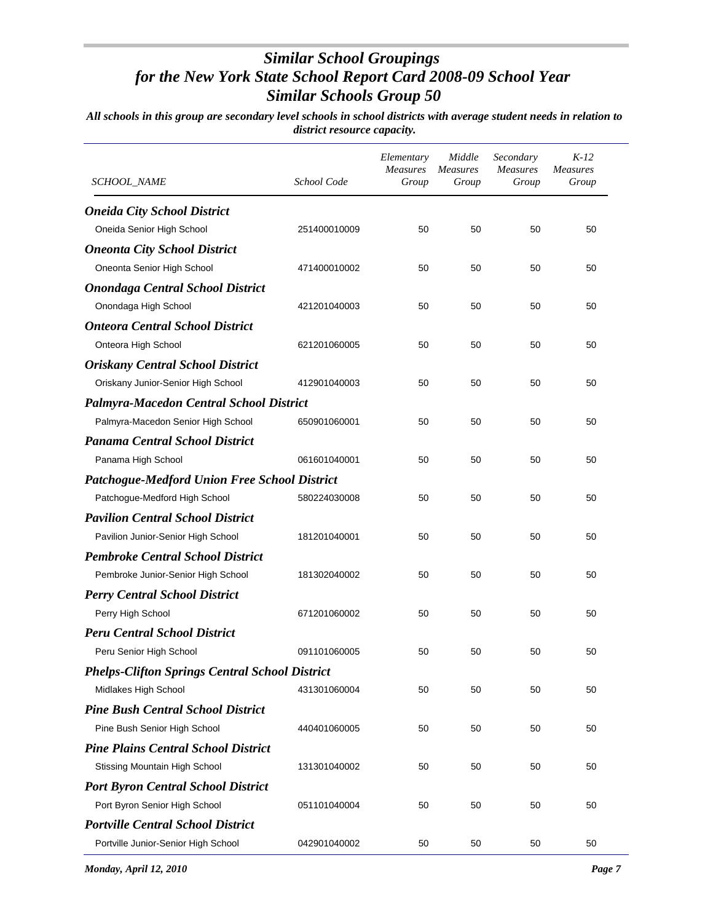| <b>SCHOOL_NAME</b>                                    | School Code  | Elementary<br><b>Measures</b><br>Group | Middle<br><b>Measures</b><br>Group | Secondary<br><b>Measures</b><br>Group | $K-12$<br><b>Measures</b><br>Group |
|-------------------------------------------------------|--------------|----------------------------------------|------------------------------------|---------------------------------------|------------------------------------|
| <b>Oneida City School District</b>                    |              |                                        |                                    |                                       |                                    |
| Oneida Senior High School                             | 251400010009 | 50                                     | 50                                 | 50                                    | 50                                 |
| <b>Oneonta City School District</b>                   |              |                                        |                                    |                                       |                                    |
| Oneonta Senior High School                            | 471400010002 | 50                                     | 50                                 | 50                                    | 50                                 |
| <b>Onondaga Central School District</b>               |              |                                        |                                    |                                       |                                    |
| Onondaga High School                                  | 421201040003 | 50                                     | 50                                 | 50                                    | 50                                 |
| <b>Onteora Central School District</b>                |              |                                        |                                    |                                       |                                    |
| Onteora High School                                   | 621201060005 | 50                                     | 50                                 | 50                                    | 50                                 |
| <b>Oriskany Central School District</b>               |              |                                        |                                    |                                       |                                    |
| Oriskany Junior-Senior High School                    | 412901040003 | 50                                     | 50                                 | 50                                    | 50                                 |
| <b>Palmyra-Macedon Central School District</b>        |              |                                        |                                    |                                       |                                    |
| Palmyra-Macedon Senior High School                    | 650901060001 | 50                                     | 50                                 | 50                                    | 50                                 |
| <b>Panama Central School District</b>                 |              |                                        |                                    |                                       |                                    |
| Panama High School                                    | 061601040001 | 50                                     | 50                                 | 50                                    | 50                                 |
| <b>Patchogue-Medford Union Free School District</b>   |              |                                        |                                    |                                       |                                    |
| Patchogue-Medford High School                         | 580224030008 | 50                                     | 50                                 | 50                                    | 50                                 |
| <b>Pavilion Central School District</b>               |              |                                        |                                    |                                       |                                    |
| Pavilion Junior-Senior High School                    | 181201040001 | 50                                     | 50                                 | 50                                    | 50                                 |
| <b>Pembroke Central School District</b>               |              |                                        |                                    |                                       |                                    |
| Pembroke Junior-Senior High School                    | 181302040002 | 50                                     | 50                                 | 50                                    | 50                                 |
| <b>Perry Central School District</b>                  |              |                                        |                                    |                                       |                                    |
| Perry High School                                     | 671201060002 | 50                                     | 50                                 | 50                                    | 50                                 |
| <b>Peru Central School District</b>                   |              |                                        |                                    |                                       |                                    |
| Peru Senior High School                               | 091101060005 | 50                                     | 50                                 | 50                                    | 50                                 |
| <b>Phelps-Clifton Springs Central School District</b> |              |                                        |                                    |                                       |                                    |
| Midlakes High School                                  | 431301060004 | 50                                     | 50                                 | 50                                    | 50                                 |
| <b>Pine Bush Central School District</b>              |              |                                        |                                    |                                       |                                    |
| Pine Bush Senior High School                          | 440401060005 | 50                                     | 50                                 | 50                                    | 50                                 |
| <b>Pine Plains Central School District</b>            |              |                                        |                                    |                                       |                                    |
| Stissing Mountain High School                         | 131301040002 | 50                                     | 50                                 | 50                                    | 50                                 |
| <b>Port Byron Central School District</b>             |              |                                        |                                    |                                       |                                    |
| Port Byron Senior High School                         | 051101040004 | 50                                     | 50                                 | 50                                    | 50                                 |
| <b>Portville Central School District</b>              |              |                                        |                                    |                                       |                                    |
| Portville Junior-Senior High School                   | 042901040002 | 50                                     | 50                                 | 50                                    | 50                                 |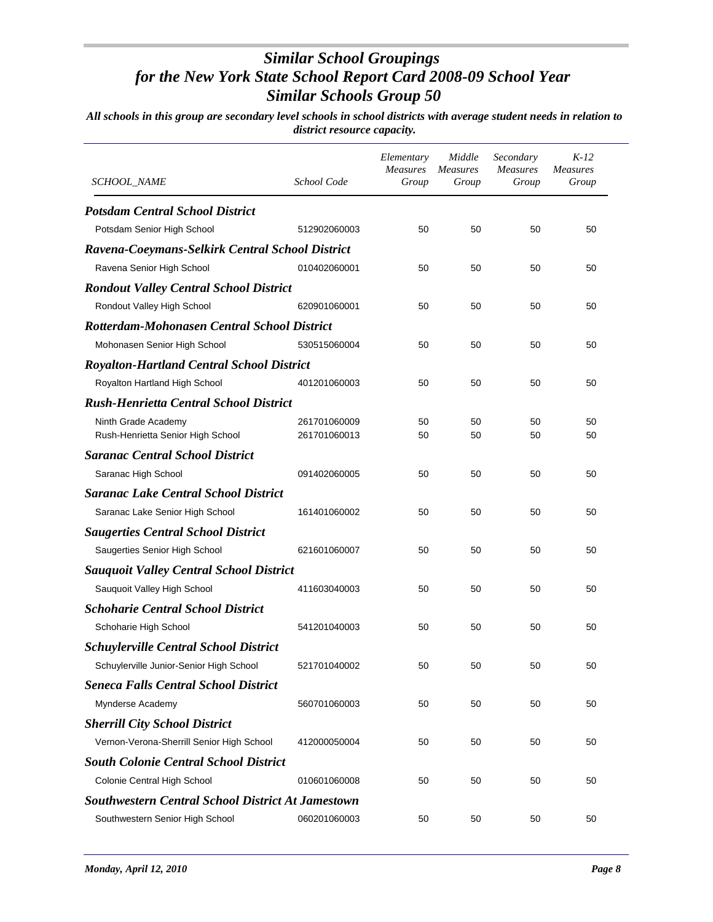| <b>SCHOOL_NAME</b>                                       | School Code  | Elementary<br>Measures<br>Group | Middle<br><b>Measures</b><br>Group | Secondary<br><b>Measures</b><br>Group | $K-12$<br><b>Measures</b><br>Group |
|----------------------------------------------------------|--------------|---------------------------------|------------------------------------|---------------------------------------|------------------------------------|
| <b>Potsdam Central School District</b>                   |              |                                 |                                    |                                       |                                    |
| Potsdam Senior High School                               | 512902060003 | 50                              | 50                                 | 50                                    | 50                                 |
| Ravena-Coeymans-Selkirk Central School District          |              |                                 |                                    |                                       |                                    |
| Ravena Senior High School                                | 010402060001 | 50                              | 50                                 | 50                                    | 50                                 |
| <b>Rondout Valley Central School District</b>            |              |                                 |                                    |                                       |                                    |
| Rondout Valley High School                               | 620901060001 | 50                              | 50                                 | 50                                    | 50                                 |
| <b>Rotterdam-Mohonasen Central School District</b>       |              |                                 |                                    |                                       |                                    |
| Mohonasen Senior High School                             | 530515060004 | 50                              | 50                                 | 50                                    | 50                                 |
| <b>Royalton-Hartland Central School District</b>         |              |                                 |                                    |                                       |                                    |
| Royalton Hartland High School                            | 401201060003 | 50                              | 50                                 | 50                                    | 50                                 |
| <b>Rush-Henrietta Central School District</b>            |              |                                 |                                    |                                       |                                    |
| Ninth Grade Academy                                      | 261701060009 | 50                              | 50                                 | 50                                    | 50                                 |
| Rush-Henrietta Senior High School                        | 261701060013 | 50                              | 50                                 | 50                                    | 50                                 |
| <b>Saranac Central School District</b>                   |              |                                 |                                    |                                       |                                    |
| Saranac High School                                      | 091402060005 | 50                              | 50                                 | 50                                    | 50                                 |
| <b>Saranac Lake Central School District</b>              |              |                                 |                                    |                                       |                                    |
| Saranac Lake Senior High School                          | 161401060002 | 50                              | 50                                 | 50                                    | 50                                 |
| <b>Saugerties Central School District</b>                |              |                                 |                                    |                                       |                                    |
| Saugerties Senior High School                            | 621601060007 | 50                              | 50                                 | 50                                    | 50                                 |
| <b>Sauquoit Valley Central School District</b>           |              |                                 |                                    |                                       |                                    |
| Sauquoit Valley High School                              | 411603040003 | 50                              | 50                                 | 50                                    | 50                                 |
| <b>Schoharie Central School District</b>                 |              |                                 |                                    |                                       |                                    |
| Schoharie High School                                    | 541201040003 | 50                              | 50                                 | 50                                    | 50                                 |
| <b>Schuylerville Central School District</b>             |              |                                 |                                    |                                       |                                    |
| Schuylerville Junior-Senior High School                  | 521701040002 | 50                              | 50                                 | 50                                    | 50                                 |
| <b>Seneca Falls Central School District</b>              |              |                                 |                                    |                                       |                                    |
| Mynderse Academy                                         | 560701060003 | 50                              | 50                                 | 50                                    | 50                                 |
| <b>Sherrill City School District</b>                     |              |                                 |                                    |                                       |                                    |
| Vernon-Verona-Sherrill Senior High School                | 412000050004 | 50                              | 50                                 | 50                                    | 50                                 |
| <b>South Colonie Central School District</b>             |              |                                 |                                    |                                       |                                    |
| Colonie Central High School                              | 010601060008 | 50                              | 50                                 | 50                                    | 50                                 |
| <b>Southwestern Central School District At Jamestown</b> |              |                                 |                                    |                                       |                                    |
| Southwestern Senior High School                          | 060201060003 | 50                              | 50                                 | 50                                    | 50                                 |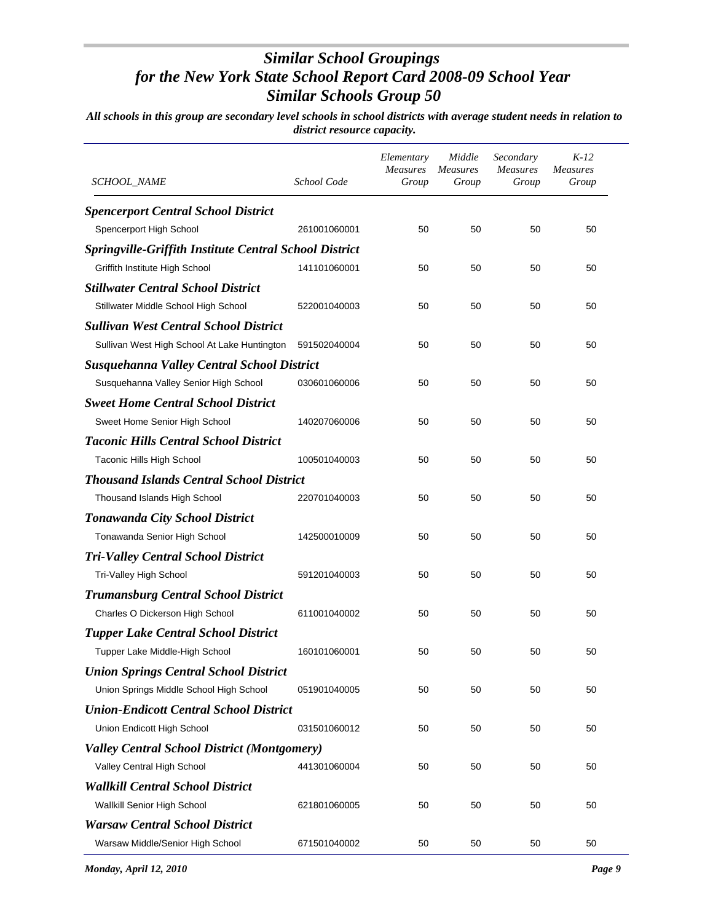| <i>SCHOOL_NAME</i>                                     | School Code  | Elementary<br><b>Measures</b><br>Group | Middle<br><b>Measures</b><br>Group | Secondary<br><b>Measures</b><br>Group | $K-12$<br><b>Measures</b><br>Group |
|--------------------------------------------------------|--------------|----------------------------------------|------------------------------------|---------------------------------------|------------------------------------|
| <b>Spencerport Central School District</b>             |              |                                        |                                    |                                       |                                    |
| Spencerport High School                                | 261001060001 | 50                                     | 50                                 | 50                                    | 50                                 |
| Springville-Griffith Institute Central School District |              |                                        |                                    |                                       |                                    |
| Griffith Institute High School                         | 141101060001 | 50                                     | 50                                 | 50                                    | 50                                 |
| <b>Stillwater Central School District</b>              |              |                                        |                                    |                                       |                                    |
| Stillwater Middle School High School                   | 522001040003 | 50                                     | 50                                 | 50                                    | 50                                 |
| <b>Sullivan West Central School District</b>           |              |                                        |                                    |                                       |                                    |
| Sullivan West High School At Lake Huntington           | 591502040004 | 50                                     | 50                                 | 50                                    | 50                                 |
| <b>Susquehanna Valley Central School District</b>      |              |                                        |                                    |                                       |                                    |
| Susquehanna Valley Senior High School                  | 030601060006 | 50                                     | 50                                 | 50                                    | 50                                 |
| <b>Sweet Home Central School District</b>              |              |                                        |                                    |                                       |                                    |
| Sweet Home Senior High School                          | 140207060006 | 50                                     | 50                                 | 50                                    | 50                                 |
| <b>Taconic Hills Central School District</b>           |              |                                        |                                    |                                       |                                    |
| Taconic Hills High School                              | 100501040003 | 50                                     | 50                                 | 50                                    | 50                                 |
| <b>Thousand Islands Central School District</b>        |              |                                        |                                    |                                       |                                    |
| Thousand Islands High School                           | 220701040003 | 50                                     | 50                                 | 50                                    | 50                                 |
| <b>Tonawanda City School District</b>                  |              |                                        |                                    |                                       |                                    |
| Tonawanda Senior High School                           | 142500010009 | 50                                     | 50                                 | 50                                    | 50                                 |
| <b>Tri-Valley Central School District</b>              |              |                                        |                                    |                                       |                                    |
| Tri-Valley High School                                 | 591201040003 | 50                                     | 50                                 | 50                                    | 50                                 |
| <b>Trumansburg Central School District</b>             |              |                                        |                                    |                                       |                                    |
| Charles O Dickerson High School                        | 611001040002 | 50                                     | 50                                 | 50                                    | 50                                 |
| <b>Tupper Lake Central School District</b>             |              |                                        |                                    |                                       |                                    |
| Tupper Lake Middle-High School                         | 160101060001 | 50                                     | 50                                 | 50                                    | 50                                 |
| <b>Union Springs Central School District</b>           |              |                                        |                                    |                                       |                                    |
| Union Springs Middle School High School                | 051901040005 | 50                                     | 50                                 | 50                                    | 50                                 |
| <b>Union-Endicott Central School District</b>          |              |                                        |                                    |                                       |                                    |
| Union Endicott High School                             | 031501060012 | 50                                     | 50                                 | 50                                    | 50                                 |
| <b>Valley Central School District (Montgomery)</b>     |              |                                        |                                    |                                       |                                    |
| Valley Central High School                             | 441301060004 | 50                                     | 50                                 | 50                                    | 50                                 |
| <b>Wallkill Central School District</b>                |              |                                        |                                    |                                       |                                    |
| Wallkill Senior High School                            | 621801060005 | 50                                     | 50                                 | 50                                    | 50                                 |
| <b>Warsaw Central School District</b>                  |              |                                        |                                    |                                       |                                    |
| Warsaw Middle/Senior High School                       | 671501040002 | 50                                     | 50                                 | 50                                    | 50                                 |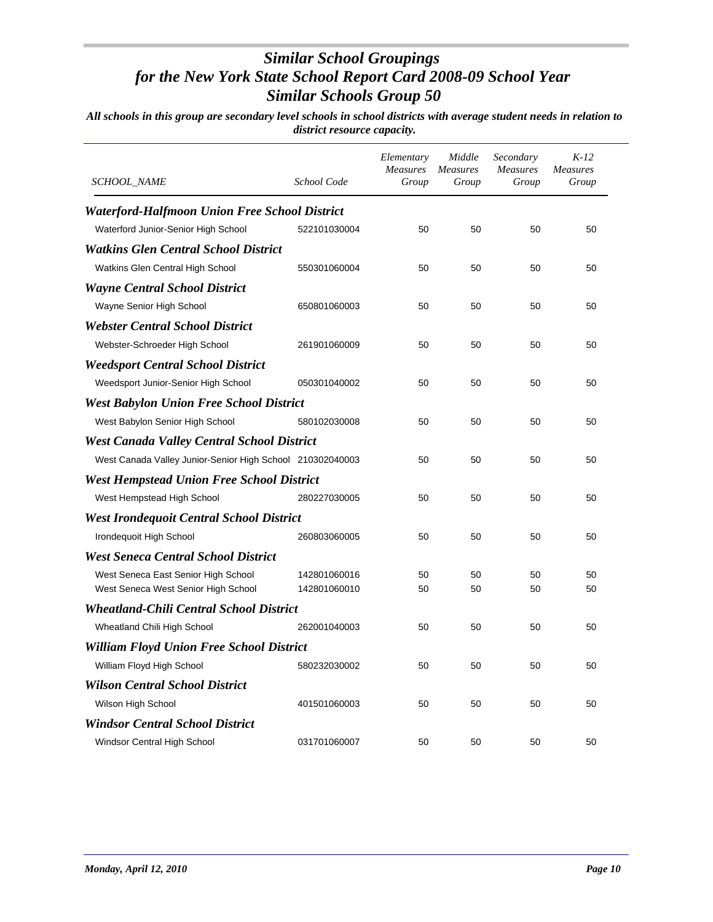| <i>SCHOOL_NAME</i>                                        | School Code  | Elementary<br><b>Measures</b><br>Group | Middle<br><b>Measures</b><br>Group | Secondary<br><b>Measures</b><br>Group | $K-12$<br>Measures<br>Group |
|-----------------------------------------------------------|--------------|----------------------------------------|------------------------------------|---------------------------------------|-----------------------------|
| <b>Waterford-Halfmoon Union Free School District</b>      |              |                                        |                                    |                                       |                             |
| Waterford Junior-Senior High School                       | 522101030004 | 50                                     | 50                                 | 50                                    | 50                          |
| Watkins Glen Central School District                      |              |                                        |                                    |                                       |                             |
| Watkins Glen Central High School                          | 550301060004 | 50                                     | 50                                 | 50                                    | 50                          |
| <b>Wayne Central School District</b>                      |              |                                        |                                    |                                       |                             |
| Wayne Senior High School                                  | 650801060003 | 50                                     | 50                                 | 50                                    | 50                          |
| <b>Webster Central School District</b>                    |              |                                        |                                    |                                       |                             |
| Webster-Schroeder High School                             | 261901060009 | 50                                     | 50                                 | 50                                    | 50                          |
| <b>Weedsport Central School District</b>                  |              |                                        |                                    |                                       |                             |
| Weedsport Junior-Senior High School                       | 050301040002 | 50                                     | 50                                 | 50                                    | 50                          |
| <b>West Babylon Union Free School District</b>            |              |                                        |                                    |                                       |                             |
| West Babylon Senior High School                           | 580102030008 | 50                                     | 50                                 | 50                                    | 50                          |
| <b>West Canada Valley Central School District</b>         |              |                                        |                                    |                                       |                             |
| West Canada Valley Junior-Senior High School 210302040003 |              | 50                                     | 50                                 | 50                                    | 50                          |
| <b>West Hempstead Union Free School District</b>          |              |                                        |                                    |                                       |                             |
| West Hempstead High School                                | 280227030005 | 50                                     | 50                                 | 50                                    | 50                          |
| <b>West Irondequoit Central School District</b>           |              |                                        |                                    |                                       |                             |
| Irondequoit High School                                   | 260803060005 | 50                                     | 50                                 | 50                                    | 50                          |
| <b>West Seneca Central School District</b>                |              |                                        |                                    |                                       |                             |
| West Seneca East Senior High School                       | 142801060016 | 50                                     | 50                                 | 50                                    | 50                          |
| West Seneca West Senior High School                       | 142801060010 | 50                                     | 50                                 | 50                                    | 50                          |
| <b>Wheatland-Chili Central School District</b>            |              |                                        |                                    |                                       |                             |
| Wheatland Chili High School                               | 262001040003 | 50                                     | 50                                 | 50                                    | 50                          |
| <b>William Floyd Union Free School District</b>           |              |                                        |                                    |                                       |                             |
| William Floyd High School                                 | 580232030002 | 50                                     | 50                                 | 50                                    | 50                          |
| Wilson Central School District                            |              |                                        |                                    |                                       |                             |
| Wilson High School                                        | 401501060003 | 50                                     | 50                                 | 50                                    | 50                          |
| <b>Windsor Central School District</b>                    |              |                                        |                                    |                                       |                             |
| Windsor Central High School                               | 031701060007 | 50                                     | 50                                 | 50                                    | 50                          |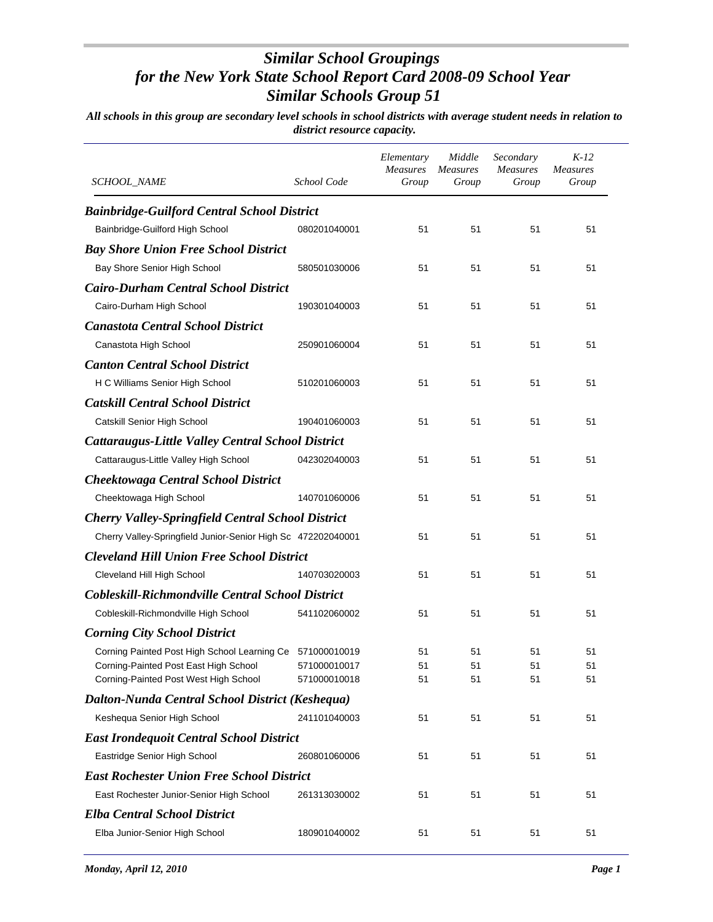| SCHOOL_NAME                                                  | School Code  | Elementary<br><b>Measures</b><br>Group | Middle<br><i>Measures</i><br>Group | Secondary<br><b>Measures</b><br>Group | $K-12$<br><b>Measures</b><br>Group |
|--------------------------------------------------------------|--------------|----------------------------------------|------------------------------------|---------------------------------------|------------------------------------|
| <b>Bainbridge-Guilford Central School District</b>           |              |                                        |                                    |                                       |                                    |
| Bainbridge-Guilford High School                              | 080201040001 | 51                                     | 51                                 | 51                                    | 51                                 |
| <b>Bay Shore Union Free School District</b>                  |              |                                        |                                    |                                       |                                    |
| Bay Shore Senior High School                                 | 580501030006 | 51                                     | 51                                 | 51                                    | 51                                 |
| <b>Cairo-Durham Central School District</b>                  |              |                                        |                                    |                                       |                                    |
| Cairo-Durham High School                                     | 190301040003 | 51                                     | 51                                 | 51                                    | 51                                 |
| <b>Canastota Central School District</b>                     |              |                                        |                                    |                                       |                                    |
| Canastota High School                                        | 250901060004 | 51                                     | 51                                 | 51                                    | 51                                 |
| <b>Canton Central School District</b>                        |              |                                        |                                    |                                       |                                    |
| H C Williams Senior High School                              | 510201060003 | 51                                     | 51                                 | 51                                    | 51                                 |
| <b>Catskill Central School District</b>                      |              |                                        |                                    |                                       |                                    |
| Catskill Senior High School                                  | 190401060003 | 51                                     | 51                                 | 51                                    | 51                                 |
| <b>Cattaraugus-Little Valley Central School District</b>     |              |                                        |                                    |                                       |                                    |
| Cattaraugus-Little Valley High School                        | 042302040003 | 51                                     | 51                                 | 51                                    | 51                                 |
| <b>Cheektowaga Central School District</b>                   |              |                                        |                                    |                                       |                                    |
| Cheektowaga High School                                      | 140701060006 | 51                                     | 51                                 | 51                                    | 51                                 |
| <b>Cherry Valley-Springfield Central School District</b>     |              |                                        |                                    |                                       |                                    |
| Cherry Valley-Springfield Junior-Senior High Sc 472202040001 |              | 51                                     | 51                                 | 51                                    | 51                                 |
| <b>Cleveland Hill Union Free School District</b>             |              |                                        |                                    |                                       |                                    |
| Cleveland Hill High School                                   | 140703020003 | 51                                     | 51                                 | 51                                    | 51                                 |
| Cobleskill-Richmondville Central School District             |              |                                        |                                    |                                       |                                    |
| Cobleskill-Richmondville High School                         | 541102060002 | 51                                     | 51                                 | 51                                    | 51                                 |
| <b>Corning City School District</b>                          |              |                                        |                                    |                                       |                                    |
| Corning Painted Post High School Learning Ce 571000010019    |              | 51                                     | 51                                 | 51                                    | 51                                 |
| Corning-Painted Post East High School                        | 571000010017 | 51                                     | 51                                 | 51                                    | 51                                 |
| Corning-Painted Post West High School                        | 571000010018 | 51                                     | 51                                 | 51                                    | 51                                 |
| Dalton-Nunda Central School District (Keshequa)              |              |                                        |                                    |                                       |                                    |
| Keshequa Senior High School                                  | 241101040003 | 51                                     | 51                                 | 51                                    | 51                                 |
| <b>East Irondequoit Central School District</b>              |              |                                        |                                    |                                       |                                    |
| Eastridge Senior High School                                 | 260801060006 | 51                                     | 51                                 | 51                                    | 51                                 |
| <b>East Rochester Union Free School District</b>             |              |                                        |                                    |                                       |                                    |
| East Rochester Junior-Senior High School                     | 261313030002 | 51                                     | 51                                 | 51                                    | 51                                 |
| <b>Elba Central School District</b>                          |              |                                        |                                    |                                       |                                    |
| Elba Junior-Senior High School                               | 180901040002 | 51                                     | 51                                 | 51                                    | 51                                 |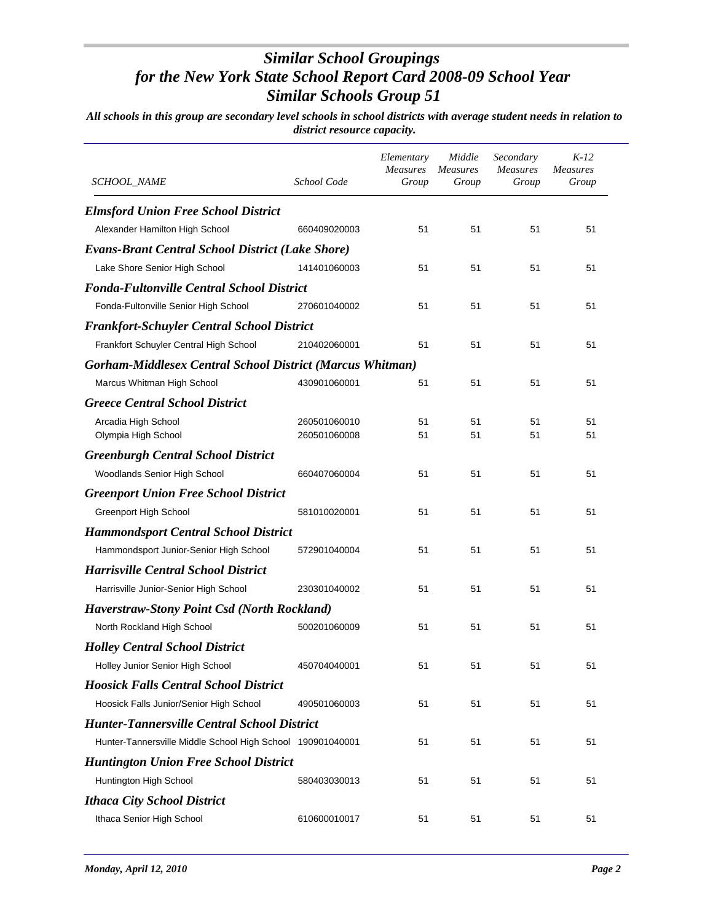| <i>SCHOOL_NAME</i>                                                                  | School Code                  | Elementary<br>Measures<br>Group | Middle<br><b>Measures</b><br>Group | Secondary<br><b>Measures</b><br>Group | $K-12$<br><b>Measures</b><br>Group |
|-------------------------------------------------------------------------------------|------------------------------|---------------------------------|------------------------------------|---------------------------------------|------------------------------------|
|                                                                                     |                              |                                 |                                    |                                       |                                    |
| <b>Elmsford Union Free School District</b><br>Alexander Hamilton High School        | 660409020003                 | 51                              | 51                                 | 51                                    | 51                                 |
| <b>Evans-Brant Central School District (Lake Shore)</b>                             |                              |                                 |                                    |                                       |                                    |
| Lake Shore Senior High School                                                       | 141401060003                 | 51                              | 51                                 | 51                                    | 51                                 |
| <b>Fonda-Fultonville Central School District</b>                                    |                              |                                 |                                    |                                       |                                    |
| Fonda-Fultonville Senior High School                                                | 270601040002                 | 51                              | 51                                 | 51                                    | 51                                 |
|                                                                                     |                              |                                 |                                    |                                       |                                    |
| <b>Frankfort-Schuyler Central School District</b>                                   | 210402060001                 | 51                              | 51                                 | 51                                    | 51                                 |
| Frankfort Schuyler Central High School                                              |                              |                                 |                                    |                                       |                                    |
| Gorham-Middlesex Central School District (Marcus Whitman)                           |                              |                                 |                                    |                                       |                                    |
| Marcus Whitman High School                                                          | 430901060001                 | 51                              | 51                                 | 51                                    | 51                                 |
| <b>Greece Central School District</b>                                               |                              |                                 |                                    |                                       |                                    |
| Arcadia High School<br>Olympia High School                                          | 260501060010<br>260501060008 | 51<br>51                        | 51<br>51                           | 51<br>51                              | 51<br>51                           |
| <b>Greenburgh Central School District</b>                                           |                              |                                 |                                    |                                       |                                    |
| Woodlands Senior High School                                                        | 660407060004                 | 51                              | 51                                 | 51                                    | 51                                 |
| <b>Greenport Union Free School District</b>                                         |                              |                                 |                                    |                                       |                                    |
| Greenport High School                                                               | 581010020001                 | 51                              | 51                                 | 51                                    | 51                                 |
| <b>Hammondsport Central School District</b>                                         |                              |                                 |                                    |                                       |                                    |
| Hammondsport Junior-Senior High School                                              | 572901040004                 | 51                              | 51                                 | 51                                    | 51                                 |
|                                                                                     |                              |                                 |                                    |                                       |                                    |
| <b>Harrisville Central School District</b><br>Harrisville Junior-Senior High School | 230301040002                 | 51                              | 51                                 | 51                                    | 51                                 |
|                                                                                     |                              |                                 |                                    |                                       |                                    |
| <b>Haverstraw-Stony Point Csd (North Rockland)</b>                                  |                              |                                 |                                    |                                       |                                    |
| North Rockland High School                                                          | 500201060009                 | 51                              | 51                                 | 51                                    | 51                                 |
| <b>Holley Central School District</b>                                               |                              |                                 |                                    |                                       |                                    |
| Holley Junior Senior High School                                                    | 450704040001                 | 51                              | 51                                 | 51                                    | 51                                 |
| <b>Hoosick Falls Central School District</b>                                        |                              |                                 |                                    |                                       |                                    |
| Hoosick Falls Junior/Senior High School                                             | 490501060003                 | 51                              | 51                                 | 51                                    | 51                                 |
| <b>Hunter-Tannersville Central School District</b>                                  |                              |                                 |                                    |                                       |                                    |
| Hunter-Tannersville Middle School High School 190901040001                          |                              | 51                              | 51                                 | 51                                    | 51                                 |
| <b>Huntington Union Free School District</b>                                        |                              |                                 |                                    |                                       |                                    |
| Huntington High School                                                              | 580403030013                 | 51                              | 51                                 | 51                                    | 51                                 |
| <b>Ithaca City School District</b>                                                  |                              |                                 |                                    |                                       |                                    |
| Ithaca Senior High School                                                           | 610600010017                 | 51                              | 51                                 | 51                                    | 51                                 |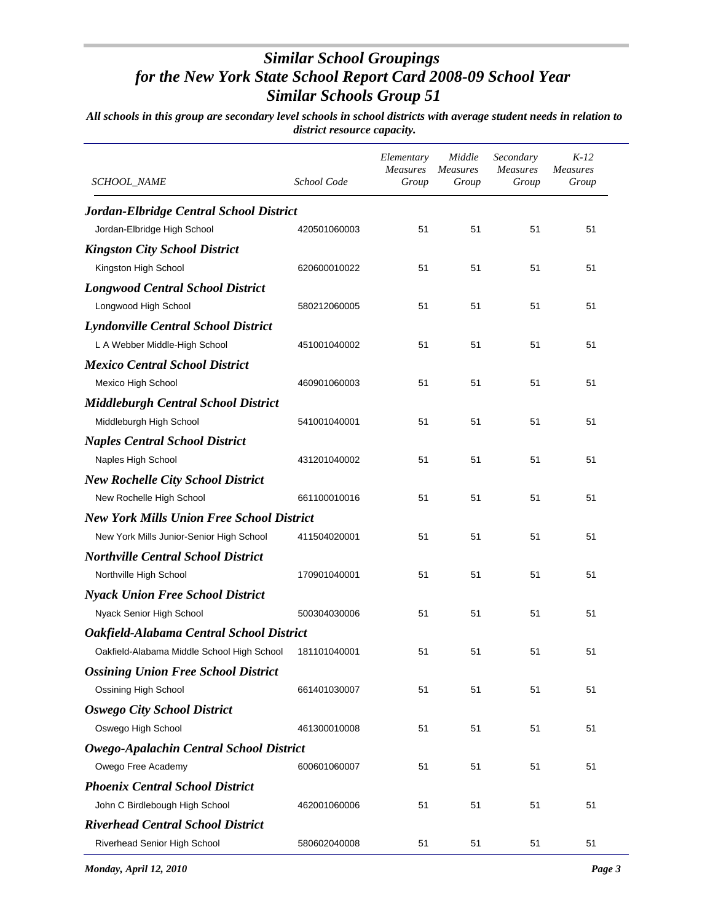| SCHOOL_NAME                                      | School Code  | Elementary<br><b>Measures</b><br>Group | Middle<br><b>Measures</b><br>Group | Secondary<br><b>Measures</b><br>Group | $K-12$<br><b>Measures</b><br>Group |
|--------------------------------------------------|--------------|----------------------------------------|------------------------------------|---------------------------------------|------------------------------------|
| Jordan-Elbridge Central School District          |              |                                        |                                    |                                       |                                    |
| Jordan-Elbridge High School                      | 420501060003 | 51                                     | 51                                 | 51                                    | 51                                 |
| <b>Kingston City School District</b>             |              |                                        |                                    |                                       |                                    |
| Kingston High School                             | 620600010022 | 51                                     | 51                                 | 51                                    | 51                                 |
| <b>Longwood Central School District</b>          |              |                                        |                                    |                                       |                                    |
| Longwood High School                             | 580212060005 | 51                                     | 51                                 | 51                                    | 51                                 |
| <b>Lyndonville Central School District</b>       |              |                                        |                                    |                                       |                                    |
| L A Webber Middle-High School                    | 451001040002 | 51                                     | 51                                 | 51                                    | 51                                 |
| <b>Mexico Central School District</b>            |              |                                        |                                    |                                       |                                    |
| Mexico High School                               | 460901060003 | 51                                     | 51                                 | 51                                    | 51                                 |
| <b>Middleburgh Central School District</b>       |              |                                        |                                    |                                       |                                    |
| Middleburgh High School                          | 541001040001 | 51                                     | 51                                 | 51                                    | 51                                 |
| <b>Naples Central School District</b>            |              |                                        |                                    |                                       |                                    |
| Naples High School                               | 431201040002 | 51                                     | 51                                 | 51                                    | 51                                 |
| <b>New Rochelle City School District</b>         |              |                                        |                                    |                                       |                                    |
| New Rochelle High School                         | 661100010016 | 51                                     | 51                                 | 51                                    | 51                                 |
| <b>New York Mills Union Free School District</b> |              |                                        |                                    |                                       |                                    |
| New York Mills Junior-Senior High School         | 411504020001 | 51                                     | 51                                 | 51                                    | 51                                 |
| <b>Northville Central School District</b>        |              |                                        |                                    |                                       |                                    |
| Northville High School                           | 170901040001 | 51                                     | 51                                 | 51                                    | 51                                 |
| <b>Nyack Union Free School District</b>          |              |                                        |                                    |                                       |                                    |
| Nyack Senior High School                         | 500304030006 | 51                                     | 51                                 | 51                                    | 51                                 |
| Oakfield-Alabama Central School District         |              |                                        |                                    |                                       |                                    |
| Oakfield-Alabama Middle School High School       | 181101040001 | 51                                     | 51                                 | 51                                    | 51                                 |
| <b>Ossining Union Free School District</b>       |              |                                        |                                    |                                       |                                    |
| Ossining High School                             | 661401030007 | 51                                     | 51                                 | 51                                    | 51                                 |
| <b>Oswego City School District</b>               |              |                                        |                                    |                                       |                                    |
| Oswego High School                               | 461300010008 | 51                                     | 51                                 | 51                                    | 51                                 |
| Owego-Apalachin Central School District          |              |                                        |                                    |                                       |                                    |
| Owego Free Academy                               | 600601060007 | 51                                     | 51                                 | 51                                    | 51                                 |
| <b>Phoenix Central School District</b>           |              |                                        |                                    |                                       |                                    |
| John C Birdlebough High School                   | 462001060006 | 51                                     | 51                                 | 51                                    | 51                                 |
| <b>Riverhead Central School District</b>         |              |                                        |                                    |                                       |                                    |
| Riverhead Senior High School                     | 580602040008 | 51                                     | 51                                 | 51                                    | 51                                 |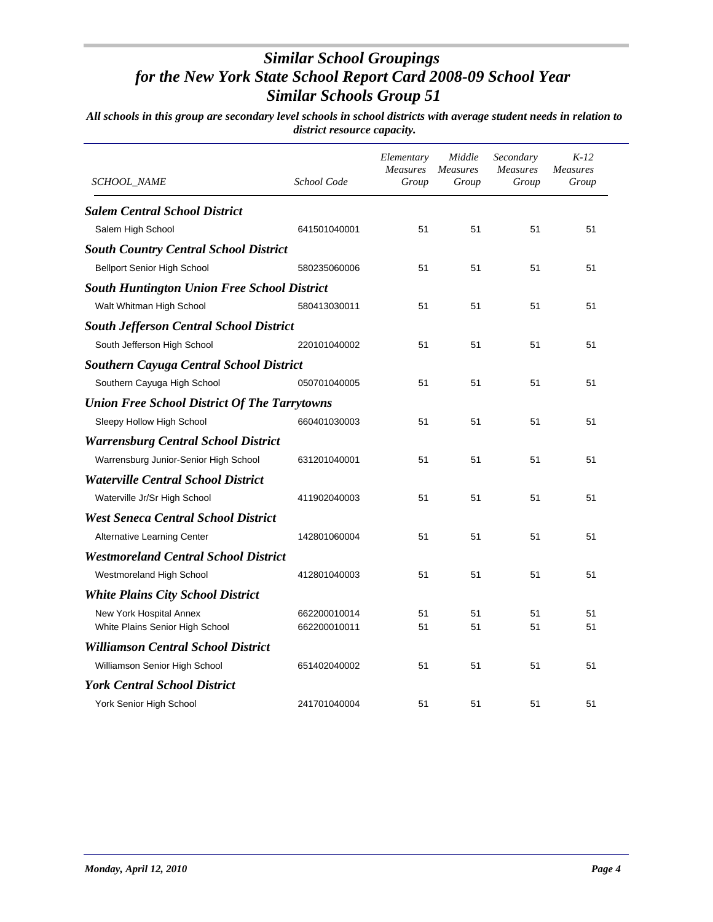| <i>SCHOOL_NAME</i>                                  | School Code  | Elementary<br><b>Measures</b><br>Group | Middle<br>Measures<br>Group | Secondary<br><b>Measures</b><br>Group | $K-12$<br>Measures<br>Group |
|-----------------------------------------------------|--------------|----------------------------------------|-----------------------------|---------------------------------------|-----------------------------|
| <b>Salem Central School District</b>                |              |                                        |                             |                                       |                             |
| Salem High School                                   | 641501040001 | 51                                     | 51                          | 51                                    | 51                          |
| <b>South Country Central School District</b>        |              |                                        |                             |                                       |                             |
| <b>Bellport Senior High School</b>                  | 580235060006 | 51                                     | 51                          | 51                                    | 51                          |
| <b>South Huntington Union Free School District</b>  |              |                                        |                             |                                       |                             |
| Walt Whitman High School                            | 580413030011 | 51                                     | 51                          | 51                                    | 51                          |
| <b>South Jefferson Central School District</b>      |              |                                        |                             |                                       |                             |
| South Jefferson High School                         | 220101040002 | 51                                     | 51                          | 51                                    | 51                          |
| <b>Southern Cayuga Central School District</b>      |              |                                        |                             |                                       |                             |
| Southern Cayuga High School                         | 050701040005 | 51                                     | 51                          | 51                                    | 51                          |
| <b>Union Free School District Of The Tarrytowns</b> |              |                                        |                             |                                       |                             |
| Sleepy Hollow High School                           | 660401030003 | 51                                     | 51                          | 51                                    | 51                          |
| <b>Warrensburg Central School District</b>          |              |                                        |                             |                                       |                             |
| Warrensburg Junior-Senior High School               | 631201040001 | 51                                     | 51                          | 51                                    | 51                          |
| <b>Waterville Central School District</b>           |              |                                        |                             |                                       |                             |
| Waterville Jr/Sr High School                        | 411902040003 | 51                                     | 51                          | 51                                    | 51                          |
| <b>West Seneca Central School District</b>          |              |                                        |                             |                                       |                             |
| Alternative Learning Center                         | 142801060004 | 51                                     | 51                          | 51                                    | 51                          |
| <b>Westmoreland Central School District</b>         |              |                                        |                             |                                       |                             |
| Westmoreland High School                            | 412801040003 | 51                                     | 51                          | 51                                    | 51                          |
| <b>White Plains City School District</b>            |              |                                        |                             |                                       |                             |
| New York Hospital Annex                             | 662200010014 | 51                                     | 51                          | 51                                    | 51                          |
| White Plains Senior High School                     | 662200010011 | 51                                     | 51                          | 51                                    | 51                          |
| <b>Williamson Central School District</b>           |              |                                        |                             |                                       |                             |
| Williamson Senior High School                       | 651402040002 | 51                                     | 51                          | 51                                    | 51                          |
| <b>York Central School District</b>                 |              |                                        |                             |                                       |                             |
| York Senior High School                             | 241701040004 | 51                                     | 51                          | 51                                    | 51                          |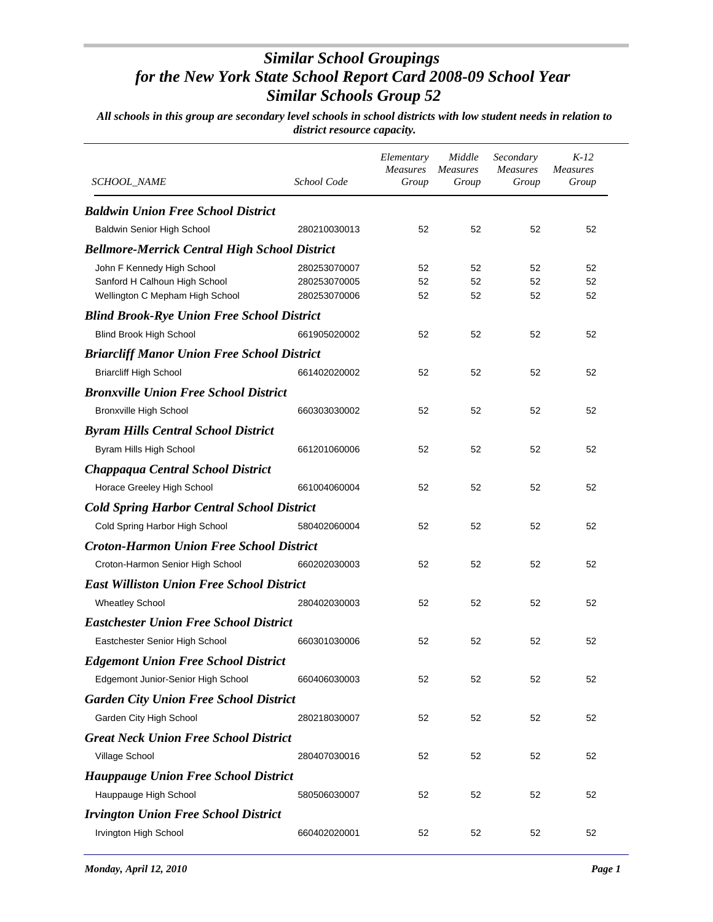| <i>SCHOOL_NAME</i>                                   | School Code  | Elementary<br>Measures<br>Group | Middle<br><i>Measures</i><br>Group | Secondary<br><b>Measures</b><br>Group | $K-12$<br><i>Measures</i><br>Group |
|------------------------------------------------------|--------------|---------------------------------|------------------------------------|---------------------------------------|------------------------------------|
| <b>Baldwin Union Free School District</b>            |              |                                 |                                    |                                       |                                    |
| Baldwin Senior High School                           | 280210030013 | 52                              | 52                                 | 52                                    | 52                                 |
| <b>Bellmore-Merrick Central High School District</b> |              |                                 |                                    |                                       |                                    |
| John F Kennedy High School                           | 280253070007 | 52                              | 52                                 | 52                                    | 52                                 |
| Sanford H Calhoun High School                        | 280253070005 | 52                              | 52                                 | 52                                    | 52                                 |
| Wellington C Mepham High School                      | 280253070006 | 52                              | 52                                 | 52                                    | 52                                 |
| <b>Blind Brook-Rye Union Free School District</b>    |              |                                 |                                    |                                       |                                    |
| <b>Blind Brook High School</b>                       | 661905020002 | 52                              | 52                                 | 52                                    | 52                                 |
| <b>Briarcliff Manor Union Free School District</b>   |              |                                 |                                    |                                       |                                    |
| <b>Briarcliff High School</b>                        | 661402020002 | 52                              | 52                                 | 52                                    | 52                                 |
| <b>Bronxville Union Free School District</b>         |              |                                 |                                    |                                       |                                    |
| <b>Bronxville High School</b>                        | 660303030002 | 52                              | 52                                 | 52                                    | 52                                 |
| <b>Byram Hills Central School District</b>           |              |                                 |                                    |                                       |                                    |
| Byram Hills High School                              | 661201060006 | 52                              | 52                                 | 52                                    | 52                                 |
| Chappaqua Central School District                    |              |                                 |                                    |                                       |                                    |
| Horace Greeley High School                           | 661004060004 | 52                              | 52                                 | 52                                    | 52                                 |
| <b>Cold Spring Harbor Central School District</b>    |              |                                 |                                    |                                       |                                    |
| Cold Spring Harbor High School                       | 580402060004 | 52                              | 52                                 | 52                                    | 52                                 |
| <b>Croton-Harmon Union Free School District</b>      |              |                                 |                                    |                                       |                                    |
| Croton-Harmon Senior High School                     | 660202030003 | 52                              | 52                                 | 52                                    | 52                                 |
| <b>East Williston Union Free School District</b>     |              |                                 |                                    |                                       |                                    |
| <b>Wheatley School</b>                               | 280402030003 | 52                              | 52                                 | 52                                    | 52                                 |
| <b>Eastchester Union Free School District</b>        |              |                                 |                                    |                                       |                                    |
| Eastchester Senior High School                       | 660301030006 | 52                              | 52                                 | 52                                    | 52                                 |
| <b>Edgemont Union Free School District</b>           |              |                                 |                                    |                                       |                                    |
| Edgemont Junior-Senior High School                   | 660406030003 | 52                              | 52                                 | 52                                    | 52                                 |
| <b>Garden City Union Free School District</b>        |              |                                 |                                    |                                       |                                    |
| Garden City High School                              | 280218030007 | 52                              | 52                                 | 52                                    | 52                                 |
|                                                      |              |                                 |                                    |                                       |                                    |
| <b>Great Neck Union Free School District</b>         |              |                                 |                                    |                                       |                                    |
| Village School                                       | 280407030016 | 52                              | 52                                 | 52                                    | 52                                 |
| <b>Hauppauge Union Free School District</b>          |              |                                 |                                    |                                       |                                    |
| Hauppauge High School                                | 580506030007 | 52                              | 52                                 | 52                                    | 52                                 |
| <b>Irvington Union Free School District</b>          |              |                                 |                                    |                                       |                                    |
| Irvington High School                                | 660402020001 | 52                              | 52                                 | 52                                    | 52                                 |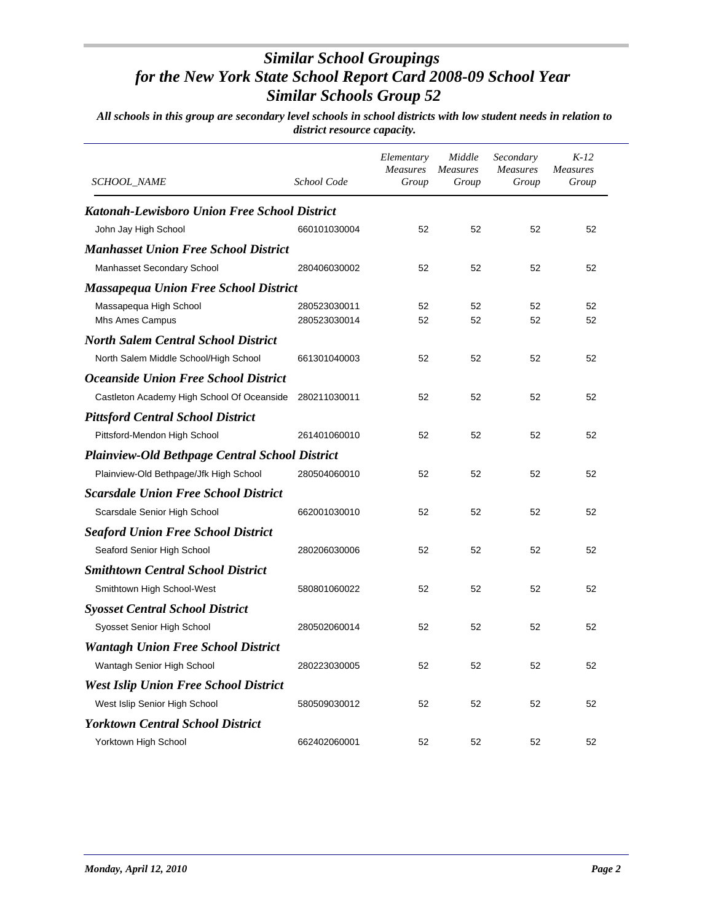| <i>SCHOOL NAME</i>                                    | School Code  | Elementary<br>Measures<br>Group | Middle<br>Measures<br>Group | Secondary<br>Measures<br>Group | $K-12$<br>Measures<br>Group |
|-------------------------------------------------------|--------------|---------------------------------|-----------------------------|--------------------------------|-----------------------------|
| Katonah-Lewisboro Union Free School District          |              |                                 |                             |                                |                             |
| John Jay High School                                  | 660101030004 | 52                              | 52                          | 52                             | 52                          |
| <b>Manhasset Union Free School District</b>           |              |                                 |                             |                                |                             |
| Manhasset Secondary School                            | 280406030002 | 52                              | 52                          | 52                             | 52                          |
| <b>Massapequa Union Free School District</b>          |              |                                 |                             |                                |                             |
| Massapequa High School                                | 280523030011 | 52                              | 52                          | 52                             | 52                          |
| Mhs Ames Campus                                       | 280523030014 | 52                              | 52                          | 52                             | 52                          |
| <b>North Salem Central School District</b>            |              |                                 |                             |                                |                             |
| North Salem Middle School/High School                 | 661301040003 | 52                              | 52                          | 52                             | 52                          |
| <b>Oceanside Union Free School District</b>           |              |                                 |                             |                                |                             |
| Castleton Academy High School Of Oceanside            | 280211030011 | 52                              | 52                          | 52                             | 52                          |
| <b>Pittsford Central School District</b>              |              |                                 |                             |                                |                             |
| Pittsford-Mendon High School                          | 261401060010 | 52                              | 52                          | 52                             | 52                          |
| <b>Plainview-Old Bethpage Central School District</b> |              |                                 |                             |                                |                             |
| Plainview-Old Bethpage/Jfk High School                | 280504060010 | 52                              | 52                          | 52                             | 52                          |
| <b>Scarsdale Union Free School District</b>           |              |                                 |                             |                                |                             |
| Scarsdale Senior High School                          | 662001030010 | 52                              | 52                          | 52                             | 52                          |
| <b>Seaford Union Free School District</b>             |              |                                 |                             |                                |                             |
| Seaford Senior High School                            | 280206030006 | 52                              | 52                          | 52                             | 52                          |
| <b>Smithtown Central School District</b>              |              |                                 |                             |                                |                             |
| Smithtown High School-West                            | 580801060022 | 52                              | 52                          | 52                             | 52                          |
| <b>Syosset Central School District</b>                |              |                                 |                             |                                |                             |
| Syosset Senior High School                            | 280502060014 | 52                              | 52                          | 52                             | 52                          |
| <b>Wantagh Union Free School District</b>             |              |                                 |                             |                                |                             |
| Wantagh Senior High School                            | 280223030005 | 52                              | 52                          | 52                             | 52                          |
| <b>West Islip Union Free School District</b>          |              |                                 |                             |                                |                             |
| West Islip Senior High School                         | 580509030012 | 52                              | 52                          | 52                             | 52                          |
|                                                       |              |                                 |                             |                                |                             |
| <b>Yorktown Central School District</b>               |              |                                 |                             |                                |                             |
| Yorktown High School                                  | 662402060001 | 52                              | 52                          | 52                             | 52                          |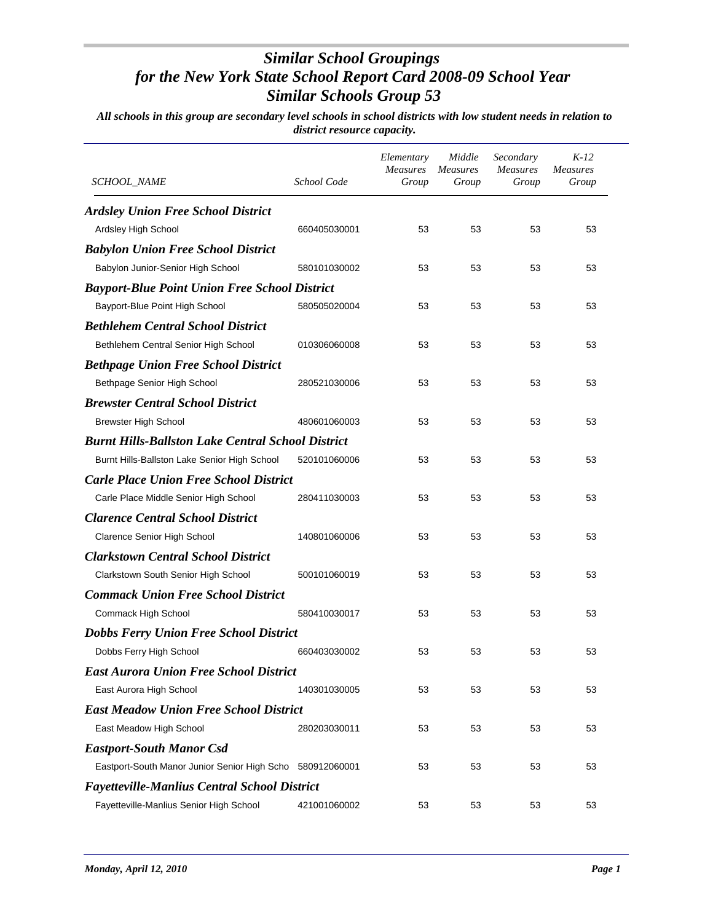| <b>SCHOOL_NAME</b>                                        | School Code  | Elementary<br><b>Measures</b><br>Group | Middle<br><i>Measures</i><br>Group | Secondary<br><b>Measures</b><br>Group | $K-12$<br><b>Measures</b><br>Group |
|-----------------------------------------------------------|--------------|----------------------------------------|------------------------------------|---------------------------------------|------------------------------------|
| <b>Ardsley Union Free School District</b>                 |              |                                        |                                    |                                       |                                    |
| Ardsley High School                                       | 660405030001 | 53                                     | 53                                 | 53                                    | 53                                 |
| <b>Babylon Union Free School District</b>                 |              |                                        |                                    |                                       |                                    |
| Babylon Junior-Senior High School                         | 580101030002 | 53                                     | 53                                 | 53                                    | 53                                 |
| <b>Bayport-Blue Point Union Free School District</b>      |              |                                        |                                    |                                       |                                    |
| Bayport-Blue Point High School                            | 580505020004 | 53                                     | 53                                 | 53                                    | 53                                 |
| <b>Bethlehem Central School District</b>                  |              |                                        |                                    |                                       |                                    |
| Bethlehem Central Senior High School                      | 010306060008 | 53                                     | 53                                 | 53                                    | 53                                 |
| <b>Bethpage Union Free School District</b>                |              |                                        |                                    |                                       |                                    |
| Bethpage Senior High School                               | 280521030006 | 53                                     | 53                                 | 53                                    | 53                                 |
| <b>Brewster Central School District</b>                   |              |                                        |                                    |                                       |                                    |
| <b>Brewster High School</b>                               | 480601060003 | 53                                     | 53                                 | 53                                    | 53                                 |
| <b>Burnt Hills-Ballston Lake Central School District</b>  |              |                                        |                                    |                                       |                                    |
| Burnt Hills-Ballston Lake Senior High School              | 520101060006 | 53                                     | 53                                 | 53                                    | 53                                 |
| <b>Carle Place Union Free School District</b>             |              |                                        |                                    |                                       |                                    |
| Carle Place Middle Senior High School                     | 280411030003 | 53                                     | 53                                 | 53                                    | 53                                 |
| <b>Clarence Central School District</b>                   |              |                                        |                                    |                                       |                                    |
| <b>Clarence Senior High School</b>                        | 140801060006 | 53                                     | 53                                 | 53                                    | 53                                 |
| <b>Clarkstown Central School District</b>                 |              |                                        |                                    |                                       |                                    |
| Clarkstown South Senior High School                       | 500101060019 | 53                                     | 53                                 | 53                                    | 53                                 |
| <b>Commack Union Free School District</b>                 |              |                                        |                                    |                                       |                                    |
| Commack High School                                       | 580410030017 | 53                                     | 53                                 | 53                                    | 53                                 |
| <b>Dobbs Ferry Union Free School District</b>             |              |                                        |                                    |                                       |                                    |
| Dobbs Ferry High School                                   | 660403030002 | 53                                     | 53                                 | 53                                    | 53                                 |
| <b>East Aurora Union Free School District</b>             |              |                                        |                                    |                                       |                                    |
| East Aurora High School                                   | 140301030005 | 53                                     | 53                                 | 53                                    | 53                                 |
| <b>East Meadow Union Free School District</b>             |              |                                        |                                    |                                       |                                    |
| East Meadow High School                                   | 280203030011 | 53                                     | 53                                 | 53                                    | 53                                 |
| <b>Eastport-South Manor Csd</b>                           |              |                                        |                                    |                                       |                                    |
| Eastport-South Manor Junior Senior High Scho 580912060001 |              | 53                                     | 53                                 | 53                                    | 53                                 |
| <b>Fayetteville-Manlius Central School District</b>       |              |                                        |                                    |                                       |                                    |
| Fayetteville-Manlius Senior High School                   | 421001060002 | 53                                     | 53                                 | 53                                    | 53                                 |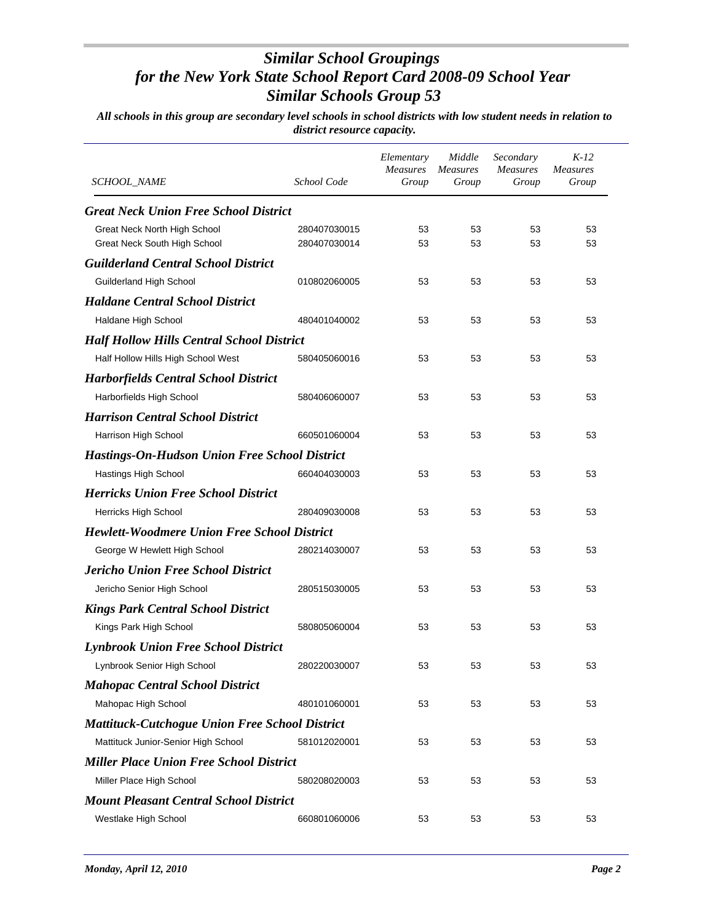| <b>SCHOOL_NAME</b>                                           | School Code                  | Elementary<br><b>Measures</b><br>Group | Middle<br><b>Measures</b><br>Group | Secondary<br><b>Measures</b><br>Group | $K-12$<br><b>Measures</b><br>Group |
|--------------------------------------------------------------|------------------------------|----------------------------------------|------------------------------------|---------------------------------------|------------------------------------|
| <b>Great Neck Union Free School District</b>                 |                              |                                        |                                    |                                       |                                    |
| Great Neck North High School<br>Great Neck South High School | 280407030015<br>280407030014 | 53<br>53                               | 53<br>53                           | 53<br>53                              | 53<br>53                           |
| <b>Guilderland Central School District</b>                   |                              |                                        |                                    |                                       |                                    |
| <b>Guilderland High School</b>                               | 010802060005                 | 53                                     | 53                                 | 53                                    | 53                                 |
| <b>Haldane Central School District</b>                       |                              |                                        |                                    |                                       |                                    |
| Haldane High School                                          | 480401040002                 | 53                                     | 53                                 | 53                                    | 53                                 |
| <b>Half Hollow Hills Central School District</b>             |                              |                                        |                                    |                                       |                                    |
| Half Hollow Hills High School West                           | 580405060016                 | 53                                     | 53                                 | 53                                    | 53                                 |
| <b>Harborfields Central School District</b>                  |                              |                                        |                                    |                                       |                                    |
| Harborfields High School                                     | 580406060007                 | 53                                     | 53                                 | 53                                    | 53                                 |
| <b>Harrison Central School District</b>                      |                              |                                        |                                    |                                       |                                    |
| Harrison High School                                         | 660501060004                 | 53                                     | 53                                 | 53                                    | 53                                 |
| <b>Hastings-On-Hudson Union Free School District</b>         |                              |                                        |                                    |                                       |                                    |
| Hastings High School                                         | 660404030003                 | 53                                     | 53                                 | 53                                    | 53                                 |
| <b>Herricks Union Free School District</b>                   |                              |                                        |                                    |                                       |                                    |
| <b>Herricks High School</b>                                  | 280409030008                 | 53                                     | 53                                 | 53                                    | 53                                 |
| <b>Hewlett-Woodmere Union Free School District</b>           |                              |                                        |                                    |                                       |                                    |
| George W Hewlett High School                                 | 280214030007                 | 53                                     | 53                                 | 53                                    | 53                                 |
| <b>Jericho Union Free School District</b>                    |                              |                                        |                                    |                                       |                                    |
| Jericho Senior High School                                   | 280515030005                 | 53                                     | 53                                 | 53                                    | 53                                 |
| <b>Kings Park Central School District</b>                    |                              |                                        |                                    |                                       |                                    |
| Kings Park High School                                       | 580805060004                 | 53                                     | 53                                 | 53                                    | 53                                 |
| <b>Lynbrook Union Free School District</b>                   |                              |                                        |                                    |                                       |                                    |
| Lynbrook Senior High School                                  | 280220030007                 | 53                                     | 53                                 | 53                                    | 53                                 |
| <b>Mahopac Central School District</b>                       |                              |                                        |                                    |                                       |                                    |
| Mahopac High School                                          | 480101060001                 | 53                                     | 53                                 | 53                                    | 53                                 |
| <b>Mattituck-Cutchogue Union Free School District</b>        |                              |                                        |                                    |                                       |                                    |
| Mattituck Junior-Senior High School                          | 581012020001                 | 53                                     | 53                                 | 53                                    | 53                                 |
| <b>Miller Place Union Free School District</b>               |                              |                                        |                                    |                                       |                                    |
| Miller Place High School                                     | 580208020003                 | 53                                     | 53                                 | 53                                    | 53                                 |
| <b>Mount Pleasant Central School District</b>                |                              |                                        |                                    |                                       |                                    |
| Westlake High School                                         | 660801060006                 | 53                                     | 53                                 | 53                                    | 53                                 |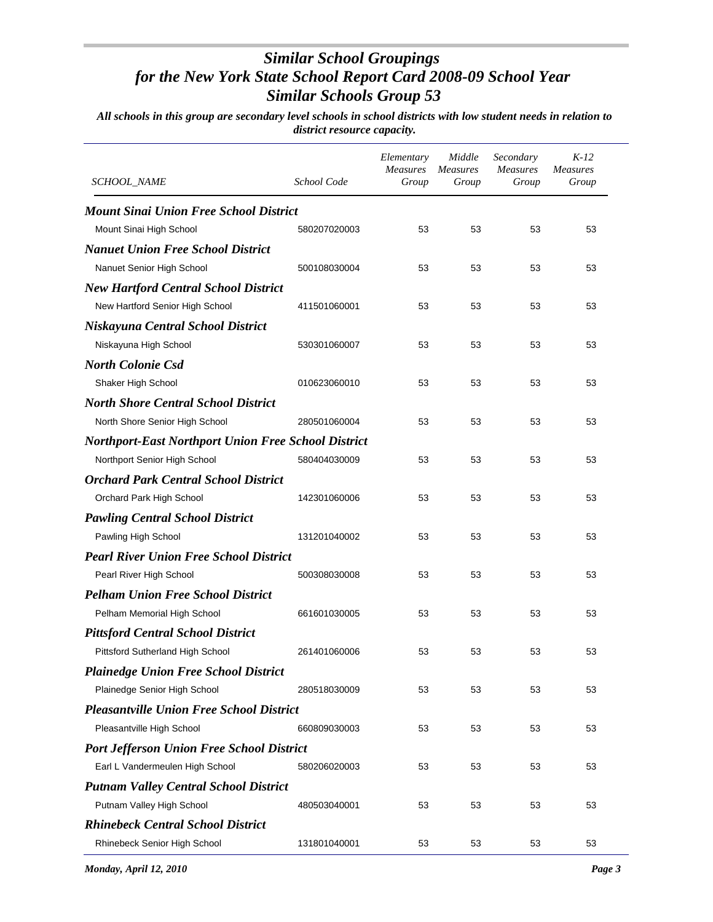| SCHOOL_NAME                                                | School Code  | Elementary<br><b>Measures</b><br>Group | Middle<br><b>Measures</b><br>Group | Secondary<br><b>Measures</b><br>Group | $K-12$<br><b>Measures</b><br>Group |
|------------------------------------------------------------|--------------|----------------------------------------|------------------------------------|---------------------------------------|------------------------------------|
| <b>Mount Sinai Union Free School District</b>              |              |                                        |                                    |                                       |                                    |
| Mount Sinai High School                                    | 580207020003 | 53                                     | 53                                 | 53                                    | 53                                 |
| <b>Nanuet Union Free School District</b>                   |              |                                        |                                    |                                       |                                    |
| Nanuet Senior High School                                  | 500108030004 | 53                                     | 53                                 | 53                                    | 53                                 |
| <b>New Hartford Central School District</b>                |              |                                        |                                    |                                       |                                    |
| New Hartford Senior High School                            | 411501060001 | 53                                     | 53                                 | 53                                    | 53                                 |
| Niskayuna Central School District                          |              |                                        |                                    |                                       |                                    |
| Niskayuna High School                                      | 530301060007 | 53                                     | 53                                 | 53                                    | 53                                 |
| <b>North Colonie Csd</b>                                   |              |                                        |                                    |                                       |                                    |
| Shaker High School                                         | 010623060010 | 53                                     | 53                                 | 53                                    | 53                                 |
| <b>North Shore Central School District</b>                 |              |                                        |                                    |                                       |                                    |
| North Shore Senior High School                             | 280501060004 | 53                                     | 53                                 | 53                                    | 53                                 |
| <b>Northport-East Northport Union Free School District</b> |              |                                        |                                    |                                       |                                    |
| Northport Senior High School                               | 580404030009 | 53                                     | 53                                 | 53                                    | 53                                 |
| <b>Orchard Park Central School District</b>                |              |                                        |                                    |                                       |                                    |
| Orchard Park High School                                   | 142301060006 | 53                                     | 53                                 | 53                                    | 53                                 |
| <b>Pawling Central School District</b>                     |              |                                        |                                    |                                       |                                    |
| Pawling High School                                        | 131201040002 | 53                                     | 53                                 | 53                                    | 53                                 |
| <b>Pearl River Union Free School District</b>              |              |                                        |                                    |                                       |                                    |
| Pearl River High School                                    | 500308030008 | 53                                     | 53                                 | 53                                    | 53                                 |
| <b>Pelham Union Free School District</b>                   |              |                                        |                                    |                                       |                                    |
| Pelham Memorial High School                                | 661601030005 | 53                                     | 53                                 | 53                                    | 53                                 |
| <b>Pittsford Central School District</b>                   |              |                                        |                                    |                                       |                                    |
| Pittsford Sutherland High School                           | 261401060006 | 53                                     | 53                                 | 53                                    | 53                                 |
| <b>Plainedge Union Free School District</b>                |              |                                        |                                    |                                       |                                    |
| Plainedge Senior High School                               | 280518030009 | 53                                     | 53                                 | 53                                    | 53                                 |
| <b>Pleasantville Union Free School District</b>            |              |                                        |                                    |                                       |                                    |
| Pleasantville High School                                  | 660809030003 | 53                                     | 53                                 | 53                                    | 53                                 |
| <b>Port Jefferson Union Free School District</b>           |              |                                        |                                    |                                       |                                    |
| Earl L Vandermeulen High School                            | 580206020003 | 53                                     | 53                                 | 53                                    | 53                                 |
| <b>Putnam Valley Central School District</b>               |              |                                        |                                    |                                       |                                    |
| Putnam Valley High School                                  | 480503040001 | 53                                     | 53                                 | 53                                    | 53                                 |
| <b>Rhinebeck Central School District</b>                   |              |                                        |                                    |                                       |                                    |
| Rhinebeck Senior High School                               | 131801040001 | 53                                     | 53                                 | 53                                    | 53                                 |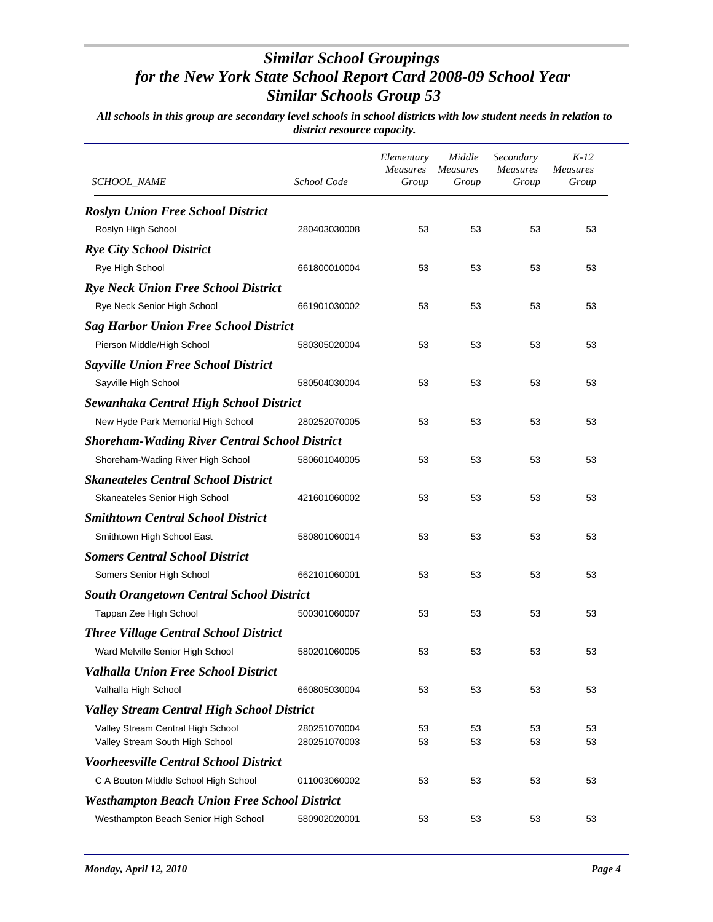| <i>SCHOOL_NAME</i>                                   | School Code  | Elementary<br>Measures<br>Group | Middle<br><b>Measures</b><br>Group | Secondary<br><b>Measures</b><br>Group | $K-12$<br>Measures<br>Group |
|------------------------------------------------------|--------------|---------------------------------|------------------------------------|---------------------------------------|-----------------------------|
| <b>Roslyn Union Free School District</b>             |              |                                 |                                    |                                       |                             |
| Roslyn High School                                   | 280403030008 | 53                              | 53                                 | 53                                    | 53                          |
| <b>Rye City School District</b>                      |              |                                 |                                    |                                       |                             |
| Rye High School                                      | 661800010004 | 53                              | 53                                 | 53                                    | 53                          |
| <b>Rye Neck Union Free School District</b>           |              |                                 |                                    |                                       |                             |
| Rye Neck Senior High School                          | 661901030002 | 53                              | 53                                 | 53                                    | 53                          |
| <b>Sag Harbor Union Free School District</b>         |              |                                 |                                    |                                       |                             |
| Pierson Middle/High School                           | 580305020004 | 53                              | 53                                 | 53                                    | 53                          |
| <b>Sayville Union Free School District</b>           |              |                                 |                                    |                                       |                             |
| Sayville High School                                 | 580504030004 | 53                              | 53                                 | 53                                    | 53                          |
| Sewanhaka Central High School District               |              |                                 |                                    |                                       |                             |
| New Hyde Park Memorial High School                   | 280252070005 | 53                              | 53                                 | 53                                    | 53                          |
| <b>Shoreham-Wading River Central School District</b> |              |                                 |                                    |                                       |                             |
| Shoreham-Wading River High School                    | 580601040005 | 53                              | 53                                 | 53                                    | 53                          |
| <b>Skaneateles Central School District</b>           |              |                                 |                                    |                                       |                             |
| Skaneateles Senior High School                       | 421601060002 | 53                              | 53                                 | 53                                    | 53                          |
| <b>Smithtown Central School District</b>             |              |                                 |                                    |                                       |                             |
| Smithtown High School East                           | 580801060014 | 53                              | 53                                 | 53                                    | 53                          |
| <b>Somers Central School District</b>                |              |                                 |                                    |                                       |                             |
| Somers Senior High School                            | 662101060001 | 53                              | 53                                 | 53                                    | 53                          |
| <b>South Orangetown Central School District</b>      |              |                                 |                                    |                                       |                             |
| Tappan Zee High School                               | 500301060007 | 53                              | 53                                 | 53                                    | 53                          |
| <b>Three Village Central School District</b>         |              |                                 |                                    |                                       |                             |
| Ward Melville Senior High School                     | 580201060005 | 53                              | 53                                 | 53                                    | 53                          |
| Valhalla Union Free School District                  |              |                                 |                                    |                                       |                             |
| Valhalla High School                                 | 660805030004 | 53                              | 53                                 | 53                                    | 53                          |
| <b>Valley Stream Central High School District</b>    |              |                                 |                                    |                                       |                             |
| Valley Stream Central High School                    | 280251070004 | 53                              | 53                                 | 53                                    | 53                          |
| Valley Stream South High School                      | 280251070003 | 53                              | 53                                 | 53                                    | 53                          |
| <b>Voorheesville Central School District</b>         |              |                                 |                                    |                                       |                             |
| C A Bouton Middle School High School                 | 011003060002 | 53                              | 53                                 | 53                                    | 53                          |
| <b>Westhampton Beach Union Free School District</b>  |              |                                 |                                    |                                       |                             |
| Westhampton Beach Senior High School                 | 580902020001 | 53                              | 53                                 | 53                                    | 53                          |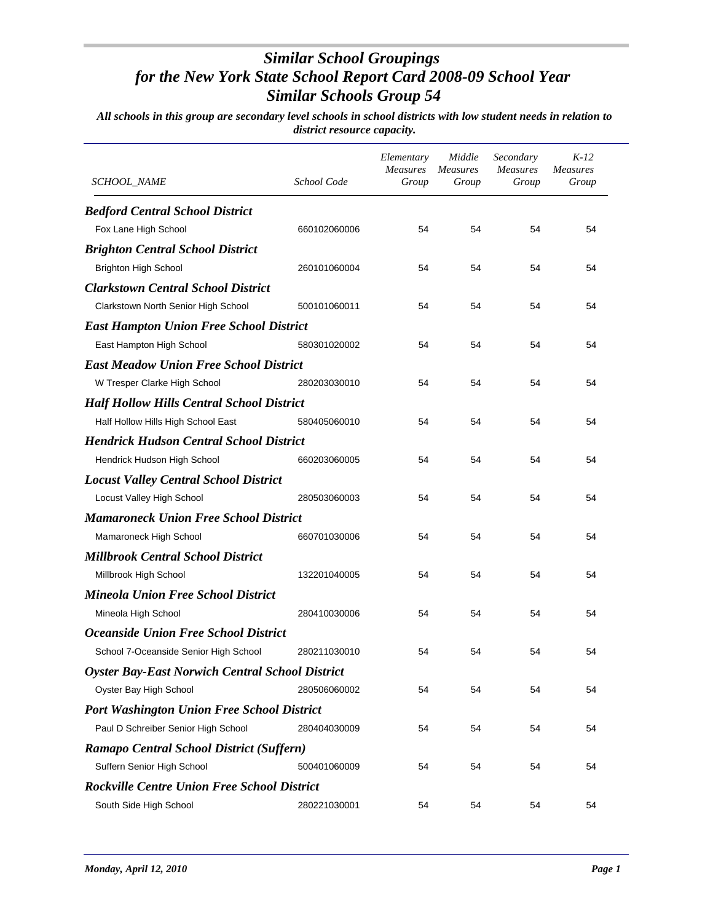| <b>SCHOOL_NAME</b>                                     | School Code  | Elementary<br>Measures<br>Group | Middle<br><b>Measures</b><br>Group | Secondary<br><b>Measures</b><br>Group | $K-12$<br><b>Measures</b><br>Group |
|--------------------------------------------------------|--------------|---------------------------------|------------------------------------|---------------------------------------|------------------------------------|
| <b>Bedford Central School District</b>                 |              |                                 |                                    |                                       |                                    |
| Fox Lane High School                                   | 660102060006 | 54                              | 54                                 | 54                                    | 54                                 |
| <b>Brighton Central School District</b>                |              |                                 |                                    |                                       |                                    |
| <b>Brighton High School</b>                            | 260101060004 | 54                              | 54                                 | 54                                    | 54                                 |
| <b>Clarkstown Central School District</b>              |              |                                 |                                    |                                       |                                    |
| Clarkstown North Senior High School                    | 500101060011 | 54                              | 54                                 | 54                                    | 54                                 |
| <b>East Hampton Union Free School District</b>         |              |                                 |                                    |                                       |                                    |
| East Hampton High School                               | 580301020002 | 54                              | 54                                 | 54                                    | 54                                 |
| <b>East Meadow Union Free School District</b>          |              |                                 |                                    |                                       |                                    |
| W Tresper Clarke High School                           | 280203030010 | 54                              | 54                                 | 54                                    | 54                                 |
| <b>Half Hollow Hills Central School District</b>       |              |                                 |                                    |                                       |                                    |
| Half Hollow Hills High School East                     | 580405060010 | 54                              | 54                                 | 54                                    | 54                                 |
| <b>Hendrick Hudson Central School District</b>         |              |                                 |                                    |                                       |                                    |
| Hendrick Hudson High School                            | 660203060005 | 54                              | 54                                 | 54                                    | 54                                 |
| <b>Locust Valley Central School District</b>           |              |                                 |                                    |                                       |                                    |
| Locust Valley High School                              | 280503060003 | 54                              | 54                                 | 54                                    | 54                                 |
| <b>Mamaroneck Union Free School District</b>           |              |                                 |                                    |                                       |                                    |
| Mamaroneck High School                                 | 660701030006 | 54                              | 54                                 | 54                                    | 54                                 |
| <b>Millbrook Central School District</b>               |              |                                 |                                    |                                       |                                    |
| Millbrook High School                                  | 132201040005 | 54                              | 54                                 | 54                                    | 54                                 |
| <b>Mineola Union Free School District</b>              |              |                                 |                                    |                                       |                                    |
| Mineola High School                                    | 280410030006 | 54                              | 54                                 | 54                                    | 54                                 |
| <b>Oceanside Union Free School District</b>            |              |                                 |                                    |                                       |                                    |
| School 7-Oceanside Senior High School                  | 280211030010 | 54                              | 54                                 | 54                                    | 54                                 |
| <b>Oyster Bay-East Norwich Central School District</b> |              |                                 |                                    |                                       |                                    |
| Oyster Bay High School                                 | 280506060002 | 54                              | 54                                 | 54                                    | 54                                 |
| <b>Port Washington Union Free School District</b>      |              |                                 |                                    |                                       |                                    |
| Paul D Schreiber Senior High School                    | 280404030009 | 54                              | 54                                 | 54                                    | 54                                 |
| Ramapo Central School District (Suffern)               |              |                                 |                                    |                                       |                                    |
| Suffern Senior High School                             | 500401060009 | 54                              | 54                                 | 54                                    | 54                                 |
| <b>Rockville Centre Union Free School District</b>     |              |                                 |                                    |                                       |                                    |
| South Side High School                                 | 280221030001 | 54                              | 54                                 | 54                                    | 54                                 |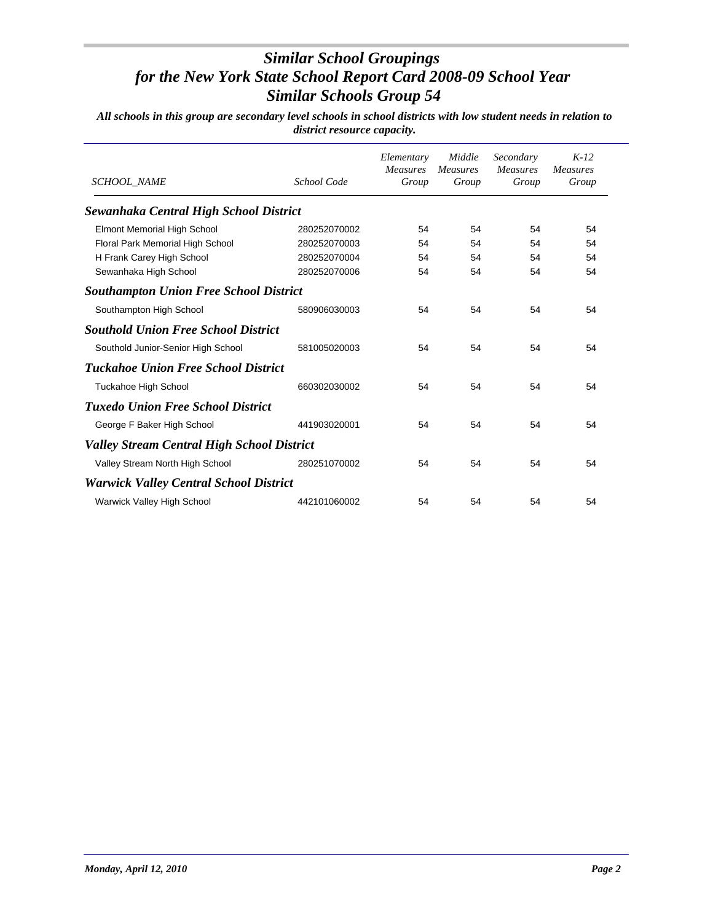| <b>SCHOOL NAME</b>                                | School Code  | Elementary<br><b>Measures</b><br>Group | Middle<br><b>Measures</b><br>Group | Secondary<br><b>Measures</b><br>Group | $K-12$<br><b>Measures</b><br>Group |
|---------------------------------------------------|--------------|----------------------------------------|------------------------------------|---------------------------------------|------------------------------------|
| Sewanhaka Central High School District            |              |                                        |                                    |                                       |                                    |
| <b>Elmont Memorial High School</b>                | 280252070002 | 54                                     | 54                                 | 54                                    | 54                                 |
| Floral Park Memorial High School                  | 280252070003 | 54                                     | 54                                 | 54                                    | 54                                 |
| H Frank Carey High School                         | 280252070004 | 54                                     | 54                                 | 54                                    | 54                                 |
| Sewanhaka High School                             | 280252070006 | 54                                     | 54                                 | 54                                    | 54                                 |
| <b>Southampton Union Free School District</b>     |              |                                        |                                    |                                       |                                    |
| Southampton High School                           | 580906030003 | 54                                     | 54                                 | 54                                    | 54                                 |
| <b>Southold Union Free School District</b>        |              |                                        |                                    |                                       |                                    |
| Southold Junior-Senior High School                | 581005020003 | 54                                     | 54                                 | 54                                    | 54                                 |
| <b>Tuckahoe Union Free School District</b>        |              |                                        |                                    |                                       |                                    |
| <b>Tuckahoe High School</b>                       | 660302030002 | 54                                     | 54                                 | 54                                    | 54                                 |
| <b>Tuxedo Union Free School District</b>          |              |                                        |                                    |                                       |                                    |
| George F Baker High School                        | 441903020001 | 54                                     | 54                                 | 54                                    | 54                                 |
| <b>Valley Stream Central High School District</b> |              |                                        |                                    |                                       |                                    |
| Valley Stream North High School                   | 280251070002 | 54                                     | 54                                 | 54                                    | 54                                 |
| <b>Warwick Valley Central School District</b>     |              |                                        |                                    |                                       |                                    |
| Warwick Valley High School                        | 442101060002 | 54                                     | 54                                 | 54                                    | 54                                 |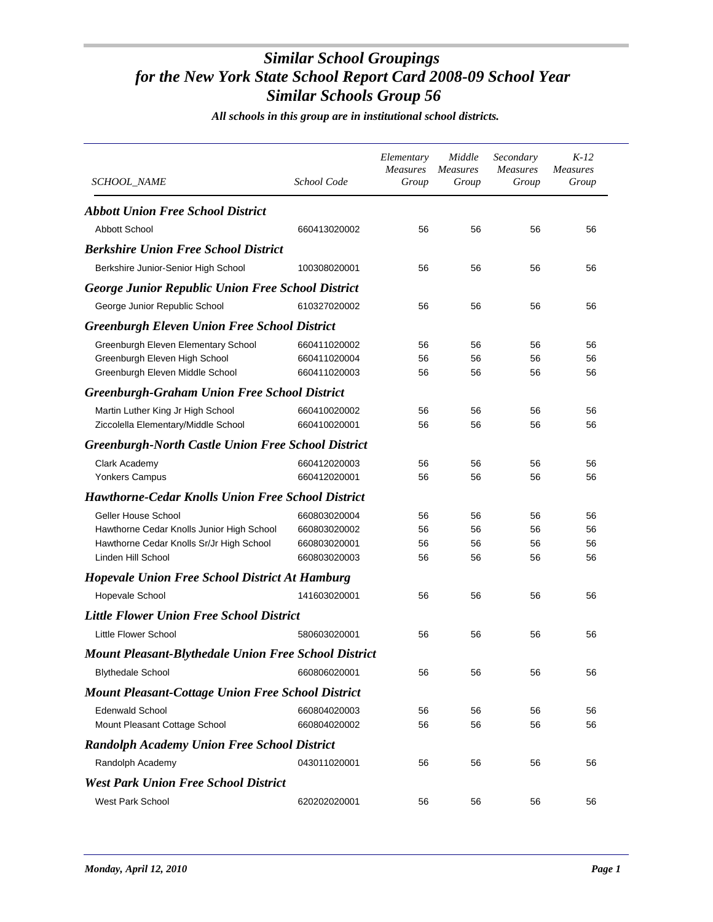*All schools in this group are in institutional school districts.*

| SCHOOL_NAME                                                      | School Code                  | Elementary<br><b>Measures</b><br>Group | Middle<br><b>Measures</b><br>Group | Secondary<br><b>Measures</b><br>Group | $K-12$<br><b>Measures</b><br>Group |
|------------------------------------------------------------------|------------------------------|----------------------------------------|------------------------------------|---------------------------------------|------------------------------------|
| <b>Abbott Union Free School District</b>                         |                              |                                        |                                    |                                       |                                    |
| Abbott School                                                    | 660413020002                 | 56                                     | 56                                 | 56                                    | 56                                 |
| <b>Berkshire Union Free School District</b>                      |                              |                                        |                                    |                                       |                                    |
| Berkshire Junior-Senior High School                              | 100308020001                 | 56                                     | 56                                 | 56                                    | 56                                 |
| <b>George Junior Republic Union Free School District</b>         |                              |                                        |                                    |                                       |                                    |
| George Junior Republic School                                    | 610327020002                 | 56                                     | 56                                 | 56                                    | 56                                 |
|                                                                  |                              |                                        |                                    |                                       |                                    |
| <b>Greenburgh Eleven Union Free School District</b>              |                              |                                        |                                    |                                       |                                    |
| Greenburgh Eleven Elementary School                              | 660411020002                 | 56                                     | 56                                 | 56                                    | 56                                 |
| Greenburgh Eleven High School<br>Greenburgh Eleven Middle School | 660411020004<br>660411020003 | 56<br>56                               | 56<br>56                           | 56<br>56                              | 56<br>56                           |
|                                                                  |                              |                                        |                                    |                                       |                                    |
| <b>Greenburgh-Graham Union Free School District</b>              |                              |                                        |                                    |                                       |                                    |
| Martin Luther King Jr High School                                | 660410020002                 | 56                                     | 56                                 | 56                                    | 56                                 |
| Ziccolella Elementary/Middle School                              | 660410020001                 | 56                                     | 56                                 | 56                                    | 56                                 |
| <b>Greenburgh-North Castle Union Free School District</b>        |                              |                                        |                                    |                                       |                                    |
| Clark Academy                                                    | 660412020003                 | 56                                     | 56                                 | 56                                    | 56                                 |
| Yonkers Campus                                                   | 660412020001                 | 56                                     | 56                                 | 56                                    | 56                                 |
| <b>Hawthorne-Cedar Knolls Union Free School District</b>         |                              |                                        |                                    |                                       |                                    |
| Geller House School                                              | 660803020004                 | 56                                     | 56                                 | 56                                    | 56                                 |
| Hawthorne Cedar Knolls Junior High School                        | 660803020002                 | 56                                     | 56                                 | 56                                    | 56                                 |
| Hawthorne Cedar Knolls Sr/Jr High School                         | 660803020001                 | 56                                     | 56                                 | 56                                    | 56                                 |
| Linden Hill School                                               | 660803020003                 | 56                                     | 56                                 | 56                                    | 56                                 |
| <b>Hopevale Union Free School District At Hamburg</b>            |                              |                                        |                                    |                                       |                                    |
| Hopevale School                                                  | 141603020001                 | 56                                     | 56                                 | 56                                    | 56                                 |
| <b>Little Flower Union Free School District</b>                  |                              |                                        |                                    |                                       |                                    |
| Little Flower School                                             | 580603020001                 | 56                                     | 56                                 | 56                                    | 56                                 |
| <b>Mount Pleasant-Blythedale Union Free School District</b>      |                              |                                        |                                    |                                       |                                    |
| <b>Blythedale School</b>                                         | 660806020001                 | 56                                     | 56                                 | 56                                    | 56                                 |
| <b>Mount Pleasant-Cottage Union Free School District</b>         |                              |                                        |                                    |                                       |                                    |
| <b>Edenwald School</b>                                           | 660804020003                 | 56                                     | 56                                 | 56                                    | 56                                 |
| Mount Pleasant Cottage School                                    | 660804020002                 | 56                                     | 56                                 | 56                                    | 56                                 |
| <b>Randolph Academy Union Free School District</b>               |                              |                                        |                                    |                                       |                                    |
| Randolph Academy                                                 | 043011020001                 | 56                                     | 56                                 | 56                                    | 56                                 |
| <b>West Park Union Free School District</b>                      |                              |                                        |                                    |                                       |                                    |
| <b>West Park School</b>                                          | 620202020001                 | 56                                     | 56                                 | 56                                    | 56                                 |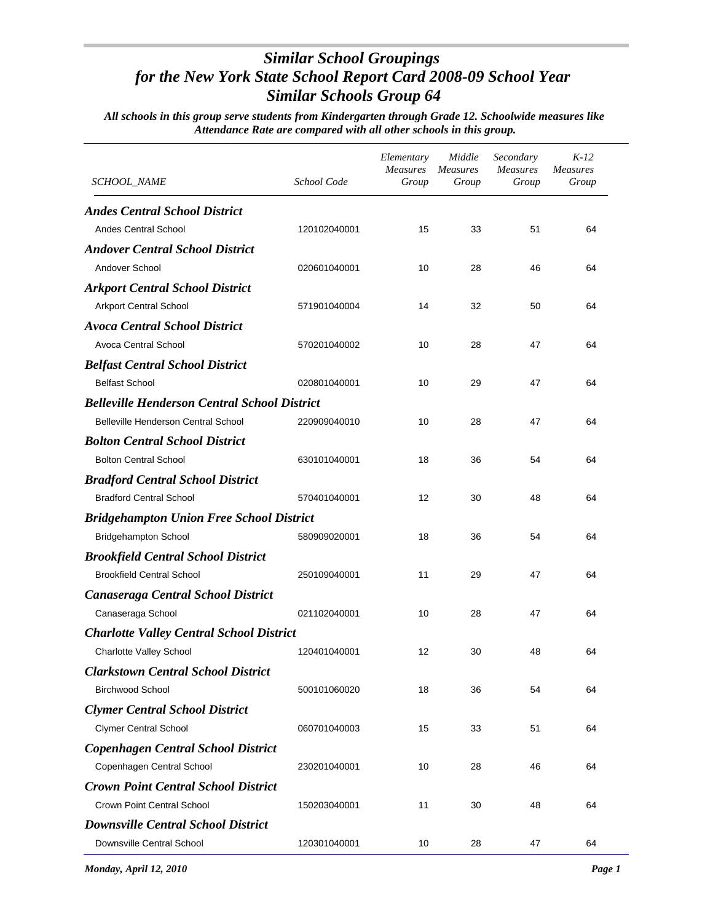| <i>SCHOOL_NAME</i>                                  | School Code  | Elementary<br><b>Measures</b><br>Group | Middle<br>Measures<br>Group | Secondary<br><i>Measures</i><br>Group | $K-12$<br><b>Measures</b><br>Group |
|-----------------------------------------------------|--------------|----------------------------------------|-----------------------------|---------------------------------------|------------------------------------|
| <b>Andes Central School District</b>                |              |                                        |                             |                                       |                                    |
| <b>Andes Central School</b>                         | 120102040001 | 15                                     | 33                          | 51                                    | 64                                 |
| <b>Andover Central School District</b>              |              |                                        |                             |                                       |                                    |
| Andover School                                      | 020601040001 | 10                                     | 28                          | 46                                    | 64                                 |
| <b>Arkport Central School District</b>              |              |                                        |                             |                                       |                                    |
| <b>Arkport Central School</b>                       | 571901040004 | 14                                     | 32                          | 50                                    | 64                                 |
| <b>Avoca Central School District</b>                |              |                                        |                             |                                       |                                    |
| Avoca Central School                                | 570201040002 | 10                                     | 28                          | 47                                    | 64                                 |
| <b>Belfast Central School District</b>              |              |                                        |                             |                                       |                                    |
| <b>Belfast School</b>                               | 020801040001 | 10                                     | 29                          | 47                                    | 64                                 |
| <b>Belleville Henderson Central School District</b> |              |                                        |                             |                                       |                                    |
| <b>Belleville Henderson Central School</b>          | 220909040010 | 10                                     | 28                          | 47                                    | 64                                 |
| <b>Bolton Central School District</b>               |              |                                        |                             |                                       |                                    |
| <b>Bolton Central School</b>                        | 630101040001 | 18                                     | 36                          | 54                                    | 64                                 |
| <b>Bradford Central School District</b>             |              |                                        |                             |                                       |                                    |
| <b>Bradford Central School</b>                      | 570401040001 | 12                                     | 30                          | 48                                    | 64                                 |
| <b>Bridgehampton Union Free School District</b>     |              |                                        |                             |                                       |                                    |
| <b>Bridgehampton School</b>                         | 580909020001 | 18                                     | 36                          | 54                                    | 64                                 |
| <b>Brookfield Central School District</b>           |              |                                        |                             |                                       |                                    |
| <b>Brookfield Central School</b>                    | 250109040001 | 11                                     | 29                          | 47                                    | 64                                 |
| <b>Canaseraga Central School District</b>           |              |                                        |                             |                                       |                                    |
| Canaseraga School                                   | 021102040001 | 10                                     | 28                          | 47                                    | 64                                 |
| <b>Charlotte Valley Central School District</b>     |              |                                        |                             |                                       |                                    |
| Charlotte Valley School                             | 120401040001 | 12                                     | 30                          | 48                                    | 64                                 |
| <b>Clarkstown Central School District</b>           |              |                                        |                             |                                       |                                    |
| <b>Birchwood School</b>                             | 500101060020 | 18                                     | 36                          | 54                                    | 64                                 |
| <b>Clymer Central School District</b>               |              |                                        |                             |                                       |                                    |
| <b>Clymer Central School</b>                        | 060701040003 | 15                                     | 33                          | 51                                    | 64                                 |
| <b>Copenhagen Central School District</b>           |              |                                        |                             |                                       |                                    |
| Copenhagen Central School                           | 230201040001 | 10                                     | 28                          | 46                                    | 64                                 |
| <b>Crown Point Central School District</b>          |              |                                        |                             |                                       |                                    |
| <b>Crown Point Central School</b>                   | 150203040001 | 11                                     | 30                          | 48                                    | 64                                 |
| <b>Downsville Central School District</b>           |              |                                        |                             |                                       |                                    |
| Downsville Central School                           | 120301040001 | 10                                     | 28                          | 47                                    | 64                                 |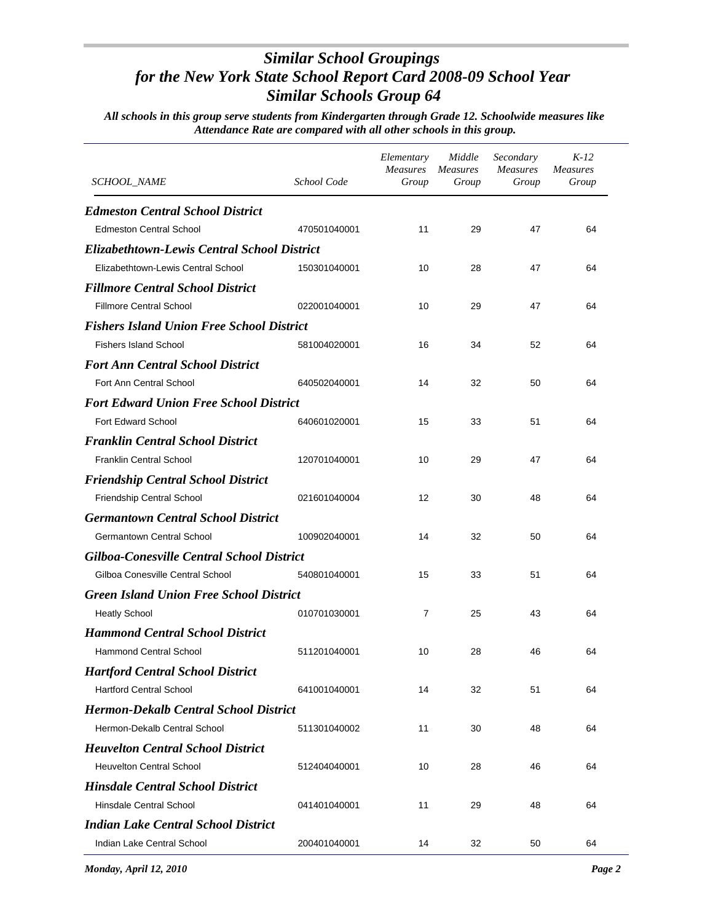| <i>SCHOOL_NAME</i>                                 | School Code  | Elementary<br><b>Measures</b><br>Group | Middle<br>Measures<br>Group | Secondary<br><b>Measures</b><br>Group | $K-12$<br><b>Measures</b><br>Group |
|----------------------------------------------------|--------------|----------------------------------------|-----------------------------|---------------------------------------|------------------------------------|
| <b>Edmeston Central School District</b>            |              |                                        |                             |                                       |                                    |
| <b>Edmeston Central School</b>                     | 470501040001 | 11                                     | 29                          | 47                                    | 64                                 |
| <b>Elizabethtown-Lewis Central School District</b> |              |                                        |                             |                                       |                                    |
| Elizabethtown-Lewis Central School                 | 150301040001 | 10                                     | 28                          | 47                                    | 64                                 |
| <b>Fillmore Central School District</b>            |              |                                        |                             |                                       |                                    |
| <b>Fillmore Central School</b>                     | 022001040001 | 10                                     | 29                          | 47                                    | 64                                 |
| <b>Fishers Island Union Free School District</b>   |              |                                        |                             |                                       |                                    |
| <b>Fishers Island School</b>                       | 581004020001 | 16                                     | 34                          | 52                                    | 64                                 |
| <b>Fort Ann Central School District</b>            |              |                                        |                             |                                       |                                    |
| Fort Ann Central School                            | 640502040001 | 14                                     | 32                          | 50                                    | 64                                 |
| <b>Fort Edward Union Free School District</b>      |              |                                        |                             |                                       |                                    |
| <b>Fort Edward School</b>                          | 640601020001 | 15                                     | 33                          | 51                                    | 64                                 |
| <b>Franklin Central School District</b>            |              |                                        |                             |                                       |                                    |
| <b>Franklin Central School</b>                     | 120701040001 | 10                                     | 29                          | 47                                    | 64                                 |
| <b>Friendship Central School District</b>          |              |                                        |                             |                                       |                                    |
| Friendship Central School                          | 021601040004 | 12                                     | 30                          | 48                                    | 64                                 |
| <b>Germantown Central School District</b>          |              |                                        |                             |                                       |                                    |
| <b>Germantown Central School</b>                   | 100902040001 | 14                                     | 32                          | 50                                    | 64                                 |
| <b>Gilboa-Conesville Central School District</b>   |              |                                        |                             |                                       |                                    |
| Gilboa Conesville Central School                   | 540801040001 | 15                                     | 33                          | 51                                    | 64                                 |
| <b>Green Island Union Free School District</b>     |              |                                        |                             |                                       |                                    |
| <b>Heatly School</b>                               | 010701030001 | $\overline{7}$                         | 25                          | 43                                    | 64                                 |
| <b>Hammond Central School District</b>             |              |                                        |                             |                                       |                                    |
| <b>Hammond Central School</b>                      | 511201040001 | 10                                     | 28                          | 46                                    | 64                                 |
| <b>Hartford Central School District</b>            |              |                                        |                             |                                       |                                    |
| <b>Hartford Central School</b>                     | 641001040001 | 14                                     | 32                          | 51                                    | 64                                 |
| <b>Hermon-Dekalb Central School District</b>       |              |                                        |                             |                                       |                                    |
| Hermon-Dekalb Central School                       | 511301040002 | 11                                     | 30                          | 48                                    | 64                                 |
| <b>Heuvelton Central School District</b>           |              |                                        |                             |                                       |                                    |
| <b>Heuvelton Central School</b>                    | 512404040001 | 10                                     | 28                          | 46                                    | 64                                 |
| <b>Hinsdale Central School District</b>            |              |                                        |                             |                                       |                                    |
| Hinsdale Central School                            | 041401040001 | 11                                     | 29                          | 48                                    | 64                                 |
| <b>Indian Lake Central School District</b>         |              |                                        |                             |                                       |                                    |
| Indian Lake Central School                         | 200401040001 | 14                                     | 32                          | 50                                    | 64                                 |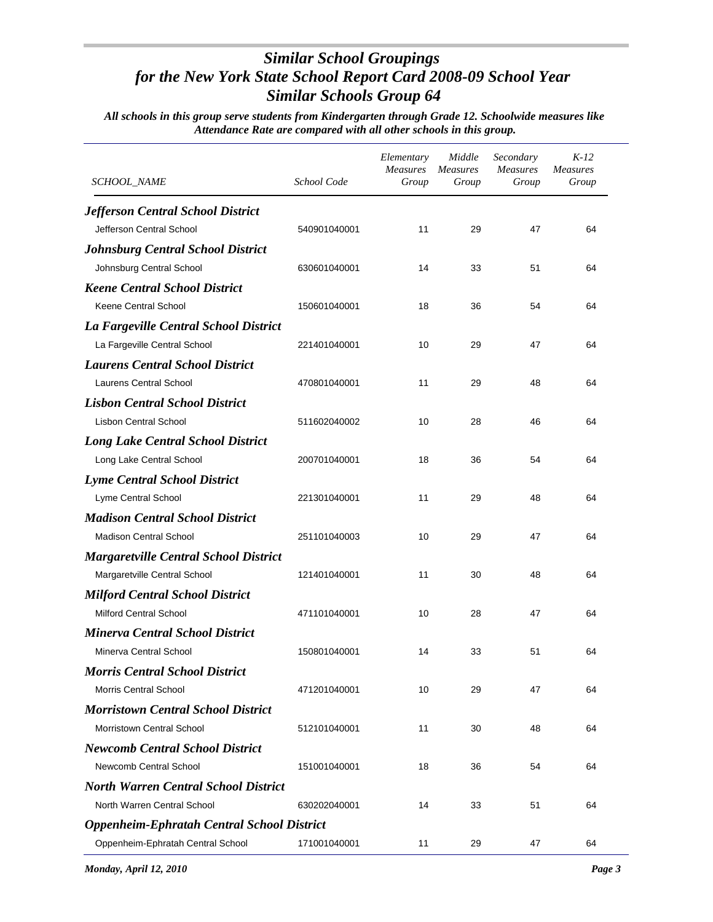| <i>SCHOOL_NAME</i>                                | School Code  | Elementary<br><b>Measures</b><br>Group | Middle<br><b>Measures</b><br>Group | Secondary<br><b>Measures</b><br>Group | $K-12$<br><b>Measures</b><br>Group |
|---------------------------------------------------|--------------|----------------------------------------|------------------------------------|---------------------------------------|------------------------------------|
| <b>Jefferson Central School District</b>          |              |                                        |                                    |                                       |                                    |
| Jefferson Central School                          | 540901040001 | 11                                     | 29                                 | 47                                    | 64                                 |
| <b>Johnsburg Central School District</b>          |              |                                        |                                    |                                       |                                    |
| Johnsburg Central School                          | 630601040001 | 14                                     | 33                                 | 51                                    | 64                                 |
| <b>Keene Central School District</b>              |              |                                        |                                    |                                       |                                    |
| <b>Keene Central School</b>                       | 150601040001 | 18                                     | 36                                 | 54                                    | 64                                 |
| La Fargeville Central School District             |              |                                        |                                    |                                       |                                    |
| La Fargeville Central School                      | 221401040001 | 10                                     | 29                                 | 47                                    | 64                                 |
| <b>Laurens Central School District</b>            |              |                                        |                                    |                                       |                                    |
| Laurens Central School                            | 470801040001 | 11                                     | 29                                 | 48                                    | 64                                 |
| <b>Lisbon Central School District</b>             |              |                                        |                                    |                                       |                                    |
| <b>Lisbon Central School</b>                      | 511602040002 | 10                                     | 28                                 | 46                                    | 64                                 |
| <b>Long Lake Central School District</b>          |              |                                        |                                    |                                       |                                    |
| Long Lake Central School                          | 200701040001 | 18                                     | 36                                 | 54                                    | 64                                 |
| <b>Lyme Central School District</b>               |              |                                        |                                    |                                       |                                    |
| Lyme Central School                               | 221301040001 | 11                                     | 29                                 | 48                                    | 64                                 |
| <b>Madison Central School District</b>            |              |                                        |                                    |                                       |                                    |
| <b>Madison Central School</b>                     | 251101040003 | 10                                     | 29                                 | 47                                    | 64                                 |
| <b>Margaretville Central School District</b>      |              |                                        |                                    |                                       |                                    |
| Margaretville Central School                      | 121401040001 | 11                                     | 30                                 | 48                                    | 64                                 |
| <b>Milford Central School District</b>            |              |                                        |                                    |                                       |                                    |
| <b>Milford Central School</b>                     | 471101040001 | 10                                     | 28                                 | 47                                    | 64                                 |
| <b>Minerva Central School District</b>            |              |                                        |                                    |                                       |                                    |
| Minerva Central School                            | 150801040001 | 14                                     | 33                                 | 51                                    | 64                                 |
| <b>Morris Central School District</b>             |              |                                        |                                    |                                       |                                    |
| <b>Morris Central School</b>                      | 471201040001 | 10                                     | 29                                 | 47                                    | 64                                 |
| <b>Morristown Central School District</b>         |              |                                        |                                    |                                       |                                    |
| <b>Morristown Central School</b>                  | 512101040001 | 11                                     | 30                                 | 48                                    | 64                                 |
| <b>Newcomb Central School District</b>            |              |                                        |                                    |                                       |                                    |
| Newcomb Central School                            | 151001040001 | 18                                     | 36                                 | 54                                    | 64                                 |
| <b>North Warren Central School District</b>       |              |                                        |                                    |                                       |                                    |
| North Warren Central School                       | 630202040001 | 14                                     | 33                                 | 51                                    | 64                                 |
| <b>Oppenheim-Ephratah Central School District</b> |              |                                        |                                    |                                       |                                    |
| Oppenheim-Ephratah Central School                 | 171001040001 | 11                                     | 29                                 | 47                                    | 64                                 |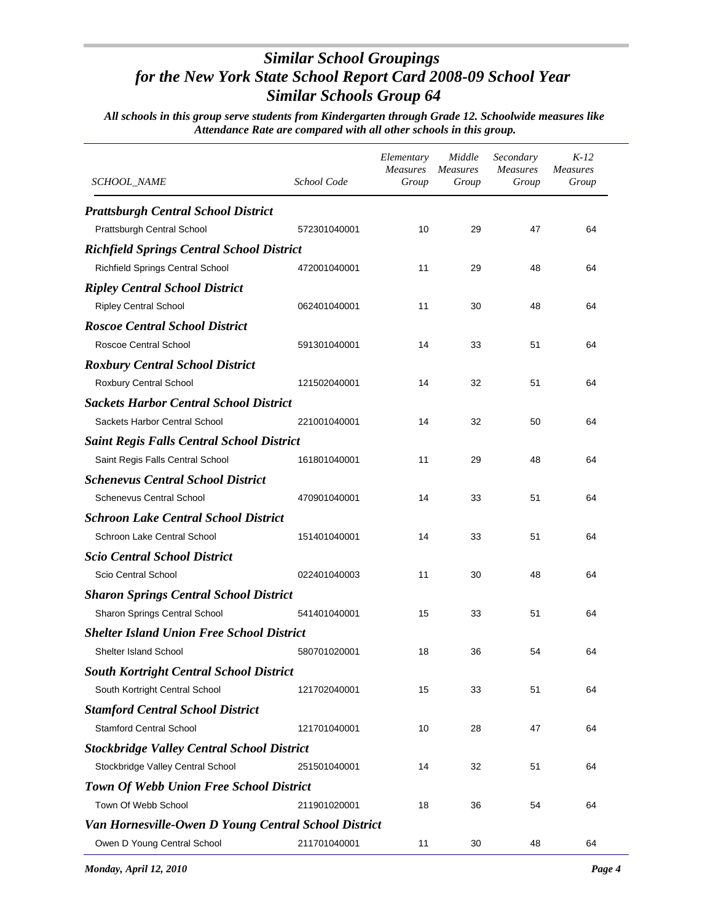| <i>SCHOOL_NAME</i>                                   | School Code  | Elementary<br><b>Measures</b><br>Group | Middle<br>Measures<br>Group | Secondary<br><i>Measures</i><br>Group | $K-12$<br><b>Measures</b><br>Group |
|------------------------------------------------------|--------------|----------------------------------------|-----------------------------|---------------------------------------|------------------------------------|
| <b>Prattsburgh Central School District</b>           |              |                                        |                             |                                       |                                    |
| Prattsburgh Central School                           | 572301040001 | 10                                     | 29                          | 47                                    | 64                                 |
| <b>Richfield Springs Central School District</b>     |              |                                        |                             |                                       |                                    |
| Richfield Springs Central School                     | 472001040001 | 11                                     | 29                          | 48                                    | 64                                 |
| <b>Ripley Central School District</b>                |              |                                        |                             |                                       |                                    |
| <b>Ripley Central School</b>                         | 062401040001 | 11                                     | 30                          | 48                                    | 64                                 |
| <b>Roscoe Central School District</b>                |              |                                        |                             |                                       |                                    |
| Roscoe Central School                                | 591301040001 | 14                                     | 33                          | 51                                    | 64                                 |
| <b>Roxbury Central School District</b>               |              |                                        |                             |                                       |                                    |
| Roxbury Central School                               | 121502040001 | 14                                     | 32                          | 51                                    | 64                                 |
| <b>Sackets Harbor Central School District</b>        |              |                                        |                             |                                       |                                    |
| Sackets Harbor Central School                        | 221001040001 | 14                                     | 32                          | 50                                    | 64                                 |
| <b>Saint Regis Falls Central School District</b>     |              |                                        |                             |                                       |                                    |
| Saint Regis Falls Central School                     | 161801040001 | 11                                     | 29                          | 48                                    | 64                                 |
| <b>Schenevus Central School District</b>             |              |                                        |                             |                                       |                                    |
| <b>Schenevus Central School</b>                      | 470901040001 | 14                                     | 33                          | 51                                    | 64                                 |
| <b>Schroon Lake Central School District</b>          |              |                                        |                             |                                       |                                    |
| Schroon Lake Central School                          | 151401040001 | 14                                     | 33                          | 51                                    | 64                                 |
| <b>Scio Central School District</b>                  |              |                                        |                             |                                       |                                    |
| Scio Central School                                  | 022401040003 | 11                                     | 30                          | 48                                    | 64                                 |
| <b>Sharon Springs Central School District</b>        |              |                                        |                             |                                       |                                    |
| Sharon Springs Central School                        | 541401040001 | 15                                     | 33                          | 51                                    | 64                                 |
| <b>Shelter Island Union Free School District</b>     |              |                                        |                             |                                       |                                    |
| Shelter Island School                                | 580701020001 | 18                                     | 36                          | 54                                    | 64                                 |
| <b>South Kortright Central School District</b>       |              |                                        |                             |                                       |                                    |
| South Kortright Central School                       | 121702040001 | 15                                     | 33                          | 51                                    | 64                                 |
| <b>Stamford Central School District</b>              |              |                                        |                             |                                       |                                    |
| <b>Stamford Central School</b>                       | 121701040001 | 10                                     | 28                          | 47                                    | 64                                 |
| <b>Stockbridge Valley Central School District</b>    |              |                                        |                             |                                       |                                    |
| Stockbridge Valley Central School                    | 251501040001 | 14                                     | 32                          | 51                                    | 64                                 |
| <b>Town Of Webb Union Free School District</b>       |              |                                        |                             |                                       |                                    |
| Town Of Webb School                                  | 211901020001 | 18                                     | 36                          | 54                                    | 64                                 |
| Van Hornesville-Owen D Young Central School District |              |                                        |                             |                                       |                                    |
| Owen D Young Central School                          | 211701040001 | 11                                     | 30                          | 48                                    | 64                                 |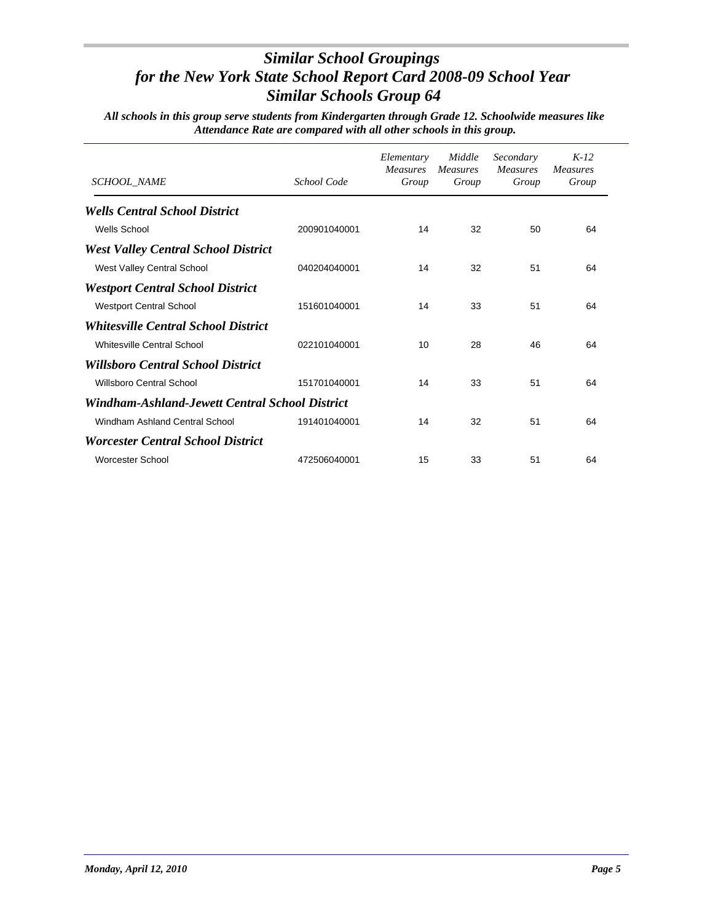| SCHOOL_NAME                                    | School Code  | Elementary<br><b>Measures</b><br>Group | Middle<br><i>Measures</i><br>Group | Secondary<br><i>Measures</i><br>Group | $K-12$<br><b>Measures</b><br>Group |
|------------------------------------------------|--------------|----------------------------------------|------------------------------------|---------------------------------------|------------------------------------|
| <b>Wells Central School District</b>           |              |                                        |                                    |                                       |                                    |
| <b>Wells School</b>                            | 200901040001 | 14                                     | 32                                 | 50                                    | 64                                 |
| <b>West Valley Central School District</b>     |              |                                        |                                    |                                       |                                    |
| West Valley Central School                     | 040204040001 | 14                                     | 32                                 | 51                                    | 64                                 |
| <b>Westport Central School District</b>        |              |                                        |                                    |                                       |                                    |
| <b>Westport Central School</b>                 | 151601040001 | 14                                     | 33                                 | 51                                    | 64                                 |
| <b>Whitesville Central School District</b>     |              |                                        |                                    |                                       |                                    |
| Whitesville Central School                     | 022101040001 | 10                                     | 28                                 | 46                                    | 64                                 |
| <b>Willsboro Central School District</b>       |              |                                        |                                    |                                       |                                    |
| <b>Willsboro Central School</b>                | 151701040001 | 14                                     | 33                                 | 51                                    | 64                                 |
| Windham-Ashland-Jewett Central School District |              |                                        |                                    |                                       |                                    |
| Windham Ashland Central School                 | 191401040001 | 14                                     | 32                                 | 51                                    | 64                                 |
| <b>Worcester Central School District</b>       |              |                                        |                                    |                                       |                                    |
| Worcester School                               | 472506040001 | 15                                     | 33                                 | 51                                    | 64                                 |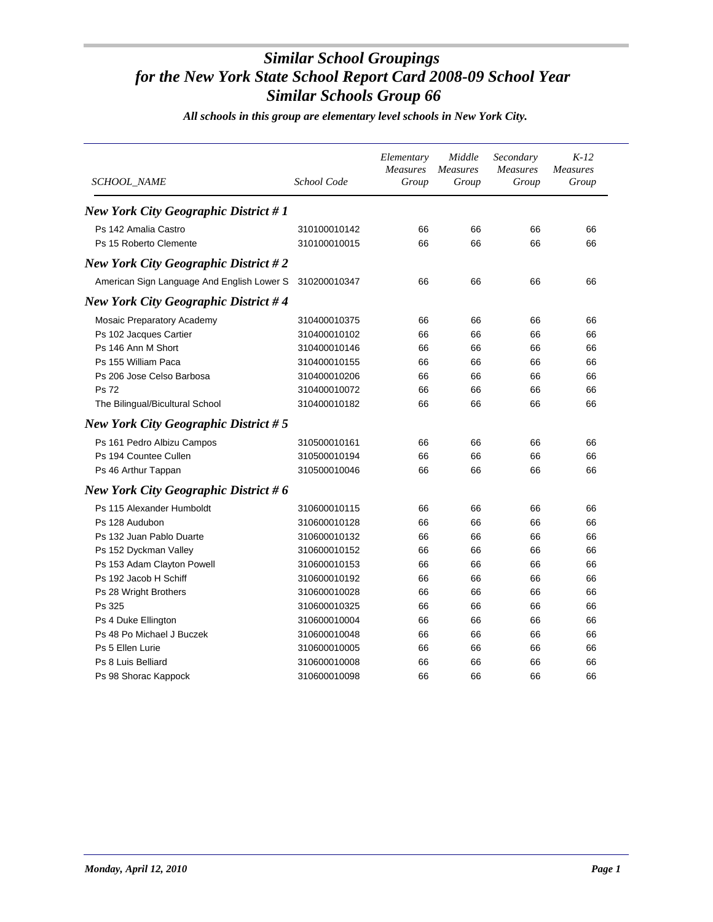| <i>SCHOOL NAME</i>                          | School Code  | Elementary<br>Measures<br>Group | Middle<br><b>Measures</b><br>Group | Secondary<br><b>Measures</b><br>Group | $K-12$<br><b>Measures</b><br>Group |
|---------------------------------------------|--------------|---------------------------------|------------------------------------|---------------------------------------|------------------------------------|
| <b>New York City Geographic District #1</b> |              |                                 |                                    |                                       |                                    |
| Ps 142 Amalia Castro                        | 310100010142 | 66                              | 66                                 | 66                                    | 66                                 |
| Ps 15 Roberto Clemente                      | 310100010015 | 66                              | 66                                 | 66                                    | 66                                 |
| <b>New York City Geographic District #2</b> |              |                                 |                                    |                                       |                                    |
| American Sign Language And English Lower S  | 310200010347 | 66                              | 66                                 | 66                                    | 66                                 |
| <b>New York City Geographic District #4</b> |              |                                 |                                    |                                       |                                    |
| Mosaic Preparatory Academy                  | 310400010375 | 66                              | 66                                 | 66                                    | 66                                 |
| Ps 102 Jacques Cartier                      | 310400010102 | 66                              | 66                                 | 66                                    | 66                                 |
| Ps 146 Ann M Short                          | 310400010146 | 66                              | 66                                 | 66                                    | 66                                 |
| Ps 155 William Paca                         | 310400010155 | 66                              | 66                                 | 66                                    | 66                                 |
| Ps 206 Jose Celso Barbosa                   | 310400010206 | 66                              | 66                                 | 66                                    | 66                                 |
| <b>Ps 72</b>                                | 310400010072 | 66                              | 66                                 | 66                                    | 66                                 |
| The Bilingual/Bicultural School             | 310400010182 | 66                              | 66                                 | 66                                    | 66                                 |
| <b>New York City Geographic District #5</b> |              |                                 |                                    |                                       |                                    |
| Ps 161 Pedro Albizu Campos                  | 310500010161 | 66                              | 66                                 | 66                                    | 66                                 |
| Ps 194 Countee Cullen                       | 310500010194 | 66                              | 66                                 | 66                                    | 66                                 |
| Ps 46 Arthur Tappan                         | 310500010046 | 66                              | 66                                 | 66                                    | 66                                 |
| New York City Geographic District #6        |              |                                 |                                    |                                       |                                    |
| Ps 115 Alexander Humboldt                   | 310600010115 | 66                              | 66                                 | 66                                    | 66                                 |
| Ps 128 Audubon                              | 310600010128 | 66                              | 66                                 | 66                                    | 66                                 |
| Ps 132 Juan Pablo Duarte                    | 310600010132 | 66                              | 66                                 | 66                                    | 66                                 |
| Ps 152 Dyckman Valley                       | 310600010152 | 66                              | 66                                 | 66                                    | 66                                 |
| Ps 153 Adam Clayton Powell                  | 310600010153 | 66                              | 66                                 | 66                                    | 66                                 |
| Ps 192 Jacob H Schiff                       | 310600010192 | 66                              | 66                                 | 66                                    | 66                                 |
| Ps 28 Wright Brothers                       | 310600010028 | 66                              | 66                                 | 66                                    | 66                                 |
| Ps 325                                      | 310600010325 | 66                              | 66                                 | 66                                    | 66                                 |
| Ps 4 Duke Ellington                         | 310600010004 | 66                              | 66                                 | 66                                    | 66                                 |
| Ps 48 Po Michael J Buczek                   | 310600010048 | 66                              | 66                                 | 66                                    | 66                                 |
| Ps 5 Ellen Lurie                            | 310600010005 | 66                              | 66                                 | 66                                    | 66                                 |
| Ps 8 Luis Belliard                          | 310600010008 | 66                              | 66                                 | 66                                    | 66                                 |
| Ps 98 Shorac Kappock                        | 310600010098 | 66                              | 66                                 | 66                                    | 66                                 |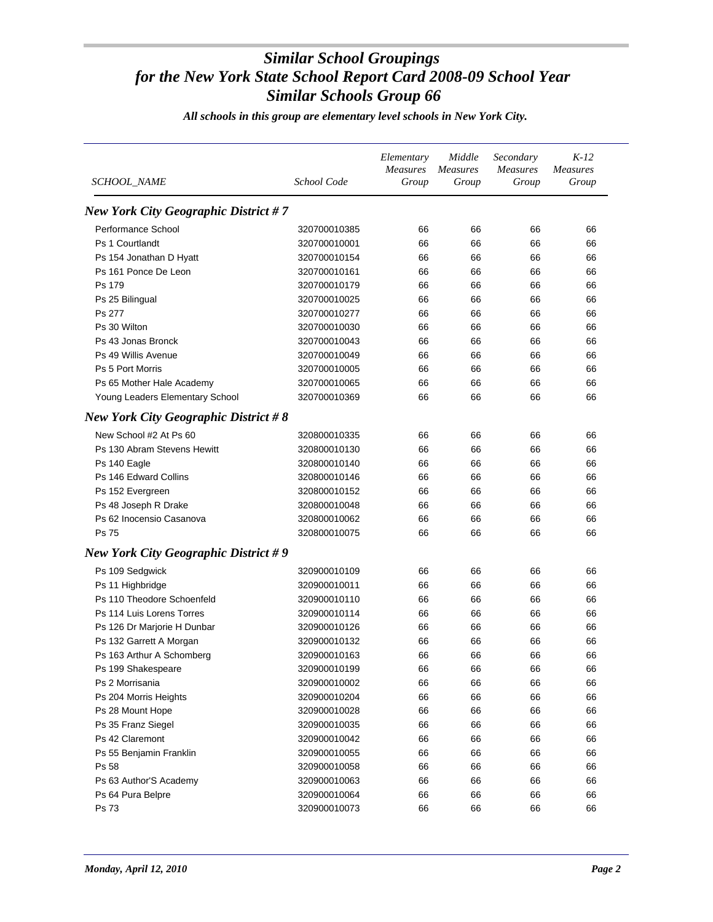| SCHOOL_NAME                                 | School Code  | Elementary<br><b>Measures</b><br>Group | Middle<br><i>Measures</i><br>Group | Secondary<br><b>Measures</b><br>Group | $K-12$<br><b>Measures</b><br>Group |
|---------------------------------------------|--------------|----------------------------------------|------------------------------------|---------------------------------------|------------------------------------|
| <b>New York City Geographic District #7</b> |              |                                        |                                    |                                       |                                    |
| Performance School                          | 320700010385 | 66                                     | 66                                 | 66                                    | 66                                 |
| Ps 1 Courtlandt                             | 320700010001 | 66                                     | 66                                 | 66                                    | 66                                 |
| Ps 154 Jonathan D Hyatt                     | 320700010154 | 66                                     | 66                                 | 66                                    | 66                                 |
| Ps 161 Ponce De Leon                        | 320700010161 | 66                                     | 66                                 | 66                                    | 66                                 |
| Ps 179                                      | 320700010179 | 66                                     | 66                                 | 66                                    | 66                                 |
| Ps 25 Bilingual                             | 320700010025 | 66                                     | 66                                 | 66                                    | 66                                 |
| Ps 277                                      | 320700010277 | 66                                     | 66                                 | 66                                    | 66                                 |
| Ps 30 Wilton                                | 320700010030 | 66                                     | 66                                 | 66                                    | 66                                 |
| Ps 43 Jonas Bronck                          | 320700010043 | 66                                     | 66                                 | 66                                    | 66                                 |
| Ps 49 Willis Avenue                         | 320700010049 | 66                                     | 66                                 | 66                                    | 66                                 |
| <b>Ps 5 Port Morris</b>                     | 320700010005 | 66                                     | 66                                 | 66                                    | 66                                 |
| Ps 65 Mother Hale Academy                   | 320700010065 | 66                                     | 66                                 | 66                                    | 66                                 |
| Young Leaders Elementary School             | 320700010369 | 66                                     | 66                                 | 66                                    | 66                                 |
| <b>New York City Geographic District #8</b> |              |                                        |                                    |                                       |                                    |
| New School #2 At Ps 60                      | 320800010335 | 66                                     | 66                                 | 66                                    | 66                                 |
| Ps 130 Abram Stevens Hewitt                 | 320800010130 | 66                                     | 66                                 | 66                                    | 66                                 |
| Ps 140 Eagle                                | 320800010140 | 66                                     | 66                                 | 66                                    | 66                                 |
| Ps 146 Edward Collins                       | 320800010146 | 66                                     | 66                                 | 66                                    | 66                                 |
| Ps 152 Evergreen                            | 320800010152 | 66                                     | 66                                 | 66                                    | 66                                 |
| Ps 48 Joseph R Drake                        | 320800010048 | 66                                     | 66                                 | 66                                    | 66                                 |
| Ps 62 Inocensio Casanova                    | 320800010062 | 66                                     | 66                                 | 66                                    | 66                                 |
| Ps 75                                       | 320800010075 | 66                                     | 66                                 | 66                                    | 66                                 |
| <b>New York City Geographic District #9</b> |              |                                        |                                    |                                       |                                    |
| Ps 109 Sedgwick                             | 320900010109 | 66                                     | 66                                 | 66                                    | 66                                 |
| Ps 11 Highbridge                            | 320900010011 | 66                                     | 66                                 | 66                                    | 66                                 |
| Ps 110 Theodore Schoenfeld                  | 320900010110 | 66                                     | 66                                 | 66                                    | 66                                 |
| Ps 114 Luis Lorens Torres                   | 320900010114 | 66                                     | 66                                 | 66                                    | 66                                 |
| Ps 126 Dr Marjorie H Dunbar                 | 320900010126 | 66                                     | 66                                 | 66                                    | 66                                 |
| Ps 132 Garrett A Morgan                     | 320900010132 | 66                                     | 66                                 | 66                                    | 66                                 |
| Ps 163 Arthur A Schomberg                   | 320900010163 | 66                                     | 66                                 | 66                                    | 66                                 |
| Ps 199 Shakespeare                          | 320900010199 | 66                                     | 66                                 | 66                                    | 66                                 |
| Ps 2 Morrisania                             | 320900010002 | 66                                     | 66                                 | 66                                    | 66                                 |
| Ps 204 Morris Heights                       | 320900010204 | 66                                     | 66                                 | 66                                    | 66                                 |
| Ps 28 Mount Hope                            | 320900010028 | 66                                     | 66                                 | 66                                    | 66                                 |
| Ps 35 Franz Siegel                          | 320900010035 | 66                                     | 66                                 | 66                                    | 66                                 |
| Ps 42 Claremont                             | 320900010042 | 66                                     | 66                                 | 66                                    | 66                                 |
| Ps 55 Benjamin Franklin                     | 320900010055 | 66                                     | 66                                 | 66                                    | 66                                 |
| Ps 58                                       | 320900010058 | 66                                     | 66                                 | 66                                    | 66                                 |
| Ps 63 Author'S Academy                      | 320900010063 | 66                                     | 66                                 | 66                                    | 66                                 |
| Ps 64 Pura Belpre                           | 320900010064 | 66                                     | 66                                 | 66                                    | 66                                 |
| Ps 73                                       | 320900010073 | 66                                     | 66                                 | 66                                    | 66                                 |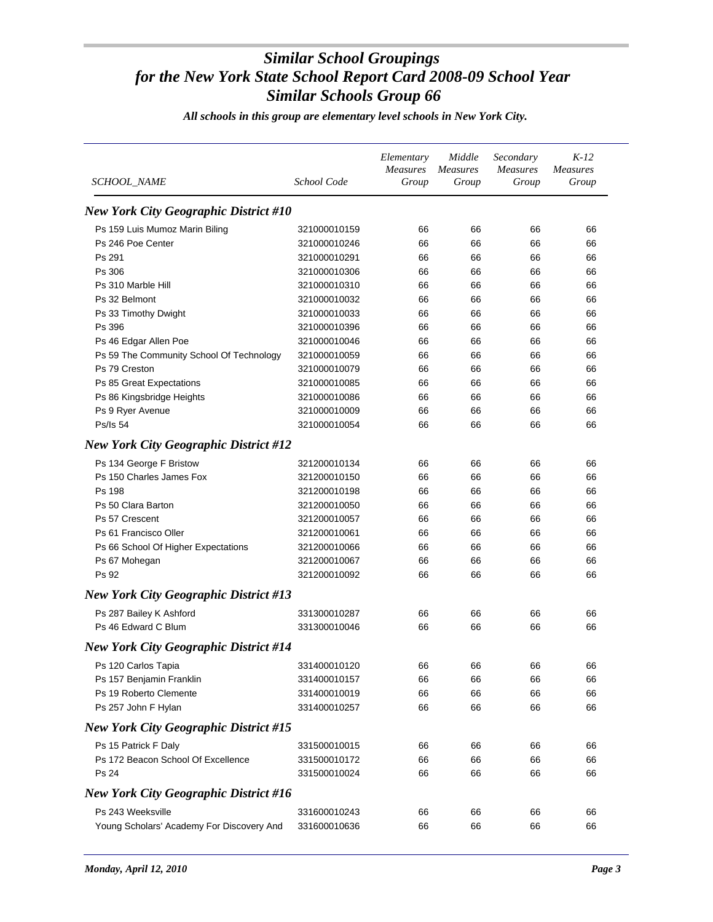| <i>SCHOOL_NAME</i>                           | School Code  | Elementary<br><b>Measures</b><br>Group | Middle<br><b>Measures</b><br>Group | Secondary<br><b>Measures</b><br>Group | $K-12$<br><b>Measures</b><br>Group |
|----------------------------------------------|--------------|----------------------------------------|------------------------------------|---------------------------------------|------------------------------------|
| <b>New York City Geographic District #10</b> |              |                                        |                                    |                                       |                                    |
| Ps 159 Luis Mumoz Marin Biling               | 321000010159 | 66                                     | 66                                 | 66                                    | 66                                 |
| Ps 246 Poe Center                            | 321000010246 | 66                                     | 66                                 | 66                                    | 66                                 |
| Ps 291                                       | 321000010291 | 66                                     | 66                                 | 66                                    | 66                                 |
| Ps 306                                       | 321000010306 | 66                                     | 66                                 | 66                                    | 66                                 |
| Ps 310 Marble Hill                           | 321000010310 | 66                                     | 66                                 | 66                                    | 66                                 |
| Ps 32 Belmont                                | 321000010032 | 66                                     | 66                                 | 66                                    | 66                                 |
| Ps 33 Timothy Dwight                         | 321000010033 | 66                                     | 66                                 | 66                                    | 66                                 |
| Ps 396                                       | 321000010396 | 66                                     | 66                                 | 66                                    | 66                                 |
| Ps 46 Edgar Allen Poe                        | 321000010046 | 66                                     | 66                                 | 66                                    | 66                                 |
| Ps 59 The Community School Of Technology     | 321000010059 | 66                                     | 66                                 | 66                                    | 66                                 |
| Ps 79 Creston                                | 321000010079 | 66                                     | 66                                 | 66                                    | 66                                 |
| Ps 85 Great Expectations                     | 321000010085 | 66                                     | 66                                 | 66                                    | 66                                 |
| Ps 86 Kingsbridge Heights                    | 321000010086 | 66                                     | 66                                 | 66                                    | 66                                 |
| Ps 9 Ryer Avenue                             | 321000010009 | 66                                     | 66                                 | 66                                    | 66                                 |
| <b>Ps/Is 54</b>                              | 321000010054 | 66                                     | 66                                 | 66                                    | 66                                 |
| <b>New York City Geographic District #12</b> |              |                                        |                                    |                                       |                                    |
| Ps 134 George F Bristow                      | 321200010134 | 66                                     | 66                                 | 66                                    | 66                                 |
| Ps 150 Charles James Fox                     | 321200010150 | 66                                     | 66                                 | 66                                    | 66                                 |
| Ps 198                                       | 321200010198 | 66                                     | 66                                 | 66                                    | 66                                 |
| Ps 50 Clara Barton                           | 321200010050 | 66                                     | 66                                 | 66                                    | 66                                 |
| Ps 57 Crescent                               | 321200010057 | 66                                     | 66                                 | 66                                    | 66                                 |
| Ps 61 Francisco Oller                        | 321200010061 | 66                                     | 66                                 | 66                                    | 66                                 |
| Ps 66 School Of Higher Expectations          | 321200010066 | 66                                     | 66                                 | 66                                    | 66                                 |
| Ps 67 Mohegan                                | 321200010067 | 66                                     | 66                                 | 66                                    | 66                                 |
| Ps 92                                        | 321200010092 | 66                                     | 66                                 | 66                                    | 66                                 |
| <b>New York City Geographic District #13</b> |              |                                        |                                    |                                       |                                    |
| Ps 287 Bailey K Ashford                      | 331300010287 | 66                                     | 66                                 | 66                                    | 66                                 |
| Ps 46 Edward C Blum                          | 331300010046 | 66                                     | 66                                 | 66                                    | 66                                 |
| <b>New York City Geographic District #14</b> |              |                                        |                                    |                                       |                                    |
|                                              |              |                                        |                                    |                                       |                                    |
| Ps 120 Carlos Tapia                          | 331400010120 | 66                                     | 66                                 | 66                                    | 66                                 |
| Ps 157 Benjamin Franklin                     | 331400010157 | 66                                     | 66                                 | 66                                    | 66                                 |
| Ps 19 Roberto Clemente                       | 331400010019 | 66                                     | 66                                 | 66                                    | 66                                 |
| Ps 257 John F Hylan                          | 331400010257 | 66                                     | 66                                 | 66                                    | 66                                 |
| <b>New York City Geographic District #15</b> |              |                                        |                                    |                                       |                                    |
| Ps 15 Patrick F Daly                         | 331500010015 | 66                                     | 66                                 | 66                                    | 66                                 |
| Ps 172 Beacon School Of Excellence           | 331500010172 | 66                                     | 66                                 | 66                                    | 66                                 |
| Ps 24                                        | 331500010024 | 66                                     | 66                                 | 66                                    | 66                                 |
| <b>New York City Geographic District #16</b> |              |                                        |                                    |                                       |                                    |
| Ps 243 Weeksville                            | 331600010243 | 66                                     | 66                                 | 66                                    | 66                                 |
| Young Scholars' Academy For Discovery And    | 331600010636 | 66                                     | 66                                 | 66                                    | 66                                 |
|                                              |              |                                        |                                    |                                       |                                    |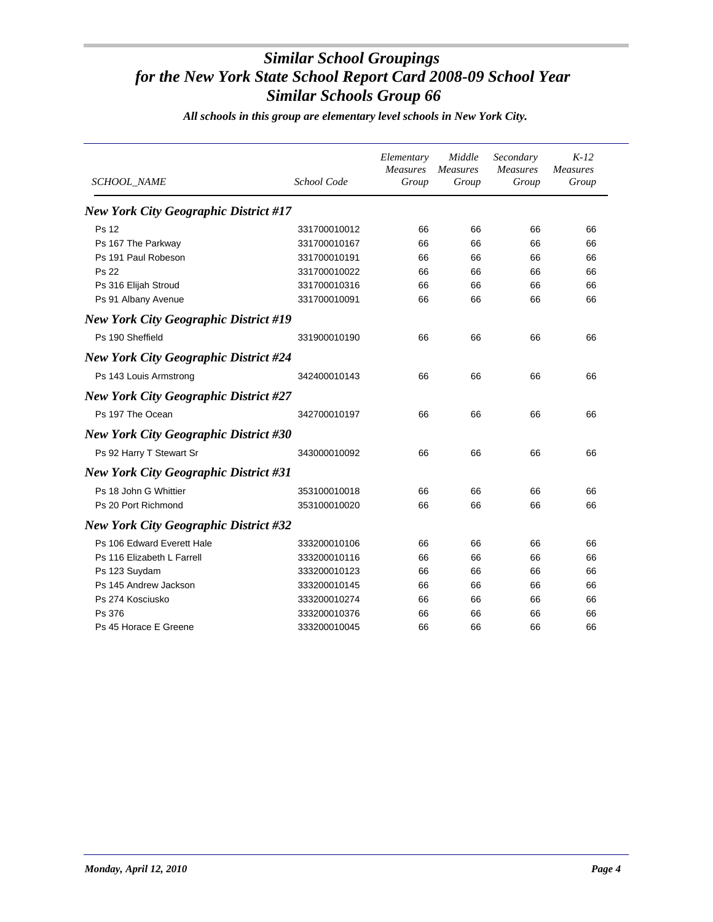| <b>SCHOOL_NAME</b>                           | School Code  | Elementary<br>Measures<br>Group | Middle<br>Measures<br>Group | Secondary<br><b>Measures</b><br>Group | $K-12$<br>Measures<br>Group |
|----------------------------------------------|--------------|---------------------------------|-----------------------------|---------------------------------------|-----------------------------|
| <b>New York City Geographic District #17</b> |              |                                 |                             |                                       |                             |
| <b>Ps 12</b>                                 | 331700010012 | 66                              | 66                          | 66                                    | 66                          |
| Ps 167 The Parkway                           | 331700010167 | 66                              | 66                          | 66                                    | 66                          |
| Ps 191 Paul Robeson                          | 331700010191 | 66                              | 66                          | 66                                    | 66                          |
| <b>Ps 22</b>                                 | 331700010022 | 66                              | 66                          | 66                                    | 66                          |
| Ps 316 Elijah Stroud                         | 331700010316 | 66                              | 66                          | 66                                    | 66                          |
| Ps 91 Albany Avenue                          | 331700010091 | 66                              | 66                          | 66                                    | 66                          |
| <b>New York City Geographic District #19</b> |              |                                 |                             |                                       |                             |
| Ps 190 Sheffield                             | 331900010190 | 66                              | 66                          | 66                                    | 66                          |
| <b>New York City Geographic District #24</b> |              |                                 |                             |                                       |                             |
| Ps 143 Louis Armstrong                       | 342400010143 | 66                              | 66                          | 66                                    | 66                          |
| <b>New York City Geographic District #27</b> |              |                                 |                             |                                       |                             |
| Ps 197 The Ocean                             | 342700010197 | 66                              | 66                          | 66                                    | 66                          |
| <b>New York City Geographic District #30</b> |              |                                 |                             |                                       |                             |
| Ps 92 Harry T Stewart Sr                     | 343000010092 | 66                              | 66                          | 66                                    | 66                          |
| <b>New York City Geographic District #31</b> |              |                                 |                             |                                       |                             |
| Ps 18 John G Whittier                        | 353100010018 | 66                              | 66                          | 66                                    | 66                          |
| Ps 20 Port Richmond                          | 353100010020 | 66                              | 66                          | 66                                    | 66                          |
| <b>New York City Geographic District #32</b> |              |                                 |                             |                                       |                             |
| Ps 106 Edward Everett Hale                   | 333200010106 | 66                              | 66                          | 66                                    | 66                          |
| Ps 116 Elizabeth L Farrell                   | 333200010116 | 66                              | 66                          | 66                                    | 66                          |
| Ps 123 Suydam                                | 333200010123 | 66                              | 66                          | 66                                    | 66                          |
| Ps 145 Andrew Jackson                        | 333200010145 | 66                              | 66                          | 66                                    | 66                          |
| Ps 274 Kosciusko                             | 333200010274 | 66                              | 66                          | 66                                    | 66                          |
| Ps 376                                       | 333200010376 | 66                              | 66                          | 66                                    | 66                          |
| Ps 45 Horace E Greene                        | 333200010045 | 66                              | 66                          | 66                                    | 66                          |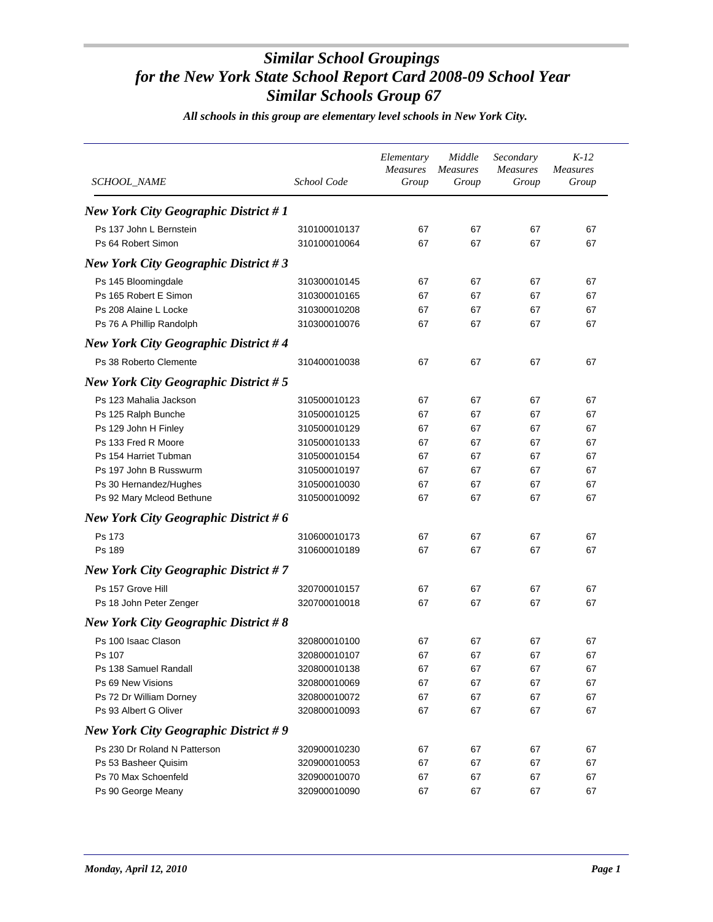| SCHOOL_NAME                                                                                                                                                                                            | School Code                                                                                                                  | Elementary<br><b>Measures</b><br>Group       | Middle<br><b>Measures</b><br>Group           | Secondary<br><b>Measures</b><br>Group        | $K-12$<br><i>Measures</i><br>Group           |
|--------------------------------------------------------------------------------------------------------------------------------------------------------------------------------------------------------|------------------------------------------------------------------------------------------------------------------------------|----------------------------------------------|----------------------------------------------|----------------------------------------------|----------------------------------------------|
| <b>New York City Geographic District #1</b>                                                                                                                                                            |                                                                                                                              |                                              |                                              |                                              |                                              |
| Ps 137 John L Bernstein<br>Ps 64 Robert Simon                                                                                                                                                          | 310100010137<br>310100010064                                                                                                 | 67<br>67                                     | 67<br>67                                     | 67<br>67                                     | 67<br>67                                     |
| <b>New York City Geographic District #3</b>                                                                                                                                                            |                                                                                                                              |                                              |                                              |                                              |                                              |
| Ps 145 Bloomingdale<br>Ps 165 Robert E Simon<br>Ps 208 Alaine L Locke<br>Ps 76 A Phillip Randolph                                                                                                      | 310300010145<br>310300010165<br>310300010208<br>310300010076                                                                 | 67<br>67<br>67<br>67                         | 67<br>67<br>67<br>67                         | 67<br>67<br>67<br>67                         | 67<br>67<br>67<br>67                         |
| <b>New York City Geographic District #4</b>                                                                                                                                                            |                                                                                                                              |                                              |                                              |                                              |                                              |
| Ps 38 Roberto Clemente                                                                                                                                                                                 | 310400010038                                                                                                                 | 67                                           | 67                                           | 67                                           | 67                                           |
| <b>New York City Geographic District #5</b>                                                                                                                                                            |                                                                                                                              |                                              |                                              |                                              |                                              |
| Ps 123 Mahalia Jackson<br>Ps 125 Ralph Bunche<br>Ps 129 John H Finley<br>Ps 133 Fred R Moore<br>Ps 154 Harriet Tubman<br>Ps 197 John B Russwurm<br>Ps 30 Hernandez/Hughes<br>Ps 92 Mary Mcleod Bethune | 310500010123<br>310500010125<br>310500010129<br>310500010133<br>310500010154<br>310500010197<br>310500010030<br>310500010092 | 67<br>67<br>67<br>67<br>67<br>67<br>67<br>67 | 67<br>67<br>67<br>67<br>67<br>67<br>67<br>67 | 67<br>67<br>67<br>67<br>67<br>67<br>67<br>67 | 67<br>67<br>67<br>67<br>67<br>67<br>67<br>67 |
| New York City Geographic District #6                                                                                                                                                                   |                                                                                                                              |                                              |                                              |                                              |                                              |
| Ps 173<br>Ps 189                                                                                                                                                                                       | 310600010173<br>310600010189                                                                                                 | 67<br>67                                     | 67<br>67                                     | 67<br>67                                     | 67<br>67                                     |
| <b>New York City Geographic District #7</b>                                                                                                                                                            |                                                                                                                              |                                              |                                              |                                              |                                              |
| Ps 157 Grove Hill<br>Ps 18 John Peter Zenger                                                                                                                                                           | 320700010157<br>320700010018                                                                                                 | 67<br>67                                     | 67<br>67                                     | 67<br>67                                     | 67<br>67                                     |
| <b>New York City Geographic District #8</b>                                                                                                                                                            |                                                                                                                              |                                              |                                              |                                              |                                              |
| Ps 100 Isaac Clason<br>Ps 107<br>Ps 138 Samuel Randall<br>Ps 69 New Visions<br>Ps 72 Dr William Dorney<br>Ps 93 Albert G Oliver                                                                        | 320800010100<br>320800010107<br>320800010138<br>320800010069<br>320800010072<br>320800010093                                 | 67<br>67<br>67<br>67<br>67<br>67             | 67<br>67<br>67<br>67<br>67<br>67             | 67<br>67<br>67<br>67<br>67<br>67             | 67<br>67<br>67<br>67<br>67<br>67             |
| <b>New York City Geographic District #9</b>                                                                                                                                                            |                                                                                                                              |                                              |                                              |                                              |                                              |
| Ps 230 Dr Roland N Patterson<br>Ps 53 Basheer Quisim<br>Ps 70 Max Schoenfeld<br>Ps 90 George Meany                                                                                                     | 320900010230<br>320900010053<br>320900010070<br>320900010090                                                                 | 67<br>67<br>67<br>67                         | 67<br>67<br>67<br>67                         | 67<br>67<br>67<br>67                         | 67<br>67<br>67<br>67                         |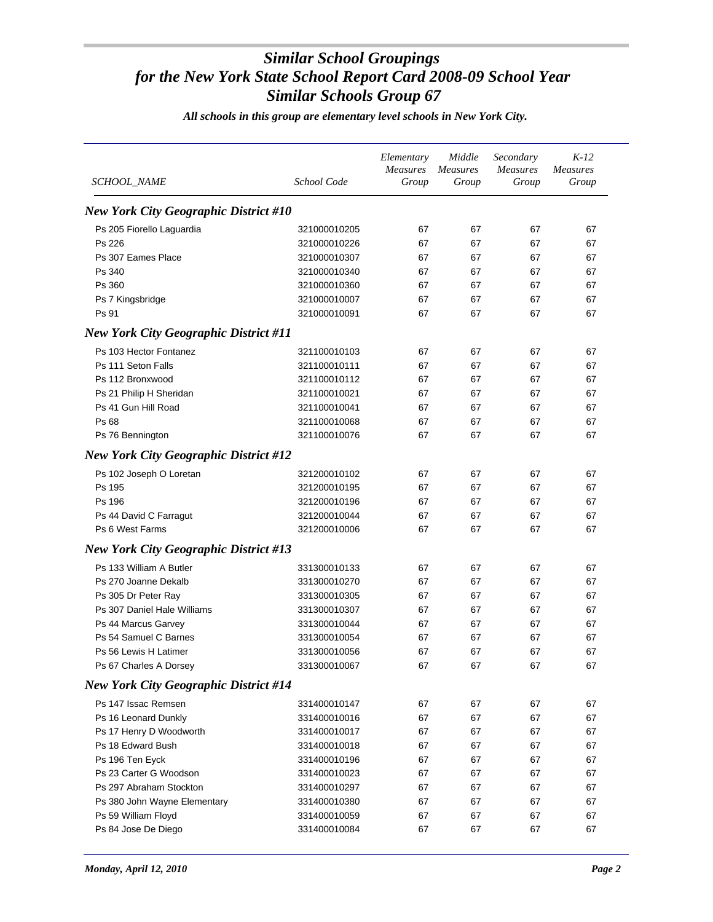| SCHOOL_NAME                                  | School Code  | Elementary<br><b>Measures</b><br>Group | Middle<br><b>Measures</b><br>Group | Secondary<br><b>Measures</b><br>Group | $K-12$<br><i>Measures</i><br>Group |
|----------------------------------------------|--------------|----------------------------------------|------------------------------------|---------------------------------------|------------------------------------|
| <b>New York City Geographic District #10</b> |              |                                        |                                    |                                       |                                    |
|                                              |              |                                        |                                    |                                       |                                    |
| Ps 205 Fiorello Laguardia                    | 321000010205 | 67                                     | 67                                 | 67                                    | 67                                 |
| Ps 226                                       | 321000010226 | 67                                     | 67                                 | 67                                    | 67                                 |
| Ps 307 Eames Place                           | 321000010307 | 67                                     | 67                                 | 67                                    | 67                                 |
| Ps 340                                       | 321000010340 | 67                                     | 67                                 | 67                                    | 67                                 |
| Ps 360                                       | 321000010360 | 67                                     | 67                                 | 67                                    | 67                                 |
| Ps 7 Kingsbridge                             | 321000010007 | 67                                     | 67                                 | 67                                    | 67                                 |
| Ps 91                                        | 321000010091 | 67                                     | 67                                 | 67                                    | 67                                 |
| <b>New York City Geographic District #11</b> |              |                                        |                                    |                                       |                                    |
| Ps 103 Hector Fontanez                       | 321100010103 | 67                                     | 67                                 | 67                                    | 67                                 |
| Ps 111 Seton Falls                           | 321100010111 | 67                                     | 67                                 | 67                                    | 67                                 |
| Ps 112 Bronxwood                             | 321100010112 | 67                                     | 67                                 | 67                                    | 67                                 |
| Ps 21 Philip H Sheridan                      | 321100010021 | 67                                     | 67                                 | 67                                    | 67                                 |
| Ps 41 Gun Hill Road                          | 321100010041 | 67                                     | 67                                 | 67                                    | 67                                 |
| Ps 68                                        | 321100010068 | 67                                     | 67                                 | 67                                    | 67                                 |
| Ps 76 Bennington                             | 321100010076 | 67                                     | 67                                 | 67                                    | 67                                 |
| <b>New York City Geographic District #12</b> |              |                                        |                                    |                                       |                                    |
| Ps 102 Joseph O Loretan                      | 321200010102 | 67                                     | 67                                 | 67                                    | 67                                 |
| Ps 195                                       | 321200010195 | 67                                     | 67                                 | 67                                    | 67                                 |
| Ps 196                                       | 321200010196 | 67                                     | 67                                 | 67                                    | 67                                 |
| Ps 44 David C Farragut                       | 321200010044 | 67                                     | 67                                 | 67                                    | 67                                 |
| Ps 6 West Farms                              | 321200010006 | 67                                     | 67                                 | 67                                    | 67                                 |
| <b>New York City Geographic District #13</b> |              |                                        |                                    |                                       |                                    |
| Ps 133 William A Butler                      | 331300010133 | 67                                     | 67                                 | 67                                    | 67                                 |
| Ps 270 Joanne Dekalb                         | 331300010270 | 67                                     | 67                                 | 67                                    | 67                                 |
| Ps 305 Dr Peter Ray                          | 331300010305 | 67                                     | 67                                 | 67                                    | 67                                 |
| Ps 307 Daniel Hale Williams                  | 331300010307 | 67                                     | 67                                 | 67                                    | 67                                 |
| Ps 44 Marcus Garvey                          | 331300010044 | 67                                     | 67                                 | 67                                    | 67                                 |
| Ps 54 Samuel C Barnes                        | 331300010054 | 67                                     | 67                                 | 67                                    | 67                                 |
| Ps 56 Lewis H Latimer                        | 331300010056 | 67                                     | 67                                 | 67                                    | 67                                 |
| Ps 67 Charles A Dorsey                       | 331300010067 | 67                                     | 67                                 | 67                                    | 67                                 |
| <b>New York City Geographic District #14</b> |              |                                        |                                    |                                       |                                    |
| Ps 147 Issac Remsen                          | 331400010147 | 67                                     | 67                                 | 67                                    | 67                                 |
| Ps 16 Leonard Dunkly                         | 331400010016 | 67                                     | 67                                 | 67                                    | 67                                 |
| Ps 17 Henry D Woodworth                      | 331400010017 | 67                                     | 67                                 | 67                                    | 67                                 |
| Ps 18 Edward Bush                            | 331400010018 | 67                                     | 67                                 | 67                                    | 67                                 |
| Ps 196 Ten Eyck                              | 331400010196 | 67                                     | 67                                 | 67                                    | 67                                 |
| Ps 23 Carter G Woodson                       | 331400010023 | 67                                     | 67                                 | 67                                    | 67                                 |
| Ps 297 Abraham Stockton                      | 331400010297 | 67                                     | 67                                 | 67                                    | 67                                 |
| Ps 380 John Wayne Elementary                 | 331400010380 | 67                                     | 67                                 | 67                                    | 67                                 |
| Ps 59 William Floyd                          | 331400010059 | 67                                     | 67                                 | 67                                    | 67                                 |
| Ps 84 Jose De Diego                          | 331400010084 | 67                                     | 67                                 | 67                                    | 67                                 |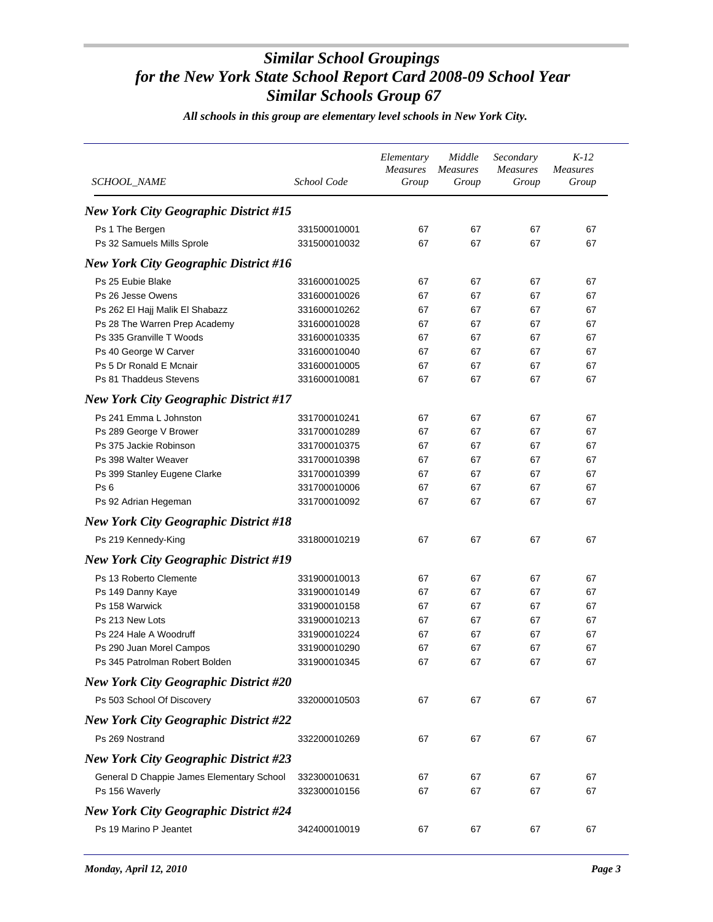| <b>SCHOOL_NAME</b>                           | School Code  | Elementary<br><b>Measures</b><br>Group | Middle<br><b>Measures</b><br>Group | Secondary<br><b>Measures</b><br>Group | $K-12$<br><b>Measures</b><br>Group |
|----------------------------------------------|--------------|----------------------------------------|------------------------------------|---------------------------------------|------------------------------------|
| <b>New York City Geographic District #15</b> |              |                                        |                                    |                                       |                                    |
| Ps 1 The Bergen                              | 331500010001 | 67                                     | 67                                 | 67                                    | 67                                 |
| Ps 32 Samuels Mills Sprole                   | 331500010032 | 67                                     | 67                                 | 67                                    | 67                                 |
| <b>New York City Geographic District #16</b> |              |                                        |                                    |                                       |                                    |
| Ps 25 Eubie Blake                            | 331600010025 | 67                                     | 67                                 | 67                                    | 67                                 |
| Ps 26 Jesse Owens                            | 331600010026 | 67                                     | 67                                 | 67                                    | 67                                 |
| Ps 262 El Hajj Malik El Shabazz              | 331600010262 | 67                                     | 67                                 | 67                                    | 67                                 |
| Ps 28 The Warren Prep Academy                | 331600010028 | 67                                     | 67                                 | 67                                    | 67                                 |
| Ps 335 Granville T Woods                     | 331600010335 | 67                                     | 67                                 | 67                                    | 67                                 |
| Ps 40 George W Carver                        | 331600010040 | 67                                     | 67                                 | 67                                    | 67                                 |
| Ps 5 Dr Ronald E Mcnair                      | 331600010005 | 67                                     | 67                                 | 67                                    | 67                                 |
| Ps 81 Thaddeus Stevens                       | 331600010081 | 67                                     | 67                                 | 67                                    | 67                                 |
| <b>New York City Geographic District #17</b> |              |                                        |                                    |                                       |                                    |
|                                              |              |                                        |                                    |                                       |                                    |
| Ps 241 Emma L Johnston                       | 331700010241 | 67                                     | 67                                 | 67                                    | 67                                 |
| Ps 289 George V Brower                       | 331700010289 | 67                                     | 67                                 | 67                                    | 67                                 |
| Ps 375 Jackie Robinson                       | 331700010375 | 67                                     | 67                                 | 67                                    | 67                                 |
| Ps 398 Walter Weaver                         | 331700010398 | 67                                     | 67                                 | 67                                    | 67                                 |
| Ps 399 Stanley Eugene Clarke                 | 331700010399 | 67                                     | 67                                 | 67                                    | 67                                 |
| Ps <sub>6</sub>                              | 331700010006 | 67                                     | 67                                 | 67                                    | 67                                 |
| Ps 92 Adrian Hegeman                         | 331700010092 | 67                                     | 67                                 | 67                                    | 67                                 |
| <b>New York City Geographic District #18</b> |              |                                        |                                    |                                       |                                    |
| Ps 219 Kennedy-King                          | 331800010219 | 67                                     | 67                                 | 67                                    | 67                                 |
| <b>New York City Geographic District #19</b> |              |                                        |                                    |                                       |                                    |
| Ps 13 Roberto Clemente                       | 331900010013 | 67                                     | 67                                 | 67                                    | 67                                 |
| Ps 149 Danny Kaye                            | 331900010149 | 67                                     | 67                                 | 67                                    | 67                                 |
| Ps 158 Warwick                               | 331900010158 | 67                                     | 67                                 | 67                                    | 67                                 |
| Ps 213 New Lots                              | 331900010213 | 67                                     | 67                                 | 67                                    | 67                                 |
| Ps 224 Hale A Woodruff                       | 331900010224 | 67                                     | 67                                 | 67                                    | 67                                 |
| Ps 290 Juan Morel Campos                     | 331900010290 | 67                                     | 67                                 | 67                                    | 67                                 |
| Ps 345 Patrolman Robert Bolden               | 331900010345 | 67                                     | 67                                 | 67                                    | 67                                 |
| <b>New York City Geographic District #20</b> |              |                                        |                                    |                                       |                                    |
| Ps 503 School Of Discovery                   | 332000010503 | 67                                     | 67                                 | 67                                    | 67                                 |
| <b>New York City Geographic District #22</b> |              |                                        |                                    |                                       |                                    |
| Ps 269 Nostrand                              | 332200010269 | 67                                     | 67                                 | 67                                    | 67                                 |
| <b>New York City Geographic District #23</b> |              |                                        |                                    |                                       |                                    |
| General D Chappie James Elementary School    | 332300010631 | 67                                     | 67                                 | 67                                    | 67                                 |
| Ps 156 Waverly                               | 332300010156 | 67                                     | 67                                 | 67                                    | 67                                 |
| <b>New York City Geographic District #24</b> |              |                                        |                                    |                                       |                                    |
| Ps 19 Marino P Jeantet                       | 342400010019 | 67                                     | 67                                 | 67                                    | 67                                 |
|                                              |              |                                        |                                    |                                       |                                    |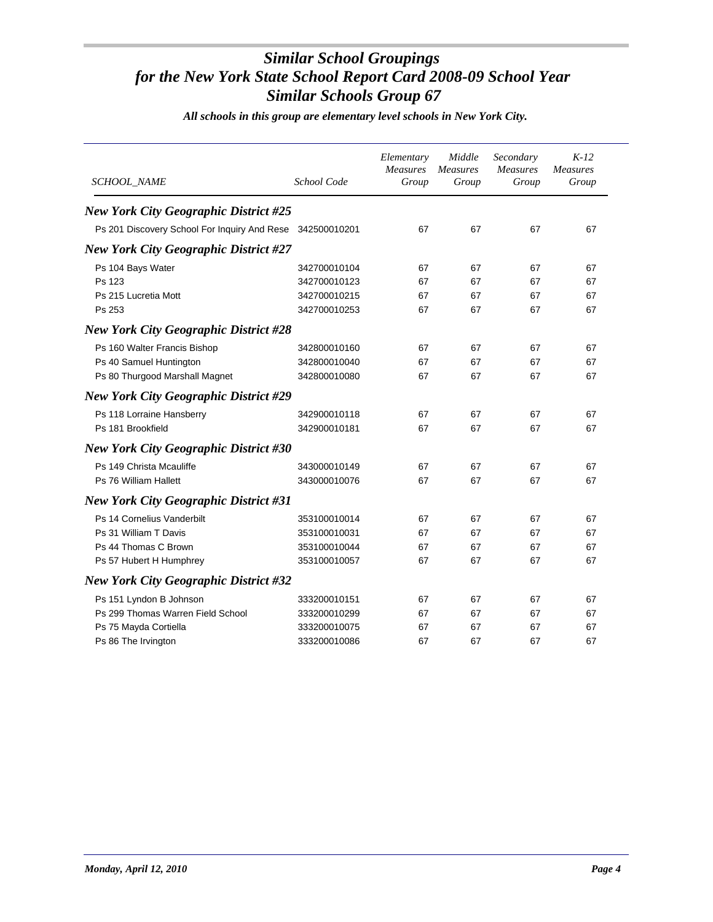| <b>SCHOOL_NAME</b>                                        | School Code  | Elementary<br><b>Measures</b><br>Group | Middle<br><b>Measures</b><br>Group | Secondary<br>Measures<br>Group | $K-12$<br><b>Measures</b><br>Group |
|-----------------------------------------------------------|--------------|----------------------------------------|------------------------------------|--------------------------------|------------------------------------|
| <b>New York City Geographic District #25</b>              |              |                                        |                                    |                                |                                    |
| Ps 201 Discovery School For Inquiry And Rese 342500010201 |              | 67                                     | 67                                 | 67                             | 67                                 |
| <b>New York City Geographic District #27</b>              |              |                                        |                                    |                                |                                    |
| Ps 104 Bays Water                                         | 342700010104 | 67                                     | 67                                 | 67                             | 67                                 |
| Ps 123                                                    | 342700010123 | 67                                     | 67                                 | 67                             | 67                                 |
| Ps 215 Lucretia Mott                                      | 342700010215 | 67                                     | 67                                 | 67                             | 67                                 |
| Ps 253                                                    | 342700010253 | 67                                     | 67                                 | 67                             | 67                                 |
| <b>New York City Geographic District #28</b>              |              |                                        |                                    |                                |                                    |
| Ps 160 Walter Francis Bishop                              | 342800010160 | 67                                     | 67                                 | 67                             | 67                                 |
| Ps 40 Samuel Huntington                                   | 342800010040 | 67                                     | 67                                 | 67                             | 67                                 |
| Ps 80 Thurgood Marshall Magnet                            | 342800010080 | 67                                     | 67                                 | 67                             | 67                                 |
| <b>New York City Geographic District #29</b>              |              |                                        |                                    |                                |                                    |
| Ps 118 Lorraine Hansberry                                 | 342900010118 | 67                                     | 67                                 | 67                             | 67                                 |
| Ps 181 Brookfield                                         | 342900010181 | 67                                     | 67                                 | 67                             | 67                                 |
| <b>New York City Geographic District #30</b>              |              |                                        |                                    |                                |                                    |
| Ps 149 Christa Mcauliffe                                  | 343000010149 | 67                                     | 67                                 | 67                             | 67                                 |
| Ps 76 William Hallett                                     | 343000010076 | 67                                     | 67                                 | 67                             | 67                                 |
| <b>New York City Geographic District #31</b>              |              |                                        |                                    |                                |                                    |
| Ps 14 Cornelius Vanderbilt                                | 353100010014 | 67                                     | 67                                 | 67                             | 67                                 |
| Ps 31 William T Davis                                     | 353100010031 | 67                                     | 67                                 | 67                             | 67                                 |
| Ps 44 Thomas C Brown                                      | 353100010044 | 67                                     | 67                                 | 67                             | 67                                 |
| Ps 57 Hubert H Humphrey                                   | 353100010057 | 67                                     | 67                                 | 67                             | 67                                 |
| <b>New York City Geographic District #32</b>              |              |                                        |                                    |                                |                                    |
| Ps 151 Lyndon B Johnson                                   | 333200010151 | 67                                     | 67                                 | 67                             | 67                                 |
| Ps 299 Thomas Warren Field School                         | 333200010299 | 67                                     | 67                                 | 67                             | 67                                 |
| Ps 75 Mayda Cortiella                                     | 333200010075 | 67                                     | 67                                 | 67                             | 67                                 |
| Ps 86 The Irvington                                       | 333200010086 | 67                                     | 67                                 | 67                             | 67                                 |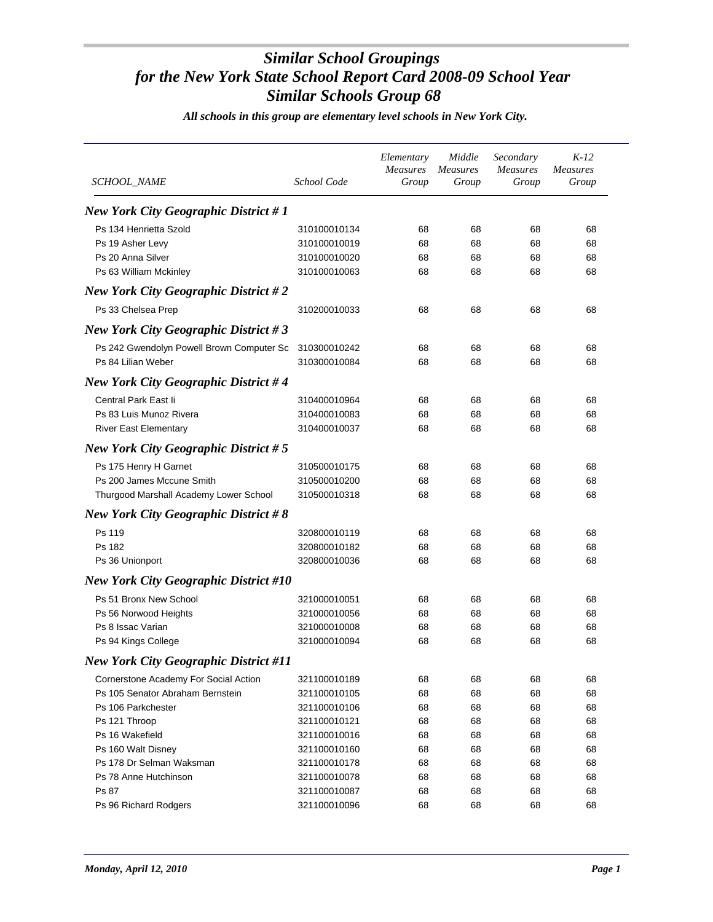| SCHOOL_NAME                                  | School Code  | Elementary<br><b>Measures</b><br>Group | Middle<br><i>Measures</i><br>Group | Secondary<br><b>Measures</b><br>Group | $K-12$<br><i>Measures</i><br>Group |
|----------------------------------------------|--------------|----------------------------------------|------------------------------------|---------------------------------------|------------------------------------|
| <b>New York City Geographic District #1</b>  |              |                                        |                                    |                                       |                                    |
| Ps 134 Henrietta Szold                       | 310100010134 | 68                                     | 68                                 | 68                                    | 68                                 |
| Ps 19 Asher Levy                             | 310100010019 | 68                                     | 68                                 | 68                                    | 68                                 |
| Ps 20 Anna Silver                            | 310100010020 | 68                                     | 68                                 | 68                                    | 68                                 |
| Ps 63 William Mckinley                       | 310100010063 | 68                                     | 68                                 | 68                                    | 68                                 |
| <b>New York City Geographic District #2</b>  |              |                                        |                                    |                                       |                                    |
| Ps 33 Chelsea Prep                           | 310200010033 | 68                                     | 68                                 | 68                                    | 68                                 |
| <b>New York City Geographic District #3</b>  |              |                                        |                                    |                                       |                                    |
| Ps 242 Gwendolyn Powell Brown Computer Sc    | 310300010242 | 68                                     | 68                                 | 68                                    | 68                                 |
| Ps 84 Lilian Weber                           | 310300010084 | 68                                     | 68                                 | 68                                    | 68                                 |
| <b>New York City Geographic District #4</b>  |              |                                        |                                    |                                       |                                    |
| Central Park East li                         | 310400010964 | 68                                     | 68                                 | 68                                    | 68                                 |
| Ps 83 Luis Munoz Rivera                      | 310400010083 | 68                                     | 68                                 | 68                                    | 68                                 |
| <b>River East Elementary</b>                 | 310400010037 | 68                                     | 68                                 | 68                                    | 68                                 |
| <b>New York City Geographic District #5</b>  |              |                                        |                                    |                                       |                                    |
| Ps 175 Henry H Garnet                        | 310500010175 | 68                                     | 68                                 | 68                                    | 68                                 |
| Ps 200 James Mccune Smith                    | 310500010200 | 68                                     | 68                                 | 68                                    | 68                                 |
| Thurgood Marshall Academy Lower School       | 310500010318 | 68                                     | 68                                 | 68                                    | 68                                 |
| <b>New York City Geographic District #8</b>  |              |                                        |                                    |                                       |                                    |
| Ps 119                                       | 320800010119 | 68                                     | 68                                 | 68                                    | 68                                 |
| Ps 182                                       | 320800010182 | 68                                     | 68                                 | 68                                    | 68                                 |
| Ps 36 Unionport                              | 320800010036 | 68                                     | 68                                 | 68                                    | 68                                 |
| <b>New York City Geographic District #10</b> |              |                                        |                                    |                                       |                                    |
| Ps 51 Bronx New School                       | 321000010051 | 68                                     | 68                                 | 68                                    | 68                                 |
| Ps 56 Norwood Heights                        | 321000010056 | 68                                     | 68                                 | 68                                    | 68                                 |
| Ps 8 Issac Varian                            | 321000010008 | 68                                     | 68                                 | 68                                    | 68                                 |
| Ps 94 Kings College                          | 321000010094 | 68                                     | 68                                 | 68                                    | 68                                 |
| <b>New York City Geographic District #11</b> |              |                                        |                                    |                                       |                                    |
| Cornerstone Academy For Social Action        | 321100010189 | 68                                     | 68                                 | 68                                    | 68                                 |
| Ps 105 Senator Abraham Bernstein             | 321100010105 | 68                                     | 68                                 | 68                                    | 68                                 |
| Ps 106 Parkchester                           | 321100010106 | 68                                     | 68                                 | 68                                    | 68                                 |
| Ps 121 Throop                                | 321100010121 | 68                                     | 68                                 | 68                                    | 68                                 |
| Ps 16 Wakefield                              | 321100010016 | 68                                     | 68                                 | 68                                    | 68                                 |
| Ps 160 Walt Disney                           | 321100010160 | 68                                     | 68                                 | 68                                    | 68                                 |
| Ps 178 Dr Selman Waksman                     | 321100010178 | 68                                     | 68                                 | 68                                    | 68                                 |
| Ps 78 Anne Hutchinson                        | 321100010078 | 68                                     | 68                                 | 68                                    | 68                                 |
| Ps 87                                        | 321100010087 | 68                                     | 68                                 | 68                                    | 68                                 |
| Ps 96 Richard Rodgers                        | 321100010096 | 68                                     | 68                                 | 68                                    | 68                                 |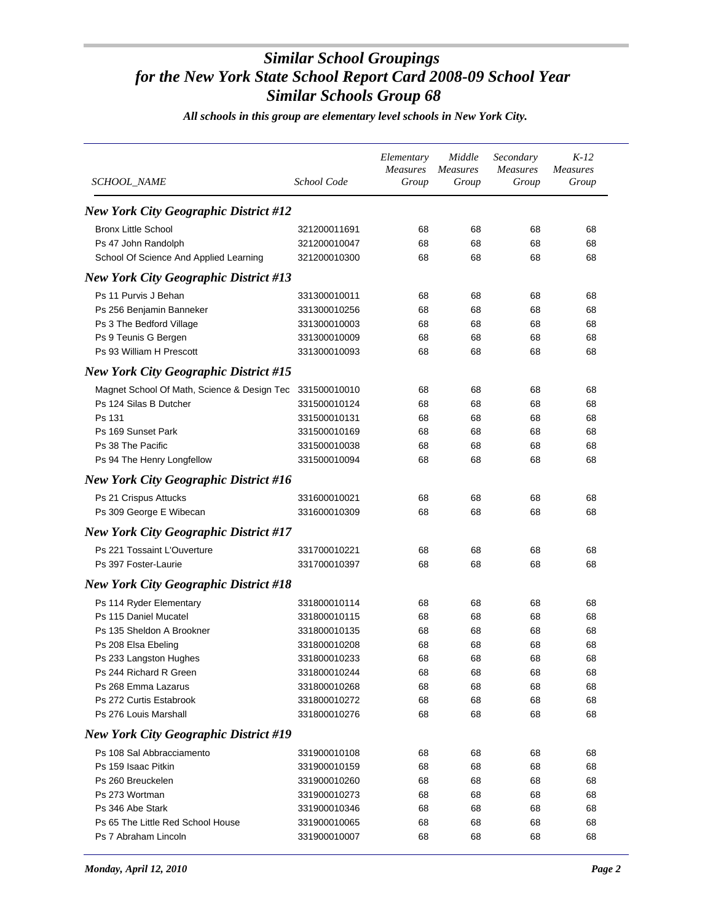| <i>SCHOOL NAME</i>                           | School Code  | Elementary<br><b>Measures</b><br>Group | Middle<br><b>Measures</b><br>Group | Secondary<br><b>Measures</b><br>Group | $K-12$<br><b>Measures</b><br>Group |
|----------------------------------------------|--------------|----------------------------------------|------------------------------------|---------------------------------------|------------------------------------|
|                                              |              |                                        |                                    |                                       |                                    |
| <b>New York City Geographic District #12</b> |              |                                        |                                    |                                       |                                    |
| <b>Bronx Little School</b>                   | 321200011691 | 68                                     | 68                                 | 68                                    | 68                                 |
| Ps 47 John Randolph                          | 321200010047 | 68                                     | 68                                 | 68                                    | 68                                 |
| School Of Science And Applied Learning       | 321200010300 | 68                                     | 68                                 | 68                                    | 68                                 |
| <b>New York City Geographic District #13</b> |              |                                        |                                    |                                       |                                    |
| Ps 11 Purvis J Behan                         | 331300010011 | 68                                     | 68                                 | 68                                    | 68                                 |
| Ps 256 Benjamin Banneker                     | 331300010256 | 68                                     | 68                                 | 68                                    | 68                                 |
| Ps 3 The Bedford Village                     | 331300010003 | 68                                     | 68                                 | 68                                    | 68                                 |
| Ps 9 Teunis G Bergen                         | 331300010009 | 68                                     | 68                                 | 68                                    | 68                                 |
| Ps 93 William H Prescott                     | 331300010093 | 68                                     | 68                                 | 68                                    | 68                                 |
| <b>New York City Geographic District #15</b> |              |                                        |                                    |                                       |                                    |
| Magnet School Of Math, Science & Design Tec  | 331500010010 | 68                                     | 68                                 | 68                                    | 68                                 |
| Ps 124 Silas B Dutcher                       | 331500010124 | 68                                     | 68                                 | 68                                    | 68                                 |
| Ps 131                                       | 331500010131 | 68                                     | 68                                 | 68                                    | 68                                 |
| Ps 169 Sunset Park                           | 331500010169 | 68                                     | 68                                 | 68                                    | 68                                 |
| Ps 38 The Pacific                            | 331500010038 | 68                                     | 68                                 | 68                                    | 68                                 |
| Ps 94 The Henry Longfellow                   | 331500010094 | 68                                     | 68                                 | 68                                    | 68                                 |
| <b>New York City Geographic District #16</b> |              |                                        |                                    |                                       |                                    |
|                                              |              |                                        |                                    |                                       |                                    |
| Ps 21 Crispus Attucks                        | 331600010021 | 68                                     | 68                                 | 68                                    | 68                                 |
| Ps 309 George E Wibecan                      | 331600010309 | 68                                     | 68                                 | 68                                    | 68                                 |
| <b>New York City Geographic District #17</b> |              |                                        |                                    |                                       |                                    |
| Ps 221 Tossaint L'Ouverture                  | 331700010221 | 68                                     | 68                                 | 68                                    | 68                                 |
| Ps 397 Foster-Laurie                         | 331700010397 | 68                                     | 68                                 | 68                                    | 68                                 |
| <b>New York City Geographic District #18</b> |              |                                        |                                    |                                       |                                    |
| Ps 114 Ryder Elementary                      | 331800010114 | 68                                     | 68                                 | 68                                    | 68                                 |
| Ps 115 Daniel Mucatel                        | 331800010115 | 68                                     | 68                                 | 68                                    | 68                                 |
| Ps 135 Sheldon A Brookner                    | 331800010135 | 68                                     | 68                                 | 68                                    | 68                                 |
| Ps 208 Elsa Ebeling                          | 331800010208 | 68                                     | 68                                 | 68                                    | 68                                 |
| Ps 233 Langston Hughes                       | 331800010233 | 68                                     | 68                                 | 68                                    | 68                                 |
| Ps 244 Richard R Green                       | 331800010244 | 68                                     | 68                                 | 68                                    | 68                                 |
| Ps 268 Emma Lazarus                          | 331800010268 | 68                                     | 68                                 | 68                                    | 68                                 |
| Ps 272 Curtis Estabrook                      | 331800010272 | 68                                     | 68                                 | 68                                    | 68                                 |
| Ps 276 Louis Marshall                        | 331800010276 | 68                                     | 68                                 | 68                                    | 68                                 |
| <b>New York City Geographic District #19</b> |              |                                        |                                    |                                       |                                    |
| Ps 108 Sal Abbracciamento                    | 331900010108 | 68                                     | 68                                 | 68                                    | 68                                 |
| Ps 159 Isaac Pitkin                          | 331900010159 | 68                                     | 68                                 | 68                                    | 68                                 |
| Ps 260 Breuckelen                            | 331900010260 | 68                                     | 68                                 | 68                                    | 68                                 |
| Ps 273 Wortman                               | 331900010273 | 68                                     | 68                                 | 68                                    | 68                                 |
| Ps 346 Abe Stark                             | 331900010346 | 68                                     | 68                                 | 68                                    | 68                                 |
| Ps 65 The Little Red School House            | 331900010065 | 68                                     | 68                                 | 68                                    | 68                                 |
| Ps 7 Abraham Lincoln                         | 331900010007 | 68                                     | 68                                 | 68                                    | 68                                 |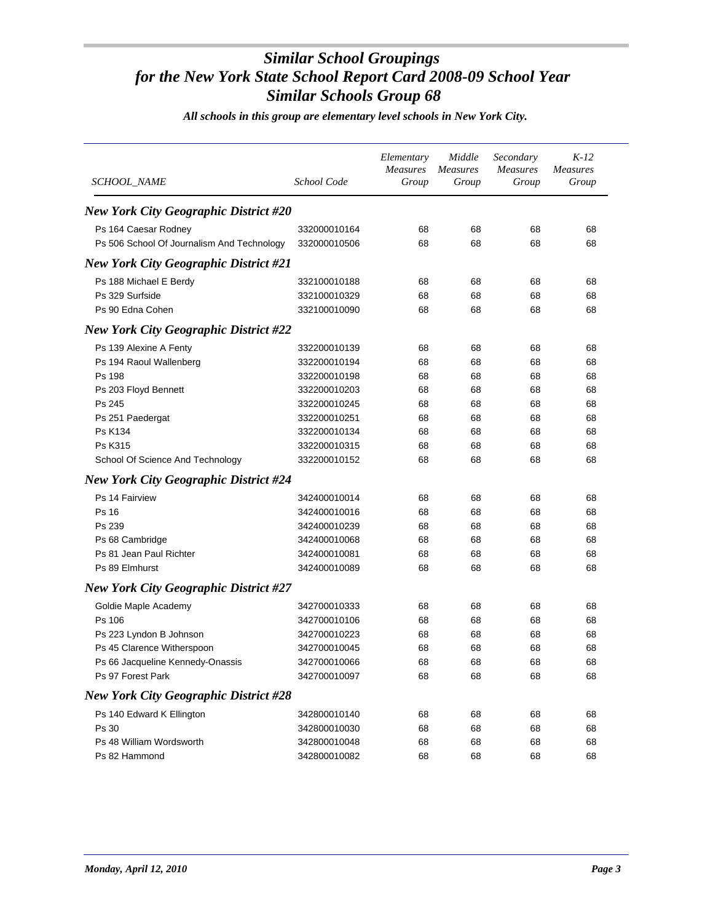| SCHOOL_NAME                                  | School Code  | Elementary<br>Measures<br>Group | Middle<br><b>Measures</b><br>Group | Secondary<br><b>Measures</b><br>Group | $K-12$<br><b>Measures</b><br>Group |
|----------------------------------------------|--------------|---------------------------------|------------------------------------|---------------------------------------|------------------------------------|
| <b>New York City Geographic District #20</b> |              |                                 |                                    |                                       |                                    |
| Ps 164 Caesar Rodney                         | 332000010164 | 68                              | 68                                 | 68                                    | 68                                 |
| Ps 506 School Of Journalism And Technology   | 332000010506 | 68                              | 68                                 | 68                                    | 68                                 |
| <b>New York City Geographic District #21</b> |              |                                 |                                    |                                       |                                    |
| Ps 188 Michael E Berdy                       | 332100010188 | 68                              | 68                                 | 68                                    | 68                                 |
| Ps 329 Surfside                              | 332100010329 | 68                              | 68                                 | 68                                    | 68                                 |
| Ps 90 Edna Cohen                             | 332100010090 | 68                              | 68                                 | 68                                    | 68                                 |
| <b>New York City Geographic District #22</b> |              |                                 |                                    |                                       |                                    |
| Ps 139 Alexine A Fenty                       | 332200010139 | 68                              | 68                                 | 68                                    | 68                                 |
| Ps 194 Raoul Wallenberg                      | 332200010194 | 68                              | 68                                 | 68                                    | 68                                 |
| Ps 198                                       | 332200010198 | 68                              | 68                                 | 68                                    | 68                                 |
| Ps 203 Floyd Bennett                         | 332200010203 | 68                              | 68                                 | 68                                    | 68                                 |
| Ps 245                                       | 332200010245 | 68                              | 68                                 | 68                                    | 68                                 |
| Ps 251 Paedergat                             | 332200010251 | 68                              | 68                                 | 68                                    | 68                                 |
| Ps K134                                      | 332200010134 | 68                              | 68                                 | 68                                    | 68                                 |
| Ps K315                                      | 332200010315 | 68                              | 68                                 | 68                                    | 68                                 |
| School Of Science And Technology             | 332200010152 | 68                              | 68                                 | 68                                    | 68                                 |
| <b>New York City Geographic District #24</b> |              |                                 |                                    |                                       |                                    |
| Ps 14 Fairview                               | 342400010014 | 68                              | 68                                 | 68                                    | 68                                 |
| Ps 16                                        | 342400010016 | 68                              | 68                                 | 68                                    | 68                                 |
| Ps 239                                       | 342400010239 | 68                              | 68                                 | 68                                    | 68                                 |
| Ps 68 Cambridge                              | 342400010068 | 68                              | 68                                 | 68                                    | 68                                 |
| Ps 81 Jean Paul Richter                      | 342400010081 | 68                              | 68                                 | 68                                    | 68                                 |
| Ps 89 Elmhurst                               | 342400010089 | 68                              | 68                                 | 68                                    | 68                                 |
| <b>New York City Geographic District #27</b> |              |                                 |                                    |                                       |                                    |
| Goldie Maple Academy                         | 342700010333 | 68                              | 68                                 | 68                                    | 68                                 |
| Ps 106                                       | 342700010106 | 68                              | 68                                 | 68                                    | 68                                 |
| Ps 223 Lyndon B Johnson                      | 342700010223 | 68                              | 68                                 | 68                                    | 68                                 |
| Ps 45 Clarence Witherspoon                   | 342700010045 | 68                              | 68                                 | 68                                    | 68                                 |
| Ps 66 Jacqueline Kennedy-Onassis             | 342700010066 | 68                              | 68                                 | 68                                    | 68                                 |
| Ps 97 Forest Park                            | 342700010097 | 68                              | 68                                 | 68                                    | 68                                 |
| <b>New York City Geographic District #28</b> |              |                                 |                                    |                                       |                                    |
| Ps 140 Edward K Ellington                    | 342800010140 | 68                              | 68                                 | 68                                    | 68                                 |
| Ps 30                                        | 342800010030 | 68                              | 68                                 | 68                                    | 68                                 |
| Ps 48 William Wordsworth                     | 342800010048 | 68                              | 68                                 | 68                                    | 68                                 |
| Ps 82 Hammond                                | 342800010082 | 68                              | 68                                 | 68                                    | 68                                 |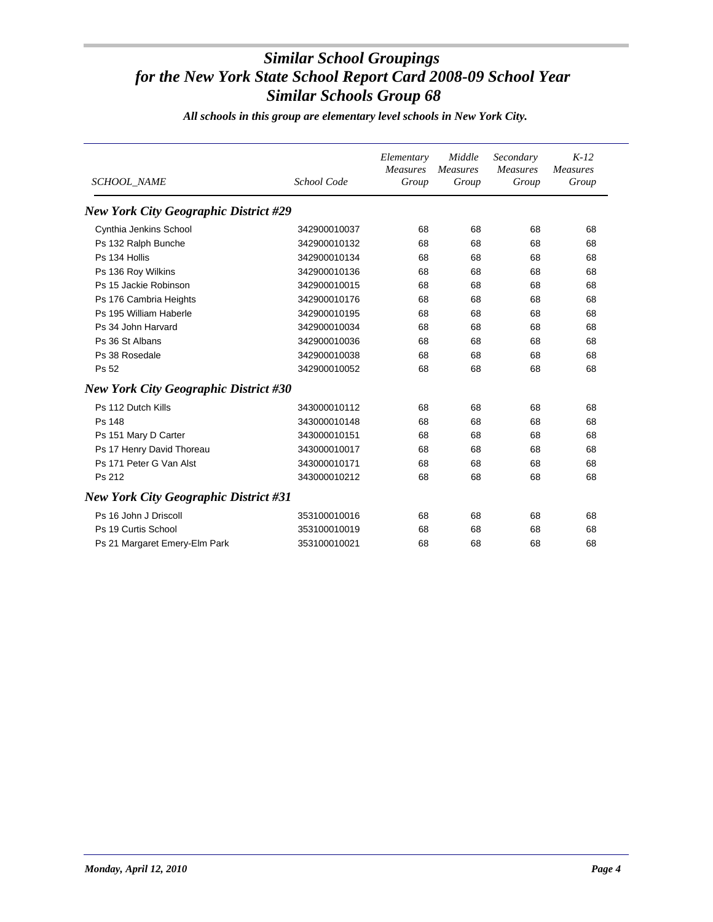| <b>SCHOOL_NAME</b>                           | School Code  | Elementary<br><b>Measures</b><br>Group | Middle<br><b>Measures</b><br>Group | Secondary<br><b>Measures</b><br>Group | $K-12$<br><b>Measures</b><br>Group |
|----------------------------------------------|--------------|----------------------------------------|------------------------------------|---------------------------------------|------------------------------------|
| <b>New York City Geographic District #29</b> |              |                                        |                                    |                                       |                                    |
| Cynthia Jenkins School                       | 342900010037 | 68                                     | 68                                 | 68                                    | 68                                 |
| Ps 132 Ralph Bunche                          | 342900010132 | 68                                     | 68                                 | 68                                    | 68                                 |
| Ps 134 Hollis                                | 342900010134 | 68                                     | 68                                 | 68                                    | 68                                 |
| Ps 136 Roy Wilkins                           | 342900010136 | 68                                     | 68                                 | 68                                    | 68                                 |
| Ps 15 Jackie Robinson                        | 342900010015 | 68                                     | 68                                 | 68                                    | 68                                 |
| Ps 176 Cambria Heights                       | 342900010176 | 68                                     | 68                                 | 68                                    | 68                                 |
| Ps 195 William Haberle                       | 342900010195 | 68                                     | 68                                 | 68                                    | 68                                 |
| Ps 34 John Harvard                           | 342900010034 | 68                                     | 68                                 | 68                                    | 68                                 |
| Ps 36 St Albans                              | 342900010036 | 68                                     | 68                                 | 68                                    | 68                                 |
| Ps 38 Rosedale                               | 342900010038 | 68                                     | 68                                 | 68                                    | 68                                 |
| Ps 52                                        | 342900010052 | 68                                     | 68                                 | 68                                    | 68                                 |
| <b>New York City Geographic District #30</b> |              |                                        |                                    |                                       |                                    |
| Ps 112 Dutch Kills                           | 343000010112 | 68                                     | 68                                 | 68                                    | 68                                 |
| Ps 148                                       | 343000010148 | 68                                     | 68                                 | 68                                    | 68                                 |
| Ps 151 Mary D Carter                         | 343000010151 | 68                                     | 68                                 | 68                                    | 68                                 |
| Ps 17 Henry David Thoreau                    | 343000010017 | 68                                     | 68                                 | 68                                    | 68                                 |
| Ps 171 Peter G Van Alst                      | 343000010171 | 68                                     | 68                                 | 68                                    | 68                                 |
| Ps 212                                       | 343000010212 | 68                                     | 68                                 | 68                                    | 68                                 |
| <b>New York City Geographic District #31</b> |              |                                        |                                    |                                       |                                    |
| Ps 16 John J Driscoll                        | 353100010016 | 68                                     | 68                                 | 68                                    | 68                                 |
| Ps 19 Curtis School                          | 353100010019 | 68                                     | 68                                 | 68                                    | 68                                 |
| Ps 21 Margaret Emery-Elm Park                | 353100010021 | 68                                     | 68                                 | 68                                    | 68                                 |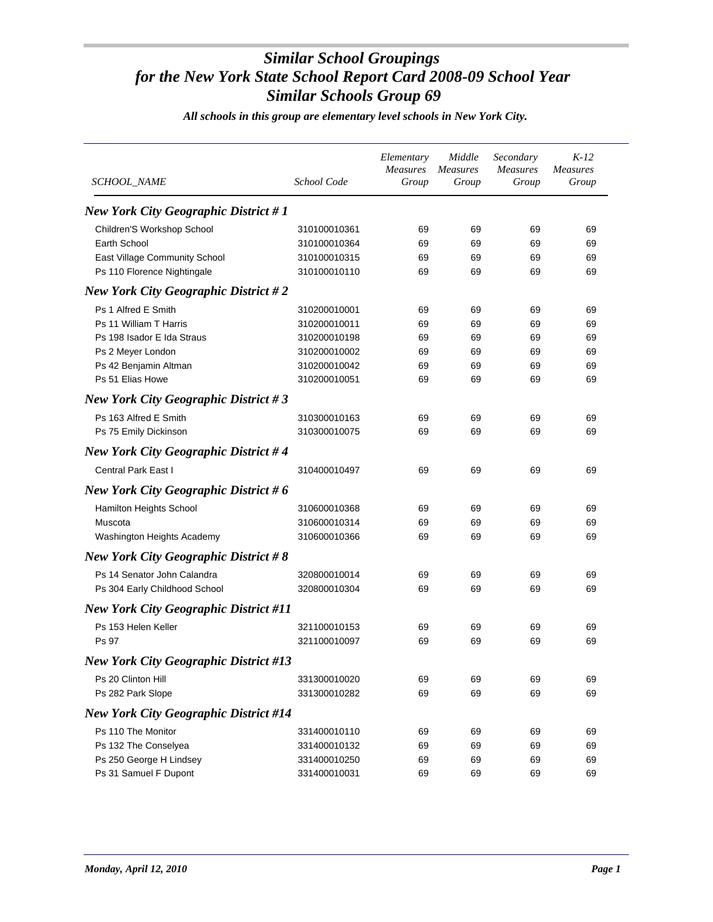| <i>SCHOOL NAME</i>                           | School Code  | Elementary<br><b>Measures</b><br>Group | Middle<br><i>Measures</i><br>Group | Secondary<br><b>Measures</b><br>Group | $K-12$<br><i>Measures</i><br>Group |
|----------------------------------------------|--------------|----------------------------------------|------------------------------------|---------------------------------------|------------------------------------|
| <b>New York City Geographic District #1</b>  |              |                                        |                                    |                                       |                                    |
| Children'S Workshop School                   | 310100010361 | 69                                     | 69                                 | 69                                    | 69                                 |
| Earth School                                 | 310100010364 | 69                                     | 69                                 | 69                                    | 69                                 |
| East Village Community School                | 310100010315 | 69                                     | 69                                 | 69                                    | 69                                 |
| Ps 110 Florence Nightingale                  | 310100010110 | 69                                     | 69                                 | 69                                    | 69                                 |
| <b>New York City Geographic District #2</b>  |              |                                        |                                    |                                       |                                    |
| Ps 1 Alfred E Smith                          | 310200010001 | 69                                     | 69                                 | 69                                    | 69                                 |
| Ps 11 William T Harris                       | 310200010011 | 69                                     | 69                                 | 69                                    | 69                                 |
| Ps 198 Isador E Ida Straus                   | 310200010198 | 69                                     | 69                                 | 69                                    | 69                                 |
| Ps 2 Meyer London                            | 310200010002 | 69                                     | 69                                 | 69                                    | 69                                 |
| Ps 42 Benjamin Altman                        | 310200010042 | 69                                     | 69                                 | 69                                    | 69                                 |
| Ps 51 Elias Howe                             | 310200010051 | 69                                     | 69                                 | 69                                    | 69                                 |
| <b>New York City Geographic District #3</b>  |              |                                        |                                    |                                       |                                    |
| Ps 163 Alfred E Smith                        | 310300010163 | 69                                     | 69                                 | 69                                    | 69                                 |
| Ps 75 Emily Dickinson                        | 310300010075 | 69                                     | 69                                 | 69                                    | 69                                 |
| <b>New York City Geographic District #4</b>  |              |                                        |                                    |                                       |                                    |
| <b>Central Park East I</b>                   | 310400010497 | 69                                     | 69                                 | 69                                    | 69                                 |
| <b>New York City Geographic District #6</b>  |              |                                        |                                    |                                       |                                    |
| Hamilton Heights School                      | 310600010368 | 69                                     | 69                                 | 69                                    | 69                                 |
| Muscota                                      | 310600010314 | 69                                     | 69                                 | 69                                    | 69                                 |
| Washington Heights Academy                   | 310600010366 | 69                                     | 69                                 | 69                                    | 69                                 |
| <b>New York City Geographic District #8</b>  |              |                                        |                                    |                                       |                                    |
| Ps 14 Senator John Calandra                  | 320800010014 | 69                                     | 69                                 | 69                                    | 69                                 |
| Ps 304 Early Childhood School                | 320800010304 | 69                                     | 69                                 | 69                                    | 69                                 |
| <b>New York City Geographic District #11</b> |              |                                        |                                    |                                       |                                    |
| Ps 153 Helen Keller                          | 321100010153 | 69                                     | 69                                 | 69                                    | 69                                 |
| Ps 97                                        | 321100010097 | 69                                     | 69                                 | 69                                    | 69                                 |
| <b>New York City Geographic District #13</b> |              |                                        |                                    |                                       |                                    |
| Ps 20 Clinton Hill                           | 331300010020 | 69                                     | 69                                 | 69                                    | 69                                 |
| Ps 282 Park Slope                            | 331300010282 | 69                                     | 69                                 | 69                                    | 69                                 |
| <b>New York City Geographic District #14</b> |              |                                        |                                    |                                       |                                    |
| Ps 110 The Monitor                           | 331400010110 | 69                                     | 69                                 | 69                                    | 69                                 |
| Ps 132 The Conselyea                         | 331400010132 | 69                                     | 69                                 | 69                                    | 69                                 |
| Ps 250 George H Lindsey                      | 331400010250 | 69                                     | 69                                 | 69                                    | 69                                 |
| Ps 31 Samuel F Dupont                        | 331400010031 | 69                                     | 69                                 | 69                                    | 69                                 |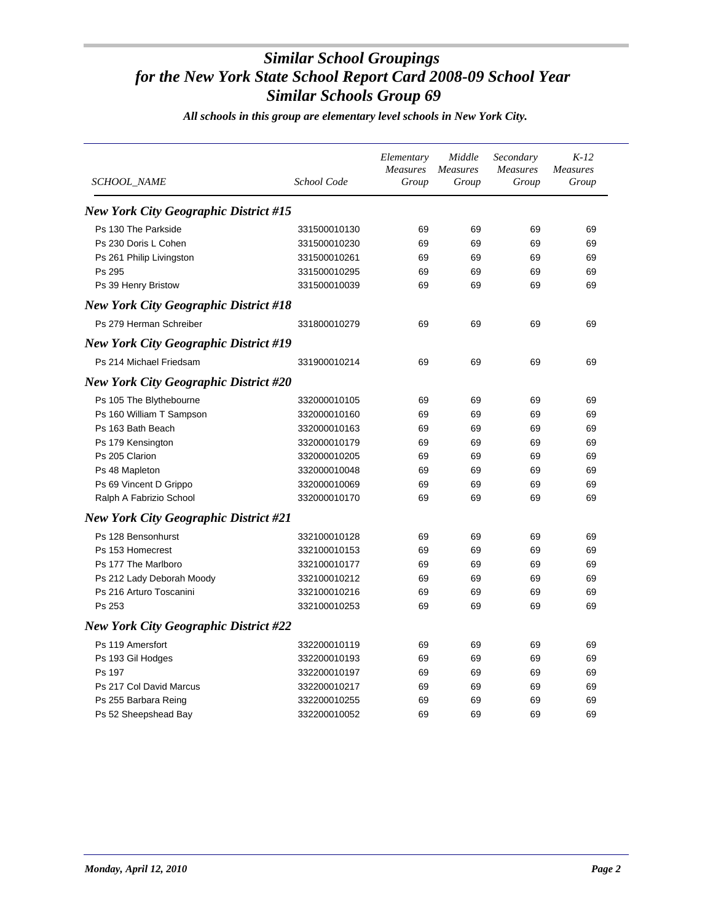| <b>SCHOOL NAME</b>                           | School Code  | Elementary<br>Measures<br>Group | Middle<br>Measures<br>Group | Secondary<br><b>Measures</b><br>Group | $K-12$<br><b>Measures</b><br>Group |
|----------------------------------------------|--------------|---------------------------------|-----------------------------|---------------------------------------|------------------------------------|
| <b>New York City Geographic District #15</b> |              |                                 |                             |                                       |                                    |
| Ps 130 The Parkside                          | 331500010130 | 69                              | 69                          | 69                                    | 69                                 |
| Ps 230 Doris L Cohen                         | 331500010230 | 69                              | 69                          | 69                                    | 69                                 |
| Ps 261 Philip Livingston                     | 331500010261 | 69                              | 69                          | 69                                    | 69                                 |
| Ps 295                                       | 331500010295 | 69                              | 69                          | 69                                    | 69                                 |
| Ps 39 Henry Bristow                          | 331500010039 | 69                              | 69                          | 69                                    | 69                                 |
| <b>New York City Geographic District #18</b> |              |                                 |                             |                                       |                                    |
| Ps 279 Herman Schreiber                      | 331800010279 | 69                              | 69                          | 69                                    | 69                                 |
| <b>New York City Geographic District #19</b> |              |                                 |                             |                                       |                                    |
| Ps 214 Michael Friedsam                      | 331900010214 | 69                              | 69                          | 69                                    | 69                                 |
| <b>New York City Geographic District #20</b> |              |                                 |                             |                                       |                                    |
| Ps 105 The Blythebourne                      | 332000010105 | 69                              | 69                          | 69                                    | 69                                 |
| Ps 160 William T Sampson                     | 332000010160 | 69                              | 69                          | 69                                    | 69                                 |
| Ps 163 Bath Beach                            | 332000010163 | 69                              | 69                          | 69                                    | 69                                 |
| Ps 179 Kensington                            | 332000010179 | 69                              | 69                          | 69                                    | 69                                 |
| Ps 205 Clarion                               | 332000010205 | 69                              | 69                          | 69                                    | 69                                 |
| Ps 48 Mapleton                               | 332000010048 | 69                              | 69                          | 69                                    | 69                                 |
| Ps 69 Vincent D Grippo                       | 332000010069 | 69                              | 69                          | 69                                    | 69                                 |
| Ralph A Fabrizio School                      | 332000010170 | 69                              | 69                          | 69                                    | 69                                 |
| <b>New York City Geographic District #21</b> |              |                                 |                             |                                       |                                    |
| Ps 128 Bensonhurst                           | 332100010128 | 69                              | 69                          | 69                                    | 69                                 |
| Ps 153 Homecrest                             | 332100010153 | 69                              | 69                          | 69                                    | 69                                 |
| Ps 177 The Marlboro                          | 332100010177 | 69                              | 69                          | 69                                    | 69                                 |
| Ps 212 Lady Deborah Moody                    | 332100010212 | 69                              | 69                          | 69                                    | 69                                 |
| Ps 216 Arturo Toscanini                      | 332100010216 | 69                              | 69                          | 69                                    | 69                                 |
| Ps 253                                       | 332100010253 | 69                              | 69                          | 69                                    | 69                                 |
| <b>New York City Geographic District #22</b> |              |                                 |                             |                                       |                                    |
| Ps 119 Amersfort                             | 332200010119 | 69                              | 69                          | 69                                    | 69                                 |
| Ps 193 Gil Hodges                            | 332200010193 | 69                              | 69                          | 69                                    | 69                                 |
| Ps 197                                       | 332200010197 | 69                              | 69                          | 69                                    | 69                                 |
| Ps 217 Col David Marcus                      | 332200010217 | 69                              | 69                          | 69                                    | 69                                 |
| Ps 255 Barbara Reing                         | 332200010255 | 69                              | 69                          | 69                                    | 69                                 |
| Ps 52 Sheepshead Bay                         | 332200010052 | 69                              | 69                          | 69                                    | 69                                 |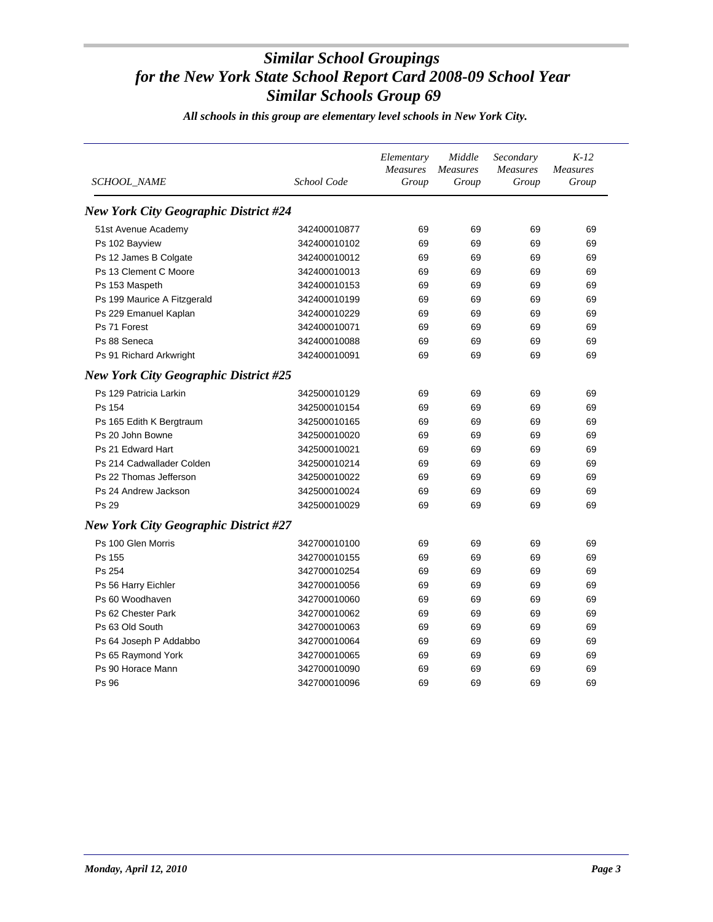| <i>SCHOOL NAME</i>                           | School Code  | Elementary<br><b>Measures</b><br>Group | Middle<br><b>Measures</b><br>Group | Secondary<br><b>Measures</b><br>Group | $K-12$<br>Measures<br>Group |
|----------------------------------------------|--------------|----------------------------------------|------------------------------------|---------------------------------------|-----------------------------|
| <b>New York City Geographic District #24</b> |              |                                        |                                    |                                       |                             |
| 51st Avenue Academy                          | 342400010877 | 69                                     | 69                                 | 69                                    | 69                          |
| Ps 102 Bayview                               | 342400010102 | 69                                     | 69                                 | 69                                    | 69                          |
| Ps 12 James B Colgate                        | 342400010012 | 69                                     | 69                                 | 69                                    | 69                          |
| Ps 13 Clement C Moore                        | 342400010013 | 69                                     | 69                                 | 69                                    | 69                          |
| Ps 153 Maspeth                               | 342400010153 | 69                                     | 69                                 | 69                                    | 69                          |
| Ps 199 Maurice A Fitzgerald                  | 342400010199 | 69                                     | 69                                 | 69                                    | 69                          |
| Ps 229 Emanuel Kaplan                        | 342400010229 | 69                                     | 69                                 | 69                                    | 69                          |
| Ps 71 Forest                                 | 342400010071 | 69                                     | 69                                 | 69                                    | 69                          |
| Ps 88 Seneca                                 | 342400010088 | 69                                     | 69                                 | 69                                    | 69                          |
| Ps 91 Richard Arkwright                      | 342400010091 | 69                                     | 69                                 | 69                                    | 69                          |
| <b>New York City Geographic District #25</b> |              |                                        |                                    |                                       |                             |
| Ps 129 Patricia Larkin                       | 342500010129 | 69                                     | 69                                 | 69                                    | 69                          |
| Ps 154                                       | 342500010154 | 69                                     | 69                                 | 69                                    | 69                          |
| Ps 165 Edith K Bergtraum                     | 342500010165 | 69                                     | 69                                 | 69                                    | 69                          |
| Ps 20 John Bowne                             | 342500010020 | 69                                     | 69                                 | 69                                    | 69                          |
| Ps 21 Edward Hart                            | 342500010021 | 69                                     | 69                                 | 69                                    | 69                          |
| Ps 214 Cadwallader Colden                    | 342500010214 | 69                                     | 69                                 | 69                                    | 69                          |
| Ps 22 Thomas Jefferson                       | 342500010022 | 69                                     | 69                                 | 69                                    | 69                          |
| Ps 24 Andrew Jackson                         | 342500010024 | 69                                     | 69                                 | 69                                    | 69                          |
| Ps 29                                        | 342500010029 | 69                                     | 69                                 | 69                                    | 69                          |
| <b>New York City Geographic District #27</b> |              |                                        |                                    |                                       |                             |
| Ps 100 Glen Morris                           | 342700010100 | 69                                     | 69                                 | 69                                    | 69                          |
| Ps 155                                       | 342700010155 | 69                                     | 69                                 | 69                                    | 69                          |
| Ps 254                                       | 342700010254 | 69                                     | 69                                 | 69                                    | 69                          |
| Ps 56 Harry Eichler                          | 342700010056 | 69                                     | 69                                 | 69                                    | 69                          |
| Ps 60 Woodhaven                              | 342700010060 | 69                                     | 69                                 | 69                                    | 69                          |
| Ps 62 Chester Park                           | 342700010062 | 69                                     | 69                                 | 69                                    | 69                          |
| Ps 63 Old South                              | 342700010063 | 69                                     | 69                                 | 69                                    | 69                          |
| Ps 64 Joseph P Addabbo                       | 342700010064 | 69                                     | 69                                 | 69                                    | 69                          |
| Ps 65 Raymond York                           | 342700010065 | 69                                     | 69                                 | 69                                    | 69                          |
| Ps 90 Horace Mann                            | 342700010090 | 69                                     | 69                                 | 69                                    | 69                          |
| Ps 96                                        | 342700010096 | 69                                     | 69                                 | 69                                    | 69                          |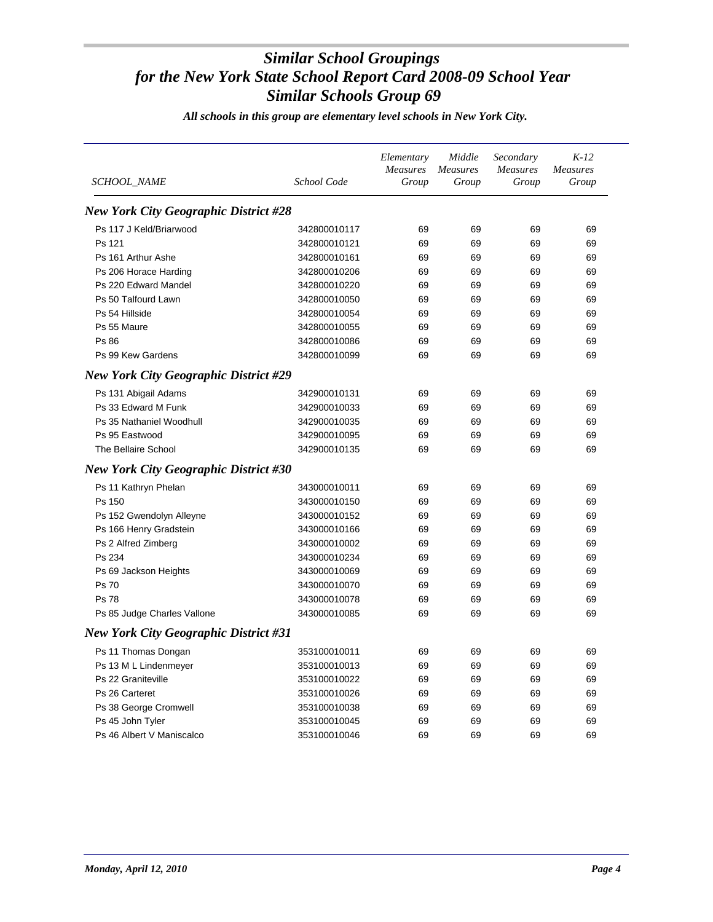| SCHOOL_NAME                                  | School Code  | Elementary<br><b>Measures</b><br>Group | Middle<br><b>Measures</b><br>Group | Secondary<br><b>Measures</b><br>Group | $K-12$<br><b>Measures</b><br>Group |
|----------------------------------------------|--------------|----------------------------------------|------------------------------------|---------------------------------------|------------------------------------|
| <b>New York City Geographic District #28</b> |              |                                        |                                    |                                       |                                    |
| Ps 117 J Keld/Briarwood                      | 342800010117 | 69                                     | 69                                 | 69                                    | 69                                 |
| Ps 121                                       | 342800010121 | 69                                     | 69                                 | 69                                    | 69                                 |
| Ps 161 Arthur Ashe                           | 342800010161 | 69                                     | 69                                 | 69                                    | 69                                 |
| Ps 206 Horace Harding                        | 342800010206 | 69                                     | 69                                 | 69                                    | 69                                 |
| Ps 220 Edward Mandel                         | 342800010220 | 69                                     | 69                                 | 69                                    | 69                                 |
| Ps 50 Talfourd Lawn                          | 342800010050 | 69                                     | 69                                 | 69                                    | 69                                 |
| Ps 54 Hillside                               | 342800010054 | 69                                     | 69                                 | 69                                    | 69                                 |
| Ps 55 Maure                                  | 342800010055 | 69                                     | 69                                 | 69                                    | 69                                 |
| Ps 86                                        | 342800010086 | 69                                     | 69                                 | 69                                    | 69                                 |
| Ps 99 Kew Gardens                            | 342800010099 | 69                                     | 69                                 | 69                                    | 69                                 |
| <b>New York City Geographic District #29</b> |              |                                        |                                    |                                       |                                    |
| Ps 131 Abigail Adams                         | 342900010131 | 69                                     | 69                                 | 69                                    | 69                                 |
| Ps 33 Edward M Funk                          | 342900010033 | 69                                     | 69                                 | 69                                    | 69                                 |
| Ps 35 Nathaniel Woodhull                     | 342900010035 | 69                                     | 69                                 | 69                                    | 69                                 |
| Ps 95 Eastwood                               | 342900010095 | 69                                     | 69                                 | 69                                    | 69                                 |
| The Bellaire School                          | 342900010135 | 69                                     | 69                                 | 69                                    | 69                                 |
| <b>New York City Geographic District #30</b> |              |                                        |                                    |                                       |                                    |
| Ps 11 Kathryn Phelan                         | 343000010011 | 69                                     | 69                                 | 69                                    | 69                                 |
| Ps 150                                       | 343000010150 | 69                                     | 69                                 | 69                                    | 69                                 |
| Ps 152 Gwendolyn Alleyne                     | 343000010152 | 69                                     | 69                                 | 69                                    | 69                                 |
| Ps 166 Henry Gradstein                       | 343000010166 | 69                                     | 69                                 | 69                                    | 69                                 |
| Ps 2 Alfred Zimberg                          | 343000010002 | 69                                     | 69                                 | 69                                    | 69                                 |
| Ps 234                                       | 343000010234 | 69                                     | 69                                 | 69                                    | 69                                 |
| Ps 69 Jackson Heights                        | 343000010069 | 69                                     | 69                                 | 69                                    | 69                                 |
| Ps 70                                        | 343000010070 | 69                                     | 69                                 | 69                                    | 69                                 |
| <b>Ps 78</b>                                 | 343000010078 | 69                                     | 69                                 | 69                                    | 69                                 |
| Ps 85 Judge Charles Vallone                  | 343000010085 | 69                                     | 69                                 | 69                                    | 69                                 |
| <b>New York City Geographic District #31</b> |              |                                        |                                    |                                       |                                    |
| Ps 11 Thomas Dongan                          | 353100010011 | 69                                     | 69                                 | 69                                    | 69                                 |
| Ps 13 M L Lindenmeyer                        | 353100010013 | 69                                     | 69                                 | 69                                    | 69                                 |
| Ps 22 Graniteville                           | 353100010022 | 69                                     | 69                                 | 69                                    | 69                                 |
| Ps 26 Carteret                               | 353100010026 | 69                                     | 69                                 | 69                                    | 69                                 |
| Ps 38 George Cromwell                        | 353100010038 | 69                                     | 69                                 | 69                                    | 69                                 |
| Ps 45 John Tyler                             | 353100010045 | 69                                     | 69                                 | 69                                    | 69                                 |
| Ps 46 Albert V Maniscalco                    | 353100010046 | 69                                     | 69                                 | 69                                    | 69                                 |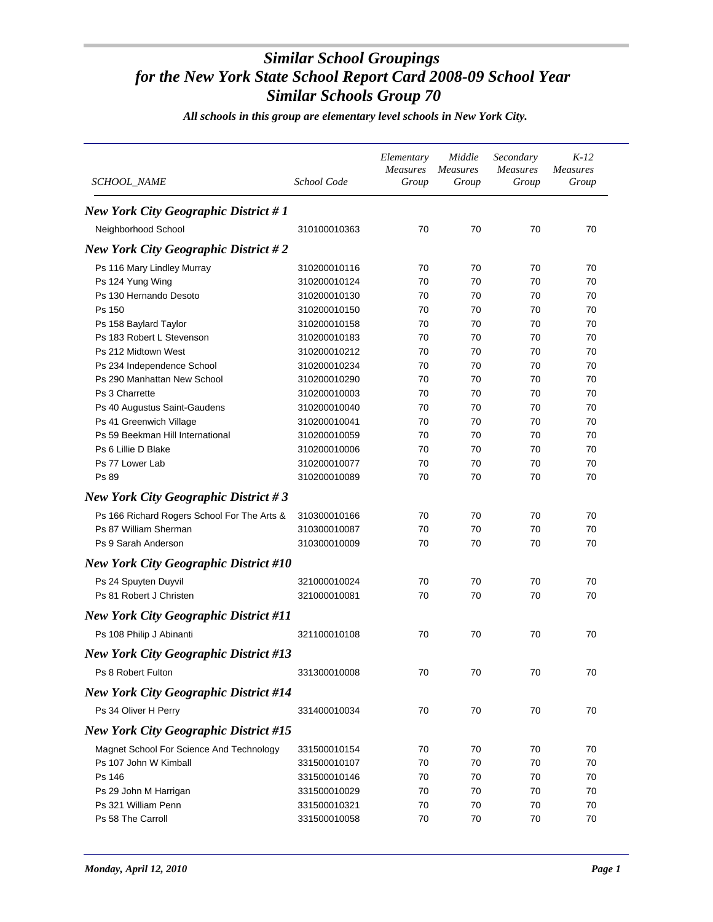| <b>SCHOOL_NAME</b>                           | School Code  | Elementary<br><b>Measures</b><br>Group | Middle<br><b>Measures</b><br>Group | Secondary<br><b>Measures</b><br>Group | $K-12$<br><b>Measures</b><br>Group |
|----------------------------------------------|--------------|----------------------------------------|------------------------------------|---------------------------------------|------------------------------------|
| <b>New York City Geographic District #1</b>  |              |                                        |                                    |                                       |                                    |
| Neighborhood School                          | 310100010363 | 70                                     | 70                                 | 70                                    | 70                                 |
| <b>New York City Geographic District #2</b>  |              |                                        |                                    |                                       |                                    |
| Ps 116 Mary Lindley Murray                   | 310200010116 | 70                                     | 70                                 | 70                                    | 70                                 |
| Ps 124 Yung Wing                             | 310200010124 | 70                                     | 70                                 | 70                                    | 70                                 |
| Ps 130 Hernando Desoto                       | 310200010130 | 70                                     | 70                                 | 70                                    | 70                                 |
| Ps 150                                       | 310200010150 | 70                                     | 70                                 | 70                                    | 70                                 |
| Ps 158 Baylard Taylor                        | 310200010158 | 70                                     | 70                                 | 70                                    | 70                                 |
| Ps 183 Robert L Stevenson                    | 310200010183 | 70                                     | 70                                 | 70                                    | 70                                 |
| Ps 212 Midtown West                          | 310200010212 | 70                                     | 70                                 | 70                                    | 70                                 |
| Ps 234 Independence School                   | 310200010234 | 70                                     | 70                                 | 70                                    | 70                                 |
| Ps 290 Manhattan New School                  | 310200010290 | 70                                     | 70                                 | 70                                    | 70                                 |
| Ps 3 Charrette                               | 310200010003 | 70                                     | 70                                 | 70                                    | 70                                 |
| Ps 40 Augustus Saint-Gaudens                 | 310200010040 | 70                                     | 70                                 | 70                                    | 70                                 |
| Ps 41 Greenwich Village                      | 310200010041 | 70                                     | 70                                 | 70                                    | 70                                 |
| Ps 59 Beekman Hill International             | 310200010059 | 70                                     | 70                                 | 70                                    | 70                                 |
| Ps 6 Lillie D Blake                          | 310200010006 | 70                                     | 70                                 | 70                                    | 70                                 |
| Ps 77 Lower Lab                              | 310200010077 | 70                                     | 70                                 | 70                                    | 70                                 |
| Ps 89                                        | 310200010089 | 70                                     | 70                                 | 70                                    | 70                                 |
| <b>New York City Geographic District #3</b>  |              |                                        |                                    |                                       |                                    |
| Ps 166 Richard Rogers School For The Arts &  | 310300010166 | 70                                     | 70                                 | 70                                    | 70                                 |
| Ps 87 William Sherman                        | 310300010087 | 70                                     | 70                                 | 70                                    | 70                                 |
| Ps 9 Sarah Anderson                          | 310300010009 | 70                                     | 70                                 | 70                                    | 70                                 |
| <b>New York City Geographic District #10</b> |              |                                        |                                    |                                       |                                    |
|                                              |              |                                        |                                    |                                       |                                    |
| Ps 24 Spuyten Duyvil                         | 321000010024 | 70                                     | 70                                 | 70                                    | 70                                 |
| Ps 81 Robert J Christen                      | 321000010081 | 70                                     | 70                                 | 70                                    | 70                                 |
| <b>New York City Geographic District #11</b> |              |                                        |                                    |                                       |                                    |
| Ps 108 Philip J Abinanti                     | 321100010108 | 70                                     | 70                                 | 70                                    | 70                                 |
| <b>New York City Geographic District #13</b> |              |                                        |                                    |                                       |                                    |
| Ps 8 Robert Fulton                           | 331300010008 | 70                                     | 70                                 | 70                                    | 70                                 |
| <b>New York City Geographic District #14</b> |              |                                        |                                    |                                       |                                    |
| Ps 34 Oliver H Perry                         | 331400010034 | 70                                     | 70                                 | 70                                    | 70                                 |
| <b>New York City Geographic District #15</b> |              |                                        |                                    |                                       |                                    |
| Magnet School For Science And Technology     | 331500010154 | 70                                     | 70                                 | 70                                    | 70                                 |
| Ps 107 John W Kimball                        | 331500010107 | 70                                     | 70                                 | 70                                    | 70                                 |
| Ps 146                                       | 331500010146 | 70                                     | 70                                 | 70                                    | 70                                 |
| Ps 29 John M Harrigan                        | 331500010029 | 70                                     | 70                                 | 70                                    | 70                                 |
| Ps 321 William Penn                          | 331500010321 | 70                                     | 70                                 | 70                                    | 70                                 |
| Ps 58 The Carroll                            | 331500010058 | 70                                     | 70                                 | 70                                    | 70                                 |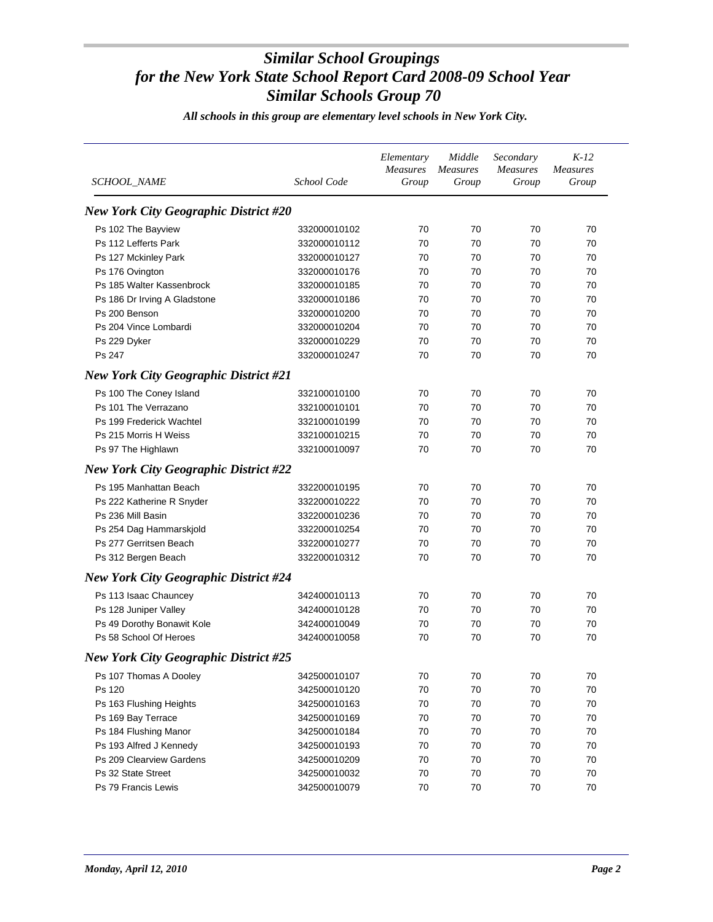| SCHOOL_NAME                                  | School Code  | Elementary<br><b>Measures</b><br>Group | Middle<br>Measures<br>Group | Secondary<br><b>Measures</b><br>Group | $K-12$<br><b>Measures</b><br>Group |
|----------------------------------------------|--------------|----------------------------------------|-----------------------------|---------------------------------------|------------------------------------|
| <b>New York City Geographic District #20</b> |              |                                        |                             |                                       |                                    |
| Ps 102 The Bayview                           | 332000010102 | 70                                     | 70                          | 70                                    | 70                                 |
| Ps 112 Lefferts Park                         | 332000010112 | 70                                     | 70                          | 70                                    | 70                                 |
| Ps 127 Mckinley Park                         | 332000010127 | 70                                     | 70                          | 70                                    | 70                                 |
| Ps 176 Ovington                              | 332000010176 | 70                                     | 70                          | 70                                    | 70                                 |
| Ps 185 Walter Kassenbrock                    | 332000010185 | 70                                     | 70                          | 70                                    | 70                                 |
| Ps 186 Dr Irving A Gladstone                 | 332000010186 | 70                                     | 70                          | 70                                    | 70                                 |
| Ps 200 Benson                                | 332000010200 | 70                                     | 70                          | 70                                    | 70                                 |
| Ps 204 Vince Lombardi                        | 332000010204 | 70                                     | 70                          | 70                                    | 70                                 |
| Ps 229 Dyker                                 | 332000010229 | 70                                     | 70                          | 70                                    | 70                                 |
| Ps 247                                       | 332000010247 | 70                                     | 70                          | 70                                    | 70                                 |
| <b>New York City Geographic District #21</b> |              |                                        |                             |                                       |                                    |
| Ps 100 The Coney Island                      | 332100010100 | 70                                     | 70                          | 70                                    | 70                                 |
| Ps 101 The Verrazano                         | 332100010101 | 70                                     | 70                          | 70                                    | 70                                 |
| Ps 199 Frederick Wachtel                     | 332100010199 | 70                                     | 70                          | 70                                    | 70                                 |
| Ps 215 Morris H Weiss                        | 332100010215 | 70                                     | 70                          | 70                                    | 70                                 |
| Ps 97 The Highlawn                           | 332100010097 | 70                                     | 70                          | 70                                    | 70                                 |
| <b>New York City Geographic District #22</b> |              |                                        |                             |                                       |                                    |
| Ps 195 Manhattan Beach                       | 332200010195 | 70                                     | 70                          | 70                                    | 70                                 |
| Ps 222 Katherine R Snyder                    | 332200010222 | 70                                     | 70                          | 70                                    | 70                                 |
| Ps 236 Mill Basin                            | 332200010236 | 70                                     | 70                          | 70                                    | 70                                 |
| Ps 254 Dag Hammarskjold                      | 332200010254 | 70                                     | 70                          | 70                                    | 70                                 |
| Ps 277 Gerritsen Beach                       | 332200010277 | 70                                     | 70                          | 70                                    | 70                                 |
| Ps 312 Bergen Beach                          | 332200010312 | 70                                     | 70                          | 70                                    | 70                                 |
| <b>New York City Geographic District #24</b> |              |                                        |                             |                                       |                                    |
|                                              |              |                                        |                             |                                       |                                    |
| Ps 113 Isaac Chauncey                        | 342400010113 | 70                                     | 70                          | 70                                    | 70                                 |
| Ps 128 Juniper Valley                        | 342400010128 | 70                                     | 70                          | 70                                    | 70                                 |
| Ps 49 Dorothy Bonawit Kole                   | 342400010049 | 70                                     | 70                          | 70                                    | 70                                 |
| Ps 58 School Of Heroes                       | 342400010058 | 70                                     | 70                          | 70                                    | 70                                 |
| <b>New York City Geographic District #25</b> |              |                                        |                             |                                       |                                    |
| Ps 107 Thomas A Dooley                       | 342500010107 | 70                                     | 70                          | 70                                    | 70                                 |
| Ps 120                                       | 342500010120 | 70                                     | 70                          | 70                                    | 70                                 |
| Ps 163 Flushing Heights                      | 342500010163 | 70                                     | 70                          | 70                                    | 70                                 |
| Ps 169 Bay Terrace                           | 342500010169 | 70                                     | 70                          | 70                                    | 70                                 |
| Ps 184 Flushing Manor                        | 342500010184 | 70                                     | 70                          | 70                                    | 70                                 |
| Ps 193 Alfred J Kennedy                      | 342500010193 | 70                                     | 70                          | 70                                    | 70                                 |
| Ps 209 Clearview Gardens                     | 342500010209 | 70                                     | 70                          | 70                                    | 70                                 |
| Ps 32 State Street                           | 342500010032 | 70                                     | 70                          | 70                                    | 70                                 |
| Ps 79 Francis Lewis                          | 342500010079 | 70                                     | 70                          | $70\,$                                | 70                                 |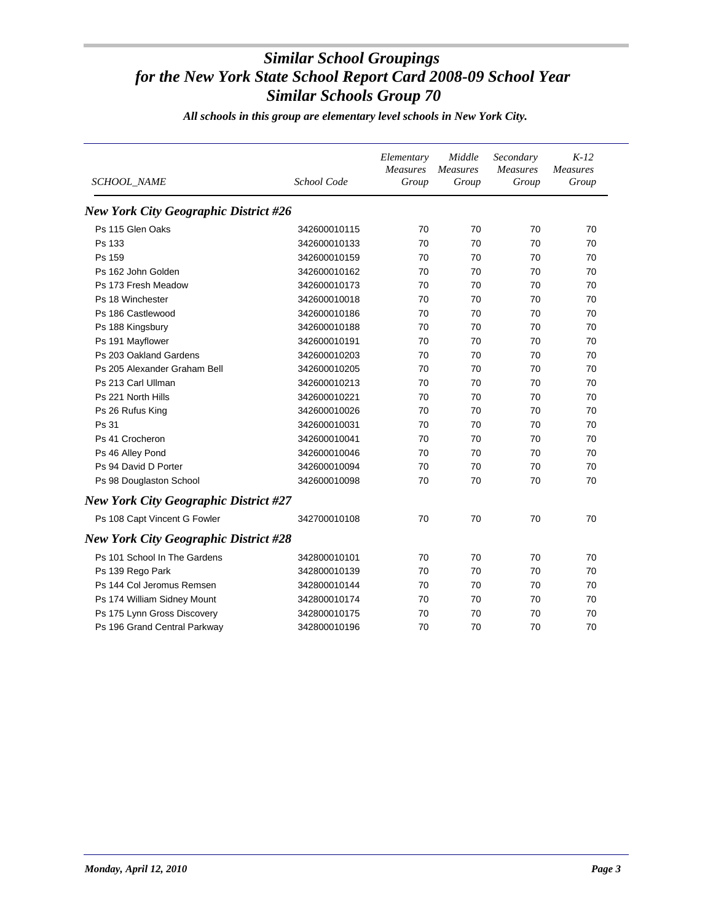| <b>SCHOOL_NAME</b>                           | School Code  | Elementary<br><b>Measures</b><br>Group | Middle<br><b>Measures</b><br>Group | Secondary<br>Measures<br>Group | $K-12$<br><b>Measures</b><br>Group |
|----------------------------------------------|--------------|----------------------------------------|------------------------------------|--------------------------------|------------------------------------|
| <b>New York City Geographic District #26</b> |              |                                        |                                    |                                |                                    |
| Ps 115 Glen Oaks                             | 342600010115 | 70                                     | 70                                 | 70                             | 70                                 |
| Ps 133                                       | 342600010133 | 70                                     | 70                                 | 70                             | 70                                 |
| Ps 159                                       | 342600010159 | 70                                     | 70                                 | 70                             | 70                                 |
| Ps 162 John Golden                           | 342600010162 | 70                                     | 70                                 | 70                             | 70                                 |
| Ps 173 Fresh Meadow                          | 342600010173 | 70                                     | 70                                 | 70                             | 70                                 |
| Ps 18 Winchester                             | 342600010018 | 70                                     | 70                                 | 70                             | 70                                 |
| Ps 186 Castlewood                            | 342600010186 | 70                                     | 70                                 | 70                             | 70                                 |
| Ps 188 Kingsbury                             | 342600010188 | 70                                     | 70                                 | 70                             | 70                                 |
| Ps 191 Mayflower                             | 342600010191 | 70                                     | 70                                 | 70                             | 70                                 |
| Ps 203 Oakland Gardens                       | 342600010203 | 70                                     | 70                                 | 70                             | 70                                 |
| Ps 205 Alexander Graham Bell                 | 342600010205 | 70                                     | 70                                 | 70                             | 70                                 |
| Ps 213 Carl Ullman                           | 342600010213 | 70                                     | 70                                 | 70                             | 70                                 |
| Ps 221 North Hills                           | 342600010221 | 70                                     | 70                                 | 70                             | 70                                 |
| Ps 26 Rufus King                             | 342600010026 | 70                                     | 70                                 | 70                             | 70                                 |
| Ps 31                                        | 342600010031 | 70                                     | 70                                 | 70                             | 70                                 |
| Ps 41 Crocheron                              | 342600010041 | 70                                     | 70                                 | 70                             | 70                                 |
| Ps 46 Alley Pond                             | 342600010046 | 70                                     | 70                                 | 70                             | 70                                 |
| Ps 94 David D Porter                         | 342600010094 | 70                                     | 70                                 | 70                             | 70                                 |
| Ps 98 Douglaston School                      | 342600010098 | 70                                     | 70                                 | 70                             | 70                                 |
| <b>New York City Geographic District #27</b> |              |                                        |                                    |                                |                                    |
| Ps 108 Capt Vincent G Fowler                 | 342700010108 | 70                                     | 70                                 | 70                             | 70                                 |
| <b>New York City Geographic District #28</b> |              |                                        |                                    |                                |                                    |
| Ps 101 School In The Gardens                 | 342800010101 | 70                                     | 70                                 | 70                             | 70                                 |
| Ps 139 Rego Park                             | 342800010139 | 70                                     | 70                                 | 70                             | 70                                 |
| Ps 144 Col Jeromus Remsen                    | 342800010144 | 70                                     | 70                                 | 70                             | 70                                 |
| Ps 174 William Sidney Mount                  | 342800010174 | 70                                     | 70                                 | 70                             | 70                                 |
| Ps 175 Lynn Gross Discovery                  | 342800010175 | 70                                     | 70                                 | 70                             | 70                                 |
| Ps 196 Grand Central Parkway                 | 342800010196 | 70                                     | 70                                 | 70                             | 70                                 |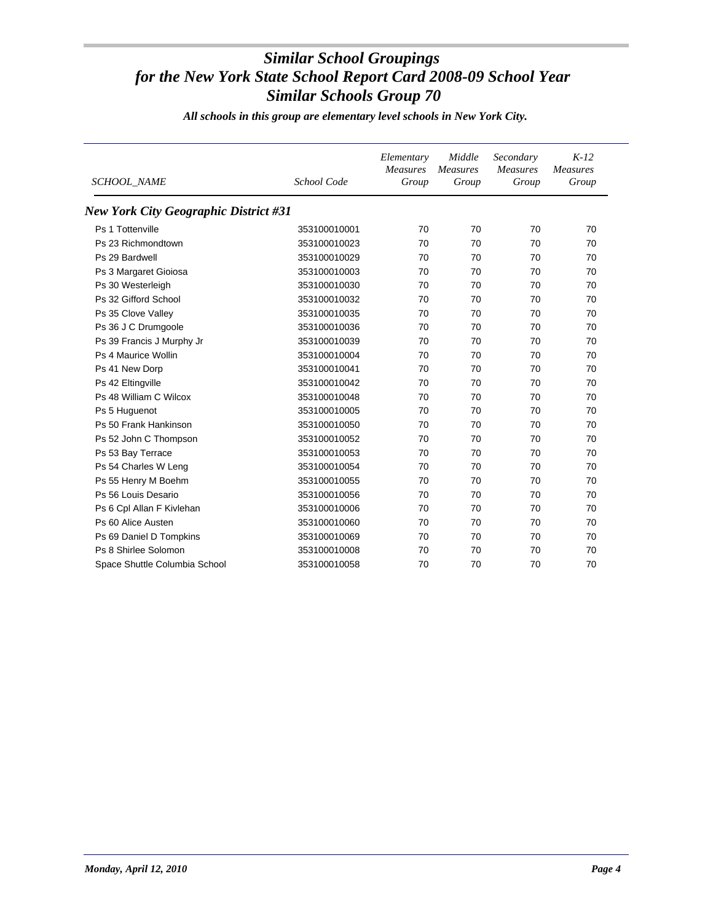| <b>SCHOOL_NAME</b>                    | School Code  | Elementary<br><b>Measures</b><br>Group | Middle<br><b>Measures</b><br>Group | Secondary<br>Measures<br>Group | $K-12$<br><b>Measures</b><br>Group |
|---------------------------------------|--------------|----------------------------------------|------------------------------------|--------------------------------|------------------------------------|
| New York City Geographic District #31 |              |                                        |                                    |                                |                                    |
| Ps 1 Tottenville                      | 353100010001 | 70                                     | 70                                 | 70                             | 70                                 |
| Ps 23 Richmondtown                    | 353100010023 | 70                                     | 70                                 | 70                             | 70                                 |
| Ps 29 Bardwell                        | 353100010029 | 70                                     | 70                                 | 70                             | 70                                 |
| Ps 3 Margaret Gioiosa                 | 353100010003 | 70                                     | 70                                 | 70                             | 70                                 |
| Ps 30 Westerleigh                     | 353100010030 | 70                                     | 70                                 | 70                             | 70                                 |
| Ps 32 Gifford School                  | 353100010032 | 70                                     | 70                                 | 70                             | 70                                 |
| Ps 35 Clove Valley                    | 353100010035 | 70                                     | 70                                 | 70                             | 70                                 |
| Ps 36 J C Drumgoole                   | 353100010036 | 70                                     | 70                                 | 70                             | 70                                 |
| Ps 39 Francis J Murphy Jr             | 353100010039 | 70                                     | 70                                 | 70                             | 70                                 |
| Ps 4 Maurice Wollin                   | 353100010004 | 70                                     | 70                                 | 70                             | 70                                 |
| Ps 41 New Dorp                        | 353100010041 | 70                                     | 70                                 | 70                             | 70                                 |
| Ps 42 Eltingville                     | 353100010042 | 70                                     | 70                                 | 70                             | 70                                 |
| Ps 48 William C Wilcox                | 353100010048 | 70                                     | 70                                 | 70                             | 70                                 |
| Ps 5 Huguenot                         | 353100010005 | 70                                     | 70                                 | 70                             | 70                                 |
| Ps 50 Frank Hankinson                 | 353100010050 | 70                                     | 70                                 | 70                             | 70                                 |
| Ps 52 John C Thompson                 | 353100010052 | 70                                     | 70                                 | 70                             | 70                                 |
| Ps 53 Bay Terrace                     | 353100010053 | 70                                     | 70                                 | 70                             | 70                                 |
| Ps 54 Charles W Leng                  | 353100010054 | 70                                     | 70                                 | 70                             | 70                                 |
| Ps 55 Henry M Boehm                   | 353100010055 | 70                                     | 70                                 | 70                             | 70                                 |
| Ps 56 Louis Desario                   | 353100010056 | 70                                     | 70                                 | 70                             | 70                                 |
| Ps 6 Cpl Allan F Kivlehan             | 353100010006 | 70                                     | 70                                 | 70                             | 70                                 |
| Ps 60 Alice Austen                    | 353100010060 | 70                                     | 70                                 | 70                             | 70                                 |
| Ps 69 Daniel D Tompkins               | 353100010069 | 70                                     | 70                                 | 70                             | 70                                 |
| Ps 8 Shirlee Solomon                  | 353100010008 | 70                                     | 70                                 | 70                             | 70                                 |
| Space Shuttle Columbia School         | 353100010058 | 70                                     | 70                                 | 70                             | 70                                 |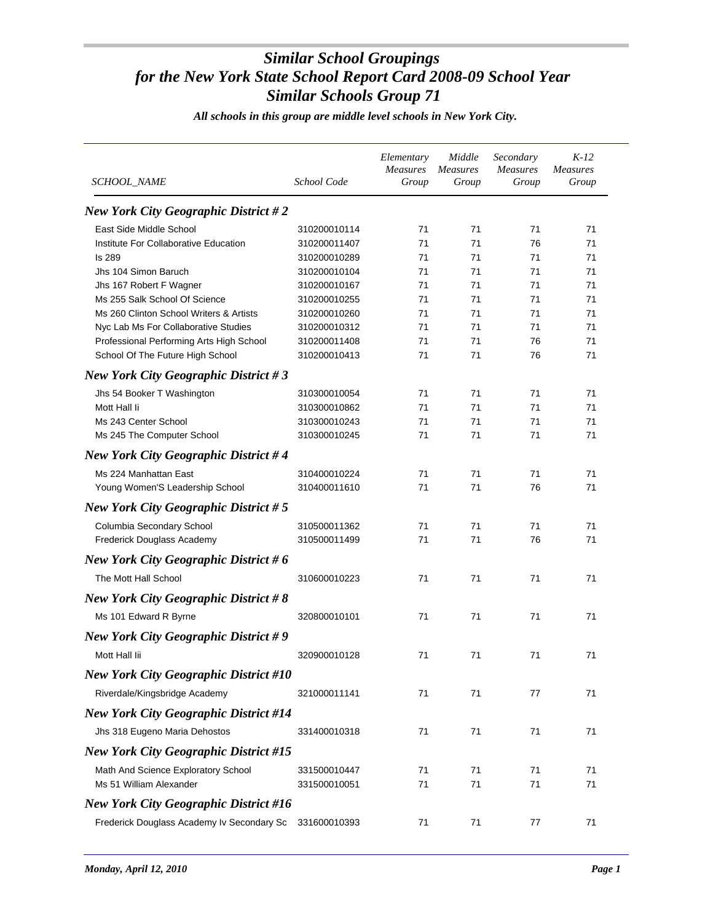| <i>SCHOOL NAME</i>                           | School Code                  | Elementary<br><b>Measures</b><br>Group | Middle<br><i>Measures</i><br>Group | Secondary<br><b>Measures</b><br>Group | $K-12$<br>Measures<br>Group |
|----------------------------------------------|------------------------------|----------------------------------------|------------------------------------|---------------------------------------|-----------------------------|
| <b>New York City Geographic District #2</b>  |                              |                                        |                                    |                                       |                             |
| East Side Middle School                      | 310200010114                 | 71                                     | 71                                 | 71                                    | 71                          |
| Institute For Collaborative Education        | 310200011407                 | 71                                     | 71                                 | 76                                    | 71                          |
| <b>Is 289</b>                                | 310200010289                 | 71                                     | 71                                 | 71                                    | 71                          |
| Jhs 104 Simon Baruch                         | 310200010104                 | 71                                     | 71                                 | 71                                    | 71                          |
| Jhs 167 Robert F Wagner                      | 310200010167                 | 71                                     | 71                                 | 71                                    | 71                          |
| Ms 255 Salk School Of Science                | 310200010255                 | 71                                     | 71                                 | 71                                    | 71                          |
| Ms 260 Clinton School Writers & Artists      | 310200010260                 | 71                                     | 71                                 | 71                                    | 71                          |
| Nyc Lab Ms For Collaborative Studies         | 310200010312                 | 71                                     | 71                                 | 71                                    | 71                          |
| Professional Performing Arts High School     | 310200011408                 | 71                                     | 71                                 | 76                                    | 71                          |
| School Of The Future High School             | 310200010413                 | 71                                     | 71                                 | 76                                    | 71                          |
| <b>New York City Geographic District #3</b>  |                              |                                        |                                    |                                       |                             |
| Jhs 54 Booker T Washington                   | 310300010054                 | 71                                     | 71                                 | 71                                    | 71                          |
| Mott Hall li                                 | 310300010862                 | 71                                     | 71                                 | 71                                    | 71                          |
| Ms 243 Center School                         | 310300010243                 | 71                                     | 71                                 | 71                                    | 71                          |
| Ms 245 The Computer School                   | 310300010245                 | 71                                     | 71                                 | 71                                    | 71                          |
| <b>New York City Geographic District #4</b>  |                              |                                        |                                    |                                       |                             |
| Ms 224 Manhattan East                        | 310400010224                 | 71                                     | 71                                 | 71                                    | 71                          |
| Young Women'S Leadership School              | 310400011610                 | 71                                     | 71                                 | 76                                    | 71                          |
| New York City Geographic District $# 5$      |                              |                                        |                                    |                                       |                             |
| Columbia Secondary School                    | 310500011362                 | 71                                     | 71                                 | 71                                    | 71                          |
| Frederick Douglass Academy                   | 310500011499                 | 71                                     | 71                                 | 76                                    | 71                          |
| New York City Geographic District # $6$      |                              |                                        |                                    |                                       |                             |
| The Mott Hall School                         | 310600010223                 | 71                                     | 71                                 | 71                                    | 71                          |
| <b>New York City Geographic District #8</b>  |                              |                                        |                                    |                                       |                             |
| Ms 101 Edward R Byrne                        | 320800010101                 | 71                                     | 71                                 | 71                                    | 71                          |
| <b>New York City Geographic District #9</b>  |                              |                                        |                                    |                                       |                             |
| Mott Hall lii                                | 320900010128                 | 71                                     | 71                                 | 71                                    | 71                          |
| <b>New York City Geographic District #10</b> |                              |                                        |                                    |                                       |                             |
| Riverdale/Kingsbridge Academy                | 321000011141                 | 71                                     | 71                                 | 77                                    | 71                          |
| <b>New York City Geographic District #14</b> |                              |                                        |                                    |                                       |                             |
| Jhs 318 Eugeno Maria Dehostos                | 331400010318                 | 71                                     | 71                                 | 71                                    | 71                          |
| <b>New York City Geographic District #15</b> |                              |                                        |                                    |                                       |                             |
| Math And Science Exploratory School          |                              | 71                                     | 71                                 | 71                                    | 71                          |
| Ms 51 William Alexander                      | 331500010447<br>331500010051 | 71                                     | 71                                 | 71                                    | 71                          |
| <b>New York City Geographic District #16</b> |                              |                                        |                                    |                                       |                             |
|                                              |                              |                                        |                                    |                                       |                             |
| Frederick Douglass Academy Iv Secondary Sc   | 331600010393                 | 71                                     | 71                                 | 77                                    | 71                          |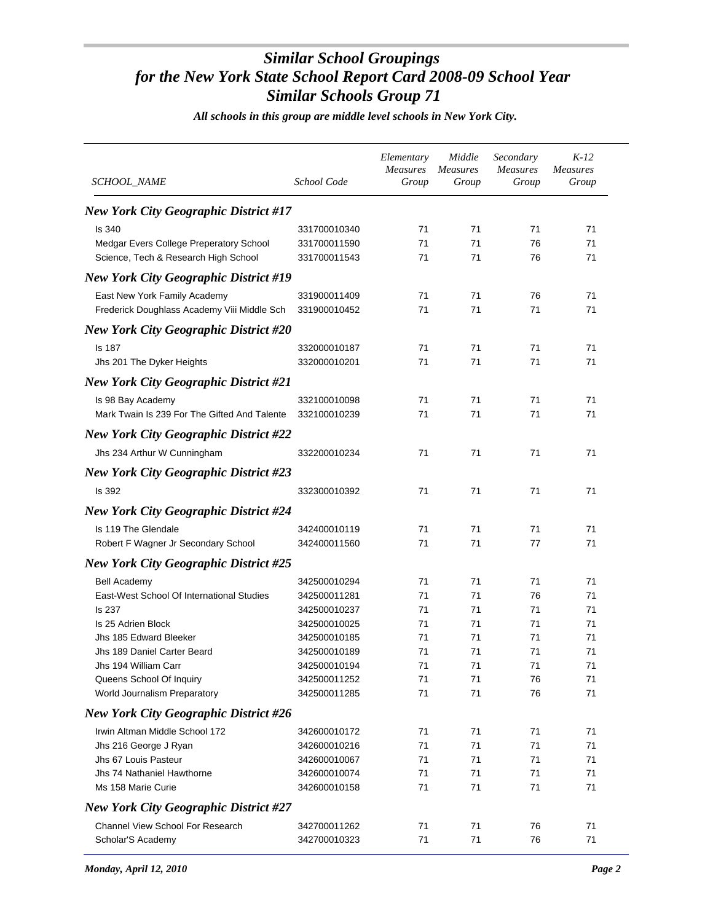| SCHOOL_NAME                                  | School Code  | Elementary<br>Measures<br>Group | Middle<br><b>Measures</b><br>Group | Secondary<br><b>Measures</b><br>Group | $K-12$<br><i>Measures</i><br>Group |
|----------------------------------------------|--------------|---------------------------------|------------------------------------|---------------------------------------|------------------------------------|
| <b>New York City Geographic District #17</b> |              |                                 |                                    |                                       |                                    |
| <b>Is 340</b>                                | 331700010340 | 71                              | 71                                 | 71                                    | 71                                 |
| Medgar Evers College Preperatory School      | 331700011590 | 71                              | 71                                 | 76                                    | 71                                 |
| Science, Tech & Research High School         | 331700011543 | 71                              | 71                                 | 76                                    | 71                                 |
| <b>New York City Geographic District #19</b> |              |                                 |                                    |                                       |                                    |
| East New York Family Academy                 | 331900011409 | 71                              | 71                                 | 76                                    | 71                                 |
| Frederick Doughlass Academy Viii Middle Sch  | 331900010452 | 71                              | 71                                 | 71                                    | 71                                 |
| <b>New York City Geographic District #20</b> |              |                                 |                                    |                                       |                                    |
| Is 187                                       | 332000010187 | 71                              | 71                                 | 71                                    | 71                                 |
| Jhs 201 The Dyker Heights                    | 332000010201 | 71                              | 71                                 | 71                                    | 71                                 |
| <b>New York City Geographic District #21</b> |              |                                 |                                    |                                       |                                    |
| Is 98 Bay Academy                            | 332100010098 | 71                              | 71                                 | 71                                    | 71                                 |
| Mark Twain Is 239 For The Gifted And Talente | 332100010239 | 71                              | 71                                 | 71                                    | 71                                 |
| <b>New York City Geographic District #22</b> |              |                                 |                                    |                                       |                                    |
| Jhs 234 Arthur W Cunningham                  | 332200010234 | 71                              | 71                                 | 71                                    | 71                                 |
| <b>New York City Geographic District #23</b> |              |                                 |                                    |                                       |                                    |
| Is 392                                       | 332300010392 | 71                              | 71                                 | 71                                    | 71                                 |
| <b>New York City Geographic District #24</b> |              |                                 |                                    |                                       |                                    |
| Is 119 The Glendale                          | 342400010119 | 71                              | 71                                 | 71                                    | 71                                 |
| Robert F Wagner Jr Secondary School          | 342400011560 | 71                              | 71                                 | 77                                    | 71                                 |
| <b>New York City Geographic District #25</b> |              |                                 |                                    |                                       |                                    |
| <b>Bell Academy</b>                          | 342500010294 | 71                              | 71                                 | 71                                    | 71                                 |
| East-West School Of International Studies    | 342500011281 | 71                              | 71                                 | 76                                    | 71                                 |
| <b>Is 237</b>                                | 342500010237 | 71                              | 71                                 | 71                                    | 71                                 |
| Is 25 Adrien Block                           | 342500010025 | 71                              | 71                                 | 71                                    | 71                                 |
| Jhs 185 Edward Bleeker                       | 342500010185 | 71                              | 71                                 | 71                                    | 71                                 |
| Jhs 189 Daniel Carter Beard                  | 342500010189 | 71                              | 71                                 | 71                                    | 71                                 |
| Jhs 194 William Carr                         | 342500010194 | 71                              | 71                                 | $71$                                  | $71$                               |
| Queens School Of Inquiry                     | 342500011252 | 71                              | 71                                 | 76                                    | 71                                 |
| World Journalism Preparatory                 | 342500011285 | 71                              | 71                                 | 76                                    | 71                                 |
| <b>New York City Geographic District #26</b> |              |                                 |                                    |                                       |                                    |
| Irwin Altman Middle School 172               | 342600010172 | 71                              | 71                                 | 71                                    | 71                                 |
| Jhs 216 George J Ryan                        | 342600010216 | 71                              | 71                                 | 71                                    | 71                                 |
| Jhs 67 Louis Pasteur                         | 342600010067 | 71                              | 71                                 | 71                                    | 71                                 |
| Jhs 74 Nathaniel Hawthorne                   | 342600010074 | 71                              | 71                                 | 71                                    | 71                                 |
| Ms 158 Marie Curie                           | 342600010158 | 71                              | 71                                 | 71                                    | 71                                 |
| <b>New York City Geographic District #27</b> |              |                                 |                                    |                                       |                                    |
| Channel View School For Research             | 342700011262 | 71                              | 71                                 | 76                                    | 71                                 |
| Scholar'S Academy                            | 342700010323 | 71                              | 71                                 | 76                                    | 71                                 |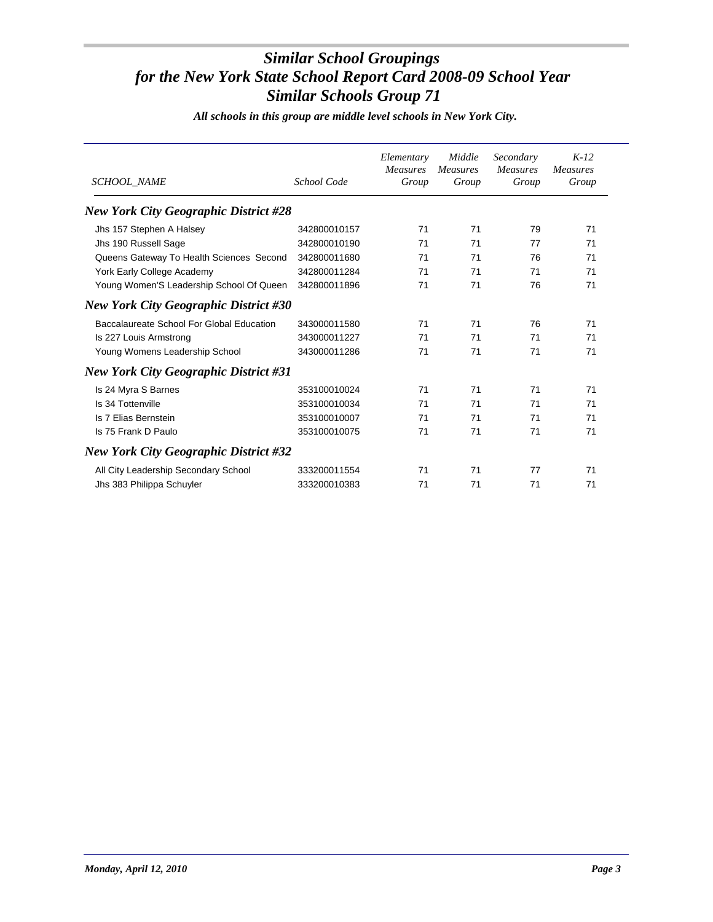| <b>SCHOOL NAME</b>                           | School Code  | Elementary<br><b>Measures</b><br>Group | Middle<br>Measures<br>Group | Secondary<br><b>Measures</b><br>Group | $K-12$<br><b>Measures</b><br>Group |
|----------------------------------------------|--------------|----------------------------------------|-----------------------------|---------------------------------------|------------------------------------|
| <b>New York City Geographic District #28</b> |              |                                        |                             |                                       |                                    |
| Jhs 157 Stephen A Halsey                     | 342800010157 | 71                                     | 71                          | 79                                    | 71                                 |
| Jhs 190 Russell Sage                         | 342800010190 | 71                                     | 71                          | 77                                    | 71                                 |
| Queens Gateway To Health Sciences Second     | 342800011680 | 71                                     | 71                          | 76                                    | 71                                 |
| York Early College Academy                   | 342800011284 | 71                                     | 71                          | 71                                    | 71                                 |
| Young Women'S Leadership School Of Queen     | 342800011896 | 71                                     | 71                          | 76                                    | 71                                 |
| <b>New York City Geographic District #30</b> |              |                                        |                             |                                       |                                    |
| Baccalaureate School For Global Education    | 343000011580 | 71                                     | 71                          | 76                                    | 71                                 |
| Is 227 Louis Armstrong                       | 343000011227 | 71                                     | 71                          | 71                                    | 71                                 |
| Young Womens Leadership School               | 343000011286 | 71                                     | 71                          | 71                                    | 71                                 |
| <b>New York City Geographic District #31</b> |              |                                        |                             |                                       |                                    |
| Is 24 Myra S Barnes                          | 353100010024 | 71                                     | 71                          | 71                                    | 71                                 |
| Is 34 Tottenville                            | 353100010034 | 71                                     | 71                          | 71                                    | 71                                 |
| Is 7 Elias Bernstein                         | 353100010007 | 71                                     | 71                          | 71                                    | 71                                 |
| Is 75 Frank D Paulo                          | 353100010075 | 71                                     | 71                          | 71                                    | 71                                 |
| <b>New York City Geographic District #32</b> |              |                                        |                             |                                       |                                    |
| All City Leadership Secondary School         | 333200011554 | 71                                     | 71                          | 77                                    | 71                                 |
| Jhs 383 Philippa Schuyler                    | 333200010383 | 71                                     | 71                          | 71                                    | 71                                 |
|                                              |              |                                        |                             |                                       |                                    |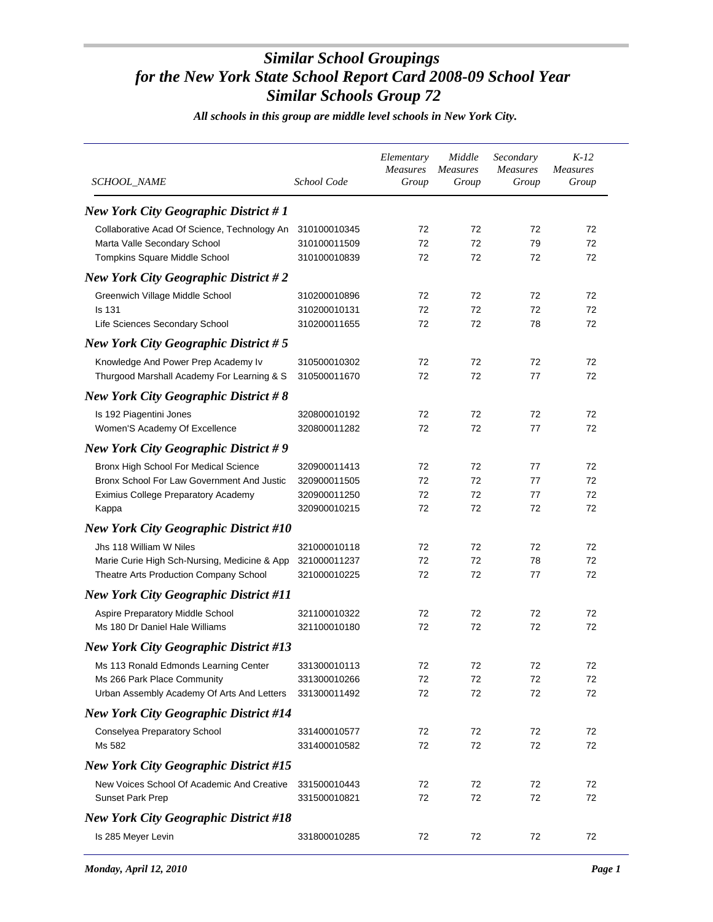| SCHOOL_NAME                                  | School Code  | Elementary<br><b>Measures</b><br>Group | Middle<br><b>Measures</b><br>Group | Secondary<br>Measures<br>Group | $K-12$<br><b>Measures</b><br>Group |
|----------------------------------------------|--------------|----------------------------------------|------------------------------------|--------------------------------|------------------------------------|
| <b>New York City Geographic District #1</b>  |              |                                        |                                    |                                |                                    |
| Collaborative Acad Of Science, Technology An | 310100010345 | 72                                     | 72                                 | 72                             | 72                                 |
| Marta Valle Secondary School                 | 310100011509 | 72                                     | 72                                 | 79                             | 72                                 |
| Tompkins Square Middle School                | 310100010839 | 72                                     | 72                                 | 72                             | 72                                 |
| <b>New York City Geographic District #2</b>  |              |                                        |                                    |                                |                                    |
| Greenwich Village Middle School              | 310200010896 | 72                                     | 72                                 | 72                             | 72                                 |
| <b>Is 131</b>                                | 310200010131 | 72                                     | 72                                 | 72                             | 72                                 |
| Life Sciences Secondary School               | 310200011655 | 72                                     | 72                                 | 78                             | 72                                 |
| New York City Geographic District $# 5$      |              |                                        |                                    |                                |                                    |
| Knowledge And Power Prep Academy Iv          | 310500010302 | 72                                     | 72                                 | 72                             | 72                                 |
| Thurgood Marshall Academy For Learning & S   | 310500011670 | 72                                     | 72                                 | 77                             | 72                                 |
| <b>New York City Geographic District #8</b>  |              |                                        |                                    |                                |                                    |
| Is 192 Piagentini Jones                      | 320800010192 | 72                                     | 72                                 | 72                             | 72                                 |
| Women'S Academy Of Excellence                | 320800011282 | 72                                     | 72                                 | 77                             | 72                                 |
| <b>New York City Geographic District #9</b>  |              |                                        |                                    |                                |                                    |
| Bronx High School For Medical Science        | 320900011413 | 72                                     | 72                                 | 77                             | 72                                 |
| Bronx School For Law Government And Justic   | 320900011505 | 72                                     | 72                                 | 77                             | 72                                 |
| Eximius College Preparatory Academy          | 320900011250 | 72                                     | 72                                 | 77                             | 72                                 |
| Kappa                                        | 320900010215 | 72                                     | 72                                 | 72                             | 72                                 |
| <b>New York City Geographic District #10</b> |              |                                        |                                    |                                |                                    |
| Jhs 118 William W Niles                      | 321000010118 | 72                                     | 72                                 | 72                             | 72                                 |
| Marie Curie High Sch-Nursing, Medicine & App | 321000011237 | 72                                     | 72                                 | 78                             | 72                                 |
| Theatre Arts Production Company School       | 321000010225 | 72                                     | 72                                 | 77                             | 72                                 |
| <b>New York City Geographic District #11</b> |              |                                        |                                    |                                |                                    |
| Aspire Preparatory Middle School             | 321100010322 | 72                                     | 72                                 | 72                             | 72                                 |
| Ms 180 Dr Daniel Hale Williams               | 321100010180 | 72                                     | 72                                 | 72                             | 72                                 |
| <b>New York City Geographic District #13</b> |              |                                        |                                    |                                |                                    |
| Ms 113 Ronald Edmonds Learning Center        | 331300010113 | 72                                     | 72                                 | 72                             | 72                                 |
| Ms 266 Park Place Community                  | 331300010266 | 72                                     | 72                                 | 72                             | 72                                 |
| Urban Assembly Academy Of Arts And Letters   | 331300011492 | 72                                     | 72                                 | 72                             | 72                                 |
| <b>New York City Geographic District #14</b> |              |                                        |                                    |                                |                                    |
| Conselyea Preparatory School                 | 331400010577 | 72                                     | 72                                 | 72                             | 72                                 |
| Ms 582                                       | 331400010582 | 72                                     | 72                                 | 72                             | 72                                 |
| <b>New York City Geographic District #15</b> |              |                                        |                                    |                                |                                    |
| New Voices School Of Academic And Creative   | 331500010443 | 72                                     | 72                                 | 72                             | 72                                 |
| <b>Sunset Park Prep</b>                      | 331500010821 | 72                                     | 72                                 | 72                             | 72                                 |
| <b>New York City Geographic District #18</b> |              |                                        |                                    |                                |                                    |
| Is 285 Meyer Levin                           | 331800010285 | 72                                     | 72                                 | 72                             | 72                                 |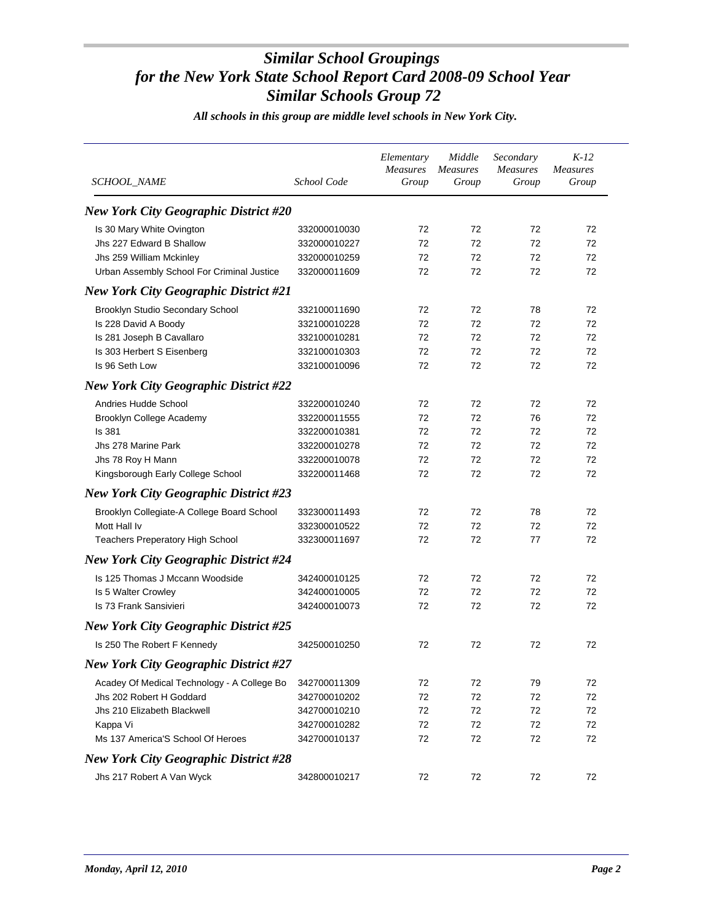| SCHOOL_NAME                                  | School Code  | Elementary<br>Measures<br>Group | Middle<br>Measures<br>Group | Secondary<br><b>Measures</b><br>Group | $K-12$<br><b>Measures</b><br>Group |
|----------------------------------------------|--------------|---------------------------------|-----------------------------|---------------------------------------|------------------------------------|
| <b>New York City Geographic District #20</b> |              |                                 |                             |                                       |                                    |
| Is 30 Mary White Ovington                    | 332000010030 | 72                              | 72                          | 72                                    | 72                                 |
| Jhs 227 Edward B Shallow                     | 332000010227 | 72                              | 72                          | 72                                    | 72                                 |
| Jhs 259 William Mckinley                     | 332000010259 | 72                              | 72                          | 72                                    | 72                                 |
| Urban Assembly School For Criminal Justice   | 332000011609 | 72                              | 72                          | 72                                    | 72                                 |
| <b>New York City Geographic District #21</b> |              |                                 |                             |                                       |                                    |
| Brooklyn Studio Secondary School             | 332100011690 | 72                              | 72                          | 78                                    | 72                                 |
| Is 228 David A Boody                         | 332100010228 | 72                              | 72                          | 72                                    | 72                                 |
| Is 281 Joseph B Cavallaro                    | 332100010281 | 72                              | 72                          | 72                                    | 72                                 |
| Is 303 Herbert S Eisenberg                   | 332100010303 | 72                              | 72                          | 72                                    | 72                                 |
| Is 96 Seth Low                               | 332100010096 | 72                              | 72                          | 72                                    | 72                                 |
| <b>New York City Geographic District #22</b> |              |                                 |                             |                                       |                                    |
| Andries Hudde School                         | 332200010240 | 72                              | 72                          | 72                                    | 72                                 |
| <b>Brooklyn College Academy</b>              | 332200011555 | 72                              | 72                          | 76                                    | 72                                 |
| <b>Is 381</b>                                | 332200010381 | 72                              | 72                          | 72                                    | 72                                 |
| Jhs 278 Marine Park                          | 332200010278 | 72                              | 72                          | 72                                    | 72                                 |
| Jhs 78 Roy H Mann                            | 332200010078 | 72                              | 72                          | 72                                    | 72                                 |
| Kingsborough Early College School            | 332200011468 | 72                              | 72                          | 72                                    | 72                                 |
| <b>New York City Geographic District #23</b> |              |                                 |                             |                                       |                                    |
| Brooklyn Collegiate-A College Board School   | 332300011493 | 72                              | 72                          | 78                                    | 72                                 |
| Mott Hall Iv                                 | 332300010522 | 72                              | 72                          | 72                                    | 72                                 |
| <b>Teachers Preperatory High School</b>      | 332300011697 | 72                              | 72                          | 77                                    | 72                                 |
| <b>New York City Geographic District #24</b> |              |                                 |                             |                                       |                                    |
|                                              |              |                                 |                             |                                       |                                    |
| Is 125 Thomas J Mccann Woodside              | 342400010125 | 72                              | 72                          | 72                                    | 72                                 |
| Is 5 Walter Crowley                          | 342400010005 | 72                              | 72<br>72                    | 72                                    | 72<br>72                           |
| Is 73 Frank Sansivieri                       | 342400010073 | 72                              |                             | 72                                    |                                    |
| <b>New York City Geographic District #25</b> |              |                                 |                             |                                       |                                    |
| Is 250 The Robert F Kennedy                  | 342500010250 | 72                              | 72                          | 72                                    | 72                                 |
| <b>New York City Geographic District #27</b> |              |                                 |                             |                                       |                                    |
| Acadey Of Medical Technology - A College Bo  | 342700011309 | 72                              | 72                          | 79                                    | 72                                 |
| Jhs 202 Robert H Goddard                     | 342700010202 | 72                              | 72                          | 72                                    | 72                                 |
| Jhs 210 Elizabeth Blackwell                  | 342700010210 | 72                              | 72                          | 72                                    | 72                                 |
| Kappa Vi                                     | 342700010282 | 72                              | 72                          | 72                                    | 72                                 |
| Ms 137 America'S School Of Heroes            | 342700010137 | 72                              | 72                          | 72                                    | 72                                 |
| <b>New York City Geographic District #28</b> |              |                                 |                             |                                       |                                    |
| Jhs 217 Robert A Van Wyck                    | 342800010217 | 72                              | 72                          | 72                                    | 72                                 |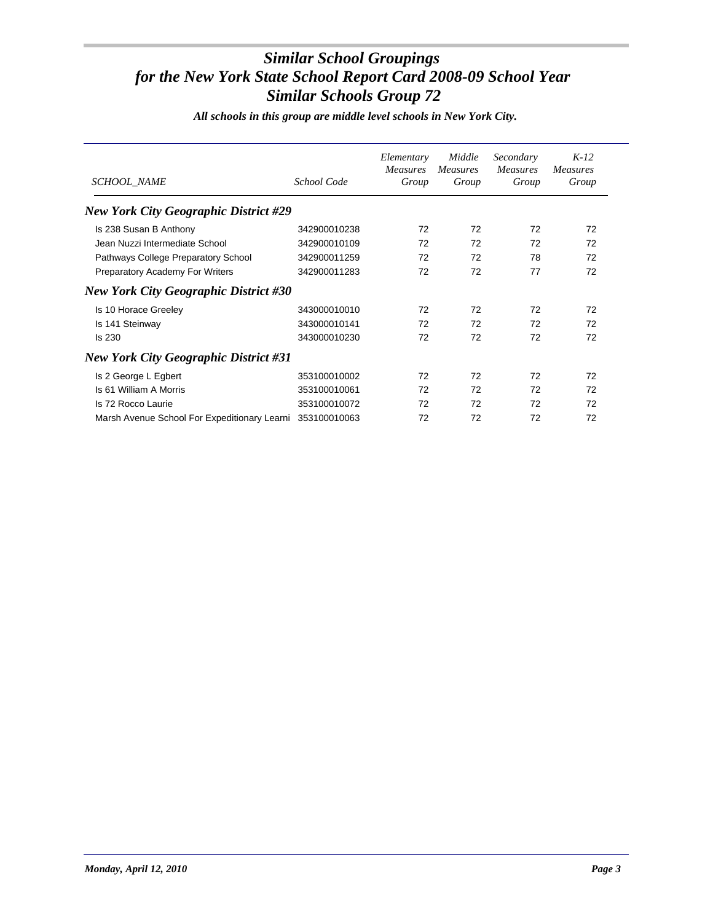| <b>SCHOOL_NAME</b>                                        | School Code  | Elementary<br><i>Measures</i><br>Group | Middle<br><i>Measures</i><br>Group | Secondary<br><b>Measures</b><br>Group | $K-12$<br><b>Measures</b><br>Group |
|-----------------------------------------------------------|--------------|----------------------------------------|------------------------------------|---------------------------------------|------------------------------------|
| <b>New York City Geographic District #29</b>              |              |                                        |                                    |                                       |                                    |
| Is 238 Susan B Anthony                                    | 342900010238 | 72                                     | 72                                 | 72                                    | 72                                 |
| Jean Nuzzi Intermediate School                            | 342900010109 | 72                                     | 72                                 | 72                                    | 72                                 |
| Pathways College Preparatory School                       | 342900011259 | 72                                     | 72                                 | 78                                    | 72                                 |
| Preparatory Academy For Writers                           | 342900011283 | 72                                     | 72                                 | 77                                    | 72                                 |
| <b>New York City Geographic District #30</b>              |              |                                        |                                    |                                       |                                    |
| Is 10 Horace Greeley                                      | 343000010010 | 72                                     | 72                                 | 72                                    | 72                                 |
| Is 141 Steinway                                           | 343000010141 | 72                                     | 72                                 | 72                                    | 72                                 |
| <b>Is 230</b>                                             | 343000010230 | 72                                     | 72                                 | 72                                    | 72                                 |
| <b>New York City Geographic District #31</b>              |              |                                        |                                    |                                       |                                    |
| Is 2 George L Egbert                                      | 353100010002 | 72                                     | 72                                 | 72                                    | 72                                 |
| Is 61 William A Morris                                    | 353100010061 | 72                                     | 72                                 | 72                                    | 72                                 |
| Is 72 Rocco Laurie                                        | 353100010072 | 72                                     | 72                                 | 72                                    | 72                                 |
| Marsh Avenue School For Expeditionary Learni 353100010063 |              | 72                                     | 72                                 | 72                                    | 72                                 |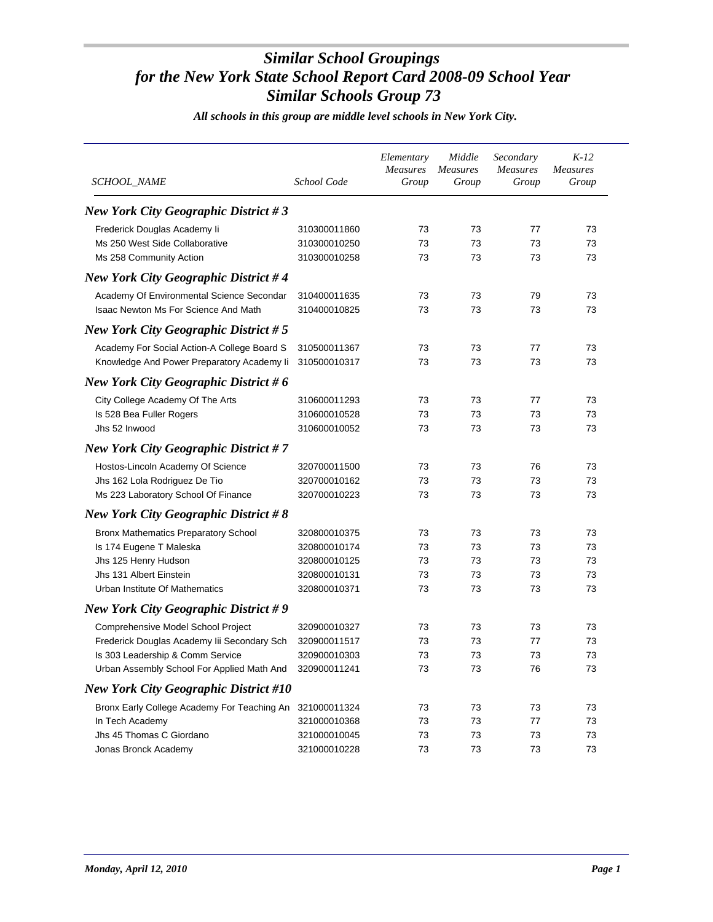| <i>SCHOOL_NAME</i>                                       | School Code  | Elementary<br><b>Measures</b><br>Group | Middle<br><b>Measures</b><br>Group | Secondary<br><b>Measures</b><br>Group | $K-12$<br><b>Measures</b><br>Group |
|----------------------------------------------------------|--------------|----------------------------------------|------------------------------------|---------------------------------------|------------------------------------|
| New York City Geographic District $#3$                   |              |                                        |                                    |                                       |                                    |
| Frederick Douglas Academy li                             | 310300011860 | 73                                     | 73                                 | 77                                    | 73                                 |
| Ms 250 West Side Collaborative                           | 310300010250 | 73                                     | 73                                 | 73                                    | 73                                 |
| Ms 258 Community Action                                  | 310300010258 | 73                                     | 73                                 | 73                                    | 73                                 |
| <b>New York City Geographic District #4</b>              |              |                                        |                                    |                                       |                                    |
| Academy Of Environmental Science Secondar                | 310400011635 | 73                                     | 73                                 | 79                                    | 73                                 |
| <b>Isaac Newton Ms For Science And Math</b>              | 310400010825 | 73                                     | 73                                 | 73                                    | 73                                 |
| <b>New York City Geographic District #5</b>              |              |                                        |                                    |                                       |                                    |
| Academy For Social Action-A College Board S              | 310500011367 | 73                                     | 73                                 | 77                                    | 73                                 |
| Knowledge And Power Preparatory Academy li               | 310500010317 | 73                                     | 73                                 | 73                                    | 73                                 |
| <b>New York City Geographic District #6</b>              |              |                                        |                                    |                                       |                                    |
| City College Academy Of The Arts                         | 310600011293 | 73                                     | 73                                 | 77                                    | 73                                 |
| Is 528 Bea Fuller Rogers                                 | 310600010528 | 73                                     | 73                                 | 73                                    | 73                                 |
| Jhs 52 Inwood                                            | 310600010052 | 73                                     | 73                                 | 73                                    | 73                                 |
| <b>New York City Geographic District #7</b>              |              |                                        |                                    |                                       |                                    |
| Hostos-Lincoln Academy Of Science                        | 320700011500 | 73                                     | 73                                 | 76                                    | 73                                 |
| Jhs 162 Lola Rodriguez De Tio                            | 320700010162 | 73                                     | 73                                 | 73                                    | 73                                 |
| Ms 223 Laboratory School Of Finance                      | 320700010223 | 73                                     | 73                                 | 73                                    | 73                                 |
| <b>New York City Geographic District #8</b>              |              |                                        |                                    |                                       |                                    |
| <b>Bronx Mathematics Preparatory School</b>              | 320800010375 | 73                                     | 73                                 | 73                                    | 73                                 |
| Is 174 Eugene T Maleska                                  | 320800010174 | 73                                     | 73                                 | 73                                    | 73                                 |
| Jhs 125 Henry Hudson                                     | 320800010125 | 73                                     | 73                                 | 73                                    | 73                                 |
| Jhs 131 Albert Einstein                                  | 320800010131 | 73                                     | 73                                 | 73                                    | 73                                 |
| Urban Institute Of Mathematics                           | 320800010371 | 73                                     | 73                                 | 73                                    | 73                                 |
| <b>New York City Geographic District #9</b>              |              |                                        |                                    |                                       |                                    |
| Comprehensive Model School Project                       | 320900010327 | 73                                     | 73                                 | 73                                    | 73                                 |
| Frederick Douglas Academy lii Secondary Sch              | 320900011517 | 73                                     | 73                                 | 77                                    | 73                                 |
| Is 303 Leadership & Comm Service                         | 320900010303 | 73                                     | 73                                 | 73                                    | 73                                 |
| Urban Assembly School For Applied Math And               | 320900011241 | 73                                     | 73                                 | 76                                    | 73                                 |
| <b>New York City Geographic District #10</b>             |              |                                        |                                    |                                       |                                    |
| Bronx Early College Academy For Teaching An 321000011324 |              | 73                                     | 73                                 | 73                                    | 73                                 |
| In Tech Academy                                          | 321000010368 | 73                                     | 73                                 | 77                                    | 73                                 |
| Jhs 45 Thomas C Giordano                                 | 321000010045 | 73                                     | 73                                 | 73                                    | 73                                 |
| Jonas Bronck Academy                                     | 321000010228 | 73                                     | 73                                 | 73                                    | 73                                 |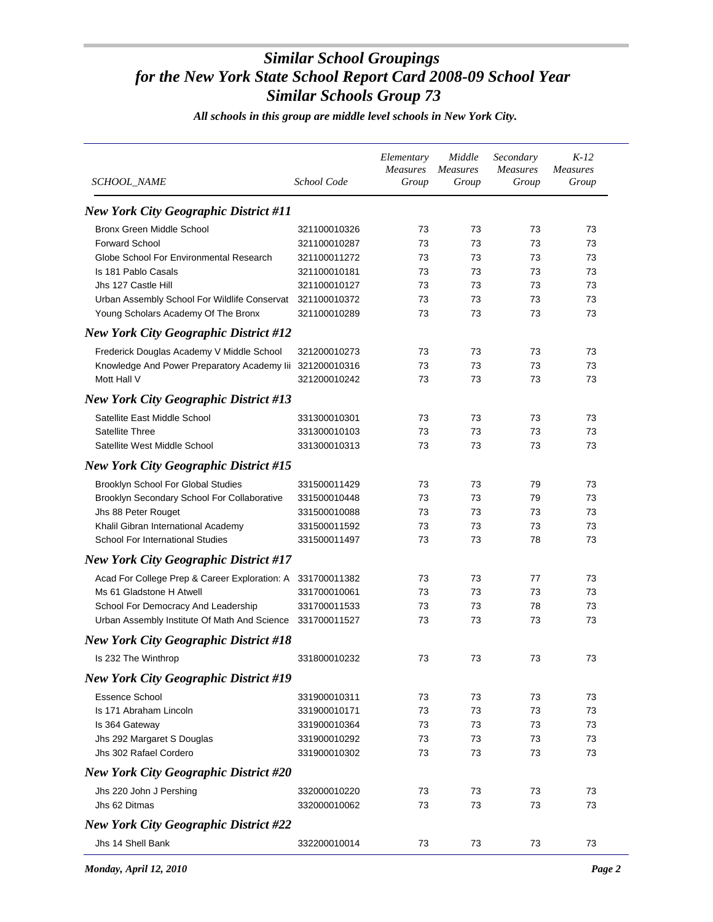| <i>SCHOOL_NAME</i>                                        | School Code  | Elementary<br>Measures<br>Group | Middle<br><b>Measures</b><br>Group | Secondary<br><b>Measures</b><br>Group | $K-12$<br><b>Measures</b><br>Group |
|-----------------------------------------------------------|--------------|---------------------------------|------------------------------------|---------------------------------------|------------------------------------|
| <b>New York City Geographic District #11</b>              |              |                                 |                                    |                                       |                                    |
| <b>Bronx Green Middle School</b>                          | 321100010326 | 73                              | 73                                 | 73                                    | 73                                 |
| <b>Forward School</b>                                     | 321100010287 | 73                              | 73                                 | 73                                    | 73                                 |
| Globe School For Environmental Research                   | 321100011272 | 73                              | 73                                 | 73                                    | 73                                 |
| Is 181 Pablo Casals                                       | 321100010181 | 73                              | 73                                 | 73                                    | 73                                 |
| Jhs 127 Castle Hill                                       | 321100010127 | 73                              | 73                                 | 73                                    | 73                                 |
| Urban Assembly School For Wildlife Conservat              | 321100010372 | 73                              | 73                                 | 73                                    | 73                                 |
| Young Scholars Academy Of The Bronx                       | 321100010289 | 73                              | 73                                 | 73                                    | 73                                 |
| <b>New York City Geographic District #12</b>              |              |                                 |                                    |                                       |                                    |
| Frederick Douglas Academy V Middle School                 | 321200010273 | 73                              | 73                                 | 73                                    | 73                                 |
| Knowledge And Power Preparatory Academy lii 321200010316  |              | 73                              | 73                                 | 73                                    | 73                                 |
| Mott Hall V                                               | 321200010242 | 73                              | 73                                 | 73                                    | 73                                 |
| <b>New York City Geographic District #13</b>              |              |                                 |                                    |                                       |                                    |
| Satellite East Middle School                              | 331300010301 | 73                              | 73                                 | 73                                    | 73                                 |
| Satellite Three                                           | 331300010103 | 73                              | 73                                 | 73                                    | 73                                 |
| Satellite West Middle School                              | 331300010313 | 73                              | 73                                 | 73                                    | 73                                 |
| <b>New York City Geographic District #15</b>              |              |                                 |                                    |                                       |                                    |
| <b>Brooklyn School For Global Studies</b>                 | 331500011429 | 73                              | 73                                 | 79                                    | 73                                 |
| Brooklyn Secondary School For Collaborative               | 331500010448 | 73                              | 73                                 | 79                                    | 73                                 |
| Jhs 88 Peter Rouget                                       | 331500010088 | 73                              | 73                                 | 73                                    | 73                                 |
| Khalil Gibran International Academy                       | 331500011592 | 73                              | 73                                 | 73                                    | 73                                 |
| <b>School For International Studies</b>                   | 331500011497 | 73                              | 73                                 | 78                                    | 73                                 |
| <b>New York City Geographic District #17</b>              |              |                                 |                                    |                                       |                                    |
| Acad For College Prep & Career Exploration: A             | 331700011382 | 73                              | 73                                 | 77                                    | 73                                 |
| Ms 61 Gladstone H Atwell                                  | 331700010061 | 73                              | 73                                 | 73                                    | 73                                 |
| School For Democracy And Leadership                       | 331700011533 | 73                              | 73                                 | 78                                    | 73                                 |
| Urban Assembly Institute Of Math And Science 331700011527 |              | 73                              | 73                                 | 73                                    | 73                                 |
| <b>New York City Geographic District #18</b>              |              |                                 |                                    |                                       |                                    |
| Is 232 The Winthrop                                       | 331800010232 | 73                              | 73                                 | 73                                    | 73                                 |
| <b>New York City Geographic District #19</b>              |              |                                 |                                    |                                       |                                    |
| Essence School                                            | 331900010311 | 73                              | 73                                 | 73                                    | 73                                 |
| Is 171 Abraham Lincoln                                    | 331900010171 | 73                              | 73                                 | 73                                    | 73                                 |
| Is 364 Gateway                                            | 331900010364 | 73                              | 73                                 | 73                                    | 73                                 |
| Jhs 292 Margaret S Douglas                                | 331900010292 | 73                              | 73                                 | 73                                    | 73                                 |
| Jhs 302 Rafael Cordero                                    | 331900010302 | 73                              | 73                                 | 73                                    | 73                                 |
| <b>New York City Geographic District #20</b>              |              |                                 |                                    |                                       |                                    |
| Jhs 220 John J Pershing                                   | 332000010220 | 73                              | 73                                 | 73                                    | 73                                 |
| Jhs 62 Ditmas                                             | 332000010062 | 73                              | 73                                 | 73                                    | 73                                 |
| <b>New York City Geographic District #22</b>              |              |                                 |                                    |                                       |                                    |
| Jhs 14 Shell Bank                                         | 332200010014 | 73                              | 73                                 | 73                                    | 73                                 |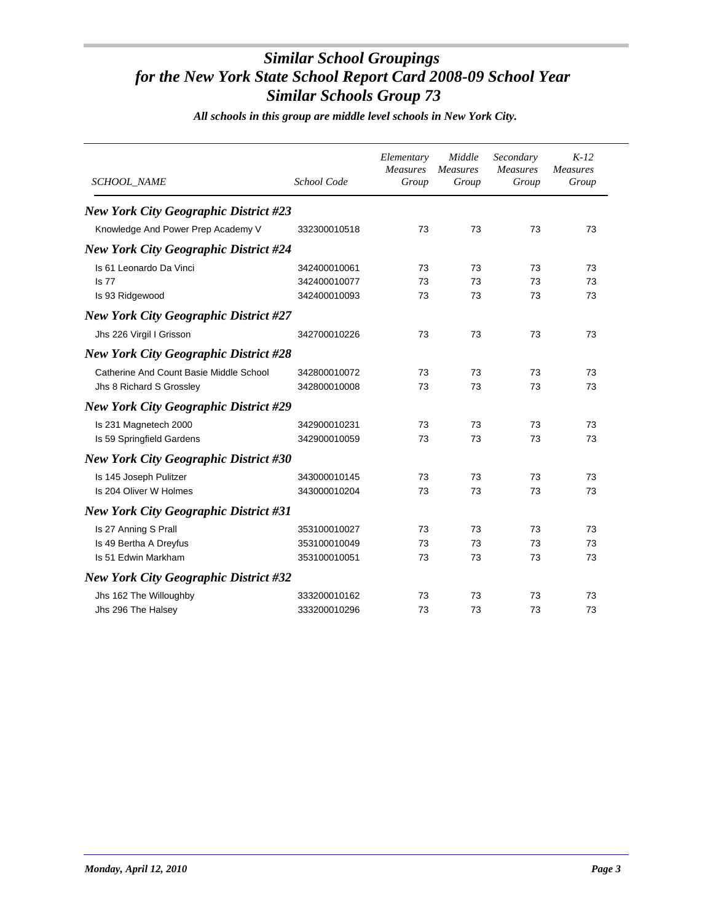| <i>SCHOOL_NAME</i>                           | School Code  | Elementary<br><b>Measures</b><br>Group | Middle<br><b>Measures</b><br>Group | Secondary<br><b>Measures</b><br>Group | $K-12$<br><b>Measures</b><br>Group |
|----------------------------------------------|--------------|----------------------------------------|------------------------------------|---------------------------------------|------------------------------------|
| <b>New York City Geographic District #23</b> |              |                                        |                                    |                                       |                                    |
| Knowledge And Power Prep Academy V           | 332300010518 | 73                                     | 73                                 | 73                                    | 73                                 |
| <b>New York City Geographic District #24</b> |              |                                        |                                    |                                       |                                    |
| Is 61 Leonardo Da Vinci                      | 342400010061 | 73                                     | 73                                 | 73                                    | 73                                 |
| <b>Is 77</b>                                 | 342400010077 | 73                                     | 73                                 | 73                                    | 73                                 |
| Is 93 Ridgewood                              | 342400010093 | 73                                     | 73                                 | 73                                    | 73                                 |
| <b>New York City Geographic District #27</b> |              |                                        |                                    |                                       |                                    |
| Jhs 226 Virgil I Grisson                     | 342700010226 | 73                                     | 73                                 | 73                                    | 73                                 |
| <b>New York City Geographic District #28</b> |              |                                        |                                    |                                       |                                    |
| Catherine And Count Basie Middle School      | 342800010072 | 73                                     | 73                                 | 73                                    | 73                                 |
| Jhs 8 Richard S Grossley                     | 342800010008 | 73                                     | 73                                 | 73                                    | 73                                 |
| <b>New York City Geographic District #29</b> |              |                                        |                                    |                                       |                                    |
| Is 231 Magnetech 2000                        | 342900010231 | 73                                     | 73                                 | 73                                    | 73                                 |
| Is 59 Springfield Gardens                    | 342900010059 | 73                                     | 73                                 | 73                                    | 73                                 |
| <b>New York City Geographic District #30</b> |              |                                        |                                    |                                       |                                    |
| Is 145 Joseph Pulitzer                       | 343000010145 | 73                                     | 73                                 | 73                                    | 73                                 |
| Is 204 Oliver W Holmes                       | 343000010204 | 73                                     | 73                                 | 73                                    | 73                                 |
| <b>New York City Geographic District #31</b> |              |                                        |                                    |                                       |                                    |
| Is 27 Anning S Prall                         | 353100010027 | 73                                     | 73                                 | 73                                    | 73                                 |
| Is 49 Bertha A Dreyfus                       | 353100010049 | 73                                     | 73                                 | 73                                    | 73                                 |
| Is 51 Edwin Markham                          | 353100010051 | 73                                     | 73                                 | 73                                    | 73                                 |
| <b>New York City Geographic District #32</b> |              |                                        |                                    |                                       |                                    |
| Jhs 162 The Willoughby                       | 333200010162 | 73                                     | 73                                 | 73                                    | 73                                 |
| Jhs 296 The Halsey                           | 333200010296 | 73                                     | 73                                 | 73                                    | 73                                 |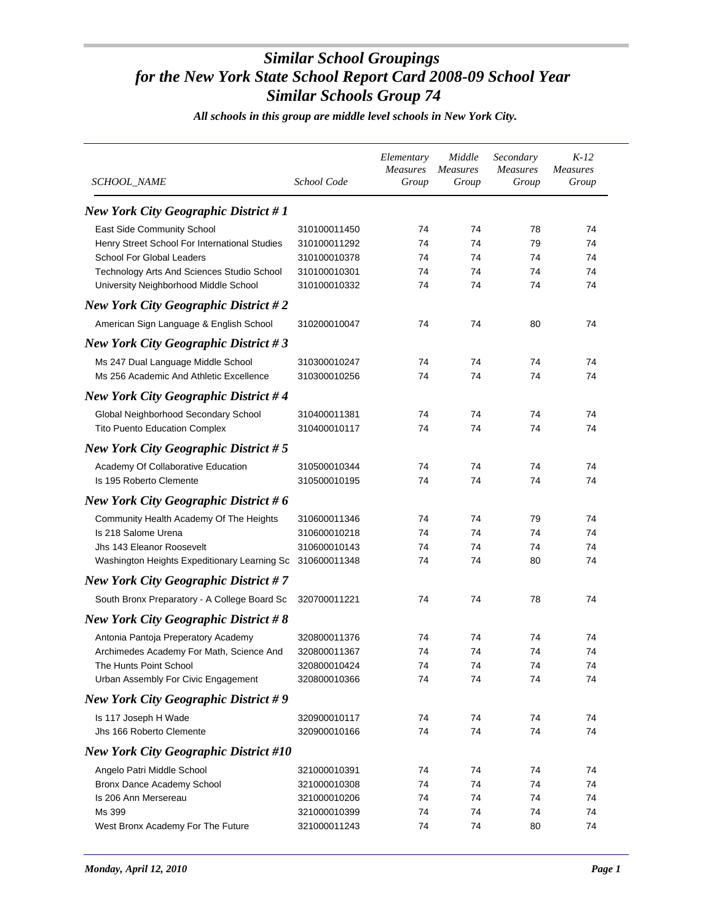| <i>SCHOOL_NAME</i>                            | School Code  | Elementary<br><b>Measures</b><br>Group | Middle<br><b>Measures</b><br>Group | Secondary<br><b>Measures</b><br>Group | $K-12$<br><b>Measures</b><br>Group |
|-----------------------------------------------|--------------|----------------------------------------|------------------------------------|---------------------------------------|------------------------------------|
| <b>New York City Geographic District #1</b>   |              |                                        |                                    |                                       |                                    |
| East Side Community School                    | 310100011450 | 74                                     | 74                                 | 78                                    | 74                                 |
| Henry Street School For International Studies | 310100011292 | 74                                     | 74                                 | 79                                    | 74                                 |
| <b>School For Global Leaders</b>              | 310100010378 | 74                                     | 74                                 | 74                                    | 74                                 |
| Technology Arts And Sciences Studio School    | 310100010301 | 74                                     | 74                                 | 74                                    | 74                                 |
| University Neighborhood Middle School         | 310100010332 | 74                                     | 74                                 | 74                                    | 74                                 |
| <b>New York City Geographic District #2</b>   |              |                                        |                                    |                                       |                                    |
| American Sign Language & English School       | 310200010047 | 74                                     | 74                                 | 80                                    | 74                                 |
| <b>New York City Geographic District #3</b>   |              |                                        |                                    |                                       |                                    |
| Ms 247 Dual Language Middle School            | 310300010247 | 74                                     | 74                                 | 74                                    | 74                                 |
| Ms 256 Academic And Athletic Excellence       | 310300010256 | 74                                     | 74                                 | 74                                    | 74                                 |
| <b>New York City Geographic District #4</b>   |              |                                        |                                    |                                       |                                    |
| Global Neighborhood Secondary School          | 310400011381 | 74                                     | 74                                 | 74                                    | 74                                 |
| <b>Tito Puento Education Complex</b>          | 310400010117 | 74                                     | 74                                 | 74                                    | 74                                 |
| <b>New York City Geographic District #5</b>   |              |                                        |                                    |                                       |                                    |
| Academy Of Collaborative Education            | 310500010344 | 74                                     | 74                                 | 74                                    | 74                                 |
| Is 195 Roberto Clemente                       | 310500010195 | 74                                     | 74                                 | 74                                    | 74                                 |
| <b>New York City Geographic District #6</b>   |              |                                        |                                    |                                       |                                    |
| Community Health Academy Of The Heights       | 310600011346 | 74                                     | 74                                 | 79                                    | 74                                 |
| Is 218 Salome Urena                           | 310600010218 | 74                                     | 74                                 | 74                                    | 74                                 |
| Jhs 143 Eleanor Roosevelt                     | 310600010143 | 74                                     | 74                                 | 74                                    | 74                                 |
| Washington Heights Expeditionary Learning Sc  | 310600011348 | 74                                     | 74                                 | 80                                    | 74                                 |
| <b>New York City Geographic District #7</b>   |              |                                        |                                    |                                       |                                    |
| South Bronx Preparatory - A College Board Sc  | 320700011221 | 74                                     | 74                                 | 78                                    | 74                                 |
| <b>New York City Geographic District #8</b>   |              |                                        |                                    |                                       |                                    |
| Antonia Pantoja Preperatory Academy           | 320800011376 | 74                                     | 74                                 | 74                                    | 74                                 |
| Archimedes Academy For Math, Science And      | 320800011367 | 74                                     | 74                                 | 74                                    | 74                                 |
| The Hunts Point School                        | 320800010424 | 74                                     | 74                                 | 74                                    | 74                                 |
| Urban Assembly For Civic Engagement           | 320800010366 | 74                                     | 74                                 | 74                                    | 74                                 |
| <b>New York City Geographic District #9</b>   |              |                                        |                                    |                                       |                                    |
| Is 117 Joseph H Wade                          | 320900010117 | 74                                     | 74                                 | 74                                    | 74                                 |
| Jhs 166 Roberto Clemente                      | 320900010166 | 74                                     | 74                                 | 74                                    | 74                                 |
| <b>New York City Geographic District #10</b>  |              |                                        |                                    |                                       |                                    |
| Angelo Patri Middle School                    | 321000010391 | 74                                     | 74                                 | 74                                    | 74                                 |
| Bronx Dance Academy School                    | 321000010308 | 74                                     | 74                                 | 74                                    | 74                                 |
| Is 206 Ann Mersereau                          | 321000010206 | 74                                     | 74                                 | 74                                    | 74                                 |
| Ms 399                                        | 321000010399 | 74                                     | 74                                 | 74                                    | 74                                 |
| West Bronx Academy For The Future             | 321000011243 | 74                                     | 74                                 | 80                                    | 74                                 |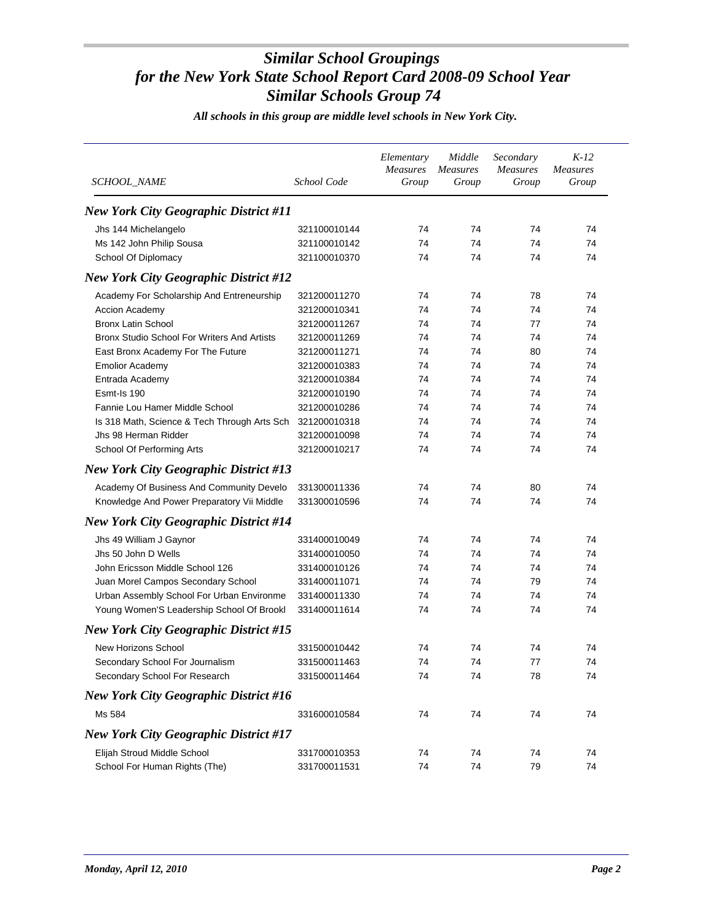| SCHOOL_NAME                                  | School Code  | Elementary<br><b>Measures</b><br>Group | Middle<br><b>Measures</b><br>Group | Secondary<br>Measures<br>Group | $K-12$<br><b>Measures</b><br>Group |
|----------------------------------------------|--------------|----------------------------------------|------------------------------------|--------------------------------|------------------------------------|
| <b>New York City Geographic District #11</b> |              |                                        |                                    |                                |                                    |
| Jhs 144 Michelangelo                         | 321100010144 | 74                                     | 74                                 | 74                             | 74                                 |
| Ms 142 John Philip Sousa                     | 321100010142 | 74                                     | 74                                 | 74                             | 74                                 |
| School Of Diplomacy                          | 321100010370 | 74                                     | 74                                 | 74                             | 74                                 |
| <b>New York City Geographic District #12</b> |              |                                        |                                    |                                |                                    |
| Academy For Scholarship And Entreneurship    | 321200011270 | 74                                     | 74                                 | 78                             | 74                                 |
| Accion Academy                               | 321200010341 | 74                                     | 74                                 | 74                             | 74                                 |
| <b>Bronx Latin School</b>                    | 321200011267 | 74                                     | 74                                 | 77                             | 74                                 |
| Bronx Studio School For Writers And Artists  | 321200011269 | 74                                     | 74                                 | 74                             | 74                                 |
| East Bronx Academy For The Future            | 321200011271 | 74                                     | 74                                 | 80                             | 74                                 |
| <b>Emolior Academy</b>                       | 321200010383 | 74                                     | 74                                 | 74                             | 74                                 |
| Entrada Academy                              | 321200010384 | 74                                     | 74                                 | 74                             | 74                                 |
| Esmt-Is 190                                  | 321200010190 | 74                                     | 74                                 | 74                             | 74                                 |
| Fannie Lou Hamer Middle School               | 321200010286 | 74                                     | 74                                 | 74                             | 74                                 |
| Is 318 Math, Science & Tech Through Arts Sch | 321200010318 | 74                                     | 74                                 | 74                             | 74                                 |
| Jhs 98 Herman Ridder                         | 321200010098 | 74                                     | 74                                 | 74                             | 74                                 |
| School Of Performing Arts                    | 321200010217 | 74                                     | 74                                 | 74                             | 74                                 |
| <b>New York City Geographic District #13</b> |              |                                        |                                    |                                |                                    |
| Academy Of Business And Community Develo     | 331300011336 | 74                                     | 74                                 | 80                             | 74                                 |
| Knowledge And Power Preparatory Vii Middle   | 331300010596 | 74                                     | 74                                 | 74                             | 74                                 |
| <b>New York City Geographic District #14</b> |              |                                        |                                    |                                |                                    |
| Jhs 49 William J Gaynor                      | 331400010049 | 74                                     | 74                                 | 74                             | 74                                 |
| Jhs 50 John D Wells                          | 331400010050 | 74                                     | 74                                 | 74                             | 74                                 |
| John Ericsson Middle School 126              | 331400010126 | 74                                     | 74                                 | 74                             | 74                                 |
| Juan Morel Campos Secondary School           | 331400011071 | 74                                     | 74                                 | 79                             | 74                                 |
| Urban Assembly School For Urban Environme    | 331400011330 | 74                                     | 74                                 | 74                             | 74                                 |
| Young Women'S Leadership School Of Brookl    | 331400011614 | 74                                     | 74                                 | 74                             | 74                                 |
| <b>New York City Geographic District #15</b> |              |                                        |                                    |                                |                                    |
| <b>New Horizons School</b>                   | 331500010442 | 74                                     | 74                                 | 74                             | 74                                 |
| Secondary School For Journalism              | 331500011463 | 74                                     | 74                                 | 77                             | 74                                 |
| Secondary School For Research                | 331500011464 | 74                                     | 74                                 | 78                             | 74                                 |
| <b>New York City Geographic District #16</b> |              |                                        |                                    |                                |                                    |
| Ms 584                                       | 331600010584 | 74                                     | 74                                 | 74                             | 74                                 |
| <b>New York City Geographic District #17</b> |              |                                        |                                    |                                |                                    |
|                                              |              |                                        |                                    |                                |                                    |
| Elijah Stroud Middle School                  | 331700010353 | 74                                     | 74                                 | 74                             | 74                                 |
| School For Human Rights (The)                | 331700011531 | 74                                     | 74                                 | 79                             | 74                                 |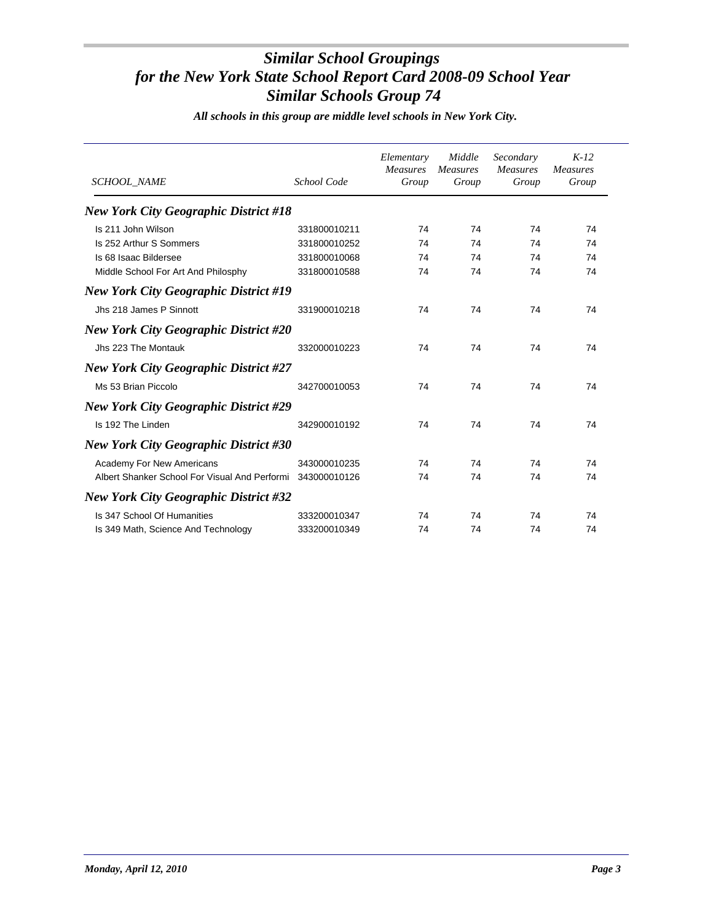| <b>SCHOOL NAME</b>                            | School Code  | Elementary<br><b>Measures</b><br>Group | Middle<br>Measures<br>Group | Secondary<br><b>Measures</b><br>Group | $K-12$<br><b>Measures</b><br>Group |
|-----------------------------------------------|--------------|----------------------------------------|-----------------------------|---------------------------------------|------------------------------------|
| <b>New York City Geographic District #18</b>  |              |                                        |                             |                                       |                                    |
| Is 211 John Wilson                            | 331800010211 | 74                                     | 74                          | 74                                    | 74                                 |
| Is 252 Arthur S Sommers                       | 331800010252 | 74                                     | 74                          | 74                                    | 74                                 |
| Is 68 Isaac Bildersee                         | 331800010068 | 74                                     | 74                          | 74                                    | 74                                 |
| Middle School For Art And Philosphy           | 331800010588 | 74                                     | 74                          | 74                                    | 74                                 |
| <b>New York City Geographic District #19</b>  |              |                                        |                             |                                       |                                    |
| Jhs 218 James P Sinnott                       | 331900010218 | 74                                     | 74                          | 74                                    | 74                                 |
| <b>New York City Geographic District #20</b>  |              |                                        |                             |                                       |                                    |
| Jhs 223 The Montauk                           | 332000010223 | 74                                     | 74                          | 74                                    | 74                                 |
| <b>New York City Geographic District #27</b>  |              |                                        |                             |                                       |                                    |
| Ms 53 Brian Piccolo                           | 342700010053 | 74                                     | 74                          | 74                                    | 74                                 |
| <b>New York City Geographic District #29</b>  |              |                                        |                             |                                       |                                    |
| Is 192 The Linden                             | 342900010192 | 74                                     | 74                          | 74                                    | 74                                 |
| <b>New York City Geographic District #30</b>  |              |                                        |                             |                                       |                                    |
| <b>Academy For New Americans</b>              | 343000010235 | 74                                     | 74                          | 74                                    | 74                                 |
| Albert Shanker School For Visual And Performi | 343000010126 | 74                                     | 74                          | 74                                    | 74                                 |
| <b>New York City Geographic District #32</b>  |              |                                        |                             |                                       |                                    |
| Is 347 School Of Humanities                   | 333200010347 | 74                                     | 74                          | 74                                    | 74                                 |
| Is 349 Math, Science And Technology           | 333200010349 | 74                                     | 74                          | 74                                    | 74                                 |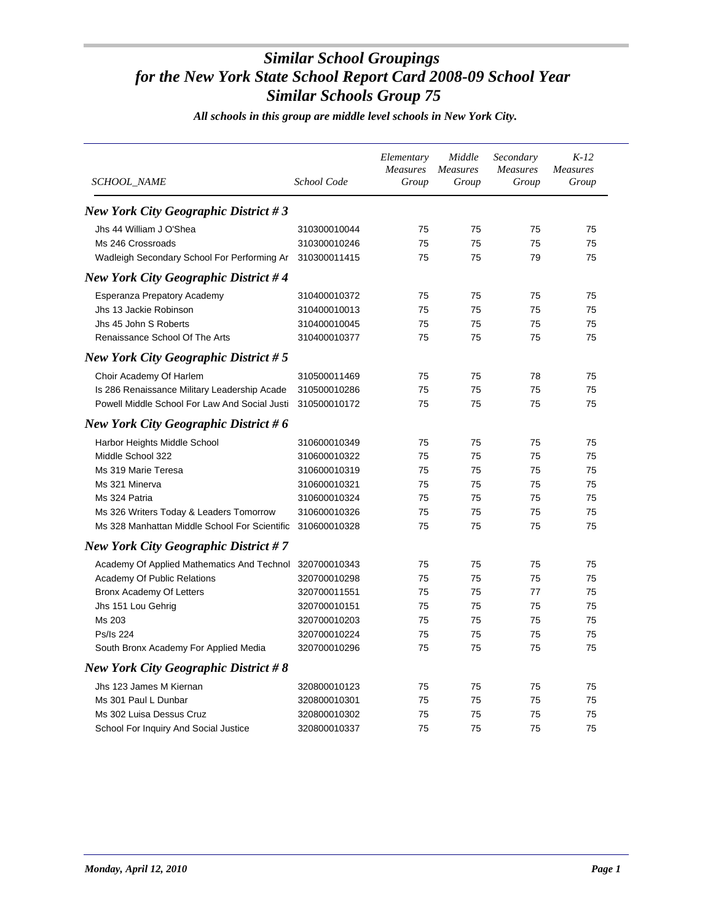| <i>SCHOOL_NAME</i>                                      | School Code  | Elementary<br>Measures<br>Group | Middle<br><b>Measures</b><br>Group | Secondary<br>Measures<br>Group | $K-12$<br><b>Measures</b><br>Group |
|---------------------------------------------------------|--------------|---------------------------------|------------------------------------|--------------------------------|------------------------------------|
| <b>New York City Geographic District #3</b>             |              |                                 |                                    |                                |                                    |
| Jhs 44 William J O'Shea                                 | 310300010044 | 75                              | 75                                 | 75                             | 75                                 |
| Ms 246 Crossroads                                       | 310300010246 | 75                              | 75                                 | 75                             | 75                                 |
| Wadleigh Secondary School For Performing Ar             | 310300011415 | 75                              | 75                                 | 79                             | 75                                 |
| <b>New York City Geographic District #4</b>             |              |                                 |                                    |                                |                                    |
| Esperanza Prepatory Academy                             | 310400010372 | 75                              | 75                                 | 75                             | 75                                 |
| Jhs 13 Jackie Robinson                                  | 310400010013 | 75                              | 75                                 | 75                             | 75                                 |
| Jhs 45 John S Roberts                                   | 310400010045 | 75                              | 75                                 | 75                             | 75                                 |
| Renaissance School Of The Arts                          | 310400010377 | 75                              | 75                                 | 75                             | 75                                 |
| <b>New York City Geographic District #5</b>             |              |                                 |                                    |                                |                                    |
| Choir Academy Of Harlem                                 | 310500011469 | 75                              | 75                                 | 78                             | 75                                 |
| Is 286 Renaissance Military Leadership Acade            | 310500010286 | 75                              | 75                                 | 75                             | 75                                 |
| Powell Middle School For Law And Social Justi           | 310500010172 | 75                              | 75                                 | 75                             | 75                                 |
| New York City Geographic District #6                    |              |                                 |                                    |                                |                                    |
| Harbor Heights Middle School                            | 310600010349 | 75                              | 75                                 | 75                             | 75                                 |
| Middle School 322                                       | 310600010322 | 75                              | 75                                 | 75                             | 75                                 |
| Ms 319 Marie Teresa                                     | 310600010319 | 75                              | 75                                 | 75                             | 75                                 |
| Ms 321 Minerva                                          | 310600010321 | 75                              | 75                                 | 75                             | 75                                 |
| Ms 324 Patria                                           | 310600010324 | 75                              | 75                                 | 75                             | 75                                 |
| Ms 326 Writers Today & Leaders Tomorrow                 | 310600010326 | 75                              | 75                                 | 75                             | 75                                 |
| Ms 328 Manhattan Middle School For Scientific           | 310600010328 | 75                              | 75                                 | 75                             | 75                                 |
| <b>New York City Geographic District #7</b>             |              |                                 |                                    |                                |                                    |
| Academy Of Applied Mathematics And Technol 320700010343 |              | 75                              | 75                                 | 75                             | 75                                 |
| Academy Of Public Relations                             | 320700010298 | 75                              | 75                                 | 75                             | 75                                 |
| Bronx Academy Of Letters                                | 320700011551 | 75                              | 75                                 | 77                             | 75                                 |
| Jhs 151 Lou Gehrig                                      | 320700010151 | 75                              | 75                                 | 75                             | 75                                 |
| Ms 203                                                  | 320700010203 | 75                              | 75                                 | 75                             | 75                                 |
| Ps/Is 224                                               | 320700010224 | 75                              | 75                                 | 75                             | 75                                 |
| South Bronx Academy For Applied Media                   | 320700010296 | 75                              | 75                                 | 75                             | 75                                 |
| New York City Geographic District $#8$                  |              |                                 |                                    |                                |                                    |
| Jhs 123 James M Kiernan                                 | 320800010123 | 75                              | 75                                 | 75                             | 75                                 |
| Ms 301 Paul L Dunbar                                    | 320800010301 | 75                              | 75                                 | 75                             | 75                                 |
| Ms 302 Luisa Dessus Cruz                                | 320800010302 | 75                              | 75                                 | 75                             | 75                                 |
| School For Inquiry And Social Justice                   | 320800010337 | 75                              | 75                                 | 75                             | 75                                 |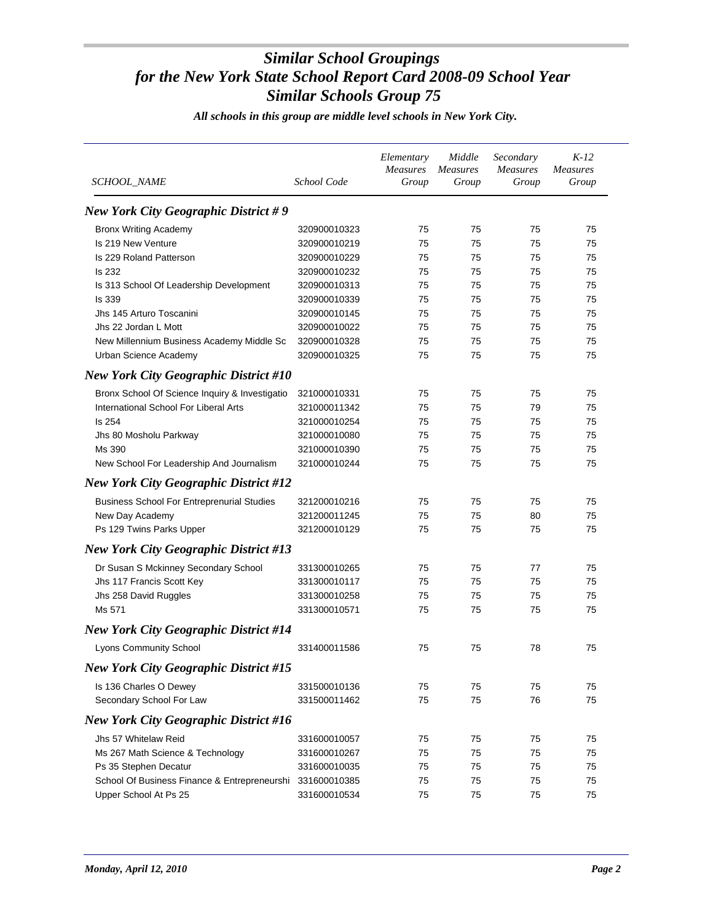| <b>New York City Geographic District #9</b><br><b>Bronx Writing Academy</b><br>75<br>75<br>75<br>75<br>320900010323<br>Is 219 New Venture<br>320900010219<br>75<br>75<br>75<br>75<br>Is 229 Roland Patterson<br>320900010229<br>75<br>75<br>75<br>75<br><b>Is 232</b><br>320900010232<br>75<br>75<br>75<br>75<br>Is 313 School Of Leadership Development<br>320900010313<br>75<br>75<br>75<br>75<br><b>Is 339</b><br>320900010339<br>75<br>75<br>75<br>75<br>Jhs 145 Arturo Toscanini<br>320900010145<br>75<br>75<br>75<br>75<br>Jhs 22 Jordan L Mott<br>320900010022<br>75<br>75<br>75<br>75<br>New Millennium Business Academy Middle Sc<br>320900010328<br>75<br>75<br>75<br>75<br>Urban Science Academy<br>320900010325<br>75<br>75<br>75<br>75<br><b>New York City Geographic District #10</b><br>Bronx School Of Science Inquiry & Investigatio<br>75<br>75<br>321000010331<br>75<br>75<br>International School For Liberal Arts<br>75<br>75<br>79<br>75<br>321000011342<br>Is 254<br>75<br>75<br>75<br>75<br>321000010254<br>321000010080<br>75<br>75<br>75<br>75<br>Jhs 80 Mosholu Parkway<br>Ms 390<br>321000010390<br>75<br>75<br>75<br>75<br>New School For Leadership And Journalism<br>321000010244<br>75<br>75<br>75<br>75<br><b>New York City Geographic District #12</b><br><b>Business School For Entreprenurial Studies</b><br>321200010216<br>75<br>75<br>75<br>75<br>321200011245<br>75<br>75<br>80<br>75<br>New Day Academy<br>Ps 129 Twins Parks Upper<br>321200010129<br>75<br>75<br>75<br>75<br><b>New York City Geographic District #13</b><br>Dr Susan S Mckinney Secondary School<br>75<br>75<br>77<br>75<br>331300010265<br>Jhs 117 Francis Scott Key<br>331300010117<br>75<br>75<br>75<br>75<br>331300010258<br>75<br>75<br>75<br>75<br>Jhs 258 David Ruggles<br>Ms 571<br>331300010571<br>75<br>75<br>75<br>75<br><b>New York City Geographic District #14</b><br>Lyons Community School<br>331400011586<br>75<br>75<br>78<br>75<br><b>New York City Geographic District #15</b><br>Is 136 Charles O Dewey<br>75<br>75<br>75<br>75<br>331500010136<br>Secondary School For Law<br>75<br>75<br>76<br>75<br>331500011462<br><b>New York City Geographic District #16</b><br>Jhs 57 Whitelaw Reid<br>75<br>75<br>331600010057<br>75<br>75<br>Ms 267 Math Science & Technology<br>75<br>75<br>75<br>75<br>331600010267<br>75<br>75<br>Ps 35 Stephen Decatur<br>331600010035<br>75<br>75<br>School Of Business Finance & Entrepreneurshi<br>331600010385<br>75<br>75<br>75<br>75<br>Upper School At Ps 25<br>331600010534<br>75<br>75<br>75<br>75 | SCHOOL_NAME | School Code | Elementary<br><b>Measures</b><br>Group | Middle<br><b>Measures</b><br>Group | Secondary<br><b>Measures</b><br>Group | $K-12$<br><b>Measures</b><br>Group |
|----------------------------------------------------------------------------------------------------------------------------------------------------------------------------------------------------------------------------------------------------------------------------------------------------------------------------------------------------------------------------------------------------------------------------------------------------------------------------------------------------------------------------------------------------------------------------------------------------------------------------------------------------------------------------------------------------------------------------------------------------------------------------------------------------------------------------------------------------------------------------------------------------------------------------------------------------------------------------------------------------------------------------------------------------------------------------------------------------------------------------------------------------------------------------------------------------------------------------------------------------------------------------------------------------------------------------------------------------------------------------------------------------------------------------------------------------------------------------------------------------------------------------------------------------------------------------------------------------------------------------------------------------------------------------------------------------------------------------------------------------------------------------------------------------------------------------------------------------------------------------------------------------------------------------------------------------------------------------------------------------------------------------------------------------------------------------------------------------------------------------------------------------------------------------------------------------------------------------------------------------------------------------------------------------------------------------------------------------------------------------------------------------------------------------------------------------------------------------------------------------------------------------------------------------------------------------|-------------|-------------|----------------------------------------|------------------------------------|---------------------------------------|------------------------------------|
|                                                                                                                                                                                                                                                                                                                                                                                                                                                                                                                                                                                                                                                                                                                                                                                                                                                                                                                                                                                                                                                                                                                                                                                                                                                                                                                                                                                                                                                                                                                                                                                                                                                                                                                                                                                                                                                                                                                                                                                                                                                                                                                                                                                                                                                                                                                                                                                                                                                                                                                                                                            |             |             |                                        |                                    |                                       |                                    |
|                                                                                                                                                                                                                                                                                                                                                                                                                                                                                                                                                                                                                                                                                                                                                                                                                                                                                                                                                                                                                                                                                                                                                                                                                                                                                                                                                                                                                                                                                                                                                                                                                                                                                                                                                                                                                                                                                                                                                                                                                                                                                                                                                                                                                                                                                                                                                                                                                                                                                                                                                                            |             |             |                                        |                                    |                                       |                                    |
|                                                                                                                                                                                                                                                                                                                                                                                                                                                                                                                                                                                                                                                                                                                                                                                                                                                                                                                                                                                                                                                                                                                                                                                                                                                                                                                                                                                                                                                                                                                                                                                                                                                                                                                                                                                                                                                                                                                                                                                                                                                                                                                                                                                                                                                                                                                                                                                                                                                                                                                                                                            |             |             |                                        |                                    |                                       |                                    |
|                                                                                                                                                                                                                                                                                                                                                                                                                                                                                                                                                                                                                                                                                                                                                                                                                                                                                                                                                                                                                                                                                                                                                                                                                                                                                                                                                                                                                                                                                                                                                                                                                                                                                                                                                                                                                                                                                                                                                                                                                                                                                                                                                                                                                                                                                                                                                                                                                                                                                                                                                                            |             |             |                                        |                                    |                                       |                                    |
|                                                                                                                                                                                                                                                                                                                                                                                                                                                                                                                                                                                                                                                                                                                                                                                                                                                                                                                                                                                                                                                                                                                                                                                                                                                                                                                                                                                                                                                                                                                                                                                                                                                                                                                                                                                                                                                                                                                                                                                                                                                                                                                                                                                                                                                                                                                                                                                                                                                                                                                                                                            |             |             |                                        |                                    |                                       |                                    |
|                                                                                                                                                                                                                                                                                                                                                                                                                                                                                                                                                                                                                                                                                                                                                                                                                                                                                                                                                                                                                                                                                                                                                                                                                                                                                                                                                                                                                                                                                                                                                                                                                                                                                                                                                                                                                                                                                                                                                                                                                                                                                                                                                                                                                                                                                                                                                                                                                                                                                                                                                                            |             |             |                                        |                                    |                                       |                                    |
|                                                                                                                                                                                                                                                                                                                                                                                                                                                                                                                                                                                                                                                                                                                                                                                                                                                                                                                                                                                                                                                                                                                                                                                                                                                                                                                                                                                                                                                                                                                                                                                                                                                                                                                                                                                                                                                                                                                                                                                                                                                                                                                                                                                                                                                                                                                                                                                                                                                                                                                                                                            |             |             |                                        |                                    |                                       |                                    |
|                                                                                                                                                                                                                                                                                                                                                                                                                                                                                                                                                                                                                                                                                                                                                                                                                                                                                                                                                                                                                                                                                                                                                                                                                                                                                                                                                                                                                                                                                                                                                                                                                                                                                                                                                                                                                                                                                                                                                                                                                                                                                                                                                                                                                                                                                                                                                                                                                                                                                                                                                                            |             |             |                                        |                                    |                                       |                                    |
|                                                                                                                                                                                                                                                                                                                                                                                                                                                                                                                                                                                                                                                                                                                                                                                                                                                                                                                                                                                                                                                                                                                                                                                                                                                                                                                                                                                                                                                                                                                                                                                                                                                                                                                                                                                                                                                                                                                                                                                                                                                                                                                                                                                                                                                                                                                                                                                                                                                                                                                                                                            |             |             |                                        |                                    |                                       |                                    |
|                                                                                                                                                                                                                                                                                                                                                                                                                                                                                                                                                                                                                                                                                                                                                                                                                                                                                                                                                                                                                                                                                                                                                                                                                                                                                                                                                                                                                                                                                                                                                                                                                                                                                                                                                                                                                                                                                                                                                                                                                                                                                                                                                                                                                                                                                                                                                                                                                                                                                                                                                                            |             |             |                                        |                                    |                                       |                                    |
|                                                                                                                                                                                                                                                                                                                                                                                                                                                                                                                                                                                                                                                                                                                                                                                                                                                                                                                                                                                                                                                                                                                                                                                                                                                                                                                                                                                                                                                                                                                                                                                                                                                                                                                                                                                                                                                                                                                                                                                                                                                                                                                                                                                                                                                                                                                                                                                                                                                                                                                                                                            |             |             |                                        |                                    |                                       |                                    |
|                                                                                                                                                                                                                                                                                                                                                                                                                                                                                                                                                                                                                                                                                                                                                                                                                                                                                                                                                                                                                                                                                                                                                                                                                                                                                                                                                                                                                                                                                                                                                                                                                                                                                                                                                                                                                                                                                                                                                                                                                                                                                                                                                                                                                                                                                                                                                                                                                                                                                                                                                                            |             |             |                                        |                                    |                                       |                                    |
|                                                                                                                                                                                                                                                                                                                                                                                                                                                                                                                                                                                                                                                                                                                                                                                                                                                                                                                                                                                                                                                                                                                                                                                                                                                                                                                                                                                                                                                                                                                                                                                                                                                                                                                                                                                                                                                                                                                                                                                                                                                                                                                                                                                                                                                                                                                                                                                                                                                                                                                                                                            |             |             |                                        |                                    |                                       |                                    |
|                                                                                                                                                                                                                                                                                                                                                                                                                                                                                                                                                                                                                                                                                                                                                                                                                                                                                                                                                                                                                                                                                                                                                                                                                                                                                                                                                                                                                                                                                                                                                                                                                                                                                                                                                                                                                                                                                                                                                                                                                                                                                                                                                                                                                                                                                                                                                                                                                                                                                                                                                                            |             |             |                                        |                                    |                                       |                                    |
|                                                                                                                                                                                                                                                                                                                                                                                                                                                                                                                                                                                                                                                                                                                                                                                                                                                                                                                                                                                                                                                                                                                                                                                                                                                                                                                                                                                                                                                                                                                                                                                                                                                                                                                                                                                                                                                                                                                                                                                                                                                                                                                                                                                                                                                                                                                                                                                                                                                                                                                                                                            |             |             |                                        |                                    |                                       |                                    |
|                                                                                                                                                                                                                                                                                                                                                                                                                                                                                                                                                                                                                                                                                                                                                                                                                                                                                                                                                                                                                                                                                                                                                                                                                                                                                                                                                                                                                                                                                                                                                                                                                                                                                                                                                                                                                                                                                                                                                                                                                                                                                                                                                                                                                                                                                                                                                                                                                                                                                                                                                                            |             |             |                                        |                                    |                                       |                                    |
|                                                                                                                                                                                                                                                                                                                                                                                                                                                                                                                                                                                                                                                                                                                                                                                                                                                                                                                                                                                                                                                                                                                                                                                                                                                                                                                                                                                                                                                                                                                                                                                                                                                                                                                                                                                                                                                                                                                                                                                                                                                                                                                                                                                                                                                                                                                                                                                                                                                                                                                                                                            |             |             |                                        |                                    |                                       |                                    |
|                                                                                                                                                                                                                                                                                                                                                                                                                                                                                                                                                                                                                                                                                                                                                                                                                                                                                                                                                                                                                                                                                                                                                                                                                                                                                                                                                                                                                                                                                                                                                                                                                                                                                                                                                                                                                                                                                                                                                                                                                                                                                                                                                                                                                                                                                                                                                                                                                                                                                                                                                                            |             |             |                                        |                                    |                                       |                                    |
|                                                                                                                                                                                                                                                                                                                                                                                                                                                                                                                                                                                                                                                                                                                                                                                                                                                                                                                                                                                                                                                                                                                                                                                                                                                                                                                                                                                                                                                                                                                                                                                                                                                                                                                                                                                                                                                                                                                                                                                                                                                                                                                                                                                                                                                                                                                                                                                                                                                                                                                                                                            |             |             |                                        |                                    |                                       |                                    |
|                                                                                                                                                                                                                                                                                                                                                                                                                                                                                                                                                                                                                                                                                                                                                                                                                                                                                                                                                                                                                                                                                                                                                                                                                                                                                                                                                                                                                                                                                                                                                                                                                                                                                                                                                                                                                                                                                                                                                                                                                                                                                                                                                                                                                                                                                                                                                                                                                                                                                                                                                                            |             |             |                                        |                                    |                                       |                                    |
|                                                                                                                                                                                                                                                                                                                                                                                                                                                                                                                                                                                                                                                                                                                                                                                                                                                                                                                                                                                                                                                                                                                                                                                                                                                                                                                                                                                                                                                                                                                                                                                                                                                                                                                                                                                                                                                                                                                                                                                                                                                                                                                                                                                                                                                                                                                                                                                                                                                                                                                                                                            |             |             |                                        |                                    |                                       |                                    |
|                                                                                                                                                                                                                                                                                                                                                                                                                                                                                                                                                                                                                                                                                                                                                                                                                                                                                                                                                                                                                                                                                                                                                                                                                                                                                                                                                                                                                                                                                                                                                                                                                                                                                                                                                                                                                                                                                                                                                                                                                                                                                                                                                                                                                                                                                                                                                                                                                                                                                                                                                                            |             |             |                                        |                                    |                                       |                                    |
|                                                                                                                                                                                                                                                                                                                                                                                                                                                                                                                                                                                                                                                                                                                                                                                                                                                                                                                                                                                                                                                                                                                                                                                                                                                                                                                                                                                                                                                                                                                                                                                                                                                                                                                                                                                                                                                                                                                                                                                                                                                                                                                                                                                                                                                                                                                                                                                                                                                                                                                                                                            |             |             |                                        |                                    |                                       |                                    |
|                                                                                                                                                                                                                                                                                                                                                                                                                                                                                                                                                                                                                                                                                                                                                                                                                                                                                                                                                                                                                                                                                                                                                                                                                                                                                                                                                                                                                                                                                                                                                                                                                                                                                                                                                                                                                                                                                                                                                                                                                                                                                                                                                                                                                                                                                                                                                                                                                                                                                                                                                                            |             |             |                                        |                                    |                                       |                                    |
|                                                                                                                                                                                                                                                                                                                                                                                                                                                                                                                                                                                                                                                                                                                                                                                                                                                                                                                                                                                                                                                                                                                                                                                                                                                                                                                                                                                                                                                                                                                                                                                                                                                                                                                                                                                                                                                                                                                                                                                                                                                                                                                                                                                                                                                                                                                                                                                                                                                                                                                                                                            |             |             |                                        |                                    |                                       |                                    |
|                                                                                                                                                                                                                                                                                                                                                                                                                                                                                                                                                                                                                                                                                                                                                                                                                                                                                                                                                                                                                                                                                                                                                                                                                                                                                                                                                                                                                                                                                                                                                                                                                                                                                                                                                                                                                                                                                                                                                                                                                                                                                                                                                                                                                                                                                                                                                                                                                                                                                                                                                                            |             |             |                                        |                                    |                                       |                                    |
|                                                                                                                                                                                                                                                                                                                                                                                                                                                                                                                                                                                                                                                                                                                                                                                                                                                                                                                                                                                                                                                                                                                                                                                                                                                                                                                                                                                                                                                                                                                                                                                                                                                                                                                                                                                                                                                                                                                                                                                                                                                                                                                                                                                                                                                                                                                                                                                                                                                                                                                                                                            |             |             |                                        |                                    |                                       |                                    |
|                                                                                                                                                                                                                                                                                                                                                                                                                                                                                                                                                                                                                                                                                                                                                                                                                                                                                                                                                                                                                                                                                                                                                                                                                                                                                                                                                                                                                                                                                                                                                                                                                                                                                                                                                                                                                                                                                                                                                                                                                                                                                                                                                                                                                                                                                                                                                                                                                                                                                                                                                                            |             |             |                                        |                                    |                                       |                                    |
|                                                                                                                                                                                                                                                                                                                                                                                                                                                                                                                                                                                                                                                                                                                                                                                                                                                                                                                                                                                                                                                                                                                                                                                                                                                                                                                                                                                                                                                                                                                                                                                                                                                                                                                                                                                                                                                                                                                                                                                                                                                                                                                                                                                                                                                                                                                                                                                                                                                                                                                                                                            |             |             |                                        |                                    |                                       |                                    |
|                                                                                                                                                                                                                                                                                                                                                                                                                                                                                                                                                                                                                                                                                                                                                                                                                                                                                                                                                                                                                                                                                                                                                                                                                                                                                                                                                                                                                                                                                                                                                                                                                                                                                                                                                                                                                                                                                                                                                                                                                                                                                                                                                                                                                                                                                                                                                                                                                                                                                                                                                                            |             |             |                                        |                                    |                                       |                                    |
|                                                                                                                                                                                                                                                                                                                                                                                                                                                                                                                                                                                                                                                                                                                                                                                                                                                                                                                                                                                                                                                                                                                                                                                                                                                                                                                                                                                                                                                                                                                                                                                                                                                                                                                                                                                                                                                                                                                                                                                                                                                                                                                                                                                                                                                                                                                                                                                                                                                                                                                                                                            |             |             |                                        |                                    |                                       |                                    |
|                                                                                                                                                                                                                                                                                                                                                                                                                                                                                                                                                                                                                                                                                                                                                                                                                                                                                                                                                                                                                                                                                                                                                                                                                                                                                                                                                                                                                                                                                                                                                                                                                                                                                                                                                                                                                                                                                                                                                                                                                                                                                                                                                                                                                                                                                                                                                                                                                                                                                                                                                                            |             |             |                                        |                                    |                                       |                                    |
|                                                                                                                                                                                                                                                                                                                                                                                                                                                                                                                                                                                                                                                                                                                                                                                                                                                                                                                                                                                                                                                                                                                                                                                                                                                                                                                                                                                                                                                                                                                                                                                                                                                                                                                                                                                                                                                                                                                                                                                                                                                                                                                                                                                                                                                                                                                                                                                                                                                                                                                                                                            |             |             |                                        |                                    |                                       |                                    |
|                                                                                                                                                                                                                                                                                                                                                                                                                                                                                                                                                                                                                                                                                                                                                                                                                                                                                                                                                                                                                                                                                                                                                                                                                                                                                                                                                                                                                                                                                                                                                                                                                                                                                                                                                                                                                                                                                                                                                                                                                                                                                                                                                                                                                                                                                                                                                                                                                                                                                                                                                                            |             |             |                                        |                                    |                                       |                                    |
|                                                                                                                                                                                                                                                                                                                                                                                                                                                                                                                                                                                                                                                                                                                                                                                                                                                                                                                                                                                                                                                                                                                                                                                                                                                                                                                                                                                                                                                                                                                                                                                                                                                                                                                                                                                                                                                                                                                                                                                                                                                                                                                                                                                                                                                                                                                                                                                                                                                                                                                                                                            |             |             |                                        |                                    |                                       |                                    |
|                                                                                                                                                                                                                                                                                                                                                                                                                                                                                                                                                                                                                                                                                                                                                                                                                                                                                                                                                                                                                                                                                                                                                                                                                                                                                                                                                                                                                                                                                                                                                                                                                                                                                                                                                                                                                                                                                                                                                                                                                                                                                                                                                                                                                                                                                                                                                                                                                                                                                                                                                                            |             |             |                                        |                                    |                                       |                                    |
|                                                                                                                                                                                                                                                                                                                                                                                                                                                                                                                                                                                                                                                                                                                                                                                                                                                                                                                                                                                                                                                                                                                                                                                                                                                                                                                                                                                                                                                                                                                                                                                                                                                                                                                                                                                                                                                                                                                                                                                                                                                                                                                                                                                                                                                                                                                                                                                                                                                                                                                                                                            |             |             |                                        |                                    |                                       |                                    |
|                                                                                                                                                                                                                                                                                                                                                                                                                                                                                                                                                                                                                                                                                                                                                                                                                                                                                                                                                                                                                                                                                                                                                                                                                                                                                                                                                                                                                                                                                                                                                                                                                                                                                                                                                                                                                                                                                                                                                                                                                                                                                                                                                                                                                                                                                                                                                                                                                                                                                                                                                                            |             |             |                                        |                                    |                                       |                                    |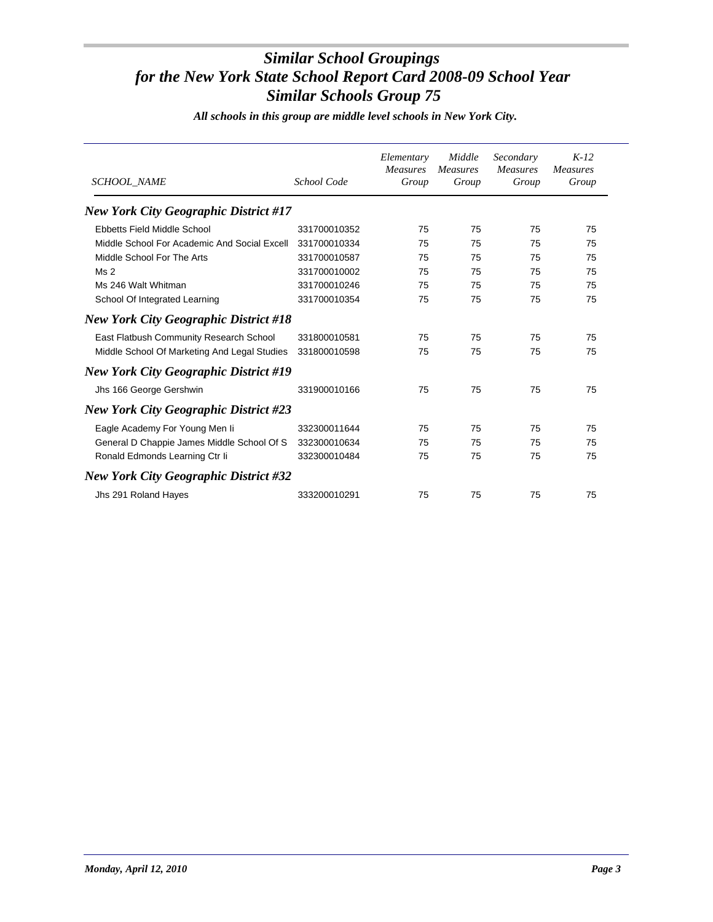| <b>SCHOOL_NAME</b>                           | School Code  | Elementary<br><b>Measures</b><br>Group | Middle<br><b>Measures</b><br>Group | Secondary<br><b>Measures</b><br>Group | $K-12$<br><b>Measures</b><br>Group |
|----------------------------------------------|--------------|----------------------------------------|------------------------------------|---------------------------------------|------------------------------------|
| <b>New York City Geographic District #17</b> |              |                                        |                                    |                                       |                                    |
| Ebbetts Field Middle School                  | 331700010352 | 75                                     | 75                                 | 75                                    | 75                                 |
| Middle School For Academic And Social Excell | 331700010334 | 75                                     | 75                                 | 75                                    | 75                                 |
| Middle School For The Arts                   | 331700010587 | 75                                     | 75                                 | 75                                    | 75                                 |
| Ms <sub>2</sub>                              | 331700010002 | 75                                     | 75                                 | 75                                    | 75                                 |
| Ms 246 Walt Whitman                          | 331700010246 | 75                                     | 75                                 | 75                                    | 75                                 |
| School Of Integrated Learning                | 331700010354 | 75                                     | 75                                 | 75                                    | 75                                 |
| <b>New York City Geographic District #18</b> |              |                                        |                                    |                                       |                                    |
| East Flatbush Community Research School      | 331800010581 | 75                                     | 75                                 | 75                                    | 75                                 |
| Middle School Of Marketing And Legal Studies | 331800010598 | 75                                     | 75                                 | 75                                    | 75                                 |
| <b>New York City Geographic District #19</b> |              |                                        |                                    |                                       |                                    |
| Jhs 166 George Gershwin                      | 331900010166 | 75                                     | 75                                 | 75                                    | 75                                 |
| <b>New York City Geographic District #23</b> |              |                                        |                                    |                                       |                                    |
| Eagle Academy For Young Men li               | 332300011644 | 75                                     | 75                                 | 75                                    | 75                                 |
| General D Chappie James Middle School Of S   | 332300010634 | 75                                     | 75                                 | 75                                    | 75                                 |
| Ronald Edmonds Learning Ctr Ii               | 332300010484 | 75                                     | 75                                 | 75                                    | 75                                 |
| <b>New York City Geographic District #32</b> |              |                                        |                                    |                                       |                                    |
| Jhs 291 Roland Hayes                         | 333200010291 | 75                                     | 75                                 | 75                                    | 75                                 |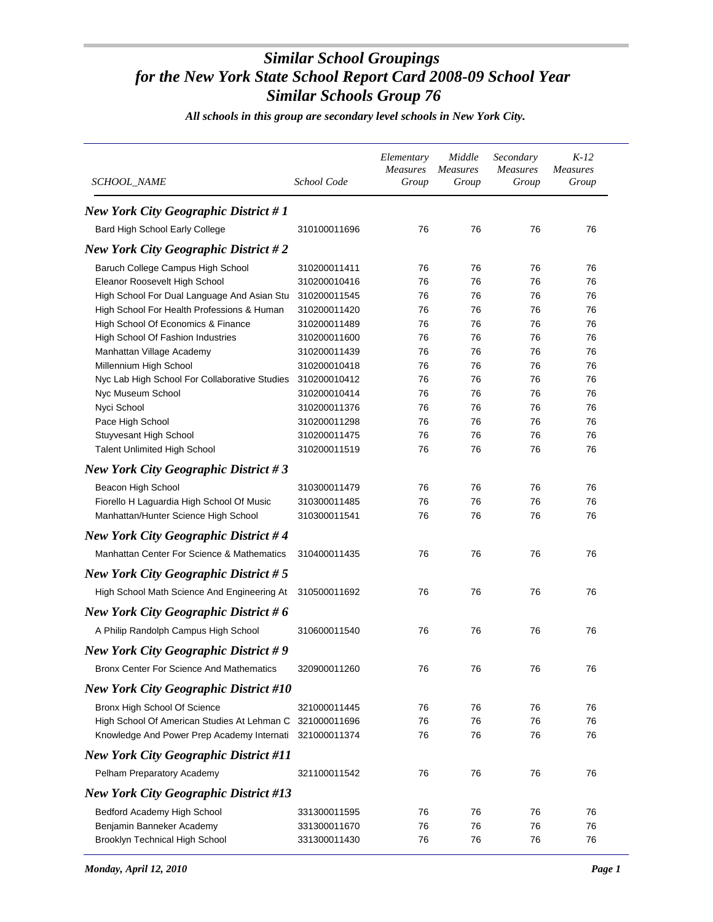| <b>New York City Geographic District #1</b><br>Bard High School Early College<br>76<br>76<br>76<br>76<br>310100011696<br><b>New York City Geographic District #2</b><br>Baruch College Campus High School<br>310200011411<br>76<br>76<br>76<br>76<br>76<br>76<br>76<br>76<br>Eleanor Roosevelt High School<br>310200010416<br>High School For Dual Language And Asian Stu<br>76<br>310200011545<br>76<br>76<br>76<br>High School For Health Professions & Human<br>310200011420<br>76<br>76<br>76<br>76<br>High School Of Economics & Finance<br>76<br>76<br>76<br>76<br>310200011489 | $K-12$<br><b>Measures</b><br>Group |
|---------------------------------------------------------------------------------------------------------------------------------------------------------------------------------------------------------------------------------------------------------------------------------------------------------------------------------------------------------------------------------------------------------------------------------------------------------------------------------------------------------------------------------------------------------------------------------------|------------------------------------|
|                                                                                                                                                                                                                                                                                                                                                                                                                                                                                                                                                                                       |                                    |
|                                                                                                                                                                                                                                                                                                                                                                                                                                                                                                                                                                                       |                                    |
|                                                                                                                                                                                                                                                                                                                                                                                                                                                                                                                                                                                       |                                    |
|                                                                                                                                                                                                                                                                                                                                                                                                                                                                                                                                                                                       |                                    |
|                                                                                                                                                                                                                                                                                                                                                                                                                                                                                                                                                                                       |                                    |
|                                                                                                                                                                                                                                                                                                                                                                                                                                                                                                                                                                                       |                                    |
|                                                                                                                                                                                                                                                                                                                                                                                                                                                                                                                                                                                       |                                    |
|                                                                                                                                                                                                                                                                                                                                                                                                                                                                                                                                                                                       |                                    |
| High School Of Fashion Industries<br>76<br>76<br>310200011600<br>76<br>76                                                                                                                                                                                                                                                                                                                                                                                                                                                                                                             |                                    |
| 76<br>Manhattan Village Academy<br>310200011439<br>76<br>76<br>76                                                                                                                                                                                                                                                                                                                                                                                                                                                                                                                     |                                    |
| Millennium High School<br>310200010418<br>76<br>76<br>76<br>76                                                                                                                                                                                                                                                                                                                                                                                                                                                                                                                        |                                    |
| Nyc Lab High School For Collaborative Studies<br>310200010412<br>76<br>76<br>76<br>76                                                                                                                                                                                                                                                                                                                                                                                                                                                                                                 |                                    |
| Nyc Museum School<br>310200010414<br>76<br>76<br>76<br>76                                                                                                                                                                                                                                                                                                                                                                                                                                                                                                                             |                                    |
| Nyci School<br>76<br>310200011376<br>76<br>76<br>76                                                                                                                                                                                                                                                                                                                                                                                                                                                                                                                                   |                                    |
| Pace High School<br>76<br>76<br>76<br>76<br>310200011298                                                                                                                                                                                                                                                                                                                                                                                                                                                                                                                              |                                    |
| Stuyvesant High School<br>310200011475<br>76<br>76<br>76<br>76                                                                                                                                                                                                                                                                                                                                                                                                                                                                                                                        |                                    |
| <b>Talent Unlimited High School</b><br>310200011519<br>76<br>76<br>76<br>76                                                                                                                                                                                                                                                                                                                                                                                                                                                                                                           |                                    |
| <b>New York City Geographic District #3</b>                                                                                                                                                                                                                                                                                                                                                                                                                                                                                                                                           |                                    |
| Beacon High School<br>310300011479<br>76<br>76<br>76<br>76                                                                                                                                                                                                                                                                                                                                                                                                                                                                                                                            |                                    |
| Fiorello H Laguardia High School Of Music<br>76<br>310300011485<br>76<br>76<br>76                                                                                                                                                                                                                                                                                                                                                                                                                                                                                                     |                                    |
| Manhattan/Hunter Science High School<br>76<br>76<br>310300011541<br>76<br>76                                                                                                                                                                                                                                                                                                                                                                                                                                                                                                          |                                    |
| <b>New York City Geographic District #4</b>                                                                                                                                                                                                                                                                                                                                                                                                                                                                                                                                           |                                    |
| Manhattan Center For Science & Mathematics<br>76<br>76<br>76<br>76<br>310400011435                                                                                                                                                                                                                                                                                                                                                                                                                                                                                                    |                                    |
| <b>New York City Geographic District #5</b>                                                                                                                                                                                                                                                                                                                                                                                                                                                                                                                                           |                                    |
| 76<br>High School Math Science And Engineering At<br>310500011692<br>76<br>76<br>76                                                                                                                                                                                                                                                                                                                                                                                                                                                                                                   |                                    |
| New York City Geographic District # $6$                                                                                                                                                                                                                                                                                                                                                                                                                                                                                                                                               |                                    |
| A Philip Randolph Campus High School<br>76<br>76<br>76<br>76<br>310600011540                                                                                                                                                                                                                                                                                                                                                                                                                                                                                                          |                                    |
| <b>New York City Geographic District #9</b>                                                                                                                                                                                                                                                                                                                                                                                                                                                                                                                                           |                                    |
| Bronx Center For Science And Mathematics<br>320900011260<br>76<br>76<br>76<br>76                                                                                                                                                                                                                                                                                                                                                                                                                                                                                                      |                                    |
| <b>New York City Geographic District #10</b>                                                                                                                                                                                                                                                                                                                                                                                                                                                                                                                                          |                                    |
| Bronx High School Of Science<br>321000011445<br>76<br>76<br>76<br>76                                                                                                                                                                                                                                                                                                                                                                                                                                                                                                                  |                                    |
| 76<br>76<br>76<br>76<br>High School Of American Studies At Lehman C<br>321000011696                                                                                                                                                                                                                                                                                                                                                                                                                                                                                                   |                                    |
| Knowledge And Power Prep Academy Internati<br>76<br>76<br>76<br>76<br>321000011374                                                                                                                                                                                                                                                                                                                                                                                                                                                                                                    |                                    |
| <b>New York City Geographic District #11</b>                                                                                                                                                                                                                                                                                                                                                                                                                                                                                                                                          |                                    |
| Pelham Preparatory Academy<br>76<br>76<br>76<br>76<br>321100011542                                                                                                                                                                                                                                                                                                                                                                                                                                                                                                                    |                                    |
| <b>New York City Geographic District #13</b>                                                                                                                                                                                                                                                                                                                                                                                                                                                                                                                                          |                                    |
| Bedford Academy High School<br>76<br>76<br>76<br>76<br>331300011595                                                                                                                                                                                                                                                                                                                                                                                                                                                                                                                   |                                    |
| Benjamin Banneker Academy<br>76<br>76<br>76<br>331300011670<br>76                                                                                                                                                                                                                                                                                                                                                                                                                                                                                                                     |                                    |
| Brooklyn Technical High School<br>331300011430<br>76<br>76<br>76<br>76                                                                                                                                                                                                                                                                                                                                                                                                                                                                                                                |                                    |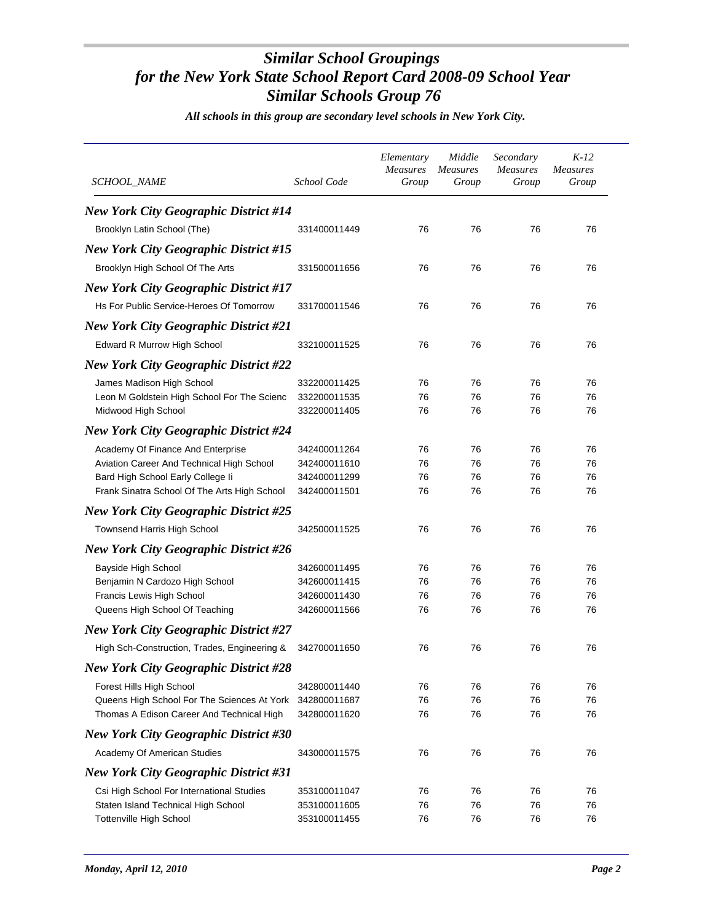| SCHOOL_NAME                                  | School Code  | Elementary<br>Measures<br>Group | Middle<br><i>Measures</i><br>Group | Secondary<br><b>Measures</b><br>Group | $K-12$<br><b>Measures</b><br>Group |
|----------------------------------------------|--------------|---------------------------------|------------------------------------|---------------------------------------|------------------------------------|
| <b>New York City Geographic District #14</b> |              |                                 |                                    |                                       |                                    |
| Brooklyn Latin School (The)                  | 331400011449 | 76                              | 76                                 | 76                                    | 76                                 |
| <b>New York City Geographic District #15</b> |              |                                 |                                    |                                       |                                    |
| Brooklyn High School Of The Arts             | 331500011656 | 76                              | 76                                 | 76                                    | 76                                 |
| <b>New York City Geographic District #17</b> |              |                                 |                                    |                                       |                                    |
| Hs For Public Service-Heroes Of Tomorrow     | 331700011546 | 76                              | 76                                 | 76                                    | 76                                 |
|                                              |              |                                 |                                    |                                       |                                    |
| New York City Geographic District #21        |              |                                 |                                    |                                       |                                    |
| Edward R Murrow High School                  | 332100011525 | 76                              | 76                                 | 76                                    | 76                                 |
| <b>New York City Geographic District #22</b> |              |                                 |                                    |                                       |                                    |
| James Madison High School                    | 332200011425 | 76                              | 76                                 | 76                                    | 76                                 |
| Leon M Goldstein High School For The Scienc  | 332200011535 | 76                              | 76                                 | 76                                    | 76                                 |
| Midwood High School                          | 332200011405 | 76                              | 76                                 | 76                                    | 76                                 |
| <b>New York City Geographic District #24</b> |              |                                 |                                    |                                       |                                    |
| Academy Of Finance And Enterprise            | 342400011264 | 76                              | 76                                 | 76                                    | 76                                 |
| Aviation Career And Technical High School    | 342400011610 | 76                              | 76                                 | 76                                    | 76                                 |
| Bard High School Early College li            | 342400011299 | 76                              | 76                                 | 76                                    | 76                                 |
| Frank Sinatra School Of The Arts High School | 342400011501 | 76                              | 76                                 | 76                                    | 76                                 |
| <b>New York City Geographic District #25</b> |              |                                 |                                    |                                       |                                    |
| Townsend Harris High School                  | 342500011525 | 76                              | 76                                 | 76                                    | 76                                 |
| <b>New York City Geographic District #26</b> |              |                                 |                                    |                                       |                                    |
| Bayside High School                          | 342600011495 | 76                              | 76                                 | 76                                    | 76                                 |
| Benjamin N Cardozo High School               | 342600011415 | 76                              | 76                                 | 76                                    | 76                                 |
| Francis Lewis High School                    | 342600011430 | 76                              | 76                                 | 76                                    | 76                                 |
| Queens High School Of Teaching               | 342600011566 | 76                              | 76                                 | 76                                    | 76                                 |
| <b>New York City Geographic District #27</b> |              |                                 |                                    |                                       |                                    |
| High Sch-Construction, Trades, Engineering & | 342700011650 | 76                              | 76                                 | 76                                    | 76                                 |
| New York City Geographic District #28        |              |                                 |                                    |                                       |                                    |
| Forest Hills High School                     | 342800011440 | 76                              | 76                                 | 76                                    | 76                                 |
| Queens High School For The Sciences At York  | 342800011687 | 76                              | 76                                 | 76                                    | 76                                 |
| Thomas A Edison Career And Technical High    | 342800011620 | 76                              | 76                                 | 76                                    | 76                                 |
| <b>New York City Geographic District #30</b> |              |                                 |                                    |                                       |                                    |
| Academy Of American Studies                  | 343000011575 | 76                              | 76                                 | 76                                    | 76                                 |
| <b>New York City Geographic District #31</b> |              |                                 |                                    |                                       |                                    |
| Csi High School For International Studies    | 353100011047 | 76                              | 76                                 | 76                                    | 76                                 |
| Staten Island Technical High School          | 353100011605 | 76                              | 76                                 | 76                                    | 76                                 |
| Tottenville High School                      | 353100011455 | 76                              | 76                                 | 76                                    | 76                                 |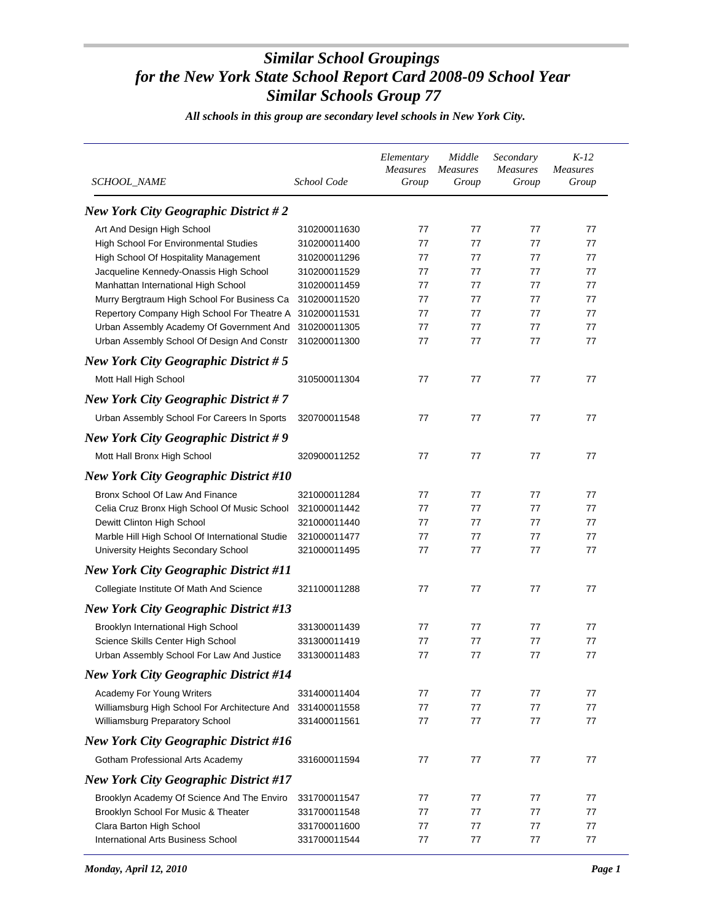| <b>SCHOOL_NAME</b>                                       | School Code  | Elementary<br><b>Measures</b><br>Group | Middle<br><i>Measures</i><br>Group | Secondary<br><b>Measures</b><br>Group | $K-12$<br><i>Measures</i><br>Group |
|----------------------------------------------------------|--------------|----------------------------------------|------------------------------------|---------------------------------------|------------------------------------|
| New York City Geographic District $#2$                   |              |                                        |                                    |                                       |                                    |
| Art And Design High School                               | 310200011630 | 77                                     | 77                                 | 77                                    | 77                                 |
| High School For Environmental Studies                    | 310200011400 | 77                                     | 77                                 | 77                                    | 77                                 |
| High School Of Hospitality Management                    | 310200011296 | 77                                     | 77                                 | 77                                    | 77                                 |
| Jacqueline Kennedy-Onassis High School                   | 310200011529 | 77                                     | 77                                 | 77                                    | 77                                 |
| Manhattan International High School                      | 310200011459 | 77                                     | 77                                 | 77                                    | 77                                 |
| Murry Bergtraum High School For Business Ca              | 310200011520 | 77                                     | 77                                 | 77                                    | 77                                 |
| Repertory Company High School For Theatre A 310200011531 |              | 77                                     | 77                                 | 77                                    | 77                                 |
| Urban Assembly Academy Of Government And                 | 310200011305 | 77                                     | 77                                 | 77                                    | 77                                 |
| Urban Assembly School Of Design And Constr               | 310200011300 | 77                                     | 77                                 | 77                                    | 77                                 |
| New York City Geographic District $# 5$                  |              |                                        |                                    |                                       |                                    |
| Mott Hall High School                                    | 310500011304 | 77                                     | 77                                 | 77                                    | 77                                 |
| <b>New York City Geographic District #7</b>              |              |                                        |                                    |                                       |                                    |
| Urban Assembly School For Careers In Sports              | 320700011548 | 77                                     | 77                                 | 77                                    | 77                                 |
| <b>New York City Geographic District #9</b>              |              |                                        |                                    |                                       |                                    |
| Mott Hall Bronx High School                              | 320900011252 | 77                                     | 77                                 | 77                                    | 77                                 |
| <b>New York City Geographic District #10</b>             |              |                                        |                                    |                                       |                                    |
| Bronx School Of Law And Finance                          | 321000011284 | 77                                     | 77                                 | 77                                    | 77                                 |
| Celia Cruz Bronx High School Of Music School             | 321000011442 | 77                                     | 77                                 | 77                                    | 77                                 |
| Dewitt Clinton High School                               | 321000011440 | 77                                     | 77                                 | 77                                    | 77                                 |
| Marble Hill High School Of International Studie          | 321000011477 | 77                                     | 77                                 | 77                                    | 77                                 |
| University Heights Secondary School                      | 321000011495 | 77                                     | 77                                 | 77                                    | 77                                 |
| <b>New York City Geographic District #11</b>             |              |                                        |                                    |                                       |                                    |
| Collegiate Institute Of Math And Science                 | 321100011288 | 77                                     | 77                                 | 77                                    | 77                                 |
| <b>New York City Geographic District #13</b>             |              |                                        |                                    |                                       |                                    |
| Brooklyn International High School                       | 331300011439 | 77                                     | 77                                 | 77                                    | 77                                 |
| Science Skills Center High School                        | 331300011419 | 77                                     | 77                                 | 77                                    | 77                                 |
| Urban Assembly School For Law And Justice                | 331300011483 | 77                                     | 77                                 | 77                                    | 77                                 |
| <b>New York City Geographic District #14</b>             |              |                                        |                                    |                                       |                                    |
| Academy For Young Writers                                | 331400011404 | 77                                     | 77                                 | 77                                    | 77                                 |
| Williamsburg High School For Architecture And            | 331400011558 | 77                                     | 77                                 | 77                                    | 77                                 |
| Williamsburg Preparatory School                          | 331400011561 | 77                                     | 77                                 | 77                                    | 77                                 |
| <b>New York City Geographic District #16</b>             |              |                                        |                                    |                                       |                                    |
| Gotham Professional Arts Academy                         | 331600011594 | 77                                     | 77                                 | 77                                    | 77                                 |
| <b>New York City Geographic District #17</b>             |              |                                        |                                    |                                       |                                    |
| Brooklyn Academy Of Science And The Enviro               | 331700011547 | 77                                     | 77                                 | 77                                    | 77                                 |
| Brooklyn School For Music & Theater                      | 331700011548 | 77                                     | 77                                 | 77                                    | 77                                 |
| Clara Barton High School                                 | 331700011600 | 77                                     | 77                                 | 77                                    | 77                                 |
| International Arts Business School                       | 331700011544 | 77                                     | 77                                 | 77                                    | 77                                 |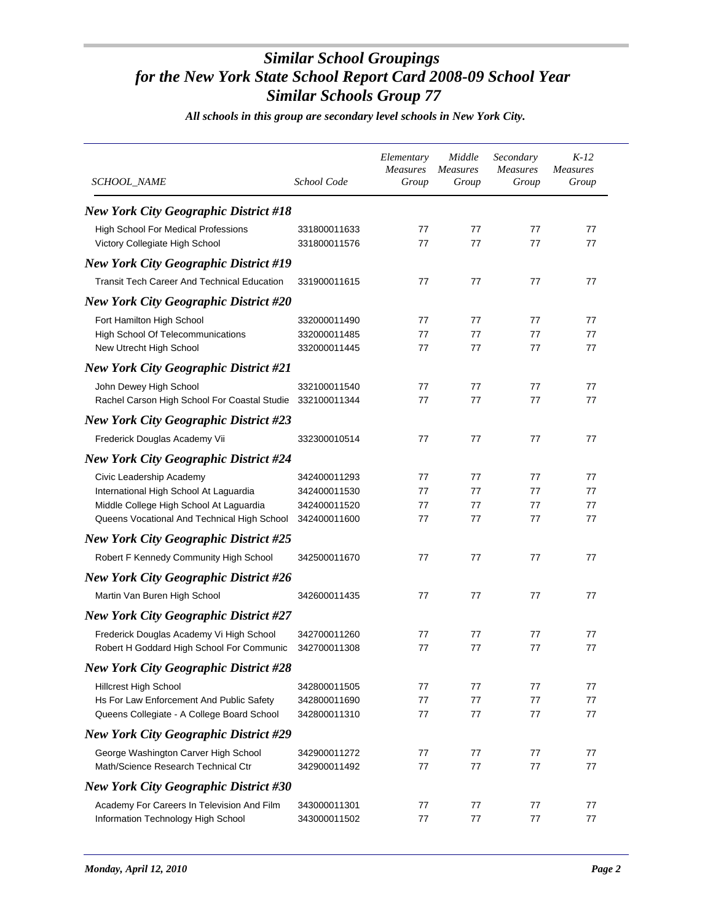| SCHOOL_NAME                                                           | School Code                  | Elementary<br>Measures<br>Group | Middle<br><b>Measures</b><br>Group | Secondary<br><b>Measures</b><br>Group | $K-12$<br><b>Measures</b><br>Group |
|-----------------------------------------------------------------------|------------------------------|---------------------------------|------------------------------------|---------------------------------------|------------------------------------|
| <b>New York City Geographic District #18</b>                          |                              |                                 |                                    |                                       |                                    |
| High School For Medical Professions<br>Victory Collegiate High School | 331800011633<br>331800011576 | 77<br>77                        | 77<br>77                           | 77<br>77                              | 77<br>77                           |
| <b>New York City Geographic District #19</b>                          |                              |                                 |                                    |                                       |                                    |
| <b>Transit Tech Career And Technical Education</b>                    | 331900011615                 | 77                              | 77                                 | 77                                    | 77                                 |
| <b>New York City Geographic District #20</b>                          |                              |                                 |                                    |                                       |                                    |
| Fort Hamilton High School                                             | 332000011490                 | 77                              | 77                                 | 77                                    | 77                                 |
| High School Of Telecommunications                                     | 332000011485                 | 77                              | 77                                 | 77                                    | 77                                 |
| New Utrecht High School                                               | 332000011445                 | 77                              | 77                                 | 77                                    | 77                                 |
| <b>New York City Geographic District #21</b>                          |                              |                                 |                                    |                                       |                                    |
| John Dewey High School                                                | 332100011540                 | 77                              | 77                                 | 77                                    | 77                                 |
| Rachel Carson High School For Coastal Studie 332100011344             |                              | 77                              | 77                                 | 77                                    | 77                                 |
| <b>New York City Geographic District #23</b>                          |                              |                                 |                                    |                                       |                                    |
| Frederick Douglas Academy Vii                                         | 332300010514                 | 77                              | 77                                 | 77                                    | 77                                 |
| <b>New York City Geographic District #24</b>                          |                              |                                 |                                    |                                       |                                    |
| Civic Leadership Academy                                              | 342400011293                 | 77                              | 77                                 | 77                                    | 77                                 |
| International High School At Laguardia                                | 342400011530                 | 77                              | 77                                 | 77                                    | 77                                 |
| Middle College High School At Laguardia                               | 342400011520                 | 77                              | 77                                 | 77                                    | 77                                 |
| Queens Vocational And Technical High School                           | 342400011600                 | 77                              | 77                                 | 77                                    | 77                                 |
| <b>New York City Geographic District #25</b>                          |                              |                                 |                                    |                                       |                                    |
| Robert F Kennedy Community High School                                | 342500011670                 | 77                              | 77                                 | 77                                    | 77                                 |
| <b>New York City Geographic District #26</b>                          |                              |                                 |                                    |                                       |                                    |
| Martin Van Buren High School                                          | 342600011435                 | 77                              | 77                                 | 77                                    | 77                                 |
| <b>New York City Geographic District #27</b>                          |                              |                                 |                                    |                                       |                                    |
| Frederick Douglas Academy Vi High School                              | 342700011260                 | 77                              | 77                                 | 77                                    | 77                                 |
| Robert H Goddard High School For Communic                             | 342700011308                 | 77                              | 77                                 | 77                                    | 77                                 |
| New York City Geographic District #28                                 |                              |                                 |                                    |                                       |                                    |
| Hillcrest High School                                                 | 342800011505                 | 77                              | 77                                 | 77                                    | 77                                 |
| Hs For Law Enforcement And Public Safety                              | 342800011690                 | 77                              | 77                                 | 77                                    | 77                                 |
| Queens Collegiate - A College Board School                            | 342800011310                 | 77                              | 77                                 | 77                                    | 77                                 |
| <b>New York City Geographic District #29</b>                          |                              |                                 |                                    |                                       |                                    |
| George Washington Carver High School                                  | 342900011272                 | 77                              | 77                                 | 77                                    | 77                                 |
| Math/Science Research Technical Ctr                                   | 342900011492                 | 77                              | 77                                 | 77                                    | 77                                 |
| <b>New York City Geographic District #30</b>                          |                              |                                 |                                    |                                       |                                    |
| Academy For Careers In Television And Film                            | 343000011301                 | 77                              | 77                                 | 77                                    | 77                                 |
| Information Technology High School                                    | 343000011502                 | 77                              | 77                                 | 77                                    | 77                                 |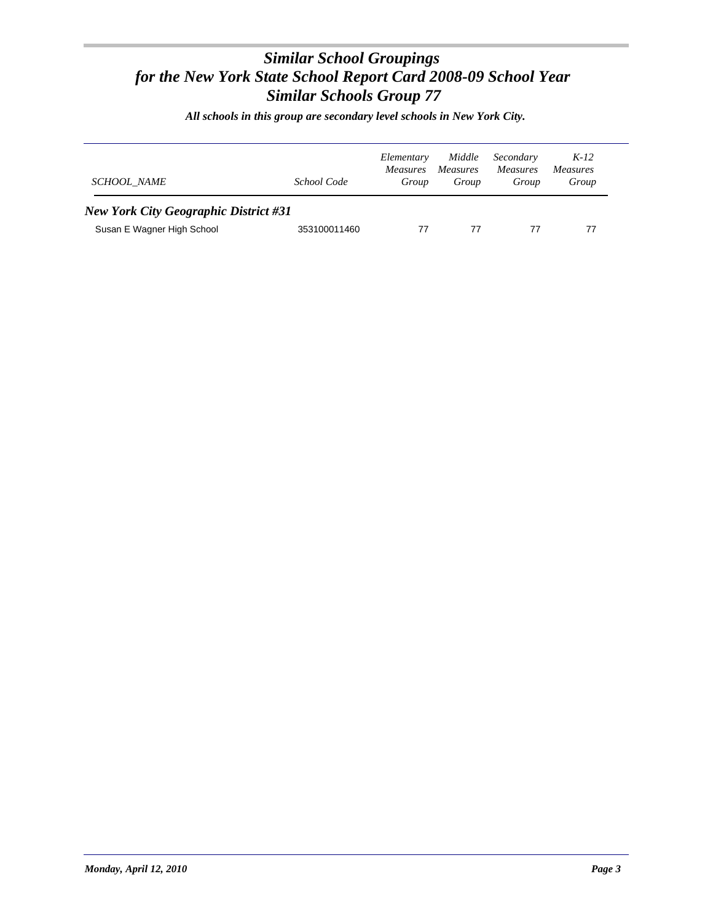| <b>SCHOOL NAME</b>                                                         | School Code  | Elementary<br><i>Measures</i><br>Group | Middle<br><i>Measures</i><br>Group | Secondary<br><i>Measures</i><br>Group | $K-12$<br><i>Measures</i><br>Group |
|----------------------------------------------------------------------------|--------------|----------------------------------------|------------------------------------|---------------------------------------|------------------------------------|
| <b>New York City Geographic District #31</b><br>Susan E Wagner High School | 353100011460 | 77                                     | 77                                 | 77                                    | 77                                 |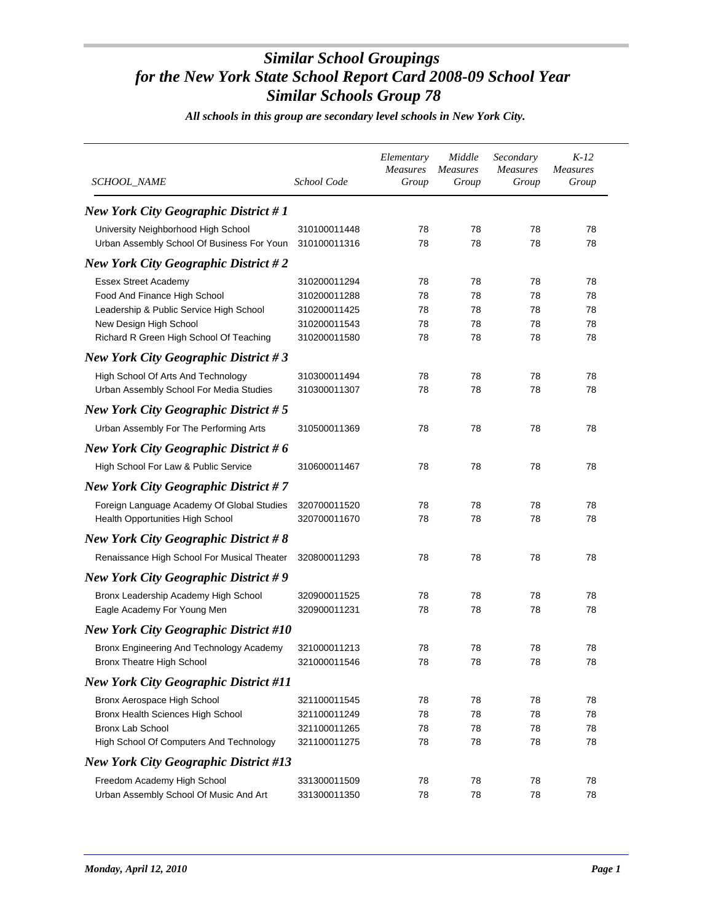| SCHOOL_NAME                                                                                                                                                                 | School Code                                                                  | Elementary<br>Measures<br>Group | Middle<br><i>Measures</i><br>Group | Secondary<br><b>Measures</b><br>Group | $K-12$<br><b>Measures</b><br>Group |
|-----------------------------------------------------------------------------------------------------------------------------------------------------------------------------|------------------------------------------------------------------------------|---------------------------------|------------------------------------|---------------------------------------|------------------------------------|
| <b>New York City Geographic District #1</b>                                                                                                                                 |                                                                              |                                 |                                    |                                       |                                    |
| University Neighborhood High School<br>Urban Assembly School Of Business For Youn                                                                                           | 310100011448<br>310100011316                                                 | 78<br>78                        | 78<br>78                           | 78<br>78                              | 78<br>78                           |
| <b>New York City Geographic District #2</b>                                                                                                                                 |                                                                              |                                 |                                    |                                       |                                    |
| <b>Essex Street Academy</b><br>Food And Finance High School<br>Leadership & Public Service High School<br>New Design High School<br>Richard R Green High School Of Teaching | 310200011294<br>310200011288<br>310200011425<br>310200011543<br>310200011580 | 78<br>78<br>78<br>78<br>78      | 78<br>78<br>78<br>78<br>78         | 78<br>78<br>78<br>78<br>78            | 78<br>78<br>78<br>78<br>78         |
| <b>New York City Geographic District #3</b>                                                                                                                                 |                                                                              |                                 |                                    |                                       |                                    |
| High School Of Arts And Technology<br>Urban Assembly School For Media Studies                                                                                               | 310300011494<br>310300011307                                                 | 78<br>78                        | 78<br>78                           | 78<br>78                              | 78<br>78                           |
| <b>New York City Geographic District #5</b>                                                                                                                                 |                                                                              |                                 |                                    |                                       |                                    |
| Urban Assembly For The Performing Arts                                                                                                                                      | 310500011369                                                                 | 78                              | 78                                 | 78                                    | 78                                 |
| New York City Geographic District #6                                                                                                                                        |                                                                              |                                 |                                    |                                       |                                    |
| High School For Law & Public Service                                                                                                                                        | 310600011467                                                                 | 78                              | 78                                 | 78                                    | 78                                 |
| <b>New York City Geographic District #7</b>                                                                                                                                 |                                                                              |                                 |                                    |                                       |                                    |
| Foreign Language Academy Of Global Studies<br>Health Opportunities High School                                                                                              | 320700011520<br>320700011670                                                 | 78<br>78                        | 78<br>78                           | 78<br>78                              | 78<br>78                           |
| <b>New York City Geographic District #8</b>                                                                                                                                 |                                                                              |                                 |                                    |                                       |                                    |
| Renaissance High School For Musical Theater                                                                                                                                 | 320800011293                                                                 | 78                              | 78                                 | 78                                    | 78                                 |
| New York City Geographic District #9                                                                                                                                        |                                                                              |                                 |                                    |                                       |                                    |
| Bronx Leadership Academy High School<br>Eagle Academy For Young Men                                                                                                         | 320900011525<br>320900011231                                                 | 78<br>78                        | 78<br>78                           | 78<br>78                              | 78<br>78                           |
| <b>New York City Geographic District #10</b>                                                                                                                                |                                                                              |                                 |                                    |                                       |                                    |
| Bronx Engineering And Technology Academy<br><b>Bronx Theatre High School</b>                                                                                                | 321000011213<br>321000011546                                                 | 78<br>78                        | 78<br>78                           | 78<br>78                              | 78<br>78                           |
| <b>New York City Geographic District #11</b>                                                                                                                                |                                                                              |                                 |                                    |                                       |                                    |
| Bronx Aerospace High School<br>Bronx Health Sciences High School<br><b>Bronx Lab School</b><br>High School Of Computers And Technology                                      | 321100011545<br>321100011249<br>321100011265<br>321100011275                 | 78<br>78<br>78<br>78            | 78<br>78<br>78<br>78               | 78<br>78<br>78<br>78                  | 78<br>78<br>78<br>78               |
| <b>New York City Geographic District #13</b>                                                                                                                                |                                                                              |                                 |                                    |                                       |                                    |
| Freedom Academy High School<br>Urban Assembly School Of Music And Art                                                                                                       | 331300011509<br>331300011350                                                 | 78<br>78                        | 78<br>78                           | 78<br>78                              | 78<br>78                           |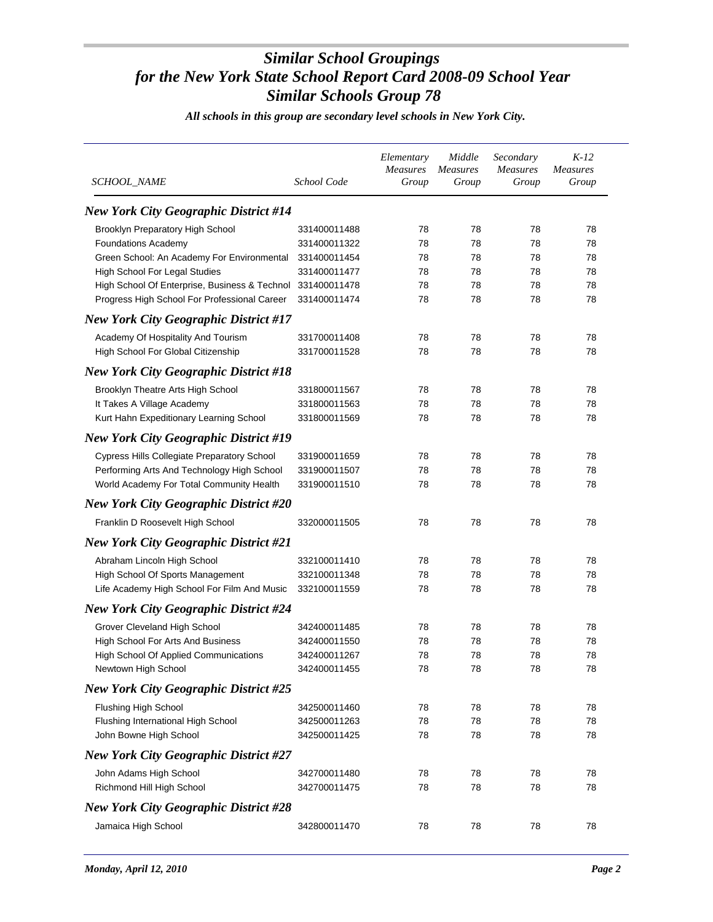| <b>SCHOOL NAME</b>                                         | School Code  | Elementary<br><b>Measures</b><br>Group | Middle<br><i>Measures</i><br>Group | Secondary<br><b>Measures</b><br>Group | $K-12$<br><i>Measures</i><br>Group |
|------------------------------------------------------------|--------------|----------------------------------------|------------------------------------|---------------------------------------|------------------------------------|
| <b>New York City Geographic District #14</b>               |              |                                        |                                    |                                       |                                    |
| Brooklyn Preparatory High School                           | 331400011488 | 78                                     | 78                                 | 78                                    | 78                                 |
| <b>Foundations Academy</b>                                 | 331400011322 | 78                                     | 78                                 | 78                                    | 78                                 |
| Green School: An Academy For Environmental                 | 331400011454 | 78                                     | 78                                 | 78                                    | 78                                 |
| High School For Legal Studies                              | 331400011477 | 78                                     | 78                                 | 78                                    | 78                                 |
| High School Of Enterprise, Business & Technol 331400011478 |              | 78                                     | 78                                 | 78                                    | 78                                 |
| Progress High School For Professional Career               | 331400011474 | 78                                     | 78                                 | 78                                    | 78                                 |
| <b>New York City Geographic District #17</b>               |              |                                        |                                    |                                       |                                    |
| Academy Of Hospitality And Tourism                         | 331700011408 | 78                                     | 78                                 | 78                                    | 78                                 |
| High School For Global Citizenship                         | 331700011528 | 78                                     | 78                                 | 78                                    | 78                                 |
| <b>New York City Geographic District #18</b>               |              |                                        |                                    |                                       |                                    |
| Brooklyn Theatre Arts High School                          | 331800011567 | 78                                     | 78                                 | 78                                    | 78                                 |
| It Takes A Village Academy                                 | 331800011563 | 78                                     | 78                                 | 78                                    | 78                                 |
| Kurt Hahn Expeditionary Learning School                    | 331800011569 | 78                                     | 78                                 | 78                                    | 78                                 |
| <b>New York City Geographic District #19</b>               |              |                                        |                                    |                                       |                                    |
| <b>Cypress Hills Collegiate Preparatory School</b>         | 331900011659 | 78                                     | 78                                 | 78                                    | 78                                 |
| Performing Arts And Technology High School                 | 331900011507 | 78                                     | 78                                 | 78                                    | 78                                 |
| World Academy For Total Community Health                   | 331900011510 | 78                                     | 78                                 | 78                                    | 78                                 |
| <b>New York City Geographic District #20</b>               |              |                                        |                                    |                                       |                                    |
| Franklin D Roosevelt High School                           | 332000011505 | 78                                     | 78                                 | 78                                    | 78                                 |
| <b>New York City Geographic District #21</b>               |              |                                        |                                    |                                       |                                    |
| Abraham Lincoln High School                                | 332100011410 | 78                                     | 78                                 | 78                                    | 78                                 |
| High School Of Sports Management                           | 332100011348 | 78                                     | 78                                 | 78                                    | 78                                 |
| Life Academy High School For Film And Music                | 332100011559 | 78                                     | 78                                 | 78                                    | 78                                 |
| <b>New York City Geographic District #24</b>               |              |                                        |                                    |                                       |                                    |
| Grover Cleveland High School                               | 342400011485 | 78                                     | 78                                 | 78                                    | 78                                 |
| High School For Arts And Business                          | 342400011550 | 78                                     | 78                                 | 78                                    | 78                                 |
| High School Of Applied Communications                      | 342400011267 | 78                                     | 78                                 | 78                                    | 78                                 |
| Newtown High School                                        | 342400011455 | 78                                     | 78                                 | 78                                    | 78                                 |
| <b>New York City Geographic District #25</b>               |              |                                        |                                    |                                       |                                    |
| Flushing High School                                       | 342500011460 | 78                                     | 78                                 | 78                                    | 78                                 |
| Flushing International High School                         | 342500011263 | 78                                     | 78                                 | 78                                    | 78                                 |
| John Bowne High School                                     | 342500011425 | 78                                     | 78                                 | 78                                    | 78                                 |
| <b>New York City Geographic District #27</b>               |              |                                        |                                    |                                       |                                    |
| John Adams High School                                     | 342700011480 | 78                                     | 78                                 | 78                                    | 78                                 |
| Richmond Hill High School                                  | 342700011475 | 78                                     | 78                                 | 78                                    | 78                                 |
| <b>New York City Geographic District #28</b>               |              |                                        |                                    |                                       |                                    |
| Jamaica High School                                        | 342800011470 | 78                                     | 78                                 | 78                                    | 78                                 |
|                                                            |              |                                        |                                    |                                       |                                    |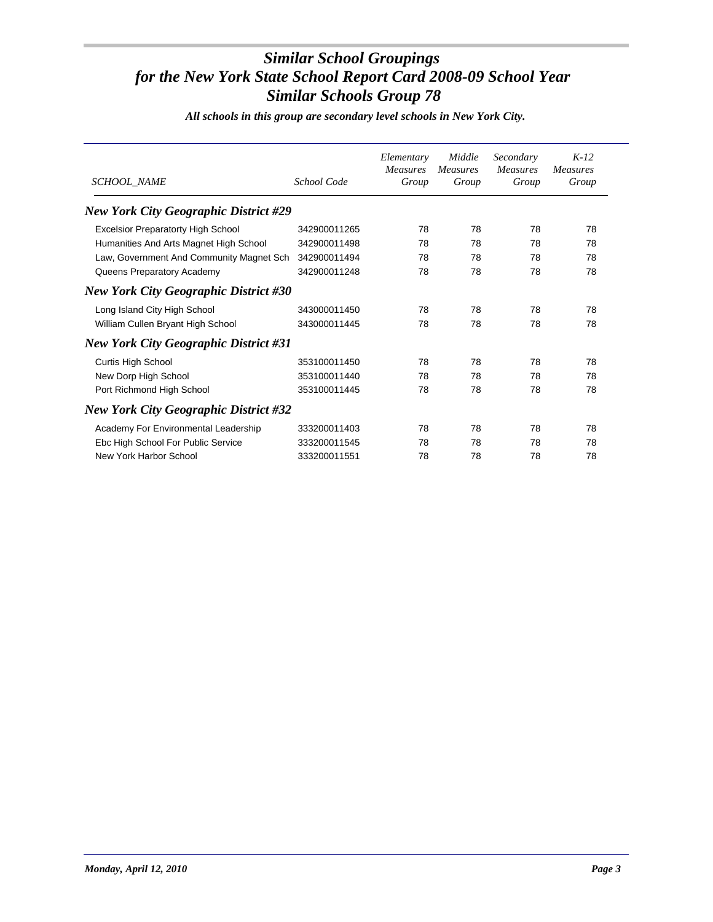| SCHOOL_NAME                                  | School Code  | Elementary<br><b>Measures</b><br>Group | Middle<br><i>Measures</i><br>Group | Secondary<br><b>Measures</b><br>Group | $K-12$<br><b>Measures</b><br>Group |
|----------------------------------------------|--------------|----------------------------------------|------------------------------------|---------------------------------------|------------------------------------|
| <b>New York City Geographic District #29</b> |              |                                        |                                    |                                       |                                    |
| <b>Excelsior Preparatorty High School</b>    | 342900011265 | 78                                     | 78                                 | 78                                    | 78                                 |
| Humanities And Arts Magnet High School       | 342900011498 | 78                                     | 78                                 | 78                                    | 78                                 |
| Law, Government And Community Magnet Sch     | 342900011494 | 78                                     | 78                                 | 78                                    | 78                                 |
| Queens Preparatory Academy                   | 342900011248 | 78                                     | 78                                 | 78                                    | 78                                 |
| <b>New York City Geographic District #30</b> |              |                                        |                                    |                                       |                                    |
| Long Island City High School                 | 343000011450 | 78                                     | 78                                 | 78                                    | 78                                 |
| William Cullen Bryant High School            | 343000011445 | 78                                     | 78                                 | 78                                    | 78                                 |
| <b>New York City Geographic District #31</b> |              |                                        |                                    |                                       |                                    |
| <b>Curtis High School</b>                    | 353100011450 | 78                                     | 78                                 | 78                                    | 78                                 |
| New Dorp High School                         | 353100011440 | 78                                     | 78                                 | 78                                    | 78                                 |
| Port Richmond High School                    | 353100011445 | 78                                     | 78                                 | 78                                    | 78                                 |
| <b>New York City Geographic District #32</b> |              |                                        |                                    |                                       |                                    |
| Academy For Environmental Leadership         | 333200011403 | 78                                     | 78                                 | 78                                    | 78                                 |
| Ebc High School For Public Service           | 333200011545 | 78                                     | 78                                 | 78                                    | 78                                 |
| New York Harbor School                       | 333200011551 | 78                                     | 78                                 | 78                                    | 78                                 |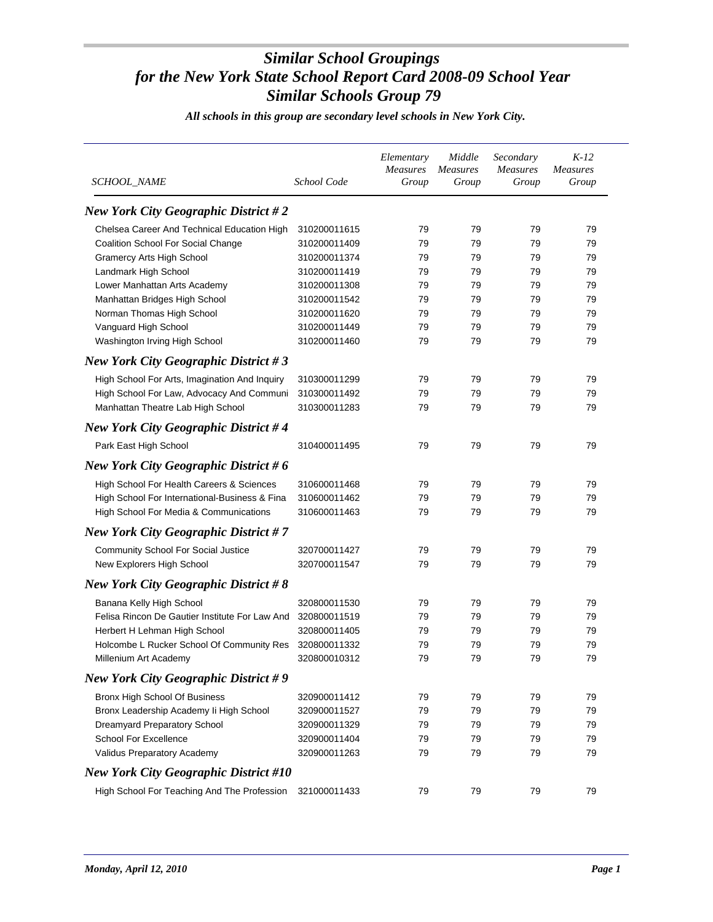| SCHOOL_NAME                                    | School Code  | Elementary<br><b>Measures</b><br>Group | Middle<br><b>Measures</b><br>Group | Secondary<br><b>Measures</b><br>Group | $K-12$<br><b>Measures</b><br>Group |
|------------------------------------------------|--------------|----------------------------------------|------------------------------------|---------------------------------------|------------------------------------|
| <b>New York City Geographic District #2</b>    |              |                                        |                                    |                                       |                                    |
| Chelsea Career And Technical Education High    | 310200011615 | 79                                     | 79                                 | 79                                    | 79                                 |
| Coalition School For Social Change             | 310200011409 | 79                                     | 79                                 | 79                                    | 79                                 |
| <b>Gramercy Arts High School</b>               | 310200011374 | 79                                     | 79                                 | 79                                    | 79                                 |
| Landmark High School                           | 310200011419 | 79                                     | 79                                 | 79                                    | 79                                 |
| Lower Manhattan Arts Academy                   | 310200011308 | 79                                     | 79                                 | 79                                    | 79                                 |
| Manhattan Bridges High School                  | 310200011542 | 79                                     | 79                                 | 79                                    | 79                                 |
| Norman Thomas High School                      | 310200011620 | 79                                     | 79                                 | 79                                    | 79                                 |
| Vanguard High School                           | 310200011449 | 79                                     | 79                                 | 79                                    | 79                                 |
| Washington Irving High School                  | 310200011460 | 79                                     | 79                                 | 79                                    | 79                                 |
| <b>New York City Geographic District #3</b>    |              |                                        |                                    |                                       |                                    |
| High School For Arts, Imagination And Inquiry  | 310300011299 | 79                                     | 79                                 | 79                                    | 79                                 |
| High School For Law, Advocacy And Communi      | 310300011492 | 79                                     | 79                                 | 79                                    | 79                                 |
| Manhattan Theatre Lab High School              | 310300011283 | 79                                     | 79                                 | 79                                    | 79                                 |
| <b>New York City Geographic District #4</b>    |              |                                        |                                    |                                       |                                    |
| Park East High School                          | 310400011495 | 79                                     | 79                                 | 79                                    | 79                                 |
| <b>New York City Geographic District #6</b>    |              |                                        |                                    |                                       |                                    |
| High School For Health Careers & Sciences      | 310600011468 | 79                                     | 79                                 | 79                                    | 79                                 |
| High School For International-Business & Fina  | 310600011462 | 79                                     | 79                                 | 79                                    | 79                                 |
| High School For Media & Communications         | 310600011463 | 79                                     | 79                                 | 79                                    | 79                                 |
| <b>New York City Geographic District #7</b>    |              |                                        |                                    |                                       |                                    |
| <b>Community School For Social Justice</b>     | 320700011427 | 79                                     | 79                                 | 79                                    | 79                                 |
| New Explorers High School                      | 320700011547 | 79                                     | 79                                 | 79                                    | 79                                 |
| <b>New York City Geographic District #8</b>    |              |                                        |                                    |                                       |                                    |
| Banana Kelly High School                       | 320800011530 | 79                                     | 79                                 | 79                                    | 79                                 |
| Felisa Rincon De Gautier Institute For Law And | 320800011519 | 79                                     | 79                                 | 79                                    | 79                                 |
| Herbert H Lehman High School                   | 320800011405 | 79                                     | 79                                 | 79                                    | 79                                 |
| Holcombe L Rucker School Of Community Res      | 320800011332 | 79                                     | 79                                 | 79                                    | 79                                 |
| Millenium Art Academy                          | 320800010312 | 79                                     | 79                                 | 79                                    | 79                                 |
| <b>New York City Geographic District #9</b>    |              |                                        |                                    |                                       |                                    |
| Bronx High School Of Business                  | 320900011412 | 79                                     | 79                                 | 79                                    | 79                                 |
| Bronx Leadership Academy li High School        | 320900011527 | 79                                     | 79                                 | 79                                    | 79                                 |
| Dreamyard Preparatory School                   | 320900011329 | 79                                     | 79                                 | 79                                    | 79                                 |
| School For Excellence                          | 320900011404 | 79                                     | 79                                 | 79                                    | 79                                 |
| Validus Preparatory Academy                    | 320900011263 | 79                                     | 79                                 | 79                                    | 79                                 |
| <b>New York City Geographic District #10</b>   |              |                                        |                                    |                                       |                                    |
| High School For Teaching And The Profession    | 321000011433 | 79                                     | 79                                 | 79                                    | 79                                 |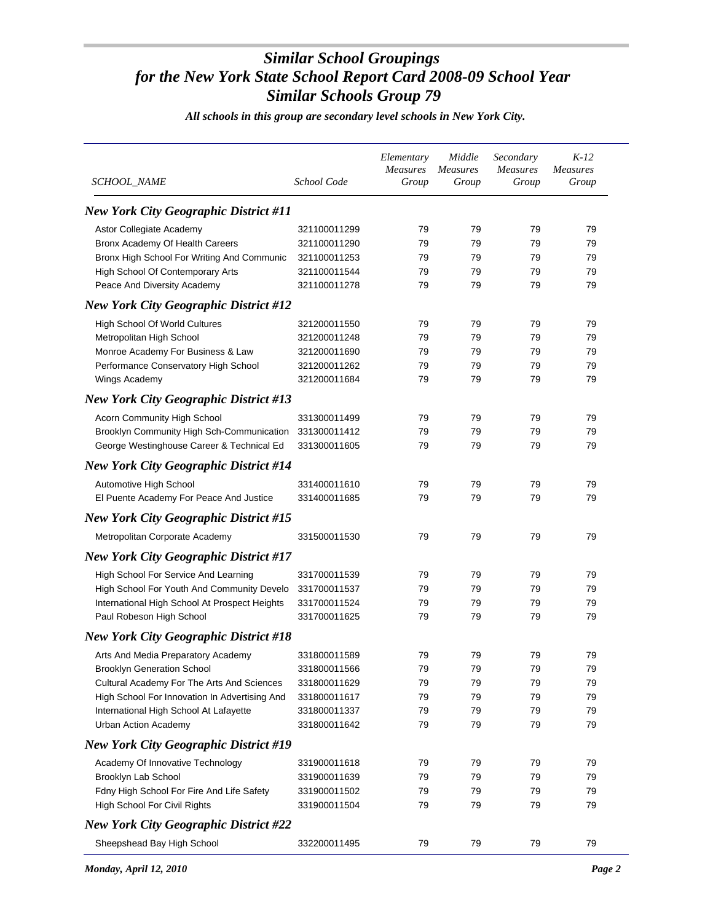| SCHOOL_NAME                                   | School Code  | Elementary<br>Measures<br>Group | Middle<br><b>Measures</b><br>Group | Secondary<br><b>Measures</b><br>Group | $K-12$<br><b>Measures</b><br>Group |
|-----------------------------------------------|--------------|---------------------------------|------------------------------------|---------------------------------------|------------------------------------|
| <b>New York City Geographic District #11</b>  |              |                                 |                                    |                                       |                                    |
| Astor Collegiate Academy                      | 321100011299 | 79                              | 79                                 | 79                                    | 79                                 |
| Bronx Academy Of Health Careers               | 321100011290 | 79                              | 79                                 | 79                                    | 79                                 |
| Bronx High School For Writing And Communic    | 321100011253 | 79                              | 79                                 | 79                                    | 79                                 |
| High School Of Contemporary Arts              | 321100011544 | 79                              | 79                                 | 79                                    | 79                                 |
| Peace And Diversity Academy                   | 321100011278 | 79                              | 79                                 | 79                                    | 79                                 |
| <b>New York City Geographic District #12</b>  |              |                                 |                                    |                                       |                                    |
| High School Of World Cultures                 | 321200011550 | 79                              | 79                                 | 79                                    | 79                                 |
| Metropolitan High School                      | 321200011248 | 79                              | 79                                 | 79                                    | 79                                 |
| Monroe Academy For Business & Law             | 321200011690 | 79                              | 79                                 | 79                                    | 79                                 |
| Performance Conservatory High School          | 321200011262 | 79                              | 79                                 | 79                                    | 79                                 |
| Wings Academy                                 | 321200011684 | 79                              | 79                                 | 79                                    | 79                                 |
| <b>New York City Geographic District #13</b>  |              |                                 |                                    |                                       |                                    |
| Acorn Community High School                   | 331300011499 | 79                              | 79                                 | 79                                    | 79                                 |
| Brooklyn Community High Sch-Communication     | 331300011412 | 79                              | 79                                 | 79                                    | 79                                 |
| George Westinghouse Career & Technical Ed     | 331300011605 | 79                              | 79                                 | 79                                    | 79                                 |
| <b>New York City Geographic District #14</b>  |              |                                 |                                    |                                       |                                    |
| Automotive High School                        | 331400011610 | 79                              | 79                                 | 79                                    | 79                                 |
| El Puente Academy For Peace And Justice       | 331400011685 | 79                              | 79                                 | 79                                    | 79                                 |
| <b>New York City Geographic District #15</b>  |              |                                 |                                    |                                       |                                    |
| Metropolitan Corporate Academy                | 331500011530 | 79                              | 79                                 | 79                                    | 79                                 |
| <b>New York City Geographic District #17</b>  |              |                                 |                                    |                                       |                                    |
| High School For Service And Learning          | 331700011539 | 79                              | 79                                 | 79                                    | 79                                 |
| High School For Youth And Community Develo    | 331700011537 | 79                              | 79                                 | 79                                    | 79                                 |
| International High School At Prospect Heights | 331700011524 | 79                              | 79                                 | 79                                    | 79                                 |
| Paul Robeson High School                      | 331700011625 | 79                              | 79                                 | 79                                    | 79                                 |
| <b>New York City Geographic District #18</b>  |              |                                 |                                    |                                       |                                    |
| Arts And Media Preparatory Academy            | 331800011589 | 79                              | 79                                 | 79                                    | 79                                 |
| <b>Brooklyn Generation School</b>             | 331800011566 | 79                              | 79                                 | 79                                    | 79                                 |
| Cultural Academy For The Arts And Sciences    | 331800011629 | 79                              | 79                                 | 79                                    | 79                                 |
| High School For Innovation In Advertising And | 331800011617 | 79                              | 79                                 | 79                                    | 79                                 |
| International High School At Lafayette        | 331800011337 | 79                              | 79                                 | 79                                    | 79                                 |
| Urban Action Academy                          | 331800011642 | 79                              | 79                                 | 79                                    | 79                                 |
| <b>New York City Geographic District #19</b>  |              |                                 |                                    |                                       |                                    |
| Academy Of Innovative Technology              | 331900011618 | 79                              | 79                                 | 79                                    | 79                                 |
| Brooklyn Lab School                           | 331900011639 | 79                              | 79                                 | 79                                    | 79                                 |
| Fdny High School For Fire And Life Safety     | 331900011502 | 79                              | 79                                 | 79                                    | 79                                 |
| High School For Civil Rights                  | 331900011504 | 79                              | 79                                 | 79                                    | 79                                 |
| <b>New York City Geographic District #22</b>  |              |                                 |                                    |                                       |                                    |
| Sheepshead Bay High School                    | 332200011495 | 79                              | 79                                 | 79                                    | 79                                 |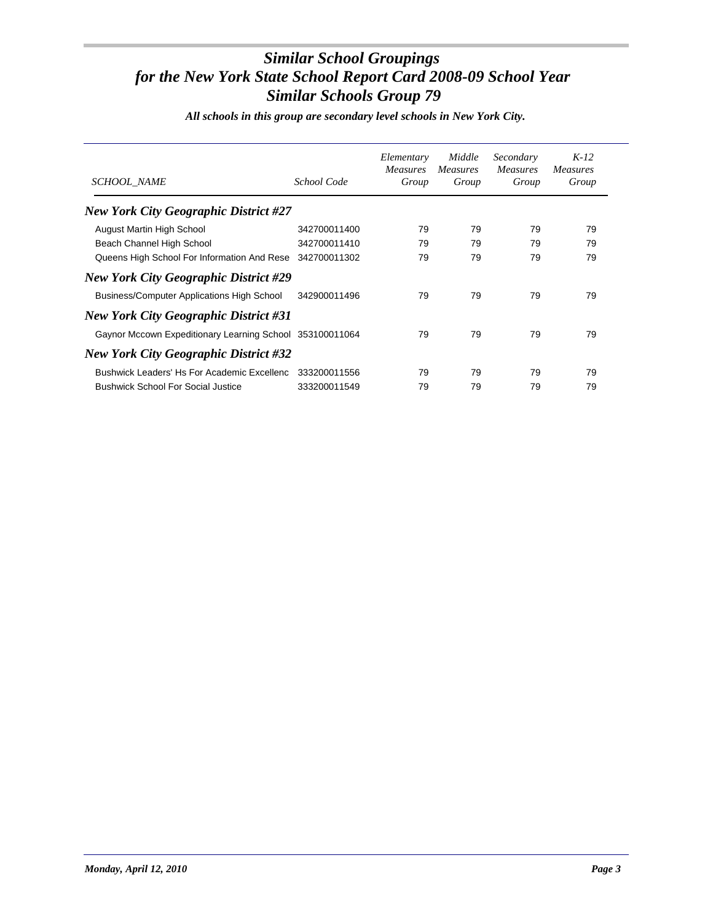| <b>SCHOOL NAME</b>                                       | School Code  | Elementary<br><i>Measures</i><br>Group | Middle<br><i>Measures</i><br>Group | Secondary<br><i>Measures</i><br>Group | $K-12$<br><i>Measures</i><br>Group |
|----------------------------------------------------------|--------------|----------------------------------------|------------------------------------|---------------------------------------|------------------------------------|
| <b>New York City Geographic District #27</b>             |              |                                        |                                    |                                       |                                    |
| August Martin High School                                | 342700011400 | 79                                     | 79                                 | 79                                    | 79                                 |
| Beach Channel High School                                | 342700011410 | 79                                     | 79                                 | 79                                    | 79                                 |
| Queens High School For Information And Rese              | 342700011302 | 79                                     | 79                                 | 79                                    | 79                                 |
| <b>New York City Geographic District #29</b>             |              |                                        |                                    |                                       |                                    |
| <b>Business/Computer Applications High School</b>        | 342900011496 | 79                                     | 79                                 | 79                                    | 79                                 |
| <b>New York City Geographic District #31</b>             |              |                                        |                                    |                                       |                                    |
| Gaynor Mccown Expeditionary Learning School 353100011064 |              | 79                                     | 79                                 | 79                                    | 79                                 |
| <b>New York City Geographic District #32</b>             |              |                                        |                                    |                                       |                                    |
| Bushwick Leaders' Hs For Academic Excellenc              | 333200011556 | 79                                     | 79                                 | 79                                    | 79                                 |
| <b>Bushwick School For Social Justice</b>                | 333200011549 | 79                                     | 79                                 | 79                                    | 79                                 |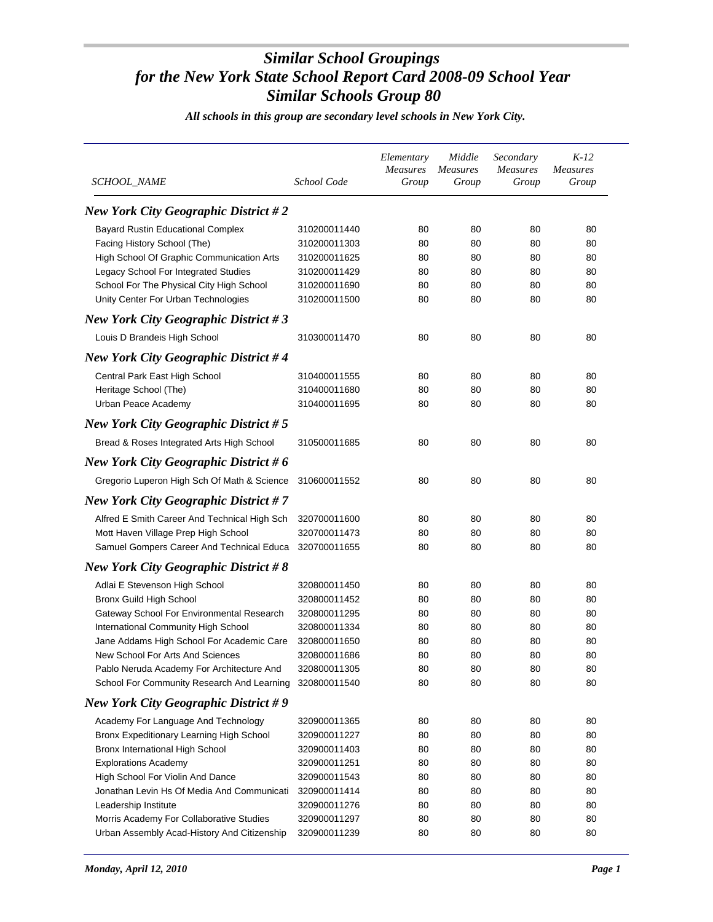| <b>SCHOOL_NAME</b>                           | School Code  | Elementary<br>Measures<br>Group | Middle<br><b>Measures</b><br>Group | Secondary<br><b>Measures</b><br>Group | $K-12$<br>Measures<br>Group |
|----------------------------------------------|--------------|---------------------------------|------------------------------------|---------------------------------------|-----------------------------|
| <b>New York City Geographic District #2</b>  |              |                                 |                                    |                                       |                             |
| <b>Bayard Rustin Educational Complex</b>     | 310200011440 | 80                              | 80                                 | 80                                    | 80                          |
| Facing History School (The)                  | 310200011303 | 80                              | 80                                 | 80                                    | 80                          |
| High School Of Graphic Communication Arts    | 310200011625 | 80                              | 80                                 | 80                                    | 80                          |
| Legacy School For Integrated Studies         | 310200011429 | 80                              | 80                                 | 80                                    | 80                          |
| School For The Physical City High School     | 310200011690 | 80                              | 80                                 | 80                                    | 80                          |
| Unity Center For Urban Technologies          | 310200011500 | 80                              | 80                                 | 80                                    | 80                          |
| <b>New York City Geographic District #3</b>  |              |                                 |                                    |                                       |                             |
| Louis D Brandeis High School                 | 310300011470 | 80                              | 80                                 | 80                                    | 80                          |
| <b>New York City Geographic District #4</b>  |              |                                 |                                    |                                       |                             |
| Central Park East High School                | 310400011555 | 80                              | 80                                 | 80                                    | 80                          |
| Heritage School (The)                        | 310400011680 | 80                              | 80                                 | 80                                    | 80                          |
| Urban Peace Academy                          | 310400011695 | 80                              | 80                                 | 80                                    | 80                          |
| <b>New York City Geographic District #5</b>  |              |                                 |                                    |                                       |                             |
| Bread & Roses Integrated Arts High School    | 310500011685 | 80                              | 80                                 | 80                                    | 80                          |
| New York City Geographic District # $6$      |              |                                 |                                    |                                       |                             |
| Gregorio Luperon High Sch Of Math & Science  | 310600011552 | 80                              | 80                                 | 80                                    | 80                          |
| <b>New York City Geographic District #7</b>  |              |                                 |                                    |                                       |                             |
|                                              |              |                                 |                                    |                                       |                             |
| Alfred E Smith Career And Technical High Sch | 320700011600 | 80                              | 80                                 | 80                                    | 80                          |
| Mott Haven Village Prep High School          | 320700011473 | 80                              | 80                                 | 80                                    | 80                          |
| Samuel Gompers Career And Technical Educa    | 320700011655 | 80                              | 80                                 | 80                                    | 80                          |
| <b>New York City Geographic District #8</b>  |              |                                 |                                    |                                       |                             |
| Adlai E Stevenson High School                | 320800011450 | 80                              | 80                                 | 80                                    | 80                          |
| Bronx Guild High School                      | 320800011452 | 80                              | 80                                 | 80                                    | 80                          |
| Gateway School For Environmental Research    | 320800011295 | 80                              | 80                                 | 80                                    | 80                          |
| International Community High School          | 320800011334 | 80                              | 80                                 | 80                                    | 80                          |
| Jane Addams High School For Academic Care    | 320800011650 | 80                              | 80                                 | 80                                    | 80                          |
| New School For Arts And Sciences             | 320800011686 | 80                              | 80                                 | 80                                    | 80                          |
| Pablo Neruda Academy For Architecture And    | 320800011305 | 80                              | 80                                 | 80                                    | 80                          |
| School For Community Research And Learning   | 320800011540 | 80                              | 80                                 | 80                                    | 80                          |
| <b>New York City Geographic District #9</b>  |              |                                 |                                    |                                       |                             |
| Academy For Language And Technology          | 320900011365 | 80                              | 80                                 | 80                                    | 80                          |
| Bronx Expeditionary Learning High School     | 320900011227 | 80                              | 80                                 | 80                                    | 80                          |
| Bronx International High School              | 320900011403 | 80                              | 80                                 | 80                                    | 80                          |
| <b>Explorations Academy</b>                  | 320900011251 | 80                              | 80                                 | 80                                    | 80                          |
| High School For Violin And Dance             | 320900011543 | 80                              | 80                                 | 80                                    | 80                          |
| Jonathan Levin Hs Of Media And Communicati   | 320900011414 | 80                              | 80                                 | 80                                    | 80                          |
| Leadership Institute                         | 320900011276 | 80                              | 80                                 | 80                                    | 80                          |
| Morris Academy For Collaborative Studies     | 320900011297 | 80                              | 80                                 | 80                                    | 80                          |
| Urban Assembly Acad-History And Citizenship  | 320900011239 | 80                              | 80                                 | 80                                    | 80                          |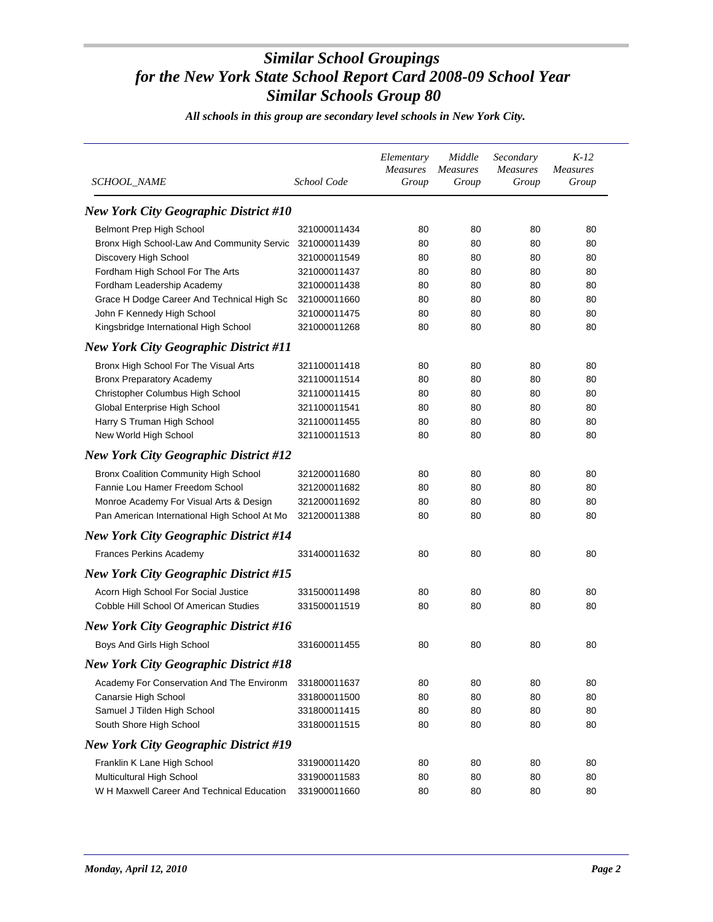| SCHOOL_NAME                                  | School Code  | Elementary<br><b>Measures</b><br>Group | Middle<br><b>Measures</b><br>Group | Secondary<br><b>Measures</b><br>Group | $K-12$<br><b>Measures</b><br>Group |
|----------------------------------------------|--------------|----------------------------------------|------------------------------------|---------------------------------------|------------------------------------|
| <b>New York City Geographic District #10</b> |              |                                        |                                    |                                       |                                    |
| Belmont Prep High School                     | 321000011434 | 80                                     | 80                                 | 80                                    | 80                                 |
| Bronx High School-Law And Community Servic   | 321000011439 | 80                                     | 80                                 | 80                                    | 80                                 |
| Discovery High School                        | 321000011549 | 80                                     | 80                                 | 80                                    | 80                                 |
| Fordham High School For The Arts             | 321000011437 | 80                                     | 80                                 | 80                                    | 80                                 |
| Fordham Leadership Academy                   | 321000011438 | 80                                     | 80                                 | 80                                    | 80                                 |
| Grace H Dodge Career And Technical High Sc   | 321000011660 | 80                                     | 80                                 | 80                                    | 80                                 |
| John F Kennedy High School                   | 321000011475 | 80                                     | 80                                 | 80                                    | 80                                 |
| Kingsbridge International High School        | 321000011268 | 80                                     | 80                                 | 80                                    | 80                                 |
| <b>New York City Geographic District #11</b> |              |                                        |                                    |                                       |                                    |
| Bronx High School For The Visual Arts        | 321100011418 | 80                                     | 80                                 | 80                                    | 80                                 |
| <b>Bronx Preparatory Academy</b>             | 321100011514 | 80                                     | 80                                 | 80                                    | 80                                 |
| Christopher Columbus High School             | 321100011415 | 80                                     | 80                                 | 80                                    | 80                                 |
| Global Enterprise High School                | 321100011541 | 80                                     | 80                                 | 80                                    | 80                                 |
| Harry S Truman High School                   | 321100011455 | 80                                     | 80                                 | 80                                    | 80                                 |
| New World High School                        | 321100011513 | 80                                     | 80                                 | 80                                    | 80                                 |
| <b>New York City Geographic District #12</b> |              |                                        |                                    |                                       |                                    |
| <b>Bronx Coalition Community High School</b> | 321200011680 | 80                                     | 80                                 | 80                                    | 80                                 |
| Fannie Lou Hamer Freedom School              | 321200011682 | 80                                     | 80                                 | 80                                    | 80                                 |
| Monroe Academy For Visual Arts & Design      | 321200011692 | 80                                     | 80                                 | 80                                    | 80                                 |
| Pan American International High School At Mo | 321200011388 | 80                                     | 80                                 | 80                                    | 80                                 |
| <b>New York City Geographic District #14</b> |              |                                        |                                    |                                       |                                    |
| Frances Perkins Academy                      | 331400011632 | 80                                     | 80                                 | 80                                    | 80                                 |
| <b>New York City Geographic District #15</b> |              |                                        |                                    |                                       |                                    |
| Acorn High School For Social Justice         | 331500011498 | 80                                     | 80                                 | 80                                    | 80                                 |
| Cobble Hill School Of American Studies       | 331500011519 | 80                                     | 80                                 | 80                                    | 80                                 |
| <b>New York City Geographic District #16</b> |              |                                        |                                    |                                       |                                    |
| Boys And Girls High School                   | 331600011455 | 80                                     | 80                                 | 80                                    | 80                                 |
| <b>New York City Geographic District #18</b> |              |                                        |                                    |                                       |                                    |
| Academy For Conservation And The Environm    | 331800011637 | 80                                     | 80                                 | 80                                    | 80                                 |
| Canarsie High School                         | 331800011500 | 80                                     | 80                                 | 80                                    | 80                                 |
| Samuel J Tilden High School                  | 331800011415 | 80                                     | 80                                 | 80                                    | 80                                 |
| South Shore High School                      | 331800011515 | 80                                     | 80                                 | 80                                    | 80                                 |
| <b>New York City Geographic District #19</b> |              |                                        |                                    |                                       |                                    |
| Franklin K Lane High School                  | 331900011420 | 80                                     | 80                                 | 80                                    | 80                                 |
| Multicultural High School                    | 331900011583 | 80                                     | 80                                 | 80                                    | 80                                 |
| W H Maxwell Career And Technical Education   | 331900011660 | 80                                     | 80                                 | 80                                    | 80                                 |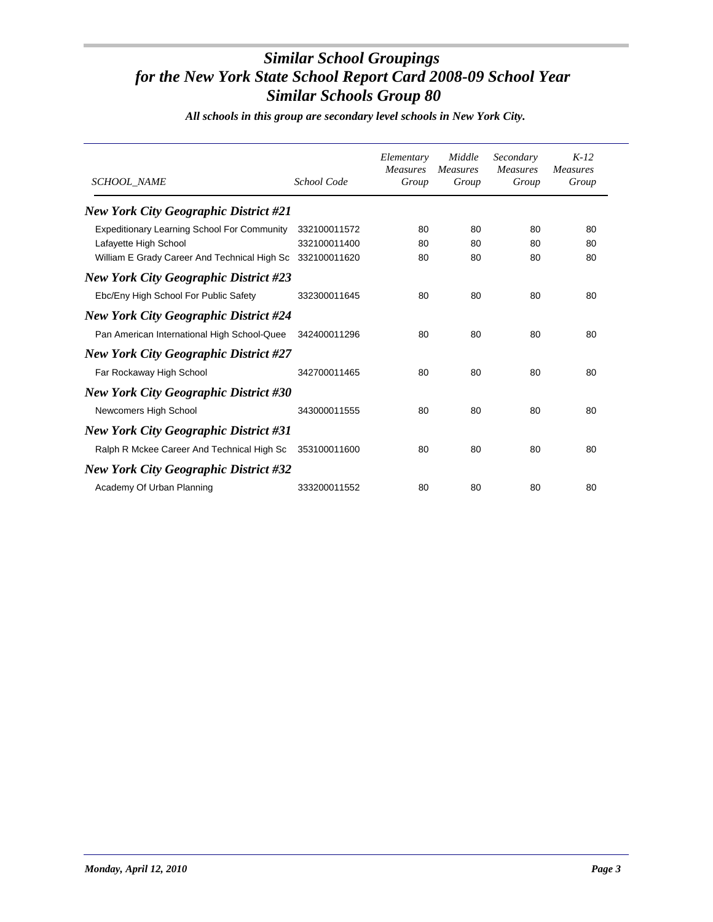| SCHOOL_NAME                                        | School Code  | Elementary<br><b>Measures</b><br>Group | Middle<br><b>Measures</b><br>Group | Secondary<br><b>Measures</b><br>Group | $K-12$<br><b>Measures</b><br>Group |
|----------------------------------------------------|--------------|----------------------------------------|------------------------------------|---------------------------------------|------------------------------------|
| <b>New York City Geographic District #21</b>       |              |                                        |                                    |                                       |                                    |
| <b>Expeditionary Learning School For Community</b> | 332100011572 | 80                                     | 80                                 | 80                                    | 80                                 |
| Lafayette High School                              | 332100011400 | 80                                     | 80                                 | 80                                    | 80                                 |
| William E Grady Career And Technical High Sc       | 332100011620 | 80                                     | 80                                 | 80                                    | 80                                 |
| <b>New York City Geographic District #23</b>       |              |                                        |                                    |                                       |                                    |
| Ebc/Eny High School For Public Safety              | 332300011645 | 80                                     | 80                                 | 80                                    | 80                                 |
| <b>New York City Geographic District #24</b>       |              |                                        |                                    |                                       |                                    |
| Pan American International High School-Quee        | 342400011296 | 80                                     | 80                                 | 80                                    | 80                                 |
| <b>New York City Geographic District #27</b>       |              |                                        |                                    |                                       |                                    |
| Far Rockaway High School                           | 342700011465 | 80                                     | 80                                 | 80                                    | 80                                 |
| <b>New York City Geographic District #30</b>       |              |                                        |                                    |                                       |                                    |
| Newcomers High School                              | 343000011555 | 80                                     | 80                                 | 80                                    | 80                                 |
| <b>New York City Geographic District #31</b>       |              |                                        |                                    |                                       |                                    |
| Ralph R Mckee Career And Technical High Sc         | 353100011600 | 80                                     | 80                                 | 80                                    | 80                                 |
| <b>New York City Geographic District #32</b>       |              |                                        |                                    |                                       |                                    |
| Academy Of Urban Planning                          | 333200011552 | 80                                     | 80                                 | 80                                    | 80                                 |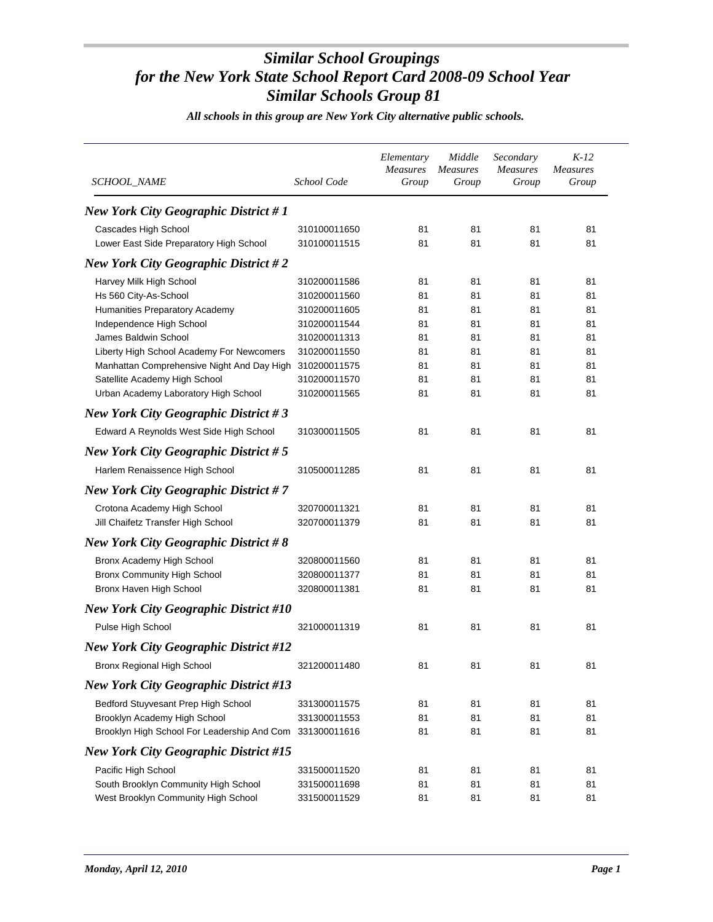*All schools in this group are New York City alternative public schools.*

| SCHOOL_NAME                                              | School Code  | Elementary<br>Measures<br>Group | Middle<br><b>Measures</b><br>Group | Secondary<br><b>Measures</b><br>Group | $K-12$<br><b>Measures</b><br>Group |
|----------------------------------------------------------|--------------|---------------------------------|------------------------------------|---------------------------------------|------------------------------------|
| <b>New York City Geographic District #1</b>              |              |                                 |                                    |                                       |                                    |
| Cascades High School                                     | 310100011650 | 81                              | 81                                 | 81                                    | 81                                 |
| Lower East Side Preparatory High School                  | 310100011515 | 81                              | 81                                 | 81                                    | 81                                 |
| <b>New York City Geographic District #2</b>              |              |                                 |                                    |                                       |                                    |
| Harvey Milk High School                                  | 310200011586 | 81                              | 81                                 | 81                                    | 81                                 |
| Hs 560 City-As-School                                    | 310200011560 | 81                              | 81                                 | 81                                    | 81                                 |
| Humanities Preparatory Academy                           | 310200011605 | 81                              | 81                                 | 81                                    | 81                                 |
| Independence High School                                 | 310200011544 | 81                              | 81                                 | 81                                    | 81                                 |
| James Baldwin School                                     | 310200011313 | 81                              | 81                                 | 81                                    | 81                                 |
| Liberty High School Academy For Newcomers                | 310200011550 | 81                              | 81                                 | 81                                    | 81                                 |
| Manhattan Comprehensive Night And Day High               | 310200011575 | 81                              | 81                                 | 81                                    | 81                                 |
| Satellite Academy High School                            | 310200011570 | 81                              | 81                                 | 81                                    | 81                                 |
| Urban Academy Laboratory High School                     | 310200011565 | 81                              | 81                                 | 81                                    | 81                                 |
| <b>New York City Geographic District #3</b>              |              |                                 |                                    |                                       |                                    |
| Edward A Reynolds West Side High School                  | 310300011505 | 81                              | 81                                 | 81                                    | 81                                 |
| <b>New York City Geographic District #5</b>              |              |                                 |                                    |                                       |                                    |
| Harlem Renaissence High School                           | 310500011285 | 81                              | 81                                 | 81                                    | 81                                 |
| <b>New York City Geographic District #7</b>              |              |                                 |                                    |                                       |                                    |
| Crotona Academy High School                              | 320700011321 | 81                              | 81                                 | 81                                    | 81                                 |
| Jill Chaifetz Transfer High School                       | 320700011379 | 81                              | 81                                 | 81                                    | 81                                 |
| <b>New York City Geographic District #8</b>              |              |                                 |                                    |                                       |                                    |
| Bronx Academy High School                                | 320800011560 | 81                              | 81                                 | 81                                    | 81                                 |
| Bronx Community High School                              | 320800011377 | 81                              | 81                                 | 81                                    | 81                                 |
| Bronx Haven High School                                  | 320800011381 | 81                              | 81                                 | 81                                    | 81                                 |
| <b>New York City Geographic District #10</b>             |              |                                 |                                    |                                       |                                    |
| Pulse High School                                        | 321000011319 | 81                              | 81                                 | 81                                    | 81                                 |
| <b>New York City Geographic District #12</b>             |              |                                 |                                    |                                       |                                    |
| Bronx Regional High School                               | 321200011480 | 81                              | 81                                 | 81                                    | 81                                 |
| <b>New York City Geographic District #13</b>             |              |                                 |                                    |                                       |                                    |
| Bedford Stuyvesant Prep High School                      | 331300011575 | 81                              | 81                                 | 81                                    | 81                                 |
| Brooklyn Academy High School                             | 331300011553 | 81                              | 81                                 | 81                                    | 81                                 |
| Brooklyn High School For Leadership And Com 331300011616 |              | 81                              | 81                                 | 81                                    | 81                                 |
| <b>New York City Geographic District #15</b>             |              |                                 |                                    |                                       |                                    |
| Pacific High School                                      | 331500011520 | 81                              | 81                                 | 81                                    | 81                                 |
| South Brooklyn Community High School                     | 331500011698 | 81                              | 81                                 | 81                                    | 81                                 |
| West Brooklyn Community High School                      | 331500011529 | 81                              | 81                                 | 81                                    | 81                                 |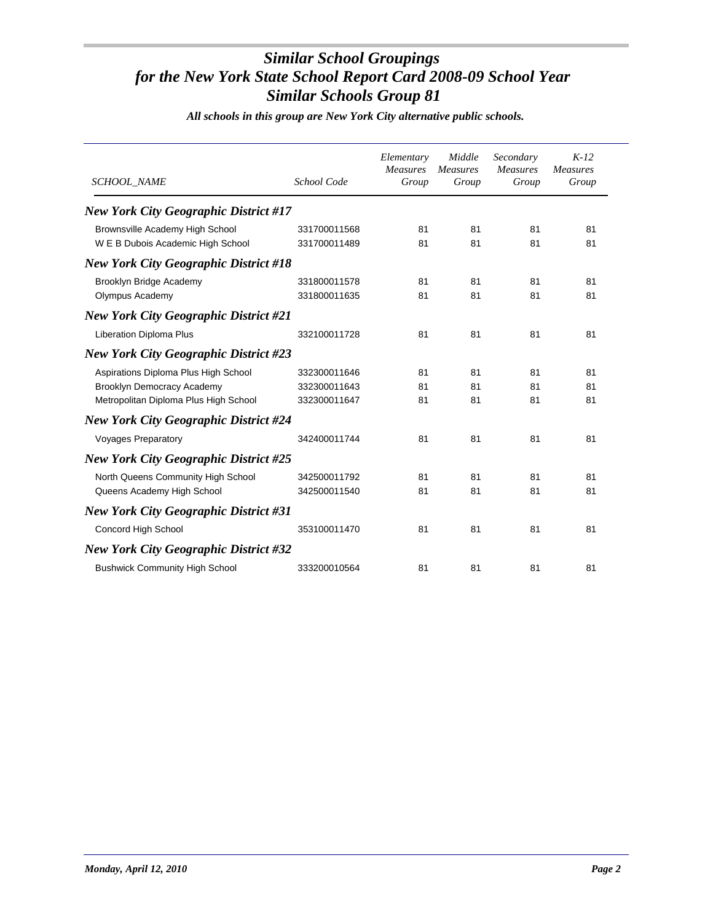*All schools in this group are New York City alternative public schools.*

| <b>SCHOOL_NAME</b>                           | School Code  | Elementary<br><b>Measures</b><br>Group | Middle<br><b>Measures</b><br>Group | Secondary<br><b>Measures</b><br>Group | $K-12$<br><b>Measures</b><br>Group |
|----------------------------------------------|--------------|----------------------------------------|------------------------------------|---------------------------------------|------------------------------------|
| <b>New York City Geographic District #17</b> |              |                                        |                                    |                                       |                                    |
| Brownsville Academy High School              | 331700011568 | 81                                     | 81                                 | 81                                    | 81                                 |
| W E B Dubois Academic High School            | 331700011489 | 81                                     | 81                                 | 81                                    | 81                                 |
| <b>New York City Geographic District #18</b> |              |                                        |                                    |                                       |                                    |
| Brooklyn Bridge Academy                      | 331800011578 | 81                                     | 81                                 | 81                                    | 81                                 |
| Olympus Academy                              | 331800011635 | 81                                     | 81                                 | 81                                    | 81                                 |
| <b>New York City Geographic District #21</b> |              |                                        |                                    |                                       |                                    |
| <b>Liberation Diploma Plus</b>               | 332100011728 | 81                                     | 81                                 | 81                                    | 81                                 |
| <b>New York City Geographic District #23</b> |              |                                        |                                    |                                       |                                    |
| Aspirations Diploma Plus High School         | 332300011646 | 81                                     | 81                                 | 81                                    | 81                                 |
| Brooklyn Democracy Academy                   | 332300011643 | 81                                     | 81                                 | 81                                    | 81                                 |
| Metropolitan Diploma Plus High School        | 332300011647 | 81                                     | 81                                 | 81                                    | 81                                 |
| <b>New York City Geographic District #24</b> |              |                                        |                                    |                                       |                                    |
| <b>Voyages Preparatory</b>                   | 342400011744 | 81                                     | 81                                 | 81                                    | 81                                 |
| <b>New York City Geographic District #25</b> |              |                                        |                                    |                                       |                                    |
| North Queens Community High School           | 342500011792 | 81                                     | 81                                 | 81                                    | 81                                 |
| Queens Academy High School                   | 342500011540 | 81                                     | 81                                 | 81                                    | 81                                 |
| <b>New York City Geographic District #31</b> |              |                                        |                                    |                                       |                                    |
| Concord High School                          | 353100011470 | 81                                     | 81                                 | 81                                    | 81                                 |
| <b>New York City Geographic District #32</b> |              |                                        |                                    |                                       |                                    |
| <b>Bushwick Community High School</b>        | 333200010564 | 81                                     | 81                                 | 81                                    | 81                                 |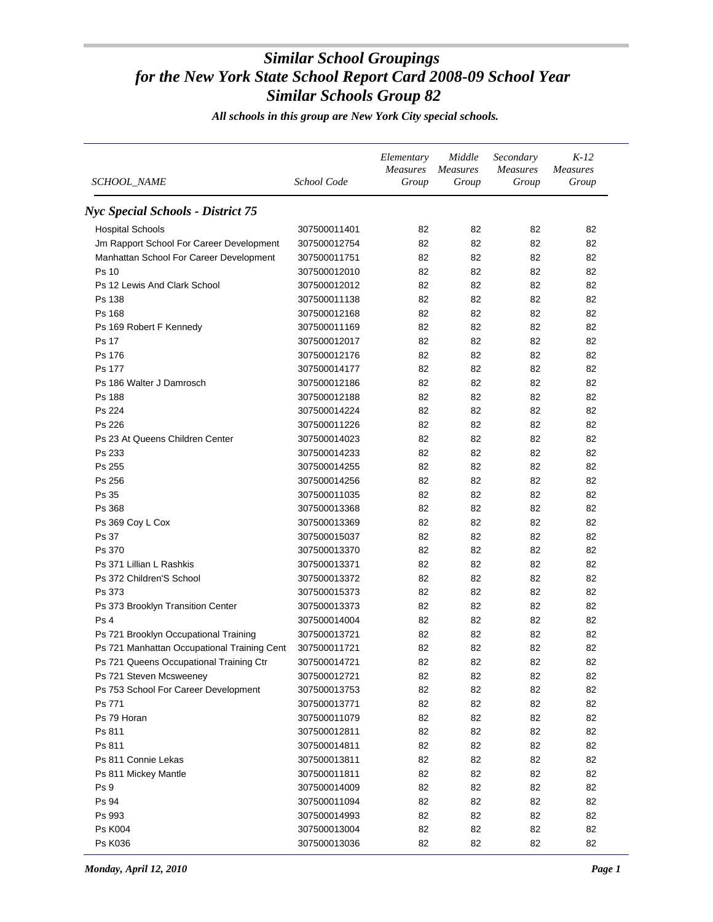*All schools in this group are New York City special schools.*

| SCHOOL_NAME                                 | School Code                  | Elementary<br><b>Measures</b><br>Group | Middle<br>Measures<br>Group | Secondary<br><b>Measures</b><br>Group | $K-12$<br><b>Measures</b><br>Group |
|---------------------------------------------|------------------------------|----------------------------------------|-----------------------------|---------------------------------------|------------------------------------|
| <b>Nyc Special Schools - District 75</b>    |                              |                                        |                             |                                       |                                    |
| <b>Hospital Schools</b>                     | 307500011401                 | 82                                     | 82                          | 82                                    | 82                                 |
| Jm Rapport School For Career Development    | 307500012754                 | 82                                     | 82                          | 82                                    | 82                                 |
| Manhattan School For Career Development     | 307500011751                 | 82                                     | 82                          | 82                                    | 82                                 |
| Ps 10                                       | 307500012010                 | 82                                     | 82                          | 82                                    | 82                                 |
| Ps 12 Lewis And Clark School                | 307500012012                 | 82                                     | 82                          | 82                                    | 82                                 |
| Ps 138                                      | 307500011138                 | 82                                     | 82                          | 82                                    | 82                                 |
| Ps 168                                      | 307500012168                 | 82                                     | 82                          | 82                                    | 82                                 |
| Ps 169 Robert F Kennedy                     | 307500011169                 | 82                                     | 82                          | 82                                    | 82                                 |
| Ps 17                                       | 307500012017                 | 82                                     | 82                          | 82                                    | 82                                 |
| Ps 176                                      | 307500012176                 | 82                                     | 82                          | 82                                    | 82                                 |
| Ps 177                                      | 307500014177                 | 82                                     | 82                          | 82                                    | 82                                 |
| Ps 186 Walter J Damrosch                    | 307500012186                 | 82                                     | 82                          | 82                                    | 82                                 |
| Ps 188                                      | 307500012188                 | 82                                     | 82                          | 82                                    | 82                                 |
| Ps 224                                      | 307500014224                 | 82                                     | 82                          | 82                                    | 82                                 |
| Ps 226                                      | 307500011226                 | 82                                     | 82                          | 82                                    | 82                                 |
| Ps 23 At Queens Children Center             | 307500014023                 | 82                                     | 82                          | 82                                    | 82                                 |
| Ps 233                                      | 307500014233                 | 82                                     | 82                          | 82                                    | 82                                 |
| Ps 255                                      |                              | 82                                     | 82                          | 82                                    | 82                                 |
| Ps 256                                      | 307500014255<br>307500014256 | 82                                     | 82                          | 82                                    | 82                                 |
|                                             |                              |                                        |                             |                                       | 82                                 |
| Ps 35                                       | 307500011035                 | 82<br>82                               | 82<br>82                    | 82<br>82                              | 82                                 |
| Ps 368                                      | 307500013368                 | 82                                     | 82                          |                                       | 82                                 |
| Ps 369 Coy L Cox                            | 307500013369                 |                                        |                             | 82                                    |                                    |
| Ps 37                                       | 307500015037                 | 82                                     | 82                          | 82                                    | 82                                 |
| Ps 370                                      | 307500013370                 | 82                                     | 82                          | 82                                    | 82                                 |
| Ps 371 Lillian L Rashkis                    | 307500013371                 | 82                                     | 82                          | 82                                    | 82                                 |
| Ps 372 Children'S School                    | 307500013372                 | 82                                     | 82                          | 82                                    | 82                                 |
| Ps 373                                      | 307500015373                 | 82                                     | 82                          | 82                                    | 82                                 |
| Ps 373 Brooklyn Transition Center           | 307500013373                 | 82                                     | 82                          | 82                                    | 82                                 |
| Ps 4                                        | 307500014004                 | 82                                     | 82                          | 82                                    | 82                                 |
| Ps 721 Brooklyn Occupational Training       | 307500013721                 | 82                                     | 82                          | 82                                    | 82                                 |
| Ps 721 Manhattan Occupational Training Cent | 307500011721                 | 82                                     | 82                          | 82                                    | 82                                 |
| Ps 721 Queens Occupational Training Ctr     | 307500014721                 | 82                                     | 82                          | 82                                    | 82                                 |
| Ps 721 Steven Mcsweeney                     | 307500012721                 | 82                                     | 82                          | 82                                    | 82                                 |
| Ps 753 School For Career Development        | 307500013753                 | 82                                     | 82                          | 82                                    | 82                                 |
| Ps 771                                      | 307500013771                 | 82                                     | 82                          | 82                                    | 82                                 |
| Ps 79 Horan                                 | 307500011079                 | 82                                     | 82                          | 82                                    | 82                                 |
| Ps 811                                      | 307500012811                 | 82                                     | 82                          | 82                                    | 82                                 |
| Ps 811                                      | 307500014811                 | 82                                     | 82                          | 82                                    | 82                                 |
| Ps 811 Connie Lekas                         | 307500013811                 | 82                                     | 82                          | 82                                    | 82                                 |
| Ps 811 Mickey Mantle                        | 307500011811                 | 82                                     | 82                          | 82                                    | 82                                 |
| Ps 9                                        | 307500014009                 | 82                                     | 82                          | 82                                    | 82                                 |
| Ps 94                                       | 307500011094                 | 82                                     | 82                          | 82                                    | 82                                 |
| Ps 993                                      | 307500014993                 | 82                                     | 82                          | 82                                    | 82                                 |
| <b>Ps K004</b>                              | 307500013004                 | 82                                     | 82                          | 82                                    | 82                                 |
| Ps K036                                     | 307500013036                 | 82                                     | 82                          | 82                                    | 82                                 |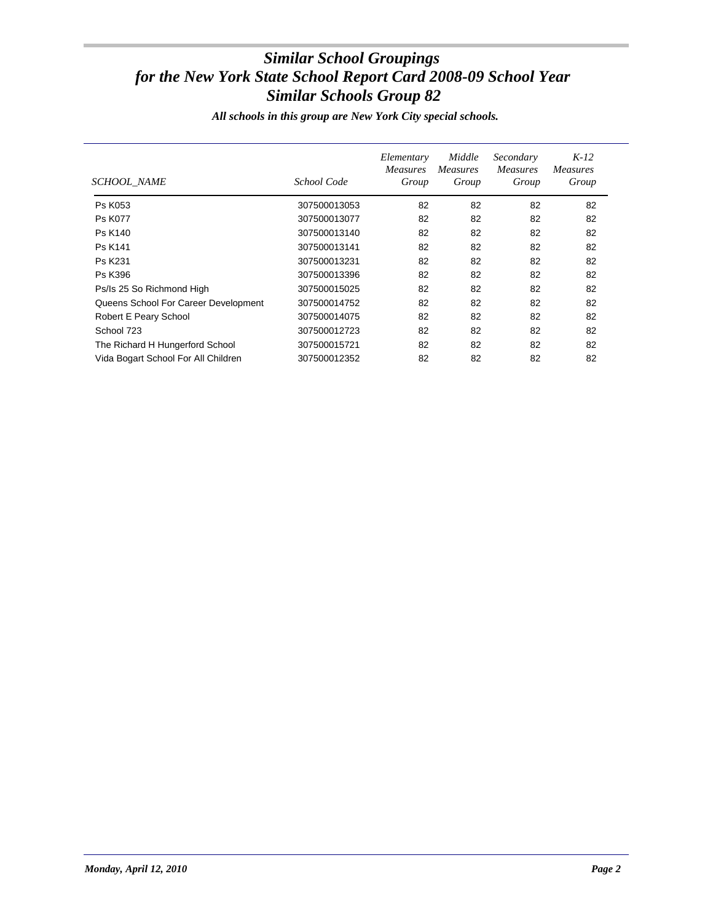*All schools in this group are New York City special schools.*

| SCHOOL NAME                          | School Code  | Elementary<br><b>Measures</b><br>Group | Middle<br><i>Measures</i><br>Group | Secondary<br><i>Measures</i><br>Group | $K-12$<br><i>Measures</i><br>Group |
|--------------------------------------|--------------|----------------------------------------|------------------------------------|---------------------------------------|------------------------------------|
| Ps K053                              | 307500013053 | 82                                     | 82                                 | 82                                    | 82                                 |
| <b>Ps K077</b>                       | 307500013077 | 82                                     | 82                                 | 82                                    | 82                                 |
| <b>Ps K140</b>                       | 307500013140 | 82                                     | 82                                 | 82                                    | 82                                 |
| <b>Ps K141</b>                       | 307500013141 | 82                                     | 82                                 | 82                                    | 82                                 |
| Ps K231                              | 307500013231 | 82                                     | 82                                 | 82                                    | 82                                 |
| Ps K396                              | 307500013396 | 82                                     | 82                                 | 82                                    | 82                                 |
| Ps/Is 25 So Richmond High            | 307500015025 | 82                                     | 82                                 | 82                                    | 82                                 |
| Queens School For Career Development | 307500014752 | 82                                     | 82                                 | 82                                    | 82                                 |
| Robert E Peary School                | 307500014075 | 82                                     | 82                                 | 82                                    | 82                                 |
| School 723                           | 307500012723 | 82                                     | 82                                 | 82                                    | 82                                 |
| The Richard H Hungerford School      | 307500015721 | 82                                     | 82                                 | 82                                    | 82                                 |
| Vida Bogart School For All Children  | 307500012352 | 82                                     | 82                                 | 82                                    | 82                                 |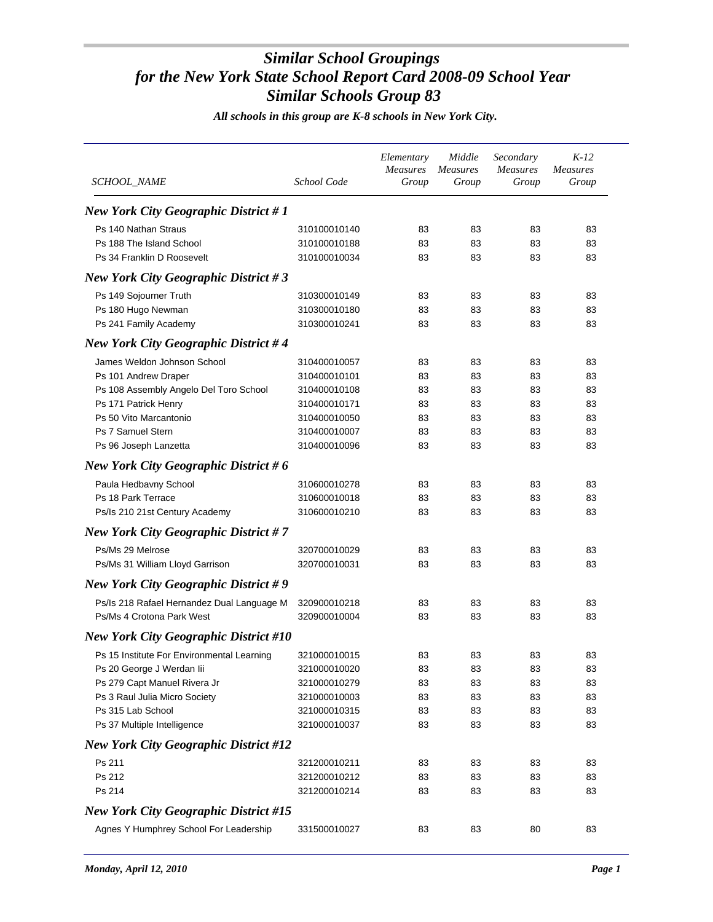*All schools in this group are K-8 schools in New York City.*

| SCHOOL_NAME                                  | School Code  | Elementary<br><b>Measures</b><br>Group | Middle<br><b>Measures</b><br>Group | Secondary<br><b>Measures</b><br>Group | $K-12$<br><b>Measures</b><br>Group |
|----------------------------------------------|--------------|----------------------------------------|------------------------------------|---------------------------------------|------------------------------------|
| <b>New York City Geographic District #1</b>  |              |                                        |                                    |                                       |                                    |
| Ps 140 Nathan Straus                         | 310100010140 | 83                                     | 83                                 | 83                                    | 83                                 |
| Ps 188 The Island School                     | 310100010188 | 83                                     | 83                                 | 83                                    | 83                                 |
| Ps 34 Franklin D Roosevelt                   | 310100010034 | 83                                     | 83                                 | 83                                    | 83                                 |
| <b>New York City Geographic District #3</b>  |              |                                        |                                    |                                       |                                    |
| Ps 149 Sojourner Truth                       | 310300010149 | 83                                     | 83                                 | 83                                    | 83                                 |
| Ps 180 Hugo Newman                           | 310300010180 | 83                                     | 83                                 | 83                                    | 83                                 |
| Ps 241 Family Academy                        | 310300010241 | 83                                     | 83                                 | 83                                    | 83                                 |
| <b>New York City Geographic District #4</b>  |              |                                        |                                    |                                       |                                    |
| James Weldon Johnson School                  | 310400010057 | 83                                     | 83                                 | 83                                    | 83                                 |
| Ps 101 Andrew Draper                         | 310400010101 | 83                                     | 83                                 | 83                                    | 83                                 |
| Ps 108 Assembly Angelo Del Toro School       | 310400010108 | 83                                     | 83                                 | 83                                    | 83                                 |
| Ps 171 Patrick Henry                         | 310400010171 | 83                                     | 83                                 | 83                                    | 83                                 |
| Ps 50 Vito Marcantonio                       | 310400010050 | 83                                     | 83                                 | 83                                    | 83                                 |
| Ps 7 Samuel Stern                            | 310400010007 | 83                                     | 83                                 | 83                                    | 83                                 |
| Ps 96 Joseph Lanzetta                        | 310400010096 | 83                                     | 83                                 | 83                                    | 83                                 |
| New York City Geographic District # $6$      |              |                                        |                                    |                                       |                                    |
| Paula Hedbavny School                        | 310600010278 | 83                                     | 83                                 | 83                                    | 83                                 |
| Ps 18 Park Terrace                           | 310600010018 | 83                                     | 83                                 | 83                                    | 83                                 |
| Ps/Is 210 21st Century Academy               | 310600010210 | 83                                     | 83                                 | 83                                    | 83                                 |
| <b>New York City Geographic District #7</b>  |              |                                        |                                    |                                       |                                    |
| Ps/Ms 29 Melrose                             | 320700010029 | 83                                     | 83                                 | 83                                    | 83                                 |
| Ps/Ms 31 William Lloyd Garrison              | 320700010031 | 83                                     | 83                                 | 83                                    | 83                                 |
| <b>New York City Geographic District #9</b>  |              |                                        |                                    |                                       |                                    |
| Ps/Is 218 Rafael Hernandez Dual Language M   | 320900010218 | 83                                     | 83                                 | 83                                    | 83                                 |
| Ps/Ms 4 Crotona Park West                    | 320900010004 | 83                                     | 83                                 | 83                                    | 83                                 |
| <b>New York City Geographic District #10</b> |              |                                        |                                    |                                       |                                    |
| Ps 15 Institute For Environmental Learning   | 321000010015 | 83                                     | 83                                 | 83                                    | 83                                 |
| Ps 20 George J Werdan lii                    | 321000010020 | 83                                     | 83                                 | 83                                    | 83                                 |
| Ps 279 Capt Manuel Rivera Jr                 | 321000010279 | 83                                     | 83                                 | 83                                    | 83                                 |
| Ps 3 Raul Julia Micro Society                | 321000010003 | 83                                     | 83                                 | 83                                    | 83                                 |
| Ps 315 Lab School                            | 321000010315 | 83                                     | 83                                 | 83                                    | 83                                 |
| Ps 37 Multiple Intelligence                  | 321000010037 | 83                                     | 83                                 | 83                                    | 83                                 |
| <b>New York City Geographic District #12</b> |              |                                        |                                    |                                       |                                    |
| Ps 211                                       | 321200010211 | 83                                     | 83                                 | 83                                    | 83                                 |
| Ps 212                                       | 321200010212 | 83                                     | 83                                 | 83                                    | 83                                 |
| Ps 214                                       | 321200010214 | 83                                     | 83                                 | 83                                    | 83                                 |
| <b>New York City Geographic District #15</b> |              |                                        |                                    |                                       |                                    |
| Agnes Y Humphrey School For Leadership       | 331500010027 | 83                                     | 83                                 | 80                                    | 83                                 |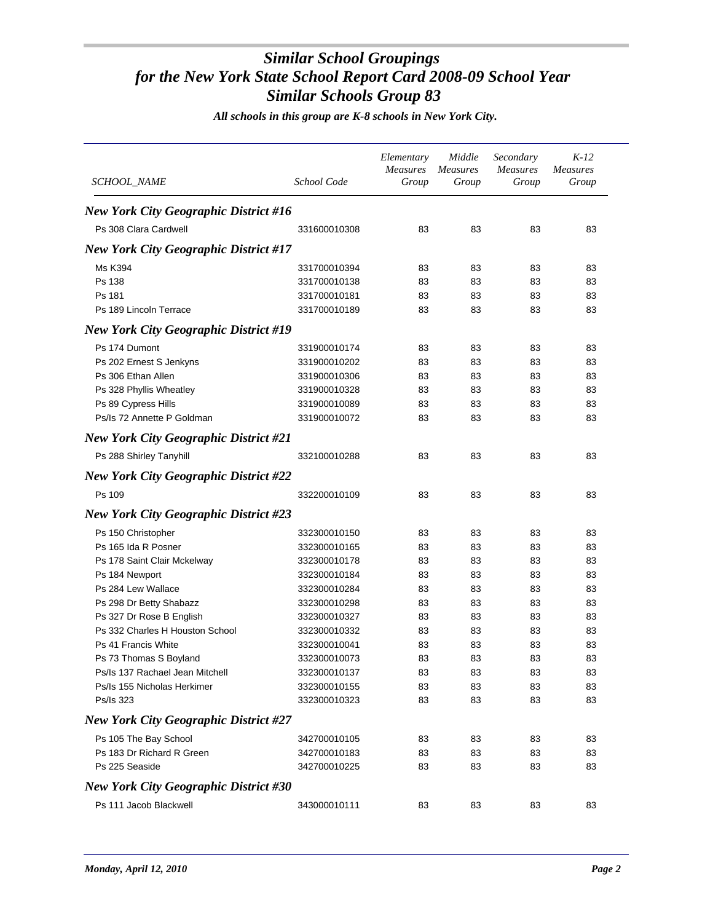| SCHOOL_NAME                                  | School Code  | Elementary<br><b>Measures</b><br>Group | Middle<br><i>Measures</i><br>Group | Secondary<br><b>Measures</b><br>Group | $K-12$<br><i>Measures</i><br>Group |  |
|----------------------------------------------|--------------|----------------------------------------|------------------------------------|---------------------------------------|------------------------------------|--|
| New York City Geographic District #16        |              |                                        |                                    |                                       |                                    |  |
| Ps 308 Clara Cardwell                        | 331600010308 | 83                                     | 83                                 | 83                                    | 83                                 |  |
| <b>New York City Geographic District #17</b> |              |                                        |                                    |                                       |                                    |  |
| Ms K394                                      | 331700010394 | 83                                     | 83                                 | 83                                    | 83                                 |  |
| Ps 138                                       | 331700010138 | 83                                     | 83                                 | 83                                    | 83                                 |  |
| Ps 181                                       | 331700010181 | 83                                     | 83                                 | 83                                    | 83                                 |  |
| Ps 189 Lincoln Terrace                       | 331700010189 | 83                                     | 83                                 | 83                                    | 83                                 |  |
| <b>New York City Geographic District #19</b> |              |                                        |                                    |                                       |                                    |  |
| Ps 174 Dumont                                | 331900010174 | 83                                     | 83                                 | 83                                    | 83                                 |  |
| Ps 202 Ernest S Jenkyns                      | 331900010202 | 83                                     | 83                                 | 83                                    | 83                                 |  |
| Ps 306 Ethan Allen                           | 331900010306 | 83                                     | 83                                 | 83                                    | 83                                 |  |
| Ps 328 Phyllis Wheatley                      | 331900010328 | 83                                     | 83                                 | 83                                    | 83                                 |  |
| Ps 89 Cypress Hills                          | 331900010089 | 83                                     | 83                                 | 83                                    | 83                                 |  |
| Ps/Is 72 Annette P Goldman                   | 331900010072 | 83                                     | 83                                 | 83                                    | 83                                 |  |
| New York City Geographic District #21        |              |                                        |                                    |                                       |                                    |  |
| Ps 288 Shirley Tanyhill                      | 332100010288 | 83                                     | 83                                 | 83                                    | 83                                 |  |
| <b>New York City Geographic District #22</b> |              |                                        |                                    |                                       |                                    |  |
| Ps 109                                       | 332200010109 | 83                                     | 83                                 | 83                                    | 83                                 |  |
| <b>New York City Geographic District #23</b> |              |                                        |                                    |                                       |                                    |  |
| Ps 150 Christopher                           | 332300010150 | 83                                     | 83                                 | 83                                    | 83                                 |  |
| Ps 165 Ida R Posner                          | 332300010165 | 83                                     | 83                                 | 83                                    | 83                                 |  |
| Ps 178 Saint Clair Mckelway                  | 332300010178 | 83                                     | 83                                 | 83                                    | 83                                 |  |
| Ps 184 Newport                               | 332300010184 | 83                                     | 83                                 | 83                                    | 83                                 |  |
| Ps 284 Lew Wallace                           | 332300010284 | 83                                     | 83                                 | 83                                    | 83                                 |  |
| Ps 298 Dr Betty Shabazz                      | 332300010298 | 83                                     | 83                                 | 83                                    | 83                                 |  |
| Ps 327 Dr Rose B English                     | 332300010327 | 83                                     | 83                                 | 83                                    | 83                                 |  |
| Ps 332 Charles H Houston School              | 332300010332 | 83                                     | 83                                 | 83                                    | 83                                 |  |
| Ps 41 Francis White                          | 332300010041 | 83                                     | 83                                 | 83                                    | 83                                 |  |
| Ps 73 Thomas S Boyland                       | 332300010073 | 83                                     | 83                                 | 83                                    | 83                                 |  |
| Ps/Is 137 Rachael Jean Mitchell              | 332300010137 | 83                                     | 83                                 | 83                                    | 83                                 |  |
| Ps/Is 155 Nicholas Herkimer                  | 332300010155 | 83                                     | 83                                 | 83                                    | 83                                 |  |
| Ps/Is 323                                    | 332300010323 | 83                                     | 83                                 | 83                                    | 83                                 |  |
| <b>New York City Geographic District #27</b> |              |                                        |                                    |                                       |                                    |  |
| Ps 105 The Bay School                        | 342700010105 | 83                                     | 83                                 | 83                                    | 83                                 |  |
| Ps 183 Dr Richard R Green                    | 342700010183 | 83                                     | 83                                 | 83                                    | 83                                 |  |
| Ps 225 Seaside                               | 342700010225 | 83                                     | 83                                 | 83                                    | 83                                 |  |
| <b>New York City Geographic District #30</b> |              |                                        |                                    |                                       |                                    |  |
| Ps 111 Jacob Blackwell                       | 343000010111 | 83                                     | 83                                 | 83                                    | 83                                 |  |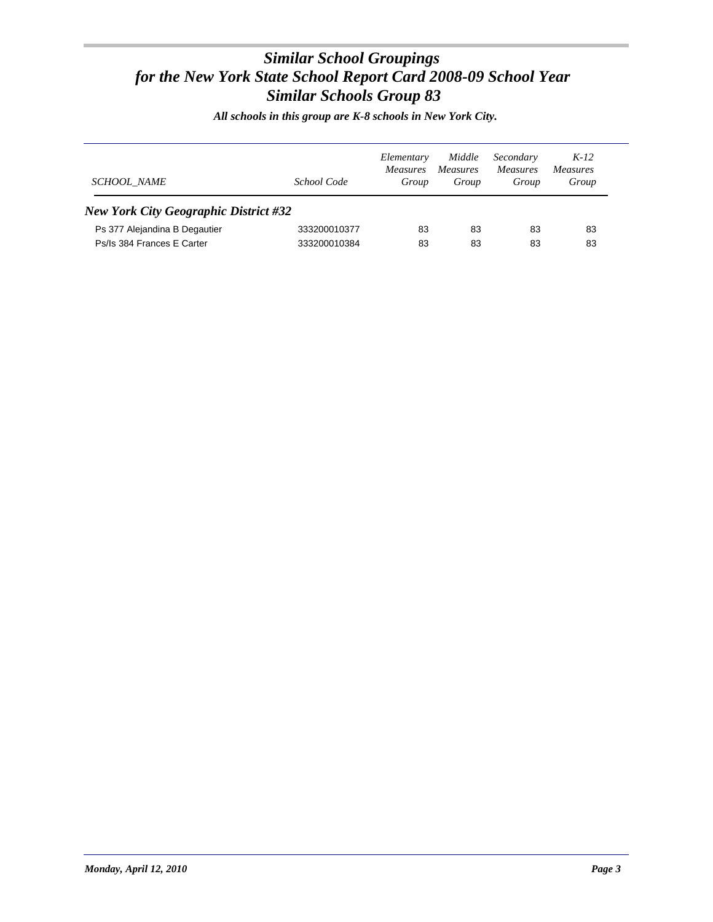| <b>SCHOOL NAME</b>                           | School Code  | Elementary<br><i>Measures</i><br>Group | Middle<br><i>Measures</i><br>Group | Secondary<br><i>Measures</i><br>Group | $K-12$<br><i>Measures</i><br>Group |
|----------------------------------------------|--------------|----------------------------------------|------------------------------------|---------------------------------------|------------------------------------|
| <b>New York City Geographic District #32</b> |              |                                        |                                    |                                       |                                    |
| Ps 377 Alejandina B Degautier                | 333200010377 | 83                                     | 83                                 | 83                                    | 83                                 |
| Ps/Is 384 Frances E Carter                   | 333200010384 | 83                                     | 83                                 | 83                                    | 83                                 |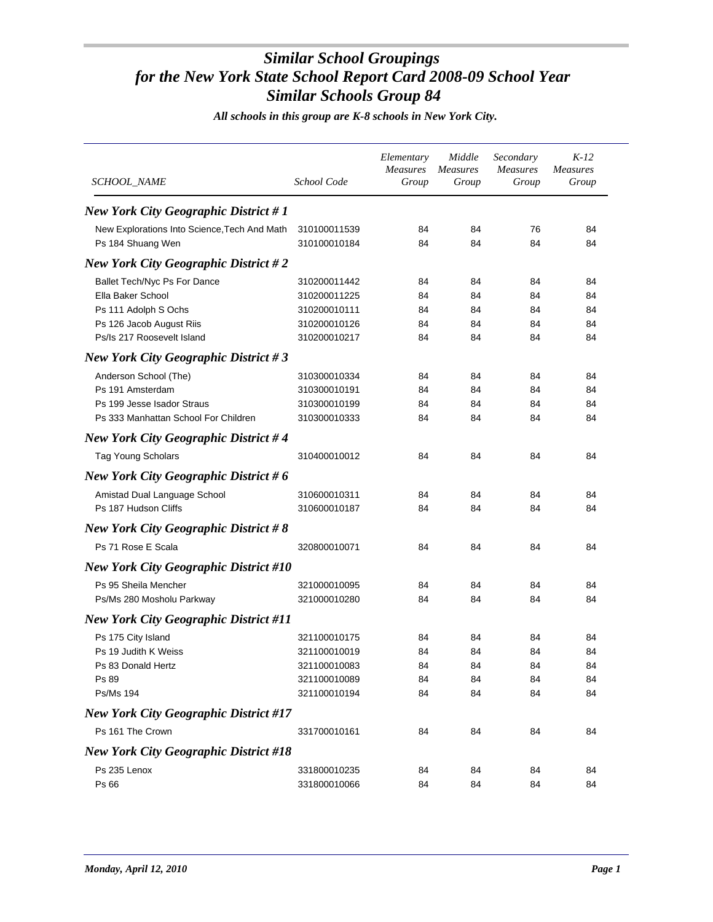| <i>SCHOOL_NAME</i>                           | School Code  | Elementary<br><b>Measures</b><br>Group | Middle<br><i>Measures</i><br>Group | Secondary<br><b>Measures</b><br>Group | $K-12$<br><b>Measures</b><br>Group |
|----------------------------------------------|--------------|----------------------------------------|------------------------------------|---------------------------------------|------------------------------------|
| <b>New York City Geographic District #1</b>  |              |                                        |                                    |                                       |                                    |
| New Explorations Into Science, Tech And Math | 310100011539 | 84                                     | 84                                 | 76                                    | 84                                 |
| Ps 184 Shuang Wen                            | 310100010184 | 84                                     | 84                                 | 84                                    | 84                                 |
| New York City Geographic District #2         |              |                                        |                                    |                                       |                                    |
| Ballet Tech/Nyc Ps For Dance                 | 310200011442 | 84                                     | 84                                 | 84                                    | 84                                 |
| Ella Baker School                            | 310200011225 | 84                                     | 84                                 | 84                                    | 84                                 |
| Ps 111 Adolph S Ochs                         | 310200010111 | 84                                     | 84                                 | 84                                    | 84                                 |
| Ps 126 Jacob August Riis                     | 310200010126 | 84                                     | 84                                 | 84                                    | 84                                 |
| Ps/Is 217 Roosevelt Island                   | 310200010217 | 84                                     | 84                                 | 84                                    | 84                                 |
| <b>New York City Geographic District #3</b>  |              |                                        |                                    |                                       |                                    |
| Anderson School (The)                        | 310300010334 | 84                                     | 84                                 | 84                                    | 84                                 |
| Ps 191 Amsterdam                             | 310300010191 | 84                                     | 84                                 | 84                                    | 84                                 |
| Ps 199 Jesse Isador Straus                   | 310300010199 | 84                                     | 84                                 | 84                                    | 84                                 |
| Ps 333 Manhattan School For Children         | 310300010333 | 84                                     | 84                                 | 84                                    | 84                                 |
| <b>New York City Geographic District #4</b>  |              |                                        |                                    |                                       |                                    |
| <b>Tag Young Scholars</b>                    | 310400010012 | 84                                     | 84                                 | 84                                    | 84                                 |
| <b>New York City Geographic District #6</b>  |              |                                        |                                    |                                       |                                    |
| Amistad Dual Language School                 | 310600010311 | 84                                     | 84                                 | 84                                    | 84                                 |
| Ps 187 Hudson Cliffs                         | 310600010187 | 84                                     | 84                                 | 84                                    | 84                                 |
| <b>New York City Geographic District #8</b>  |              |                                        |                                    |                                       |                                    |
| Ps 71 Rose E Scala                           | 320800010071 | 84                                     | 84                                 | 84                                    | 84                                 |
| <b>New York City Geographic District #10</b> |              |                                        |                                    |                                       |                                    |
| Ps 95 Sheila Mencher                         | 321000010095 | 84                                     | 84                                 | 84                                    | 84                                 |
| Ps/Ms 280 Mosholu Parkway                    | 321000010280 | 84                                     | 84                                 | 84                                    | 84                                 |
| <b>New York City Geographic District #11</b> |              |                                        |                                    |                                       |                                    |
| Ps 175 City Island                           | 321100010175 | 84                                     | 84                                 | 84                                    | 84                                 |
| Ps 19 Judith K Weiss                         | 321100010019 | 84                                     | 84                                 | 84                                    | 84                                 |
| Ps 83 Donald Hertz                           | 321100010083 | 84                                     | 84                                 | 84                                    | 84                                 |
| Ps 89                                        | 321100010089 | 84                                     | 84                                 | 84                                    | 84                                 |
| Ps/Ms 194                                    | 321100010194 | 84                                     | 84                                 | 84                                    | 84                                 |
| <b>New York City Geographic District #17</b> |              |                                        |                                    |                                       |                                    |
| Ps 161 The Crown                             | 331700010161 | 84                                     | 84                                 | 84                                    | 84                                 |
| <b>New York City Geographic District #18</b> |              |                                        |                                    |                                       |                                    |
| Ps 235 Lenox                                 | 331800010235 | 84                                     | 84                                 | 84                                    | 84                                 |
| Ps 66                                        | 331800010066 | 84                                     | 84                                 | 84                                    | 84                                 |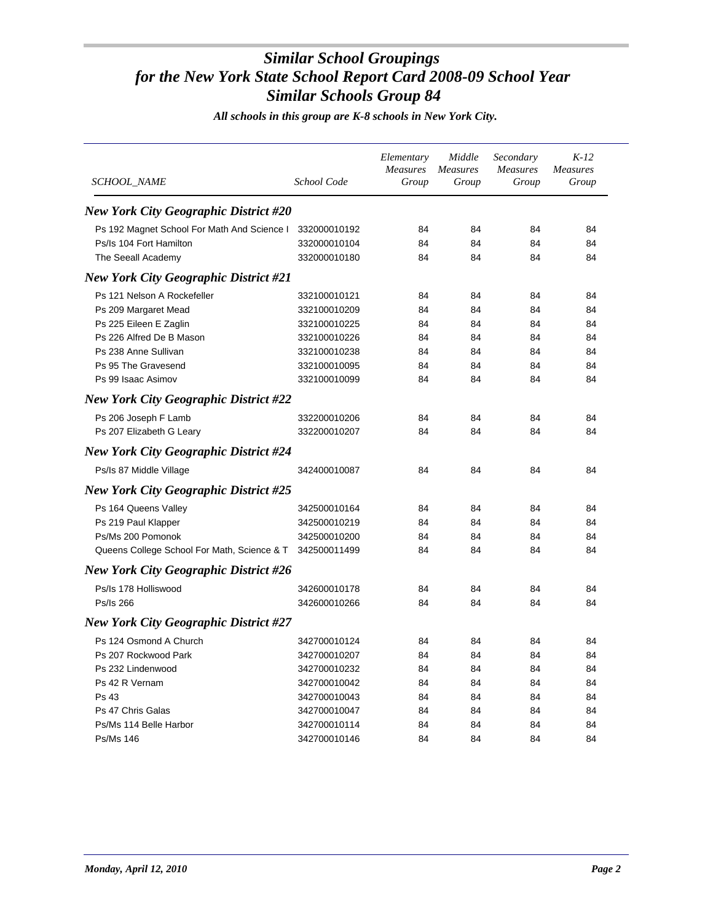| <i>SCHOOL_NAME</i>                           | School Code  | Elementary<br><b>Measures</b><br>Group | Middle<br>Measures<br>Group | Secondary<br><b>Measures</b><br>Group | $K-12$<br><b>Measures</b><br>Group |
|----------------------------------------------|--------------|----------------------------------------|-----------------------------|---------------------------------------|------------------------------------|
| <b>New York City Geographic District #20</b> |              |                                        |                             |                                       |                                    |
| Ps 192 Magnet School For Math And Science I  | 332000010192 | 84                                     | 84                          | 84                                    | 84                                 |
| Ps/Is 104 Fort Hamilton                      | 332000010104 | 84                                     | 84                          | 84                                    | 84                                 |
| The Seeall Academy                           | 332000010180 | 84                                     | 84                          | 84                                    | 84                                 |
| <b>New York City Geographic District #21</b> |              |                                        |                             |                                       |                                    |
| Ps 121 Nelson A Rockefeller                  | 332100010121 | 84                                     | 84                          | 84                                    | 84                                 |
| Ps 209 Margaret Mead                         | 332100010209 | 84                                     | 84                          | 84                                    | 84                                 |
| Ps 225 Eileen E Zaglin                       | 332100010225 | 84                                     | 84                          | 84                                    | 84                                 |
| Ps 226 Alfred De B Mason                     | 332100010226 | 84                                     | 84                          | 84                                    | 84                                 |
| Ps 238 Anne Sullivan                         | 332100010238 | 84                                     | 84                          | 84                                    | 84                                 |
| Ps 95 The Gravesend                          | 332100010095 | 84                                     | 84                          | 84                                    | 84                                 |
| Ps 99 Isaac Asimov                           | 332100010099 | 84                                     | 84                          | 84                                    | 84                                 |
| <b>New York City Geographic District #22</b> |              |                                        |                             |                                       |                                    |
| Ps 206 Joseph F Lamb                         | 332200010206 | 84                                     | 84                          | 84                                    | 84                                 |
| Ps 207 Elizabeth G Leary                     | 332200010207 | 84                                     | 84                          | 84                                    | 84                                 |
| <b>New York City Geographic District #24</b> |              |                                        |                             |                                       |                                    |
| Ps/Is 87 Middle Village                      | 342400010087 | 84                                     | 84                          | 84                                    | 84                                 |
| <b>New York City Geographic District #25</b> |              |                                        |                             |                                       |                                    |
| Ps 164 Queens Valley                         | 342500010164 | 84                                     | 84                          | 84                                    | 84                                 |
| Ps 219 Paul Klapper                          | 342500010219 | 84                                     | 84                          | 84                                    | 84                                 |
| Ps/Ms 200 Pomonok                            | 342500010200 | 84                                     | 84                          | 84                                    | 84                                 |
| Queens College School For Math, Science & T  | 342500011499 | 84                                     | 84                          | 84                                    | 84                                 |
| <b>New York City Geographic District #26</b> |              |                                        |                             |                                       |                                    |
| Ps/Is 178 Holliswood                         | 342600010178 | 84                                     | 84                          | 84                                    | 84                                 |
| Ps/Is 266                                    | 342600010266 | 84                                     | 84                          | 84                                    | 84                                 |
| <b>New York City Geographic District #27</b> |              |                                        |                             |                                       |                                    |
| Ps 124 Osmond A Church                       | 342700010124 | 84                                     | 84                          | 84                                    | 84                                 |
| Ps 207 Rockwood Park                         | 342700010207 | 84                                     | 84                          | 84                                    | 84                                 |
| Ps 232 Lindenwood                            | 342700010232 | 84                                     | 84                          | 84                                    | 84                                 |
| Ps 42 R Vernam                               | 342700010042 | 84                                     | 84                          | 84                                    | 84                                 |
| <b>Ps 43</b>                                 | 342700010043 | 84                                     | 84                          | 84                                    | 84                                 |
| Ps 47 Chris Galas                            | 342700010047 | 84                                     | 84                          | 84                                    | 84                                 |
| Ps/Ms 114 Belle Harbor                       | 342700010114 | 84                                     | 84                          | 84                                    | 84                                 |
| Ps/Ms 146                                    | 342700010146 | 84                                     | 84                          | 84                                    | 84                                 |